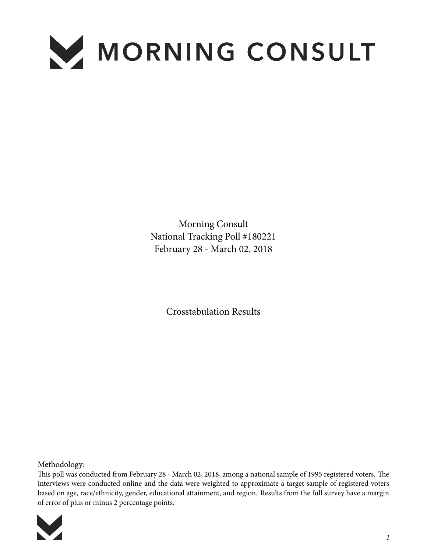

Morning Consult National Tracking Poll #180221 February 28 - March 02, 2018

Crosstabulation Results

Methodology:

This poll was conducted from February 28 - March 02, 2018, among a national sample of 1995 registered voters. The interviews were conducted online and the data were weighted to approximate a target sample of registered voters based on age, race/ethnicity, gender, educational attainment, and region. Results from the full survey have a margin of error of plus or minus 2 percentage points.

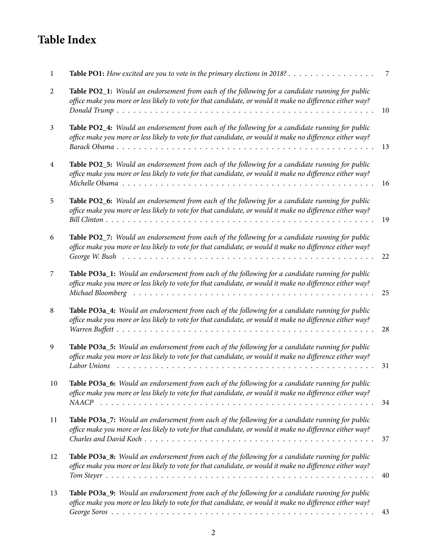## **Table Index**

| 1              | <b>Table PO1:</b> How excited are you to vote in the primary elections in 2018?                                                                                                                                                | 7  |
|----------------|--------------------------------------------------------------------------------------------------------------------------------------------------------------------------------------------------------------------------------|----|
| 2              | Table PO2_1: Would an endorsement from each of the following for a candidate running for public<br>office make you more or less likely to vote for that candidate, or would it make no difference either way?                  | 10 |
| $\mathfrak{Z}$ | Table PO2_4: Would an endorsement from each of the following for a candidate running for public<br>office make you more or less likely to vote for that candidate, or would it make no difference either way?                  | 13 |
| $\overline{4}$ | Table PO2_5: Would an endorsement from each of the following for a candidate running for public<br>office make you more or less likely to vote for that candidate, or would it make no difference either way?                  | 16 |
| 5              | Table PO2_6: Would an endorsement from each of the following for a candidate running for public<br>office make you more or less likely to vote for that candidate, or would it make no difference either way?                  | 19 |
| 6              | Table PO2_7: Would an endorsement from each of the following for a candidate running for public<br>office make you more or less likely to vote for that candidate, or would it make no difference either way?                  | 22 |
| 7              | Table PO3a_1: Would an endorsement from each of the following for a candidate running for public<br>office make you more or less likely to vote for that candidate, or would it make no difference either way?                 | 25 |
| 8              | Table PO3a_4: Would an endorsement from each of the following for a candidate running for public<br>office make you more or less likely to vote for that candidate, or would it make no difference either way?                 | 28 |
| 9              | Table PO3a_5: Would an endorsement from each of the following for a candidate running for public<br>office make you more or less likely to vote for that candidate, or would it make no difference either way?<br>Labor Unions | 31 |
| 10             | Table PO3a_6: Would an endorsement from each of the following for a candidate running for public<br>office make you more or less likely to vote for that candidate, or would it make no difference either way?                 | 34 |
| 11             | Table PO3a_7: Would an endorsement from each of the following for a candidate running for public<br>office make you more or less likely to vote for that candidate, or would it make no difference either way?                 | 37 |
| 12             | Table PO3a_8: Would an endorsement from each of the following for a candidate running for public<br>office make you more or less likely to vote for that candidate, or would it make no difference either way?                 | 40 |
| 13             | Table PO3a_9: Would an endorsement from each of the following for a candidate running for public<br>office make you more or less likely to vote for that candidate, or would it make no difference either way?                 | 43 |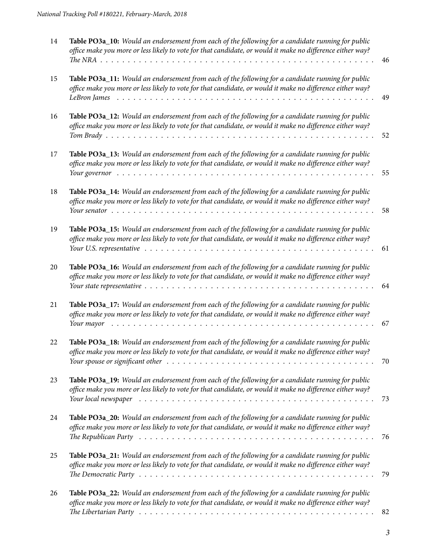| 14 | Table PO3a_10: Would an endorsement from each of the following for a candidate running for public<br>office make you more or less likely to vote for that candidate, or would it make no difference either way?                                                                                                                                           | 46 |
|----|-----------------------------------------------------------------------------------------------------------------------------------------------------------------------------------------------------------------------------------------------------------------------------------------------------------------------------------------------------------|----|
| 15 | Table PO3a_11: Would an endorsement from each of the following for a candidate running for public<br>office make you more or less likely to vote for that candidate, or would it make no difference either way?                                                                                                                                           | 49 |
| 16 | Table PO3a_12: Would an endorsement from each of the following for a candidate running for public<br>office make you more or less likely to vote for that candidate, or would it make no difference either way?                                                                                                                                           | 52 |
| 17 | Table PO3a_13: Would an endorsement from each of the following for a candidate running for public<br>office make you more or less likely to vote for that candidate, or would it make no difference either way?                                                                                                                                           | 55 |
| 18 | Table PO3a_14: Would an endorsement from each of the following for a candidate running for public<br>office make you more or less likely to vote for that candidate, or would it make no difference either way?                                                                                                                                           | 58 |
| 19 | Table PO3a_15: Would an endorsement from each of the following for a candidate running for public<br>office make you more or less likely to vote for that candidate, or would it make no difference either way?<br>Your U.S. representative $\dots \dots \dots \dots \dots \dots \dots \dots \dots \dots \dots \dots \dots \dots \dots \dots \dots \dots$ | 61 |
| 20 | Table PO3a_16: Would an endorsement from each of the following for a candidate running for public<br>office make you more or less likely to vote for that candidate, or would it make no difference either way?                                                                                                                                           | 64 |
| 21 | Table PO3a_17: Would an endorsement from each of the following for a candidate running for public<br>office make you more or less likely to vote for that candidate, or would it make no difference either way?<br>Your mayor received a series and series are series and series and series and series are series and series are s                        | 67 |
| 22 | Table PO3a_18: Would an endorsement from each of the following for a candidate running for public<br>office make you more or less likely to vote for that candidate, or would it make no difference either way?<br>Your spouse or significant other electronic resources in the service contract of the service of the service of                         | 70 |
| 23 | Table PO3a_19: Would an endorsement from each of the following for a candidate running for public<br>office make you more or less likely to vote for that candidate, or would it make no difference either way?                                                                                                                                           | 73 |
| 24 | Table PO3a_20: Would an endorsement from each of the following for a candidate running for public<br>office make you more or less likely to vote for that candidate, or would it make no difference either way?<br>The Republican Party $\dots \dots \dots \dots \dots \dots \dots \dots \dots \dots \dots \dots \dots \dots \dots \dots \dots \dots$     | 76 |
| 25 | Table PO3a_21: Would an endorsement from each of the following for a candidate running for public<br>office make you more or less likely to vote for that candidate, or would it make no difference either way?                                                                                                                                           | 79 |
| 26 | Table PO3a_22: Would an endorsement from each of the following for a candidate running for public<br>office make you more or less likely to vote for that candidate, or would it make no difference either way?                                                                                                                                           | 82 |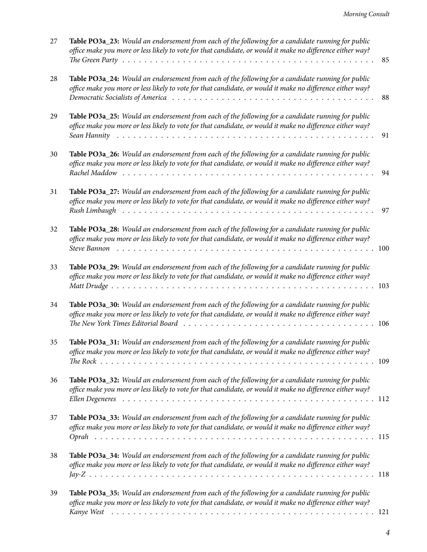| 27 | Table PO3a_23: Would an endorsement from each of the following for a candidate running for public<br>office make you more or less likely to vote for that candidate, or would it make no difference either way?                                                                                                                  | 85 |
|----|----------------------------------------------------------------------------------------------------------------------------------------------------------------------------------------------------------------------------------------------------------------------------------------------------------------------------------|----|
| 28 | Table PO3a_24: Would an endorsement from each of the following for a candidate running for public<br>office make you more or less likely to vote for that candidate, or would it make no difference either way?                                                                                                                  | 88 |
| 29 | Table PO3a_25: Would an endorsement from each of the following for a candidate running for public<br>office make you more or less likely to vote for that candidate, or would it make no difference either way?                                                                                                                  | 91 |
| 30 | Table PO3a_26: Would an endorsement from each of the following for a candidate running for public<br>office make you more or less likely to vote for that candidate, or would it make no difference either way?                                                                                                                  | 94 |
| 31 | Table PO3a_27: Would an endorsement from each of the following for a candidate running for public<br>office make you more or less likely to vote for that candidate, or would it make no difference either way?<br>Rush Limbaugh ruman ruman ruman ruman ruman ruman ruman ruman ruman ruman ruman ruman ruman ruman ruman ruman | 97 |
| 32 | Table PO3a_28: Would an endorsement from each of the following for a candidate running for public<br>office make you more or less likely to vote for that candidate, or would it make no difference either way?                                                                                                                  |    |
| 33 | Table PO3a_29: Would an endorsement from each of the following for a candidate running for public<br>office make you more or less likely to vote for that candidate, or would it make no difference either way?                                                                                                                  |    |
| 34 | Table PO3a_30: Would an endorsement from each of the following for a candidate running for public<br>office make you more or less likely to vote for that candidate, or would it make no difference either way?                                                                                                                  |    |
| 35 | Table PO3a_31: Would an endorsement from each of the following for a candidate running for public<br>office make you more or less likely to vote for that candidate, or would it make no difference either way?                                                                                                                  |    |
| 36 | Table PO3a_32: Would an endorsement from each of the following for a candidate running for public<br>office make you more or less likely to vote for that candidate, or would it make no difference either way?                                                                                                                  |    |
| 37 | Table PO3a_33: Would an endorsement from each of the following for a candidate running for public<br>office make you more or less likely to vote for that candidate, or would it make no difference either way?                                                                                                                  |    |
| 38 | Table PO3a_34: Would an endorsement from each of the following for a candidate running for public<br>office make you more or less likely to vote for that candidate, or would it make no difference either way?                                                                                                                  |    |
| 39 | Table PO3a_35: Would an endorsement from each of the following for a candidate running for public<br>office make you more or less likely to vote for that candidate, or would it make no difference either way?                                                                                                                  |    |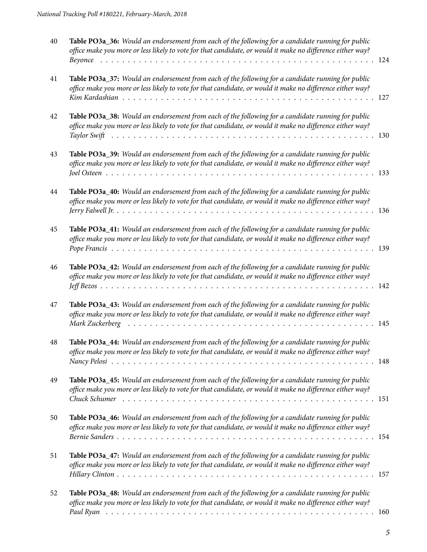| 40 | Table PO3a_36: Would an endorsement from each of the following for a candidate running for public<br>office make you more or less likely to vote for that candidate, or would it make no difference either way? |  |
|----|-----------------------------------------------------------------------------------------------------------------------------------------------------------------------------------------------------------------|--|
| 41 | Table PO3a_37: Would an endorsement from each of the following for a candidate running for public<br>office make you more or less likely to vote for that candidate, or would it make no difference either way? |  |
| 42 | Table PO3a_38: Would an endorsement from each of the following for a candidate running for public<br>office make you more or less likely to vote for that candidate, or would it make no difference either way? |  |
| 43 | Table PO3a_39: Would an endorsement from each of the following for a candidate running for public<br>office make you more or less likely to vote for that candidate, or would it make no difference either way? |  |
| 44 | Table PO3a_40: Would an endorsement from each of the following for a candidate running for public<br>office make you more or less likely to vote for that candidate, or would it make no difference either way? |  |
| 45 | Table PO3a_41: Would an endorsement from each of the following for a candidate running for public<br>office make you more or less likely to vote for that candidate, or would it make no difference either way? |  |
| 46 | Table PO3a_42: Would an endorsement from each of the following for a candidate running for public<br>office make you more or less likely to vote for that candidate, or would it make no difference either way? |  |
| 47 | Table PO3a_43: Would an endorsement from each of the following for a candidate running for public<br>office make you more or less likely to vote for that candidate, or would it make no difference either way? |  |
| 48 | Table PO3a_44: Would an endorsement from each of the following for a candidate running for public<br>office make you more or less likely to vote for that candidate, or would it make no difference either way? |  |
| 49 | Table PO3a_45: Would an endorsement from each of the following for a candidate running for public<br>office make you more or less likely to vote for that candidate, or would it make no difference either way? |  |
| 50 | Table PO3a_46: Would an endorsement from each of the following for a candidate running for public<br>office make you more or less likely to vote for that candidate, or would it make no difference either way? |  |
| 51 | Table PO3a_47: Would an endorsement from each of the following for a candidate running for public<br>office make you more or less likely to vote for that candidate, or would it make no difference either way? |  |
| 52 | Table PO3a_48: Would an endorsement from each of the following for a candidate running for public<br>office make you more or less likely to vote for that candidate, or would it make no difference either way? |  |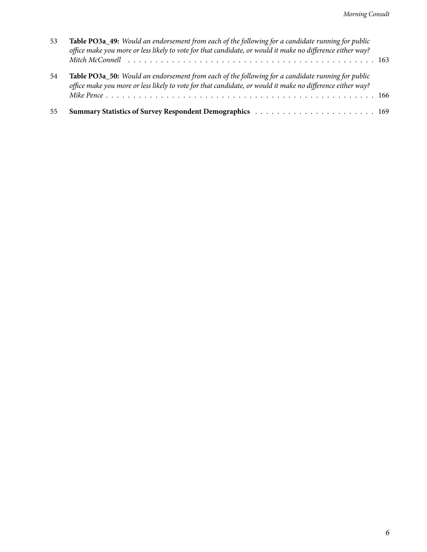| 55 |                                                                                                                                                                                                                        |  |
|----|------------------------------------------------------------------------------------------------------------------------------------------------------------------------------------------------------------------------|--|
| 54 | Table PO3a_50: Would an endorsement from each of the following for a candidate running for public<br>office make you more or less likely to vote for that candidate, or would it make no difference either way?        |  |
| 53 | <b>Table PO3a_49:</b> Would an endorsement from each of the following for a candidate running for public<br>office make you more or less likely to vote for that candidate, or would it make no difference either way? |  |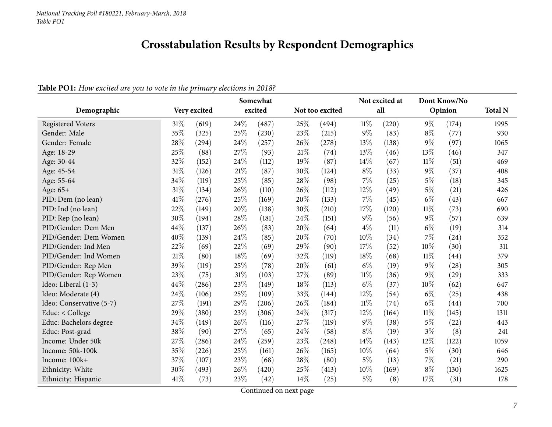## **Crosstabulation Results by Respondent Demographics**

## Table PO1: How excited are you to vote in the primary elections in 2018?

<span id="page-6-0"></span>

|                          |      |              |      | Somewhat |      |                 |        | Not excited at |        | Dont Know/No |                |
|--------------------------|------|--------------|------|----------|------|-----------------|--------|----------------|--------|--------------|----------------|
| Demographic              |      | Very excited |      | excited  |      | Not too excited |        | all            |        | Opinion      | <b>Total N</b> |
| <b>Registered Voters</b> | 31%  | (619)        | 24%  | (487)    | 25\% | (494)           | $11\%$ | (220)          | $9\%$  | (174)        | 1995           |
| Gender: Male             | 35%  | (325)        | 25%  | (230)    | 23%  | (215)           | $9\%$  | (83)           | $8\%$  | (77)         | 930            |
| Gender: Female           | 28%  | (294)        | 24%  | (257)    | 26%  | (278)           | 13%    | (138)          | $9\%$  | (97)         | 1065           |
| Age: 18-29               | 25%  | (88)         | 27\% | (93)     | 21%  | (74)            | 13\%   | (46)           | 13%    | (46)         | 347            |
| Age: 30-44               | 32%  | (152)        | 24%  | (112)    | 19%  | (87)            | 14\%   | (67)           | $11\%$ | (51)         | 469            |
| Age: 45-54               | 31%  | (126)        | 21%  | (87)     | 30%  | (124)           | $8\%$  | (33)           | $9\%$  | (37)         | 408            |
| Age: 55-64               | 34%  | (119)        | 25%  | (85)     | 28%  | (98)            | 7%     | (25)           | $5\%$  | (18)         | 345            |
| Age: 65+                 | 31%  | (134)        | 26%  | (110)    | 26%  | (112)           | 12\%   | (49)           | $5\%$  | (21)         | 426            |
| PID: Dem (no lean)       | 41%  | (276)        | 25%  | (169)    | 20%  | (133)           | $7\%$  | (45)           | $6\%$  | (43)         | 667            |
| PID: Ind (no lean)       | 22%  | (149)        | 20%  | (138)    | 30%  | (210)           | 17%    | (120)          | $11\%$ | (73)         | 690            |
| PID: Rep (no lean)       | 30%  | (194)        | 28%  | (181)    | 24%  | (151)           | $9\%$  | (56)           | $9\%$  | (57)         | 639            |
| PID/Gender: Dem Men      | 44%  | (137)        | 26%  | (83)     | 20%  | (64)            | $4\%$  | (11)           | $6\%$  | (19)         | 314            |
| PID/Gender: Dem Women    | 40%  | (139)        | 24%  | (85)     | 20%  | (70)            | 10%    | (34)           | 7%     | (24)         | 352            |
| PID/Gender: Ind Men      | 22%  | (69)         | 22%  | (69)     | 29%  | (90)            | 17%    | (52)           | 10%    | (30)         | 311            |
| PID/Gender: Ind Women    | 21%  | (80)         | 18%  | (69)     | 32%  | (119)           | 18%    | (68)           | $11\%$ | (44)         | 379            |
| PID/Gender: Rep Men      | 39%  | (119)        | 25%  | (78)     | 20%  | (61)            | $6\%$  | (19)           | $9\%$  | (28)         | 305            |
| PID/Gender: Rep Women    | 23%  | (75)         | 31%  | (103)    | 27%  | (89)            | $11\%$ | (36)           | $9\%$  | (29)         | 333            |
| Ideo: Liberal (1-3)      | 44%  | (286)        | 23%  | (149)    | 18%  | (113)           | $6\%$  | (37)           | 10%    | (62)         | 647            |
| Ideo: Moderate (4)       | 24%  | (106)        | 25%  | (109)    | 33%  | (144)           | 12%    | (54)           | $6\%$  | (25)         | 438            |
| Ideo: Conservative (5-7) | 27%  | (191)        | 29%  | (206)    | 26%  | (184)           | $11\%$ | (74)           | $6\%$  | (44)         | 700            |
| Educ: $<$ College        | 29%  | (380)        | 23%  | (306)    | 24%  | (317)           | 12\%   | (164)          | $11\%$ | (145)        | 1311           |
| Educ: Bachelors degree   | 34%  | (149)        | 26%  | (116)    | 27%  | (119)           | $9\%$  | (38)           | $5\%$  | (22)         | 443            |
| Educ: Post-grad          | 38%  | (90)         | 27\% | (65)     | 24%  | (58)            | $8\%$  | (19)           | $3\%$  | (8)          | 241            |
| Income: Under 50k        | 27%  | (286)        | 24%  | (259)    | 23%  | (248)           | $14\%$ | (143)          | 12%    | (122)        | 1059           |
| Income: 50k-100k         | 35%  | (226)        | 25%  | (161)    | 26%  | (165)           | $10\%$ | (64)           | $5\%$  | (30)         | 646            |
| Income: 100k+            | 37%  | (107)        | 23%  | (68)     | 28%  | (80)            | $5\%$  | (13)           | 7%     | (21)         | 290            |
| Ethnicity: White         | 30%  | (493)        | 26%  | (420)    | 25%  | (413)           | 10%    | (169)          | $8\%$  | (130)        | 1625           |
| Ethnicity: Hispanic      | 41\% | (73)         | 23%  | (42)     | 14%  | (25)            | $5\%$  | (8)            | 17%    | (31)         | 178            |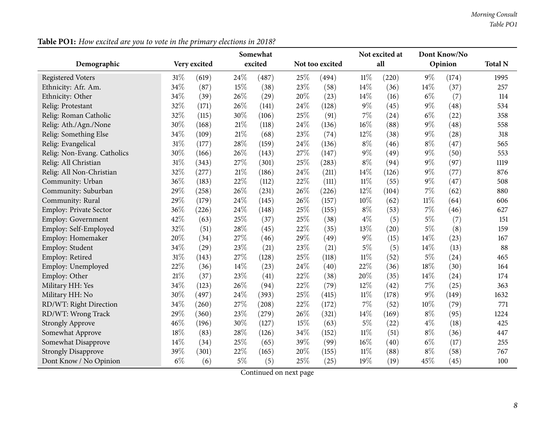| Demographic                   |        | Very excited |       | Somewhat<br>excited |        | Not too excited |        | Not excited at<br>all |        | Dont Know/No<br>Opinion | <b>Total N</b> |
|-------------------------------|--------|--------------|-------|---------------------|--------|-----------------|--------|-----------------------|--------|-------------------------|----------------|
|                               |        |              |       |                     |        |                 |        |                       |        |                         |                |
| <b>Registered Voters</b>      | $31\%$ | (619)        | 24%   | (487)               | 25%    | (494)           | $11\%$ | (220)                 | $9\%$  | (174)                   | 1995           |
| Ethnicity: Afr. Am.           | 34%    | (87)         | 15%   | (38)                | 23%    | (58)            | 14%    | (36)                  | 14\%   | (37)                    | 257            |
| Ethnicity: Other              | 34%    | (39)         | 26\%  | (29)                | 20%    | (23)            | 14%    | (16)                  | $6\%$  | (7)                     | 114            |
| Relig: Protestant             | 32%    | (171)        | 26%   | (141)               | 24%    | (128)           | $9\%$  | (45)                  | $9\%$  | (48)                    | 534            |
| Relig: Roman Catholic         | 32%    | (115)        | 30%   | (106)               | 25%    | (91)            | 7%     | (24)                  | $6\%$  | (22)                    | 358            |
| Relig: Ath./Agn./None         | 30%    | (168)        | 21\%  | (118)               | 24%    | (136)           | 16%    | (88)                  | $9\%$  | (48)                    | 558            |
| Relig: Something Else         | 34%    | (109)        | 21%   | (68)                | 23%    | (74)            | 12%    | (38)                  | $9\%$  | (28)                    | 318            |
| Relig: Evangelical            | 31%    | (177)        | 28%   | (159)               | 24%    | (136)           | $8\%$  | (46)                  | $8\%$  | (47)                    | 565            |
| Relig: Non-Evang. Catholics   | 30%    | (166)        | 26%   | (143)               | 27%    | (147)           | $9\%$  | (49)                  | $9\%$  | (50)                    | 553            |
| Relig: All Christian          | 31%    | (343)        | 27%   | (301)               | 25%    | (283)           | $8\%$  | (94)                  | $9\%$  | (97)                    | 1119           |
| Relig: All Non-Christian      | 32%    | (277)        | 21%   | (186)               | 24%    | (211)           | 14\%   | (126)                 | $9\%$  | (77)                    | 876            |
| Community: Urban              | 36%    | (183)        | 22%   | (112)               | 22%    | (111)           | $11\%$ | (55)                  | $9\%$  | (47)                    | 508            |
| Community: Suburban           | 29%    | (258)        | 26%   | (231)               | 26%    | (226)           | 12%    | (104)                 | $7\%$  | (62)                    | 880            |
| Community: Rural              | 29%    | (179)        | 24%   | (145)               | 26%    | (157)           | $10\%$ | (62)                  | $11\%$ | (64)                    | 606            |
| <b>Employ: Private Sector</b> | 36%    | (226)        | 24%   | (148)               | 25%    | (155)           | $8\%$  | (53)                  | $7\%$  | (46)                    | 627            |
| <b>Employ: Government</b>     | 42%    | (63)         | 25%   | (37)                | 25%    | (38)            | $4\%$  | (5)                   | $5\%$  | (7)                     | 151            |
| Employ: Self-Employed         | 32%    | (51)         | 28%   | (45)                | 22%    | (35)            | 13%    | (20)                  | $5\%$  | (8)                     | 159            |
| Employ: Homemaker             | 20%    | (34)         | 27%   | (46)                | 29%    | (49)            | $9\%$  | (15)                  | 14%    | (23)                    | 167            |
| Employ: Student               | 34%    | (29)         | 23%   | (21)                | 23%    | (21)            | $5\%$  | (5)                   | 14%    | (13)                    | 88             |
| Employ: Retired               | 31%    | (143)        | 27%   | (128)               | 25%    | (118)           | $11\%$ | (52)                  | $5\%$  | (24)                    | 465            |
| Employ: Unemployed            | 22%    | (36)         | 14%   | (23)                | 24%    | (40)            | 22%    | (36)                  | 18%    | (30)                    | 164            |
| Employ: Other                 | 21%    | (37)         | 23%   | (41)                | 22%    | (38)            | 20%    | (35)                  | 14\%   | (24)                    | 174            |
| Military HH: Yes              | 34%    | (123)        | 26%   | (94)                | $22\%$ | (79)            | 12%    | (42)                  | $7\%$  | (25)                    | 363            |
| Military HH: No               | 30%    | (497)        | 24%   | (393)               | 25%    | (415)           | 11%    | (178)                 | $9\%$  | (149)                   | 1632           |
| RD/WT: Right Direction        | 34%    | (260)        | 27%   | (208)               | 22%    | (172)           | 7%     | (52)                  | 10%    | (79)                    | 771            |
| RD/WT: Wrong Track            | 29%    | (360)        | 23%   | (279)               | 26%    | (321)           | 14\%   | (169)                 | $8\%$  | (95)                    | 1224           |
| <b>Strongly Approve</b>       | 46%    | (196)        | 30%   | (127)               | 15%    | (63)            | $5\%$  | (22)                  | $4\%$  | (18)                    | 425            |
| Somewhat Approve              | 18%    | (83)         | 28%   | (126)               | 34%    | (152)           | $11\%$ | (51)                  | $8\%$  | (36)                    | 447            |
| Somewhat Disapprove           | 14%    | (34)         | 25%   | (65)                | 39%    | (99)            | $16\%$ | (40)                  | $6\%$  | (17)                    | 255            |
| <b>Strongly Disapprove</b>    | 39%    | (301)        | 22%   | (165)               | 20%    | (155)           | $11\%$ | (88)                  | $8\%$  | (58)                    | 767            |
| Dont Know / No Opinion        | $6\%$  | (6)          | $5\%$ | (5)                 | 25%    | (25)            | 19%    | (19)                  | 45%    | (45)                    | 100            |

Table PO1: How excited are you to vote in the primary elections in 2018?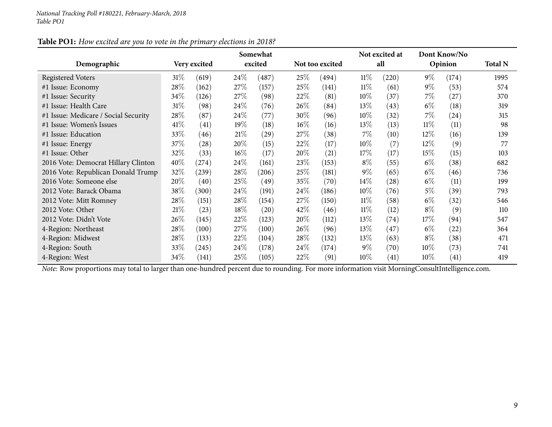| Table PO1: How excited are you to vote in the primary elections in 2018? |
|--------------------------------------------------------------------------|
|--------------------------------------------------------------------------|

|                                      |        |              |        | Somewhat |        |                 |        | Not excited at     |        | Dont Know/No |                |
|--------------------------------------|--------|--------------|--------|----------|--------|-----------------|--------|--------------------|--------|--------------|----------------|
| Demographic                          |        | Very excited |        | excited  |        | Not too excited |        | all                |        | Opinion      | <b>Total N</b> |
| Registered Voters                    | 31%    | (619)        | 24%    | (487)    | 25%    | (494)           | $11\%$ | (220)              | $9\%$  | (174)        | 1995           |
| #1 Issue: Economy                    | 28%    | (162)        | 27%    | (157)    | 25%    | (141)           | $11\%$ | (61)               | $9\%$  | (53)         | 574            |
| #1 Issue: Security                   | 34\%   | (126)        | 27\%   | (98)     | 22%    | (81)            | $10\%$ | (37)               | $7\%$  | (27)         | 370            |
| #1 Issue: Health Care                | $31\%$ | (98)         | 24%    | (76)     | 26\%   | (84)            | $13\%$ | (43)               | $6\%$  | (18)         | 319            |
| #1 Issue: Medicare / Social Security | 28%    | (87)         | 24\%   | (77)     | $30\%$ | (96)            | $10\%$ | (32)               | $7\%$  | (24)         | 315            |
| #1 Issue: Women's Issues             | 41\%   | (41)         | $19\%$ | (18)     | $16\%$ | (16)            | $13\%$ | (13)               | $11\%$ | (11)         | 98             |
| #1 Issue: Education                  | 33\%   | (46)         | 21%    | (29)     | 27\%   | (38)            | 7%     | (10)               | $12\%$ | (16)         | 139            |
| #1 Issue: Energy                     | $37\%$ | (28)         | 20%    | (15)     | 22%    | (17)            | $10\%$ | (7)                | $12\%$ | (9)          | 77             |
| #1 Issue: Other                      | $32\%$ | (33)         | $16\%$ | (17)     | 20%    | (21)            | 17%    | (17)               | $15\%$ | (15)         | 103            |
| 2016 Vote: Democrat Hillary Clinton  | 40%    | $^{(274)}$   | 24\%   | (161)    | 23\%   | (153)           | $8\%$  | (55)               | $6\%$  | (38)         | 682            |
| 2016 Vote: Republican Donald Trump   | 32%    | (239)        | 28\%   | (206)    | 25\%   | (181)           | $9\%$  | (65)               | $6\%$  | (46)         | 736            |
| 2016 Vote: Someone else              | 20%    | (40)         | 25%    | (49)     | 35%    | (70)            | 14\%   | (28)               | $6\%$  | (11)         | 199            |
| 2012 Vote: Barack Obama              | $38\%$ | (300)        | 24\%   | (191)    | 24\%   | (186)           | $10\%$ | (76)               | $5\%$  | (39)         | 793            |
| 2012 Vote: Mitt Romney               | 28%    | (151)        | 28%    | (154)    | 27\%   | (150)           | $11\%$ | (58)               | $6\%$  | (32)         | 546            |
| 2012 Vote: Other                     | 21%    | (23)         | 18%    | (20)     | 42\%   | (46)            | $11\%$ | (12)               | $8\%$  | (9)          | 110            |
| 2012 Vote: Didn't Vote               | 26%    | (145)        | 22%    | (123)    | 20\%   | (112)           | 13%    | $\left( 74\right)$ | 17%    | (94)         | 547            |
| 4-Region: Northeast                  | 28%    | (100)        | 27%    | (100)    | 26\%   | (96)            | 13\%   | (47)               | $6\%$  | (22)         | 364            |
| 4-Region: Midwest                    | 28\%   | (133)        | 22%    | (104)    | 28\%   | (132)           | 13\%   | (63)               | $8\%$  | (38)         | 471            |
| 4-Region: South                      | 33\%   | (245)        | 24\%   | (178)    | 24%    | (174)           | $9\%$  | (70)               | $10\%$ | (73)         | 741            |
| 4-Region: West                       | 34\%   | (141)        | 25%    | (105)    | 22%    | (91)            | $10\%$ | (41)               | $10\%$ | (41)         | 419            |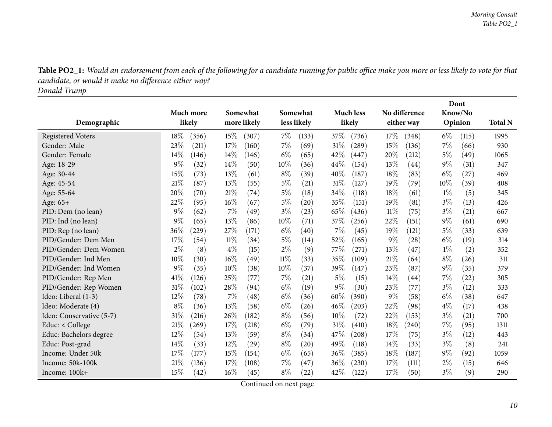Table PO2\_1: Would an endorsement from each of the following for a candidate running for public office make you more or less likely to vote for that *candidate, or would it make no difference either way?*

*Donald Trump*

<span id="page-9-0"></span>

|                          |                |               |                             |                  |                | Dont           |                |
|--------------------------|----------------|---------------|-----------------------------|------------------|----------------|----------------|----------------|
|                          | Much more      | Somewhat      | Somewhat                    | <b>Much less</b> | No difference  | Know/No        |                |
| Demographic              | likely         | more likely   | less likely                 | likely           | either way     | Opinion        | <b>Total N</b> |
| <b>Registered Voters</b> | 18%<br>(356)   | 15%<br>(307)  | $7\%$<br>(133)              | 37%<br>(736)     | 17%<br>(348)   | $6\%$<br>(115) | 1995           |
| Gender: Male             | 23%<br>(211)   | 17%<br>(160)  | 7%<br>(69)                  | 31%<br>(289)     | 15%<br>(136)   | 7%<br>(66)     | 930            |
| Gender: Female           | 14%<br>(146)   | 14%<br>(146)  | $6\%$<br>(65)               | 42%<br>(447)     | 20%<br>(212)   | $5\%$<br>(49)  | 1065           |
| Age: 18-29               | 9%<br>(32)     | 14%<br>(50)   | 10%<br>(36)                 | 44\%<br>(154)    | 13\%<br>(44)   | $9\%$<br>(31)  | 347            |
| Age: 30-44               | 15%<br>(73)    | 13%<br>(61)   | $8\%$<br>(39)               | 40%<br>(187)     | 18%<br>(83)    | $6\%$<br>(27)  | 469            |
| Age: 45-54               | 21%<br>(87)    | 13%<br>(55)   | $5\%$<br>(21)               | $31\%$<br>(127)  | 19%<br>(79)    | 10%<br>(39)    | 408            |
| Age: 55-64               | 20%<br>(70)    | 21%<br>(74)   | $5\%$<br>(18)               | 34%<br>(118)     | 18%<br>(61)    | $1\%$<br>(5)   | 345            |
| Age: 65+                 | $22\%$<br>(95) | 16%<br>(67)   | $5\%$<br>$\left( 20\right)$ | 35\%<br>(151)    | $19\%$<br>(81) | $3\%$<br>(13)  | 426            |
| PID: Dem (no lean)       | $9\%$<br>(62)  | 7%<br>(49)    | $3\%$<br>(23)               | 65%<br>(436)     | 11%<br>(75)    | $3\%$<br>(21)  | 667            |
| PID: Ind (no lean)       | 9%<br>(65)     | 13%<br>(86)   | 10%<br>(71)                 | 37%<br>(256)     | 22\%<br>(151)  | $9\%$<br>(61)  | 690            |
| PID: Rep (no lean)       | 36%<br>(229)   | 27%<br>(171)  | $6\%$<br>(40)               | 7%<br>(45)       | 19%<br>(121)   | $5\%$<br>(33)  | 639            |
| PID/Gender: Dem Men      | 17%<br>(54)    | 11%<br>(34)   | $5\%$<br>(14)               | 52%<br>(165)     | $9\%$<br>(28)  | $6\%$<br>(19)  | 314            |
| PID/Gender: Dem Women    | $2\%$<br>(8)   | $4\%$<br>(15) | $2\%$<br>(9)                | 77\%<br>(271)    | 13%<br>(47)    | $1\%$<br>(2)   | 352            |
| PID/Gender: Ind Men      | 10%<br>(30)    | 16%<br>(49)   | $11\%$<br>(33)              | 35%<br>(109)     | 21%<br>(64)    | $8\%$<br>(26)  | 311            |
| PID/Gender: Ind Women    | $9\%$<br>(35)  | 10%<br>(38)   | 10%<br>(37)                 | 39%<br>(147)     | 23%<br>(87)    | $9\%$<br>(35)  | 379            |
| PID/Gender: Rep Men      | 41%<br>(126)   | 25%<br>(77)   | 7%<br>(21)                  | 5%<br>(15)       | 14\%<br>(44)   | 7%<br>(22)     | 305            |
| PID/Gender: Rep Women    | 31%<br>(102)   | 28%<br>(94)   | $6\%$<br>(19)               | $9\%$<br>(30)    | 23%<br>(77)    | $3\%$<br>(12)  | 333            |
| Ideo: Liberal (1-3)      | 12%<br>(78)    | 7%<br>(48)    | $6\%$<br>(36)               | 60%<br>(390)     | $9\%$<br>(58)  | $6\%$<br>(38)  | 647            |
| Ideo: Moderate (4)       | $8\%$<br>(36)  | 13%<br>(58)   | $6\%$<br>(26)               | 46\%<br>(203)    | 22%<br>(98)    | $4\%$<br>(17)  | 438            |
| Ideo: Conservative (5-7) | 31%<br>(216)   | 26%<br>(182)  | $8\%$<br>(56)               | 10%<br>(72)      | 22%<br>(153)   | $3\%$<br>(21)  | 700            |
| Educ: < College          | 21%<br>(269)   | 17%<br>(218)  | $6\%$<br>(79)               | 31%<br>(410)     | 18%<br>(240)   | 7%<br>(95)     | 1311           |
| Educ: Bachelors degree   | 12%<br>(54)    | 13%<br>(59)   | $8\%$<br>(34)               | 47%<br>(208)     | 17%<br>(75)    | $3\%$<br>(12)  | 443            |
| Educ: Post-grad          | 14%<br>(33)    | 12%<br>(29)   | $8\%$<br>$\left( 20\right)$ | 49%<br>(118)     | $14\%$<br>(33) | $3\%$<br>(8)   | 241            |
| Income: Under 50k        | 17%<br>(177)   | 15%<br>(154)  | $6\%$<br>(65)               | 36%<br>(385)     | 18%<br>(187)   | $9\%$<br>(92)  | 1059           |
| Income: 50k-100k         | 21%<br>(136)   | 17%<br>(108)  | $7\%$<br>(47)               | 36%<br>(230)     | 17%<br>(111)   | $2\%$<br>(15)  | 646            |
| Income: 100k+            | 15%<br>(42)    | 16%<br>(45)   | $8\%$<br>(22)               | 42%<br>(122)     | 17%<br>(50)    | $3\%$<br>(9)   | 290            |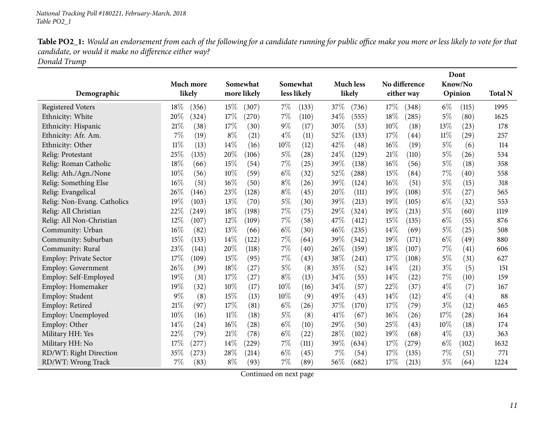| <b>Table PO2_1:</b> Would an endorsement from each of the following for a candidate running for public office make you more or less likely to vote for that |
|-------------------------------------------------------------------------------------------------------------------------------------------------------------|
| candidate, or would it make no difference either way?                                                                                                       |
|                                                                                                                                                             |

*Donald Trump*

|                               |                 |                 |                |                  |                            | Dont           |                |
|-------------------------------|-----------------|-----------------|----------------|------------------|----------------------------|----------------|----------------|
|                               | Much more       | Somewhat        | Somewhat       | <b>Much less</b> | No difference              | Know/No        |                |
| Demographic                   | likely          | more likely     | less likely    | likely           | either way                 | Opinion        | <b>Total N</b> |
| <b>Registered Voters</b>      | $18\%$<br>(356) | $15\%$<br>(307) | $7\%$<br>(133) | 37%<br>(736)     | 17\%<br>(348)              | $6\%$<br>(115) | 1995           |
| Ethnicity: White              | 20%<br>(324)    | 17%<br>(270)    | $7\%$<br>(110) | 34%<br>(555)     | 18%<br>(285)               | 5%<br>(80)     | 1625           |
| Ethnicity: Hispanic           | 21\%<br>(38)    | 17%<br>(30)     | $9\%$<br>(17)  | 30%<br>(53)      | 10%<br>(18)                | 13%<br>(23)    | 178            |
| Ethnicity: Afr. Am.           | $7\%$<br>(19)   | $8\%$<br>(21)   | $4\%$<br>(11)  | 52%<br>(133)     | 17\%<br>$\left( 44\right)$ | 11%<br>(29)    | 257            |
| Ethnicity: Other              | $11\%$<br>(13)  | 14%<br>(16)     | 10%<br>(12)    | 42%<br>(48)      | 16%<br>(19)                | $5\%$<br>(6)   | 114            |
| Relig: Protestant             | 25%<br>(135)    | 20%<br>(106)    | $5\%$<br>(28)  | 24%<br>(129)     | 21%<br>(110)               | $5\%$<br>(26)  | 534            |
| Relig: Roman Catholic         | 18%<br>(66)     | 15%<br>(54)     | $7\%$<br>(25)  | 39%<br>(138)     | $16\%$<br>(56)             | $5\%$<br>(18)  | 358            |
| Relig: Ath./Agn./None         | 10%<br>(56)     | 10%<br>(59)     | $6\%$<br>(32)  | 52%<br>(288)     | 15%<br>(84)                | 7%<br>(40)     | 558            |
| Relig: Something Else         | 16%<br>(51)     | 16%<br>(50)     | $8\%$<br>(26)  | 39%<br>(124)     | $16\%$<br>(51)             | $5\%$<br>(15)  | 318            |
| Relig: Evangelical            | 26\%<br>(146)   | 23%<br>(128)    | $8\%$<br>(45)  | 20%<br>(111)     | 19%<br>(108)               | $5\%$<br>(27)  | 565            |
| Relig: Non-Evang. Catholics   | 19%<br>(103)    | 13%<br>(70)     | $5\%$<br>(30)  | 39%<br>(213)     | 19%<br>(105)               | $6\%$<br>(32)  | 553            |
| Relig: All Christian          | 22%<br>(249)    | 18%<br>(198)    | $7\%$<br>(75)  | 29\%<br>(324)    | 19%<br>(213)               | $5\%$<br>(60)  | 1119           |
| Relig: All Non-Christian      | 12%<br>(107)    | 12%<br>(109)    | $7\%$<br>(58)  | 47\%<br>(412)    | 15%<br>(135)               | $6\%$<br>(55)  | 876            |
| Community: Urban              | 16%<br>(82)     | 13%<br>(66)     | $6\%$<br>(30)  | 46%<br>(235)     | 14%<br>(69)                | $5\%$<br>(25)  | 508            |
| Community: Suburban           | 15%<br>(133)    | 14%<br>(122)    | $7\%$<br>(64)  | 39%<br>(342)     | 19%<br>(171)               | $6\%$<br>(49)  | 880            |
| Community: Rural              | 23%<br>(141)    | 20%<br>(118)    | $7\%$<br>(40)  | 26%<br>(159)     | 18%<br>(107)               | 7%<br>(41)     | 606            |
| <b>Employ: Private Sector</b> | 17%<br>(109)    | 15%<br>(95)     | 7%<br>(43)     | 38%<br>(241)     | 17\%<br>(108)              | $5\%$<br>(31)  | 627            |
| <b>Employ: Government</b>     | 26\%<br>(39)    | 18%<br>(27)     | $5\%$<br>(8)   | 35%<br>(52)      | $14\%$<br>(21)             | $3\%$<br>(5)   | 151            |
| Employ: Self-Employed         | 19%<br>(31)     | 17%<br>(27)     | $8\%$<br>(13)  | 34%<br>(55)      | 14%<br>(22)                | 7%<br>(10)     | 159            |
| Employ: Homemaker             | 19%<br>(32)     | 10%<br>(17)     | 10%<br>(16)    | 34%<br>(57)      | 22%<br>(37)                | $4\%$<br>(7)   | 167            |
| Employ: Student               | $9\%$<br>(8)    | 15%<br>(13)     | 10%<br>(9)     | 49%<br>(43)      | 14\%<br>(12)               | $4\%$<br>(4)   | 88             |
| Employ: Retired               | 21\%<br>(97)    | 17%<br>(81)     | $6\%$<br>(26)  | 37%<br>(170)     | 17%<br>(79)                | $3\%$<br>(12)  | 465            |
| Employ: Unemployed            | 10%<br>(16)     | $11\%$<br>(18)  | $5\%$<br>(8)   | 41\%<br>(67)     | $16\%$<br>(26)             | 17%<br>(28)    | 164            |
| Employ: Other                 | 14%<br>(24)     | 16%<br>(28)     | $6\%$<br>(10)  | 29%<br>(50)      | 25%<br>(43)                | 10%<br>(18)    | 174            |
| Military HH: Yes              | 22%<br>(79)     | 21%<br>(78)     | $6\%$<br>(22)  | 28%<br>(102)     | 19%<br>(68)                | $4\%$<br>(13)  | 363            |
| Military HH: No               | 17%<br>(277)    | 14%<br>(229)    | $7\%$<br>(111) | 39%<br>(634)     | 17%<br>(279)               | $6\%$<br>(102) | 1632           |
| RD/WT: Right Direction        | 35%<br>(273)    | 28%<br>(214)    | $6\%$<br>(45)  | 7%<br>(54)       | 17%<br>(135)               | 7%<br>(51)     | 771            |
| RD/WT: Wrong Track            | 7%<br>(83)      | $8\%$<br>(93)   | $7\%$<br>(89)  | 56%<br>(682)     | 17%<br>(213)               | $5\%$<br>(64)  | 1224           |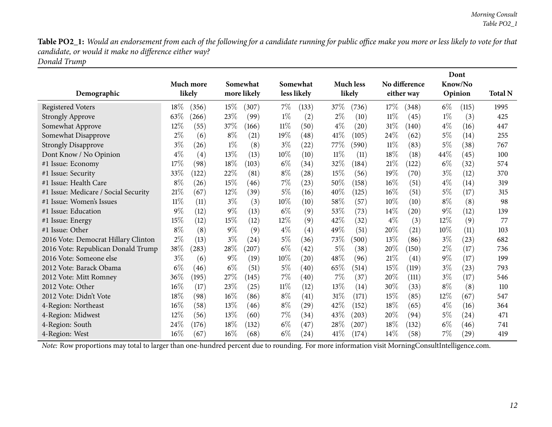Table PO2\_1: Would an endorsement from each of the following for a candidate running for public office make you more or less likely to vote for that *candidate, or would it make no difference either way?*

*Donald Trump*

|                                      |       |           |        |             |        |                   |        |                  |        |               |       | Dont    |                |
|--------------------------------------|-------|-----------|--------|-------------|--------|-------------------|--------|------------------|--------|---------------|-------|---------|----------------|
|                                      |       | Much more |        | Somewhat    |        | Somewhat          |        | <b>Much less</b> |        | No difference |       | Know/No |                |
| Demographic                          |       | likely    |        | more likely |        | less likely       |        | likely           |        | either way    |       | Opinion | <b>Total N</b> |
| <b>Registered Voters</b>             | 18%   | (356)     | $15\%$ | (307)       | $7\%$  | (133)             | 37\%   | (736)            | 17%    | (348)         | $6\%$ | (115)   | 1995           |
| <b>Strongly Approve</b>              | 63%   | 266       | 23%    | (99)        | $1\%$  | (2)               | $2\%$  | (10)             | 11%    | (45)          | $1\%$ | (3)     | 425            |
| Somewhat Approve                     | 12%   | (55)      | 37%    | (166)       | $11\%$ | (50)              | $4\%$  | (20)             | 31\%   | (140)         | $4\%$ | (16)    | 447            |
| Somewhat Disapprove                  | $2\%$ | (6)       | $8\%$  | (21)        | 19%    | (48)              | $41\%$ | (105)            | 24\%   | (62)          | $5\%$ | (14)    | 255            |
| <b>Strongly Disapprove</b>           | $3\%$ | (26)      | $1\%$  | (8)         | $3\%$  | (22)              | 77\%   | (590)            | $11\%$ | (83)          | $5\%$ | (38)    | 767            |
| Dont Know / No Opinion               | $4\%$ | (4)       | 13%    | (13)        | 10%    | (10)              | 11%    | (11)             | 18%    | (18)          | 44%   | (45)    | 100            |
| #1 Issue: Economy                    | 17%   | (98)      | 18%    | (103)       | $6\%$  | (34)              | 32%    | (184)            | 21%    | (122)         | $6\%$ | (32)    | 574            |
| #1 Issue: Security                   | 33%   | (122)     | 22%    | (81)        | $8\%$  | (28)              | 15%    | (56)             | 19%    | (70)          | $3\%$ | (12)    | 370            |
| #1 Issue: Health Care                | $8\%$ | (26)      | 15%    | (46)        | $7\%$  | (23)              | 50%    | (158)            | $16\%$ | (51)          | $4\%$ | (14)    | 319            |
| #1 Issue: Medicare / Social Security | 21%   | (67)      | $12\%$ | (39)        | $5\%$  | (16)              | 40%    | (125)            | $16\%$ | (51)          | $5\%$ | (17)    | 315            |
| #1 Issue: Women's Issues             | 11%   | (11)      | $3\%$  | (3)         | $10\%$ | (10)              | 58\%   | (57)             | $10\%$ | (10)          | $8\%$ | (8)     | 98             |
| #1 Issue: Education                  | 9%    | (12)      | $9\%$  | (13)        | $6\%$  | (9)               | 53%    | (73)             | $14\%$ | (20)          | $9\%$ | (12)    | 139            |
| #1 Issue: Energy                     | 15%   | (12)      | 15%    | (12)        | 12%    | (9)               | 42%    | (32)             | $4\%$  | (3)           | 12%   | (9)     | 77             |
| #1 Issue: Other                      | $8\%$ | (8)       | $9\%$  | (9)         | $4\%$  | $\left( 4\right)$ | 49%    | (51)             | 20%    | (21)          | 10%   | (11)    | 103            |
| 2016 Vote: Democrat Hillary Clinton  | $2\%$ | (13)      | $3\%$  | (24)        | $5\%$  | (36)              | 73\%   | (500)            | 13%    | (86)          | $3\%$ | (23)    | 682            |
| 2016 Vote: Republican Donald Trump   | 38%   | (283)     | 28\%   | $^{'}207)$  | $6\%$  | (42)              | 5%     | (38)             | 20%    | (150)         | $2\%$ | (17)    | 736            |
| 2016 Vote: Someone else              | $3\%$ | (6)       | $9\%$  | (19)        | 10%    | (20)              | 48%    | (96)             | 21%    | (41)          | $9\%$ | (17)    | 199            |
| 2012 Vote: Barack Obama              | $6\%$ | (46)      | $6\%$  | (51)        | 5%     | (40)              | 65%    | (514)            | 15%    | (119)         | $3\%$ | (23)    | 793            |
| 2012 Vote: Mitt Romney               | 36%   | (195)     | 27%    | (145)       | $7\%$  | (40)              | $7\%$  | (37)             | 20%    | (111)         | $3\%$ | (17)    | 546            |
| 2012 Vote: Other                     | 16%   | (17)      | 23%    | (25)        | $11\%$ | (12)              | 13%    | (14)             | 30%    | (33)          | $8\%$ | (8)     | 110            |
| 2012 Vote: Didn't Vote               | 18%   | (98)      | 16%    | (86)        | $8\%$  | (41)              | 31%    | (171)            | 15%    | (85)          | 12%   | (67)    | 547            |
| 4-Region: Northeast                  | 16%   | (58)      | 13%    | (46)        | $8\%$  | (29)              | 42%    | (152)            | 18%    | (65)          | $4\%$ | (16)    | 364            |
| 4-Region: Midwest                    | 12%   | (56)      | 13%    | (60)        | $7\%$  | (34)              | 43%    | (203)            | 20%    | (94)          | $5\%$ | (24)    | 471            |
| 4-Region: South                      | 24%   | (176)     | 18%    | (132)       | $6\%$  | (47)              | 28%    | (207)            | $18\%$ | (132)         | $6\%$ | (46)    | 741            |
| 4-Region: West                       | 16%   | (67)      | $16\%$ | (68)        | $6\%$  | (24)              | 41\%   | (174)            | $14\%$ | (58)          | $7\%$ | (29)    | 419            |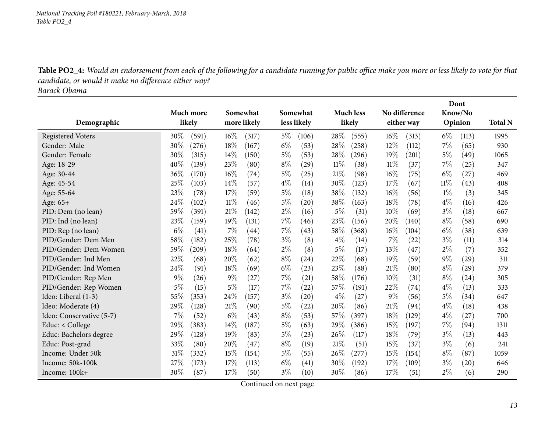*National Tracking Poll #180221, February-March, <sup>2018</sup> Table PO2\_4*

Table PO2\_4: Would an endorsement from each of the following for a candidate running for public office make you more or less likely to vote for that *candidate, or would it make no difference either way?*

*Barack Obama*

<span id="page-12-0"></span>

|                          |                 |                 |               |                  |                 | Dont                        |                |
|--------------------------|-----------------|-----------------|---------------|------------------|-----------------|-----------------------------|----------------|
|                          | Much more       | Somewhat        | Somewhat      | <b>Much less</b> | No difference   | Know/No                     |                |
| Demographic              | likely          | more likely     | less likely   | likely           | either way      | Opinion                     | <b>Total N</b> |
| <b>Registered Voters</b> | 30\%<br>(591)   | $16\%$<br>(317) | 5%<br>(106)   | 28%<br>(555)     | $16\%$<br>(313) | $6\%$<br>(113)              | 1995           |
| Gender: Male             | 30%<br>(276)    | 18%<br>(167)    | $6\%$<br>(53) | 28%<br>(258)     | 12%<br>(112)    | 7%<br>(65)                  | 930            |
| Gender: Female           | 30%<br>(315)    | 14%<br>(150)    | $5\%$<br>(53) | 28%<br>(296)     | 19%<br>(201)    | $5\%$<br>(49)               | 1065           |
| Age: 18-29               | 40%<br>(139)    | 23%<br>(80)     | $8\%$<br>(29) | $11\%$<br>(38)   | $11\%$<br>(37)  | 7%<br>(25)                  | 347            |
| Age: 30-44               | 36%<br>(170)    | 16%<br>(74)     | $5\%$<br>(25) | 21%<br>(98)      | $16\%$<br>(75)  | $6\%$<br>(27)               | 469            |
| Age: 45-54               | $25\%$<br>(103) | 14%<br>(57)     | $4\%$<br>(14) | 30%<br>(123)     | 17%<br>(67)     | $11\%$<br>(43)              | 408            |
| Age: 55-64               | 23%<br>(78)     | 17%<br>(59)     | $5\%$<br>(18) | 38%<br>(132)     | $16\%$<br>(56)  | $1\%$<br>(3)                | 345            |
| Age: 65+                 | 24\%<br>(102)   | $11\%$<br>(46)  | $5\%$<br>(20) | 38%<br>(163)     | 18%<br>(78)     | $4\%$<br>(16)               | 426            |
| PID: Dem (no lean)       | 59%<br>(391)    | 21%<br>(142)    | $2\%$<br>(16) | $5\%$<br>(31)    | $10\%$<br>(69)  | $3\%$<br>(18)               | 667            |
| PID: Ind (no lean)       | 23%<br>(159)    | 19%<br>(131)    | 7%<br>(46)    | 23%<br>(156)     | 20%<br>(140)    | $8\%$<br>(58)               | 690            |
| PID: Rep (no lean)       | $6\%$<br>(41)   | 7%<br>(44)      | 7%<br>(43)    | 58%<br>(368)     | $16\%$<br>(104) | $6\%$<br>(38)               | 639            |
| PID/Gender: Dem Men      | 58%<br>(182)    | 25%<br>(78)     | $3\%$<br>(8)  | $4\%$<br>(14)    | $7\%$<br>(22)   | $3\%$<br>(11)               | 314            |
| PID/Gender: Dem Women    | 59%<br>(209)    | $18\%$<br>(64)  | $2\%$<br>(8)  | 5%<br>(17)       | 13%<br>(47)     | $2\%$<br>(7)                | 352            |
| PID/Gender: Ind Men      | 22%<br>(68)     | 20%<br>(62)     | $8\%$<br>(24) | 22%<br>(68)      | 19%<br>(59)     | $9\%$<br>(29)               | 311            |
| PID/Gender: Ind Women    | 24%<br>(91)     | 18%<br>(69)     | $6\%$<br>(23) | 23\%<br>(88)     | 21%<br>(80)     | $8\%$<br>(29)               | 379            |
| PID/Gender: Rep Men      | $9\%$<br>(26)   | $9\%$<br>(27)   | 7%<br>(21)    | 58%<br>(176)     | 10%<br>(31)     | $8\%$<br>(24)               | 305            |
| PID/Gender: Rep Women    | $5\%$<br>(15)   | 5%<br>(17)      | 7%<br>(22)    | $57\%$<br>(191)  | 22%<br>(74)     | $4\%$<br>(13)               | 333            |
| Ideo: Liberal (1-3)      | 55%<br>(353)    | 24%<br>(157)    | $3\%$<br>(20) | $4\%$<br>(27)    | $9\%$<br>(56)   | $5\%$<br>(34)               | 647            |
| Ideo: Moderate (4)       | 29%<br>(128)    | 21%<br>(90)     | $5\%$<br>(22) | 20%<br>(86)      | 21%<br>(94)     | $4\%$<br>(18)               | 438            |
| Ideo: Conservative (5-7) | 7%<br>(52)      | $6\%$<br>(43)   | $8\%$<br>(53) | 57%<br>(397)     | 18%<br>(129)    | $4\%$<br>(27)               | 700            |
| Educ: $<$ College        | 29%<br>(383)    | 14%<br>(187)    | $5\%$<br>(63) | 29%<br>(386)     | 15%<br>(197)    | 7%<br>(94)                  | 1311           |
| Educ: Bachelors degree   | 29%<br>(128)    | 19%<br>(83)     | $5\%$<br>(23) | 26\%<br>(117)    | 18%<br>(79)     | $3\%$<br>(13)               | 443            |
| Educ: Post-grad          | 33%<br>(80)     | 20%<br>(47)     | $8\%$<br>(19) | 21%<br>(51)      | 15%<br>(37)     | $3\%$<br>(6)                | 241            |
| Income: Under 50k        | 31%<br>(332)    | 15%<br>(154)    | $5\%$<br>(55) | 26\%<br>(277)    | 15%<br>(154)    | $8\%$<br>(87)               | 1059           |
| Income: 50k-100k         | 27%<br>(173)    | 17%<br>(113)    | $6\%$<br>(41) | 30%<br>(192)     | 17%<br>(109)    | $3\%$<br>$\left( 20\right)$ | 646            |
| Income: 100k+            | 30%<br>(87)     | 17%<br>(50)     | $3\%$<br>(10) | 30%<br>(86)      | 17%<br>(51)     | 2%<br>(6)                   | 290            |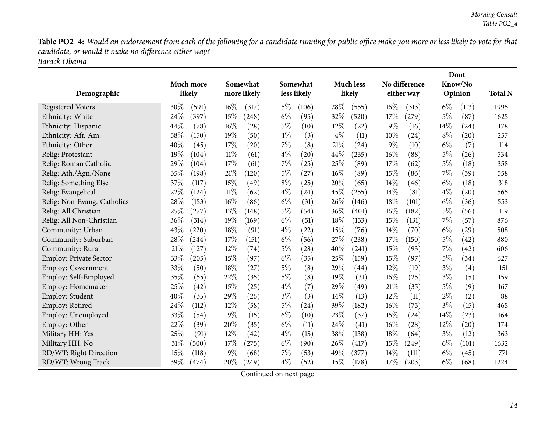Table PO2\_4: Would an endorsement from each of the following for a candidate running for public office make you more or less likely to vote for that *candidate, or would it make no difference either way?*

*Barack Obama*

|                               |                 |                 |                |                  |                 | Dont           |                |
|-------------------------------|-----------------|-----------------|----------------|------------------|-----------------|----------------|----------------|
|                               | Much more       | Somewhat        | Somewhat       | <b>Much less</b> | No difference   | Know/No        |                |
| Demographic                   | likely          | more likely     | less likely    | likely           | either way      | Opinion        | <b>Total N</b> |
| <b>Registered Voters</b>      | 30%<br>(591)    | $16\%$<br>(317) | $5\%$<br>(106) | 28%<br>(555)     | $16\%$<br>(313) | $6\%$<br>(113) | 1995           |
| Ethnicity: White              | 24%<br>(397)    | 15%<br>(248)    | $6\%$<br>(95)  | 32%<br>(520)     | 17%<br>(279)    | 5%<br>(87)     | 1625           |
| Ethnicity: Hispanic           | 44%<br>(78)     | 16%<br>(28)     | 5%<br>(10)     | 12%<br>(22)      | $9\%$<br>(16)   | 14%<br>(24)    | 178            |
| Ethnicity: Afr. Am.           | 58%<br>(150)    | 19%<br>(50)     | $1\%$<br>(3)   | $4\%$<br>(11)    | $10\%$<br>(24)  | $8\%$<br>(20)  | 257            |
| Ethnicity: Other              | 40%<br>(45)     | 17%<br>(20)     | $7\%$<br>(8)   | 21%<br>(24)      | $9\%$<br>(10)   | $6\%$<br>(7)   | 114            |
| Relig: Protestant             | 19%<br>(104)    | 11%<br>(61)     | $4\%$<br>(20)  | 44\%<br>(235)    | $16\%$<br>(88)  | 5%<br>(26)     | 534            |
| Relig: Roman Catholic         | 29%<br>(104)    | 17%<br>(61)     | $7\%$<br>(25)  | 25%<br>(89)      | 17\%<br>(62)    | $5\%$<br>(18)  | 358            |
| Relig: Ath./Agn./None         | 35%<br>(198)    | 21%<br>(120)    | $5\%$<br>(27)  | $16\%$<br>(89)   | 15%<br>(86)     | 7%<br>(39)     | 558            |
| Relig: Something Else         | 37%<br>(117)    | 15%<br>(49)     | $8\%$<br>(25)  | 20%<br>(65)      | 14%<br>(46)     | $6\%$<br>(18)  | 318            |
| Relig: Evangelical            | 22%<br>(124)    | $11\%$<br>(62)  | $4\%$<br>(24)  | 45%<br>(255)     | 14%<br>(81)     | $4\%$<br>(20)  | 565            |
| Relig: Non-Evang. Catholics   | 28%<br>(153)    | 16%<br>(86)     | $6\%$<br>(31)  | 26%<br>(146)     | 18%<br>(101)    | $6\%$<br>(36)  | 553            |
| Relig: All Christian          | 25%<br>(277)    | 13%<br>(148)    | $5\%$<br>(54)  | 36%<br>(401)     | $16\%$<br>(182) | 5%<br>(56)     | 1119           |
| Relig: All Non-Christian      | 36\%<br>(314)   | 19%<br>(169)    | $6\%$<br>(51)  | 18%<br>(153)     | 15%<br>(131)    | 7%<br>(57)     | 876            |
| Community: Urban              | 43%<br>(220)    | 18%<br>(91)     | $4\%$<br>(22)  | 15%<br>(76)      | 14%<br>(70)     | $6\%$<br>(29)  | 508            |
| Community: Suburban           | 28%<br>(244)    | 17%<br>(151)    | $6\%$<br>(56)  | 27%<br>(238)     | 17\%<br>(150)   | $5\%$<br>(42)  | 880            |
| Community: Rural              | 21\%<br>(127)   | 12%<br>(74)     | $5\%$<br>(28)  | 40%<br>(241)     | 15%<br>(93)     | 7%<br>(42)     | 606            |
| <b>Employ: Private Sector</b> | 33%<br>(205)    | 15%<br>(97)     | $6\%$<br>(35)  | 25%<br>(159)     | 15%<br>(97)     | $5\%$<br>(34)  | 627            |
| <b>Employ: Government</b>     | 33%<br>(50)     | 18%<br>(27)     | $5\%$<br>(8)   | 29%<br>(44)      | $12\%$<br>(19)  | $3\%$<br>(4)   | 151            |
| Employ: Self-Employed         | 35%<br>(55)     | 22%<br>(35)     | $5\%$<br>(8)   | 19%<br>(31)      | $16\%$<br>(25)  | $3\%$<br>(5)   | 159            |
| Employ: Homemaker             | 25%<br>(42)     | 15%<br>(25)     | $4\%$<br>(7)   | 29%<br>(49)      | 21%<br>(35)     | $5\%$<br>(9)   | 167            |
| Employ: Student               | 40%<br>(35)     | 29%<br>(26)     | $3\%$<br>(3)   | 14%<br>(13)      | 12%<br>(11)     | $2\%$<br>(2)   | 88             |
| Employ: Retired               | 24%<br>(112)    | 12%<br>(58)     | $5\%$<br>(24)  | 39%<br>(182)     | $16\%$<br>(75)  | $3\%$<br>(15)  | 465            |
| Employ: Unemployed            | 33%<br>(54)     | $9\%$<br>(15)   | $6\%$<br>(10)  | 23%<br>(37)      | 15%<br>(24)     | 14%<br>(23)    | 164            |
| Employ: Other                 | 22%<br>(39)     | 20%<br>(35)     | $6\%$<br>(11)  | 24%<br>(41)      | $16\%$<br>(28)  | 12%<br>(20)    | 174            |
| Military HH: Yes              | 25%<br>(91)     | 12%<br>(42)     | $4\%$<br>(15)  | 38%<br>(138)     | 18%<br>(64)     | $3\%$<br>(12)  | 363            |
| Military HH: No               | $31\%$<br>(500) | 17%<br>(275)    | $6\%$<br>(90)  | 26%<br>(417)     | 15%<br>(249)    | $6\%$<br>(101) | 1632           |
| RD/WT: Right Direction        | 15%<br>(118)    | $9\%$<br>(68)   | $7\%$<br>(53)  | 49%<br>(377)     | 14%<br>(111)    | $6\%$<br>(45)  | 771            |
| RD/WT: Wrong Track            | 39%<br>(474)    | 20%<br>(249)    | $4\%$<br>(52)  | 15%<br>(178)     | 17%<br>(203)    | $6\%$<br>(68)  | 1224           |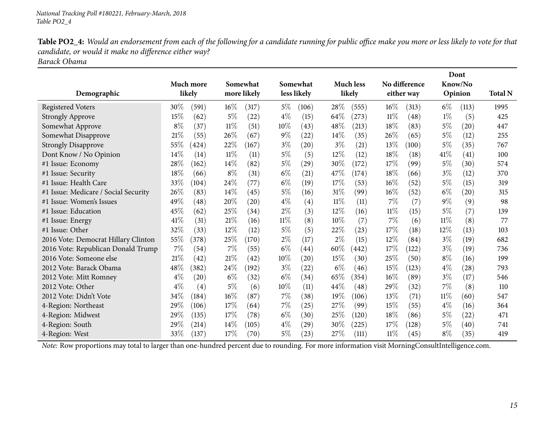Table PO2\_4: Would an endorsement from each of the following for a candidate running for public office make you more or less likely to vote for that *candidate, or would it make no difference either way?*

*Barack Obama*

|                                      |       |           |        |                    |        |                    |        |                  |        |               |        | Dont    |                |
|--------------------------------------|-------|-----------|--------|--------------------|--------|--------------------|--------|------------------|--------|---------------|--------|---------|----------------|
|                                      |       | Much more |        | Somewhat           |        | Somewhat           |        | <b>Much less</b> |        | No difference |        | Know/No |                |
| Demographic                          |       | likely    |        | more likely        |        | less likely        |        | likely           |        | either way    |        | Opinion | <b>Total N</b> |
| <b>Registered Voters</b>             | 30\%  | (591)     | $16\%$ | (317)              | $5\%$  | (106)              | 28%    | (555)            | $16\%$ | (313)         | $6\%$  | (113)   | 1995           |
| <b>Strongly Approve</b>              | 15%   | (62)      | $5\%$  | (22)               | $4\%$  | (15)               | 64\%   | (273)            | 11%    | (48)          | $1\%$  | (5)     | 425            |
| Somewhat Approve                     | $8\%$ | (37)      | 11%    | (51)               | 10%    | (43)               | 48\%   | (213)            | 18\%   | (83)          | $5\%$  | (20)    | 447            |
| Somewhat Disapprove                  | 21%   | (55)      | 26%    | (67)               | $9\%$  | (22)               | 14\%   | (35)             | 26\%   | (65)          | $5\%$  | (12)    | 255            |
| <b>Strongly Disapprove</b>           | 55%   | (424)     | 22%    | (167)              | $3\%$  | (20)               | $3\%$  | (21)             | 13%    | (100)         | $5\%$  | (35)    | 767            |
| Dont Know / No Opinion               | 14%   | (14)      | 11%    | (11)               | $5\%$  | (5)                | $12\%$ | (12)             | 18%    | (18)          | 41%    | (41)    | 100            |
| #1 Issue: Economy                    | 28%   | (162)     | 14%    | (82)               | $5\%$  | $\left( 29\right)$ | 30%    | (172)            | 17%    | (99)          | $5\%$  | (30)    | 574            |
| #1 Issue: Security                   | 18%   | (66)      | $8\%$  | (31)               | $6\%$  | (21)               | 47\%   | (174)            | 18%    | (66)          | $3\%$  | (12)    | 370            |
| #1 Issue: Health Care                | 33\%  | (104)     | 24%    | (77)               | $6\%$  | (19)               | 17\%   | (53)             | $16\%$ | (52)          | $5\%$  | (15)    | 319            |
| #1 Issue: Medicare / Social Security | 26\%  | (83)      | 14%    | (45)               | $5\%$  | (16)               | 31%    | (99)             | $16\%$ | (52)          | $6\%$  | (20)    | 315            |
| #1 Issue: Women's Issues             | 49%   | (48)      | 20%    | $\left( 20\right)$ | $4\%$  | $\left( 4\right)$  | $11\%$ | (11)             | $7\%$  | (7)           | $9\%$  | (9)     | 98             |
| #1 Issue: Education                  | 45%   | (62)      | 25%    | (34)               | $2\%$  | (3)                | 12%    | (16)             | $11\%$ | (15)          | 5%     | (7)     | 139            |
| #1 Issue: Energy                     | 41\%  | (31)      | 21%    | (16)               | $11\%$ | (8)                | 10%    | (7)              | $7\%$  | (6)           | $11\%$ | (8)     | 77             |
| #1 Issue: Other                      | 32%   | (33)      | 12%    | (12)               | $5\%$  | (5)                | 22%    | (23)             | 17%    | (18)          | 12%    | (13)    | 103            |
| 2016 Vote: Democrat Hillary Clinton  | 55%   | (378)     | 25%    | (170)              | $2\%$  | (17)               | $2\%$  | (15)             | $12\%$ | (84)          | $3\%$  | (19)    | 682            |
| 2016 Vote: Republican Donald Trump   | 7%    | (54)      | 7%     | (55)               | $6\%$  | $\left( 44\right)$ | 60%    | (442)            | 17%    | (122)         | $3\%$  | (19)    | 736            |
| 2016 Vote: Someone else              | 21%   | (42)      | 21%    | (42)               | 10%    | (20)               | 15%    | (30)             | 25%    | (50)          | $8\%$  | (16)    | 199            |
| 2012 Vote: Barack Obama              | 48%   | (382)     | 24%    | (192)              | $3\%$  | (22)               | $6\%$  | (46)             | 15%    | (123)         | $4\%$  | (28)    | 793            |
| 2012 Vote: Mitt Romney               | $4\%$ | (20)      | $6\%$  | (32)               | $6\%$  | (34)               | 65%    | (354)            | $16\%$ | (89)          | $3\%$  | (17)    | 546            |
| 2012 Vote: Other                     | $4\%$ | (4)       | $5\%$  | (6)                | 10%    | (11)               | 44\%   | (48)             | 29\%   | (32)          | $7\%$  | (8)     | 110            |
| 2012 Vote: Didn't Vote               | 34%   | (184)     | 16%    | (87)               | $7\%$  | (38)               | 19%    | (106)            | 13%    | (71)          | 11%    | (60)    | 547            |
| 4-Region: Northeast                  | 29%   | (106)     | 17\%   | (64)               | $7\%$  | (25)               | 27%    | (99)             | 15\%   | (55)          | $4\%$  | (16)    | 364            |
| 4-Region: Midwest                    | 29%   | (135)     | 17%    | (78)               | $6\%$  | (30)               | 25%    | (120)            | 18%    | (86)          | $5\%$  | (22)    | 471            |
| 4-Region: South                      | 29%   | (214)     | 14\%   | (105)              | $4\%$  | $\left( 29\right)$ | 30%    | (225)            | 17%    | (128)         | $5\%$  | (40)    | 741            |
| 4-Region: West                       | 33%   | (137)     | 17%    | (70)               | $5\%$  | (23)               | 27\%   | (111)            | $11\%$ | (45)          | $8\%$  | (35)    | 419            |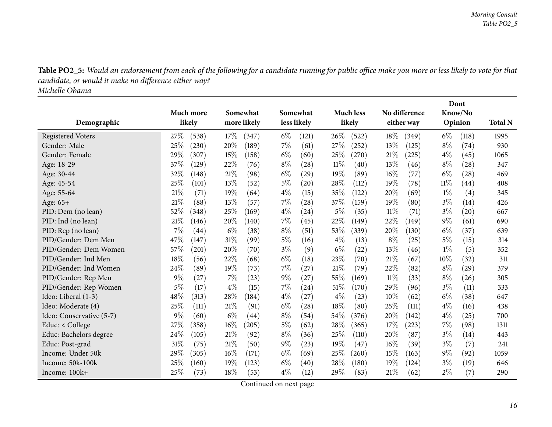Table PO2\_5: Would an endorsement from each of the following for a candidate running for public office make you more or less likely to vote for that *candidate, or would it make no difference either way?*

*Michelle Obama*

<span id="page-15-0"></span>

|                          |                 |               |                |                  |                 | Dont           |                |
|--------------------------|-----------------|---------------|----------------|------------------|-----------------|----------------|----------------|
|                          | Much more       | Somewhat      | Somewhat       | <b>Much less</b> | No difference   | Know/No        |                |
| Demographic              | likely          | more likely   | less likely    | likely           | either way      | Opinion        | <b>Total N</b> |
| <b>Registered Voters</b> | 27\%<br>(538)   | 17%<br>(347)  | $6\%$<br>(121) | 26%<br>(522)     | $18\%$<br>(349) | $6\%$<br>(118) | 1995           |
| Gender: Male             | 25%<br>(230)    | 20%<br>(189)  | 7%<br>(61)     | 27\%<br>(252)    | 13%<br>(125)    | $8\%$<br>(74)  | 930            |
| Gender: Female           | 29%<br>(307)    | 15%<br>(158)  | $6\%$<br>(60)  | 25%<br>(270)     | 21%<br>(225)    | $4\%$<br>(45)  | 1065           |
| Age: 18-29               | 37%<br>(129)    | 22%<br>(76)   | $8\%$<br>(28)  | $11\%$<br>(40)   | 13%<br>(46)     | $8\%$<br>(28)  | 347            |
| Age: 30-44               | 32%<br>(148)    | 21\%<br>(98)  | $6\%$<br>(29)  | 19%<br>(89)      | $16\%$<br>(77)  | $6\%$<br>(28)  | 469            |
| Age: 45-54               | 25%<br>(101)    | 13%<br>(52)   | $5\%$<br>(20)  | 28%<br>(112)     | 19%<br>(78)     | $11\%$<br>(44) | 408            |
| Age: 55-64               | 21%<br>(71)     | 19%<br>(64)   | $4\%$<br>(15)  | 35%<br>(122)     | 20%<br>(69)     | $1\%$<br>(4)   | 345            |
| Age: 65+                 | 21%<br>(88)     | 13%<br>(57)   | 7%<br>(28)     | 37%<br>(159)     | 19%<br>(80)     | $3\%$<br>(14)  | 426            |
| PID: Dem (no lean)       | $52\%$<br>(348) | 25%<br>(169)  | $4\%$<br>(24)  | $5\%$<br>(35)    | $11\%$<br>(71)  | $3\%$<br>(20)  | 667            |
| PID: Ind (no lean)       | 21%<br>(146)    | 20%<br>(140)  | 7%<br>(45)     | 22%<br>(149)     | 22%<br>(149)    | $9\%$<br>(61)  | 690            |
| PID: Rep (no lean)       | 7%<br>(44)      | $6\%$<br>(38) | $8\%$<br>(51)  | 53%<br>(339)     | 20%<br>(130)    | $6\%$<br>(37)  | 639            |
| PID/Gender: Dem Men      | 47%<br>(147)    | 31%<br>(99)   | $5\%$<br>(16)  | $4\%$<br>(13)    | $8\%$<br>(25)   | 5%<br>(15)     | 314            |
| PID/Gender: Dem Women    | 57%<br>(201)    | 20%<br>(70)   | $3\%$<br>(9)   | $6\%$<br>(22)    | 13%<br>(46)     | $1\%$<br>(5)   | 352            |
| PID/Gender: Ind Men      | 18%<br>(56)     | 22%<br>(68)   | $6\%$<br>(18)  | 23%<br>(70)      | 21%<br>(67)     | 10%<br>(32)    | 311            |
| PID/Gender: Ind Women    | 24%<br>(89)     | 19%<br>(73)   | 7%<br>(27)     | 21%<br>(79)      | 22%<br>(82)     | $8\%$<br>(29)  | 379            |
| PID/Gender: Rep Men      | $9\%$<br>(27)   | $7\%$<br>(23) | $9\%$<br>(27)  | 55\%<br>(169)    | 11%<br>(33)     | $8\%$<br>(26)  | 305            |
| PID/Gender: Rep Women    | 5%<br>(17)      | $4\%$<br>(15) | 7%<br>(24)     | 51\%<br>(170)    | 29%<br>(96)     | $3\%$<br>(11)  | 333            |
| Ideo: Liberal (1-3)      | 48%<br>(313)    | 28%<br>(184)  | $4\%$<br>(27)  | $4\%$<br>(23)    | 10%<br>(62)     | $6\%$<br>(38)  | 647            |
| Ideo: Moderate (4)       | 25%<br>(111)    | 21%<br>(91)   | $6\%$<br>(28)  | 18%<br>(80)      | 25%<br>(111)    | $4\%$<br>(16)  | 438            |
| Ideo: Conservative (5-7) | $9\%$<br>(60)   | $6\%$<br>(44) | $8\%$<br>(54)  | 54%<br>(376)     | 20%<br>(142)    | $4\%$<br>(25)  | 700            |
| Educ: < College          | 27%<br>(358)    | 16%<br>(205)  | $5\%$<br>(62)  | 28%<br>(365)     | 17%<br>(223)    | $7\%$<br>(98)  | 1311           |
| Educ: Bachelors degree   | 24%<br>(105)    | 21%<br>(92)   | $8\%$<br>(36)  | 25%<br>(110)     | 20%<br>(87)     | $3\%$<br>(14)  | 443            |
| Educ: Post-grad          | 31%<br>(75)     | 21%<br>(50)   | $9\%$<br>(23)  | 19%<br>(47)      | $16\%$<br>(39)  | $3\%$<br>(7)   | 241            |
| Income: Under 50k        | 29%<br>(305)    | 16%<br>(171)  | $6\%$<br>(69)  | 25%<br>(260)     | 15%<br>(163)    | $9\%$<br>(92)  | 1059           |
| Income: 50k-100k         | 25%<br>(160)    | 19%<br>(123)  | $6\%$<br>(40)  | 28%<br>(180)     | 19%<br>(124)    | $3\%$<br>(19)  | 646            |
| Income: 100k+            | 25%<br>(73)     | 18%<br>(53)   | $4\%$<br>(12)  | 29%<br>(83)      | 21\%<br>(62)    | 2%<br>(7)      | 290            |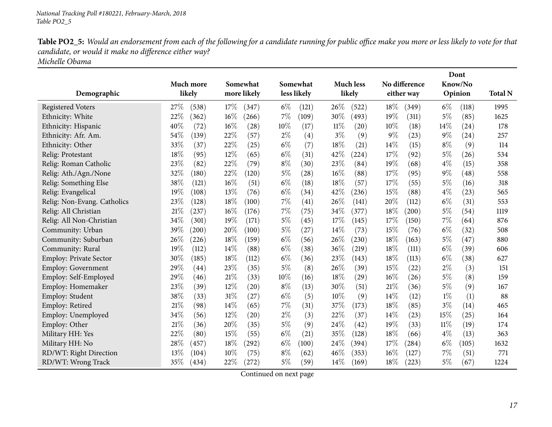Table PO2\_5: Would an endorsement from each of the following for a candidate running for public office make you more or less likely to vote for that *candidate, or would it make no difference either way?*

*Michelle Obama*

|                               |               |              |                             |                  |                | Dont           |                |
|-------------------------------|---------------|--------------|-----------------------------|------------------|----------------|----------------|----------------|
|                               | Much more     | Somewhat     | Somewhat                    | <b>Much less</b> | No difference  | Know/No        |                |
| Demographic                   | likely        | more likely  | less likely                 | likely           | either way     | Opinion        | <b>Total N</b> |
| <b>Registered Voters</b>      | 27\%<br>(538) | 17%<br>(347) | $6\%$<br>(121)              | 26\%<br>(522)    | 18%<br>(349)   | $6\%$<br>(118) | 1995           |
| Ethnicity: White              | 22%<br>(362)  | 16%<br>(266) | $7\%$<br>(109)              | 30%<br>(493)     | 19%<br>(311)   | 5%<br>(85)     | 1625           |
| Ethnicity: Hispanic           | 40%<br>(72)   | 16%<br>(28)  | 10%<br>(17)                 | $11\%$<br>(20)   | $10\%$<br>(18) | 14%<br>(24)    | 178            |
| Ethnicity: Afr. Am.           | 54%<br>(139)  | 22%<br>(57)  | $2\%$<br>(4)                | $3\%$<br>(9)     | $9\%$<br>(23)  | $9\%$<br>(24)  | 257            |
| Ethnicity: Other              | 33%<br>(37)   | 22%<br>(25)  | $6\%$<br>(7)                | 18%<br>(21)      | $14\%$<br>(15) | $8\%$<br>(9)   | 114            |
| Relig: Protestant             | 18%<br>(95)   | 12%<br>(65)  | $6\%$<br>(31)               | 42%<br>(224)     | 17%<br>(92)    | 5%<br>(26)     | 534            |
| Relig: Roman Catholic         | 23%<br>(82)   | 22%<br>(79)  | $8\%$<br>(30)               | 23%<br>(84)      | 19%<br>(68)    | $4\%$<br>(15)  | 358            |
| Relig: Ath./Agn./None         | 32%<br>(180)  | 22%<br>(120) | $5\%$<br>$\left( 28\right)$ | 16%<br>(88)      | 17%<br>(95)    | $9\%$<br>(48)  | 558            |
| Relig: Something Else         | 38%<br>(121)  | 16%<br>(51)  | $6\%$<br>(18)               | 18%<br>(57)      | 17%<br>(55)    | $5\%$<br>(16)  | 318            |
| Relig: Evangelical            | 19%<br>(108)  | 13%<br>(76)  | $6\%$<br>(34)               | 42%<br>(236)     | 15%<br>(88)    | $4\%$<br>(23)  | 565            |
| Relig: Non-Evang. Catholics   | 23%<br>(128)  | 18%<br>(100) | $7\%$<br>(41)               | 26\%<br>(141)    | 20%<br>(112)   | $6\%$<br>(31)  | 553            |
| Relig: All Christian          | 21%<br>(237)  | 16%<br>(176) | $7\%$<br>(75)               | 34%<br>(377)     | 18%<br>(200)   | $5\%$<br>(54)  | 1119           |
| Relig: All Non-Christian      | 34%<br>(301)  | 19%<br>(171) | $5\%$<br>(45)               | 17%<br>(145)     | 17\%<br>(150)  | 7%<br>(64)     | 876            |
| Community: Urban              | 39%<br>(200)  | 20%<br>(100) | $5\%$<br>(27)               | 14%<br>(73)      | 15%<br>(76)    | $6\%$<br>(32)  | 508            |
| Community: Suburban           | 26%<br>(226)  | 18%<br>(159) | $6\%$<br>(56)               | 26%<br>(230)     | 18%<br>(163)   | $5\%$<br>(47)  | 880            |
| Community: Rural              | 19%<br>(112)  | 14%<br>(88)  | $6\%$<br>(38)               | 36%<br>(219)     | 18%<br>(111)   | $6\%$<br>(39)  | 606            |
| <b>Employ: Private Sector</b> | 30%<br>(185)  | 18%<br>(112) | $6\%$<br>(36)               | 23%<br>(143)     | 18%<br>(113)   | $6\%$<br>(38)  | 627            |
| <b>Employ: Government</b>     | 29%<br>(44)   | 23%<br>(35)  | $5\%$<br>(8)                | 26%<br>(39)      | 15%<br>(22)    | 2%<br>(3)      | 151            |
| Employ: Self-Employed         | 29%<br>(46)   | 21%<br>(33)  | 10%<br>(16)                 | 18%<br>(29)      | $16\%$<br>(26) | $5\%$<br>(8)   | 159            |
| Employ: Homemaker             | 23%<br>(39)   | 12%<br>(20)  | $8\%$<br>(13)               | 30%<br>(51)      | 21%<br>(36)    | $5\%$<br>(9)   | 167            |
| Employ: Student               | 38%<br>(33)   | 31%<br>(27)  | $6\%$<br>(5)                | 10%<br>(9)       | 14%<br>(12)    | $1\%$<br>(1)   | 88             |
| Employ: Retired               | 21%<br>(98)   | 14%<br>(65)  | $7\%$<br>(31)               | 37%<br>(173)     | 18%<br>(85)    | $3\%$<br>(14)  | 465            |
| Employ: Unemployed            | 34%<br>(56)   | 12%<br>(20)  | $2\%$<br>(3)                | 22%<br>(37)      | $14\%$<br>(23) | 15%<br>(25)    | 164            |
| Employ: Other                 | 21%<br>(36)   | 20%<br>(35)  | $5\%$<br>(9)                | 24%<br>(42)      | 19%<br>(33)    | 11%<br>(19)    | 174            |
| Military HH: Yes              | 22%<br>(80)   | 15%<br>(55)  | $6\%$<br>(21)               | 35%<br>(128)     | 18%<br>(66)    | $4\%$<br>(13)  | 363            |
| Military HH: No               | 28\%<br>(457) | 18%<br>(292) | $6\%$<br>(100)              | 24%<br>(394)     | 17%<br>(284)   | $6\%$<br>(105) | 1632           |
| RD/WT: Right Direction        | 13%<br>(104)  | 10%<br>(75)  | $8\%$<br>(62)               | $46\%$<br>(353)  | 16%<br>(127)   | 7%<br>(51)     | 771            |
| RD/WT: Wrong Track            | 35%<br>(434)  | 22%<br>(272) | $5\%$<br>(59)               | 14%<br>(169)     | 18%<br>(223)   | $5\%$<br>(67)  | 1224           |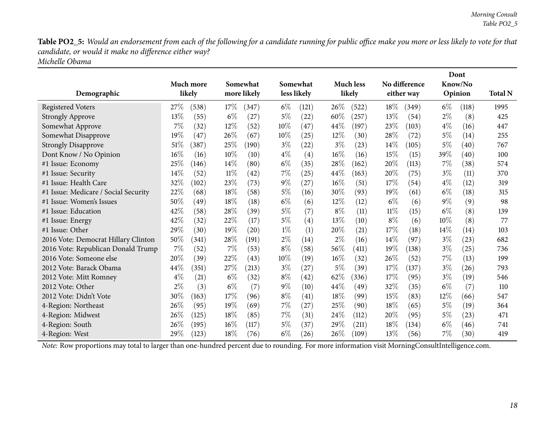Table PO2\_5: Would an endorsement from each of the following for a candidate running for public office make you more or less likely to vote for that *candidate, or would it make no difference either way?*

*Michelle Obama*

|                                      |       |           |       |             |        |                   |        |                  |        |               |       | Dont    |                |
|--------------------------------------|-------|-----------|-------|-------------|--------|-------------------|--------|------------------|--------|---------------|-------|---------|----------------|
|                                      |       | Much more |       | Somewhat    |        | Somewhat          |        | <b>Much less</b> |        | No difference |       | Know/No |                |
| Demographic                          |       | likely    |       | more likely |        | less likely       |        | likely           |        | either way    |       | Opinion | <b>Total N</b> |
| <b>Registered Voters</b>             | 27\%  | (538)     | 17\%  | (347)       | $6\%$  | (121)             | $26\%$ | (522)            | 18\%   | (349)         | $6\%$ | (118)   | 1995           |
| <b>Strongly Approve</b>              | 13%   | (55)      | $6\%$ | (27)        | 5%     | (22)              | 60%    | (257)            | 13%    | (54)          | $2\%$ | (8)     | 425            |
| Somewhat Approve                     | 7%    | (32)      | 12%   | (52)        | $10\%$ | (47)              | 44%    | (197)            | 23\%   | (103)         | $4\%$ | (16)    | 447            |
| Somewhat Disapprove                  | 19%   | (47)      | 26%   | (67)        | $10\%$ | (25)              | $12\%$ | (30)             | 28%    | (72)          | $5\%$ | (14)    | 255            |
| <b>Strongly Disapprove</b>           | 51%   | (387)     | 25%   | (190)       | $3\%$  | $^{(22)}$         | $3\%$  | (23)             | 14\%   | (105)         | $5\%$ | (40)    | 767            |
| Dont Know / No Opinion               | 16%   | (16)      | 10%   | (10)        | $4\%$  | $\left( 4\right)$ | 16%    | (16)             | 15\%   | (15)          | 39%   | (40)    | 100            |
| #1 Issue: Economy                    | 25%   | (146)     | 14%   | (80)        | $6\%$  | (35)              | 28%    | (162)            | 20%    | (113)         | 7%    | (38)    | 574            |
| #1 Issue: Security                   | 14%   | (52)      | 11%   | (42)        | $7\%$  | (25)              | 44%    | (163)            | 20%    | (75)          | $3\%$ | (11)    | 370            |
| #1 Issue: Health Care                | 32%   | (102)     | 23%   | (73)        | $9\%$  | (27)              | 16%    | (51)             | 17%    | (54)          | $4\%$ | (12)    | 319            |
| #1 Issue: Medicare / Social Security | 22%   | (68)      | 18%   | (58)        | $5\%$  | (16)              | 30%    | (93)             | 19%    | (61)          | $6\%$ | (18)    | 315            |
| #1 Issue: Women's Issues             | 50%   | (49)      | 18%   | (18)        | $6\%$  | (6)               | 12%    | (12)             | $6\%$  | (6)           | $9\%$ | (9)     | 98             |
| #1 Issue: Education                  | 42\%  | (58)      | 28%   | (39)        | $5\%$  | (7)               | $8\%$  | (11)             | $11\%$ | (15)          | $6\%$ | (8)     | 139            |
| #1 Issue: Energy                     | 42%   | (32)      | 22%   | (17)        | $5\%$  | (4)               | 13%    | (10)             | $8\%$  | (6)           | 10%   | (8)     | 77             |
| #1 Issue: Other                      | 29%   | (30)      | 19%   | (20)        | $1\%$  | (1)               | 20%    | (21)             | 17%    | (18)          | 14\%  | (14)    | 103            |
| 2016 Vote: Democrat Hillary Clinton  | 50%   | (341)     | 28%   | (191)       | $2\%$  | (14)              | 2%     | (16)             | 14\%   | (97)          | $3\%$ | (23)    | 682            |
| 2016 Vote: Republican Donald Trump   | 7%    | (52)      | 7%    | (53)        | $8\%$  | (58)              | 56%    | (411)            | 19%    | (138)         | $3\%$ | (25)    | 736            |
| 2016 Vote: Someone else              | 20%   | (39)      | 22%   | (43)        | 10%    | (19)              | 16%    | (32)             | 26%    | (52)          | 7%    | (13)    | 199            |
| 2012 Vote: Barack Obama              | 44%   | (351)     | 27%   | (213)       | $3\%$  | (27)              | 5%     | (39)             | 17%    | (137)         | $3\%$ | (26)    | 793            |
| 2012 Vote: Mitt Romney               | $4\%$ | (21)      | $6\%$ | (32)        | $8\%$  | (42)              | 62%    | (336)            | 17%    | (95)          | $3\%$ | (19)    | 546            |
| 2012 Vote: Other                     | $2\%$ | (3)       | $6\%$ | (7)         | $9\%$  | (10)              | 44%    | (49)             | 32%    | (35)          | $6\%$ | (7)     | 110            |
| 2012 Vote: Didn't Vote               | 30%   | (163)     | 17%   | (96)        | $8\%$  | (41)              | 18%    | (99)             | 15%    | (83)          | 12%   | (66)    | 547            |
| 4-Region: Northeast                  | 26%   | (95)      | 19%   | (69)        | $7\%$  | (27)              | 25%    | (90)             | $18\%$ | (65)          | $5\%$ | (19)    | 364            |
| 4-Region: Midwest                    | 26%   | (125)     | 18%   | (85)        | $7\%$  | (31)              | 24%    | (112)            | 20%    | (95)          | $5\%$ | (23)    | 471            |
| 4-Region: South                      | 26%   | (195)     | 16%   | (117)       | $5\%$  | (37)              | 29%    | (211)            | 18\%   | (134)         | $6\%$ | (46)    | 741            |
| 4-Region: West                       | 29%   | (123)     | 18%   | (76)        | $6\%$  | (26)              | 26%    | (109)            | 13%    | (56)          | 7%    | (30)    | 419            |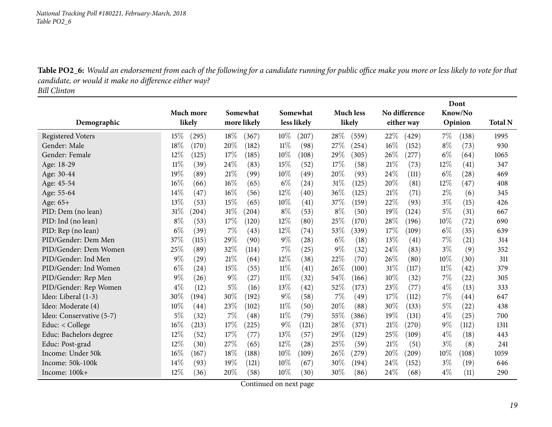Table PO2\_6: Would an endorsement from each of the following for a candidate running for public office make you more or less likely to vote for that *candidate, or would it make no difference either way?*

*Bill Clinton*

<span id="page-18-0"></span>

|                          |                |        |             |        |                    |       |                  |        |               |       | Dont    |                |
|--------------------------|----------------|--------|-------------|--------|--------------------|-------|------------------|--------|---------------|-------|---------|----------------|
|                          | Much more      |        | Somewhat    |        | Somewhat           |       | <b>Much less</b> |        | No difference |       | Know/No |                |
| Demographic              | likely         |        | more likely |        | less likely        |       | likely           |        | either way    |       | Opinion | <b>Total N</b> |
| <b>Registered Voters</b> | 15%<br>(295)   | 18\%   | (367)       | 10%    | (207)              | 28%   | (559)            | 22%    | (429)         | 7%    | (138)   | 1995           |
| Gender: Male             | 18%<br>(170)   | 20%    | (182)       | $11\%$ | (98)               | 27\%  | (254)            | $16\%$ | (152)         | $8\%$ | (73)    | 930            |
| Gender: Female           | 12%<br>(125)   | 17%    | (185)       | $10\%$ | (108)              | 29%   | (305)            | $26\%$ | (277)         | $6\%$ | (64)    | 1065           |
| Age: 18-29               | 11%<br>(39)    | 24%    | (83)        | 15%    | (52)               | 17%   | (58)             | 21%    | (73)          | 12%   | (41)    | 347            |
| Age: 30-44               | 19%<br>(89)    | 21%    | (99)        | 10%    | (49)               | 20%   | (93)             | 24%    | (111)         | $6\%$ | (28)    | 469            |
| Age: 45-54               | 16%<br>(66)    | 16%    | (65)        | $6\%$  | (24)               | 31%   | (125)            | 20%    | (81)          | 12%   | (47)    | 408            |
| Age: 55-64               | 14%<br>(47)    | 16%    | (56)        | 12%    | (40)               | 36%   | (125)            | 21%    | (71)          | $2\%$ | (6)     | 345            |
| Age: 65+                 | 13%<br>(53)    | 15%    | (65)        | 10%    | (41)               | 37%   | (159)            | 22%    | (93)          | $3\%$ | (15)    | 426            |
| PID: Dem (no lean)       | 31%<br>(204)   | 31%    | (204)       | $8\%$  | (53)               | $8\%$ | (50)             | 19%    | (124)         | $5\%$ | (31)    | 667            |
| PID: Ind (no lean)       | $8\%$<br>(53)  | $17\%$ | (120)       | 12%    | (80)               | 25%   | (170)            | 28\%   | (196)         | 10%   | (72)    | 690            |
| PID: Rep (no lean)       | $6\%$<br>(39)  | 7%     | (43)        | 12%    | (74)               | 53%   | (339)            | 17%    | (109)         | $6\%$ | (35)    | 639            |
| PID/Gender: Dem Men      | 37%<br>(115)   | 29%    | (90)        | $9\%$  | $\left( 28\right)$ | $6\%$ | (18)             | 13\%   | (41)          | 7%    | (21)    | 314            |
| PID/Gender: Dem Women    | 25%<br>(89)    | 32%    | (114)       | 7%     | (25)               | $9\%$ | (32)             | 24%    | (83)          | $3\%$ | (9)     | 352            |
| PID/Gender: Ind Men      | $9\%$<br>(29)  | 21%    | (64)        | 12%    | (38)               | 22%   | (70)             | 26%    | (80)          | 10%   | (30)    | 311            |
| PID/Gender: Ind Women    | $6\%$<br>(24)  | 15%    | (55)        | $11\%$ | (41)               | 26%   | (100)            | 31%    | (117)         | 11%   | (42)    | 379            |
| PID/Gender: Rep Men      | $9\%$<br>(26)  | $9\%$  | (27)        | 11%    | (32)               | 54%   | (166)            | 10%    | (32)          | 7%    | (22)    | 305            |
| PID/Gender: Rep Women    | $4\%$<br>(12)  | $5\%$  | (16)        | 13\%   | (42)               | 52%   | (173)            | 23%    | (77)          | $4\%$ | (13)    | 333            |
| Ideo: Liberal (1-3)      | 30%<br>(194)   | 30%    | (192)       | $9\%$  | (58)               | 7%    | (49)             | 17%    | (112)         | 7%    | (44)    | 647            |
| Ideo: Moderate (4)       | $10\%$<br>(44) | 23%    | (102)       | $11\%$ | (50)               | 20%   | (88)             | 30%    | (133)         | $5\%$ | (22)    | 438            |
| Ideo: Conservative (5-7) | $5\%$<br>(32)  | 7%     | (48)        | 11%    | (79)               | 55%   | (386)            | 19%    | (131)         | $4\%$ | (25)    | 700            |
| Educ: < College          | 16%<br>(213)   | $17\%$ | (225)       | $9\%$  | (121)              | 28%   | (371)            | 21%    | (270)         | $9\%$ | (112)   | 1311           |
| Educ: Bachelors degree   | 12%<br>(52)    | 17%    | (77)        | 13%    | (57)               | 29%   | (129)            | 25%    | (109)         | $4\%$ | (18)    | 443            |
| Educ: Post-grad          | 12%<br>(30)    | $27\%$ | (65)        | $12\%$ | $\left( 28\right)$ | 25%   | (59)             | 21%    | (51)          | $3\%$ | (8)     | 241            |
| Income: Under 50k        | 16%<br>(167)   | 18%    | (188)       | 10%    | (109)              | 26%   | (279)            | 20%    | (209)         | 10%   | (108)   | 1059           |
| Income: 50k-100k         | 14%<br>(93)    | 19%    | (121)       | 10%    | (67)               | 30%   | (194)            | $24\%$ | (152)         | $3\%$ | (19)    | 646            |
| Income: 100k+            | 12%<br>(36)    | 20%    | (58)        | 10%    | (30)               | 30%   | (86)             | 24\%   | (68)          | $4\%$ | (11)    | 290            |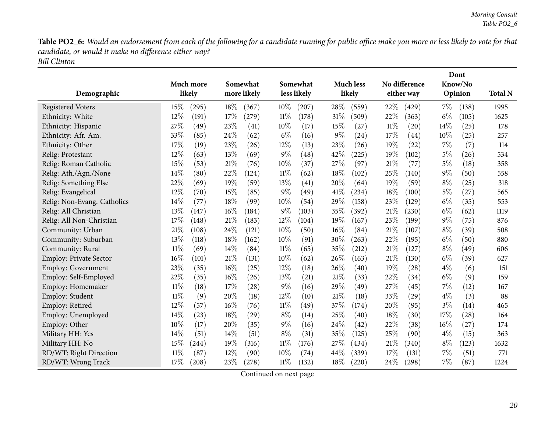Table PO2\_6: Would an endorsement from each of the following for a candidate running for public office make you more or less likely to vote for that *candidate, or would it make no difference either way? Bill Clinton*

| Demographic                   | Much more<br>likely | Somewhat<br>more likely | Somewhat<br>less likely | <b>Much less</b><br>likely | No difference<br>either way | Dont<br>Know/No<br>Opinion | <b>Total N</b> |
|-------------------------------|---------------------|-------------------------|-------------------------|----------------------------|-----------------------------|----------------------------|----------------|
| <b>Registered Voters</b>      | 15%<br>(295)        | 18%<br>(367)            | $10\%$<br>(207)         | 28%<br>(559)               | 22%<br>(429)                | 7%<br>(138)                | 1995           |
| Ethnicity: White              | 12%<br>(191)        | 17%<br>$^{(279)}$       | $11\%$<br>(178)         | 31%<br>(509)               | 22%<br>(363)                | $6\%$<br>(105)             | 1625           |
| Ethnicity: Hispanic           | 27%<br>(49)         | 23%<br>(41)             | 10%<br>(17)             | 15%<br>(27)                | $11\%$<br>(20)              | 14%<br>(25)                | 178            |
| Ethnicity: Afr. Am.           | 33%<br>(85)         | 24%<br>(62)             | $6\%$<br>(16)           | 9%<br>(24)                 | 17%<br>(44)                 | 10%<br>(25)                | 257            |
| Ethnicity: Other              | 17%<br>(19)         | 23%<br>(26)             | 12%<br>(13)             | 23%<br>(26)                | 19%<br>(22)                 | 7%<br>(7)                  | 114            |
| Relig: Protestant             | 12%<br>(63)         | 13%<br>(69)             | $9\%$<br>(48)           | 42%<br>(225)               | 19%<br>(102)                | $5\%$<br>(26)              | 534            |
| Relig: Roman Catholic         | 15%<br>(53)         | 21%<br>(76)             | 10%<br>(37)             | 27%<br>(97)                | 21%<br>(77)                 | $5\%$<br>(18)              | 358            |
| Relig: Ath./Agn./None         | 14%<br>(80)         | 22%<br>(124)            | 11%<br>(62)             | 18%<br>(102)               | 25%<br>(140)                | $9\%$<br>(50)              | 558            |
| Relig: Something Else         | 22%<br>(69)         | 19%<br>(59)             | 13%<br>(41)             | 20%<br>(64)                | 19%<br>(59)                 | $8\%$<br>(25)              | 318            |
| Relig: Evangelical            | 12%<br>(70)         | 15%<br>(85)             | $9\%$<br>(49)           | 41\%<br>(234)              | 18%<br>(100)                | $5\%$<br>(27)              | 565            |
| Relig: Non-Evang. Catholics   | 14%<br>(77)         | 18%<br>(99)             | 10%<br>(54)             | 29%<br>(158)               | 23%<br>(129)                | $6\%$<br>(35)              | 553            |
| Relig: All Christian          | 13%<br>(147)        | 16%<br>(184)            | $9\%$<br>(103)          | 35%<br>(392)               | 21%<br>(230)                | $6\%$<br>(62)              | 1119           |
| Relig: All Non-Christian      | 17%<br>(148)        | 21%<br>(183)            | 12%<br>(104)            | 19%<br>(167)               | 23%<br>(199)                | $9\%$<br>(75)              | 876            |
| Community: Urban              | 21%<br>(108)        | 24%<br>(121)            | 10%<br>(50)             | 16%<br>(84)                | 21%<br>(107)                | $8\%$<br>(39)              | 508            |
| Community: Suburban           | 13%<br>(118)        | 18%<br>(162)            | 10%<br>(91)             | 30%<br>(263)               | 22%<br>(195)                | $6\%$<br>(50)              | 880            |
| Community: Rural              | $11\%$<br>(69)      | 14%<br>(84)             | 11%<br>(65)             | 35%<br>(212)               | 21%<br>(127)                | $8\%$<br>(49)              | 606            |
| <b>Employ: Private Sector</b> | 16%<br>(101)        | 21%<br>(131)            | $10\%$<br>(62)          | 26%<br>(163)               | 21%<br>(130)                | $6\%$<br>(39)              | 627            |
| Employ: Government            | 23%<br>(35)         | 16%<br>(25)             | 12%<br>(18)             | 26%<br>(40)                | 19%<br>(28)                 | $4\%$<br>(6)               | 151            |
| Employ: Self-Employed         | 22%<br>(35)         | 16%<br>(26)             | 13%<br>(21)             | 21%<br>(33)                | 22%<br>(34)                 | $6\%$<br>(9)               | 159            |
| Employ: Homemaker             | $11\%$<br>(18)      | 17%<br>(28)             | 9%<br>(16)              | 29%<br>(49)                | 27%<br>(45)                 | 7%<br>(12)                 | 167            |
| Employ: Student               | $11\%$<br>(9)       | 20%<br>(18)             | 12%<br>(10)             | 21%<br>(18)                | 33%<br>(29)                 | $4\%$<br>(3)               | 88             |
| Employ: Retired               | 12%<br>(57)         | 16%<br>(76)             | 11%<br>(49)             | 37%<br>(174)               | 20%<br>(95)                 | $3\%$<br>(14)              | 465            |
| Employ: Unemployed            | $14\%$<br>(23)      | 18%<br>(29)             | $8\%$<br>(14)           | 25%<br>(40)                | 18%<br>(30)                 | 17%<br>(28)                | 164            |
| Employ: Other                 | 10%<br>(17)         | 20%<br>(35)             | $9\%$<br>(16)           | 24%<br>(42)                | 22%<br>(38)                 | 16%<br>(27)                | 174            |
| Military HH: Yes              | 14%<br>(51)         | 14%<br>(51)             | $8\%$<br>(31)           | 35%<br>(125)               | 25%<br>(90)                 | $4\%$<br>(15)              | 363            |
| Military HH: No               | 15%<br>$^{(244)}$   | 19%<br>(316)            | $11\%$<br>(176)         | 27%<br>(434)               | 21%<br>(340)                | $8\%$<br>(123)             | 1632           |
| RD/WT: Right Direction        | 11%<br>(87)         | 12%<br>(90)             | 10%<br>(74)             | 44\%<br>(339)              | 17%<br>(131)                | 7%<br>(51)                 | 771            |
| RD/WT: Wrong Track            | 17%<br>(208)        | 23%<br>(278)            | $11\%$<br>(132)         | 18%<br>(220)               | 24%<br>$\left( 298\right)$  | $7\%$<br>(87)              | 1224           |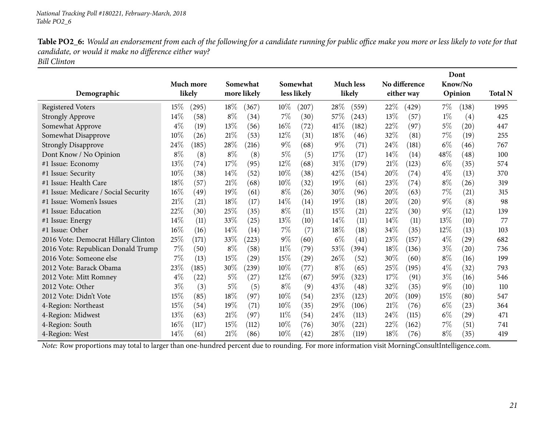Table PO2\_6: Would an endorsement from each of the following for a candidate running for public office make you more or less likely to vote for that *candidate, or would it make no difference either way?*

*Bill Clinton*

|                                      |       | Much more |        | Somewhat    |        | Somewhat    |       | <b>Much less</b>   |      | No difference |       | Dont<br>Know/No    |                |
|--------------------------------------|-------|-----------|--------|-------------|--------|-------------|-------|--------------------|------|---------------|-------|--------------------|----------------|
| Demographic                          |       | likely    |        | more likely |        | less likely |       | likely             |      | either way    |       | Opinion            | <b>Total N</b> |
| <b>Registered Voters</b>             | 15%   | (295)     | 18\%   | (367)       | 10%    | (207)       | 28\%  | (559)              | 22\% | (429)         | 7%    | (138)              | 1995           |
| <b>Strongly Approve</b>              | 14\%  | (58)      | $8\%$  | (34)        | $7\%$  | (30)        | 57\%  | (243)              | 13%  | (57)          | $1\%$ | (4)                | 425            |
| Somewhat Approve                     | $4\%$ | (19)      | 13%    | (56)        | 16%    | (72)        | 41\%  | (182)              | 22%  | (97)          | $5\%$ | $\left( 20\right)$ | 447            |
| Somewhat Disapprove                  | 10%   | (26)      | 21%    | (53)        | $12\%$ | (31)        | 18%   | (46)               | 32%  | (81)          | 7%    | (19)               | 255            |
| <b>Strongly Disapprove</b>           | 24\%  | (185)     | 28%    | (216)       | $9\%$  | (68)        | $9\%$ | (71)               | 24\% | (181)         | $6\%$ | (46)               | 767            |
| Dont Know / No Opinion               | $8\%$ | (8)       | $8\%$  | (8)         | $5\%$  | (5)         | 17%   | (17)               | 14%  | (14)          | 48%   | (48)               | 100            |
| #1 Issue: Economy                    | 13%   | (74)      | 17%    | (95)        | $12\%$ | (68)        | 31%   | (179)              | 21%  | (123)         | $6\%$ | (35)               | 574            |
| #1 Issue: Security                   | 10%   | (38)      | 14%    | (52)        | 10%    | (38)        | 42%   | (154)              | 20%  | (74)          | $4\%$ | (13)               | 370            |
| #1 Issue: Health Care                | 18%   | (57)      | 21%    | (68)        | 10%    | (32)        | 19%   | (61)               | 23\% | (74)          | $8\%$ | (26)               | 319            |
| #1 Issue: Medicare / Social Security | 16%   | (49)      | 19%    | (61)        | $8\%$  | (26)        | 30\%  | (96)               | 20%  | (63)          | 7%    | (21)               | 315            |
| #1 Issue: Women's Issues             | 21%   | (21)      | 18%    | (17)        | $14\%$ | (14)        | 19%   | (18)               | 20%  | (20)          | $9\%$ | (8)                | 98             |
| #1 Issue: Education                  | 22%   | (30)      | 25%    | (35)        | $8\%$  | (11)        | 15%   | (21)               | 22\% | (30)          | $9\%$ | (12)               | 139            |
| #1 Issue: Energy                     | 14%   | (11)      | 33%    | (25)        | 13%    | (10)        | 14\%  | (11)               | 14%  | (11)          | 13%   | (10)               | 77             |
| #1 Issue: Other                      | 16%   | (16)      | 14\%   | (14)        | 7%     | (7)         | 18%   | (18)               | 34\% | (35)          | 12%   | (13)               | 103            |
| 2016 Vote: Democrat Hillary Clinton  | 25%   | (171)     | 33%    | (223)       | $9\%$  | (60)        | $6\%$ | $\left( 41\right)$ | 23%  | (157)         | $4\%$ | (29)               | 682            |
| 2016 Vote: Republican Donald Trump   | 7%    | (50)      | $8\%$  | (58)        | $11\%$ | (79)        | 53%   | (394)              | 18%  | (136)         | $3\%$ | (20)               | 736            |
| 2016 Vote: Someone else              | 7%    | (13)      | 15%    | (29)        | 15%    | (29)        | 26%   | (52)               | 30%  | (60)          | $8\%$ | (16)               | 199            |
| 2012 Vote: Barack Obama              | 23%   | (185)     | 30%    | (239)       | 10%    | (77)        | $8\%$ | (65)               | 25%  | (195)         | $4\%$ | (32)               | 793            |
| 2012 Vote: Mitt Romney               | $4\%$ | (22)      | $5\%$  | (27)        | 12%    | (67)        | 59%   | (323)              | 17%  | (91)          | $3\%$ | (16)               | 546            |
| 2012 Vote: Other                     | $3\%$ | (3)       | $5\%$  | (5)         | $8\%$  | (9)         | 43%   | (48)               | 32%  | (35)          | $9\%$ | (10)               | 110            |
| 2012 Vote: Didn't Vote               | 15%   | (85)      | 18%    | (97)        | 10%    | (54)        | 23%   | (123)              | 20%  | (109)         | 15%   | (80)               | 547            |
| 4-Region: Northeast                  | 15%   | (54)      | 19%    | (71)        | 10%    | (35)        | 29%   | (106)              | 21%  | (76)          | $6\%$ | (23)               | 364            |
| 4-Region: Midwest                    | 13%   | (63)      | 21%    | (97)        | $11\%$ | (54)        | 24%   | (113)              | 24%  | (115)         | $6\%$ | (29)               | 471            |
| 4-Region: South                      | 16%   | (117)     | 15%    | (112)       | 10%    | (76)        | 30\%  | (221)              | 22%  | (162)         | 7%    | (51)               | 741            |
| 4-Region: West                       | 14%   | (61)      | $21\%$ | (86)        | 10%    | (42)        | 28%   | (119)              | 18%  | (76)          | $8\%$ | (35)               | 419            |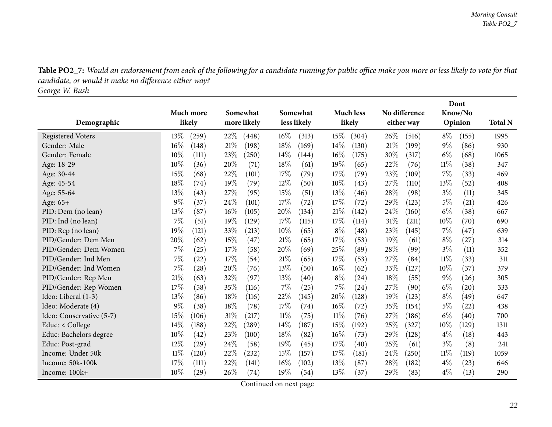Table PO2\_7: Would an endorsement from each of the following for a candidate running for public office make you more or less likely to vote for that *candidate, or would it make no difference either way?*

*George W. Bush*

<span id="page-21-0"></span>

|                          |                 |               |                 |                  |                 | Dont            |                |
|--------------------------|-----------------|---------------|-----------------|------------------|-----------------|-----------------|----------------|
|                          | Much more       | Somewhat      | Somewhat        | <b>Much less</b> |                 | Know/No         |                |
| Demographic              | likely          | more likely   | less likely     | likely           | either way      | Opinion         | <b>Total N</b> |
| <b>Registered Voters</b> | 13%<br>(259)    | 22\%<br>(448) | $16\%$<br>(313) | 15%<br>(304)     | 26\%<br>(516)   | $8\%$<br>(155)  | 1995           |
| Gender: Male             | 16%<br>(148)    | 21%<br>(198)  | 18%<br>(169)    | 14%<br>(130)     | 21%<br>(199)    | $9\%$<br>(86)   | 930            |
| Gender: Female           | 10%<br>(111)    | 23%<br>(250)  | 14\%<br>(144)   | 16%<br>(175)     | 30%<br>(317)    | $6\%$<br>(68)   | 1065           |
| Age: 18-29               | 10%<br>(36)     | 20%<br>(71)   | 18%<br>(61)     | 19%<br>(65)      | 22%<br>(76)     | $11\%$<br>(38)  | 347            |
| Age: 30-44               | 15%<br>(68)     | 22%<br>(101)  | 17%<br>(79)     | 17%<br>(79)      | 23\%<br>(109)   | 7%<br>(33)      | 469            |
| Age: 45-54               | 18%<br>(74)     | 19%<br>(79)   | $12\%$<br>(50)  | $10\%$<br>(43)   | 27%<br>(110)    | 13%<br>(52)     | 408            |
| Age: 55-64               | 13%<br>(43)     | 27%<br>(95)   | 15%<br>(51)     | 13%<br>(46)      | 28%<br>(98)     | $3\%$<br>(11)   | 345            |
| Age: 65+                 | 9%<br>(37)      | 24%<br>(101)  | 17%<br>(72)     | 17\%<br>(72)     | 29%<br>(123)    | $5\%$<br>(21)   | 426            |
| PID: Dem (no lean)       | 13%<br>(87)     | 16%<br>(105)  | 20%<br>(134)    | 21%<br>(142)     | 24%<br>(160)    | $6\%$<br>(38)   | 667            |
| PID: Ind (no lean)       | 7%<br>(51)      | 19%<br>(129)  | 17%<br>(115)    | 17%<br>(114)     | $31\%$<br>(211) | 10%<br>(70)     | 690            |
| PID: Rep (no lean)       | 19%<br>(121)    | 33%<br>(213)  | 10%<br>(65)     | $8\%$<br>(48)    | 23%<br>(145)    | 7%<br>(47)      | 639            |
| PID/Gender: Dem Men      | 20%<br>(62)     | 15%<br>(47)   | 21%<br>(65)     | 17%<br>(53)      | 19%<br>(61)     | $8\%$<br>(27)   | 314            |
| PID/Gender: Dem Women    | 7%<br>(25)      | 17%<br>(58)   | 20%<br>(69)     | 25%<br>(89)      | 28%<br>(99)     | $3\%$<br>(11)   | 352            |
| PID/Gender: Ind Men      | 7%<br>(22)      | 17%<br>(54)   | 21%<br>(65)     | 17%<br>(53)      | 27%<br>(84)     | 11%<br>(33)     | 311            |
| PID/Gender: Ind Women    | 7%<br>(28)      | 20%<br>(76)   | 13%<br>(50)     | 16%<br>(62)      | 33\%<br>(127)   | 10%<br>(37)     | 379            |
| PID/Gender: Rep Men      | 21%<br>(63)     | 32%<br>(97)   | $13\%$<br>(40)  | $8\%$<br>(24)    | 18%<br>(55)     | 9%<br>(26)      | 305            |
| PID/Gender: Rep Women    | 17%<br>(58)     | 35%<br>(116)  | 7%<br>(25)      | 7%<br>(24)       | 27%<br>(90)     | $6\%$<br>(20)   | 333            |
| Ideo: Liberal (1-3)      | 13%<br>(86)     | 18%<br>(116)  | 22%<br>(145)    | 20%<br>(128)     | 19%<br>(123)    | $8\%$<br>(49)   | 647            |
| Ideo: Moderate (4)       | 9%<br>(38)      | 18%<br>(78)   | 17%<br>(74)     | 16%<br>(72)      | 35%<br>(154)    | $5\%$<br>(22)   | 438            |
| Ideo: Conservative (5-7) | 15%<br>(106)    | 31%<br>(217)  | $11\%$<br>(75)  | $11\%$<br>(76)   | 27%<br>(186)    | $6\%$<br>(40)   | 700            |
| Educ: $<$ College        | 14%<br>(188)    | 22\%<br>(289) | $14\%$<br>(187) | 15%<br>(192)     | 25%<br>(327)    | 10%<br>(129)    | 1311           |
| Educ: Bachelors degree   | 10%<br>(42)     | 23%<br>(100)  | 18%<br>(82)     | 16%<br>(73)      | 29%<br>(128)    | $4\%$<br>(18)   | 443            |
| Educ: Post-grad          | 12%<br>(29)     | 24%<br>(58)   | 19%<br>(45)     | 17\%<br>(40)     | 25%<br>(61)     | $3\%$<br>(8)    | 241            |
| Income: Under 50k        | $11\%$<br>(120) | 22%<br>(232)  | 15%<br>(157)    | 17%<br>(181)     | 24%<br>(250)    | $11\%$<br>(119) | 1059           |
| Income: 50k-100k         | 17%<br>(111)    | 22%<br>(141)  | $16\%$<br>(102) | 13%<br>(87)      | 28\%<br>(182)   | $4\%$<br>(23)   | 646            |
| Income: 100k+            | 10%<br>(29)     | 26%<br>(74)   | 19%<br>(54)     | 13%<br>(37)      | 29%<br>(83)     | $4\%$<br>(13)   | 290            |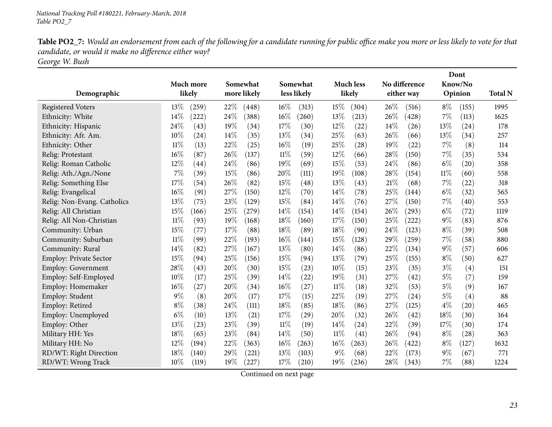Table PO2\_7: Would an endorsement from each of the following for a candidate running for public office make you more or less likely to vote for that *candidate, or would it make no difference either way?*

*George W. Bush*

|                               |                           |                   |                 |                           |               | Dont                        |                |
|-------------------------------|---------------------------|-------------------|-----------------|---------------------------|---------------|-----------------------------|----------------|
|                               | Much more                 | Somewhat          | Somewhat        | <b>Much less</b>          | No difference | Know/No                     |                |
| Demographic                   | likely                    | more likely       | less likely     | likely                    | either way    | Opinion                     | <b>Total N</b> |
| <b>Registered Voters</b>      | 13\%<br>(259)             | 22\%<br>(448)     | $16\%$<br>(313) | 15%<br>(304)              | 26\%<br>(516) | $8\%$<br>(155)              | 1995           |
| Ethnicity: White              | 14%<br>(222)              | 24%<br>(388)      | 16%<br>(260)    | 13%<br>(213)              | 26%<br>(428)  | 7%<br>(113)                 | 1625           |
| Ethnicity: Hispanic           | 24%<br>(43)               | 19%<br>(34)       | 17%<br>(30)     | 12%<br>(22)               | 14\%<br>(26)  | 13%<br>(24)                 | 178            |
| Ethnicity: Afr. Am.           | 10%<br>$\left( 24\right)$ | 14%<br>(35)       | 13%<br>(34)     | 25%<br>(63)               | 26\%<br>(66)  | 13%<br>(34)                 | 257            |
| Ethnicity: Other              | $11\%$<br>(13)            | 22%<br>(25)       | 16%<br>(19)     | 25%<br>(28)               | 19%<br>(22)   | $7\%$<br>(8)                | 114            |
| Relig: Protestant             | 16%<br>(87)               | 26%<br>(137)      | $11\%$<br>(59)  | 12%<br>(66)               | 28%<br>(150)  | 7%<br>(35)                  | 534            |
| Relig: Roman Catholic         | 12%<br>$\left( 44\right)$ | 24%<br>(86)       | 19%<br>(69)     | 15%<br>(53)               | 24\%<br>(86)  | $6\%$<br>(20)               | 358            |
| Relig: Ath./Agn./None         | 7%<br>(39)                | 15%<br>(86)       | 20%<br>(111)    | 19%<br>(108)              | 28\%<br>(154) | $11\%$<br>(60)              | 558            |
| Relig: Something Else         | 17%<br>(54)               | 26%<br>(82)       | 15%<br>(48)     | 13%<br>(43)               | 21%<br>(68)   | 7%<br>(22)                  | 318            |
| Relig: Evangelical            | 16%<br>(91)               | 27%<br>(150)      | 12%<br>(70)     | 14%<br>(78)               | 25%<br>(144)  | $6\%$<br>(32)               | 565            |
| Relig: Non-Evang. Catholics   | 13%<br>(75)               | 23%<br>(129)      | 15%<br>(84)     | 14%<br>(76)               | 27%<br>(150)  | 7%<br>(40)                  | 553            |
| Relig: All Christian          | 15%<br>(166)              | 25%<br>$^{'}279)$ | $14\%$<br>(154) | 14%<br>(154)              | 26\%<br>(293) | $6\%$<br>(72)               | 1119           |
| Relig: All Non-Christian      | $11\%$<br>(93)            | 19%<br>(168)      | 18%<br>(160)    | 17%<br>(150)              | 25%<br>(222)  | $9\%$<br>(83)               | 876            |
| Community: Urban              | 15%<br>(77)               | 17%<br>(88)       | 18%<br>(89)     | 18%<br>(90)               | 24%<br>(123)  | $8\%$<br>(39)               | 508            |
| Community: Suburban           | $11\%$<br>(99)            | 22%<br>(193)      | 16%<br>(144)    | 15%<br>(128)              | 29%<br>(259)  | 7%<br>(58)                  | 880            |
| Community: Rural              | 14%<br>(82)               | 27%<br>(167)      | 13%<br>(80)     | 14%<br>(86)               | 22%<br>(134)  | $9\%$<br>(57)               | 606            |
| <b>Employ: Private Sector</b> | 15%<br>(94)               | 25%<br>(156)      | 15%<br>(94)     | 13%<br>(79)               | 25%<br>(155)  | $8\%$<br>(50)               | 627            |
| <b>Employ: Government</b>     | 28%<br>(43)               | 20%<br>(30)       | 15%<br>(23)     | 10%<br>(15)               | 23%<br>(35)   | $3\%$<br>(4)                | 151            |
| Employ: Self-Employed         | 10%<br>(17)               | 25%<br>(39)       | 14%<br>(22)     | 19%<br>(31)               | 27%<br>(42)   | $5\%$<br>(7)                | 159            |
| Employ: Homemaker             | 16%<br>(27)               | 20%<br>(34)       | $16\%$<br>(27)  | 11%<br>(18)               | 32%<br>(53)   | $5\%$<br>(9)                | 167            |
| Employ: Student               | 9%<br>(8)                 | 20%<br>(17)       | 17%<br>(15)     | 22%<br>(19)               | 27%<br>(24)   | $5\%$<br>(4)                | 88             |
| Employ: Retired               | $8\%$<br>(38)             | 24%<br>(111)      | 18%<br>(85)     | 18%<br>(86)               | 27%<br>(125)  | $4\%$<br>$\left( 20\right)$ | 465            |
| Employ: Unemployed            | $6\%$<br>(10)             | 13%<br>(21)       | 17%<br>(29)     | 20%<br>(32)               | 26\%<br>(42)  | 18%<br>(30)                 | 164            |
| Employ: Other                 | 13%<br>(23)               | 23%<br>(39)       | $11\%$<br>(19)  | 14%<br>(24)               | 22%<br>(39)   | 17%<br>(30)                 | 174            |
| Military HH: Yes              | 18%<br>(65)               | 23%<br>(84)       | $14\%$<br>(50)  | 11%<br>$\left( 41\right)$ | 26%<br>(94)   | $8\%$<br>(28)               | 363            |
| Military HH: No               | 12%<br>(194)              | 22%<br>(363)      | 16%<br>(263)    | 16%<br>(263)              | 26\%<br>(422) | $8\%$<br>(127)              | 1632           |
| RD/WT: Right Direction        | 18%<br>(140)              | 29%<br>(221)      | 13%<br>(103)    | $9\%$<br>(68)             | 22%<br>(173)  | $9\%$<br>(67)               | 771            |
| RD/WT: Wrong Track            | 10%<br>(119)              | 19%<br>(227)      | 17%<br>(210)    | 19%<br>(236)              | 28%<br>(343)  | 7%<br>(88)                  | 1224           |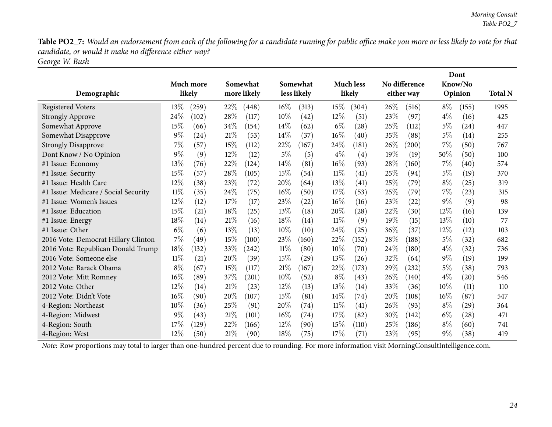Table PO2\_7: Would an endorsement from each of the following for a candidate running for public office make you more or less likely to vote for that *candidate, or would it make no difference either way?*

*George W. Bush*

|                                      |        |                  |        |             |        |             |        |                    |      |               |       | Dont               |                |
|--------------------------------------|--------|------------------|--------|-------------|--------|-------------|--------|--------------------|------|---------------|-------|--------------------|----------------|
|                                      |        | <b>Much more</b> |        | Somewhat    |        | Somewhat    |        | <b>Much less</b>   |      | No difference |       | Know/No            |                |
| Demographic                          |        | likely           |        | more likely |        | less likely |        | likely             |      | either way    |       | Opinion            | <b>Total N</b> |
| <b>Registered Voters</b>             | 13\%   | (259)            | 22\%   | (448)       | $16\%$ | (313)       | 15%    | (304)              | 26\% | (516)         | $8\%$ | (155)              | 1995           |
| <b>Strongly Approve</b>              | 24%    | (102)            | 28%    | (117)       | 10%    | (42)        | 12%    | (51)               | 23\% | (97)          | $4\%$ | (16)               | 425            |
| Somewhat Approve                     | 15%    | (66              | 34%    | (154)       | $14\%$ | (62)        | $6\%$  | $\left( 28\right)$ | 25\% | (112)         | 5%    | (24)               | 447            |
| Somewhat Disapprove                  | $9\%$  | (24)             | $21\%$ | (53)        | 14%    | (37)        | 16%    | (40)               | 35%  | (88)          | $5\%$ | (14)               | 255            |
| <b>Strongly Disapprove</b>           | 7%     | (57)             | 15%    | (112)       | 22\%   | (167)       | 24%    | (181)              | 26\% | (200)         | 7%    | (50)               | 767            |
| Dont Know / No Opinion               | $9\%$  | (9)              | 12%    | (12)        | $5\%$  | (5)         | $4\%$  | (4)                | 19%  | (19)          | 50%   | (50)               | 100            |
| #1 Issue: Economy                    | 13%    | (76)             | 22%    | (124)       | $14\%$ | (81)        | 16%    | (93)               | 28%  | (160)         | 7%    | (40)               | 574            |
| #1 Issue: Security                   | 15%    | (57)             | 28%    | (105)       | 15%    | (54)        | 11%    | (41)               | 25%  | (94)          | 5%    | (19)               | 370            |
| #1 Issue: Health Care                | 12%    | (38)             | 23\%   | (72)        | 20%    | (64)        | $13\%$ | $\left( 41\right)$ | 25%  | (79)          | $8\%$ | (25)               | 319            |
| #1 Issue: Medicare / Social Security | $11\%$ | (35)             | 24%    | (75)        | $16\%$ | (50)        | 17%    | (53)               | 25\% | (79)          | 7%    | (23)               | 315            |
| #1 Issue: Women's Issues             | 12%    | (12)             | 17%    | (17)        | 23\%   | (22)        | 16%    | (16)               | 23%  | (22)          | $9\%$ | (9)                | 98             |
| #1 Issue: Education                  | 15%    | (21)             | 18%    | (25)        | $13\%$ | (18)        | 20%    | (28)               | 22%  | (30)          | 12%   | (16)               | 139            |
| #1 Issue: Energy                     | 18%    | (14)             | 21%    | (16)        | 18%    | (14)        | 11%    | (9)                | 19%  | (15)          | 13%   | (10)               | 77             |
| #1 Issue: Other                      | $6\%$  | (6)              | 13%    | (13)        | $10\%$ | (10)        | 24%    | (25)               | 36%  | (37)          | 12%   | (12)               | 103            |
| 2016 Vote: Democrat Hillary Clinton  | $7\%$  | $^{'}49$         | 15%    | (100)       | 23%    | (160)       | 22%    | (152)              | 28%  | (188)         | $5\%$ | (32)               | 682            |
| 2016 Vote: Republican Donald Trump   | 18%    | (132)            | 33%    | (242)       | 11%    | (80)        | 10%    | (70)               | 24\% | (180)         | $4\%$ | (32)               | 736            |
| 2016 Vote: Someone else              | $11\%$ | (21)             | 20%    | (39)        | 15%    | (29)        | 13%    | (26)               | 32%  | (64)          | $9\%$ | (19)               | 199            |
| 2012 Vote: Barack Obama              | $8\%$  | (67)             | 15%    | (117)       | $21\%$ | (167)       | 22%    | (173)              | 29%  | (232)         | 5%    | (38)               | 793            |
| 2012 Vote: Mitt Romney               | 16%    | (89)             | 37\%   | (201)       | $10\%$ | (52)        | $8\%$  | (43)               | 26\% | (140)         | $4\%$ | $\left( 20\right)$ | 546            |
| 2012 Vote: Other                     | 12%    | (14)             | 21%    | (23)        | $12\%$ | (13)        | 13%    | (14)               | 33\% | (36)          | 10%   | (11)               | 110            |
| 2012 Vote: Didn't Vote               | 16%    | (90)             | 20%    | (107)       | 15%    | (81)        | 14%    | (74)               | 20%  | (108)         | 16%   | (87)               | 547            |
| 4-Region: Northeast                  | 10%    | (36)             | 25%    | (91)        | 20%    | (74)        | $11\%$ | $\left( 41\right)$ | 26\% | (93)          | $8\%$ | (29)               | 364            |
| 4-Region: Midwest                    | 9%     | (43)             | 21%    | (101)       | 16%    | (74)        | 17%    | (82)               | 30%  | (142)         | $6\%$ | (28)               | 471            |
| 4-Region: South                      | 17%    | (129)            | 22%    | (166)       | 12%    | (90)        | 15%    | (110)              | 25%  | (186)         | $8\%$ | (60)               | 741            |
| 4-Region: West                       | 12%    | (50)             | 21%    | (90)        | 18%    | (75)        | 17%    | (71)               | 23%  | (95)          | $9\%$ | (38)               | 419            |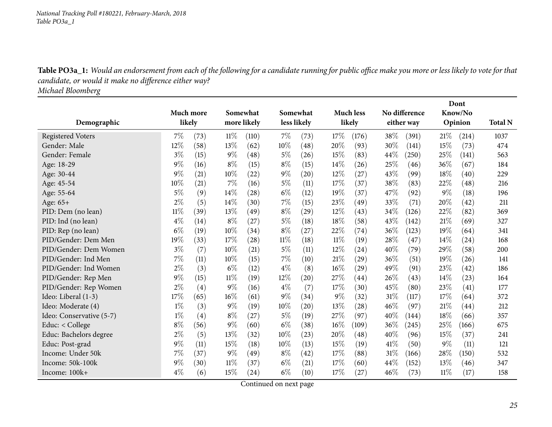*National Tracking Poll #180221, February-March, <sup>2018</sup> Table PO3a\_1*

Table PO3a\_1: Would an endorsement from each of the following for a candidate running for public office make you more or less likely to vote for that *candidate, or would it make no difference either way?*

*Michael Bloomberg*

<span id="page-24-0"></span>

|                          |                  |      |        |             |        |             |      |                    |      |               |        | Dont               |                |
|--------------------------|------------------|------|--------|-------------|--------|-------------|------|--------------------|------|---------------|--------|--------------------|----------------|
|                          | <b>Much more</b> |      |        | Somewhat    |        | Somewhat    |      | <b>Much less</b>   |      | No difference |        | Know/No            |                |
| Demographic              | likely           |      |        | more likely |        | less likely |      | likely             |      | either way    |        | Opinion            | <b>Total N</b> |
| <b>Registered Voters</b> | $7\%$            | (73) | 11%    | (110)       | $7\%$  | (73)        | 17%  | (176)              | 38%  | (391)         | 21%    | (214)              | 1037           |
| Gender: Male             | 12%              | (58) | 13%    | (62)        | 10%    | (48)        | 20%  | (93)               | 30%  | (141)         | 15%    | (73)               | 474            |
| Gender: Female           | $3\%$            | (15) | $9\%$  | (48)        | $5\%$  | (26)        | 15%  | (83)               | 44%  | (250)         | 25%    | (141)              | 563            |
| Age: 18-29               | 9%               | (16) | $8\%$  | (15)        | $8\%$  | (15)        | 14%  | (26)               | 25%  | (46)          | 36%    | (67)               | 184            |
| Age: 30-44               | $9\%$            | (21) | 10%    | (22)        | $9\%$  | (20)        | 12%  | (27)               | 43%  | (99)          | 18%    | (40)               | 229            |
| Age: 45-54               | 10%              | (21) | 7%     | (16)        | $5\%$  | (11)        | 17%  | (37)               | 38%  | (83)          | 22%    | (48)               | 216            |
| Age: 55-64               | $5\%$            | (9)  | 14%    | (28)        | $6\%$  | (12)        | 19%  | (37)               | 47\% | (92)          | $9\%$  | (18)               | 196            |
| Age: 65+                 | $2\%$            | (5)  | 14%    | (30)        | $7\%$  | (15)        | 23%  | (49)               | 33%  | (71)          | 20%    | (42)               | 211            |
| PID: Dem (no lean)       | $11\%$           | (39) | 13%    | (49)        | $8\%$  | (29)        | 12%  | (43)               | 34%  | (126)         | 22%    | (82)               | 369            |
| PID: Ind (no lean)       | $4\%$            | (14) | $8\%$  | (27)        | $5\%$  | (18)        | 18%  | (58)               | 43%  | (142)         | 21%    | (69)               | 327            |
| PID: Rep (no lean)       | $6\%$            | (19) | 10%    | (34)        | $8\%$  | (27)        | 22%  | (74)               | 36%  | (123)         | 19%    | (64)               | 341            |
| PID/Gender: Dem Men      | 19%              | (33) | 17%    | (28)        | $11\%$ | (18)        | 11%  | (19)               | 28%  | (47)          | 14\%   | (24)               | 168            |
| PID/Gender: Dem Women    | $3\%$            | (7)  | 10%    | (21)        | 5%     | (11)        | 12%  | (24)               | 40%  | (79)          | 29%    | (58)               | 200            |
| PID/Gender: Ind Men      | 7%               | (11) | 10%    | (15)        | $7\%$  | (10)        | 21%  | (29)               | 36%  | (51)          | 19%    | (26)               | 141            |
| PID/Gender: Ind Women    | 2%               | (3)  | $6\%$  | (12)        | $4\%$  | (8)         | 16%  | $\left( 29\right)$ | 49%  | (91)          | 23%    | (42)               | 186            |
| PID/Gender: Rep Men      | 9%               | (15) | 11%    | (19)        | 12%    | (20)        | 27\% | (44)               | 26%  | (43)          | 14\%   | (23)               | 164            |
| PID/Gender: Rep Women    | $2\%$            | (4)  | $9\%$  | (16)        | $4\%$  | (7)         | 17%  | (30)               | 45%  | (80)          | 23%    | (41)               | 177            |
| Ideo: Liberal (1-3)      | 17%              | (65) | 16%    | (61)        | $9\%$  | (34)        | 9%   | (32)               | 31%  | (117)         | 17%    | (64)               | 372            |
| Ideo: Moderate (4)       | $1\%$            | (3)  | $9\%$  | (19)        | $10\%$ | (20)        | 13%  | (28)               | 46%  | (97)          | 21%    | $\left( 44\right)$ | 212            |
| Ideo: Conservative (5-7) | $1\%$            | (4)  | $8\%$  | (27)        | $5\%$  | (19)        | 27%  | (97)               | 40%  | (144)         | 18%    | (66)               | 357            |
| Educ: < College          | $8\%$            | (56) | $9\%$  | (60)        | $6\%$  | (38)        | 16%  | (109)              | 36%  | (245)         | 25%    | (166)              | 675            |
| Educ: Bachelors degree   | $2\%$            | (5)  | 13%    | (32)        | 10%    | (23)        | 20%  | (48)               | 40%  | (96)          | 15%    | (37)               | 241            |
| Educ: Post-grad          | $9\%$            | (11) | 15%    | (18)        | 10%    | (13)        | 15%  | (19)               | 41\% | (50)          | $9\%$  | (11)               | 121            |
| Income: Under 50k        | 7%               | (37) | $9\%$  | (49)        | $8\%$  | (42)        | 17%  | (88)               | 31%  | (166)         | 28%    | (150)              | 532            |
| Income: 50k-100k         | 9%               | (30) | $11\%$ | (37)        | $6\%$  | (21)        | 17%  | (60)               | 44%  | (152)         | 13%    | (46)               | 347            |
| Income: 100k+            | $4\%$            | (6)  | 15%    | (24)        | $6\%$  | (10)        | 17%  | (27)               | 46%  | (73)          | $11\%$ | (17)               | 158            |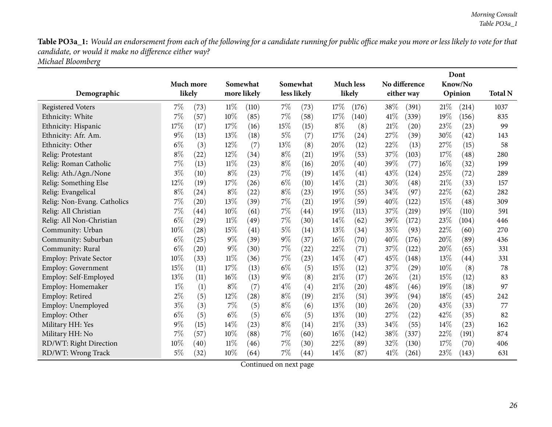Table PO3a\_1: Would an endorsement from each of the following for a candidate running for public office make you more or less likely to vote for that *candidate, or would it make no difference either way?*

*Michael Bloomberg*

|                             |       |                    |        |             |       |             |        |                  |      |                    |      | Dont    |                |
|-----------------------------|-------|--------------------|--------|-------------|-------|-------------|--------|------------------|------|--------------------|------|---------|----------------|
|                             |       | Much more          |        | Somewhat    |       | Somewhat    |        | <b>Much less</b> |      | No difference      |      | Know/No |                |
| Demographic                 |       | likely             |        | more likely |       | less likely |        | likely           |      | either way         |      | Opinion | <b>Total N</b> |
| <b>Registered Voters</b>    | $7\%$ | (73)               | 11%    | (110)       | $7\%$ | (73)        | 17%    | (176)            | 38\% | (391)              | 21%  | (214)   | 1037           |
| Ethnicity: White            | $7\%$ | (57)               | 10%    | (85)        | 7%    | (58)        | 17%    | (140)            | 41\% | (339)              | 19%  | (156)   | 835            |
| Ethnicity: Hispanic         | 17%   | (17)               | 17%    | (16)        | 15%   | (15)        | $8\%$  | (8)              | 21%  | (20)               | 23%  | (23)    | 99             |
| Ethnicity: Afr. Am.         | $9\%$ | (13)               | 13%    | (18)        | $5\%$ | (7)         | 17%    | (24)             | 27%  | (39)               | 30%  | (42)    | 143            |
| Ethnicity: Other            | $6\%$ | (3)                | 12%    | (7)         | 13\%  | (8)         | 20%    | (12)             | 22%  | (13)               | 27%  | (15)    | 58             |
| Relig: Protestant           | $8\%$ | (22)               | 12%    | (34)        | $8\%$ | (21)        | 19%    | (53)             | 37%  | (103)              | 17%  | (48)    | 280            |
| Relig: Roman Catholic       | $7\%$ | (13)               | $11\%$ | (23)        | $8\%$ | (16)        | 20%    | (40)             | 39%  | (77)               | 16%  | (32)    | 199            |
| Relig: Ath./Agn./None       | $3\%$ | (10)               | $8\%$  | (23)        | 7%    | (19)        | 14\%   | (41)             | 43\% | (124)              | 25%  | (72)    | 289            |
| Relig: Something Else       | 12%   | (19)               | 17%    | (26)        | $6\%$ | (10)        | 14\%   | (21)             | 30%  | (48)               | 21%  | (33)    | 157            |
| Relig: Evangelical          | $8\%$ | (24)               | $8\%$  | (22)        | $8\%$ | (23)        | 19%    | (55)             | 34%  | (97)               | 22%  | (62)    | 282            |
| Relig: Non-Evang. Catholics | 7%    | $\left( 20\right)$ | 13%    | (39)        | 7%    | (21)        | 19%    | (59)             | 40%  | (122)              | 15%  | (48)    | 309            |
| Relig: All Christian        | 7%    | $\left( 44\right)$ | 10%    | (61)        | $7\%$ | (44)        | 19%    | (113)            | 37%  | (219)              | 19%  | (110)   | 591            |
| Relig: All Non-Christian    | $6\%$ | (29)               | $11\%$ | (49)        | $7\%$ | (30)        | 14\%   | (62)             | 39%  | (172)              | 23%  | (104)   | 446            |
| Community: Urban            | 10%   | (28)               | 15%    | (41)        | $5\%$ | (14)        | 13%    | (34)             | 35%  | (93)               | 22%  | (60)    | 270            |
| Community: Suburban         | $6\%$ | (25)               | $9\%$  | (39)        | $9\%$ | (37)        | 16%    | (70)             | 40%  | (176)              | 20%  | (89)    | 436            |
| Community: Rural            | $6\%$ | $\left( 20\right)$ | $9\%$  | (30)        | $7\%$ | (22)        | 22%    | (71)             | 37%  | (122)              | 20%  | (65)    | 331            |
| Employ: Private Sector      | 10%   | (33)               | $11\%$ | (36)        | $7\%$ | (23)        | 14\%   | (47)             | 45\% | (148)              | 13%  | (44)    | 331            |
| <b>Employ: Government</b>   | 15%   | (11)               | 17%    | (13)        | $6\%$ | (5)         | 15%    | (12)             | 37%  | $\left( 29\right)$ | 10%  | (8)     | 78             |
| Employ: Self-Employed       | 13%   | (11)               | 16%    | (13)        | $9\%$ | (8)         | 21%    | (17)             | 26%  | (21)               | 15%  | (12)    | 83             |
| Employ: Homemaker           | $1\%$ | (1)                | $8\%$  | (7)         | $4\%$ | (4)         | 21%    | (20)             | 48%  | (46)               | 19%  | (18)    | 97             |
| Employ: Retired             | $2\%$ | (5)                | 12%    | (28)        | $8\%$ | (19)        | 21%    | (51)             | 39%  | (94)               | 18%  | (45)    | 242            |
| Employ: Unemployed          | $3\%$ | (3)                | 7%     | (5)         | $8\%$ | (6)         | 13%    | (10)             | 26%  | $\left( 20\right)$ | 43\% | (33)    | 77             |
| Employ: Other               | $6\%$ | (5)                | $6\%$  | (5)         | $6\%$ | (5)         | 13%    | (10)             | 27\% | $\left( 22\right)$ | 42%  | (35)    | 82             |
| Military HH: Yes            | $9\%$ | (15)               | 14%    | (23)        | $8\%$ | (14)        | 21%    | (33)             | 34%  | (55)               | 14%  | (23)    | 162            |
| Military HH: No             | 7%    | (57)               | 10%    | (88)        | $7\%$ | (60)        | $16\%$ | (142)            | 38%  | (337)              | 22%  | (191)   | 874            |
| RD/WT: Right Direction      | 10%   | (40)               | 11%    | (46)        | $7\%$ | (30)        | 22%    | (89)             | 32\% | (130)              | 17%  | (70)    | 406            |
| RD/WT: Wrong Track          | $5\%$ | (32)               | 10%    | (64)        | $7\%$ | (44)        | 14%    | (87)             | 41\% | (261)              | 23%  | (143)   | 631            |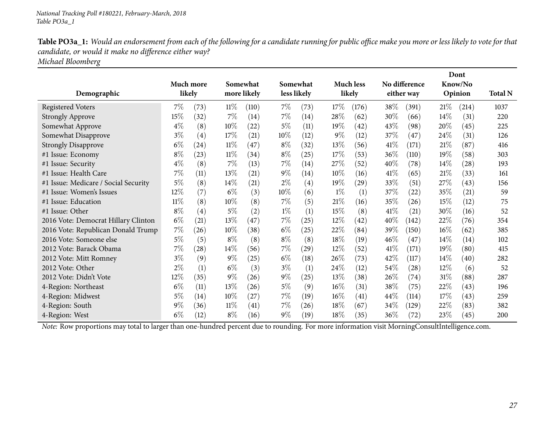Table PO3a\_1: Would an endorsement from each of the following for a candidate running for public office make you more or less likely to vote for that *candidate, or would it make no difference either way?*

*Michael Bloomberg*

|                                      |        |           |        |                    |       |                    |        |                    |        |                    |        | Dont               |                |
|--------------------------------------|--------|-----------|--------|--------------------|-------|--------------------|--------|--------------------|--------|--------------------|--------|--------------------|----------------|
|                                      |        | Much more |        | Somewhat           |       | Somewhat           |        | <b>Much less</b>   |        | No difference      |        | Know/No            |                |
| Demographic                          |        | likely    |        | more likely        |       | less likely        |        | likely             |        | either way         |        | Opinion            | <b>Total N</b> |
| <b>Registered Voters</b>             | $7\%$  | (73)      | $11\%$ | (110)              | $7\%$ | (73)               | 17%    | (176)              | 38\%   | (391)              | 21%    | (214)              | 1037           |
| <b>Strongly Approve</b>              | 15%    | (32)      | 7%     | (14)               | $7\%$ | (14)               | 28%    | (62)               | 30\%   | (66)               | $14\%$ | (31)               | 220            |
| Somewhat Approve                     | $4\%$  | (8)       | $10\%$ | $\left( 22\right)$ | $5\%$ | (11)               | 19%    | $\left( 42\right)$ | 43\%   | (98)               | 20%    | (45)               | 225            |
| Somewhat Disapprove                  | $3\%$  | (4)       | 17%    | (21)               | 10%   | (12)               | $9\%$  | (12)               | 37%    | (47)               | 24%    | (31)               | 126            |
| <b>Strongly Disapprove</b>           | $6\%$  | (24)      | $11\%$ | (47)               | $8\%$ | (32)               | $13\%$ | (56)               | 41\%   | (171)              | 21%    | (87)               | 416            |
| #1 Issue: Economy                    | $8\%$  | (23)      | $11\%$ | (34)               | $8\%$ | (25)               | 17%    | (53)               | 36\%   | (110)              | 19%    | (58)               | 303            |
| #1 Issue: Security                   | $4\%$  | (8)       | $7\%$  | (13)               | $7\%$ | (14)               | 27\%   | (52)               | 40%    | (78)               | $14\%$ | $\left( 28\right)$ | 193            |
| #1 Issue: Health Care                | 7%     | (11)      | 13%    | (21)               | $9\%$ | (14)               | 10%    | (16)               | 41%    | (65)               | 21\%   | (33)               | 161            |
| #1 Issue: Medicare / Social Security | $5\%$  | (8)       | 14%    | (21)               | $2\%$ | (4)                | 19%    | (29)               | 33\%   | (51)               | 27\%   | (43)               | 156            |
| #1 Issue: Women's Issues             | 12%    | (7)       | $6\%$  | (3)                | 10%   | (6)                | $1\%$  | (1)                | 37\%   | (22)               | 35%    | (21)               | 59             |
| #1 Issue: Education                  | $11\%$ | (8)       | $10\%$ | (8)                | $7\%$ | (5)                | 21%    | (16)               | 35%    | (26)               | 15%    | (12)               | 75             |
| #1 Issue: Other                      | $8\%$  | (4)       | $5\%$  | (2)                | $1\%$ | (1)                | 15%    | (8)                | 41\%   | (21)               | 30\%   | (16)               | 52             |
| 2016 Vote: Democrat Hillary Clinton  | $6\%$  | (21)      | 13%    | (47)               | $7\%$ | (25)               | $12\%$ | (42)               | 40\%   | (142)              | 22%    | (76)               | 354            |
| 2016 Vote: Republican Donald Trump   | 7%     | (26)      | $10\%$ | (38)               | $6\%$ | (25)               | 22\%   | (84)               | 39\%   | (150)              | $16\%$ | (62)               | 385            |
| 2016 Vote: Someone else              | $5\%$  | (5)       | $8\%$  | (8)                | $8\%$ | (8)                | 18%    | (19)               | $46\%$ | (47)               | 14%    | (14)               | 102            |
| 2012 Vote: Barack Obama              | $7\%$  | (28)      | $14\%$ | (56)               | $7\%$ | $\left( 29\right)$ | $12\%$ | (52)               | 41%    | (171)              | 19%    | (80)               | 415            |
| 2012 Vote: Mitt Romney               | $3\%$  | (9)       | $9\%$  | (25)               | $6\%$ | (18)               | 26\%   | (73)               | 42\%   | (117)              | $14\%$ | (40)               | 282            |
| 2012 Vote: Other                     | 2%     | (1)       | $6\%$  | (3)                | $3\%$ | (1)                | 24\%   | (12)               | $54\%$ | (28)               | $12\%$ | (6)                | 52             |
| 2012 Vote: Didn't Vote               | 12%    | (35)      | $9\%$  | (26)               | $9\%$ | (25)               | $13\%$ | (38)               | $26\%$ | $\left( 74\right)$ | $31\%$ | (88)               | 287            |
| 4-Region: Northeast                  | $6\%$  | (11)      | 13%    | (26)               | $5\%$ | (9)                | 16%    | (31)               | 38\%   | (75)               | 22%    | (43)               | 196            |
| 4-Region: Midwest                    | $5\%$  | (14)      | $10\%$ | (27)               | $7\%$ | (19)               | $16\%$ | $\left( 41\right)$ | 44\%   | (114)              | 17\%   | (43)               | 259            |
| 4-Region: South                      | 9%     | (36)      | $11\%$ | (41)               | $7\%$ | (26)               | 18%    | (67)               | 34\%   | (129)              | 22\%   | (83)               | 382            |
| 4-Region: West                       | $6\%$  | (12)      | $8\%$  | (16)               | $9\%$ | (19)               | 18%    | (35)               | $36\%$ | (72)               | 23%    | (45)               | 200            |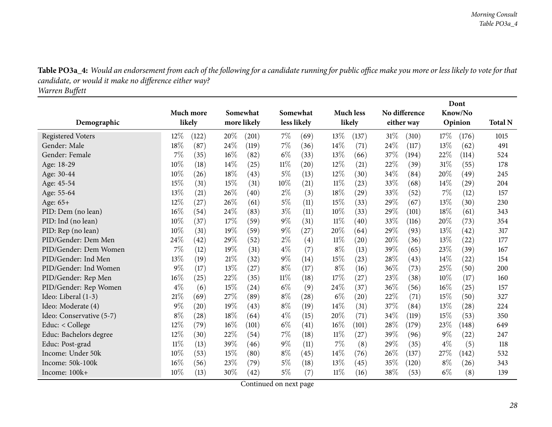Table PO3a\_4: Would an endorsement from each of the following for a candidate running for public office make you more or less likely to vote for that *candidate, or would it make no difference either way?*

*Warren Buffett*

<span id="page-27-0"></span>

|                          |        |           |     |             |             |                    |        |                    |      |               |       | Dont    |                |
|--------------------------|--------|-----------|-----|-------------|-------------|--------------------|--------|--------------------|------|---------------|-------|---------|----------------|
|                          |        | Much more |     | Somewhat    | Somewhat    |                    |        | <b>Much less</b>   |      | No difference |       | Know/No |                |
| Demographic              |        | likely    |     | more likely | less likely |                    |        | likely             |      | either way    |       | Opinion | <b>Total N</b> |
| <b>Registered Voters</b> | $12\%$ | (122)     | 20% | (201)       | $7\%$       | (69)               | 13%    | (137)              | 31%  | (310)         | 17%   | (176)   | 1015           |
| Gender: Male             | 18%    | (87)      | 24% | (119)       | 7%          | (36)               | 14%    | (71)               | 24\% | (117)         | 13%   | (62)    | 491            |
| Gender: Female           | 7%     | (35)      | 16% | (82)        | $6\%$       | (33)               | 13%    | (66)               | 37%  | (194)         | 22%   | (114)   | 524            |
| Age: 18-29               | 10%    | (18)      | 14% | (25)        | $11\%$      | (20)               | $12\%$ | (21)               | 22%  | (39)          | 31%   | (55)    | 178            |
| Age: 30-44               | 10%    | (26)      | 18% | (43)        | $5\%$       | (13)               | 12%    | (30)               | 34%  | (84)          | 20%   | (49)    | 245            |
| Age: 45-54               | 15%    | (31)      | 15% | (31)        | 10%         | (21)               | $11\%$ | (23)               | 33%  | (68)          | 14%   | (29)    | 204            |
| Age: 55-64               | 13%    | (21)      | 26% | (40)        | $2\%$       | (3)                | 18%    | (29)               | 33%  | (52)          | 7%    | (12)    | 157            |
| Age: 65+                 | 12%    | (27)      | 26% | (61)        | $5\%$       | (11)               | 15%    | (33)               | 29\% | (67)          | 13%   | (30)    | 230            |
| PID: Dem (no lean)       | 16%    | (54)      | 24% | (83)        | $3\%$       | (11)               | 10%    | (33)               | 29%  | (101)         | 18%   | (61)    | 343            |
| PID: Ind (no lean)       | 10%    | (37)      | 17% | (59)        | $9\%$       | (31)               | $11\%$ | (40)               | 33\% | (116)         | 20%   | (73)    | 354            |
| PID: Rep (no lean)       | 10%    | (31)      | 19% | (59)        | $9\%$       | (27)               | 20%    | (64)               | 29%  | (93)          | 13%   | (42)    | 317            |
| PID/Gender: Dem Men      | 24%    | (42)      | 29% | (52)        | $2\%$       | (4)                | 11%    | $\left( 20\right)$ | 20%  | (36)          | 13%   | (22)    | 177            |
| PID/Gender: Dem Women    | 7%     | (12)      | 19% | (31)        | $4\%$       | (7)                | $8\%$  | (13)               | 39%  | (65)          | 23%   | (39)    | 167            |
| PID/Gender: Ind Men      | 13%    | (19)      | 21% | (32)        | $9\%$       | (14)               | 15%    | (23)               | 28%  | (43)          | 14\%  | (22)    | 154            |
| PID/Gender: Ind Women    | 9%     | (17)      | 13% | (27)        | $8\%$       | (17)               | $8\%$  | (16)               | 36%  | (73)          | 25%   | (50)    | 200            |
| PID/Gender: Rep Men      | 16%    | (25)      | 22% | (35)        | 11%         | (18)               | 17%    | (27)               | 23%  | (38)          | 10%   | (17)    | 160            |
| PID/Gender: Rep Women    | $4\%$  | (6)       | 15% | (24)        | $6\%$       | (9)                | 24\%   | (37)               | 36\% | (56)          | 16%   | (25)    | 157            |
| Ideo: Liberal (1-3)      | 21%    | (69)      | 27% | (89)        | $8\%$       | $\left( 28\right)$ | $6\%$  | $\left( 20\right)$ | 22%  | (71)          | 15%   | (50)    | 327            |
| Ideo: Moderate (4)       | 9%     | (20)      | 19% | (43)        | $8\%$       | (19)               | 14\%   | (31)               | 37\% | (84)          | 13%   | (28)    | 224            |
| Ideo: Conservative (5-7) | $8\%$  | (28)      | 18% | (64)        | $4\%$       | (15)               | 20%    | (71)               | 34%  | (119)         | 15%   | (53)    | 350            |
| Educ: < College          | 12%    | (79)      | 16% | (101)       | $6\%$       | (41)               | 16%    | (101)              | 28\% | (179)         | 23%   | (148)   | 649            |
| Educ: Bachelors degree   | 12%    | (30)      | 22% | (54)        | 7%          | (18)               | $11\%$ | (27)               | 39%  | (96)          | $9\%$ | (22)    | 247            |
| Educ: Post-grad          | $11\%$ | (13)      | 39% | (46)        | $9\%$       | (11)               | 7%     | (8)                | 29%  | (35)          | $4\%$ | (5)     | 118            |
| Income: Under 50k        | 10%    | (53)      | 15% | (80)        | $8\%$       | (45)               | 14%    | (76)               | 26%  | (137)         | 27%   | (142)   | 532            |
| Income: 50k-100k         | 16%    | (56)      | 23% | (79)        | $5\%$       | (18)               | 13%    | (45)               | 35%  | (120)         | $8\%$ | (26)    | 343            |
| Income: 100k+            | 10%    | (13)      | 30% | (42)        | 5%          | (7)                | $11\%$ | (16)               | 38%  | (53)          | $6\%$ | (8)     | 139            |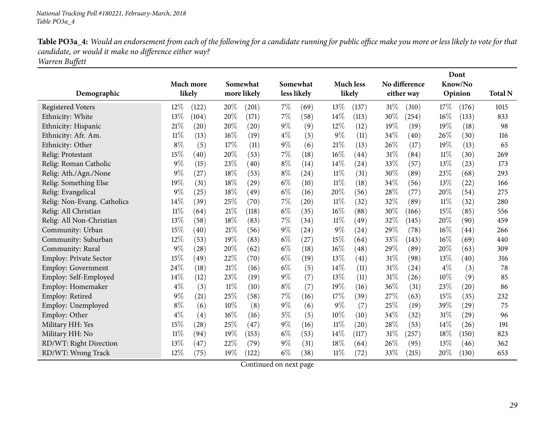Table PO3a\_4: Would an endorsement from each of the following for a candidate running for public office make you more or less likely to vote for that *candidate, or would it make no difference either way? Warren Buffett*

|                               |        |           |     |             |       |             |        |                  |        |               |        | Dont               |                |
|-------------------------------|--------|-----------|-----|-------------|-------|-------------|--------|------------------|--------|---------------|--------|--------------------|----------------|
|                               |        | Much more |     | Somewhat    |       | Somewhat    |        | <b>Much less</b> |        | No difference |        | Know/No            |                |
| Demographic                   |        | likely    |     | more likely |       | less likely |        | likely           |        | either way    |        | Opinion            | <b>Total N</b> |
| <b>Registered Voters</b>      | 12%    | (122)     | 20% | (201)       | $7\%$ | (69)        | 13%    | (137)            | $31\%$ | (310)         | 17%    | (176)              | 1015           |
| Ethnicity: White              | 13%    | (104)     | 20% | (171)       | $7\%$ | (58)        | 14%    | (113)            | 30%    | (254)         | 16%    | (133)              | 833            |
| Ethnicity: Hispanic           | 21%    | (20)      | 20% | (20)        | $9\%$ | (9)         | 12%    | (12)             | 19%    | (19)          | 19%    | (18)               | 98             |
| Ethnicity: Afr. Am.           | $11\%$ | (13)      | 16% | (19)        | $4\%$ | (5)         | $9\%$  | (11)             | 34%    | (40)          | 26%    | (30)               | 116            |
| Ethnicity: Other              | $8\%$  | (5)       | 17% | (11)        | $9\%$ | (6)         | 21%    | (13)             | 26\%   | (17)          | 19%    | (13)               | 65             |
| Relig: Protestant             | 15%    | (40)      | 20% | (53)        | 7%    | (18)        | 16%    | (44)             | 31\%   | (84)          | 11%    | (30)               | 269            |
| Relig: Roman Catholic         | 9%     | (15)      | 23% | (40)        | $8\%$ | (14)        | 14%    | (24)             | 33\%   | (57)          | 13%    | (23)               | 173            |
| Relig: Ath./Agn./None         | 9%     | (27)      | 18% | (53)        | $8\%$ | (24)        | 11%    | (31)             | 30%    | (89)          | 23%    | (68)               | 293            |
| Relig: Something Else         | 19%    | (31)      | 18% | (29)        | $6\%$ | (10)        | $11\%$ | (18)             | 34\%   | (56)          | 13%    | (22)               | 166            |
| Relig: Evangelical            | 9%     | (25)      | 18% | (49)        | $6\%$ | (16)        | 20%    | (56)             | 28%    | (77)          | 20%    | (54)               | 275            |
| Relig: Non-Evang. Catholics   | 14%    | (39)      | 25% | (70)        | $7\%$ | (20)        | $11\%$ | (32)             | 32%    | (89)          | $11\%$ | (32)               | 280            |
| Relig: All Christian          | $11\%$ | (64)      | 21% | (118)       | $6\%$ | (35)        | 16%    | (88)             | 30%    | (166)         | 15%    | (85)               | 556            |
| Relig: All Non-Christian      | 13%    | (58)      | 18% | (83)        | 7%    | (34)        | 11%    | (49)             | 32%    | (145)         | 20%    | (90)               | 459            |
| Community: Urban              | 15%    | $^{'}40)$ | 21% | (56)        | $9\%$ | (24)        | $9\%$  | (24)             | 29%    | (78)          | $16\%$ | $\left( 44\right)$ | 266            |
| Community: Suburban           | 12%    | (53)      | 19% | (83)        | $6\%$ | (27)        | 15%    | (64)             | 33%    | (143)         | 16%    | (69)               | 440            |
| Community: Rural              | 9%     | (28)      | 20% | (62)        | $6\%$ | (18)        | 16%    | (48)             | 29%    | (89)          | $20\%$ | (63)               | 309            |
| <b>Employ: Private Sector</b> | 15%    | (49)      | 22% | (70)        | $6\%$ | (19)        | 13%    | (41)             | 31%    | (98)          | 13%    | (40)               | 316            |
| <b>Employ: Government</b>     | 24%    | (18)      | 21% | (16)        | $6\%$ | (5)         | 14%    | (11)             | 31%    | (24)          | $4\%$  | (3)                | 78             |
| Employ: Self-Employed         | 14%    | (12)      | 23% | (19)        | $9\%$ | (7)         | 13%    | (11)             | 31%    | (26)          | 10%    | (9)                | 85             |
| Employ: Homemaker             | $4\%$  | (3)       | 11% | (10)        | $8\%$ | (7)         | 19%    | (16)             | 36\%   | (31)          | 23%    | (20)               | 86             |
| Employ: Retired               | 9%     | (21)      | 25% | (58)        | 7%    | (16)        | 17%    | (39)             | 27\%   | (63)          | 15%    | (35)               | 232            |
| Employ: Unemployed            | $8\%$  | (6)       | 10% | (8)         | $9\%$ | (6)         | $9\%$  | (7)              | 25%    | (19)          | 39%    | (29)               | 75             |
| Employ: Other                 | $4\%$  | (4)       | 16% | (16)        | $5\%$ | (5)         | 10%    | (10)             | 34%    | (32)          | 31\%   | $\left( 29\right)$ | 96             |
| Military HH: Yes              | 15%    | (28)      | 25% | (47)        | $9\%$ | (16)        | $11\%$ | (20)             | 28%    | (53)          | 14%    | (26)               | 191            |
| Military HH: No               | $11\%$ | (94)      | 19% | (153)       | $6\%$ | (53)        | 14%    | (117)            | $31\%$ | (257)         | 18%    | (150)              | 823            |
| RD/WT: Right Direction        | 13%    | (47)      | 22% | (79)        | $9\%$ | (31)        | 18%    | (64)             | 26%    | (95)          | 13%    | (46)               | 362            |
| RD/WT: Wrong Track            | 12%    | (75)      | 19% | (122)       | $6\%$ | (38)        | $11\%$ | (72)             | 33\%   | (215)         | $20\%$ | (130)              | 653            |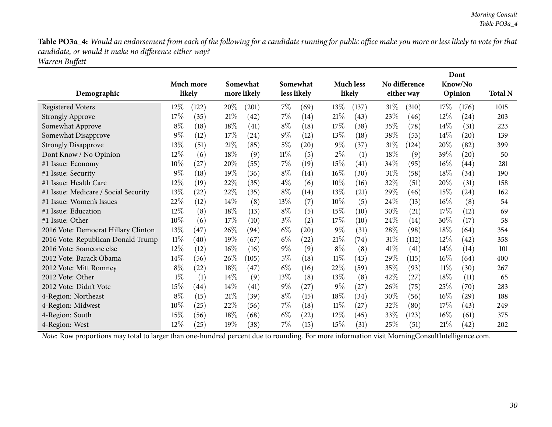Table PO3a\_4: Would an endorsement from each of the following for a candidate running for public office make you more or less likely to vote for that *candidate, or would it make no difference either way? Warren Buffett*

| Demographic                          |        | Much more<br>likely |        | Somewhat<br>more likely |        | Somewhat<br>less likely |        | <b>Much less</b><br>likely |        | No difference<br>either way |        | Dont<br>Know/No<br>Opinion | <b>Total N</b> |
|--------------------------------------|--------|---------------------|--------|-------------------------|--------|-------------------------|--------|----------------------------|--------|-----------------------------|--------|----------------------------|----------------|
| <b>Registered Voters</b>             | 12\%   | (122)               | 20%    | (201)                   | $7\%$  | (69)                    | 13\%   | (137)                      | $31\%$ | (310)                       | 17\%   | (176)                      | 1015           |
| <b>Strongly Approve</b>              | 17\%   | (35)                | 21%    | (42)                    | $7\%$  | (14)                    | 21%    | (43)                       | 23\%   | (46)                        | 12%    | $\left( 24\right)$         | 203            |
| Somewhat Approve                     | $8\%$  | (18)                | 18%    | (41)                    | $8\%$  | (18)                    | 17\%   | (38)                       | 35%    | (78)                        | 14\%   | (31)                       | 223            |
| Somewhat Disapprove                  | $9\%$  | (12)                | 17%    | (24)                    | $9\%$  | (12)                    | 13%    | (18)                       | 38%    | (53)                        | $14\%$ | (20)                       | 139            |
| <b>Strongly Disapprove</b>           | 13%    | (51)                | $21\%$ | (85)                    | $5\%$  | (20)                    | $9\%$  | (37)                       | 31\%   | (124)                       | 20%    | (82)                       | 399            |
| Dont Know / No Opinion               | 12\%   | (6)                 | 18%    | (9)                     | $11\%$ | (5)                     | $2\%$  | (1)                        | 18%    | (9)                         | 39%    | $\left( 20\right)$         | 50             |
| #1 Issue: Economy                    | 10%    | (27)                | 20%    | (55)                    | $7\%$  | (19)                    | 15%    | (41)                       | 34\%   | (95)                        | $16\%$ | (44)                       | 281            |
| #1 Issue: Security                   | $9\%$  | (18)                | 19%    | (36)                    | $8\%$  | (14)                    | $16\%$ | (30)                       | 31\%   | (58)                        | 18%    | (34)                       | 190            |
| #1 Issue: Health Care                | $12\%$ | (19)                | 22%    | (35)                    | $4\%$  | (6)                     | 10%    | (16)                       | 32\%   | (51)                        | 20%    | (31)                       | 158            |
| #1 Issue: Medicare / Social Security | 13\%   | (22)                | 22%    | (35)                    | $8\%$  | (14)                    | 13\%   | (21)                       | 29\%   | (46)                        | 15\%   | (24)                       | 162            |
| #1 Issue: Women's Issues             | 22%    | (12)                | 14\%   | (8)                     | 13\%   | (7)                     | 10%    | (5)                        | 24\%   | (13)                        | $16\%$ | (8)                        | 54             |
| #1 Issue: Education                  | 12%    | (8)                 | 18%    | (13)                    | $8\%$  | (5)                     | 15%    | (10)                       | 30%    | (21)                        | 17%    | (12)                       | 69             |
| #1 Issue: Other                      | $10\%$ | (6)                 | 17%    | (10)                    | $3\%$  | (2)                     | 17%    | (10)                       | 24\%   | (14)                        | 30%    | (17)                       | 58             |
| 2016 Vote: Democrat Hillary Clinton  | 13%    | (47)                | 26%    | (94)                    | $6\%$  | (20)                    | $9\%$  | (31)                       | 28%    | (98)                        | 18%    | (64)                       | 354            |
| 2016 Vote: Republican Donald Trump   | $11\%$ | (40)                | 19%    | (67)                    | $6\%$  | (22)                    | 21%    | (74)                       | $31\%$ | (112)                       | 12%    | (42)                       | 358            |
| 2016 Vote: Someone else              | 12%    | (12)                | 16%    | (16)                    | $9\%$  | (9)                     | $8\%$  | (8)                        | 41\%   | (41)                        | $14\%$ | (14)                       | 101            |
| 2012 Vote: Barack Obama              | 14%    | (56)                | 26%    | (105)                   | $5\%$  | (18)                    | $11\%$ | (43)                       | 29%    | (115)                       | $16\%$ | (64)                       | 400            |
| 2012 Vote: Mitt Romney               | $8\%$  | (22)                | 18%    | (47)                    | $6\%$  | (16)                    | 22\%   | (59)                       | 35%    | (93)                        | $11\%$ | (30)                       | 267            |
| 2012 Vote: Other                     | $1\%$  | (1)                 | 14\%   | (9)                     | 13%    | (8)                     | 13%    | (8)                        | 42\%   | (27)                        | 18%    | (11)                       | 65             |
| 2012 Vote: Didn't Vote               | 15\%   | $\left( 44\right)$  | 14\%   | (41)                    | $9\%$  | (27)                    | $9\%$  | (27)                       | 26\%   | (75)                        | 25\%   | (70)                       | 283            |
| 4-Region: Northeast                  | $8\%$  | (15)                | $21\%$ | (39)                    | $8\%$  | (15)                    | 18\%   | (34)                       | 30%    | (56)                        | $16\%$ | (29)                       | 188            |
| 4-Region: Midwest                    | $10\%$ | (25)                | 22%    | (56)                    | $7\%$  | (18)                    | $11\%$ | (27)                       | 32%    | (80)                        | 17\%   | (43)                       | 249            |
| 4-Region: South                      | 15%    | (56)                | 18%    | (68)                    | $6\%$  | (22)                    | 12%    | (45)                       | 33%    | (123)                       | $16\%$ | (61)                       | 375            |
| 4-Region: West                       | 12%    | (25)                | 19%    | (38)                    | 7%     | (15)                    | 15%    | (31)                       | 25%    | (51)                        | 21%    | (42)                       | 202            |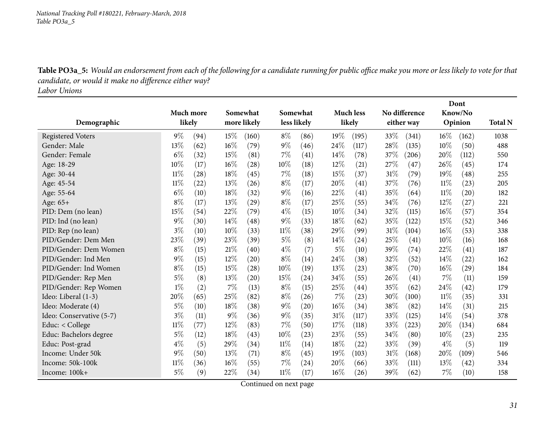Table PO3a\_5: Would an endorsement from each of the following for a candidate running for public office make you more or less likely to vote for that *candidate, or would it make no difference either way?*

*Labor Unions*

<span id="page-30-0"></span>

|                          |        |           |       |                    |        |                    |       |                    |      |               |        | Dont    |                |
|--------------------------|--------|-----------|-------|--------------------|--------|--------------------|-------|--------------------|------|---------------|--------|---------|----------------|
|                          |        | Much more |       | Somewhat           |        | Somewhat           |       | <b>Much less</b>   |      | No difference |        | Know/No |                |
| Demographic              | likely |           |       | more likely        |        | less likely        |       | likely             |      | either way    |        | Opinion | <b>Total N</b> |
| <b>Registered Voters</b> | $9\%$  | (94)      | 15%   | (160)              | $8\%$  | (86)               | 19%   | (195)              | 33\% | (341)         | $16\%$ | (162)   | 1038           |
| Gender: Male             | 13%    | (62)      | 16%   | (79)               | $9\%$  | (46)               | 24%   | (117)              | 28%  | (135)         | 10%    | (50)    | 488            |
| Gender: Female           | $6\%$  | (32)      | 15%   | (81)               | 7%     | (41)               | 14%   | (78)               | 37%  | (206)         | 20%    | (112)   | 550            |
| Age: 18-29               | 10%    | (17)      | 16%   | (28)               | 10%    | (18)               | 12%   | (21)               | 27%  | (47)          | 26%    | (45)    | 174            |
| Age: 30-44               | $11\%$ | (28)      | 18%   | (45)               | $7\%$  | (18)               | 15%   | (37)               | 31%  | (79)          | 19%    | (48)    | 255            |
| Age: 45-54               | $11\%$ | (22)      | 13%   | (26)               | $8\%$  | (17)               | 20%   | (41)               | 37%  | (76)          | $11\%$ | (23)    | 205            |
| Age: 55-64               | $6\%$  | (10)      | 18%   | (32)               | $9\%$  | (16)               | 22%   | (41)               | 35%  | (64)          | $11\%$ | (20)    | 182            |
| Age: 65+                 | $8\%$  | (17)      | 13%   | (29)               | $8\%$  | (17)               | 25%   | (55)               | 34%  | (76)          | 12%    | (27)    | 221            |
| PID: Dem (no lean)       | 15%    | (54)      | 22%   | (79)               | $4\%$  | (15)               | 10%   | (34)               | 32%  | (115)         | $16\%$ | (57)    | 354            |
| PID: Ind (no lean)       | $9\%$  | (30)      | 14%   | (48)               | $9\%$  | (33)               | 18%   | (62)               | 35%  | (122)         | 15%    | (52)    | 346            |
| PID: Rep (no lean)       | $3\%$  | (10)      | 10%   | (33)               | $11\%$ | (38)               | 29%   | (99)               | 31%  | (104)         | $16\%$ | (53)    | 338            |
| PID/Gender: Dem Men      | 23%    | (39)      | 23%   | (39)               | $5\%$  | (8)                | 14%   | (24)               | 25%  | (41)          | 10%    | (16)    | 168            |
| PID/Gender: Dem Women    | $8\%$  | (15)      | 21%   | (40)               | $4\%$  | (7)                | $5\%$ | (10)               | 39%  | (74)          | 22%    | (41)    | 187            |
| PID/Gender: Ind Men      | $9\%$  | (15)      | 12%   | (20)               | $8\%$  | (14)               | 24%   | (38)               | 32%  | (52)          | 14%    | (22)    | 162            |
| PID/Gender: Ind Women    | $8\%$  | (15)      | 15%   | $\left( 28\right)$ | 10%    | (19)               | 13%   | (23)               | 38\% | (70)          | $16\%$ | (29)    | 184            |
| PID/Gender: Rep Men      | $5\%$  | (8)       | 13%   | (20)               | 15%    | (24)               | 34%   | (55)               | 26%  | (41)          | 7%     | (11)    | 159            |
| PID/Gender: Rep Women    | $1\%$  | (2)       | 7%    | (13)               | $8\%$  | (15)               | 25%   | (44)               | 35%  | (62)          | 24\%   | (42)    | 179            |
| Ideo: Liberal (1-3)      | 20%    | (65)      | 25%   | (82)               | $8\%$  | (26)               | 7%    | (23)               | 30%  | (100)         | $11\%$ | (35)    | 331            |
| Ideo: Moderate (4)       | $5\%$  | (10)      | 18%   | (38)               | $9\%$  | $\left( 20\right)$ | 16%   | (34)               | 38%  | (82)          | $14\%$ | (31)    | 215            |
| Ideo: Conservative (5-7) | $3\%$  | (11)      | $9\%$ | (36)               | $9\%$  | (35)               | 31%   | (117)              | 33%  | (125)         | 14%    | (54)    | 378            |
| Educ: < College          | $11\%$ | (77)      | 12%   | (83)               | $7\%$  | (50)               | 17\%  | (118)              | 33%  | (223)         | 20%    | (134)   | 684            |
| Educ: Bachelors degree   | 5%     | (12)      | 18%   | (43)               | 10%    | (23)               | 23%   | (55)               | 34%  | (80)          | 10%    | (23)    | 235            |
| Educ: Post-grad          | $4\%$  | (5)       | 29%   | (34)               | 11%    | (14)               | 18%   | $\left( 22\right)$ | 33%  | (39)          | $4\%$  | (5)     | 119            |
| Income: Under 50k        | $9\%$  | (50)      | 13%   | (71)               | $8\%$  | (45)               | 19%   | (103)              | 31%  | (168)         | 20%    | (109)   | 546            |
| Income: 50k-100k         | $11\%$ | (36)      | 16%   | (55)               | $7\%$  | (24)               | 20%   | (66)               | 33\% | (111)         | $13\%$ | (42)    | 334            |
| Income: 100k+            | $5\%$  | (9)       | 22%   | (34)               | $11\%$ | (17)               | 16%   | (26)               | 39%  | (62)          | $7\%$  | (10)    | 158            |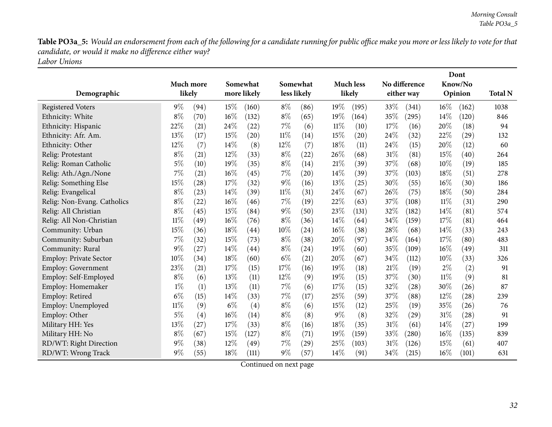Table PO3a\_5: Would an endorsement from each of the following for a candidate running for public office make you more or less likely to vote for that *candidate, or would it make no difference either way?*

*Labor Unions*

|                               |           |      |       |             |        |                    |        |                  |        |                     |        | Dont    |                |
|-------------------------------|-----------|------|-------|-------------|--------|--------------------|--------|------------------|--------|---------------------|--------|---------|----------------|
|                               | Much more |      |       | Somewhat    |        | Somewhat           |        | <b>Much less</b> |        | No difference       |        | Know/No |                |
| Demographic                   | likely    |      |       | more likely |        | less likely        |        | likely           |        | either way          |        | Opinion | <b>Total N</b> |
| <b>Registered Voters</b>      | $9\%$     | (94) | 15%   | (160)       | $8\%$  | (86)               | 19%    | (195)            | 33\%   | (341)               | $16\%$ | (162)   | 1038           |
| Ethnicity: White              | $8\%$     | (70) | 16%   | (132)       | $8\%$  | (65)               | 19%    | (164)            | 35%    | (295)               | 14%    | (120)   | 846            |
| Ethnicity: Hispanic           | 22%       | (21) | 24%   | (22)        | $7\%$  | (6)                | $11\%$ | (10)             | 17%    | (16)                | 20%    | (18)    | 94             |
| Ethnicity: Afr. Am.           | 13%       | (17) | 15%   | (20)        | $11\%$ | (14)               | 15%    | (20)             | 24%    | (32)                | 22%    | (29)    | 132            |
| Ethnicity: Other              | 12%       | (7)  | 14%   | (8)         | 12%    | (7)                | 18%    | (11)             | 24\%   | (15)                | 20%    | (12)    | 60             |
| Relig: Protestant             | $8\%$     | (21) | 12%   | (33)        | $8\%$  | (22)               | 26%    | (68)             | 31%    | (81)                | 15%    | (40)    | 264            |
| Relig: Roman Catholic         | $5\%$     | (10) | 19%   | (35)        | $8\%$  | (14)               | 21%    | (39)             | 37%    | (68)                | 10%    | (19)    | 185            |
| Relig: Ath./Agn./None         | 7%        | (21) | 16%   | (45)        | 7%     | (20)               | 14%    | (39)             | 37%    | (103)               | 18%    | (51)    | 278            |
| Relig: Something Else         | 15%       | (28) | 17%   | (32)        | $9\%$  | (16)               | 13%    | (25)             | 30%    | (55)                | 16%    | (30)    | 186            |
| Relig: Evangelical            | $8\%$     | (23) | 14%   | (39)        | $11\%$ | (31)               | 24%    | (67)             | 26%    | (75)                | 18%    | (50)    | 284            |
| Relig: Non-Evang. Catholics   | $8\%$     | (22) | 16%   | (46)        | 7%     | (19)               | 22%    | (63)             | 37%    | (108)               | $11\%$ | (31)    | 290            |
| Relig: All Christian          | $8\%$     | (45) | 15%   | (84)        | $9\%$  | (50)               | 23%    | (131)            | 32%    | (182)               | 14%    | (81)    | 574            |
| Relig: All Non-Christian      | $11\%$    | (49) | 16%   | (76)        | $8\%$  | (36)               | 14%    | (64)             | 34%    | (159)               | 17%    | (81)    | 464            |
| Community: Urban              | 15%       | (36) | 18%   | (44)        | 10%    | (24)               | 16%    | (38)             | 28%    | (68)                | 14%    | (33)    | 243            |
| Community: Suburban           | 7%        | (32) | 15%   | (73)        | $8\%$  | (38)               | 20%    | (97)             | 34%    | (164)               | 17%    | (80)    | 483            |
| Community: Rural              | 9%        | (27) | 14%   | (44)        | $8\%$  | (24)               | 19%    | (60)             | 35%    | (109)               | 16%    | (49)    | 311            |
| <b>Employ: Private Sector</b> | 10%       | (34) | 18%   | (60)        | $6\%$  | (21)               | 20%    | (67)             | 34%    | (112)               | 10%    | (33)    | 326            |
| <b>Employ: Government</b>     | 23%       | (21) | 17%   | (15)        | 17%    | (16)               | 19%    | (18)             | 21%    | (19)                | $2\%$  | (2)     | 91             |
| Employ: Self-Employed         | $8\%$     | (6)  | 13%   | (11)        | 12%    | (9)                | 19%    | (15)             | 37%    | (30)                | 11%    | (9)     | 81             |
| Employ: Homemaker             | $1\%$     | (1)  | 13%   | (11)        | 7%     | (6)                | 17%    | (15)             | 32%    | (28)                | 30%    | (26)    | 87             |
| Employ: Retired               | $6\%$     | (15) | 14%   | (33)        | 7%     | (17)               | 25%    | (59)             | 37%    | (88)                | 12%    | (28)    | 239            |
| Employ: Unemployed            | $11\%$    | (9)  | $6\%$ | (4)         | $8\%$  | (6)                | 15%    | (12)             | 25%    | (19)                | 35%    | (26)    | 76             |
| Employ: Other                 | $5\%$     | (4)  | 16%   | (14)        | $8\%$  | (8)                | $9\%$  | (8)              | 32%    | $\left( 29\right)$  | 31%    | (28)    | 91             |
| Military HH: Yes              | 13%       | (27) | 17%   | (33)        | $8\%$  | (16)               | 18%    | (35)             | $31\%$ | (61)                | 14%    | (27)    | 199            |
| Military HH: No               | $8\%$     | (67) | 15%   | (127)       | $8\%$  | (71)               | 19%    | (159)            | 33%    | $\left( 280\right)$ | $16\%$ | (135)   | 839            |
| RD/WT: Right Direction        | $9\%$     | (38) | 12%   | (49)        | 7%     | $\left( 29\right)$ | 25%    | (103)            | 31%    | (126)               | 15%    | (61)    | 407            |
| RD/WT: Wrong Track            | 9%        | (55) | 18%   | (111)       | $9\%$  | (57)               | 14%    | (91)             | 34%    | (215)               | 16%    | (101)   | 631            |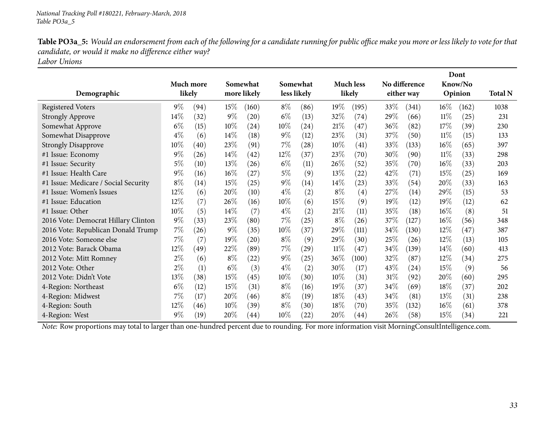Table PO3a\_5: Would an endorsement from each of the following for a candidate running for public office make you more or less likely to vote for that *candidate, or would it make no difference either way?*

*Labor Unions*

|                                      |       |           |        |                    |        |                    |        |                    |        |               |        | Dont    |                |
|--------------------------------------|-------|-----------|--------|--------------------|--------|--------------------|--------|--------------------|--------|---------------|--------|---------|----------------|
|                                      |       | Much more |        | Somewhat           |        | Somewhat           |        | <b>Much less</b>   |        | No difference |        | Know/No |                |
| Demographic                          |       | likely    |        | more likely        |        | less likely        |        | likely             |        | either way    |        | Opinion | <b>Total N</b> |
| <b>Registered Voters</b>             | $9\%$ | (94)      | $15\%$ | (160)              | $8\%$  | (86)               | $19\%$ | (195)              | 33\%   | (341)         | $16\%$ | (162)   | 1038           |
| <b>Strongly Approve</b>              | 14%   | (32)      | $9\%$  | $\left( 20\right)$ | $6\%$  | (13)               | 32%    | (74)               | $29\%$ | (66)          | $11\%$ | (25)    | 231            |
| Somewhat Approve                     | $6\%$ | (15)      | 10%    | (24)               | $10\%$ | (24)               | 21%    | (47)               | 36\%   | (82)          | 17%    | (39)    | 230            |
| Somewhat Disapprove                  | $4\%$ | (6)       | $14\%$ | (18)               | $9\%$  | (12)               | 23\%   | (31)               | 37\%   | (50)          | $11\%$ | (15)    | 133            |
| <b>Strongly Disapprove</b>           | 10%   | (40)      | 23%    | (91)               | $7\%$  | (28)               | 10%    | (41)               | $33\%$ | (133)         | $16\%$ | (65)    | 397            |
| #1 Issue: Economy                    | $9\%$ | (26)      | $14\%$ | (42)               | $12\%$ | (37)               | 23\%   | (70)               | 30\%   | (90)          | $11\%$ | (33)    | 298            |
| #1 Issue: Security                   | $5\%$ | (10)      | 13%    | (26)               | $6\%$  | (11)               | 26%    | (52)               | 35%    | (70)          | $16\%$ | (33)    | 203            |
| #1 Issue: Health Care                | $9\%$ | (16)      | 16%    | (27)               | $5\%$  | (9)                | $13\%$ | $\left( 22\right)$ | 42\%   | (71)          | 15%    | (25)    | 169            |
| #1 Issue: Medicare / Social Security | $8\%$ | (14)      | 15%    | (25)               | $9\%$  | (14)               | $14\%$ | (23)               | 33\%   | (54)          | 20%    | (33)    | 163            |
| #1 Issue: Women's Issues             | 12%   | (6)       | 20%    | (10)               | $4\%$  | (2)                | $8\%$  | (4)                | 27%    | (14)          | 29\%   | (15)    | 53             |
| #1 Issue: Education                  | 12\%  | (7)       | 26\%   | (16)               | 10%    | (6)                | 15%    | (9)                | 19%    | (12)          | 19%    | (12)    | 62             |
| #1 Issue: Other                      | 10%   | (5)       | $14\%$ | (7)                | $4\%$  | (2)                | 21%    | (11)               | 35\%   | (18)          | $16\%$ | (8)     | 51             |
| 2016 Vote: Democrat Hillary Clinton  | $9\%$ | (33)      | 23\%   | (80)               | $7\%$  | (25)               | $8\%$  | (26)               | 37\%   | (127)         | 16%    | (56)    | 348            |
| 2016 Vote: Republican Donald Trump   | 7%    | (26)      | $9\%$  | (35)               | $10\%$ | (37)               | 29%    | (111)              | 34\%   | (130)         | 12%    | (47)    | 387            |
| 2016 Vote: Someone else              | 7%    | (7)       | 19%    | (20)               | $8\%$  | (9)                | 29\%   | (30)               | 25\%   | (26)          | 12%    | (13)    | 105            |
| 2012 Vote: Barack Obama              | 12\%  | (49)      | 22\%   | (89)               | $7\%$  | $\left( 29\right)$ | $11\%$ | (47)               | 34\%   | (139)         | 14\%   | (60)    | 413            |
| 2012 Vote: Mitt Romney               | $2\%$ | (6)       | $8\%$  | (22)               | $9\%$  | (25)               | $36\%$ | (100)              | 32\%   | (87)          | 12%    | (34)    | 275            |
| 2012 Vote: Other                     | $2\%$ | (1)       | $6\%$  | (3)                | $4\%$  | (2)                | 30\%   | (17)               | 43\%   | (24)          | 15%    | (9)     | 56             |
| 2012 Vote: Didn't Vote               | 13%   | (38)      | 15%    | (45)               | $10\%$ | (30)               | $10\%$ | (31)               | $31\%$ | (92)          | 20%    | (60)    | 295            |
| 4-Region: Northeast                  | $6\%$ | (12)      | 15%    | (31)               | $8\%$  | (16)               | 19%    | (37)               | $34\%$ | (69)          | 18\%   | (37)    | 202            |
| 4-Region: Midwest                    | 7%    | (17)      | 20%    | (46)               | $8\%$  | (19)               | $18\%$ | (43)               | $34\%$ | (81)          | 13%    | (31)    | 238            |
| 4-Region: South                      | 12%   | (46)      | $10\%$ | (39)               | $8\%$  | (30)               | 18\%   | (70)               | 35%    | (132)         | $16\%$ | (61)    | 378            |
| 4-Region: West                       | $9\%$ | (19)      | 20%    | (44)               | $10\%$ | (22)               | 20%    | (44)               | $26\%$ | (58)          | 15%    | (34)    | 221            |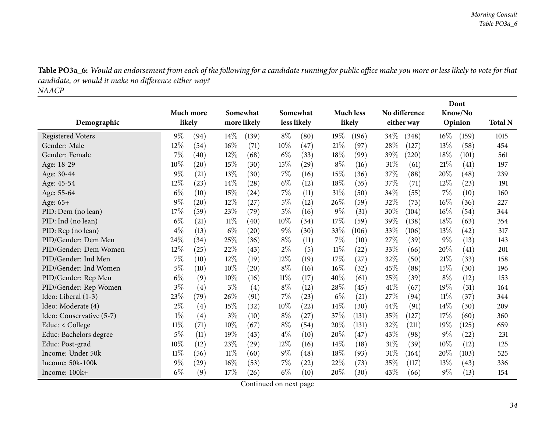Table PO3a\_6: Would an endorsement from each of the following for a candidate running for public office make you more or less likely to vote for that *candidate, or would it make no difference either way? NAACP*

<span id="page-33-0"></span>

|                          |           |      |       |             |          |             |        |                    |      |               |        | Dont    |                |
|--------------------------|-----------|------|-------|-------------|----------|-------------|--------|--------------------|------|---------------|--------|---------|----------------|
|                          | Much more |      |       | Somewhat    | Somewhat |             |        | <b>Much less</b>   |      | No difference |        | Know/No |                |
| Demographic              | likely    |      |       | more likely |          | less likely |        | likely             |      | either way    |        | Opinion | <b>Total N</b> |
| <b>Registered Voters</b> | $9\%$     | (94) | 14%   | (139)       | $8\%$    | (80)        | 19%    | (196)              | 34\% | (348)         | $16\%$ | (159)   | 1015           |
| Gender: Male             | 12%       | (54) | 16%   | (71)        | 10%      | (47)        | 21%    | (97)               | 28\% | (127)         | 13%    | (58)    | 454            |
| Gender: Female           | 7%        | (40) | 12%   | (68)        | $6\%$    | (33)        | 18%    | (99)               | 39%  | (220)         | 18%    | (101)   | 561            |
| Age: 18-29               | 10%       | (20) | 15%   | (30)        | 15%      | (29)        | $8\%$  | (16)               | 31%  | (61)          | 21%    | (41)    | 197            |
| Age: 30-44               | $9\%$     | (21) | 13%   | (30)        | $7\%$    | (16)        | 15%    | (36)               | 37%  | (88)          | 20%    | (48)    | 239            |
| Age: 45-54               | 12%       | (23) | 14%   | (28)        | $6\%$    | (12)        | 18%    | (35)               | 37%  | (71)          | $12\%$ | (23)    | 191            |
| Age: 55-64               | $6\%$     | (10) | 15%   | (24)        | $7\%$    | (11)        | 31%    | (50)               | 34%  | (55)          | 7%     | (10)    | 160            |
| Age: $65+$               | 9%        | (20) | 12%   | (27)        | $5\%$    | (12)        | 26%    | (59)               | 32%  | (73)          | 16%    | (36)    | 227            |
| PID: Dem (no lean)       | 17%       | (59) | 23%   | (79)        | $5\%$    | (16)        | $9\%$  | (31)               | 30%  | (104)         | 16%    | (54)    | 344            |
| PID: Ind (no lean)       | $6\%$     | (21) | 11%   | (40)        | 10%      | (34)        | 17%    | (59)               | 39%  | (138)         | 18%    | (63)    | 354            |
| PID: Rep (no lean)       | $4\%$     | (13) | $6\%$ | (20)        | $9\%$    | (30)        | 33%    | (106)              | 33\% | (106)         | 13%    | (42)    | 317            |
| PID/Gender: Dem Men      | 24%       | (34) | 25%   | (36)        | $8\%$    | (11)        | 7%     | (10)               | 27%  | (39)          | $9\%$  | (13)    | 143            |
| PID/Gender: Dem Women    | 12%       | (25) | 22\%  | (43)        | $2\%$    | (5)         | $11\%$ | (22)               | 33%  | (66)          | 20%    | (41)    | 201            |
| PID/Gender: Ind Men      | 7%        | (10) | 12%   | (19)        | $12\%$   | (19)        | 17%    | $\left( 27\right)$ | 32%  | (50)          | 21%    | (33)    | 158            |
| PID/Gender: Ind Women    | $5\%$     | (10) | 10%   | (20)        | $8\%$    | (16)        | 16%    | (32)               | 45\% | (88)          | 15%    | (30)    | 196            |
| PID/Gender: Rep Men      | $6\%$     | (9)  | 10%   | (16)        | $11\%$   | (17)        | 40%    | (61)               | 25%  | (39)          | $8\%$  | (12)    | 153            |
| PID/Gender: Rep Women    | $3\%$     | (4)  | $3\%$ | (4)         | $8\%$    | (12)        | 28%    | (45)               | 41\% | (67)          | 19%    | (31)    | 164            |
| Ideo: Liberal (1-3)      | 23%       | (79) | 26%   | (91)        | 7%       | (23)        | $6\%$  | (21)               | 27%  | (94)          | 11%    | (37)    | 344            |
| Ideo: Moderate (4)       | $2\%$     | (4)  | 15%   | (32)        | $10\%$   | (22)        | 14\%   | (30)               | 44%  | (91)          | 14%    | (30)    | 209            |
| Ideo: Conservative (5-7) | $1\%$     | (4)  | $3\%$ | (10)        | $8\%$    | (27)        | 37%    | (131)              | 35%  | (127)         | 17%    | (60)    | 360            |
| Educ: < College          | $11\%$    | (71) | 10%   | (67)        | $8\%$    | (54)        | 20%    | (131)              | 32%  | (211)         | 19%    | (125)   | 659            |
| Educ: Bachelors degree   | 5%        | (11) | 19%   | (43)        | $4\%$    | (10)        | 20%    | (47)               | 43%  | (98)          | 9%     | (22)    | 231            |
| Educ: Post-grad          | 10%       | (12) | 23%   | (29)        | 12%      | (16)        | 14%    | (18)               | 31%  | (39)          | 10%    | (12)    | 125            |
| Income: Under 50k        | $11\%$    | (56) | 11%   | (60)        | $9\%$    | (48)        | 18%    | (93)               | 31%  | (164)         | 20%    | (103)   | 525            |
| Income: 50k-100k         | $9\%$     | (29) | 16%   | (53)        | $7\%$    | (22)        | 22%    | (73)               | 35%  | (117)         | 13%    | (43)    | 336            |
| Income: 100k+            | $6\%$     | (9)  | 17%   | (26)        | $6\%$    | (10)        | 20%    | (30)               | 43%  | (66)          | 9%     | (13)    | 154            |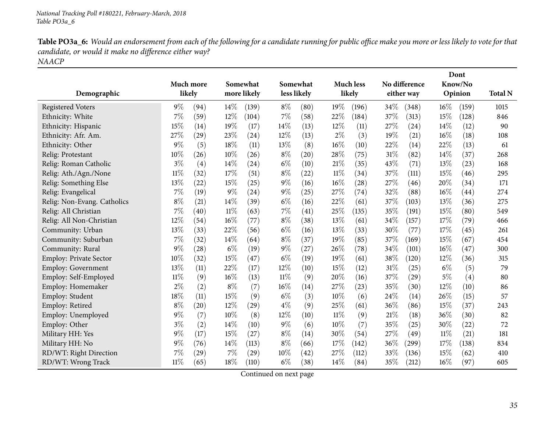Table PO3a\_6: Would an endorsement from each of the following for a candidate running for public office make you more or less likely to vote for that *candidate, or would it make no difference either way? NAACP*

| Demographic                   | likely | Much more          |       | Somewhat<br>more likely |       | Somewhat<br>less likely |        | <b>Much less</b><br>likely |     | No difference<br>either way |        | Dont<br>Know/No<br>Opinion | <b>Total N</b> |
|-------------------------------|--------|--------------------|-------|-------------------------|-------|-------------------------|--------|----------------------------|-----|-----------------------------|--------|----------------------------|----------------|
| <b>Registered Voters</b>      | $9\%$  | (94)               | 14\%  | (139)                   | $8\%$ | (80)                    | 19%    | (196)                      | 34% | (348)                       | $16\%$ | (159)                      | 1015           |
| Ethnicity: White              | 7%     | (59)               | 12%   | (104)                   | 7%    | (58)                    | 22%    | (184)                      | 37% | (313)                       | 15%    | (128)                      | 846            |
| Ethnicity: Hispanic           | 15%    | (14)               | 19%   | (17)                    | 14%   | (13)                    | 12%    | (11)                       | 27% | (24)                        | 14%    | (12)                       | 90             |
| Ethnicity: Afr. Am.           | 27\%   | (29)               | 23%   | (24)                    | 12%   | (13)                    | $2\%$  | (3)                        | 19% | (21)                        | 16%    | (18)                       | 108            |
| Ethnicity: Other              | 9%     | (5)                | 18%   | (11)                    | 13%   | (8)                     | $16\%$ | (10)                       | 22% | (14)                        | 22%    | (13)                       | 61             |
| Relig: Protestant             | 10%    | (26)               | 10%   | (26)                    | $8\%$ | (20)                    | 28%    | (75)                       | 31% | (82)                        | 14\%   | (37)                       | 268            |
| Relig: Roman Catholic         | $3\%$  | (4)                | 14%   | (24)                    | $6\%$ | (10)                    | 21%    | (35)                       | 43% | (71)                        | 13%    | (23)                       | 168            |
| Relig: Ath./Agn./None         | $11\%$ | (32)               | 17%   | (51)                    | $8\%$ | (22)                    | $11\%$ | (34)                       | 37% | (111)                       | 15%    | (46)                       | 295            |
| Relig: Something Else         | 13%    | $\left( 22\right)$ | 15%   | (25)                    | $9\%$ | (16)                    | $16\%$ | $\left( 28\right)$         | 27% | (46)                        | 20%    | (34)                       | 171            |
| Relig: Evangelical            | 7%     | (19)               | 9%    | (24)                    | $9\%$ | (25)                    | 27%    | (74)                       | 32% | (88)                        | 16%    | (44)                       | 274            |
| Relig: Non-Evang. Catholics   | $8\%$  | (21)               | 14%   | (39)                    | $6\%$ | (16)                    | 22%    | (61)                       | 37% | (103)                       | 13%    | (36)                       | 275            |
| Relig: All Christian          | 7%     | (40)               | 11%   | (63)                    | 7%    | (41)                    | 25%    | (135)                      | 35% | (191)                       | 15%    | (80)                       | 549            |
| Relig: All Non-Christian      | 12%    | (54)               | 16%   | (77)                    | $8\%$ | (38)                    | 13%    | (61)                       | 34% | (157)                       | 17%    | (79)                       | 466            |
| Community: Urban              | 13%    | (33)               | 22%   | (56)                    | $6\%$ | (16)                    | 13\%   | (33)                       | 30% | (77)                        | 17%    | (45)                       | 261            |
| Community: Suburban           | 7%     | (32)               | 14%   | (64)                    | $8\%$ | (37)                    | 19%    | (85)                       | 37% | (169)                       | 15%    | (67)                       | 454            |
| Community: Rural              | 9%     | (28)               | $6\%$ | (19)                    | $9\%$ | (27)                    | 26%    | (78)                       | 34% | (101)                       | 16%    | (47)                       | 300            |
| <b>Employ: Private Sector</b> | 10%    | (32)               | 15%   | (47)                    | $6\%$ | (19)                    | 19%    | (61)                       | 38% | (120)                       | 12%    | (36)                       | 315            |
| Employ: Government            | 13%    | (11)               | 22%   | (17)                    | 12%   | (10)                    | 15%    | (12)                       | 31% | (25)                        | $6\%$  | (5)                        | 79             |
| Employ: Self-Employed         | 11%    | (9)                | 16%   | (13)                    | 11%   | (9)                     | 20%    | (16)                       | 37% | (29)                        | $5\%$  | (4)                        | 80             |
| Employ: Homemaker             | $2\%$  | (2)                | $8\%$ | (7)                     | 16%   | (14)                    | 27\%   | (23)                       | 35% | (30)                        | 12%    | (10)                       | 86             |
| Employ: Student               | 18%    | (11)               | 15%   | (9)                     | $6\%$ | (3)                     | 10%    | (6)                        | 24% | (14)                        | 26%    | (15)                       | 57             |
| Employ: Retired               | $8\%$  | (20)               | 12%   | (29)                    | $4\%$ | (9)                     | 25%    | (61)                       | 36% | (86)                        | 15%    | (37)                       | 243            |
| Employ: Unemployed            | $9\%$  | (7)                | 10%   | (8)                     | 12%   | (10)                    | $11\%$ | (9)                        | 21% | (18)                        | 36%    | (30)                       | 82             |
| Employ: Other                 | $3\%$  | (2)                | 14%   | (10)                    | $9\%$ | (6)                     | $10\%$ | (7)                        | 35% | (25)                        | 30%    | (22)                       | 72             |
| Military HH: Yes              | 9%     | (17)               | 15%   | (27)                    | $8\%$ | (14)                    | 30%    | (54)                       | 27% | (49)                        | 11%    | (21)                       | 181            |
| Military HH: No               | 9%     | (76)               | 14%   | (113)                   | $8\%$ | (66)                    | 17%    | (142)                      | 36% | (299)                       | 17%    | (138)                      | 834            |
| RD/WT: Right Direction        | 7%     | (29)               | 7%    | (29)                    | 10%   | (42)                    | 27%    | (112)                      | 33% | (136)                       | 15%    | (62)                       | 410            |
| RD/WT: Wrong Track            | $11\%$ | (65)               | 18%   | (110)                   | $6\%$ | (38)                    | 14%    | (84)                       | 35% | (212)                       | 16%    | (97)                       | 605            |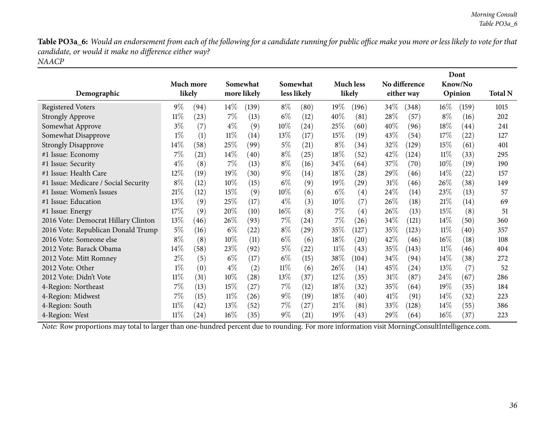Table PO3a\_6: Would an endorsement from each of the following for a candidate running for public office make you more or less likely to vote for that *candidate, or would it make no difference either way? NAACP*

| Demographic                          | Much more<br>likely |                    | Somewhat<br>more likely |       |        | Somewhat<br>less likely |        | <b>Much less</b><br>likely |        | No difference<br>either way |        | Dont<br>Know/No<br>Opinion | <b>Total N</b> |
|--------------------------------------|---------------------|--------------------|-------------------------|-------|--------|-------------------------|--------|----------------------------|--------|-----------------------------|--------|----------------------------|----------------|
| <b>Registered Voters</b>             | $9\%$               | (94)               | $14\%$                  | (139) | $8\%$  | (80)                    | 19%    | (196)                      | $34\%$ | (348)                       | $16\%$ | (159)                      | 1015           |
| <b>Strongly Approve</b>              | $11\%$              | (23)               | $7\%$                   | (13)  | $6\%$  | (12)                    | 40%    | (81)                       | 28\%   | (57)                        | $8\%$  | (16)                       | 202            |
| Somewhat Approve                     | $3\%$               | (7)                | $4\%$                   | (9)   | 10\%   | (24)                    | 25%    | (60)                       | 40%    | (96)                        | 18%    | (44)                       | 241            |
| Somewhat Disapprove                  | $1\%$               | (1)                | $11\%$                  | (14)  | 13%    | (17)                    | 15%    | (19)                       | 43\%   | (54)                        | 17%    | (22)                       | 127            |
| <b>Strongly Disapprove</b>           | 14\%                | (58)               | 25\%                    | (99)  | $5\%$  | (21)                    | $8\%$  | (34)                       | 32%    | (129)                       | 15%    | (61)                       | 401            |
| #1 Issue: Economy                    | 7%                  | (21)               | $14\%$                  | (40)  | $8\%$  | (25)                    | 18%    | (52)                       | 42\%   | (124)                       | 11%    | (33)                       | 295            |
| #1 Issue: Security                   | $4\%$               | (8)                | $7\%$                   | (13)  | $8\%$  | (16)                    | 34\%   | (64)                       | 37\%   | (70)                        | $10\%$ | (19)                       | 190            |
| #1 Issue: Health Care                | 12%                 | (19)               | 19%                     | (30)  | $9\%$  | (14)                    | 18%    | (28)                       | 29\%   | (46)                        | 14%    | (22)                       | 157            |
| #1 Issue: Medicare / Social Security | $8\%$               | (12)               | $10\%$                  | (15)  | $6\%$  | (9)                     | 19%    | $\left( 29\right)$         | 31\%   | (46)                        | 26\%   | (38)                       | 149            |
| #1 Issue: Women's Issues             | 21%                 | (12)               | 15%                     | (9)   | 10\%   | (6)                     | $6\%$  | (4)                        | 24\%   | (14)                        | 23\%   | (13)                       | 57             |
| #1 Issue: Education                  | 13\%                | (9)                | 25\%                    | (17)  | $4\%$  | (3)                     | 10%    | (7)                        | 26\%   | (18)                        | 21%    | (14)                       | 69             |
| #1 Issue: Energy                     | 17%                 | (9)                | 20%                     | (10)  | $16\%$ | (8)                     | $7\%$  | $\left( 4\right)$          | $26\%$ | (13)                        | 15\%   | (8)                        | 51             |
| 2016 Vote: Democrat Hillary Clinton  | 13%                 | (46)               | 26\%                    | (93)  | $7\%$  | (24)                    | 7%     | (26)                       | 34%    | (121)                       | $14\%$ | (50)                       | 360            |
| 2016 Vote: Republican Donald Trump   | $5\%$               | (16)               | $6\%$                   | (22)  | $8\%$  | $\left( 29\right)$      | 35%    | (127)                      | 35%    | (123)                       | $11\%$ | (40)                       | 357            |
| 2016 Vote: Someone else              | $8\%$               | (8)                | $10\%$                  | (11)  | $6\%$  | (6)                     | 18%    | (20)                       | 42\%   | (46)                        | $16\%$ | (18)                       | 108            |
| 2012 Vote: Barack Obama              | $14\%$              | (58)               | 23\%                    | (92)  | $5\%$  | $^{(22)}$               | $11\%$ | (43)                       | 35\%   | (143)                       | $11\%$ | (46)                       | 404            |
| 2012 Vote: Mitt Romney               | $2\%$               | (5)                | $6\%$                   | (17)  | $6\%$  | (15)                    | $38\%$ | (104)                      | 34\%   | (94)                        | 14\%   | (38)                       | 272            |
| 2012 Vote: Other                     | $1\%$               | (0)                | $4\%$                   | (2)   | $11\%$ | (6)                     | 26\%   | (14)                       | 45\%   | (24)                        | 13\%   | (7)                        | 52             |
| 2012 Vote: Didn't Vote               | $11\%$              | (31)               | $10\%$                  | (28)  | 13\%   | (37)                    | $12\%$ | (35)                       | $31\%$ | (87)                        | 24\%   | (67)                       | 286            |
| 4-Region: Northeast                  | 7%                  | (13)               | 15%                     | (27)  | $7\%$  | (12)                    | 18%    | (32)                       | $35\%$ | (64)                        | 19%    | (35)                       | 184            |
| 4-Region: Midwest                    | 7%                  | (15)               | $11\%$                  | (26)  | $9\%$  | (19)                    | 18%    | (40)                       | 41%    | (91)                        | 14%    | (32)                       | 223            |
| 4-Region: South                      | $11\%$              | (42)               | 13\%                    | (52)  | $7\%$  | (27)                    | 21%    | (81)                       | $33\%$ | (128)                       | $14\%$ | (55)                       | 386            |
| 4-Region: West                       | $11\%$              | $\left( 24\right)$ | 16%                     | (35)  | $9\%$  | (21)                    | 19%    | (43)                       | 29%    | (64)                        | $16\%$ | (37)                       | 223            |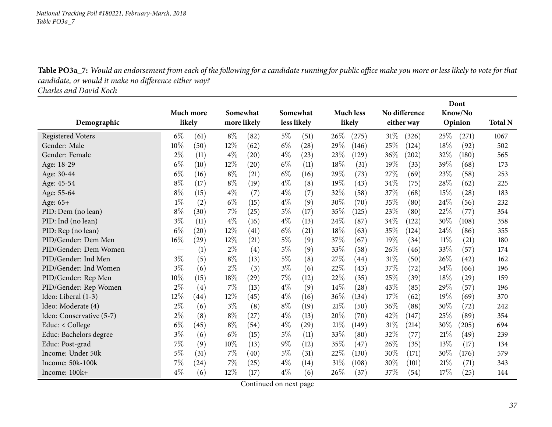Table PO3a\_7: Would an endorsement from each of the following for a candidate running for public office make you more or less likely to vote for that *candidate, or would it make no difference either way?*

*Charles and David Koch*

|                          |           |                    |        |             | Dont        |                    |        |                  |        |               |     |         |                |
|--------------------------|-----------|--------------------|--------|-------------|-------------|--------------------|--------|------------------|--------|---------------|-----|---------|----------------|
|                          | Much more |                    |        | Somewhat    | Somewhat    |                    |        | <b>Much less</b> |        | No difference |     | Know/No |                |
| Demographic              | likely    |                    |        | more likely | less likely |                    |        | likely           |        | either way    |     | Opinion | <b>Total N</b> |
| <b>Registered Voters</b> | $6\%$     | (61)               | $8\%$  | (82)        | $5\%$       | (51)               | 26%    | (275)            | 31%    | (326)         | 25% | (271)   | 1067           |
| Gender: Male             | 10%       | (50)               | 12%    | (62)        | $6\%$       | (28)               | 29%    | (146)            | 25%    | (124)         | 18% | (92)    | 502            |
| Gender: Female           | $2\%$     | (11)               | $4\%$  | (20)        | $4\%$       | (23)               | 23%    | (129)            | 36%    | (202)         | 32% | (180)   | 565            |
| Age: 18-29               | $6\%$     | (10)               | 12%    | (20)        | $6\%$       | (11)               | 18%    | (31)             | 19%    | (33)          | 39% | (68)    | 173            |
| Age: 30-44               | $6\%$     | (16)               | $8\%$  | (21)        | $6\%$       | (16)               | 29%    | (73)             | 27%    | (69)          | 23% | (58)    | 253            |
| Age: 45-54               | $8\%$     | (17)               | $8\%$  | (19)        | $4\%$       | (8)                | 19%    | (43)             | 34%    | (75)          | 28% | (62)    | 225            |
| Age: 55-64               | $8\%$     | (15)               | $4\%$  | (7)         | $4\%$       | (7)                | 32%    | (58)             | 37%    | (68)          | 15% | (28)    | 183            |
| Age: 65+                 | $1\%$     | (2)                | $6\%$  | (15)        | $4\%$       | (9)                | 30%    | (70)             | 35%    | (80)          | 24% | (56)    | 232            |
| PID: Dem (no lean)       | $8\%$     | (30)               | 7%     | (25)        | $5\%$       | (17)               | 35%    | (125)            | 23%    | (80)          | 22% | (77)    | 354            |
| PID: Ind (no lean)       | $3\%$     | (11)               | $4\%$  | (16)        | $4\%$       | (13)               | 24%    | (87)             | 34%    | (122)         | 30% | (108)   | 358            |
| PID: Rep (no lean)       | $6\%$     | (20)               | 12%    | (41)        | $6\%$       | (21)               | 18%    | (63)             | 35%    | (124)         | 24% | (86)    | 355            |
| PID/Gender: Dem Men      | 16%       | (29)               | 12%    | (21)        | 5%          | (9)                | 37\%   | (67)             | 19%    | (34)          | 11% | (21)    | 180            |
| PID/Gender: Dem Women    |           | (1)                | $2\%$  | (4)         | $5\%$       | (9)                | 33%    | (58)             | 26\%   | (46)          | 33% | (57)    | 174            |
| PID/Gender: Ind Men      | $3\%$     | (5)                | $8\%$  | (13)        | $5\%$       | (8)                | 27\%   | (44)             | 31%    | (50)          | 26% | (42)    | 162            |
| PID/Gender: Ind Women    | $3\%$     | (6)                | $2\%$  | (3)         | $3\%$       | (6)                | 22%    | (43)             | 37%    | (72)          | 34% | (66)    | 196            |
| PID/Gender: Rep Men      | 10%       | (15)               | 18%    | (29)        | 7%          | (12)               | 22%    | (35)             | 25%    | (39)          | 18% | (29)    | 159            |
| PID/Gender: Rep Women    | $2\%$     | (4)                | 7%     | (13)        | $4\%$       | (9)                | 14%    | (28)             | 43%    | (85)          | 29% | (57)    | 196            |
| Ideo: Liberal (1-3)      | 12%       | (44)               | 12%    | (45)        | $4\%$       | (16)               | 36%    | (134)            | 17%    | (62)          | 19% | (69)    | 370            |
| Ideo: Moderate (4)       | $2\%$     | (6)                | $3\%$  | (8)         | $8\%$       | (19)               | 21%    | (50)             | 36\%   | (88)          | 30% | (72)    | 242            |
| Ideo: Conservative (5-7) | $2\%$     | (8)                | $8\%$  | (27)        | $4\%$       | (13)               | 20%    | (70)             | 42%    | (147)         | 25% | (89)    | 354            |
| Educ: < College          | $6\%$     | (45)               | $8\%$  | (54)        | $4\%$       | $\left( 29\right)$ | 21%    | (149)            | 31%    | (214)         | 30% | (205)   | 694            |
| Educ: Bachelors degree   | $3\%$     | (6)                | $6\%$  | (15)        | $5\%$       | (11)               | 33%    | (80)             | 32%    | (77)          | 21% | (49`    | 239            |
| Educ: Post-grad          | $7\%$     | (9)                | $10\%$ | (13)        | $9\%$       | (12)               | 35%    | (47)             | 26\%   | (35)          | 13% | (17)    | 134            |
| Income: Under 50k        | $5\%$     | (31)               | 7%     | (40)        | $5\%$       | (31)               | 22%    | (130)            | 30%    | (171)         | 30% | (176)   | 579            |
| Income: 50k-100k         | 7%        | $\left( 24\right)$ | 7%     | (25)        | $4\%$       | (14)               | 31%    | (108)            | $30\%$ | (101)         | 21% | (71)    | 343            |
| Income: 100k+            | $4\%$     | (6)                | 12%    | (17)        | $4\%$       | (6)                | $26\%$ | (37)             | 37%    | (54)          | 17% | (25)    | 144            |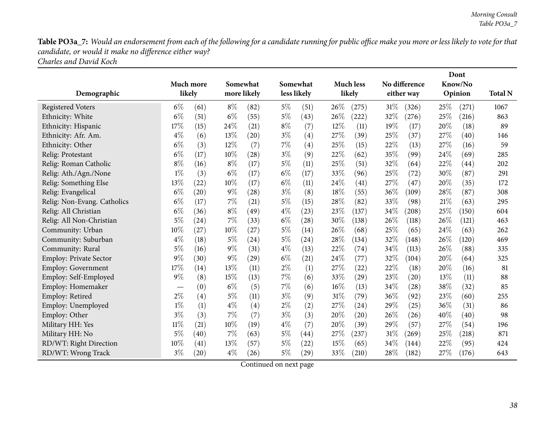Table PO3a\_7: Would an endorsement from each of the following for a candidate running for public office make you more or less likely to vote for that *candidate, or would it make no difference either way?*

| Charles and David Koch |
|------------------------|
|------------------------|

|                               |           |                    |       |             |       |                    |     |                    |      | Dont               |      |         |                |
|-------------------------------|-----------|--------------------|-------|-------------|-------|--------------------|-----|--------------------|------|--------------------|------|---------|----------------|
|                               | Much more |                    |       | Somewhat    |       | Somewhat           |     | <b>Much less</b>   |      | No difference      |      | Know/No |                |
| Demographic                   | likely    |                    |       | more likely |       | less likely        |     | likely             |      | either way         |      | Opinion | <b>Total N</b> |
| <b>Registered Voters</b>      | $6\%$     | (61)               | $8\%$ | (82)        | $5\%$ | (51)               | 26% | (275)              | 31%  | (326)              | 25\% | (271)   | 1067           |
| Ethnicity: White              | $6\%$     | (51)               | $6\%$ | (55)        | $5\%$ | (43)               | 26% | (222)              | 32%  | (276)              | 25%  | (216)   | 863            |
| Ethnicity: Hispanic           | 17%       | (15)               | 24%   | (21)        | $8\%$ | (7)                | 12% | (11)               | 19%  | (17)               | 20%  | (18)    | 89             |
| Ethnicity: Afr. Am.           | $4\%$     | (6)                | 13%   | (20)        | $3\%$ | (4)                | 27% | (39)               | 25%  | (37)               | 27%  | (40)    | 146            |
| Ethnicity: Other              | $6\%$     | (3)                | 12%   | (7)         | $7\%$ | (4)                | 25% | (15)               | 22%  | (13)               | 27%  | (16)    | 59             |
| Relig: Protestant             | $6\%$     | (17)               | 10%   | (28)        | $3\%$ | (9)                | 22% | (62)               | 35%  | (99)               | 24%  | (69)    | 285            |
| Relig: Roman Catholic         | $8\%$     | (16)               | $8\%$ | (17)        | $5\%$ | (11)               | 25% | (51)               | 32%  | (64)               | 22%  | (44)    | 202            |
| Relig: Ath./Agn./None         | $1\%$     | (3)                | $6\%$ | (17)        | $6\%$ | (17)               | 33% | (96)               | 25%  | (72)               | 30%  | (87)    | 291            |
| Relig: Something Else         | 13%       | (22)               | 10%   | (17)        | $6\%$ | (11)               | 24% | (41)               | 27%  | (47)               | 20%  | (35)    | 172            |
| Relig: Evangelical            | $6\%$     | (20)               | $9\%$ | (28)        | $3\%$ | (8)                | 18% | (55)               | 36%  | (109)              | 28%  | (87)    | 308            |
| Relig: Non-Evang. Catholics   | $6\%$     | (17)               | 7%    | (21)        | $5\%$ | (15)               | 28% | (82)               | 33%  | (98)               | 21%  | (63)    | 295            |
| Relig: All Christian          | $6\%$     | (36)               | $8\%$ | (49)        | $4\%$ | (23)               | 23% | (137)              | 34%  | (208)              | 25%  | (150)   | 604            |
| Relig: All Non-Christian      | $5\%$     | (24)               | 7%    | (33)        | $6\%$ | (28)               | 30% | (138)              | 26%  | (118)              | 26%  | (121)   | 463            |
| Community: Urban              | 10%       | (27)               | 10%   | (27)        | $5\%$ | (14)               | 26% | (68)               | 25%  | (65)               | 24%  | (63)    | 262            |
| Community: Suburban           | $4\%$     | (18)               | $5\%$ | (24)        | $5\%$ | (24)               | 28% | (134)              | 32%  | (148)              | 26%  | (120)   | 469            |
| Community: Rural              | $5\%$     | (16)               | $9\%$ | (31)        | $4\%$ | (13)               | 22% | (74)               | 34%  | (113)              | 26%  | (88)    | 335            |
| <b>Employ: Private Sector</b> | $9\%$     | (30)               | $9\%$ | (29)        | $6\%$ | (21)               | 24% | (77)               | 32%  | (104)              | 20%  | (64)    | 325            |
| <b>Employ: Government</b>     | 17%       | (14)               | 13%   | (11)        | $2\%$ | (1)                | 27% | (22)               | 22%  | (18)               | 20%  | (16)    | 81             |
| Employ: Self-Employed         | $9\%$     | (8)                | 15%   | (13)        | $7\%$ | (6)                | 33% | $\left( 29\right)$ | 23%  | $\left( 20\right)$ | 13%  | (11)    | 88             |
| Employ: Homemaker             |           | (0)                | $6\%$ | (5)         | $7\%$ | (6)                | 16% | (13)               | 34%  | (28)               | 38%  | (32)    | 85             |
| Employ: Retired               | $2\%$     | (4)                | $5\%$ | (11)        | $3\%$ | (9)                | 31% | (79)               | 36%  | (92)               | 23%  | (60)    | 255            |
| Employ: Unemployed            | $1\%$     | (1)                | $4\%$ | (4)         | $2\%$ | (2)                | 27% | (24)               | 29%  | (25)               | 36%  | (31)    | 86             |
| Employ: Other                 | $3\%$     | (3)                | 7%    | (7)         | $3\%$ | (3)                | 20% | (20)               | 26%  | (26)               | 40%  | (40)    | 98             |
| Military HH: Yes              | $11\%$    | (21)               | 10%   | (19)        | $4\%$ | (7)                | 20% | (39)               | 29%  | (57)               | 27%  | (54)    | 196            |
| Military HH: No               | $5\%$     | (40)               | 7%    | (63)        | $5\%$ | (44)               | 27% | (237)              | 31%  | (269)              | 25%  | (218)   | 871            |
| RD/WT: Right Direction        | 10%       | (41)               | 13%   | (57)        | $5\%$ | $\left( 22\right)$ | 15% | (65)               | 34\% | (144)              | 22%  | (95)    | 424            |
| RD/WT: Wrong Track            | $3\%$     | $\left( 20\right)$ | $4\%$ | (26)        | $5\%$ | $\left( 29\right)$ | 33% | (210)              | 28%  | (182)              | 27%  | (176)   | 643            |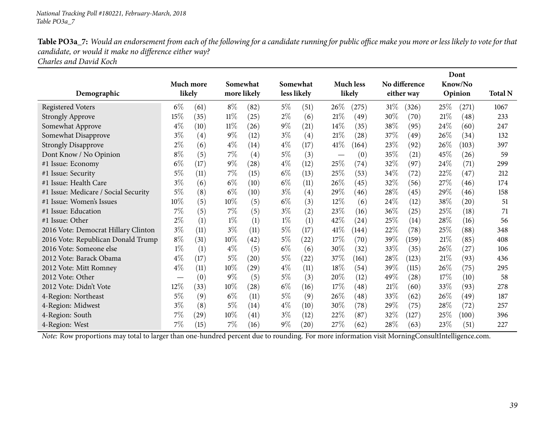Table PO3a\_7: Would an endorsement from each of the following for a candidate running for public office make you more or less likely to vote for that *candidate, or would it make no difference either way?*

*Charles and David Koch*

|                                      |        |                   |        |                    |       |             |        |                    |        |                    |      | Dont    |                |
|--------------------------------------|--------|-------------------|--------|--------------------|-------|-------------|--------|--------------------|--------|--------------------|------|---------|----------------|
|                                      |        | Much more         |        | Somewhat           |       | Somewhat    |        | <b>Much less</b>   |        | No difference      |      | Know/No |                |
| Demographic                          | likely |                   |        | more likely        |       | less likely |        | likely             |        | either way         |      | Opinion | <b>Total N</b> |
| <b>Registered Voters</b>             | $6\%$  | (61)              | $8\%$  | (82)               | $5\%$ | (51)        | 26%    | (275)              | $31\%$ | (326)              | 25\% | (271)   | 1067           |
| <b>Strongly Approve</b>              | 15%    | (35)              | $11\%$ | (25)               | $2\%$ | (6)         | 21%    | (49)               | $30\%$ | (70)               | 21%  | (48)    | 233            |
| Somewhat Approve                     | $4\%$  | (10)              | $11\%$ | (26)               | $9\%$ | (21)        | 14\%   | (35)               | 38\%   | (95)               | 24\% | (60)    | 247            |
| Somewhat Disapprove                  | $3\%$  | $\left( 4\right)$ | $9\%$  | (12)               | $3\%$ | (4)         | 21%    | (28)               | 37\%   | (49)               | 26\% | (34)    | 132            |
| <b>Strongly Disapprove</b>           | $2\%$  | (6)               | $4\%$  | (14)               | $4\%$ | (17)        | 41\%   | (164)              | 23\%   | (92)               | 26\% | (103)   | 397            |
| Dont Know / No Opinion               | $8\%$  | (5)               | 7%     | (4)                | $5\%$ | (3)         |        | (0)                | 35%    | (21)               | 45%  | (26)    | 59             |
| #1 Issue: Economy                    | $6\%$  | (17)              | $9\%$  | $\left( 28\right)$ | $4\%$ | (12)        | 25%    | (74)               | 32\%   | (97)               | 24%  | (71)    | 299            |
| #1 Issue: Security                   | $5\%$  | (11)              | $7\%$  | (15)               | $6\%$ | (13)        | 25%    | (53)               | 34\%   | (72)               | 22%  | (47)    | 212            |
| #1 Issue: Health Care                | $3\%$  | (6)               | $6\%$  | (10)               | $6\%$ | (11)        | 26%    | (45)               | 32%    | (56)               | 27\% | (46)    | 174            |
| #1 Issue: Medicare / Social Security | $5\%$  | (8)               | $6\%$  | (10)               | $3\%$ | (4)         | $29\%$ | (46)               | 28\%   | (45)               | 29%  | (46)    | 158            |
| #1 Issue: Women's Issues             | 10%    | (5)               | $10\%$ | (5)                | $6\%$ | (3)         | $12\%$ | (6)                | 24\%   | (12)               | 38%  | (20)    | 51             |
| #1 Issue: Education                  | 7%     | (5)               | 7%     | (5)                | $3\%$ | (2)         | 23\%   | (16)               | 36%    | (25)               | 25%  | (18)    | 71             |
| #1 Issue: Other                      | $2\%$  | (1)               | $1\%$  | (1)                | $1\%$ | (1)         | 42\%   | (24)               | 25\%   | (14)               | 28\% | (16)    | 56             |
| 2016 Vote: Democrat Hillary Clinton  | $3\%$  | (11)              | $3\%$  | (11)               | $5\%$ | (17)        | 41\%   | (144)              | 22%    | (78)               | 25%  | (88)    | 348            |
| 2016 Vote: Republican Donald Trump   | $8\%$  | (31)              | $10\%$ | (42)               | $5\%$ | $^{(22)}$   | 17%    | (70)               | 39%    | (159)              | 21%  | (85)    | 408            |
| 2016 Vote: Someone else              | $1\%$  | (1)               | $4\%$  | (5)                | $6\%$ | (6)         | 30%    | (32)               | 33\%   | (35)               | 26\% | (27)    | 106            |
| 2012 Vote: Barack Obama              | $4\%$  | (17)              | $5\%$  | (20)               | $5\%$ | $^{(22)}$   | 37%    | (161)              | 28\%   | (123)              | 21\% | (93)    | 436            |
| 2012 Vote: Mitt Romney               | $4\%$  | (11)              | $10\%$ | (29)               | $4\%$ | (11)        | 18%    | (54)               | 39%    | (115)              | 26%  | (75)    | 295            |
| 2012 Vote: Other                     |        | (0)               | $9\%$  | (5)                | $5\%$ | (3)         | 20%    | (12)               | 49%    | $\left( 28\right)$ | 17%  | (10)    | 58             |
| 2012 Vote: Didn't Vote               | 12%    | (33)              | $10\%$ | (28)               | $6\%$ | (16)        | 17%    | $\left( 48\right)$ | 21%    | (60)               | 33%  | (93)    | 278            |
| 4-Region: Northeast                  | $5\%$  | (9)               | $6\%$  | (11)               | $5\%$ | (9)         | 26\%   | $\left( 48\right)$ | 33\%   | (62)               | 26\% | (49)    | 187            |
| 4-Region: Midwest                    | $3\%$  | (8)               | $5\%$  | (14)               | $4\%$ | (10)        | $30\%$ | (78)               | 29%    | (75)               | 28%  | (72)    | 257            |
| 4-Region: South                      | 7%     | (29)              | $10\%$ | (41)               | $3\%$ | (12)        | 22%    | (87)               | 32\%   | (127)              | 25\% | (100)   | 396            |
| 4-Region: West                       | 7%     | (15)              | $7\%$  | (16)               | $9\%$ | (20)        | 27%    | (62)               | 28\%   | (63)               | 23\% | (51)    | 227            |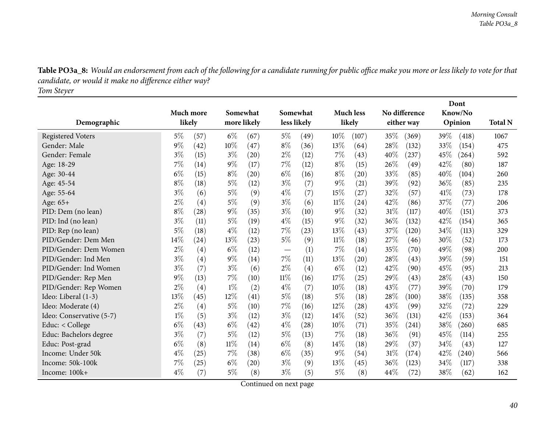Table PO3a\_8: Would an endorsement from each of the following for a candidate running for public office make you more or less likely to vote for that *candidate, or would it make no difference either way?*

*Tom Steyer*

|                          |       |           | Dont        |                    |             |                    |        |                    |        |               |      |         |                |
|--------------------------|-------|-----------|-------------|--------------------|-------------|--------------------|--------|--------------------|--------|---------------|------|---------|----------------|
|                          |       | Much more |             | Somewhat           |             | Somewhat           |        | <b>Much less</b>   |        | No difference |      | Know/No |                |
| Demographic              |       | likely    | more likely |                    | less likely |                    |        | likely             |        | either way    |      | Opinion | <b>Total N</b> |
| <b>Registered Voters</b> | $5\%$ | (57)      | $6\%$       | (67)               | $5\%$       | (49)               | 10%    | (107)              | 35%    | (369)         | 39%  | (418)   | 1067           |
| Gender: Male             | 9%    | (42)      | $10\%$      | (47)               | $8\%$       | (36)               | 13%    | (64)               | 28%    | (132)         | 33%  | (154)   | 475            |
| Gender: Female           | $3\%$ | (15)      | $3\%$       | (20)               | $2\%$       | (12)               | 7%     | (43)               | 40%    | (237)         | 45%  | (264)   | 592            |
| Age: 18-29               | 7%    | (14)      | $9\%$       | (17)               | $7\%$       | (12)               | $8\%$  | (15)               | 26\%   | (49)          | 42%  | (80)    | 187            |
| Age: 30-44               | $6\%$ | (15)      | $8\%$       | (20)               | $6\%$       | (16)               | $8\%$  | $\left( 20\right)$ | 33%    | (85)          | 40%  | (104)   | 260            |
| Age: 45-54               | $8\%$ | (18)      | $5\%$       | (12)               | $3\%$       | (7)                | $9\%$  | (21)               | 39%    | (92)          | 36%  | (85)    | 235            |
| Age: 55-64               | $3\%$ | (6)       | $5\%$       | (9)                | $4\%$       | (7)                | 15%    | (27)               | 32%    | (57)          | 41\% | (73)    | 178            |
| Age: 65+                 | $2\%$ | (4)       | $5\%$       | (9)                | $3\%$       | (6)                | $11\%$ | (24)               | 42\%   | (86)          | 37%  | (77)    | 206            |
| PID: Dem (no lean)       | $8\%$ | (28)      | $9\%$       | (35)               | $3\%$       | (10)               | $9\%$  | (32)               | 31%    | (117)         | 40%  | (151)   | 373            |
| PID: Ind (no lean)       | $3\%$ | (11)      | $5\%$       | (19)               | $4\%$       | (15)               | $9\%$  | (32)               | 36\%   | (132)         | 42%  | (154)   | 365            |
| PID: Rep (no lean)       | $5\%$ | (18)      | $4\%$       | (12)               | $7\%$       | (23)               | 13%    | (43)               | 37%    | (120)         | 34%  | (113)   | 329            |
| PID/Gender: Dem Men      | 14%   | (24)      | 13%         | (23)               | $5\%$       | (9)                | 11%    | (18)               | 27%    | (46)          | 30%  | (52)    | 173            |
| PID/Gender: Dem Women    | $2\%$ | (4)       | $6\%$       | (12)               |             | (1)                | 7%     | (14)               | 35%    | (70)          | 49%  | (98)    | 200            |
| PID/Gender: Ind Men      | $3\%$ | (4)       | $9\%$       | (14)               | $7\%$       | (11)               | 13%    | $\left( 20\right)$ | 28%    | (43)          | 39\% | (59)    | 151            |
| PID/Gender: Ind Women    | $3\%$ | (7)       | $3\%$       | (6)                | $2\%$       | (4)                | $6\%$  | (12)               | 42%    | (90)          | 45%  | (95)    | 213            |
| PID/Gender: Rep Men      | 9%    | (13)      | 7%          | (10)               | $11\%$      | (16)               | 17%    | (25)               | 29%    | (43)          | 28%  | (43)    | 150            |
| PID/Gender: Rep Women    | $2\%$ | (4)       | $1\%$       | (2)                | $4\%$       | (7)                | 10%    | (18)               | 43%    | (77)          | 39%  | (70)    | 179            |
| Ideo: Liberal (1-3)      | 13%   | (45)      | 12%         | (41)               | $5\%$       | (18)               | 5%     | (18)               | 28\%   | (100)         | 38%  | (135)   | 358            |
| Ideo: Moderate (4)       | $2\%$ | (4)       | $5\%$       | (10)               | $7\%$       | (16)               | 12%    | (28)               | 43\%   | (99)          | 32%  | (72)    | 229            |
| Ideo: Conservative (5-7) | $1\%$ | (5)       | $3\%$       | (12)               | $3\%$       | (12)               | 14%    | (52)               | 36%    | (131)         | 42%  | (153)   | 364            |
| Educ: < College          | $6\%$ | (43)      | $6\%$       | (42)               | $4\%$       | $\left( 28\right)$ | 10%    | (71)               | 35%    | (241)         | 38%  | (260)   | 685            |
| Educ: Bachelors degree   | $3\%$ | (7)       | $5\%$       | (12)               | $5\%$       | (13)               | 7%     | (18)               | 36%    | (91)          | 45%  | (114)   | 255            |
| Educ: Post-grad          | $6\%$ | (8)       | $11\%$      | (14)               | $6\%$       | (8)                | 14\%   | (18)               | 29\%   | (37)          | 34%  | (43)    | 127            |
| Income: Under 50k        | $4\%$ | (25)      | 7%          | (38)               | $6\%$       | (35)               | 9%     | (54)               | 31%    | (174)         | 42%  | (240)   | 566            |
| Income: 50k-100k         | 7%    | (25)      | $6\%$       | $\left( 20\right)$ | $3\%$       | (9)                | 13%    | (45)               | $36\%$ | (123)         | 34%  | (117)   | 338            |
| Income: 100k+            | $4\%$ | (7)       | $5\%$       | (8)                | $3\%$       | (5)                | $5\%$  | (8)                | 44%    | (72)          | 38%  | (62)    | 162            |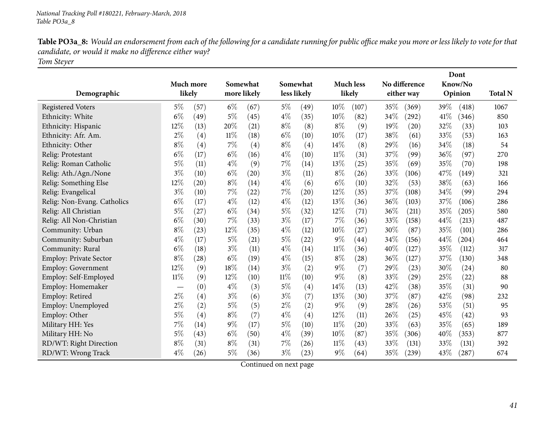Table PO3a\_8: Would an endorsement from each of the following for a candidate running for public office make you more or less likely to vote for that *candidate, or would it make no difference either way?*

*Tom Steyer*

|                               |           |                    |                         |      | <b>Much less</b><br>Somewhat |                   |        |        |      |               | Dont |         |                |
|-------------------------------|-----------|--------------------|-------------------------|------|------------------------------|-------------------|--------|--------|------|---------------|------|---------|----------------|
|                               | Much more |                    | Somewhat<br>more likely |      |                              |                   |        |        |      | No difference |      | Know/No |                |
| Demographic                   | likely    |                    |                         |      |                              | less likely       |        | likely |      | either way    |      | Opinion | <b>Total N</b> |
| <b>Registered Voters</b>      | $5\%$     | (57)               | $6\%$                   | (67) | $5\%$                        | (49)              | 10%    | (107)  | 35%  | (369)         | 39%  | (418)   | 1067           |
| Ethnicity: White              | $6\%$     | (49)               | $5\%$                   | (45) | $4\%$                        | (35)              | 10%    | (82)   | 34%  | $^{'}292)$    | 41\% | (346)   | 850            |
| Ethnicity: Hispanic           | 12%       | (13)               | 20%                     | (21) | $8\%$                        | (8)               | $8\%$  | (9)    | 19%  | (20)          | 32%  | (33)    | 103            |
| Ethnicity: Afr. Am.           | $2\%$     | $\left( 4\right)$  | 11%                     | (18) | $6\%$                        | (10)              | 10%    | (17)   | 38%  | (61)          | 33%  | (53)    | 163            |
| Ethnicity: Other              | $8\%$     | $\left( 4\right)$  | 7%                      | (4)  | $8\%$                        | (4)               | $14\%$ | (8)    | 29%  | (16)          | 34\% | (18)    | 54             |
| Relig: Protestant             | $6\%$     | (17)               | $6\%$                   | (16) | $4\%$                        | (10)              | $11\%$ | (31)   | 37\% | (99)          | 36%  | (97)    | 270            |
| Relig: Roman Catholic         | 5%        | (11)               | $4\%$                   | (9)  | $7\%$                        | (14)              | 13\%   | (25)   | 35%  | (69)          | 35%  | (70)    | 198            |
| Relig: Ath./Agn./None         | $3\%$     | (10)               | $6\%$                   | (20) | $3\%$                        | (11)              | $8\%$  | (26)   | 33%  | (106)         | 47%  | (149)   | 321            |
| Relig: Something Else         | 12%       | $\left( 20\right)$ | $8\%$                   | (14) | $4\%$                        | (6)               | $6\%$  | (10)   | 32%  | (53)          | 38%  | (63)    | 166            |
| Relig: Evangelical            | $3\%$     | (10)               | 7%                      | (22) | $7\%$                        | (20)              | 12%    | (35)   | 37%  | (108)         | 34%  | (99)    | 294            |
| Relig: Non-Evang. Catholics   | $6\%$     | (17)               | $4\%$                   | (12) | $4\%$                        | (12)              | 13%    | (36)   | 36%  | (103)         | 37%  | (106)   | 286            |
| Relig: All Christian          | 5%        | (27)               | $6\%$                   | (34) | $5\%$                        | (32)              | 12%    | (71)   | 36%  | (211)         | 35%  | (205)   | 580            |
| Relig: All Non-Christian      | $6\%$     | (30)               | 7%                      | (33) | $3\%$                        | (17)              | 7%     | (36)   | 33%  | (158)         | 44%  | (213)   | 487            |
| Community: Urban              | $8\%$     | (23)               | 12%                     | (35) | $4\%$                        | (12)              | 10%    | (27)   | 30%  | (87)          | 35%  | (101)   | 286            |
| Community: Suburban           | $4\%$     | (17)               | $5\%$                   | (21) | $5\%$                        | (22)              | $9\%$  | (44)   | 34%  | (156)         | 44%  | (204)   | 464            |
| Community: Rural              | $6\%$     | (18)               | $3\%$                   | (11) | $4\%$                        | (14)              | $11\%$ | (36)   | 40%  | (127)         | 35%  | (112)   | 317            |
| <b>Employ: Private Sector</b> | $8\%$     | (28)               | $6\%$                   | (19) | $4\%$                        | (15)              | $8\%$  | (28)   | 36%  | (127)         | 37%  | (130)   | 348            |
| <b>Employ: Government</b>     | 12%       | (9)                | 18%                     | (14) | $3\%$                        | (2)               | $9\%$  | (7)    | 29%  | (23)          | 30%  | (24)    | 80             |
| Employ: Self-Employed         | $11\%$    | (9)                | 12%                     | (10) | $11\%$                       | (10)              | 9%     | (8)    | 33%  | (29)          | 25%  | (22)    | 88             |
| Employ: Homemaker             |           | (0)                | $4\%$                   | (3)  | $5\%$                        | (4)               | 14%    | (13)   | 42%  | (38)          | 35%  | (31)    | 90             |
| Employ: Retired               | $2\%$     | $\left( 4\right)$  | $3\%$                   | (6)  | $3\%$                        | (7)               | 13%    | (30)   | 37%  | (87)          | 42%  | (98)    | 232            |
| Employ: Unemployed            | $2\%$     | (2)                | $5\%$                   | (5)  | $2\%$                        | (2)               | $9\%$  | (9)    | 28%  | (26)          | 53%  | (51)    | 95             |
| Employ: Other                 | 5%        | (4)                | $8\%$                   | (7)  | $4\%$                        | $\left( 4\right)$ | 12%    | (11)   | 26%  | (25)          | 45%  | (42)    | 93             |
| Military HH: Yes              | 7%        | (14)               | $9\%$                   | (17) | $5\%$                        | (10)              | $11\%$ | (20)   | 33%  | (63)          | 35%  | (65)    | 189            |
| Military HH: No               | 5%        | (43)               | $6\%$                   | (50) | $4\%$                        | (39)              | 10%    | (87)   | 35%  | (306)         | 40%  | (353)   | 877            |
| RD/WT: Right Direction        | $8\%$     | (31)               | $8\%$                   | (31) | 7%                           | (26)              | $11\%$ | (43)   | 33%  | (131)         | 33%  | (131)   | 392            |
| RD/WT: Wrong Track            | $4\%$     | (26)               | $5\%$                   | (36) | $3\%$                        | (23)              | 9%     | (64)   | 35%  | (239)         | 43\% | (287)   | 674            |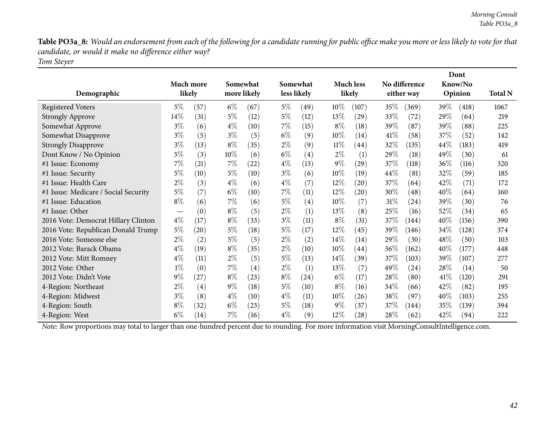Table PO3a\_8: Would an endorsement from each of the following for a candidate running for public office make you more or less likely to vote for that *candidate, or would it make no difference either way?*

*Tom Steyer*

|                                      |           |      |       |             |       |                   |        |                    |         |                    |      | Dont    |                |
|--------------------------------------|-----------|------|-------|-------------|-------|-------------------|--------|--------------------|---------|--------------------|------|---------|----------------|
|                                      | Much more |      |       | Somewhat    |       | Somewhat          |        | <b>Much less</b>   |         | No difference      |      | Know/No |                |
| Demographic                          | likely    |      |       | more likely |       | less likely       |        | likely             |         | either way         |      | Opinion | <b>Total N</b> |
| <b>Registered Voters</b>             | $5\%$     | (57) | $6\%$ | (67)        | $5\%$ | (49)              | $10\%$ | (107)              | $35\%$  | (369)              | 39%  | (418)   | 1067           |
| <b>Strongly Approve</b>              | $14\%$    | (31) | $5\%$ | (12)        | $5\%$ | (12)              | 13%    | $\left( 29\right)$ | 33\%    | (72)               | 29%  | (64)    | 219            |
| Somewhat Approve                     | $3\%$     | (6)  | $4\%$ | (10)        | $7\%$ | (15)              | $8\%$  | (18)               | 39%     | (87)               | 39%  | (88)    | 225            |
| Somewhat Disapprove                  | $3\%$     | (5)  | $3\%$ | (5)         | $6\%$ | (9)               | 10%    | (14)               | 41%     | (58)               | 37%  | (52)    | 142            |
| <b>Strongly Disapprove</b>           | $3\%$     | (13) | $8\%$ | (35)        | $2\%$ | (9)               | $11\%$ | (44)               | 32\%    | (135)              | 44\% | (183)   | 419            |
| Dont Know / No Opinion               | $5\%$     | (3)  | 10%   | (6)         | $6\%$ | (4)               | $2\%$  | (1)                | 29\%    | (18)               | 49\% | (30)    | 61             |
| #1 Issue: Economy                    | 7%        | (21) | $7\%$ | (22)        | $4\%$ | (13)              | $9\%$  | (29)               | 37\%    | (118)              | 36%  | (116)   | 320            |
| #1 Issue: Security                   | 5%        | (10) | $5\%$ | (10)        | $3\%$ | (6)               | 10%    | (19)               | 44\%    | (81)               | 32%  | (59)    | 185            |
| #1 Issue: Health Care                | $2\%$     | (3)  | $4\%$ | (6)         | $4\%$ | (7)               | $12\%$ | (20)               | 37\%    | (64)               | 42%  | (71)    | 172            |
| #1 Issue: Medicare / Social Security | $5\%$     | (7)  | $6\%$ | (10)        | $7\%$ | (11)              | $12\%$ | $\left( 20\right)$ | $30\%$  | $\left( 48\right)$ | 40\% | (64)    | 160            |
| #1 Issue: Education                  | $8\%$     | (6)  | $7\%$ | (6)         | $5\%$ | $\left( 4\right)$ | $10\%$ | (7)                | $31\%$  | (24)               | 39%  | (30)    | 76             |
| #1 Issue: Other                      |           | (0)  | $8\%$ | (5)         | $2\%$ | (1)               | 13%    | (8)                | $25\%$  | (16)               | 52\% | (34)    | 65             |
| 2016 Vote: Democrat Hillary Clinton  | $4\%$     | (17) | $8\%$ | (33)        | $3\%$ | (11)              | $8\%$  | (31)               | 37\%    | (144)              | 40%  | (156)   | 390            |
| 2016 Vote: Republican Donald Trump   | 5%        | (20) | $5\%$ | (18)        | $5\%$ | (17)              | $12\%$ | (45)               | 39 $\%$ | (146)              | 34\% | (128)   | 374            |
| 2016 Vote: Someone else              | $2\%$     | (2)  | $5\%$ | (5)         | $2\%$ | (2)               | 14%    | (14)               | 29%     | (30)               | 48\% | (50)    | 103            |
| 2012 Vote: Barack Obama              | $4\%$     | (19) | $8\%$ | (35)        | $2\%$ | (10)              | $10\%$ | (44)               | $36\%$  | (162)              | 40\% | (177)   | 448            |
| 2012 Vote: Mitt Romney               | $4\%$     | (11) | $2\%$ | (5)         | $5\%$ | (13)              | $14\%$ | (39)               | 37\%    | (103)              | 39%  | (107)   | 277            |
| 2012 Vote: Other                     | $1\%$     | (0)  | $7\%$ | (4)         | $2\%$ | (1)               | 13%    | (7)                | 49%     | (24)               | 28%  | (14)    | 50             |
| 2012 Vote: Didn't Vote               | $9\%$     | (27) | $8\%$ | (23)        | $8\%$ | $^{(24)}$         | $6\%$  | (17)               | 28\%    | (80)               | 41\% | (120)   | 291            |
| 4-Region: Northeast                  | $2\%$     | (4)  | $9\%$ | (18)        | $5\%$ | (10)              | $8\%$  | (16)               | $34\%$  | (66)               | 42\% | (82)    | 195            |
| 4-Region: Midwest                    | $3\%$     | (8)  | $4\%$ | (10)        | $4\%$ | (11)              | $10\%$ | (26)               | $38\%$  | (97)               | 40\% | (103)   | 255            |
| 4-Region: South                      | $8\%$     | (32) | $6\%$ | (23)        | $5\%$ | (18)              | $9\%$  | (37)               | 37\%    | (144)              | 35%  | (139)   | 394            |
| 4-Region: West                       | $6\%$     | (14) | $7\%$ | (16)        | $4\%$ | (9)               | 12%    | (28)               | 28%     | (62)               | 42%  | (94)    | 222            |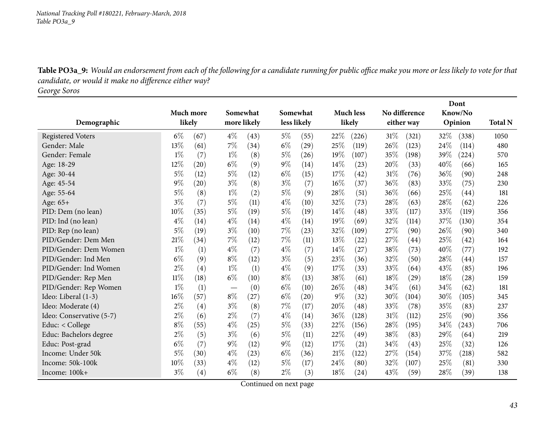Table PO3a\_9: Would an endorsement from each of the following for a candidate running for public office make you more or less likely to vote for that *candidate, or would it make no difference either way?*

*George Soros*

|                          |           |                   |       |             |          | Dont               |       |                  |        |                    |      |            |                |
|--------------------------|-----------|-------------------|-------|-------------|----------|--------------------|-------|------------------|--------|--------------------|------|------------|----------------|
|                          | Much more |                   |       | Somewhat    | Somewhat |                    |       | <b>Much less</b> |        | No difference      |      | Know/No    |                |
| Demographic              | likely    |                   |       | more likely |          | less likely        |       | likely           |        | either way         |      | Opinion    | <b>Total N</b> |
| <b>Registered Voters</b> | $6\%$     | (67)              | $4\%$ | (43)        | $5\%$    | (55)               | 22%   | (226)            | $31\%$ | (321)              | 32%  | (338)      | 1050           |
| Gender: Male             | 13%       | (61)              | 7%    | (34)        | $6\%$    | (29)               | 25%   | (119)            | 26%    | (123)              | 24%  | (114)      | 480            |
| Gender: Female           | $1\%$     | (7)               | $1\%$ | (8)         | 5%       | (26)               | 19%   | (107)            | 35%    | (198)              | 39%  | $^{(224)}$ | 570            |
| Age: 18-29               | 12%       | (20)              | $6\%$ | (9)         | $9\%$    | (14)               | 14%   | (23)             | 20%    | (33)               | 40%  | (66)       | 165            |
| Age: 30-44               | $5\%$     | (12)              | $5\%$ | (12)        | $6\%$    | (15)               | 17%   | (42)             | 31%    | (76)               | 36%  | (90)       | 248            |
| Age: 45-54               | 9%        | (20)              | $3\%$ | (8)         | $3\%$    | (7)                | 16%   | (37)             | 36%    | (83)               | 33%  | (75)       | 230            |
| Age: 55-64               | $5\%$     | (8)               | $1\%$ | (2)         | $5\%$    | (9)                | 28%   | (51)             | 36%    | (66)               | 25%  | (44)       | 181            |
| Age: 65+                 | $3\%$     | (7)               | $5\%$ | (11)        | $4\%$    | (10)               | 32%   | (73)             | 28\%   | (63)               | 28%  | (62)       | 226            |
| PID: Dem (no lean)       | 10%       | (35)              | $5\%$ | (19)        | 5%       | (19)               | 14\%  | (48)             | 33%    | (117)              | 33%  | (119)      | 356            |
| PID: Ind (no lean)       | $4\%$     | (14)              | $4\%$ | (14)        | $4\%$    | (14)               | 19%   | (69)             | 32%    | (114)              | 37%  | (130)      | 354            |
| PID: Rep (no lean)       | $5\%$     | (19)              | $3\%$ | (10)        | 7%       | (23)               | 32%   | (109)            | 27%    | (90)               | 26%  | (90)       | 340            |
| PID/Gender: Dem Men      | 21%       | (34)              | 7%    | (12)        | 7%       | (11)               | 13\%  | (22)             | 27\%   | $\left( 44\right)$ | 25%  | (42)       | 164            |
| PID/Gender: Dem Women    | $1\%$     | (1)               | $4\%$ | (7)         | $4\%$    | (7)                | 14%   | (27)             | 38%    | (73)               | 40%  | (77)       | 192            |
| PID/Gender: Ind Men      | $6\%$     | (9)               | $8\%$ | (12)        | $3\%$    | (5)                | 23\%  | (36)             | 32\%   | (50)               | 28%  | (44)       | 157            |
| PID/Gender: Ind Women    | $2\%$     | (4)               | $1\%$ | (1)         | $4\%$    | (9)                | 17%   | (33)             | 33%    | (64)               | 43%  | (85)       | 196            |
| PID/Gender: Rep Men      | $11\%$    | (18)              | $6\%$ | (10)        | $8\%$    | (13)               | 38\%  | (61)             | 18%    | (29)               | 18%  | (28)       | 159            |
| PID/Gender: Rep Women    | $1\%$     | (1)               |       | (0)         | $6\%$    | (10)               | 26%   | (48)             | 34%    | (61)               | 34%  | (62)       | 181            |
| Ideo: Liberal (1-3)      | 16%       | (57)              | $8\%$ | (27)        | $6\%$    | $\left( 20\right)$ | $9\%$ | (32)             | 30%    | (104)              | 30%  | (105)      | 345            |
| Ideo: Moderate (4)       | $2\%$     | (4)               | $3\%$ | (8)         | $7\%$    | (17)               | 20%   | (48)             | 33%    | (78)               | 35%  | (83)       | 237            |
| Ideo: Conservative (5-7) | $2\%$     | (6)               | $2\%$ | (7)         | $4\%$    | (14)               | 36%   | (128)            | 31%    | (112)              | 25%  | (90)       | 356            |
| Educ: < College          | $8\%$     | (55)              | $4\%$ | (25)        | $5\%$    | (33)               | 22%   | (156)            | 28\%   | (195)              | 34%  | (243)      | 706            |
| Educ: Bachelors degree   | $2\%$     | (5)               | $3\%$ | (6)         | 5%       | (11)               | 22%   | (49)             | 38%    | (83)               | 29%  | (64)       | 219            |
| Educ: Post-grad          | $6\%$     | (7)               | $9\%$ | (12)        | $9\%$    | (12)               | 17%   | (21)             | 34\%   | (43)               | 25%  | (32)       | 126            |
| Income: Under 50k        | 5%        | (30)              | $4\%$ | (23)        | $6\%$    | (36)               | 21%   | (122)            | 27%    | (154)              | 37%  | (218)      | 582            |
| Income: 50k-100k         | 10%       | (33)              | $4\%$ | (12)        | 5%       | (17)               | 24\%  | (80)             | 32\%   | (107)              | 25%  | (81)       | 330            |
| Income: 100k+            | $3\%$     | $\left( 4\right)$ | $6\%$ | (8)         | $2\%$    | (3)                | 18%   | (24)             | 43%    | (59)               | 28\% | (39)       | 138            |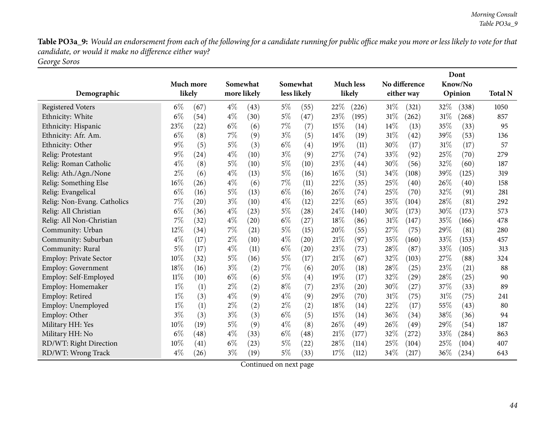Table PO3a\_9: Would an endorsement from each of the following for a candidate running for public office make you more or less likely to vote for that *candidate, or would it make no difference either way?*

*George Soros*

|                               |        |           |       |             |       |             |        |                  |        | Dont               |      |                     |                |
|-------------------------------|--------|-----------|-------|-------------|-------|-------------|--------|------------------|--------|--------------------|------|---------------------|----------------|
|                               |        | Much more |       | Somewhat    |       | Somewhat    |        | <b>Much less</b> |        | No difference      |      | Know/No             |                |
| Demographic                   |        | likely    |       | more likely |       | less likely |        | likely           |        | either way         |      | Opinion             | <b>Total N</b> |
| <b>Registered Voters</b>      | $6\%$  | (67)      | $4\%$ | (43)        | $5\%$ | (55)        | 22%    | (226)            | 31%    | (321)              | 32\% | (338)               | 1050           |
| Ethnicity: White              | $6\%$  | (54)      | $4\%$ | (30)        | $5\%$ | (47)        | 23%    | (195)            | 31%    | (262)              | 31%  | (268)               | 857            |
| Ethnicity: Hispanic           | 23%    | (22)      | $6\%$ | (6)         | $7\%$ | (7)         | 15%    | (14)             | $14\%$ | (13)               | 35%  | (33)                | 95             |
| Ethnicity: Afr. Am.           | $6\%$  | (8)       | 7%    | (9)         | $3\%$ | (5)         | 14\%   | (19)             | 31%    | (42)               | 39%  | (53)                | 136            |
| Ethnicity: Other              | $9\%$  | (5)       | $5\%$ | (3)         | $6\%$ | (4)         | 19%    | (11)             | 30%    | (17)               | 31%  | (17)                | 57             |
| Relig: Protestant             | $9\%$  | (24)      | $4\%$ | (10)        | $3\%$ | (9)         | 27%    | (74)             | 33%    | (92)               | 25%  | (70)                | 279            |
| Relig: Roman Catholic         | $4\%$  | (8)       | $5\%$ | (10)        | $5\%$ | (10)        | 23%    | (44)             | 30%    | (56)               | 32%  | (60)                | 187            |
| Relig: Ath./Agn./None         | $2\%$  | (6)       | $4\%$ | (13)        | $5\%$ | (16)        | $16\%$ | (51)             | 34\%   | (108)              | 39%  | (125)               | 319            |
| Relig: Something Else         | 16%    | (26)      | $4\%$ | (6)         | 7%    | (11)        | 22%    | (35)             | 25%    | (40)               | 26%  | (40)                | 158            |
| Relig: Evangelical            | $6\%$  | (16)      | $5\%$ | (13)        | $6\%$ | (16)        | 26%    | (74)             | 25%    | (70)               | 32%  | (91)                | 281            |
| Relig: Non-Evang. Catholics   | $7\%$  | (20)      | $3\%$ | (10)        | $4\%$ | (12)        | 22%    | (65)             | 35%    | (104)              | 28%  | (81)                | 292            |
| Relig: All Christian          | $6\%$  | (36)      | $4\%$ | (23)        | $5\%$ | (28)        | 24%    | (140)            | 30%    | (173)              | 30%  | (173)               | 573            |
| Relig: All Non-Christian      | $7\%$  | (32)      | $4\%$ | (20)        | $6\%$ | (27)        | 18%    | (86)             | 31%    | (147)              | 35%  | (166)               | 478            |
| Community: Urban              | 12%    | (34)      | $7\%$ | (21)        | $5\%$ | (15)        | 20%    | (55)             | 27%    | (75)               | 29%  | (81)                | 280            |
| Community: Suburban           | $4\%$  | (17)      | $2\%$ | (10)        | $4\%$ | (20)        | 21%    | (97)             | 35%    | (160)              | 33%  | (153)               | 457            |
| Community: Rural              | $5\%$  | (17)      | $4\%$ | (11)        | $6\%$ | (20)        | 23%    | (73)             | 28%    | (87)               | 33%  | (105)               | 313            |
| <b>Employ: Private Sector</b> | 10%    | (32)      | $5\%$ | (16)        | $5\%$ | (17)        | 21%    | (67)             | 32%    | (103)              | 27%  | (88)                | 324            |
| <b>Employ: Government</b>     | 18%    | (16)      | $3\%$ | (2)         | $7\%$ | (6)         | 20%    | (18)             | 28%    | (25)               | 23%  | (21)                | 88             |
| Employ: Self-Employed         | $11\%$ | (10)      | $6\%$ | (6)         | 5%    | (4)         | 19%    | (17)             | 32%    | $\left( 29\right)$ | 28%  | (25)                | 90             |
| Employ: Homemaker             | $1\%$  | (1)       | $2\%$ | (2)         | $8\%$ | (7)         | 23%    | (20)             | 30%    | (27)               | 37%  | (33)                | 89             |
| Employ: Retired               | $1\%$  | (3)       | $4\%$ | (9)         | $4\%$ | (9)         | 29%    | (70)             | 31%    | (75)               | 31%  | (75)                | 241            |
| Employ: Unemployed            | $1\%$  | (1)       | $2\%$ | (2)         | $2\%$ | (2)         | 18%    | (14)             | 22%    | (17)               | 55%  | (43)                | 80             |
| Employ: Other                 | $3\%$  | (3)       | $3\%$ | (3)         | $6\%$ | (5)         | 15%    | (14)             | 36%    | (34)               | 38%  | (36)                | 94             |
| Military HH: Yes              | 10%    | (19)      | $5\%$ | (9)         | $4\%$ | (8)         | 26%    | (49)             | 26\%   | (49)               | 29%  | (54)                | 187            |
| Military HH: No               | $6\%$  | (48)      | $4\%$ | (33)        | $6\%$ | (48)        | 21%    | (177)            | 32%    | (272)              | 33%  | $\left( 284\right)$ | 863            |
| RD/WT: Right Direction        | 10%    | (41)      | $6\%$ | (23)        | $5\%$ | (22)        | 28\%   | (114)            | 25\%   | (104)              | 25%  | (104)               | 407            |
| RD/WT: Wrong Track            | $4\%$  | (26)      | $3\%$ | (19)        | $5\%$ | (33)        | 17%    | (112)            | 34%    | (217)              | 36%  | (234)               | 643            |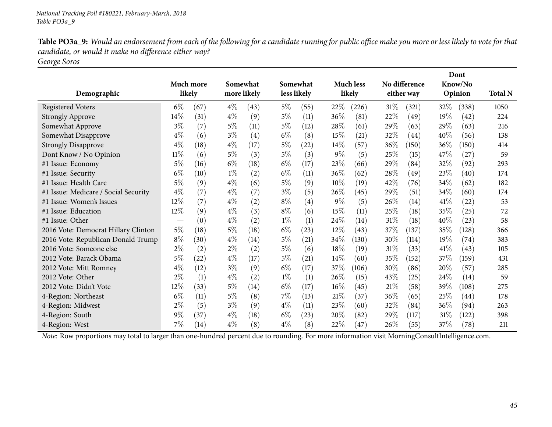Table PO3a\_9: Would an endorsement from each of the following for a candidate running for public office make you more or less likely to vote for that *candidate, or would it make no difference either way?*

*George Soros*

|                                      |           |      |       |             |             |                   |        |                  |        |               |      | Dont    |                |
|--------------------------------------|-----------|------|-------|-------------|-------------|-------------------|--------|------------------|--------|---------------|------|---------|----------------|
|                                      | Much more |      |       | Somewhat    | Somewhat    |                   |        | <b>Much less</b> |        | No difference |      | Know/No |                |
| Demographic                          | likely    |      |       | more likely | less likely |                   |        | likely           |        | either way    |      | Opinion | <b>Total N</b> |
| <b>Registered Voters</b>             | $6\%$     | (67) | $4\%$ | (43)        | $5\%$       | (55)              | 22\%   | (226)            | $31\%$ | (321)         | 32\% | (338)   | 1050           |
| <b>Strongly Approve</b>              | 14%       | (31) | $4\%$ | (9)         | $5\%$       | (11)              | 36%    | (81)             | 22%    | (49)          | 19%  | (42)    | 224            |
| Somewhat Approve                     | $3\%$     | (7)  | $5\%$ | (11)        | $5\%$       | (12)              | 28\%   | (61)             | 29%    | (63)          | 29%  | (63)    | 216            |
| Somewhat Disapprove                  | $4\%$     | (6)  | $3\%$ | (4)         | $6\%$       | (8)               | 15%    | (21)             | 32%    | (44)          | 40%  | (56)    | 138            |
| <b>Strongly Disapprove</b>           | $4\%$     | (18) | $4\%$ | (17)        | $5\%$       | $^{(22)}$         | $14\%$ | (57)             | 36%    | (150)         | 36%  | (150)   | 414            |
| Dont Know / No Opinion               | $11\%$    | (6)  | $5\%$ | (3)         | $5\%$       | (3)               | $9\%$  | (5)              | 25\%   | (15)          | 47\% | (27)    | 59             |
| #1 Issue: Economy                    | $5\%$     | (16) | $6\%$ | (18)        | $6\%$       | (17)              | 23%    | (66)             | 29%    | (84)          | 32%  | (92)    | 293            |
| #1 Issue: Security                   | $6\%$     | (10) | $1\%$ | (2)         | $6\%$       | (11)              | 36%    | (62)             | 28\%   | (49)          | 23%  | (40)    | 174            |
| #1 Issue: Health Care                | $5\%$     | (9)  | $4\%$ | (6)         | $5\%$       | (9)               | $10\%$ | (19)             | 42\%   | (76)          | 34\% | (62)    | 182            |
| #1 Issue: Medicare / Social Security | $4\%$     | (7)  | $4\%$ | (7)         | $3\%$       | (5)               | 26%    | (45)             | 29\%   | (51)          | 34\% | (60)    | 174            |
| #1 Issue: Women's Issues             | 12%       | (7)  | $4\%$ | (2)         | $8\%$       | $\left( 4\right)$ | $9\%$  | (5)              | 26\%   | (14)          | 41\% | (22)    | 53             |
| #1 Issue: Education                  | 12%       | (9)  | $4\%$ | (3)         | $8\%$       | (6)               | 15%    | (11)             | 25%    | (18)          | 35%  | (25)    | 72             |
| #1 Issue: Other                      |           | (0)  | $4\%$ | (2)         | $1\%$       | (1)               | 24\%   | (14)             | $31\%$ | (18)          | 40%  | (23)    | 58             |
| 2016 Vote: Democrat Hillary Clinton  | $5\%$     | (18) | $5\%$ | (18)        | $6\%$       | (23)              | 12%    | (43)             | 37\%   | (137)         | 35%  | (128)   | 366            |
| 2016 Vote: Republican Donald Trump   | $8\%$     | (30) | $4\%$ | (14)        | $5\%$       | (21)              | 34\%   | (130)            | 30\%   | (114)         | 19%  | (74)    | 383            |
| 2016 Vote: Someone else              | $2\%$     | (2)  | $2\%$ | (2)         | $5\%$       | (6)               | 18%    | (19)             | $31\%$ | (33)          | 41\% | (43)    | 105            |
| 2012 Vote: Barack Obama              | 5%        | (22) | $4\%$ | (17)        | $5\%$       | (21)              | $14\%$ | (60)             | 35%    | (152)         | 37%  | (159)   | 431            |
| 2012 Vote: Mitt Romney               | $4\%$     | (12) | $3\%$ | (9)         | $6\%$       | (17)              | 37%    | (106)            | 30%    | (86)          | 20%  | (57)    | 285            |
| 2012 Vote: Other                     | $2\%$     | (1)  | $4\%$ | (2)         | $1\%$       | (1)               | 26%    | (15)             | 43\%   | (25)          | 24\% | (14)    | 59             |
| 2012 Vote: Didn't Vote               | 12%       | (33) | $5\%$ | (14)        | $6\%$       | (17)              | $16\%$ | (45)             | 21%    | (58)          | 39\% | (108)   | 275            |
| 4-Region: Northeast                  | $6\%$     | (11) | $5\%$ | (8)         | $7\%$       | (13)              | 21%    | (37)             | 36%    | (65)          | 25%  | (44)    | 178            |
| 4-Region: Midwest                    | $2\%$     | (5)  | $3\%$ | (9)         | $4\%$       | (11)              | 23%    | (60)             | 32\%   | (84)          | 36\% | (94)    | 263            |
| 4-Region: South                      | $9\%$     | (37) | $4\%$ | (18)        | $6\%$       | (23)              | 20%    | (82)             | 29\%   | (117)         | 31%  | (122)   | 398            |
| 4-Region: West                       | 7%        | (14) | $4\%$ | (8)         | $4\%$       | (8)               | 22%    | (47)             | 26%    | (55)          | 37%  | (78)    | 211            |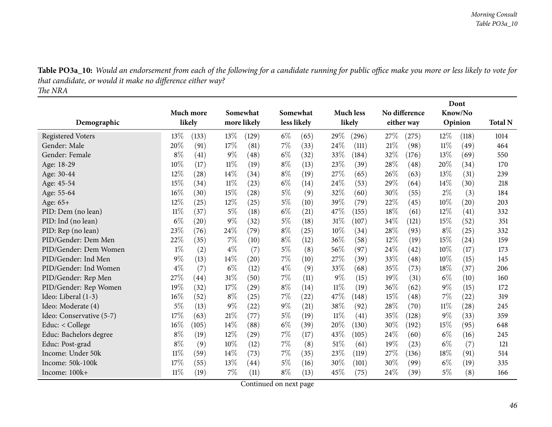| <b>Table PO3a_10:</b> Would an endorsement from each of the following for a candidate running for public office make you more or less likely to vote for |  |
|----------------------------------------------------------------------------------------------------------------------------------------------------------|--|
| that candidate, or would it make no difference either way?                                                                                               |  |
| The NRA                                                                                                                                                  |  |

|                          |        |           |        |                    | Dont        |      |        |                  |        |                    |        |         |                |
|--------------------------|--------|-----------|--------|--------------------|-------------|------|--------|------------------|--------|--------------------|--------|---------|----------------|
|                          |        | Much more |        | Somewhat           | Somewhat    |      |        | <b>Much less</b> |        | No difference      |        | Know/No |                |
| Demographic              |        | likely    |        | more likely        | less likely |      |        | likely           |        | either way         |        | Opinion | <b>Total N</b> |
| <b>Registered Voters</b> | $13\%$ | (133)     | 13%    | (129)              | $6\%$       | (65) | 29%    | (296)            | 27%    | (275)              | 12\%   | (118)   | 1014           |
| Gender: Male             | 20%    | (91)      | 17%    | (81)               | 7%          | (33) | 24%    | (111)            | 21%    | (98)               | $11\%$ | (49)    | 464            |
| Gender: Female           | $8\%$  | (41)      | $9\%$  | (48)               | $6\%$       | (32) | 33%    | (184)            | $32\%$ | (176)              | 13\%   | (69)    | 550            |
| Age: 18-29               | 10%    | (17)      | $11\%$ | (19)               | $8\%$       | (13) | 23\%   | (39)             | 28%    | (48)               | 20%    | (34)    | 170            |
| Age: 30-44               | 12%    | (28)      | 14\%   | (34)               | $8\%$       | (19) | 27\%   | (65)             | 26%    | (63)               | 13%    | (31)    | 239            |
| Age: 45-54               | 15%    | (34)      | $11\%$ | (23)               | $6\%$       | (14) | 24\%   | (53)             | 29%    | (64)               | 14%    | (30)    | 218            |
| Age: 55-64               | 16%    | (30)      | 15%    | (28)               | $5\%$       | (9)  | 32%    | (60)             | 30%    | (55)               | $2\%$  | (3)     | 184            |
| Age: 65+                 | 12%    | (25)      | 12%    | (25)               | $5\%$       | (10) | 39%    | (79)             | 22%    | (45)               | 10%    | (20)    | 203            |
| PID: Dem (no lean)       | $11\%$ | (37)      | $5\%$  | (18)               | $6\%$       | (21) | 47%    | (155)            | 18%    | (61)               | 12%    | (41)    | 332            |
| PID: Ind (no lean)       | $6\%$  | (20)      | $9\%$  | (32)               | $5\%$       | (18) | $31\%$ | (107)            | 34\%   | (121)              | 15%    | (52)    | 351            |
| PID: Rep (no lean)       | 23%    | (76)      | 24%    | (79)               | $8\%$       | (25) | 10%    | (34)             | 28%    | (93)               | $8\%$  | (25)    | 332            |
| PID/Gender: Dem Men      | 22%    | (35)      | 7%     | (10)               | $8\%$       | (12) | 36%    | (58)             | $12\%$ | (19)               | 15%    | (24)    | 159            |
| PID/Gender: Dem Women    | $1\%$  | (2)       | $4\%$  | (7)                | $5\%$       | (8)  | 56%    | (97)             | 24%    | (42)               | 10%    | (17)    | 173            |
| PID/Gender: Ind Men      | $9\%$  | (13)      | 14%    | (20)               | 7%          | (10) | 27\%   | (39)             | 33%    | $\left( 48\right)$ | 10%    | (15)    | 145            |
| PID/Gender: Ind Women    | $4\%$  | (7)       | $6\%$  | (12)               | $4\%$       | (9)  | 33\%   | (68)             | 35%    | (73)               | 18%    | (37)    | 206            |
| PID/Gender: Rep Men      | 27%    | (44)      | 31%    | (50)               | 7%          | (11) | $9\%$  | (15)             | 19%    | (31)               | $6\%$  | (10)    | 160            |
| PID/Gender: Rep Women    | 19%    | (32)      | 17%    | (29)               | $8\%$       | (14) | $11\%$ | (19)             | $36\%$ | (62)               | $9\%$  | (15)    | 172            |
| Ideo: Liberal (1-3)      | 16%    | (52)      | $8\%$  | (25)               | 7%          | (22) | 47%    | (148)            | 15%    | (48)               | 7%     | (22)    | 319            |
| Ideo: Moderate (4)       | $5\%$  | (13)      | $9\%$  | (22)               | $9\%$       | (21) | 38%    | (92)             | 28%    | (70)               | $11\%$ | (28)    | 245            |
| Ideo: Conservative (5-7) | 17%    | (63)      | $21\%$ | (77)               | $5\%$       | (19) | $11\%$ | (41)             | 35%    | (128)              | 9%     | (33)    | 359            |
| Educ: < College          | 16%    | (105)     | 14%    | (88)               | $6\%$       | (39) | 20%    | (130)            | 30%    | (192)              | 15%    | (95)    | 648            |
| Educ: Bachelors degree   | $8\%$  | (19)      | 12%    | (29)               | 7%          | (17) | 43%    | (105)            | 24%    | (60)               | $6\%$  | (16)    | 245            |
| Educ: Post-grad          | $8\%$  | (9)       | 10%    | (12)               | $7\%$       | (8)  | 51%    | (61)             | 19%    | (23)               | $6\%$  | (7)     | 121            |
| Income: Under 50k        | $11\%$ | (59)      | 14%    | (73)               | 7%          | (35) | 23%    | (119)            | 27%    | (136)              | 18%    | (91)    | 514            |
| Income: 50k-100k         | 17%    | (55)      | 13%    | $\left( 44\right)$ | 5%          | (16) | 30%    | (101)            | $30\%$ | (99)               | $6\%$  | (19)    | 335            |
| Income: 100k+            | $11\%$ | (19)      | 7%     | (11)               | $8\%$       | (13) | 45%    | (75)             | 24%    | (39)               | 5%     | (8)     | 166            |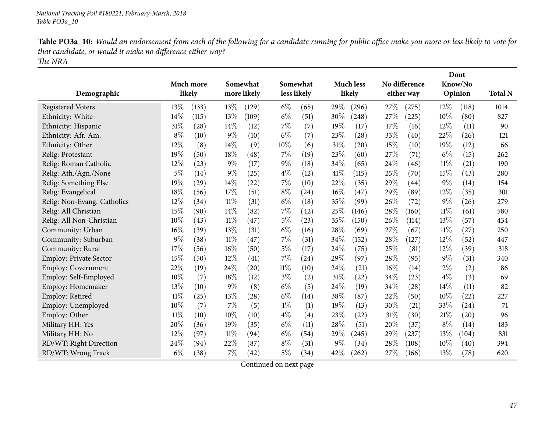| Table PO3a_10: Would an endorsement from each of the following for a candidate running for public office make you more or less likely to vote for |
|---------------------------------------------------------------------------------------------------------------------------------------------------|
| that candidate, or would it make no difference either way?                                                                                        |
| The NRA                                                                                                                                           |

|                               |        |           |        |                    |        |             |       |                    |     |               |        | Dont               |                |
|-------------------------------|--------|-----------|--------|--------------------|--------|-------------|-------|--------------------|-----|---------------|--------|--------------------|----------------|
|                               |        | Much more |        | Somewhat           |        | Somewhat    |       | <b>Much less</b>   |     | No difference |        | Know/No            |                |
| Demographic                   |        | likely    |        | more likely        |        | less likely |       | likely             |     | either way    |        | Opinion            | <b>Total N</b> |
| <b>Registered Voters</b>      | 13%    | (133)     | 13%    | (129)              | $6\%$  | (65)        | 29%   | (296)              | 27% | (275)         | 12%    | (118)              | 1014           |
| Ethnicity: White              | 14%    | (115)     | 13%    | (109)              | $6\%$  | (51)        | 30%   | (248)              | 27% | $^{'}225)$    | 10%    | (80)               | 827            |
| Ethnicity: Hispanic           | 31%    | (28)      | 14%    | (12)               | $7\%$  | (7)         | 19%   | (17)               | 17% | (16)          | 12%    | (11)               | 90             |
| Ethnicity: Afr. Am.           | $8\%$  | (10)      | $9\%$  | (10)               | $6\%$  | (7)         | 23%   | (28)               | 33% | (40)          | 22%    | (26)               | 121            |
| Ethnicity: Other              | 12%    | (8)       | 14\%   | (9)                | 10%    | (6)         | 31%   | (20)               | 15% | (10)          | 19%    | (12)               | 66             |
| Relig: Protestant             | 19%    | (50)      | 18%    | (48)               | 7%     | (19)        | 23%   | (60)               | 27% | (71)          | $6\%$  | (15)               | 262            |
| Relig: Roman Catholic         | 12%    | (23)      | $9\%$  | (17)               | $9\%$  | (18)        | 34%   | (65)               | 24% | (46)          | $11\%$ | (21)               | 190            |
| Relig: Ath./Agn./None         | 5%     | (14)      | $9\%$  | (25)               | $4\%$  | (12)        | 41\%  | (115)              | 25% | (70)          | 15%    | (43)               | 280            |
| Relig: Something Else         | 19%    | (29)      | 14%    | (22)               | $7\%$  | (10)        | 22%   | (35)               | 29% | (44)          | $9\%$  | (14)               | 154            |
| Relig: Evangelical            | 18%    | (56)      | 17%    | (51)               | $8\%$  | (24)        | 16%   | (47)               | 29% | (89)          | 12%    | (35)               | 301            |
| Relig: Non-Evang. Catholics   | 12%    | (34)      | $11\%$ | (31)               | $6\%$  | (18)        | 35%   | (99)               | 26% | (72)          | $9\%$  | (26)               | 279            |
| Relig: All Christian          | 15%    | (90)      | 14%    | (82)               | $7\%$  | (42)        | 25%   | (146)              | 28% | (160)         | $11\%$ | (61)               | 580            |
| Relig: All Non-Christian      | 10%    | (43)      | 11%    | (47)               | $5\%$  | (23)        | 35%   | (150)              | 26% | (114)         | 13%    | (57)               | 434            |
| Community: Urban              | 16%    | (39)      | 13%    | (31)               | $6\%$  | (16)        | 28%   | (69)               | 27% | (67)          | $11\%$ | (27)               | 250            |
| Community: Suburban           | 9%     | (38)      | $11\%$ | (47)               | 7%     | (31)        | 34%   | (152)              | 28% | (127)         | 12%    | (52)               | 447            |
| Community: Rural              | 17%    | (56)      | 16%    | (50)               | $5\%$  | (17)        | 24%   | (75)               | 25% | (81)          | 12%    | (39)               | 318            |
| <b>Employ: Private Sector</b> | 15%    | (50)      | 12%    | (41)               | $7\%$  | (24)        | 29%   | (97)               | 28% | (95)          | $9\%$  | (31)               | 340            |
| <b>Employ: Government</b>     | 22%    | (19)      | 24%    | (20)               | $11\%$ | (10)        | 24\%  | $\left( 21\right)$ | 16% | (14)          | $2\%$  | (2)                | 86             |
| Employ: Self-Employed         | 10%    | (7)       | 18%    | (12)               | $3\%$  | (2)         | 31%   | (22)               | 34% | (23)          | $4\%$  | (3)                | 69             |
| Employ: Homemaker             | 13%    | (10)      | $9\%$  | (8)                | $6\%$  | (5)         | 24\%  | (19)               | 34% | (28)          | 14\%   | (11)               | 82             |
| Employ: Retired               | $11\%$ | (25)      | 13%    | (28)               | $6\%$  | (14)        | 38%   | (87)               | 22% | (50)          | 10%    | (22)               | 227            |
| Employ: Unemployed            | 10%    | (7)       | 7%     | (5)                | $1\%$  | (1)         | 19%   | (13)               | 30% | (21)          | 33%    | (24)               | 71             |
| Employ: Other                 | $11\%$ | (10)      | 10%    | (10)               | $4\%$  | (4)         | 23%   | (22)               | 31% | (30)          | 21\%   | $\left( 20\right)$ | 96             |
| Military HH: Yes              | 20%    | (36)      | 19%    | (35)               | $6\%$  | (11)        | 28%   | (51)               | 20% | (37)          | $8\%$  | (14)               | 183            |
| Military HH: No               | 12%    | (97)      | $11\%$ | (94)               | $6\%$  | (54)        | 29%   | (245)              | 29% | (237)         | 13%    | (104)              | 831            |
| RD/WT: Right Direction        | 24%    | (94)      | 22%    | (87)               | $8\%$  | (31)        | $9\%$ | (34)               | 28% | (108)         | $10\%$ | (40)               | 394            |
| RD/WT: Wrong Track            | $6\%$  | (38)      | 7%     | $\left( 42\right)$ | 5%     | (34)        | 42%   | (262)              | 27% | (166)         | 13%    | (78)               | 620            |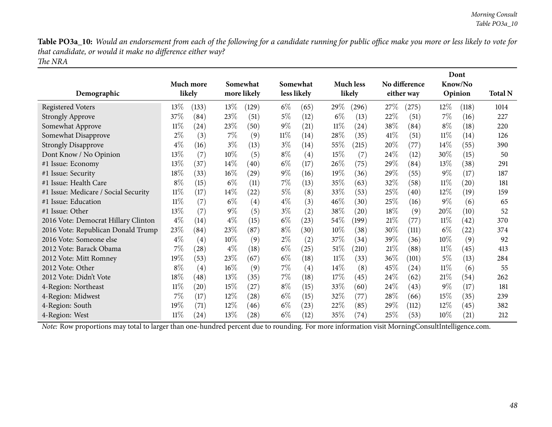Table PO3a\_10: Would an endorsement from each of the following for a candidate running for public office make you more or less likely to vote for *that candidate, or would it make no difference either way? The NRA*

| Demographic                          |        | Much more<br>likely | Somewhat<br>more likely |       |        | Somewhat<br>less likely |        | <b>Much less</b><br>likely |        | No difference<br>either way |        | Dont<br>Know/No<br>Opinion | <b>Total N</b> |
|--------------------------------------|--------|---------------------|-------------------------|-------|--------|-------------------------|--------|----------------------------|--------|-----------------------------|--------|----------------------------|----------------|
| <b>Registered Voters</b>             | $13\%$ | (133)               | $13\%$                  | (129) | $6\%$  | (65)                    | 29\%   | (296)                      | 27%    | (275)                       | 12\%   | (118)                      | 1014           |
| <b>Strongly Approve</b>              | 37\%   | (84)                | 23\%                    | (51)  | $5\%$  | (12)                    | $6\%$  | (13)                       | 22\%   | (51)                        | $7\%$  | (16)                       | 227            |
| Somewhat Approve                     | $11\%$ | (24)                | 23\%                    | (50)  | $9\%$  | (21)                    | $11\%$ | (24)                       | 38%    | (84)                        | $8\%$  | (18)                       | 220            |
| Somewhat Disapprove                  | $2\%$  | (3)                 | $7\%$                   | (9)   | $11\%$ | (14)                    | 28\%   | (35)                       | 41%    | (51)                        | $11\%$ | (14)                       | 126            |
| <b>Strongly Disapprove</b>           | $4\%$  | (16)                | $3\%$                   | (13)  | $3\%$  | (14)                    | $55\%$ | (215)                      | 20\%   | (77)                        | 14%    | (55)                       | 390            |
| Dont Know / No Opinion               | 13\%   | (7)                 | $10\%$                  | (5)   | $8\%$  | (4)                     | 15%    | (7)                        | 24%    | (12)                        | 30%    | (15)                       | 50             |
| #1 Issue: Economy                    | 13%    | (37)                | 14\%                    | (40)  | $6\%$  | (17)                    | 26\%   | (75)                       | 29\%   | (84)                        | 13\%   | (38)                       | 291            |
| #1 Issue: Security                   | 18%    | (33)                | $16\%$                  | (29)  | $9\%$  | (16)                    | $19\%$ | (36)                       | 29%    | (55)                        | $9\%$  | (17)                       | 187            |
| #1 Issue: Health Care                | $8\%$  | (15)                | $6\%$                   | (11)  | $7\%$  | (13)                    | 35\%   | (63)                       | 32%    | (58)                        | $11\%$ | $\left( 20\right)$         | 181            |
| #1 Issue: Medicare / Social Security | $11\%$ | (17)                | 14%                     | (22)  | $5\%$  | (8)                     | 33\%   | (53)                       | 25%    | (40)                        | 12%    | (19)                       | 159            |
| #1 Issue: Education                  | $11\%$ | (7)                 | $6\%$                   | (4)   | $4\%$  | (3)                     | $46\%$ | (30)                       | 25\%   | (16)                        | $9\%$  | (6)                        | 65             |
| #1 Issue: Other                      | 13%    | (7)                 | $9\%$                   | (5)   | $3\%$  | (2)                     | 38\%   | (20)                       | 18\%   | (9)                         | 20%    | (10)                       | 52             |
| 2016 Vote: Democrat Hillary Clinton  | $4\%$  | (14)                | $4\%$                   | (15)  | $6\%$  | (23)                    | $54\%$ | (199)                      | 21%    | (77)                        | $11\%$ | (42)                       | 370            |
| 2016 Vote: Republican Donald Trump   | 23%    | (84)                | 23%                     | (87)  | $8\%$  | (30)                    | $10\%$ | (38)                       | 30%    | (111)                       | $6\%$  | (22)                       | 374            |
| 2016 Vote: Someone else              | $4\%$  | (4)                 | $10\%$                  | (9)   | $2\%$  | (2)                     | 37\%   | (34)                       | 39\%   | (36)                        | $10\%$ | (9)                        | 92             |
| 2012 Vote: Barack Obama              | $7\%$  | (28)                | $4\%$                   | (18)  | $6\%$  | (25)                    | 51%    | (210)                      | 21%    | (88)                        | $11\%$ | (45)                       | 413            |
| 2012 Vote: Mitt Romney               | 19%    | (53)                | 23%                     | (67)  | $6\%$  | (18)                    | $11\%$ | (33)                       | 36\%   | (101)                       | $5\%$  | (13)                       | 284            |
| 2012 Vote: Other                     | $8\%$  | (4)                 | $16\%$                  | (9)   | $7\%$  | (4)                     | $14\%$ | (8)                        | 45\%   | (24)                        | $11\%$ | (6)                        | 55             |
| 2012 Vote: Didn't Vote               | 18%    | (48)                | 13%                     | (35)  | $7\%$  | (18)                    | 17%    | (45)                       | 24\%   | (62)                        | 21%    | (54)                       | 262            |
| 4-Region: Northeast                  | $11\%$ | (20)                | 15%                     | (27)  | $8\%$  | (15)                    | 33\%   | (60)                       | 24\%   | (43)                        | $9\%$  | (17)                       | 181            |
| 4-Region: Midwest                    | $7\%$  | (17)                | $12\%$                  | (28)  | $6\%$  | (15)                    | 32\%   | (77)                       | 28\%   | (66)                        | 15\%   | (35)                       | 239            |
| 4-Region: South                      | 19%    | (71)                | $12\%$                  | (46)  | $6\%$  | (23)                    | 22\%   | (85)                       | $29\%$ | (112)                       | $12\%$ | (45)                       | 382            |
| 4-Region: West                       | $11\%$ | $\left( 24\right)$  | 13%                     | (28)  | $6\%$  | (12)                    | 35\%   | (74)                       | 25%    | (53)                        | $10\%$ | (21)                       | 212            |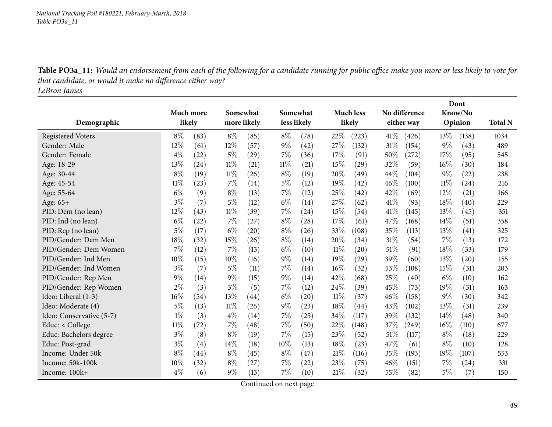Table PO3a\_11: Would an endorsement from each of the following for a candidate running for public office make you more or less likely to vote for *that candidate, or would it make no difference either way?*

*LeBron James*

|                          |                  |      |          |                    |             |          |        |                    |               | Dont       |         |         |                |
|--------------------------|------------------|------|----------|--------------------|-------------|----------|--------|--------------------|---------------|------------|---------|---------|----------------|
|                          | <b>Much more</b> |      | Somewhat |                    |             | Somewhat |        | <b>Much less</b>   | No difference |            | Know/No |         |                |
| Demographic              | likely           |      |          | more likely        | less likely |          |        | likely             |               | either way |         | Opinion | <b>Total N</b> |
| <b>Registered Voters</b> | $8\%$            | (83) | $8\%$    | (85)               | $8\%$       | (78)     | 22%    | (223)              | 41%           | (426)      | 13\%    | (138)   | 1034           |
| Gender: Male             | 12%              | (61) | 12%      | (57)               | $9\%$       | (42)     | 27%    | (132)              | 31%           | (154)      | $9\%$   | (43)    | 489            |
| Gender: Female           | $4\%$            | (22) | 5%       | $\left( 29\right)$ | $7\%$       | (36)     | 17%    | (91)               | 50%           | (272)      | 17%     | (95)    | 545            |
| Age: 18-29               | 13%              | (24) | $11\%$   | (21)               | $11\%$      | (21)     | 15%    | (29)               | 32%           | (59)       | $16\%$  | (30)    | 184            |
| Age: 30-44               | $8\%$            | (19) | $11\%$   | (26)               | $8\%$       | (19)     | 20%    | (49)               | 44%           | (104)      | $9\%$   | (22)    | 238            |
| Age: 45-54               | $11\%$           | (23) | $7\%$    | (14)               | $5\%$       | (12)     | 19%    | (42)               | 46%           | (100)      | $11\%$  | (24)    | 216            |
| Age: 55-64               | $6\%$            | (9)  | $8\%$    | (13)               | $7\%$       | (12)     | 25%    | (42)               | 42%           | (69)       | 12%     | (21)    | 166            |
| Age: 65+                 | $3\%$            | (7)  | $5\%$    | (12)               | $6\%$       | (14)     | 27%    | (62)               | 41\%          | (93)       | 18%     | (40)    | 229            |
| PID: Dem (no lean)       | 12%              | (43) | $11\%$   | (39)               | 7%          | (24)     | 15%    | (54)               | 41\%          | (145)      | 13%     | (45)    | 351            |
| PID: Ind (no lean)       | $6\%$            | (22) | $7\%$    | (27)               | $8\%$       | (28)     | 17%    | (61)               | 47\%          | (168)      | 14%     | (51)    | 358            |
| PID: Rep (no lean)       | 5%               | (17) | $6\%$    | (20)               | $8\%$       | (26)     | 33%    | (108)              | 35%           | (113)      | 13%     | (41)    | 325            |
| PID/Gender: Dem Men      | 18%              | (32) | 15%      | (26)               | $8\%$       | (14)     | 20%    | (34)               | 31%           | (54)       | 7%      | (13)    | 172            |
| PID/Gender: Dem Women    | 7%               | (12) | 7%       | (13)               | $6\%$       | (10)     | $11\%$ | (20)               | 51%           | (91)       | 18%     | (33)    | 179            |
| PID/Gender: Ind Men      | 10%              | (15) | 10%      | (16)               | $9\%$       | (14)     | 19%    | $\left( 29\right)$ | 39%           | (60)       | 13%     | (20)    | 155            |
| PID/Gender: Ind Women    | $3\%$            | (7)  | 5%       | (11)               | $7\%$       | (14)     | 16%    | (32)               | 53%           | (108)      | 15%     | (31)    | 203            |
| PID/Gender: Rep Men      | 9%               | (14) | $9\%$    | (15)               | $9\%$       | (14)     | 42\%   | (68)               | 25%           | (40)       | $6\%$   | (10)    | 162            |
| PID/Gender: Rep Women    | 2%               | (3)  | $3\%$    | (5)                | $7\%$       | (12)     | 24%    | (39)               | 45%           | (73)       | 19%     | (31)    | 163            |
| Ideo: Liberal (1-3)      | 16%              | (54) | 13%      | (44)               | $6\%$       | (20)     | $11\%$ | (37)               | 46%           | (158)      | $9\%$   | (30)    | 342            |
| Ideo: Moderate (4)       | 5%               | (13) | $11\%$   | (26)               | $9\%$       | (23)     | 18%    | (44)               | 43%           | (102)      | 13%     | (31)    | 239            |
| Ideo: Conservative (5-7) | $1\%$            | (3)  | $4\%$    | (14)               | $7\%$       | (25)     | 34%    | (117)              | 39%           | (132)      | 14%     | (48)    | 340            |
| Educ: < College          | $11\%$           | (72) | $7\%$    | (48)               | $7\%$       | (50)     | 22%    | (148)              | 37%           | (249)      | $16\%$  | (110)   | 677            |
| Educ: Bachelors degree   | $3\%$            | (8)  | $8\%$    | (19)               | 7%          | (15)     | 23%    | (52)               | 51%           | (117)      | $8\%$   | (18)    | 229            |
| Educ: Post-grad          | $3\%$            | (4)  | 14%      | (18)               | 10%         | (13)     | 18%    | (23)               | 47%           | (61)       | $8\%$   | (10)    | 128            |
| Income: Under 50k        | $8\%$            | (44) | $8\%$    | (45)               | $8\%$       | (47)     | 21%    | (116)              | 35%           | (193)      | 19%     | (107)   | 553            |
| Income: 50k-100k         | 10%              | (32) | $8\%$    | (27)               | $7\%$       | (22)     | 23%    | (75)               | 46%           | (151)      | 7%      | (24)    | 331            |
| Income: 100k+            | $4\%$            | (6)  | $9\%$    | (13)               | 7%          | (10)     | 21%    | (32)               | 55%           | (82)       | 5%      | (7)     | 150            |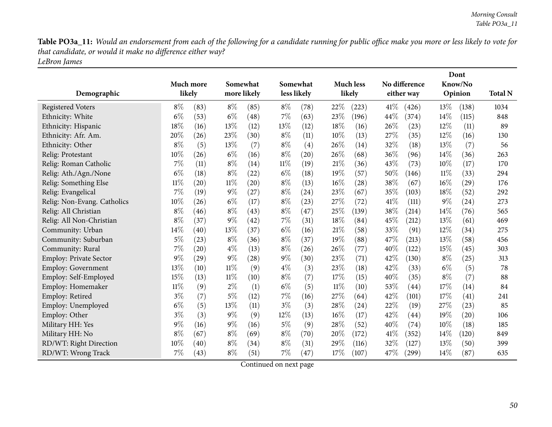Table PO3a\_11: Would an endorsement from each of the following for a candidate running for public office make you more or less likely to vote for *that candidate, or would it make no difference either way? LeBron James*

|                               |        | Much more<br>likely | Somewhat<br>more likely |      |       | Somewhat<br>less likely |        | <b>Much less</b><br>likely |      | No difference<br>either way |       | Dont<br>Know/No<br>Opinion | <b>Total N</b> |
|-------------------------------|--------|---------------------|-------------------------|------|-------|-------------------------|--------|----------------------------|------|-----------------------------|-------|----------------------------|----------------|
| Demographic                   |        |                     |                         |      |       |                         |        |                            |      |                             |       |                            |                |
| <b>Registered Voters</b>      | $8\%$  | (83)                | $8\%$                   | (85) | $8\%$ | (78)                    | 22%    | (223)                      | 41\% | (426)                       | 13%   | (138)                      | 1034           |
| Ethnicity: White              | $6\%$  | (53)                | $6\%$                   | (48) | $7\%$ | (63)                    | 23%    | (196)                      | 44\% | (374)                       | 14%   | (115)                      | 848            |
| Ethnicity: Hispanic           | 18%    | (16)                | 13%                     | (12) | 13%   | (12)                    | 18%    | (16)                       | 26%  | (23)                        | 12%   | (11)                       | 89             |
| Ethnicity: Afr. Am.           | 20%    | (26)                | 23%                     | (30) | $8\%$ | (11)                    | 10%    | (13)                       | 27%  | (35)                        | 12%   | (16)                       | 130            |
| Ethnicity: Other              | $8\%$  | (5)                 | 13%                     | (7)  | $8\%$ | (4)                     | 26%    | (14)                       | 32%  | (18)                        | 13%   | (7)                        | 56             |
| Relig: Protestant             | 10%    | (26)                | $6\%$                   | (16) | $8\%$ | (20)                    | 26%    | (68)                       | 36%  | (96)                        | 14%   | (36)                       | 263            |
| Relig: Roman Catholic         | $7\%$  | (11)                | $8\%$                   | (14) | 11%   | (19)                    | 21%    | (36)                       | 43%  | (73)                        | 10%   | (17)                       | 170            |
| Relig: Ath./Agn./None         | $6\%$  | (18)                | $8\%$                   | (22) | $6\%$ | (18)                    | 19%    | (57)                       | 50%  | (146)                       | 11%   | (33)                       | 294            |
| Relig: Something Else         | $11\%$ | (20)                | $11\%$                  | (20) | $8\%$ | (13)                    | 16%    | (28)                       | 38%  | (67)                        | 16%   | (29)                       | 176            |
| Relig: Evangelical            | $7\%$  | (19)                | $9\%$                   | (27) | $8\%$ | (24)                    | 23%    | (67)                       | 35%  | (103)                       | 18%   | (52)                       | 292            |
| Relig: Non-Evang. Catholics   | 10%    | (26)                | $6\%$                   | (17) | $8\%$ | (23)                    | 27\%   | (72)                       | 41\% | (111)                       | $9\%$ | (24)                       | 273            |
| Relig: All Christian          | $8\%$  | (46)                | $8\%$                   | (43) | $8\%$ | (47)                    | 25%    | (139)                      | 38%  | (214)                       | 14%   | (76)                       | 565            |
| Relig: All Non-Christian      | $8\%$  | (37)                | $9\%$                   | (42) | 7%    | (31)                    | 18%    | (84)                       | 45%  | (212)                       | 13%   | (61)                       | 469            |
| Community: Urban              | 14%    | (40)                | 13%                     | (37) | $6\%$ | (16)                    | 21%    | (58)                       | 33%  | (91)                        | 12%   | (34)                       | 275            |
| Community: Suburban           | $5\%$  | (23)                | $8\%$                   | (36) | $8\%$ | (37)                    | 19%    | (88)                       | 47%  | (213)                       | 13%   | (58)                       | 456            |
| Community: Rural              | 7%     | (20)                | $4\%$                   | (13) | $8\%$ | (26)                    | 26%    | (77)                       | 40%  | (122)                       | 15%   | (45)                       | 303            |
| <b>Employ: Private Sector</b> | $9\%$  | $\left( 29\right)$  | $9\%$                   | (28) | $9\%$ | (30)                    | 23%    | (71)                       | 42%  | (130)                       | $8\%$ | (25)                       | 313            |
| <b>Employ: Government</b>     | 13%    | (10)                | 11%                     | (9)  | $4\%$ | (3)                     | 23\%   | (18)                       | 42\% | (33)                        | $6\%$ | (5)                        | 78             |
| Employ: Self-Employed         | 15%    | (13)                | $11\%$                  | (10) | $8\%$ | (7)                     | 17%    | (15)                       | 40%  | (35)                        | $8\%$ | (7)                        | 88             |
| Employ: Homemaker             | $11\%$ | (9)                 | $2\%$                   | (1)  | $6\%$ | (5)                     | $11\%$ | (10)                       | 53%  | (44)                        | 17%   | (14)                       | 84             |
| Employ: Retired               | $3\%$  | (7)                 | $5\%$                   | (12) | 7%    | (16)                    | 27%    | (64)                       | 42%  | (101)                       | 17%   | (41)                       | 241            |
| Employ: Unemployed            | $6\%$  | (5)                 | 13%                     | (11) | $3\%$ | (3)                     | 28%    | (24)                       | 22%  | (19)                        | 27%   | (23)                       | 85             |
| Employ: Other                 | $3\%$  | (3)                 | $9\%$                   | (9)  | 12%   | (13)                    | 16%    | (17)                       | 42%  | (44)                        | 19%   | $\left( 20\right)$         | 106            |
| Military HH: Yes              | 9%     | (16)                | $9\%$                   | (16) | $5\%$ | (9)                     | 28%    | (52)                       | 40%  | (74)                        | 10%   | (18)                       | 185            |
| Military HH: No               | $8\%$  | (67)                | $8\%$                   | (69) | $8\%$ | (70)                    | 20%    | (172)                      | 41%  | (352)                       | 14%   | (120)                      | 849            |
| RD/WT: Right Direction        | 10%    | (40)                | $8\%$                   | (34) | $8\%$ | (31)                    | 29%    | (116)                      | 32%  | (127)                       | 13%   | (50)                       | 399            |
| RD/WT: Wrong Track            | $7\%$  | (43)                | $8\%$                   | (51) | $7\%$ | (47)                    | 17%    | (107)                      | 47%  | (299)                       | 14%   | (87)                       | 635            |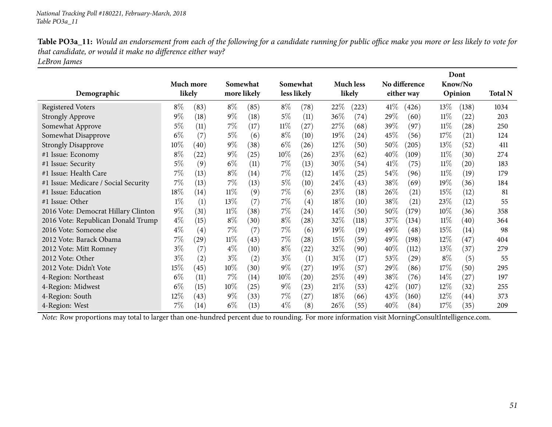| Table PO3a_11: Would an endorsement from each of the following for a candidate running for public office make you more or less likely to vote for |
|---------------------------------------------------------------------------------------------------------------------------------------------------|
| that candidate, or would it make no difference either way?                                                                                        |
| LeBron James                                                                                                                                      |

|                                      |           |        |        |                         |             |                    |        |                  |        |                    |                    | Dont  |                |
|--------------------------------------|-----------|--------|--------|-------------------------|-------------|--------------------|--------|------------------|--------|--------------------|--------------------|-------|----------------|
|                                      | Much more |        |        | Somewhat<br>more likely |             | Somewhat           |        | <b>Much less</b> |        | No difference      | Know/No<br>Opinion |       |                |
| Demographic                          |           | likely |        |                         | less likely |                    |        | likely           |        | either way         |                    |       | <b>Total N</b> |
| <b>Registered Voters</b>             | $8\%$     | (83)   | $8\%$  | (85)                    | $8\%$       | (78)               | 22\%   | (223)            | $41\%$ | (426)              | 13\%               | (138) | 1034           |
| <b>Strongly Approve</b>              | $9\%$     | (18)   | $9\%$  | (18)                    | $5\%$       | (11)               | 36\%   | (74)             | 29%    | (60)               | $11\%$             | (22)  | 203            |
| Somewhat Approve                     | 5%        | (11)   | $7\%$  | (17)                    | $11\%$      | (27)               | 27%    | (68)             | 39\%   | (97)               | $11\%$             | (28)  | 250            |
| Somewhat Disapprove                  | $6\%$     | (7)    | $5\%$  | (6)                     | $8\%$       | (10)               | $19\%$ | (24)             | 45\%   | (56)               | 17\%               | (21)  | 124            |
| <b>Strongly Disapprove</b>           | $10\%$    | (40)   | $9\%$  | (38)                    | $6\%$       | (26)               | $12\%$ | (50)             | $50\%$ | (205)              | $13\%$             | (52)  | 411            |
| #1 Issue: Economy                    | $8\%$     | (22)   | $9\%$  | (25)                    | $10\%$      | (26)               | 23%    | (62)             | 40\%   | (109)              | $11\%$             | (30)  | 274            |
| #1 Issue: Security                   | $5\%$     | (9)    | $6\%$  | (11)                    | $7\%$       | (13)               | 30\%   | (54)             | 41\%   | (75)               | $11\%$             | (20)  | 183            |
| #1 Issue: Health Care                | 7%        | (13)   | $8\%$  | (14)                    | $7\%$       | (12)               | $14\%$ | (25)             | $54\%$ | (96)               | $11\%$             | (19)  | 179            |
| #1 Issue: Medicare / Social Security | 7%        | (13)   | $7\%$  | (13)                    | $5\%$       | (10)               | 24\%   | (43)             | 38\%   | (69)               | 19%                | (36)  | 184            |
| #1 Issue: Education                  | 18%       | (14)   | $11\%$ | (9)                     | $7\%$       | (6)                | 23\%   | (18)             | $26\%$ | (21)               | 15%                | (12)  | 81             |
| #1 Issue: Other                      | $1\%$     | (1)    | 13%    | (7)                     | $7\%$       | (4)                | 18\%   | (10)             | 38\%   | (21)               | 23\%               | (12)  | 55             |
| 2016 Vote: Democrat Hillary Clinton  | $9\%$     | (31)   | $11\%$ | (38)                    | $7\%$       | (24)               | $14\%$ | (50)             | 50%    | (179)              | $10\%$             | (36)  | 358            |
| 2016 Vote: Republican Donald Trump   | $4\%$     | (15)   | $8\%$  | (30)                    | $8\%$       | (28)               | 32\%   | (118)            | 37\%   | (134)              | $11\%$             | (40)  | 364            |
| 2016 Vote: Someone else              | $4\%$     | (4)    | $7\%$  | (7)                     | $7\%$       | (6)                | $19\%$ | (19)             | 49%    | (48)               | 15\%               | (14)  | 98             |
| 2012 Vote: Barack Obama              | 7%        | (29)   | $11\%$ | (43)                    | $7\%$       | (28)               | 15%    | (59)             | 49\%   | (198)              | 12\%               | (47)  | 404            |
| 2012 Vote: Mitt Romney               | $3\%$     | (7)    | $4\%$  | (10)                    | $8\%$       | $\left( 22\right)$ | 32\%   | (90)             | 40\%   | (112)              | 13\%               | (37)  | 279            |
| 2012 Vote: Other                     | $3\%$     | (2)    | $3\%$  | (2)                     | $3\%$       | (1)                | $31\%$ | (17)             | 53\%   | $\left( 29\right)$ | $8\%$              | (5)   | 55             |
| 2012 Vote: Didn't Vote               | 15%       | (45)   | $10\%$ | (30)                    | $9\%$       | (27)               | $19\%$ | (57)             | 29%    | (86)               | 17\%               | (50)  | 295            |
| 4-Region: Northeast                  | $6\%$     | (11)   | $7\%$  | (14)                    | $10\%$      | $\left( 20\right)$ | 25%    | (49)             | 38\%   | (76)               | $14\%$             | (27)  | 197            |
| 4-Region: Midwest                    | $6\%$     | (15)   | $10\%$ | (25)                    | $9\%$       | (23)               | 21%    | (53)             | 42\%   | (107)              | $12\%$             | (32)  | 255            |
| 4-Region: South                      | 12\%      | (43)   | $9\%$  | (33)                    | $7\%$       | (27)               | 18\%   | (66)             | 43\%   | (160)              | 12\%               | (44)  | 373            |
| 4-Region: West                       | 7%        | (14)   | $6\%$  | (13)                    | $4\%$       | (8)                | $26\%$ | (55)             | 40\%   | (84)               | 17%                | (35)  | 209            |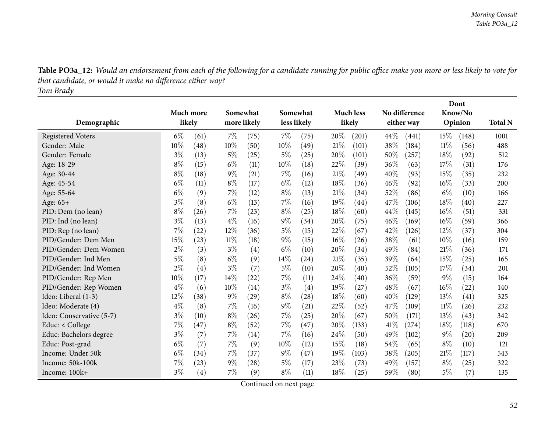| Table PO3a_12: Would an endorsement from each of the following for a candidate running for public office make you more or less likely to vote for |
|---------------------------------------------------------------------------------------------------------------------------------------------------|
| that candidate, or would it make no difference either way?                                                                                        |
| Tom Brady                                                                                                                                         |

|                          |       |                   |       |                    |        |             |        |                  |        | Dont          |         |                    |                |
|--------------------------|-------|-------------------|-------|--------------------|--------|-------------|--------|------------------|--------|---------------|---------|--------------------|----------------|
|                          |       | Much more         |       | Somewhat           |        | Somewhat    |        | <b>Much less</b> |        | No difference | Know/No |                    |                |
| Demographic              |       | likely            |       | more likely        |        | less likely |        | likely           |        | either way    |         | Opinion            | <b>Total N</b> |
| <b>Registered Voters</b> | $6\%$ | (61)              | 7%    | (75)               | $7\%$  | (75)        | 20%    | (201)            | 44%    | (441)         | 15\%    | (148)              | 1001           |
| Gender: Male             | 10%   | (48)              | 10%   | (50)               | $10\%$ | (49)        | 21%    | (101)            | 38\%   | (184)         | $11\%$  | (56)               | 488            |
| Gender: Female           | $3\%$ | (13)              | $5\%$ | (25)               | $5\%$  | $^{(25)}$   | 20%    | (101)            | 50%    | (257)         | 18%     | (92)               | 512            |
| Age: 18-29               | $8\%$ | (15)              | $6\%$ | (11)               | $10\%$ | (18)        | 22%    | (39)             | 36%    | (63)          | 17%     | (31)               | 176            |
| Age: 30-44               | $8\%$ | (18)              | $9\%$ | (21)               | 7%     | (16)        | 21%    | (49)             | 40%    | (93)          | 15%     | (35)               | 232            |
| Age: 45-54               | $6\%$ | (11)              | $8\%$ | (17)               | $6\%$  | (12)        | 18%    | (36)             | 46%    | (92)          | $16\%$  | (33)               | 200            |
| Age: 55-64               | $6\%$ | (9)               | 7%    | (12)               | $8\%$  | (13)        | 21%    | (34)             | 52%    | (86)          | $6\%$   | (10)               | 166            |
| Age: 65+                 | $3\%$ | (8)               | $6\%$ | (13)               | 7%     | (16)        | 19%    | (44)             | 47\%   | (106)         | 18%     | (40)               | 227            |
| PID: Dem (no lean)       | $8\%$ | (26)              | $7\%$ | (23)               | $8\%$  | (25)        | 18%    | (60)             | 44%    | (145)         | 16%     | (51)               | 331            |
| PID: Ind (no lean)       | $3\%$ | (13)              | $4\%$ | (16)               | $9\%$  | (34)        | 20%    | (75)             | 46%    | (169)         | 16%     | (59)               | 366            |
| PID: Rep (no lean)       | 7%    | (22)              | 12%   | (36)               | 5%     | (15)        | 22%    | (67)             | 42\%   | (126)         | 12%     | (37)               | 304            |
| PID/Gender: Dem Men      | 15%   | (23)              | 11%   | (18)               | $9\%$  | (15)        | $16\%$ | (26)             | 38\%   | (61)          | 10%     | (16)               | 159            |
| PID/Gender: Dem Women    | 2%    | (3)               | $3\%$ | (4)                | $6\%$  | (10)        | 20%    | (34)             | 49%    | (84)          | 21%     | (36)               | 171            |
| PID/Gender: Ind Men      | 5%    | (8)               | $6\%$ | (9)                | 14%    | (24)        | 21%    | (35)             | 39%    | (64)          | 15%     | (25)               | 165            |
| PID/Gender: Ind Women    | 2%    | (4)               | $3\%$ | (7)                | $5\%$  | (10)        | 20%    | (40)             | $52\%$ | (105)         | 17%     | (34)               | 201            |
| PID/Gender: Rep Men      | 10%   | (17)              | 14%   | (22)               | 7%     | (11)        | 24\%   | (40)             | 36\%   | (59)          | 9%      | (15)               | 164            |
| PID/Gender: Rep Women    | $4\%$ | (6)               | 10%   | (14)               | $3\%$  | (4)         | 19%    | (27)             | 48%    | (67)          | 16%     | (22)               | 140            |
| Ideo: Liberal (1-3)      | 12%   | (38)              | $9\%$ | (29)               | $8\%$  | (28)        | 18%    | (60)             | 40%    | (129)         | 13%     | (41)               | 325            |
| Ideo: Moderate (4)       | $4\%$ | (8)               | 7%    | (16)               | $9\%$  | (21)        | 22%    | (52)             | 47%    | (109)         | $11\%$  | (26)               | 232            |
| Ideo: Conservative (5-7) | $3\%$ | (10)              | $8\%$ | (26)               | 7%     | (25)        | 20%    | (67)             | 50%    | (171)         | 13%     | (43)               | 342            |
| Educ: < College          | 7%    | (47)              | $8\%$ | (52)               | $7\%$  | (47)        | 20%    | (133)            | 41\%   | (274)         | 18%     | (118)              | 670            |
| Educ: Bachelors degree   | $3\%$ | (7)               | 7%    | (14)               | 7%     | (16)        | 24\%   | (50)             | 49%    | (102)         | 9%      | $\left( 20\right)$ | 209            |
| Educ: Post-grad          | $6\%$ | (7)               | $7\%$ | (9)                | 10%    | (12)        | 15%    | (18)             | 54\%   | (65)          | $8\%$   | (10)               | 121            |
| Income: Under 50k        | $6\%$ | (34)              | 7%    | (37)               | $9\%$  | (47)        | 19%    | (103)            | 38%    | (205)         | 21%     | (117)              | 543            |
| Income: 50k-100k         | 7%    | (23)              | $9\%$ | $\left( 28\right)$ | 5%     | (17)        | 23\%   | (73)             | 49\%   | (157)         | $8\%$   | (25)               | 322            |
| Income: 100k+            | $3\%$ | $\left( 4\right)$ | 7%    | (9)                | $8\%$  | (11)        | 18%    | (25)             | 59%    | (80)          | 5%      | (7)                | 135            |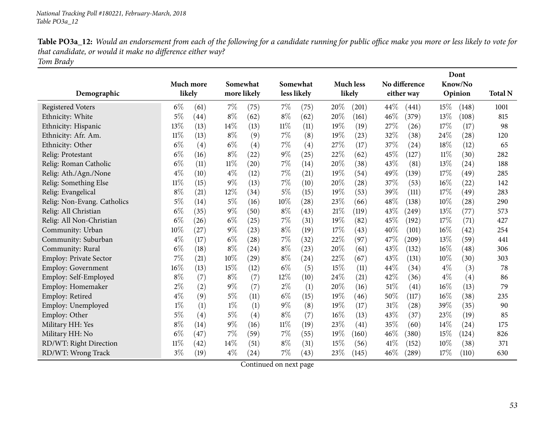| Table PO3a_12: Would an endorsement from each of the following for a candidate running for public office make you more or less likely to vote for |
|---------------------------------------------------------------------------------------------------------------------------------------------------|
| that candidate, or would it make no difference either way?                                                                                        |
| Tom Brady                                                                                                                                         |

|                               |           |        |             |          |        |             |      |                    |        |               |        | Dont    |                |
|-------------------------------|-----------|--------|-------------|----------|--------|-------------|------|--------------------|--------|---------------|--------|---------|----------------|
|                               | Much more |        |             | Somewhat |        | Somewhat    |      | <b>Much less</b>   |        | No difference |        | Know/No |                |
| Demographic                   |           | likely | more likely |          |        | less likely |      | likely             |        | either way    |        | Opinion | <b>Total N</b> |
| <b>Registered Voters</b>      | $6\%$     | (61)   | 7%          | (75)     | $7\%$  | (75)        | 20%  | (201)              | 44\%   | (441)         | 15%    | (148)   | 1001           |
| Ethnicity: White              | 5%        | (44)   | $8\%$       | (62)     | $8\%$  | (62)        | 20%  | (161)              | 46%    | (379)         | 13%    | (108)   | 815            |
| Ethnicity: Hispanic           | 13%       | (13)   | 14%         | (13)     | $11\%$ | (11)        | 19%  | (19)               | 27%    | (26)          | 17%    | (17)    | 98             |
| Ethnicity: Afr. Am.           | $11\%$    | (13)   | $8\%$       | (9)      | 7%     | (8)         | 19%  | (23)               | 32%    | (38)          | 24\%   | (28)    | 120            |
| Ethnicity: Other              | $6\%$     | (4)    | $6\%$       | (4)      | 7%     | (4)         | 27\% | (17)               | 37%    | (24)          | 18%    | (12)    | 65             |
| Relig: Protestant             | $6\%$     | (16)   | $8\%$       | (22)     | $9\%$  | (25)        | 22%  | (62)               | 45%    | (127)         | $11\%$ | (30)    | 282            |
| Relig: Roman Catholic         | $6\%$     | (11)   | $11\%$      | (20)     | $7\%$  | (14)        | 20%  | (38)               | 43%    | (81)          | 13%    | (24)    | 188            |
| Relig: Ath./Agn./None         | $4\%$     | (10)   | $4\%$       | (12)     | $7\%$  | (21)        | 19%  | (54)               | 49%    | (139)         | 17%    | (49)    | 285            |
| Relig: Something Else         | $11\%$    | (15)   | $9\%$       | (13)     | $7\%$  | (10)        | 20%  | (28)               | 37%    | (53)          | $16\%$ | (22)    | 142            |
| Relig: Evangelical            | $8\%$     | (21)   | 12%         | (34)     | $5\%$  | (15)        | 19%  | (53)               | 39%    | (111)         | 17%    | (49)    | 283            |
| Relig: Non-Evang. Catholics   | 5%        | (14)   | $5\%$       | (16)     | 10%    | (28)        | 23%  | (66)               | 48%    | (138)         | 10%    | (28)    | 290            |
| Relig: All Christian          | $6\%$     | (35)   | $9\%$       | (50)     | $8\%$  | (43)        | 21\% | (119)              | 43%    | (249)         | 13%    | (77)    | 573            |
| Relig: All Non-Christian      | $6\%$     | (26)   | $6\%$       | (25)     | $7\%$  | (31)        | 19%  | (82)               | 45%    | (192)         | 17%    | (71)    | 427            |
| Community: Urban              | 10%       | (27)   | $9\%$       | (23)     | $8\%$  | (19)        | 17%  | (43)               | 40%    | (101)         | 16%    | (42)    | 254            |
| Community: Suburban           | $4\%$     | (17)   | $6\%$       | (28)     | $7\%$  | (32)        | 22%  | (97)               | 47%    | (209)         | 13%    | (59)    | 441            |
| Community: Rural              | $6\%$     | (18)   | $8\%$       | (24)     | $8\%$  | (23)        | 20%  | (61)               | 43%    | (132)         | 16%    | (48)    | 306            |
| <b>Employ: Private Sector</b> | 7%        | (21)   | 10%         | (29)     | $8\%$  | (24)        | 22%  | (67)               | 43%    | (131)         | 10%    | (30)    | 303            |
| <b>Employ: Government</b>     | 16%       | (13)   | 15%         | (12)     | $6\%$  | (5)         | 15%  | (11)               | 44%    | (34)          | $4\%$  | (3)     | 78             |
| Employ: Self-Employed         | $8\%$     | (7)    | $8\%$       | (7)      | 12\%   | (10)        | 24\% | $\left( 21\right)$ | 42%    | (36)          | $4\%$  | (4)     | 86             |
| Employ: Homemaker             | 2%        | (2)    | $9\%$       | (7)      | $2\%$  | (1)         | 20%  | (16)               | 51%    | (41)          | 16%    | (13)    | 79             |
| Employ: Retired               | $4\%$     | (9)    | $5\%$       | (11)     | $6\%$  | (15)        | 19%  | (46)               | 50%    | (117)         | 16%    | (38)    | 235            |
| Employ: Unemployed            | $1\%$     | (1)    | $1\%$       | (1)      | $9\%$  | (8)         | 19%  | (17)               | 31%    | (28)          | 39%    | (35)    | 90             |
| Employ: Other                 | $5\%$     | (4)    | $5\%$       | (4)      | $8\%$  | (7)         | 16%  | (13)               | 43%    | (37)          | 23\%   | (19)    | 85             |
| Military HH: Yes              | $8\%$     | (14)   | $9\%$       | (16)     | $11\%$ | (19)        | 23%  | (41)               | 35%    | (60)          | 14%    | (24)    | 175            |
| Military HH: No               | $6\%$     | (47)   | 7%          | (59)     | 7%     | (55)        | 19%  | (160)              | 46%    | (380)         | 15%    | (124)   | 826            |
| RD/WT: Right Direction        | $11\%$    | (42)   | 14%         | (51)     | $8\%$  | (31)        | 15%  | (56)               | 41\%   | (152)         | 10%    | (38)    | 371            |
| RD/WT: Wrong Track            | $3\%$     | (19)   | $4\%$       | (24)     | $7\%$  | (43)        | 23%  | (145)              | $46\%$ | (289)         | 17%    | (110)   | 630            |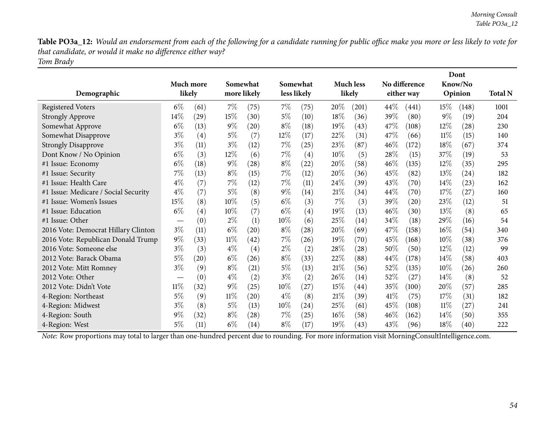Table PO3a\_12: Would an endorsement from each of the following for a candidate running for public office make you more or less likely to vote for *that candidate, or would it make no difference either way? Tom Brady*

| Demographic                          |                               | Much more<br>likely |        | Somewhat<br>more likely |        | Somewhat<br>less likely |        | <b>Much less</b><br>likely |        | No difference<br>either way |        | Dont<br>Know/No<br>Opinion | <b>Total N</b> |
|--------------------------------------|-------------------------------|---------------------|--------|-------------------------|--------|-------------------------|--------|----------------------------|--------|-----------------------------|--------|----------------------------|----------------|
| <b>Registered Voters</b>             | $6\%$                         | (61)                | 7%     | (75)                    | $7\%$  | (75)                    | 20%    | (201)                      | $44\%$ | (441)                       | 15\%   | (148)                      | 1001           |
| <b>Strongly Approve</b>              | $14\%$                        | (29)                | 15%    | (30)                    | 5%     | (10)                    | 18\%   | (36)                       | 39%    | (80)                        | $9\%$  | (19)                       | 204            |
| Somewhat Approve                     | $6\%$                         | (13)                | $9\%$  | (20)                    | $8\%$  | (18)                    | 19%    | (43)                       | 47\%   | (108)                       | 12%    | (28)                       | 230            |
| Somewhat Disapprove                  | $3\%$                         | (4)                 | $5\%$  | (7)                     | $12\%$ | (17)                    | 22%    | (31)                       | 47%    | (66)                        | $11\%$ | (15)                       | 140            |
| <b>Strongly Disapprove</b>           | $3\%$                         | (11)                | $3\%$  | (12)                    | $7\%$  | (25)                    | 23%    | (87)                       | 46%    | (172)                       | 18%    | (67)                       | 374            |
| Dont Know / No Opinion               | $6\%$                         | (3)                 | 12%    | (6)                     | $7\%$  | (4)                     | 10%    | (5)                        | 28%    | (15)                        | 37\%   | (19)                       | 53             |
| #1 Issue: Economy                    | $6\%$                         | (18)                | $9\%$  | (28)                    | $8\%$  | $^{(22)}$               | 20%    | (58)                       | $46\%$ | (135)                       | $12\%$ | (35)                       | 295            |
| #1 Issue: Security                   | 7%                            | (13)                | $8\%$  | (15)                    | $7\%$  | (12)                    | 20%    | (36)                       | 45\%   | (82)                        | 13\%   | (24)                       | 182            |
| #1 Issue: Health Care                | $4\%$                         | (7)                 | $7\%$  | (12)                    | $7\%$  | (11)                    | 24%    | (39)                       | 43\%   | (70)                        | 14%    | (23)                       | 162            |
| #1 Issue: Medicare / Social Security | $4\%$                         | (7)                 | $5\%$  | (8)                     | $9\%$  | (14)                    | 21%    | (34)                       | $44\%$ | (70)                        | 17%    | (27)                       | 160            |
| #1 Issue: Women's Issues             | 15%                           | (8)                 | 10%    | (5)                     | $6\%$  | (3)                     | 7%     | (3)                        | 39%    | $\left( 20\right)$          | 23%    | (12)                       | 51             |
| #1 Issue: Education                  | $6\%$                         | (4)                 | $10\%$ | (7)                     | $6\%$  | (4)                     | 19%    | (13)                       | $46\%$ | (30)                        | 13\%   | (8)                        | 65             |
| #1 Issue: Other                      |                               | (0)                 | $2\%$  | (1)                     | 10%    | (6)                     | 25%    | (14)                       | 34\%   | (18)                        | 29\%   | (16)                       | 54             |
| 2016 Vote: Democrat Hillary Clinton  | $3\%$                         | (11)                | $6\%$  | (20)                    | $8\%$  | (28)                    | 20%    | (69)                       | 47\%   | (158)                       | $16\%$ | (54)                       | 340            |
| 2016 Vote: Republican Donald Trump   | $9\%$                         | (33)                | $11\%$ | (42)                    | $7\%$  | (26)                    | 19%    | (70)                       | 45%    | (168)                       | $10\%$ | (38)                       | 376            |
| 2016 Vote: Someone else              | $3\%$                         | (3)                 | $4\%$  | (4)                     | $2\%$  | (2)                     | $28\%$ | (28)                       | 50\%   | (50)                        | 12%    | (12)                       | 99             |
| 2012 Vote: Barack Obama              | $5\%$                         | (20)                | $6\%$  | (26)                    | $8\%$  | (33)                    | 22\%   | (88)                       | 44\%   | (178)                       | $14\%$ | (58)                       | 403            |
| 2012 Vote: Mitt Romney               | $3\%$                         | (9)                 | $8\%$  | (21)                    | $5\%$  | (13)                    | $21\%$ | (56)                       | 52%    | (135)                       | $10\%$ | (26)                       | 260            |
| 2012 Vote: Other                     | $\overbrace{\phantom{aaaaa}}$ | (0)                 | $4\%$  | (2)                     | $3\%$  | (2)                     | 26%    | (14)                       | 52%    | (27)                        | 14%    | (8)                        | 52             |
| 2012 Vote: Didn't Vote               | $11\%$                        | (32)                | $9\%$  | (25)                    | $10\%$ | (27)                    | 15%    | (44)                       | 35\%   | (100)                       | 20%    | (57)                       | 285            |
| 4-Region: Northeast                  | $5\%$                         | (9)                 | $11\%$ | $\left( 20\right)$      | $4\%$  | (8)                     | 21%    | (39)                       | 41%    | (75)                        | 17%    | (31)                       | 182            |
| 4-Region: Midwest                    | $3\%$                         | (8)                 | $5\%$  | (13)                    | $10\%$ | (24)                    | 25\%   | (61)                       | 45%    | (108)                       | $11\%$ | (27)                       | 241            |
| 4-Region: South                      | $9\%$                         | (32)                | $8\%$  | (28)                    | $7\%$  | (25)                    | $16\%$ | (58)                       | $46\%$ | (162)                       | $14\%$ | (50)                       | 355            |
| 4-Region: West                       | 5%                            | (11)                | $6\%$  | (14)                    | $8\%$  | (17)                    | $19\%$ | (43)                       | 43%    | (96)                        | 18%    | (40)                       | 222            |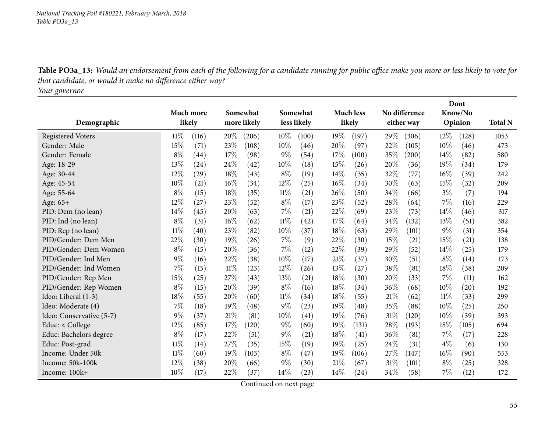Table PO3a\_13: Would an endorsement from each of the following for a candidate running for public office make you more or less likely to vote for *that candidate, or would it make no difference either way?*

*Your governor*

|                          |           |       |        |             |        | Dont               |      |                  |      |               |        |         |                |
|--------------------------|-----------|-------|--------|-------------|--------|--------------------|------|------------------|------|---------------|--------|---------|----------------|
|                          | Much more |       |        | Somewhat    |        | Somewhat           |      | <b>Much less</b> |      | No difference |        | Know/No |                |
| Demographic              | likely    |       |        | more likely |        | less likely        |      | likely           |      | either way    |        | Opinion | <b>Total N</b> |
| <b>Registered Voters</b> | $11\%$    | (116) | 20%    | (206)       | $10\%$ | (100)              | 19%  | (197)            | 29%  | (306)         | $12\%$ | (128)   | 1053           |
| Gender: Male             | 15%       | (71)  | 23%    | (108)       | 10%    | (46)               | 20%  | (97)             | 22%  | (105)         | 10%    | (46)    | 473            |
| Gender: Female           | $8\%$     | (44)  | 17%    | (98)        | $9\%$  | (54)               | 17%  | (100)            | 35%  | (200)         | 14%    | (82)    | 580            |
| Age: 18-29               | 13%       | (24)  | $24\%$ | (42)        | 10%    | (18)               | 15%  | (26)             | 20%  | (36)          | 19%    | (34)    | 179            |
| Age: 30-44               | 12%       | (29)  | 18%    | (43)        | $8\%$  | (19)               | 14\% | (35)             | 32%  | (77)          | 16%    | (39)    | 242            |
| Age: 45-54               | 10%       | (21)  | 16%    | (34)        | 12%    | (25)               | 16%  | (34)             | 30%  | (63)          | 15%    | (32)    | 209            |
| Age: 55-64               | $8\%$     | (15)  | 18%    | (35)        | $11\%$ | (21)               | 26\% | (50)             | 34%  | (66)          | $3\%$  | (7)     | 194            |
| Age: 65+                 | 12%       | (27)  | 23%    | (52)        | $8\%$  | (17)               | 23%  | (52)             | 28\% | (64)          | 7%     | (16)    | 229            |
| PID: Dem (no lean)       | 14%       | (45)  | 20%    | (63)        | 7%     | (21)               | 22%  | (69)             | 23%  | (73)          | 14%    | (46)    | 317            |
| PID: Ind (no lean)       | $8\%$     | (31)  | 16%    | (62)        | $11\%$ | $\left( 42\right)$ | 17%  | (64)             | 34\% | (132)         | 13%    | (51)    | 382            |
| PID: Rep (no lean)       | $11\%$    | (40)  | 23%    | (82)        | 10%    | (37)               | 18%  | (63)             | 29%  | (101)         | 9%     | (31)    | 354            |
| PID/Gender: Dem Men      | 22%       | (30)  | 19%    | (26)        | 7%     | (9)                | 22%  | (30)             | 15%  | (21)          | 15%    | (21)    | 138            |
| PID/Gender: Dem Women    | $8\%$     | (15)  | 20%    | (36)        | 7%     | (12)               | 22%  | (39)             | 29%  | (52)          | 14%    | (25)    | 179            |
| PID/Gender: Ind Men      | $9\%$     | (16)  | 22%    | (38)        | 10%    | (17)               | 21%  | (37)             | 30%  | (51)          | $8\%$  | (14)    | 173            |
| PID/Gender: Ind Women    | 7%        | (15)  | $11\%$ | (23)        | 12%    | (26)               | 13%  | (27)             | 38\% | (81)          | 18%    | (38)    | 209            |
| PID/Gender: Rep Men      | 15%       | (25)  | 27%    | (43)        | 13%    | (21)               | 18%  | (30)             | 20%  | (33)          | 7%     | (11)    | 162            |
| PID/Gender: Rep Women    | $8\%$     | (15)  | 20%    | (39)        | $8\%$  | (16)               | 18\% | (34)             | 36%  | (68)          | 10%    | (20)    | 192            |
| Ideo: Liberal (1-3)      | 18%       | (55)  | 20%    | (60)        | $11\%$ | (34)               | 18%  | (55)             | 21%  | (62)          | 11%    | (33)    | 299            |
| Ideo: Moderate (4)       | 7%        | (18)  | 19%    | (48)        | $9\%$  | (23)               | 19%  | (48)             | 35%  | (88)          | 10%    | (25)    | 250            |
| Ideo: Conservative (5-7) | $9\%$     | (37)  | 21%    | (81)        | $10\%$ | (41)               | 19%  | (76)             | 31%  | (120)         | 10%    | (39)    | 393            |
| Educ: < College          | 12%       | (85)  | 17%    | (120)       | $9\%$  | (60)               | 19%  | (131)            | 28\% | (193)         | 15%    | (105)   | 694            |
| Educ: Bachelors degree   | $8\%$     | (17)  | 22%    | (51)        | $9\%$  | (21)               | 18%  | (41)             | 36%  | (81)          | 7%     | (17)    | 228            |
| Educ: Post-grad          | $11\%$    | (14)  | 27%    | (35)        | 15%    | (19)               | 19%  | (25)             | 24\% | (31)          | $4\%$  | (6)     | 130            |
| Income: Under 50k        | $11\%$    | (60)  | 19%    | (103)       | $8\%$  | (47)               | 19%  | (106)            | 27%  | (147)         | 16%    | (90)    | 553            |
| Income: 50k-100k         | 12%       | (38)  | 20%    | (66)        | $9\%$  | (30)               | 21%  | (67)             | 31%  | (101)         | $8\%$  | (25)    | 328            |
| Income: 100k+            | 10%       | (17)  | 22%    | (37)        | 14%    | (23)               | 14%  | (24)             | 34%  | (58)          | 7%     | (12)    | 172            |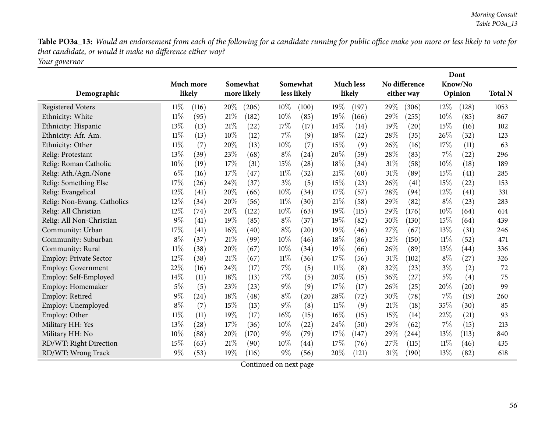Table PO3a\_13: Would an endorsement from each of the following for a candidate running for public office make you more or less likely to vote for *that candidate, or would it make no difference either way?*

*Your governor*

|                               |        |                    |     |             |        |                    |        |                  | Dont   |               |        |         |                |
|-------------------------------|--------|--------------------|-----|-------------|--------|--------------------|--------|------------------|--------|---------------|--------|---------|----------------|
|                               |        | Much more          |     | Somewhat    |        | Somewhat           |        | <b>Much less</b> |        | No difference |        | Know/No |                |
| Demographic                   |        | likely             |     | more likely |        | less likely        |        | likely           |        | either way    |        | Opinion | <b>Total N</b> |
| <b>Registered Voters</b>      | $11\%$ | (116)              | 20% | (206)       | $10\%$ | (100)              | 19%    | (197)            | 29%    | (306)         | $12\%$ | (128)   | 1053           |
| Ethnicity: White              | $11\%$ | (95)               | 21% | (182)       | 10%    | (85)               | 19%    | (166)            | 29%    | (255)         | 10%    | (85)    | 867            |
| Ethnicity: Hispanic           | 13%    | (13)               | 21% | (22)        | 17\%   | (17)               | 14\%   | (14)             | 19%    | (20)          | 15%    | (16)    | 102            |
| Ethnicity: Afr. Am.           | $11\%$ | (13)               | 10% | (12)        | $7\%$  | (9)                | 18%    | (22)             | 28%    | (35)          | 26%    | (32)    | 123            |
| Ethnicity: Other              | $11\%$ | (7)                | 20% | (13)        | 10%    | (7)                | 15%    | (9)              | 26\%   | (16)          | 17%    | (11)    | 63             |
| Relig: Protestant             | 13\%   | (39)               | 23% | (68)        | $8\%$  | $^{(24)}$          | 20%    | (59)             | 28\%   | (83)          | 7%     | (22)    | 296            |
| Relig: Roman Catholic         | $10\%$ | (19)               | 17% | (31)        | 15%    | (28)               | 18%    | (34)             | $31\%$ | (58)          | 10%    | (18)    | 189            |
| Relig: Ath./Agn./None         | $6\%$  | (16)               | 17% | (47)        | 11%    | (32)               | 21%    | (60)             | 31%    | (89)          | 15%    | (41)    | 285            |
| Relig: Something Else         | 17%    | (26)               | 24% | (37)        | $3\%$  | (5)                | 15%    | (23)             | 26\%   | (41)          | 15%    | (22)    | 153            |
| Relig: Evangelical            | 12%    | (41)               | 20% | (66)        | 10%    | (34)               | 17%    | (57)             | 28\%   | (94)          | 12%    | (41)    | 331            |
| Relig: Non-Evang. Catholics   | 12%    | (34)               | 20% | (56)        | 11%    | (30)               | 21%    | (58)             | 29%    | (82)          | $8\%$  | (23)    | 283            |
| Relig: All Christian          | 12%    | (74)               | 20% | (122)       | 10%    | (63)               | 19%    | (115)            | 29%    | (176)         | 10%    | (64)    | 614            |
| Relig: All Non-Christian      | $9\%$  | (41)               | 19% | (85)        | $8\%$  | (37)               | 19%    | (82)             | 30%    | (130)         | 15%    | (64)    | 439            |
| Community: Urban              | 17\%   | (41)               | 16% | (40)        | $8\%$  | (20)               | 19%    | (46)             | 27\%   | (67)          | 13%    | (31)    | 246            |
| Community: Suburban           | $8\%$  | (37)               | 21% | (99)        | 10%    | (46)               | 18%    | (86)             | 32%    | (150)         | 11%    | (52)    | 471            |
| Community: Rural              | $11\%$ | (38)               | 20% | (67)        | 10%    | (34)               | 19%    | (66)             | 26\%   | (89)          | 13%    | (44)    | 336            |
| <b>Employ: Private Sector</b> | 12%    | (38)               | 21% | (67)        | 11%    | (36)               | 17%    | (56)             | $31\%$ | (102)         | $8\%$  | (27)    | 326            |
| <b>Employ: Government</b>     | 22%    | (16)               | 24% | (17)        | $7\%$  | (5)                | $11\%$ | (8)              | 32%    | (23)          | $3\%$  | (2)     | 72             |
| Employ: Self-Employed         | $14\%$ | (11)               | 18% | (13)        | $7\%$  | (5)                | 20%    | (15)             | 36%    | (27)          | 5%     | (4)     | 75             |
| Employ: Homemaker             | $5\%$  | (5)                | 23% | (23)        | $9\%$  | (9)                | 17%    | (17)             | 26\%   | (25)          | 20%    | (20)    | 99             |
| Employ: Retired               | $9\%$  | $\left( 24\right)$ | 18% | (48)        | $8\%$  | $\left( 20\right)$ | 28%    | (72)             | 30%    | (78)          | 7%     | (19)    | 260            |
| Employ: Unemployed            | $8\%$  | (7)                | 15% | (13)        | $9\%$  | (8)                | 11%    | (9)              | 21%    | (18)          | 35%    | (30)    | 85             |
| Employ: Other                 | $11\%$ | (11)               | 19% | (17)        | $16\%$ | (15)               | 16%    | (15)             | 15%    | (14)          | 22\%   | (21)    | 93             |
| Military HH: Yes              | 13%    | (28)               | 17% | (36)        | 10%    | (22)               | 24\%   | (50)             | 29%    | (62)          | 7%     | (15)    | 213            |
| Military HH: No               | $10\%$ | (88)               | 20% | (170)       | $9\%$  | (79)               | 17%    | (147)            | 29%    | (244)         | 13%    | (113)   | 840            |
| RD/WT: Right Direction        | 15%    | (63)               | 21% | (90)        | 10%    | (44)               | 17%    | (76)             | 27%    | (115)         | 11%    | (46)    | 435            |
| RD/WT: Wrong Track            | $9\%$  | (53)               | 19% | (116)       | $9\%$  | (56)               | $20\%$ | (121)            | $31\%$ | (190)         | 13%    | (82)    | 618            |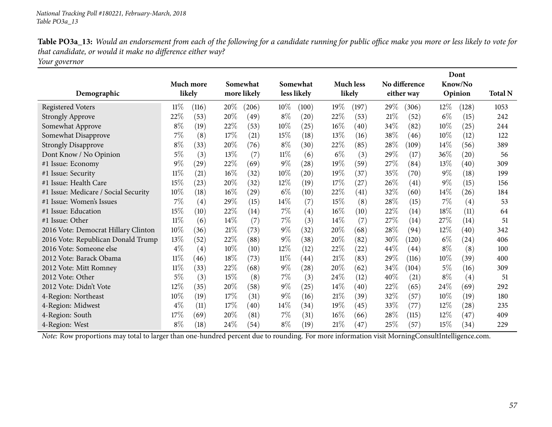| Table PO3a_13: Would an endorsement from each of the following for a candidate running for public office make you more or less likely to vote for |
|---------------------------------------------------------------------------------------------------------------------------------------------------|
| that candidate, or would it make no difference either way?                                                                                        |
| $\mathbf{Y}$ .                                                                                                                                    |

*Your governor*

|                                      |        |           |        |                    |        |                    |        |                    |        |               |        | Dont    |                |
|--------------------------------------|--------|-----------|--------|--------------------|--------|--------------------|--------|--------------------|--------|---------------|--------|---------|----------------|
|                                      |        | Much more |        | Somewhat           |        | Somewhat           |        | <b>Much less</b>   |        | No difference |        | Know/No |                |
| Demographic                          |        | likely    |        | more likely        |        | less likely        |        | likely             |        | either way    |        | Opinion | <b>Total N</b> |
| <b>Registered Voters</b>             | $11\%$ | (116)     | 20%    | (206)              | $10\%$ | (100)              | 19%    | (197)              | 29\%   | (306)         | 12\%   | (128)   | 1053           |
| <b>Strongly Approve</b>              | 22%    | (53)      | 20%    | (49)               | $8\%$  | $\left( 20\right)$ | 22%    | (53)               | 21%    | (52)          | $6\%$  | (15)    | 242            |
| Somewhat Approve                     | $8\%$  | (19)      | 22%    | (53)               | 10%    | (25)               | 16%    | (40)               | 34\%   | (82)          | 10%    | (25)    | 244            |
| Somewhat Disapprove                  | 7%     | (8)       | 17%    | (21)               | 15%    | (18)               | 13%    | (16)               | 38\%   | (46)          | 10%    | (12)    | 122            |
| <b>Strongly Disapprove</b>           | $8\%$  | (33)      | 20%    | (76)               | $8\%$  | (30)               | 22%    | (85)               | 28%    | (109)         | 14\%   | (56)    | 389            |
| Dont Know / No Opinion               | $5\%$  | (3)       | 13%    | (7)                | $11\%$ | (6)                | $6\%$  | (3)                | 29%    | (17)          | 36%    | (20)    | 56             |
| #1 Issue: Economy                    | 9%     | (29)      | 22%    | (69)               | $9\%$  | $\left( 28\right)$ | 19%    | (59)               | $27\%$ | (84)          | 13%    | (40)    | 309            |
| #1 Issue: Security                   | $11\%$ | (21)      | $16\%$ | (32)               | $10\%$ | $\left( 20\right)$ | 19%    | (37)               | 35\%   | (70)          | $9\%$  | (18)    | 199            |
| #1 Issue: Health Care                | 15%    | (23)      | 20%    | (32)               | $12\%$ | (19)               | 17%    | (27)               | 26\%   | (41)          | $9\%$  | (15)    | 156            |
| #1 Issue: Medicare / Social Security | 10%    | (18)      | $16\%$ | $\left( 29\right)$ | $6\%$  | (10)               | 22%    | $\left( 41\right)$ | 32\%   | (60)          | $14\%$ | (26)    | 184            |
| #1 Issue: Women's Issues             | 7%     | (4)       | 29%    | (15)               | $14\%$ | (7)                | 15%    | (8)                | 28\%   | (15)          | 7%     | (4)     | 53             |
| #1 Issue: Education                  | 15%    | (10)      | 22%    | (14)               | $7\%$  | (4)                | 16%    | $\left(10\right)$  | 22%    | (14)          | 18%    | (11)    | 64             |
| #1 Issue: Other                      | $11\%$ | (6)       | 14\%   | (7)                | $7\%$  | (3)                | 14\%   | (7)                | 27\%   | (14)          | 27\%   | (14)    | 51             |
| 2016 Vote: Democrat Hillary Clinton  | 10%    | (36)      | $21\%$ | (73)               | $9\%$  | (32)               | 20%    | (68)               | 28\%   | (94)          | 12%    | (40)    | 342            |
| 2016 Vote: Republican Donald Trump   | 13%    | (52)      | 22\%   | (88)               | $9\%$  | (38)               | 20%    | (82)               | 30%    | (120)         | $6\%$  | (24)    | 406            |
| 2016 Vote: Someone else              | $4\%$  | (4)       | $10\%$ | (10)               | $12\%$ | (12)               | 22%    | (22)               | 44\%   | (44)          | $8\%$  | (8)     | 100            |
| 2012 Vote: Barack Obama              | $11\%$ | (46)      | 18%    | (73)               | $11\%$ | (44)               | 21%    | (83)               | 29\%   | (116)         | $10\%$ | (39)    | 400            |
| 2012 Vote: Mitt Romney               | $11\%$ | (33)      | 22%    | (68)               | $9\%$  | (28)               | 20%    | (62)               | 34\%   | (104)         | 5%     | (16)    | 309            |
| 2012 Vote: Other                     | 5%     | (3)       | 15%    | (8)                | $7\%$  | (3)                | 24\%   | (12)               | 40%    | (21)          | $8\%$  | (4)     | 51             |
| 2012 Vote: Didn't Vote               | 12\%   | (35)      | 20%    | (58)               | $9\%$  | (25)               | $14\%$ | (40)               | 22\%   | (65)          | 24\%   | (69)    | 292            |
| 4-Region: Northeast                  | 10%    | (19)      | 17%    | (31)               | $9\%$  | (16)               | 21%    | (39)               | 32%    | (57)          | 10%    | (19)    | 180            |
| 4-Region: Midwest                    | $4\%$  | (11)      | 17%    | (40)               | $14\%$ | (34)               | 19%    | (45)               | 33\%   | (77)          | 12%    | (28)    | 235            |
| 4-Region: South                      | 17%    | (69)      | 20%    | (81)               | $7\%$  | (31)               | 16%    | (66)               | 28\%   | (115)         | 12%    | (47)    | 409            |
| 4-Region: West                       | $8\%$  | (18)      | 24\%   | (54)               | $8\%$  | (19)               | 21%    | (47)               | $25\%$ | (57)          | 15%    | (34)    | 229            |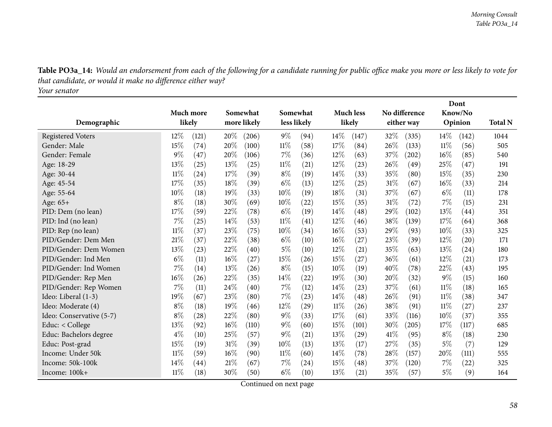Table PO3a\_14: Would an endorsement from each of the following for a candidate running for public office make you more or less likely to vote for *that candidate, or would it make no difference either way?*

*Your senator*

|                          |        |           |                      |             |        | Dont             |        |                    |      |                     |        |         |                |
|--------------------------|--------|-----------|----------------------|-------------|--------|------------------|--------|--------------------|------|---------------------|--------|---------|----------------|
|                          |        | Much more | Somewhat<br>Somewhat |             |        | <b>Much less</b> |        | No difference      |      | Know/No             |        |         |                |
| Demographic              |        | likely    |                      | more likely |        | less likely      |        | likely             |      | either way          |        | Opinion | <b>Total N</b> |
| <b>Registered Voters</b> | 12%    | (121)     | 20%                  | (206)       | $9\%$  | (94)             | 14\%   | (147)              | 32\% | (335)               | 14\%   | (142)   | 1044           |
| Gender: Male             | 15%    | (74)      | 20%                  | (100)       | $11\%$ | (58)             | 17%    | (84)               | 26%  | (133)               | 11%    | (56)    | 505            |
| Gender: Female           | $9\%$  | (47)      | 20%                  | (106)       | $7\%$  | (36)             | $12\%$ | (63)               | 37\% | $\left( 202\right)$ | 16%    | (85)    | 540            |
| Age: 18-29               | 13%    | (25)      | 13%                  | (25)        | $11\%$ | (21)             | $12\%$ | (23)               | 26%  | (49)                | 25%    | (47)    | 191            |
| Age: 30-44               | $11\%$ | (24)      | 17%                  | (39)        | $8\%$  | (19)             | 14\%   | (33)               | 35%  | (80)                | 15%    | (35)    | 230            |
| Age: 45-54               | 17%    | (35)      | 18%                  | (39)        | $6\%$  | (13)             | 12%    | (25)               | 31%  | (67)                | 16%    | (33)    | 214            |
| Age: 55-64               | 10%    | (18)      | 19%                  | (33)        | 10%    | (19)             | 18%    | (31)               | 37%  | (67)                | $6\%$  | (11)    | 178            |
| Age: 65+                 | $8\%$  | (18)      | 30%                  | (69)        | 10%    | (22)             | 15%    | (35)               | 31\% | (72)                | 7%     | (15)    | 231            |
| PID: Dem (no lean)       | 17%    | (59)      | 22%                  | (78)        | $6\%$  | (19)             | 14%    | (48)               | 29%  | (102)               | 13%    | (44)    | 351            |
| PID: Ind (no lean)       | 7%     | (25)      | 14%                  | (53)        | $11\%$ | (41)             | 12%    | (46)               | 38\% | (139)               | 17%    | (64)    | 368            |
| PID: Rep (no lean)       | $11\%$ | (37)      | 23%                  | (75)        | 10%    | (34)             | 16%    | (53)               | 29%  | (93)                | 10%    | (33)    | 325            |
| PID/Gender: Dem Men      | 21%    | (37)      | 22%                  | (38)        | $6\%$  | (10)             | 16%    | $\left( 27\right)$ | 23\% | (39)                | 12%    | (20)    | 171            |
| PID/Gender: Dem Women    | 13%    | (23)      | 22%                  | (40)        | $5\%$  | (10)             | 12%    | (21)               | 35%  | (63)                | 13%    | (24)    | 180            |
| PID/Gender: Ind Men      | $6\%$  | (11)      | 16%                  | (27)        | 15%    | (26)             | 15%    | $\left( 27\right)$ | 36%  | (61)                | 12%    | (21)    | 173            |
| PID/Gender: Ind Women    | 7%     | (14)      | 13%                  | (26)        | $8\%$  | (15)             | 10%    | (19)               | 40%  | (78)                | 22%    | (43)    | 195            |
| PID/Gender: Rep Men      | 16%    | (26)      | 22%                  | (35)        | $14\%$ | (22)             | 19%    | (30)               | 20%  | (32)                | $9\%$  | (15)    | 160            |
| PID/Gender: Rep Women    | 7%     | (11)      | 24%                  | (40)        | $7\%$  | (12)             | 14\%   | (23)               | 37\% | (61)                | $11\%$ | (18)    | 165            |
| Ideo: Liberal (1-3)      | 19%    | (67)      | 23%                  | (80)        | $7\%$  | (23)             | 14%    | (48)               | 26%  | (91)                | 11%    | (38)    | 347            |
| Ideo: Moderate (4)       | $8\%$  | (18)      | 19%                  | (46)        | $12\%$ | (29)             | $11\%$ | (26)               | 38\% | (91)                | 11%    | (27)    | 237            |
| Ideo: Conservative (5-7) | $8\%$  | (28)      | 22%                  | (80)        | $9\%$  | (33)             | 17%    | (61)               | 33%  | (116)               | 10%    | (37)    | 355            |
| Educ: < College          | 13%    | (92)      | 16%                  | (110)       | $9\%$  | (60)             | 15%    | (101)              | 30\% | (205)               | 17%    | (117)   | 685            |
| Educ: Bachelors degree   | $4\%$  | (10)      | 25%                  | (57)        | $9\%$  | (21)             | 13%    | (29)               | 41\% | (95)                | $8\%$  | (18)    | 230            |
| Educ: Post-grad          | 15%    | (19)      | 31%                  | (39)        | 10%    | (13)             | 13%    | (17)               | 27\% | (35)                | $5\%$  | (7)     | 129            |
| Income: Under 50k        | $11\%$ | (59)      | 16%                  | (90)        | $11\%$ | (60)             | 14%    | (78)               | 28%  | (157)               | 20%    | (111)   | 555            |
| Income: 50k-100k         | 14%    | (44)      | 21%                  | (67)        | $7\%$  | (24)             | 15%    | (48)               | 37%  | (120)               | 7%     | (22)    | 325            |
| Income: 100k+            | $11\%$ | (18)      | 30%                  | (50)        | $6\%$  | (10)             | 13%    | (21)               | 35%  | (57)                | $5\%$  | (9)     | 164            |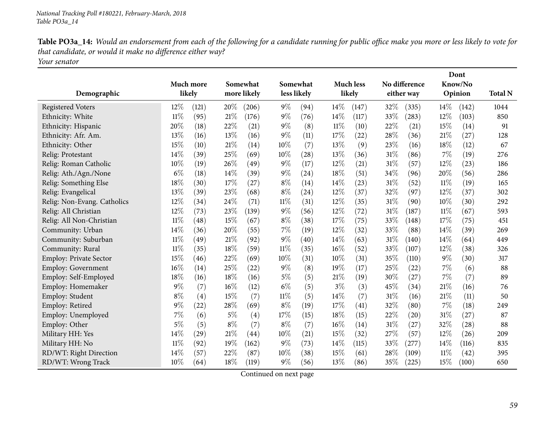| Table PO3a_14: Would an endorsement from each of the following for a candidate running for public office make you more or less likely to vote for |
|---------------------------------------------------------------------------------------------------------------------------------------------------|
| that candidate, or would it make no difference either way?                                                                                        |
| Your senator                                                                                                                                      |

|                             |                     |       |       | No difference<br>Somewhat<br><b>Much less</b> |        |             | Dont   |        |     |            |        |                    |                |
|-----------------------------|---------------------|-------|-------|-----------------------------------------------|--------|-------------|--------|--------|-----|------------|--------|--------------------|----------------|
| Demographic                 | Much more<br>likely |       |       | Somewhat<br>more likely                       |        | less likely |        | likely |     | either way |        | Know/No<br>Opinion | <b>Total N</b> |
|                             |                     |       |       |                                               |        |             |        |        |     |            |        |                    |                |
| <b>Registered Voters</b>    | $12\%$              | (121) | 20%   | (206)                                         | $9\%$  | (94)        | 14\%   | (147)  | 32% | (335)      | 14\%   | (142)              | 1044           |
| Ethnicity: White            | $11\%$              | (95)  | 21%   | (176)                                         | $9\%$  | (76)        | 14%    | (117)  | 33% | (283)      | 12%    | (103)              | 850            |
| Ethnicity: Hispanic         | 20%                 | (18)  | 22%   | (21)                                          | $9\%$  | (8)         | $11\%$ | (10)   | 22% | (21)       | 15%    | (14)               | 91             |
| Ethnicity: Afr. Am.         | 13%                 | (16)  | 13%   | (16)                                          | $9\%$  | (11)        | 17%    | (22)   | 28% | (36)       | 21%    | (27)               | 128            |
| Ethnicity: Other            | 15%                 | (10)  | 21%   | (14)                                          | 10%    | (7)         | 13%    | (9)    | 23% | (16)       | 18%    | (12)               | 67             |
| Relig: Protestant           | 14%                 | (39)  | 25%   | (69)                                          | 10%    | (28)        | 13%    | (36)   | 31% | (86)       | $7\%$  | (19)               | 276            |
| Relig: Roman Catholic       | 10%                 | (19)  | 26%   | (49)                                          | 9%     | (17)        | 12%    | (21)   | 31% | (57)       | 12%    | (23)               | 186            |
| Relig: Ath./Agn./None       | $6\%$               | (18)  | 14%   | (39)                                          | $9\%$  | (24)        | 18%    | (51)   | 34% | (96)       | 20%    | (56)               | 286            |
| Relig: Something Else       | 18%                 | (30)  | 17%   | (27)                                          | $8\%$  | (14)        | 14%    | (23)   | 31% | (52)       | $11\%$ | (19)               | 165            |
| Relig: Evangelical          | 13%                 | (39)  | 23%   | (68)                                          | $8\%$  | (24)        | 12%    | (37)   | 32% | (97)       | 12%    | (37)               | 302            |
| Relig: Non-Evang. Catholics | 12%                 | (34)  | 24%   | (71)                                          | $11\%$ | (31)        | 12%    | (35)   | 31% | (90)       | 10%    | (30)               | 292            |
| Relig: All Christian        | 12%                 | (73)  | 23%   | (139)                                         | $9\%$  | (56)        | 12%    | (72)   | 31% | (187)      | $11\%$ | (67)               | 593            |
| Relig: All Non-Christian    | $11\%$              | (48)  | 15%   | (67)                                          | $8\%$  | (38)        | 17%    | (75)   | 33% | (148)      | 17%    | (75)               | 451            |
| Community: Urban            | 14%                 | (36)  | 20%   | (55)                                          | $7\%$  | (19)        | 12%    | (32)   | 33% | (88)       | 14%    | (39)               | 269            |
| Community: Suburban         | $11\%$              | (49)  | 21%   | (92)                                          | $9\%$  | (40)        | 14%    | (63)   | 31% | (140)      | 14\%   | (64)               | 449            |
| Community: Rural            | $11\%$              | (35)  | 18%   | (59)                                          | $11\%$ | (35)        | 16%    | (52)   | 33% | (107)      | 12%    | (38)               | 326            |
| Employ: Private Sector      | 15%                 | (46)  | 22%   | (69)                                          | 10%    | (31)        | 10%    | (31)   | 35% | (110)      | $9\%$  | (30)               | 317            |
| Employ: Government          | 16%                 | (14)  | 25%   | (22)                                          | $9\%$  | (8)         | 19%    | (17)   | 25% | (22)       | $7\%$  | (6)                | 88             |
| Employ: Self-Employed       | 18%                 | (16)  | 18%   | (16)                                          | $5\%$  | (5)         | 21\%   | (19)   | 30% | (27)       | $7\%$  | (7)                | 89             |
| Employ: Homemaker           | 9%                  | (7)   | 16%   | (12)                                          | $6\%$  | (5)         | $3\%$  | (3)    | 45% | (34)       | 21%    | (16)               | 76             |
| Employ: Student             | $8\%$               | (4)   | 15%   | (7)                                           | $11\%$ | (5)         | 14\%   | (7)    | 31% | (16)       | 21%    | (11)               | 50             |
| Employ: Retired             | 9%                  | (22)  | 28%   | (69)                                          | $8\%$  | (19)        | 17%    | (41)   | 32% | (80)       | 7%     | (18)               | 249            |
| Employ: Unemployed          | 7%                  | (6)   | 5%    | (4)                                           | 17\%   | (15)        | 18%    | (15)   | 22% | (20)       | 31\%   | (27)               | 87             |
| Employ: Other               | 5%                  | (5)   | $8\%$ | (7)                                           | $8\%$  | (7)         | 16%    | (14)   | 31% | (27)       | 32%    | (28)               | 88             |
| Military HH: Yes            | 14%                 | (29)  | 21%   | (44)                                          | 10%    | (21)        | 15%    | (32)   | 27% | (57)       | 12%    | (26)               | 209            |
| Military HH: No             | $11\%$              | (92)  | 19%   | (162)                                         | $9\%$  | (73)        | 14\%   | (115)  | 33% | $^{'}277)$ | $14\%$ | (116)              | 835            |
| RD/WT: Right Direction      | 14%                 | (57)  | 22%   | (87)                                          | 10%    | (38)        | 15%    | (61)   | 28% | (109)      | 11%    | (42)               | 395            |
| RD/WT: Wrong Track          | 10%                 | (64)  | 18%   | (119)                                         | 9%     | (56)        | 13%    | (86)   | 35% | (225)      | 15%    | (100)              | 650            |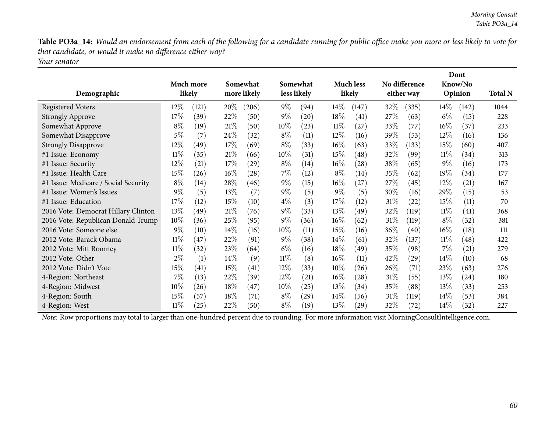Table PO3a\_14: Would an endorsement from each of the following for a candidate running for public office make you more or less likely to vote for *that candidate, or would it make no difference either way? Your senator*

| Demographic                          |        | Much more<br>likely | Somewhat<br>more likely |       |        | Somewhat<br>less likely |        | <b>Much less</b><br>likely |        | No difference<br>either way |        | Dont<br>Know/No<br>Opinion | <b>Total N</b> |
|--------------------------------------|--------|---------------------|-------------------------|-------|--------|-------------------------|--------|----------------------------|--------|-----------------------------|--------|----------------------------|----------------|
| <b>Registered Voters</b>             | $12\%$ | (121)               | 20%                     | (206) | $9\%$  | (94)                    | $14\%$ | (147)                      | 32\%   | (335)                       | $14\%$ | (142)                      | 1044           |
| <b>Strongly Approve</b>              | 17%    | (39)                | 22%                     | (50)  | $9\%$  | (20)                    | 18%    | (41)                       | 27\%   | (63)                        | $6\%$  | (15)                       | 228            |
| Somewhat Approve                     | $8\%$  | (19)                | 21%                     | (50)  | 10%    | (23)                    | $11\%$ | (27)                       | 33\%   | (77)                        | $16\%$ | (37)                       | 233            |
| Somewhat Disapprove                  | $5\%$  | (7)                 | 24\%                    | (32)  | $8\%$  | (11)                    | $12\%$ | (16)                       | 39%    | (53)                        | $12\%$ | (16)                       | 136            |
| <b>Strongly Disapprove</b>           | 12\%   | (49)                | 17\%                    | (69)  | $8\%$  | (33)                    | $16\%$ | (63)                       | 33\%   | (133)                       | 15\%   | (60)                       | 407            |
| #1 Issue: Economy                    | $11\%$ | (35)                | 21%                     | (66)  | 10%    | (31)                    | $15\%$ | (48)                       | 32\%   | (99)                        | $11\%$ | (34)                       | 313            |
| #1 Issue: Security                   | 12\%   | (21)                | 17\%                    | (29)  | $8\%$  | (14)                    | $16\%$ | (28)                       | 38\%   | (65)                        | $9\%$  | (16)                       | 173            |
| #1 Issue: Health Care                | 15%    | (26)                | $16\%$                  | (28)  | $7\%$  | (12)                    | $8\%$  | (14)                       | 35%    | (62)                        | 19%    | (34)                       | 177            |
| #1 Issue: Medicare / Social Security | $8\%$  | (14)                | 28\%                    | (46)  | $9\%$  | (15)                    | $16\%$ | (27)                       | 27%    | (45)                        | $12\%$ | (21)                       | 167            |
| #1 Issue: Women's Issues             | $9\%$  | (5)                 | 13%                     | (7)   | $9\%$  | (5)                     | $9\%$  | (5)                        | 30\%   | (16)                        | 29\%   | (15)                       | 53             |
| #1 Issue: Education                  | 17%    | (12)                | 15%                     | (10)  | $4\%$  | (3)                     | $17\%$ | (12)                       | 31%    | (22)                        | $15\%$ | (11)                       | 70             |
| 2016 Vote: Democrat Hillary Clinton  | 13\%   | (49)                | 21%                     | (76)  | $9\%$  | (33)                    | $13\%$ | (49)                       | 32%    | (119)                       | $11\%$ | (41)                       | 368            |
| 2016 Vote: Republican Donald Trump   | $10\%$ | (36)                | 25%                     | (95)  | $9\%$  | (36)                    | $16\%$ | (62)                       | 31%    | (119)                       | $8\%$  | (32)                       | 381            |
| 2016 Vote: Someone else              | $9\%$  | (10)                | $14\%$                  | (16)  | $10\%$ | (11)                    | $15\%$ | (16)                       | $36\%$ | (40)                        | $16\%$ | (18)                       | 111            |
| 2012 Vote: Barack Obama              | $11\%$ | (47)                | 22\%                    | (91)  | $9\%$  | (38)                    | $14\%$ | (61)                       | 32%    | (137)                       | $11\%$ | $\left( 48\right)$         | 422            |
| 2012 Vote: Mitt Romney               | $11\%$ | (32)                | 23\%                    | (64)  | $6\%$  | (16)                    | $18\%$ | (49)                       | 35%    | (98)                        | 7%     | (21)                       | 279            |
| 2012 Vote: Other                     | $2\%$  | (1)                 | $14\%$                  | (9)   | $11\%$ | (8)                     | $16\%$ | (11)                       | 42\%   | (29)                        | $14\%$ | (10)                       | 68             |
| 2012 Vote: Didn't Vote               | 15%    | (41)                | 15%                     | (41)  | $12\%$ | (33)                    | $10\%$ | (26)                       | $26\%$ | (71)                        | 23\%   | (63)                       | 276            |
| 4-Region: Northeast                  | $7\%$  | (13)                | 22\%                    | (39)  | $12\%$ | (21)                    | $16\%$ | (28)                       | $31\%$ | (55)                        | 13\%   | (24)                       | 180            |
| 4-Region: Midwest                    | $10\%$ | (26)                | 18%                     | (47)  | $10\%$ | (25)                    | $13\%$ | (34)                       | 35%    | (88)                        | 13\%   | (33)                       | 253            |
| 4-Region: South                      | 15\%   | (57)                | 18%                     | (71)  | $8\%$  | (29)                    | $14\%$ | (56)                       | 31%    | (119)                       | $14\%$ | (53)                       | 384            |
| 4-Region: West                       | $11\%$ | (25)                | 22\%                    | (50)  | $8\%$  | (19)                    | $13\%$ | (29)                       | 32\%   | (72)                        | $14\%$ | (32)                       | 227            |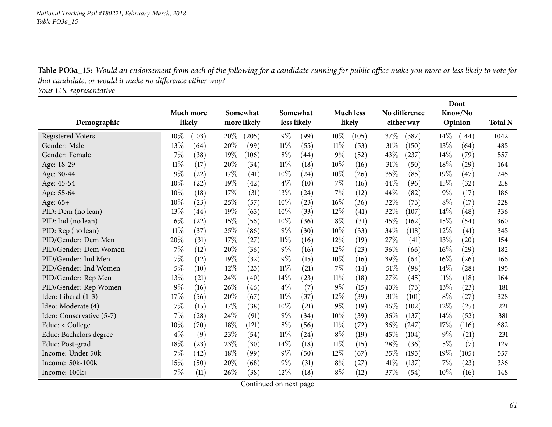Table PO3a\_15: Would an endorsement from each of the following for a candidate running for public office make you more or less likely to vote for *that candidate, or would it make no difference either way?*

*Your U.S. representative*

|                          |        |                  |                      |             |        |             | Dont             |        |               |            |         |         |                |
|--------------------------|--------|------------------|----------------------|-------------|--------|-------------|------------------|--------|---------------|------------|---------|---------|----------------|
|                          |        | <b>Much more</b> | Somewhat<br>Somewhat |             |        |             | <b>Much less</b> |        | No difference |            | Know/No |         |                |
| Demographic              |        | likely           |                      | more likely |        | less likely |                  | likely |               | either way |         | Opinion | <b>Total N</b> |
| <b>Registered Voters</b> | 10%    | (103)            | 20%                  | (205)       | $9\%$  | (99)        | 10%              | (105)  | 37%           | (387)      | $14\%$  | (144)   | 1042           |
| Gender: Male             | 13%    | (64)             | 20%                  | (99)        | $11\%$ | (55)        | $11\%$           | (53)   | 31%           | (150)      | 13%     | (64)    | 485            |
| Gender: Female           | 7%     | (38)             | 19%                  | (106)       | $8\%$  | (44)        | $9\%$            | (52)   | 43%           | (237)      | 14%     | (79)    | 557            |
| Age: 18-29               | $11\%$ | (17)             | 20%                  | (34)        | $11\%$ | (18)        | 10%              | (16)   | 31%           | (50)       | 18%     | (29)    | 164            |
| Age: 30-44               | 9%     | (22)             | 17%                  | (41)        | 10%    | (24)        | 10%              | (26)   | 35%           | (85)       | 19%     | (47)    | 245            |
| Age: 45-54               | 10%    | (22)             | 19%                  | (42)        | $4\%$  | (10)        | 7%               | (16)   | 44%           | (96)       | 15%     | (32)    | 218            |
| Age: 55-64               | 10%    | (18)             | 17%                  | (31)        | 13%    | (24)        | 7%               | (12)   | 44%           | (82)       | $9\%$   | (17)    | 186            |
| Age: 65+                 | 10%    | (23)             | 25%                  | (57)        | 10%    | (23)        | 16%              | (36)   | 32%           | (73)       | $8\%$   | (17)    | 228            |
| PID: Dem (no lean)       | 13%    | (44)             | 19%                  | (63)        | 10%    | (33)        | 12%              | (41)   | 32%           | (107)      | 14%     | (48)    | 336            |
| PID: Ind (no lean)       | $6\%$  | (22)             | 15%                  | (56)        | 10%    | (36)        | $8\%$            | (31)   | 45%           | (162)      | 15%     | (54)    | 360            |
| PID: Rep (no lean)       | $11\%$ | (37)             | 25%                  | (86)        | $9\%$  | (30)        | 10%              | (33)   | 34%           | (118)      | 12%     | (41)    | 345            |
| PID/Gender: Dem Men      | 20%    | (31)             | 17%                  | (27)        | 11%    | (16)        | 12%              | (19)   | 27\%          | (41)       | 13%     | (20)    | 154            |
| PID/Gender: Dem Women    | 7%     | (12)             | 20%                  | (36)        | $9\%$  | (16)        | 12%              | (23)   | 36\%          | (66)       | 16%     | (29)    | 182            |
| PID/Gender: Ind Men      | 7%     | (12)             | 19%                  | (32)        | $9\%$  | (15)        | 10%              | (16)   | 39%           | (64)       | 16%     | (26)    | 166            |
| PID/Gender: Ind Women    | 5%     | (10)             | 12%                  | (23)        | 11%    | (21)        | 7%               | (14)   | 51%           | (98)       | 14%     | (28)    | 195            |
| PID/Gender: Rep Men      | 13%    | (21)             | 24\%                 | (40)        | 14%    | (23)        | 11%              | (18)   | 27\%          | (45)       | 11%     | (18)    | 164            |
| PID/Gender: Rep Women    | 9%     | (16)             | 26%                  | (46)        | $4\%$  | (7)         | $9\%$            | (15)   | 40%           | (73)       | 13%     | (23)    | 181            |
| Ideo: Liberal (1-3)      | 17%    | (56)             | 20%                  | (67)        | 11%    | (37)        | 12%              | (39)   | 31%           | (101)      | $8\%$   | (27)    | 328            |
| Ideo: Moderate (4)       | 7%     | (15)             | 17%                  | (38)        | 10%    | (21)        | $9\%$            | (19)   | 46%           | (102)      | 12%     | (25)    | 221            |
| Ideo: Conservative (5-7) | 7%     | (28)             | 24\%                 | (91)        | $9\%$  | (34)        | 10%              | (39)   | 36%           | (137)      | 14%     | (52)    | 381            |
| Educ: < College          | 10%    | (70)             | 18%                  | (121)       | $8\%$  | (56)        | $11\%$           | (72)   | 36%           | (247)      | 17%     | (116)   | 682            |
| Educ: Bachelors degree   | $4\%$  | (9)              | 23%                  | (54)        | 11%    | (24)        | $8\%$            | (19)   | 45%           | (104)      | $9\%$   | (21)    | 231            |
| Educ: Post-grad          | 18%    | (23)             | 23%                  | (30)        | 14\%   | (18)        | $11\%$           | (15)   | 28%           | (36)       | $5\%$   | (7)     | 129            |
| Income: Under 50k        | 7%     | (42)             | 18%                  | (99)        | $9\%$  | (50)        | 12%              | (67)   | 35%           | (195)      | 19%     | (105)   | 557            |
| Income: 50k-100k         | 15%    | (50)             | 20%                  | (68)        | $9\%$  | (31)        | $8\%$            | (27)   | 41%           | (137)      | 7%      | (23)    | 336            |
| Income: 100k+            | 7%     | (11)             | 26%                  | (38)        | 12%    | (18)        | $8\%$            | (12)   | 37%           | (54)       | 10%     | (16)    | 148            |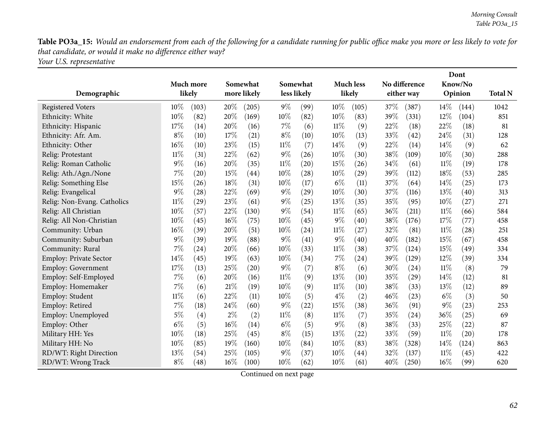Table PO3a\_15: Would an endorsement from each of the following for a candidate running for public office make you more or less likely to vote for *that candidate, or would it make no difference either way?*

*Your U.S. representative*

|                               |        |           |                      | Dont        |                  |             |               |                    |         |            |        |         |                |
|-------------------------------|--------|-----------|----------------------|-------------|------------------|-------------|---------------|--------------------|---------|------------|--------|---------|----------------|
|                               |        | Much more | Somewhat<br>Somewhat |             | <b>Much less</b> |             | No difference |                    | Know/No |            |        |         |                |
| Demographic                   |        | likely    |                      | more likely |                  | less likely |               | likely             |         | either way |        | Opinion | <b>Total N</b> |
| <b>Registered Voters</b>      | $10\%$ | (103)     | 20%                  | (205)       | $9\%$            | (99)        | 10%           | (105)              | 37\%    | (387)      | $14\%$ | (144)   | 1042           |
| Ethnicity: White              | 10%    | (82)      | 20%                  | (169)       | 10%              | (82)        | 10%           | (83)               | 39%     | (331)      | 12%    | (104)   | 851            |
| Ethnicity: Hispanic           | 17%    | (14)      | 20%                  | (16)        | $7\%$            | (6)         | 11%           | (9)                | 22%     | (18)       | 22%    | (18)    | 81             |
| Ethnicity: Afr. Am.           | $8\%$  | (10)      | 17%                  | (21)        | $8\%$            | (10)        | 10%           | (13)               | 33%     | (42)       | 24%    | (31)    | 128            |
| Ethnicity: Other              | 16%    | (10)      | 23%                  | (15)        | $11\%$           | (7)         | 14%           | (9)                | 22%     | (14)       | 14%    | (9)     | 62             |
| Relig: Protestant             | 11%    | (31)      | 22%                  | (62)        | $9\%$            | (26)        | 10%           | (30)               | 38\%    | (109)      | 10%    | (30)    | 288            |
| Relig: Roman Catholic         | 9%     | (16)      | 20%                  | (35)        | $11\%$           | (20)        | 15%           | (26)               | 34\%    | (61)       | $11\%$ | (19)    | 178            |
| Relig: Ath./Agn./None         | 7%     | (20)      | 15%                  | (44)        | 10%              | (28)        | 10%           | $\left( 29\right)$ | 39%     | (112)      | 18%    | (53)    | 285            |
| Relig: Something Else         | 15%    | (26)      | 18%                  | (31)        | 10%              | (17)        | $6\%$         | (11)               | 37%     | (64)       | 14%    | (25)    | 173            |
| Relig: Evangelical            | $9\%$  | (28)      | 22%                  | (69)        | $9\%$            | (29)        | 10%           | (30)               | 37%     | (116)      | 13%    | (40)    | 313            |
| Relig: Non-Evang. Catholics   | $11\%$ | (29)      | 23%                  | (61)        | $9\%$            | (25)        | 13%           | (35)               | 35%     | (95)       | 10%    | (27)    | 271            |
| Relig: All Christian          | 10%    | (57)      | 22%                  | (130)       | $9\%$            | (54)        | 11%           | (65)               | 36\%    | (211)      | $11\%$ | (66)    | 584            |
| Relig: All Non-Christian      | 10%    | (45)      | 16%                  | (75)        | 10%              | (45)        | $9\%$         | (40)               | 38%     | (176)      | 17%    | (77)    | 458            |
| Community: Urban              | 16%    | (39)      | 20%                  | (51)        | 10%              | (24)        | 11%           | (27)               | 32%     | (81)       | $11\%$ | (28)    | 251            |
| Community: Suburban           | 9%     | (39)      | 19%                  | (88)        | $9\%$            | (41)        | $9\%$         | (40)               | 40%     | (182)      | 15%    | (67)    | 458            |
| Community: Rural              | 7%     | (24)      | 20%                  | (66)        | 10%              | (33)        | $11\%$        | (38)               | 37%     | (124)      | 15%    | (49)    | 334            |
| <b>Employ: Private Sector</b> | 14%    | (45)      | 19%                  | (63)        | 10%              | (34)        | 7%            | (24)               | 39%     | (129)      | 12%    | (39)    | 334            |
| <b>Employ: Government</b>     | 17%    | (13)      | 25%                  | (20)        | $9\%$            | (7)         | $8\%$         | (6)                | 30%     | (24)       | 11%    | (8)     | 79             |
| Employ: Self-Employed         | 7%     | (6)       | 20%                  | (16)        | $11\%$           | (9)         | 13%           | (10)               | 35%     | (29)       | 14%    | (12)    | 81             |
| Employ: Homemaker             | 7%     | (6)       | 21%                  | (19)        | 10%              | (9)         | $11\%$        | (10)               | 38%     | (33)       | 13%    | (12)    | 89             |
| Employ: Student               | $11\%$ | (6)       | 22%                  | (11)        | 10%              | (5)         | $4\%$         | (2)                | 46%     | (23)       | $6\%$  | (3)     | 50             |
| Employ: Retired               | 7%     | (18)      | 24%                  | (60)        | $9\%$            | (22)        | 15%           | (38)               | 36%     | (91)       | 9%     | (23)    | 253            |
| Employ: Unemployed            | $5\%$  | (4)       | $2\%$                | (2)         | $11\%$           | (8)         | 11%           | (7)                | 35\%    | (24)       | 36%    | (25)    | 69             |
| Employ: Other                 | $6\%$  | (5)       | 16%                  | (14)        | $6\%$            | (5)         | $9\%$         | (8)                | 38%     | (33)       | 25%    | (22)    | 87             |
| Military HH: Yes              | 10%    | (18)      | 25%                  | (45)        | $8\%$            | (15)        | 13%           | (22)               | 33\%    | (59)       | $11\%$ | (20)    | 178            |
| Military HH: No               | 10%    | (85)      | 19%                  | (160)       | 10%              | (84)        | 10%           | (83)               | 38%     | (328)      | 14%    | (124)   | 863            |
| RD/WT: Right Direction        | 13%    | (54)      | 25%                  | (105)       | $9\%$            | (37)        | 10%           | (44)               | 32%     | (137)      | $11\%$ | (45)    | 422            |
| RD/WT: Wrong Track            | $8\%$  | (48)      | 16%                  | (100)       | 10%              | (62)        | 10%           | (61)               | 40%     | (250)      | 16%    | (99)    | 620            |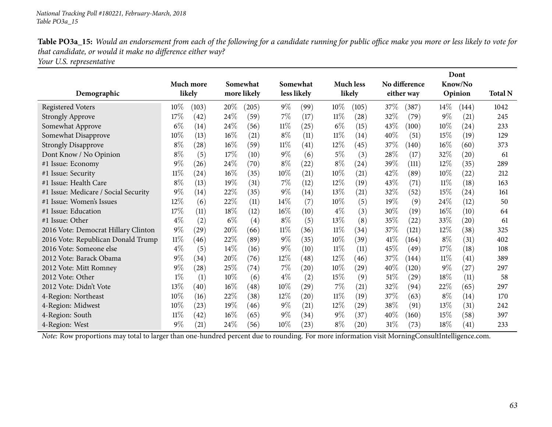Table PO3a\_15: Would an endorsement from each of the following for a candidate running for public office make you more or less likely to vote for *that candidate, or would it make no difference either way?*

*Your U.S. representative*

|                                      |        |                    |       |             |        |                    |        |                  |        |               |        | Dont               |                |
|--------------------------------------|--------|--------------------|-------|-------------|--------|--------------------|--------|------------------|--------|---------------|--------|--------------------|----------------|
|                                      |        | Much more          |       | Somewhat    |        | Somewhat           |        | <b>Much less</b> |        | No difference |        | Know/No            |                |
| Demographic                          |        | likely             |       | more likely |        | less likely        |        | likely           |        | either way    |        | Opinion            | <b>Total N</b> |
| <b>Registered Voters</b>             | $10\%$ | (103)              | 20%   | (205)       | $9\%$  | (99)               | $10\%$ | (105)            | 37\%   | (387)         | $14\%$ | (144)              | 1042           |
| <b>Strongly Approve</b>              | 17%    | (42)               | 24\%  | (59)        | $7\%$  | (17)               | $11\%$ | (28)             | 32%    | (79)          | $9\%$  | (21)               | 245            |
| Somewhat Approve                     | $6\%$  | (14)               | 24\%  | (56)        | $11\%$ | (25)               | $6\%$  | (15)             | 43\%   | (100)         | 10%    | $\left( 24\right)$ | 233            |
| Somewhat Disapprove                  | 10%    | (13)               | 16%   | (21)        | $8\%$  | (11)               | 11%    | (14)             | 40%    | (51)          | 15%    | (19)               | 129            |
| <b>Strongly Disapprove</b>           | $8\%$  | (28)               | 16%   | (59)        | $11\%$ | (41)               | $12\%$ | (45)             | 37\%   | (140)         | 16%    | (60)               | 373            |
| Dont Know / No Opinion               | $8\%$  | (5)                | 17%   | (10)        | $9\%$  | (6)                | 5%     | (3)              | 28%    | (17)          | 32%    | $\left( 20\right)$ | 61             |
| #1 Issue: Economy                    | $9\%$  | (26)               | 24\%  | (70)        | $8\%$  | (22)               | $8\%$  | $^{(24)}$        | 39%    | (111)         | 12%    | (35)               | 289            |
| #1 Issue: Security                   | $11\%$ | $\left( 24\right)$ | 16%   | (35)        | 10%    | (21)               | 10%    | (21)             | 42%    | (89)          | 10%    | (22)               | 212            |
| #1 Issue: Health Care                | $8\%$  | (13)               | 19%   | (31)        | $7\%$  | (12)               | $12\%$ | (19)             | 43%    | (71)          | $11\%$ | (18)               | 163            |
| #1 Issue: Medicare / Social Security | $9\%$  | (14)               | 22%   | (35)        | $9\%$  | (14)               | 13%    | (21)             | 32%    | (52)          | 15%    | (24)               | 161            |
| #1 Issue: Women's Issues             | 12%    | (6)                | 22%   | (11)        | 14\%   | (7)                | 10%    | (5)              | 19%    | (9)           | 24%    | (12)               | 50             |
| #1 Issue: Education                  | 17%    | (11)               | 18%   | (12)        | $16\%$ | (10)               | $4\%$  | (3)              | 30%    | (19)          | 16%    | (10)               | 64             |
| #1 Issue: Other                      | $4\%$  | (2)                | $6\%$ | (4)         | $8\%$  | (5)                | 13\%   | (8)              | 35\%   | (22)          | 33%    | $\left( 20\right)$ | 61             |
| 2016 Vote: Democrat Hillary Clinton  | $9\%$  | (29)               | 20%   | (66)        | $11\%$ | (36)               | $11\%$ | (34)             | 37%    | (121)         | 12%    | (38)               | 325            |
| 2016 Vote: Republican Donald Trump   | $11\%$ | (46)               | 22%   | (89)        | $9\%$  | (35)               | 10%    | (39)             | 41%    | (164)         | $8\%$  | (31)               | 402            |
| 2016 Vote: Someone else              | $4\%$  | (5)                | 14%   | (16)        | $9\%$  | (10)               | $11\%$ | (11)             | 45%    | (49)          | 17%    | (18)               | 108            |
| 2012 Vote: Barack Obama              | $9\%$  | (34)               | 20%   | (76)        | 12%    | (48)               | 12%    | (46)             | 37%    | (144)         | $11\%$ | (41)               | 389            |
| 2012 Vote: Mitt Romney               | 9%     | (28)               | 25%   | (74)        | $7\%$  | $\left( 20\right)$ | $10\%$ | (29)             | 40%    | (120)         | 9%     | (27)               | 297            |
| 2012 Vote: Other                     | $1\%$  | (1)                | 10%   | (6)         | $4\%$  | (2)                | 15%    | (9)              | $51\%$ | (29)          | 18%    | (11)               | 58             |
| 2012 Vote: Didn't Vote               | 13%    | (40)               | 16%   | (48)        | $10\%$ | (29)               | 7%     | (21)             | 32%    | (94)          | 22\%   | (65)               | 297            |
| 4-Region: Northeast                  | 10%    | (16)               | 22%   | (38)        | 12%    | $\left( 20\right)$ | $11\%$ | (19)             | 37%    | (63)          | $8\%$  | (14)               | 170            |
| 4-Region: Midwest                    | 10%    | (23)               | 19%   | (46)        | $9\%$  | (21)               | $12\%$ | (29)             | 38%    | (91)          | 13%    | (31)               | 242            |
| 4-Region: South                      | $11\%$ | (42)               | 16%   | (65)        | $9\%$  | (34)               | $9\%$  | (37)             | 40%    | (160)         | 15%    | (58)               | 397            |
| 4-Region: West                       | 9%     | (21)               | 24\%  | (56)        | $10\%$ | (23)               | $8\%$  | (20)             | 31%    | (73)          | 18%    | (41)               | 233            |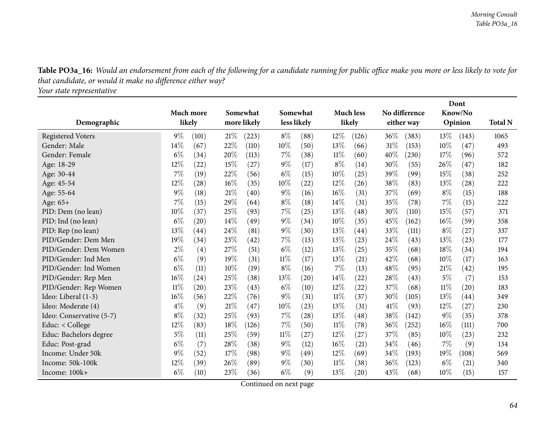Table PO3a\_16: Would an endorsement from each of the following for a candidate running for public office make you more or less likely to vote for *that candidate, or would it make no difference either way?*

*Your state representative*

|                          |           |       |        |             |        |                    | Dont   |                    |         |               |       |         |                |
|--------------------------|-----------|-------|--------|-------------|--------|--------------------|--------|--------------------|---------|---------------|-------|---------|----------------|
|                          | Much more |       |        | Somewhat    |        | Somewhat           |        | <b>Much less</b>   |         | No difference |       | Know/No |                |
| Demographic              | likely    |       |        | more likely |        | less likely        |        | likely             |         | either way    |       | Opinion | <b>Total N</b> |
| <b>Registered Voters</b> | $9\%$     | (101) | 21%    | (223)       | $8\%$  | (88)               | 12%    | (126)              | 36\%    | (383)         | 13\%  | (143)   | 1065           |
| Gender: Male             | 14%       | (67)  | 22%    | (110)       | 10%    | (50)               | 13%    | (66)               | 31%     | (153)         | 10%   | (47)    | 493            |
| Gender: Female           | $6\%$     | (34)  | 20%    | (113)       | 7%     | (38)               | 11%    | (60)               | 40%     | (230)         | 17\%  | (96)    | 572            |
| Age: 18-29               | 12%       | (22)  | 15%    | (27)        | $9\%$  | (17)               | $8\%$  | (14)               | 30%     | (55)          | 26%   | (47)    | 182            |
| Age: 30-44               | 7%        | (19)  | 22%    | (56)        | $6\%$  | (15)               | 10%    | (25)               | 39 $\%$ | (99)          | 15%   | (38)    | 252            |
| Age: 45-54               | 12%       | (28)  | 16%    | (35)        | $10\%$ | (22)               | 12%    | (26)               | 38\%    | (83)          | 13%   | (28)    | 222            |
| Age: 55-64               | $9\%$     | (18)  | 21%    | (40)        | $9\%$  | (16)               | $16\%$ | (31)               | 37%     | (69)          | $8\%$ | (15)    | 188            |
| Age: 65+                 | 7%        | (15)  | 29%    | (64)        | $8\%$  | (18)               | 14%    | (31)               | 35\%    | (78)          | 7%    | (15)    | 222            |
| PID: Dem (no lean)       | 10%       | (37)  | 25%    | (93)        | $7\%$  | (25)               | 13%    | (48)               | 30%     | (110)         | 15%   | (57)    | 371            |
| PID: Ind (no lean)       | $6\%$     | (20)  | $14\%$ | (49)        | $9\%$  | (34)               | 10%    | (35)               | 45%     | (162)         | 16%   | (59)    | 358            |
| PID: Rep (no lean)       | 13%       | (44)  | 24%    | (81)        | $9\%$  | (30)               | 13%    | (44)               | 33%     | (111)         | $8\%$ | (27)    | 337            |
| PID/Gender: Dem Men      | 19%       | (34)  | 23%    | (42)        | $7\%$  | (13)               | 13%    | (23)               | 24%     | (43)          | 13%   | (23)    | 177            |
| PID/Gender: Dem Women    | $2\%$     | (4)   | 27%    | (51)        | $6\%$  | (12)               | 13%    | (25)               | 35%     | (68)          | 18%   | (34)    | 194            |
| PID/Gender: Ind Men      | $6\%$     | (9)   | 19%    | (31)        | $11\%$ | (17)               | 13%    | (21)               | 42%     | (68)          | 10%   | (17)    | 163            |
| PID/Gender: Ind Women    | $6\%$     | (11)  | 10%    | (19)        | $8\%$  | (16)               | 7%     | (13)               | 48\%    | (95)          | 21%   | (42)    | 195            |
| PID/Gender: Rep Men      | 16%       | (24)  | 25%    | (38)        | 13%    | $\left( 20\right)$ | 14%    | (22)               | 28%     | (43)          | $5\%$ | (7)     | 153            |
| PID/Gender: Rep Women    | 11%       | (20)  | 23%    | (43)        | $6\%$  | (10)               | 12%    | (22)               | 37\%    | (68)          | 11%   | (20)    | 183            |
| Ideo: Liberal (1-3)      | 16%       | (56)  | 22%    | (76)        | $9\%$  | (31)               | 11%    | (37)               | 30%     | (105)         | 13%   | (44)    | 349            |
| Ideo: Moderate (4)       | $4\%$     | (9)   | 21%    | (47)        | 10%    | (23)               | 13%    | (31)               | 41\%    | (93)          | 12%   | (27)    | 230            |
| Ideo: Conservative (5-7) | $8\%$     | (32)  | 25%    | (93)        | $7\%$  | (28)               | 13%    | (48)               | 38\%    | (142)         | 9%    | (35)    | 378            |
| Educ: $<$ College        | 12%       | (83)  | $18\%$ | (126)       | $7\%$  | (50)               | 11%    | (78)               | 36%     | (252)         | 16%   | (111)   | 700            |
| Educ: Bachelors degree   | $5\%$     | (11)  | 25%    | (59)        | $11\%$ | (27)               | 12%    | (27)               | 37\%    | (85)          | 10%   | (23)    | 232            |
| Educ: Post-grad          | $6\%$     | (7)   | $28\%$ | (38)        | $9\%$  | (12)               | 16%    | $\left( 21\right)$ | $34\%$  | (46)          | 7%    | (9)     | 134            |
| Income: Under 50k        | 9%        | (52)  | 17%    | (98)        | $9\%$  | (49)               | 12%    | (69)               | 34%     | (193)         | 19%   | (108)   | 569            |
| Income: 50k-100k         | 12%       | (39)  | 26%    | (89)        | $9\%$  | (30)               | 11%    | (38)               | 36%     | (123)         | $6\%$ | (21)    | 340            |
| Income: 100k+            | $6\%$     | (10)  | 23%    | (36)        | $6\%$  | (9)                | 13%    | (20)               | 43%     | (68)          | 10%   | (15)    | 157            |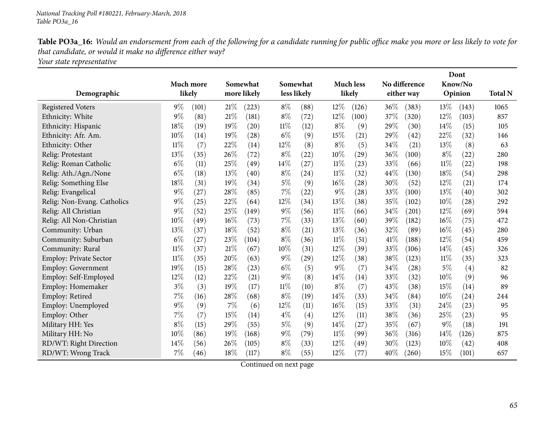Table PO3a\_16: Would an endorsement from each of the following for a candidate running for public office make you more or less likely to vote for *that candidate, or would it make no difference either way?*

*Your state representative*

|                               |        |           |        |             |        |                    |        |                    |        |               | Dont   |         |                |
|-------------------------------|--------|-----------|--------|-------------|--------|--------------------|--------|--------------------|--------|---------------|--------|---------|----------------|
|                               |        | Much more |        | Somewhat    |        | Somewhat           |        | <b>Much less</b>   |        | No difference |        | Know/No |                |
| Demographic                   |        | likely    |        | more likely |        | less likely        |        | likely             |        | either way    |        | Opinion | <b>Total N</b> |
| <b>Registered Voters</b>      | $9\%$  | (101)     | 21%    | (223)       | $8\%$  | (88)               | 12%    | (126)              | 36\%   | (383)         | 13%    | (143)   | 1065           |
| Ethnicity: White              | 9%     | (81)      | 21%    | (181)       | $8\%$  | (72)               | 12%    | (100)              | 37%    | (320)         | 12%    | (103)   | 857            |
| Ethnicity: Hispanic           | 18%    | (19)      | 19%    | (20)        | $11\%$ | (12)               | $8\%$  | (9)                | 29%    | (30)          | 14%    | (15)    | 105            |
| Ethnicity: Afr. Am.           | 10%    | (14)      | 19%    | (28)        | $6\%$  | (9)                | 15%    | (21)               | 29%    | (42)          | 22%    | (32)    | 146            |
| Ethnicity: Other              | $11\%$ | (7)       | 22%    | (14)        | $12\%$ | (8)                | $8\%$  | (5)                | 34\%   | (21)          | 13%    | (8)     | 63             |
| Relig: Protestant             | 13%    | (35)      | 26%    | (72)        | $8\%$  | (22)               | 10%    | $\left( 29\right)$ | 36%    | (100)         | $8\%$  | (22)    | 280            |
| Relig: Roman Catholic         | $6\%$  | (11)      | 25%    | (49)        | 14\%   | (27)               | 11%    | (23)               | 33%    | (66)          | $11\%$ | (22)    | 198            |
| Relig: Ath./Agn./None         | $6\%$  | (18)      | 13%    | (40)        | $8\%$  | $\left( 24\right)$ | 11%    | (32)               | 44\%   | (130)         | 18%    | (54)    | 298            |
| Relig: Something Else         | 18%    | (31)      | 19%    | (34)        | $5\%$  | (9)                | 16%    | $\left( 28\right)$ | 30%    | (52)          | 12%    | (21)    | 174            |
| Relig: Evangelical            | 9%     | (27)      | 28%    | (85)        | 7%     | (22)               | $9\%$  | (28)               | 33%    | (100)         | 13%    | (40)    | 302            |
| Relig: Non-Evang. Catholics   | 9%     | (25)      | 22%    | (64)        | 12%    | (34)               | 13%    | (38)               | 35%    | (102)         | 10%    | (28)    | 292            |
| Relig: All Christian          | 9%     | (52)      | 25%    | (149)       | $9\%$  | (56)               | $11\%$ | (66)               | 34%    | (201)         | 12%    | (69)    | 594            |
| Relig: All Non-Christian      | 10%    | (49)      | 16%    | (73)        | $7\%$  | (33)               | 13%    | (60)               | 39%    | (182)         | 16%    | (75)    | 472            |
| Community: Urban              | 13%    | (37)      | 18%    | (52)        | $8\%$  | (21)               | 13%    | (36)               | 32%    | (89)          | 16%    | (45)    | 280            |
| Community: Suburban           | $6\%$  | (27)      | 23%    | (104)       | $8\%$  | (36)               | 11%    | (51)               | 41\%   | (188)         | 12%    | (54)    | 459            |
| Community: Rural              | $11\%$ | (37)      | $21\%$ | (67)        | 10%    | (31)               | 12%    | (39)               | 33%    | (106)         | 14%    | (45)    | 326            |
| <b>Employ: Private Sector</b> | 11%    | (35)      | 20%    | (63)        | $9\%$  | (29)               | 12%    | (38)               | 38%    | (123)         | 11%    | (35)    | 323            |
| <b>Employ: Government</b>     | 19%    | (15)      | 28%    | (23)        | $6\%$  | (5)                | $9\%$  | (7)                | 34%    | (28)          | 5%     | (4)     | 82             |
| Employ: Self-Employed         | 12%    | (12)      | 22%    | (21)        | $9\%$  | (8)                | 14%    | (14)               | 33%    | (32)          | 10%    | (9)     | 96             |
| Employ: Homemaker             | $3\%$  | (3)       | 19%    | (17)        | $11\%$ | (10)               | $8\%$  | (7)                | 43%    | (38)          | 15%    | (14)    | 89             |
| Employ: Retired               | 7%     | (16)      | 28%    | (68)        | $8\%$  | (19)               | 14%    | (33)               | 34\%   | (84)          | 10%    | (24)    | 244            |
| Employ: Unemployed            | $9\%$  | (9)       | 7%     | (6)         | 12%    | (11)               | $16\%$ | (15)               | 33%    | (31)          | 24%    | (23)    | 95             |
| Employ: Other                 | 7%     | (7)       | 15%    | (14)        | $4\%$  | (4)                | 12%    | (11)               | 38%    | (36)          | 25%    | (23)    | 95             |
| Military HH: Yes              | 8%     | (15)      | 29%    | (55)        | $5\%$  | (9)                | 14%    | (27)               | 35%    | (67)          | $9\%$  | (18)    | 191            |
| Military HH: No               | 10%    | (86)      | $19\%$ | (168)       | $9\%$  | (79)               | 11%    | (99)               | 36\%   | (316)         | 14%    | (126)   | 875            |
| RD/WT: Right Direction        | 14%    | (56)      | 26%    | (105)       | $8\%$  | (33)               | 12%    | (49)               | 30%    | (123)         | 10%    | (42)    | 408            |
| RD/WT: Wrong Track            | 7%     | (46)      | 18%    | (117)       | $8\%$  | (55)               | 12%    | (77)               | $40\%$ | (260)         | 15%    | (101)   | 657            |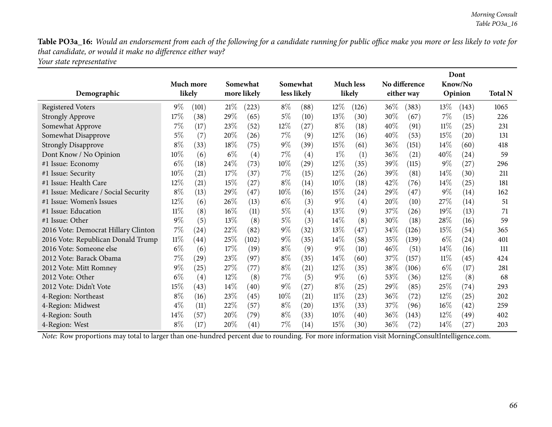Table PO3a\_16: Would an endorsement from each of the following for a candidate running for public office make you more or less likely to vote for *that candidate, or would it make no difference either way?*

*Your state representative*

|                                      |        |           |        |             |        |                   |        |                   |        |               | Dont   |         |                |  |
|--------------------------------------|--------|-----------|--------|-------------|--------|-------------------|--------|-------------------|--------|---------------|--------|---------|----------------|--|
|                                      |        | Much more |        | Somewhat    |        | Somewhat          |        | <b>Much less</b>  |        | No difference |        | Know/No |                |  |
| Demographic                          |        | likely    |        | more likely |        | less likely       |        | likely            |        | either way    |        | Opinion | <b>Total N</b> |  |
| <b>Registered Voters</b>             | $9\%$  | (101)     | 21%    | (223)       | $8\%$  | (88)              | $12\%$ | (126)             | $36\%$ | (383)         | $13\%$ | (143)   | 1065           |  |
| <b>Strongly Approve</b>              | 17%    | (38)      | 29%    | (65)        | $5\%$  | (10)              | 13\%   | (30)              | 30\%   | (67)          | $7\%$  | (15)    | 226            |  |
| Somewhat Approve                     | 7%     | (17)      | 23%    | (52)        | 12%    | (27)              | $8\%$  | (18)              | 40%    | (91)          | $11\%$ | (25)    | 231            |  |
| Somewhat Disapprove                  | 5%     | (7)       | 20%    | (26)        | $7\%$  | (9)               | 12%    | (16)              | $40\%$ | (53)          | 15%    | (20)    | 131            |  |
| <b>Strongly Disapprove</b>           | $8\%$  | (33)      | 18%    | (75)        | $9\%$  | (39)              | 15%    | (61)              | 36\%   | (151)         | $14\%$ | (60)    | 418            |  |
| Dont Know / No Opinion               | 10%    | (6)       | $6\%$  | (4)         | $7\%$  | $\left( 4\right)$ | $1\%$  | (1)               | 36%    | (21)          | 40%    | (24)    | 59             |  |
| #1 Issue: Economy                    | $6\%$  | (18)      | 24%    | (73)        | $10\%$ | (29)              | $12\%$ | (35)              | 39%    | (115)         | $9\%$  | (27)    | 296            |  |
| #1 Issue: Security                   | 10%    | (21)      | 17%    | (37)        | $7\%$  | (15)              | 12%    | (26)              | 39%    | (81)          | 14%    | (30)    | 211            |  |
| #1 Issue: Health Care                | 12%    | (21)      | 15%    | (27)        | $8\%$  | (14)              | 10%    | (18)              | 42\%   | (76)          | $14\%$ | (25)    | 181            |  |
| #1 Issue: Medicare / Social Security | $8\%$  | (13)      | 29%    | (47)        | 10%    | (16)              | 15%    | (24)              | 29%    | (47)          | $9\%$  | (14)    | 162            |  |
| #1 Issue: Women's Issues             | 12%    | (6)       | 26\%   | (13)        | $6\%$  | (3)               | $9\%$  | $\left( 4\right)$ | 20%    | (10)          | 27%    | (14)    | 51             |  |
| #1 Issue: Education                  | 11%    | (8)       | $16\%$ | (11)        | $5\%$  | $\left( 4\right)$ | 13%    | (9)               | 37%    | (26)          | 19%    | (13)    | 71             |  |
| #1 Issue: Other                      | $9\%$  | (5)       | 13\%   | (8)         | $5\%$  | (3)               | $14\%$ | (8)               | 30\%   | (18)          | $28\%$ | (16)    | 59             |  |
| 2016 Vote: Democrat Hillary Clinton  | 7%     | (24)      | 22%    | (82)        | $9\%$  | (32)              | 13%    | (47)              | 34%    | (126)         | 15%    | (54)    | 365            |  |
| 2016 Vote: Republican Donald Trump   | $11\%$ | (44)      | 25%    | (102)       | $9\%$  | (35)              | $14\%$ | (58)              | 35%    | (139)         | $6\%$  | (24)    | 401            |  |
| 2016 Vote: Someone else              | $6\%$  | (6)       | 17%    | (19)        | $8\%$  | (9)               | $9\%$  | $\left(10\right)$ | 46%    | (51)          | $14\%$ | (16)    | 111            |  |
| 2012 Vote: Barack Obama              | 7%     | (29)      | 23%    | (97)        | $8\%$  | (35)              | $14\%$ | (60)              | 37%    | (157)         | $11\%$ | (45)    | 424            |  |
| 2012 Vote: Mitt Romney               | $9\%$  | (25)      | 27%    | (77)        | $8\%$  | (21)              | $12\%$ | (35)              | 38%    | (106)         | $6\%$  | (17)    | 281            |  |
| 2012 Vote: Other                     | $6\%$  | (4)       | $12\%$ | (8)         | $7\%$  | (5)               | $9\%$  | (6)               | 53\%   | (36)          | $12\%$ | (8)     | 68             |  |
| 2012 Vote: Didn't Vote               | 15%    | (43)      | 14\%   | (40)        | $9\%$  | (27)              | $8\%$  | (25)              | 29%    | (85)          | 25%    | (74)    | 293            |  |
| 4-Region: Northeast                  | $8\%$  | (16)      | 23%    | (45)        | $10\%$ | (21)              | $11\%$ | (23)              | 36%    | (72)          | 12%    | (25)    | 202            |  |
| 4-Region: Midwest                    | $4\%$  | (11)      | 22\%   | (57)        | $8\%$  | (20)              | 13%    | (33)              | 37\%   | (96)          | $16\%$ | (42)    | 259            |  |
| 4-Region: South                      | 14\%   | (57)      | 20%    | (79)        | $8\%$  | (33)              | 10%    | (40)              | 36\%   | (143)         | $12\%$ | (49)    | 402            |  |
| 4-Region: West                       | $8\%$  | (17)      | 20%    | (41)        | $7\%$  | (14)              | 15%    | (30)              | $36\%$ | (72)          | $14\%$ | (27)    | 203            |  |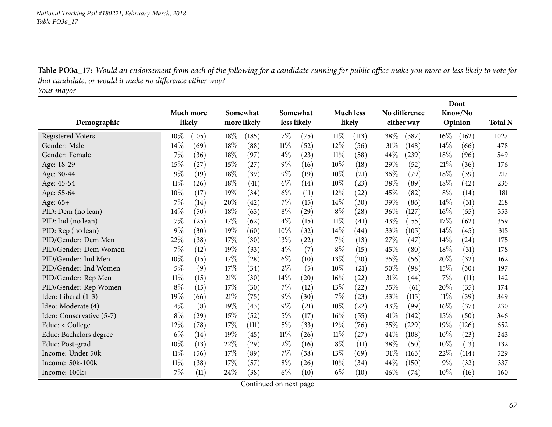Table PO3a\_17: Would an endorsement from each of the following for a candidate running for public office make you more or less likely to vote for *that candidate, or would it make no difference either way?*

*Your mayor*

|                          |        |           |        |             |        |                    |        |                    |        |                    |        | Dont    |                |
|--------------------------|--------|-----------|--------|-------------|--------|--------------------|--------|--------------------|--------|--------------------|--------|---------|----------------|
|                          |        | Much more |        | Somewhat    |        | Somewhat           |        | <b>Much less</b>   |        | No difference      |        | Know/No |                |
| Demographic              |        | likely    |        | more likely |        | less likely        |        | likely             |        | either way         |        | Opinion | <b>Total N</b> |
| <b>Registered Voters</b> | $10\%$ | (105)     | 18%    | (185)       | $7\%$  | (75)               | 11%    | (113)              | 38%    | (387)              | $16\%$ | (162)   | 1027           |
| Gender: Male             | 14%    | (69)      | 18%    | (88)        | $11\%$ | (52)               | 12%    | (56)               | 31%    | (148)              | 14%    | (66)    | 478            |
| Gender: Female           | 7%     | (36)      | 18%    | (97)        | $4\%$  | (23)               | 11%    | (58)               | 44\%   | (239)              | 18%    | (96)    | 549            |
| Age: 18-29               | 15%    | (27)      | 15%    | (27)        | $9\%$  | (16)               | $10\%$ | (18)               | 29%    | (52)               | 21%    | (36)    | 176            |
| Age: 30-44               | $9\%$  | (19)      | 18%    | (39)        | $9\%$  | (19)               | 10%    | $\left( 21\right)$ | $36\%$ | (79)               | 18%    | (39)    | 217            |
| Age: 45-54               | 11%    | (26)      | 18%    | (41)        | $6\%$  | (14)               | 10%    | (23)               | 38%    | (89)               | 18%    | (42)    | 235            |
| Age: 55-64               | 10%    | (17)      | 19%    | (34)        | $6\%$  | (11)               | 12%    | (22)               | 45%    | (82)               | $8\%$  | (14)    | 181            |
| Age: 65+                 | 7%     | (14)      | 20%    | (42)        | 7%     | (15)               | 14%    | (30)               | 39%    | (86)               | 14\%   | (31)    | 218            |
| PID: Dem (no lean)       | 14%    | (50)      | 18%    | (63)        | $8\%$  | (29)               | $8\%$  | (28)               | 36%    | (127)              | 16%    | (55)    | 353            |
| PID: Ind (no lean)       | 7%     | (25)      | 17%    | (62)        | $4\%$  | (15)               | 11%    | (41)               | 43%    | (155)              | 17%    | (62)    | 359            |
| PID: Rep (no lean)       | 9%     | (30)      | 19%    | (60)        | 10%    | (32)               | 14\%   | (44)               | 33%    | (105)              | 14%    | (45)    | 315            |
| PID/Gender: Dem Men      | 22%    | (38)      | 17%    | (30)        | $13\%$ | $\left( 22\right)$ | 7%     | (13)               | 27%    | (47)               | 14%    | (24)    | 175            |
| PID/Gender: Dem Women    | 7%     | (12)      | 19%    | (33)        | $4\%$  | (7)                | $8\%$  | (15)               | 45%    | (80)               | 18%    | (31)    | 178            |
| PID/Gender: Ind Men      | 10%    | (15)      | 17%    | (28)        | $6\%$  | (10)               | 13%    | (20)               | 35%    | (56)               | 20%    | (32)    | 162            |
| PID/Gender: Ind Women    | $5\%$  | (9)       | 17%    | (34)        | $2\%$  | (5)                | $10\%$ | (21)               | $50\%$ | (98)               | 15%    | (30)    | 197            |
| PID/Gender: Rep Men      | $11\%$ | (15)      | 21%    | (30)        | $14\%$ | (20)               | $16\%$ | $\left( 22\right)$ | $31\%$ | $\left( 44\right)$ | 7%     | (11)    | 142            |
| PID/Gender: Rep Women    | $8\%$  | (15)      | 17%    | (30)        | 7%     | (12)               | 13%    | (22)               | 35\%   | (61)               | 20%    | (35)    | 174            |
| Ideo: Liberal (1-3)      | 19%    | (66)      | 21%    | (75)        | $9\%$  | (30)               | 7%     | (23)               | 33%    | (115)              | 11%    | (39)    | 349            |
| Ideo: Moderate (4)       | $4\%$  | (8)       | 19%    | (43)        | $9\%$  | (21)               | 10%    | (22)               | 43%    | (99)               | 16%    | (37)    | 230            |
| Ideo: Conservative (5-7) | $8\%$  | (29)      | 15%    | (52)        | $5\%$  | (17)               | $16\%$ | (55)               | 41%    | (142)              | 15%    | (50)    | 346            |
| Educ: < College          | 12%    | (78)      | $17\%$ | (111)       | $5\%$  | (33)               | 12%    | (76)               | 35\%   | (229)              | 19%    | (126)   | 652            |
| Educ: Bachelors degree   | $6\%$  | (14)      | 19%    | (45)        | $11\%$ | (26)               | $11\%$ | (27)               | 44%    | (108)              | 10%    | (23)    | 243            |
| Educ: Post-grad          | 10%    | (13)      | 22%    | (29)        | $12\%$ | (16)               | $8\%$  | (11)               | 38%    | (50)               | 10%    | (13)    | 132            |
| Income: Under 50k        | $11\%$ | (56)      | 17%    | (89)        | $7\%$  | (38)               | 13%    | (69)               | 31%    | (163)              | 22%    | (114)   | 529            |
| Income: 50k-100k         | $11\%$ | (38)      | 17%    | (57)        | $8\%$  | (26)               | 10%    | (34)               | 44%    | (150)              | $9\%$  | (32)    | 337            |
| Income: 100k+            | 7%     | (11)      | 24%    | (38)        | $6\%$  | (10)               | $6\%$  | (10)               | 46%    | (74)               | 10%    | (16)    | 160            |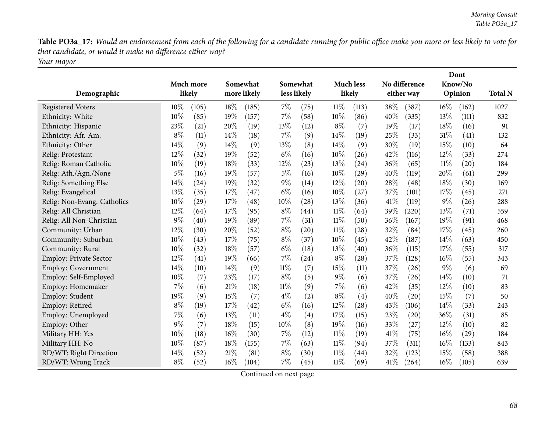Table PO3a\_17: Would an endorsement from each of the following for a candidate running for public office make you more or less likely to vote for *that candidate, or would it make no difference either way? Your mayor*

| Demographic                 |        | Much more<br>likely | Somewhat<br>more likely |       |        | Somewhat<br>less likely |        | <b>Much less</b><br>likely |      | No difference<br>either way |        | Dont<br>Know/No<br>Opinion | <b>Total N</b> |
|-----------------------------|--------|---------------------|-------------------------|-------|--------|-------------------------|--------|----------------------------|------|-----------------------------|--------|----------------------------|----------------|
| <b>Registered Voters</b>    | $10\%$ | (105)               | 18%                     | (185) | 7%     | (75)                    | $11\%$ | (113)                      | 38%  | (387)                       | $16\%$ | (162)                      | 1027           |
| Ethnicity: White            | 10%    | (85)                | 19%                     | (157) | 7%     | (58)                    | 10%    | (86)                       | 40%  | (335)                       | 13%    | (111)                      | 832            |
| Ethnicity: Hispanic         | 23%    | (21)                | 20%                     | (19)  | 13%    | (12)                    | $8\%$  | (7)                        | 19%  | (17)                        | 18%    | (16)                       | 91             |
| Ethnicity: Afr. Am.         | $8\%$  | (11)                | 14%                     | (18)  | 7%     | (9)                     | 14%    | (19)                       | 25%  | (33)                        | 31%    | (41)                       | 132            |
| Ethnicity: Other            | 14%    | (9)                 | 14%                     | (9)   | 13%    | (8)                     | 14%    | (9)                        | 30%  | (19)                        | 15%    | (10)                       | 64             |
| Relig: Protestant           | 12%    | (32)                | 19%                     | (52)  | $6\%$  | (16)                    | 10%    | (26)                       | 42\% | (116)                       | 12%    | (33)                       | 274            |
| Relig: Roman Catholic       | 10%    | (19)                | 18%                     | (33)  | 12%    | (23)                    | 13%    | (24)                       | 36%  | (65)                        | $11\%$ | (20)                       | 184            |
| Relig: Ath./Agn./None       | 5%     | (16)                | 19%                     | (57)  | $5\%$  | (16)                    | 10%    | (29)                       | 40%  | (119)                       | 20%    | (61)                       | 299            |
| Relig: Something Else       | 14%    | (24)                | 19%                     | (32)  | $9\%$  | (14)                    | 12%    | $\left( 20\right)$         | 28%  | (48)                        | 18%    | (30)                       | 169            |
| Relig: Evangelical          | 13%    | (35)                | 17%                     | (47)  | $6\%$  | (16)                    | 10%    | (27)                       | 37%  | (101)                       | 17%    | (45)                       | 271            |
| Relig: Non-Evang. Catholics | 10%    | (29)                | 17%                     | (48)  | 10%    | (28)                    | 13%    | (36)                       | 41%  | (119)                       | $9\%$  | (26)                       | 288            |
| Relig: All Christian        | 12%    | (64)                | 17%                     | (95)  | $8\%$  | (44)                    | $11\%$ | (64)                       | 39%  | (220)                       | 13%    | (71)                       | 559            |
| Relig: All Non-Christian    | $9\%$  | (40)                | 19%                     | (89)  | 7%     | (31)                    | $11\%$ | (50)                       | 36%  | (167)                       | 19%    | (91)                       | 468            |
| Community: Urban            | 12%    | (30)                | 20%                     | (52)  | $8\%$  | (20)                    | $11\%$ | (28)                       | 32%  | (84)                        | 17%    | (45)                       | 260            |
| Community: Suburban         | 10%    | (43)                | 17%                     | (75)  | $8\%$  | (37)                    | 10%    | (45)                       | 42%  | (187)                       | 14%    | (63)                       | 450            |
| Community: Rural            | 10%    | (32)                | 18%                     | (57)  | $6\%$  | (18)                    | 13%    | (40)                       | 36%  | (115)                       | 17%    | (55)                       | 317            |
| Employ: Private Sector      | 12%    | (41)                | 19%                     | (66)  | $7\%$  | (24)                    | $8\%$  | $\left( 28\right)$         | 37%  | (128)                       | $16\%$ | (55)                       | 343            |
| <b>Employ: Government</b>   | 14%    | (10)                | 14%                     | (9)   | $11\%$ | (7)                     | 15%    | (11)                       | 37%  | (26)                        | 9%     | (6)                        | 69             |
| Employ: Self-Employed       | 10%    | (7)                 | 23%                     | (17)  | $8\%$  | (5)                     | $9\%$  | (6)                        | 37%  | (26)                        | 14\%   | (10)                       | 71             |
| Employ: Homemaker           | 7%     | (6)                 | 21%                     | (18)  | $11\%$ | (9)                     | 7%     | (6)                        | 42%  | (35)                        | 12%    | (10)                       | 83             |
| Employ: Student             | 19%    | (9)                 | 15%                     | (7)   | $4\%$  | (2)                     | $8\%$  | (4)                        | 40%  | (20)                        | 15%    | (7)                        | 50             |
| Employ: Retired             | $8\%$  | (19)                | 17%                     | (42)  | $6\%$  | (16)                    | 12%    | $\left( 28\right)$         | 43%  | (106)                       | 14%    | (33)                       | 243            |
| Employ: Unemployed          | 7%     | (6)                 | 13%                     | (11)  | $4\%$  | (4)                     | 17%    | (15)                       | 23%  | $\left( 20\right)$          | 36%    | (31)                       | 85             |
| Employ: Other               | 9%     | (7)                 | 18%                     | (15)  | 10%    | (8)                     | 19%    | (16)                       | 33%  | (27)                        | 12%    | (10)                       | 82             |
| Military HH: Yes            | 10%    | (18)                | 16%                     | (30)  | $7\%$  | (12)                    | $11\%$ | (19)                       | 41%  | (75)                        | 16%    | (29)                       | 184            |
| Military HH: No             | 10%    | (87)                | 18%                     | (155) | 7%     | (63)                    | $11\%$ | (94)                       | 37%  | (311)                       | $16\%$ | (133)                      | 843            |
| RD/WT: Right Direction      | 14%    | (52)                | 21%                     | (81)  | $8\%$  | (30)                    | 11%    | (44)                       | 32%  | (123)                       | 15%    | (58)                       | 388            |
| RD/WT: Wrong Track          | $8\%$  | (52)                | 16%                     | (104) | 7%     | (45)                    | $11\%$ | (69)                       | 41\% | (264)                       | 16%    | (105)                      | 639            |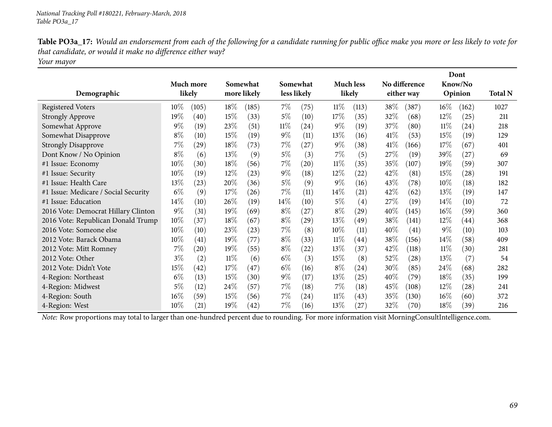| Table PO3a_17: Would an endorsement from each of the following for a candidate running for public office make you more or less likely to vote for |
|---------------------------------------------------------------------------------------------------------------------------------------------------|
| that candidate, or would it make no difference either way?                                                                                        |
| Your mayor                                                                                                                                        |

|                                      |        |                     |        |             |        |             |        |                            |        |               | Dont   |                    |                |
|--------------------------------------|--------|---------------------|--------|-------------|--------|-------------|--------|----------------------------|--------|---------------|--------|--------------------|----------------|
| Demographic                          |        | Much more<br>likely |        | Somewhat    |        | Somewhat    |        | <b>Much less</b><br>likely |        | No difference |        | Know/No<br>Opinion | <b>Total N</b> |
|                                      |        |                     |        | more likely |        | less likely |        |                            |        | either way    |        |                    |                |
| <b>Registered Voters</b>             | $10\%$ | (105)               | 18%    | (185)       | $7\%$  | (75)        | $11\%$ | (113)                      | 38\%   | (387)         | $16\%$ | (162)              | 1027           |
| <b>Strongly Approve</b>              | $19\%$ | (40)                | 15%    | (33)        | $5\%$  | (10)        | 17%    | (35)                       | 32\%   | (68)          | 12%    | (25)               | 211            |
| Somewhat Approve                     | $9\%$  | (19)                | 23%    | (51)        | $11\%$ | (24)        | $9\%$  | (19)                       | 37\%   | (80)          | $11\%$ | $\left( 24\right)$ | 218            |
| Somewhat Disapprove                  | $8\%$  | (10)                | 15%    | (19)        | $9\%$  | (11)        | $13\%$ | (16)                       | $41\%$ | (53)          | 15%    | (19)               | 129            |
| <b>Strongly Disapprove</b>           | 7%     | (29)                | 18%    | (73)        | $7\%$  | (27)        | $9\%$  | (38)                       | 41\%   | (166)         | 17%    | (67)               | 401            |
| Dont Know / No Opinion               | $8\%$  | (6)                 | 13%    | (9)         | $5\%$  | (3)         | $7\%$  | (5)                        | 27\%   | (19)          | 39%    | (27)               | 69             |
| #1 Issue: Economy                    | 10%    | (30)                | 18%    | (56)        | $7\%$  | (20)        | $11\%$ | (35)                       | 35%    | (107)         | 19%    | (59)               | 307            |
| #1 Issue: Security                   | $10\%$ | (19)                | $12\%$ | (23)        | $9\%$  | (18)        | $12\%$ | (22)                       | 42\%   | (81)          | 15%    | (28)               | 191            |
| #1 Issue: Health Care                | 13%    | (23)                | 20%    | (36)        | $5\%$  | (9)         | $9\%$  | (16)                       | 43\%   | (78)          | $10\%$ | (18)               | 182            |
| #1 Issue: Medicare / Social Security | $6\%$  | (9)                 | 17%    | (26)        | $7\%$  | (11)        | $14\%$ | (21)                       | 42%    | (62)          | 13%    | (19)               | 147            |
| #1 Issue: Education                  | 14%    | (10)                | 26%    | (19)        | $14\%$ | (10)        | 5%     | (4)                        | 27\%   | (19)          | 14%    | (10)               | 72             |
| 2016 Vote: Democrat Hillary Clinton  | $9\%$  | (31)                | 19%    | (69)        | $8\%$  | (27)        | $8\%$  | (29)                       | 40%    | (145)         | $16\%$ | (59)               | 360            |
| 2016 Vote: Republican Donald Trump   | $10\%$ | (37)                | 18%    | (67)        | $8\%$  | (29)        | $13\%$ | (49)                       | 38\%   | (141)         | 12%    | $\left( 44\right)$ | 368            |
| 2016 Vote: Someone else              | $10\%$ | (10)                | 23%    | (23)        | $7\%$  | (8)         | 10%    | (11)                       | $40\%$ | (41)          | $9\%$  | (10)               | 103            |
| 2012 Vote: Barack Obama              | $10\%$ | (41)                | 19%    | (77)        | $8\%$  | (33)        | $11\%$ | (44)                       | 38\%   | (156)         | 14%    | (58)               | 409            |
| 2012 Vote: Mitt Romney               | 7%     | (20)                | 19%    | (55)        | $8\%$  | (22)        | 13%    | (37)                       | 42%    | (118)         | $11\%$ | (30)               | 281            |
| 2012 Vote: Other                     | $3\%$  | (2)                 | $11\%$ | (6)         | $6\%$  | (3)         | 15%    | (8)                        | 52\%   | (28)          | 13%    | (7)                | 54             |
| 2012 Vote: Didn't Vote               | 15%    | (42)                | 17\%   | (47)        | $6\%$  | (16)        | $8\%$  | $\left( 24\right)$         | 30%    | (85)          | 24\%   | (68)               | 282            |
| 4-Region: Northeast                  | $6\%$  | (13)                | 15%    | (30)        | $9\%$  | (17)        | 13\%   | (25)                       | 40\%   | (79)          | 18%    | (35)               | 199            |
| 4-Region: Midwest                    | 5%     | (12)                | 24\%   | (57)        | $7\%$  | (18)        | $7\%$  | (18)                       | 45\%   | (108)         | $12\%$ | (28)               | 241            |
| 4-Region: South                      | $16\%$ | (59)                | 15%    | (56)        | $7\%$  | (24)        | $11\%$ | (43)                       | 35%    | (130)         | $16\%$ | (60)               | 372            |
| 4-Region: West                       | 10%    | (21)                | 19%    | (42)        | $7\%$  | (16)        | 13\%   | (27)                       | 32%    | (70)          | 18%    | (39`               | 216            |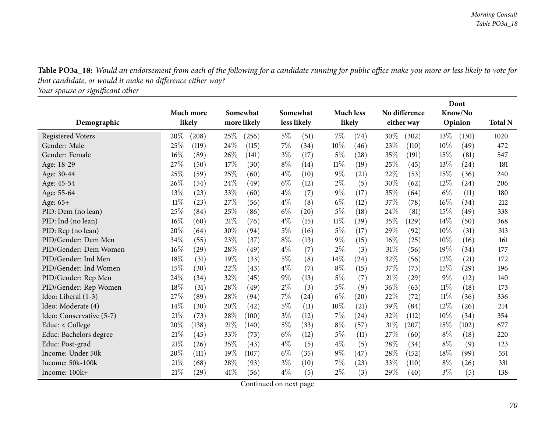Table PO3a\_18: Would an endorsement from each of the following for a candidate running for public office make you more or less likely to vote for *that candidate, or would it make no difference either way?*

*Your spouse or signiܧcant other*

|                          |        | Much more |     | Somewhat    |       | Somewhat           |        | <b>Much less</b> |        | No difference |        | Know/No |                |
|--------------------------|--------|-----------|-----|-------------|-------|--------------------|--------|------------------|--------|---------------|--------|---------|----------------|
| Demographic              |        | likely    |     | more likely |       | less likely        |        | likely           |        | either way    |        | Opinion | <b>Total N</b> |
| <b>Registered Voters</b> | 20%    | (208)     | 25% | (256)       | $5\%$ | (51)               | $7\%$  | (74)             | $30\%$ | (302)         | $13\%$ | (130)   | 1020           |
| Gender: Male             | 25%    | (119)     | 24% | (115)       | 7%    | (34)               | 10%    | (46)             | 23%    | (110)         | 10%    | (49)    | 472            |
| Gender: Female           | 16%    | (89)      | 26% | (141)       | $3\%$ | (17)               | $5\%$  | (28)             | 35\%   | (191)         | 15%    | (81)    | 547            |
| Age: 18-29               | 27%    | (50)      | 17% | (30)        | $8\%$ | (14)               | $11\%$ | (19)             | 25%    | (45)          | 13%    | (24)    | 181            |
| Age: 30-44               | $25\%$ | (59)      | 25% | (60)        | $4\%$ | (10)               | $9\%$  | (21)             | 22%    | (53)          | 15%    | (36)    | 240            |
| Age: 45-54               | 26%    | (54)      | 24% | (49)        | $6\%$ | (12)               | $2\%$  | (5)              | 30%    | (62)          | 12%    | (24)    | 206            |
| Age: 55-64               | 13%    | (23)      | 33% | (60)        | $4\%$ | (7)                | $9\%$  | (17)             | 35%    | (64)          | $6\%$  | (11)    | 180            |
| Age: 65+                 | $11\%$ | (23)      | 27% | (56)        | $4\%$ | (8)                | $6\%$  | (12)             | 37\%   | (78)          | 16%    | (34)    | 212            |
| PID: Dem (no lean)       | 25%    | (84)      | 25% | (86)        | $6\%$ | $\left( 20\right)$ | $5\%$  | (18)             | 24\%   | (81)          | 15%    | (49)    | 338            |
| PID: Ind (no lean)       | 16%    | (60)      | 21% | (76)        | $4\%$ | (15)               | $11\%$ | (39)             | 35%    | (129)         | 14%    | (50)    | 368            |
| PID: Rep (no lean)       | 20%    | (64)      | 30% | (94)        | $5\%$ | (16)               | $5\%$  | (17)             | 29%    | (92)          | 10%    | (31)    | 313            |
| PID/Gender: Dem Men      | 34%    | (55)      | 23% | (37)        | $8\%$ | (13)               | $9\%$  | (15)             | $16\%$ | (25)          | 10%    | (16)    | 161            |
| PID/Gender: Dem Women    | 16%    | (29)      | 28% | (49)        | $4\%$ | (7)                | $2\%$  | (3)              | 31%    | (56)          | 19%    | (34)    | 177            |
| PID/Gender: Ind Men      | 18%    | (31)      | 19% | (33)        | $5\%$ | (8)                | 14\%   | (24)             | 32%    | (56)          | 12%    | (21)    | 172            |
| PID/Gender: Ind Women    | 15%    | (30)      | 22% | (43)        | $4\%$ | (7)                | $8\%$  | (15)             | 37%    | (73)          | 15%    | (29)    | 196            |
| PID/Gender: Rep Men      | 24%    | (34)      | 32% | (45)        | $9\%$ | (13)               | $5\%$  | (7)              | 21%    | (29)          | $9\%$  | (12)    | 140            |
| PID/Gender: Rep Women    | 18%    | (31)      | 28% | (49)        | $2\%$ | (3)                | $5\%$  | (9)              | 36%    | (63)          | $11\%$ | (18)    | 173            |
| Ideo: Liberal (1-3)      | 27%    | (89)      | 28% | (94)        | 7%    | (24)               | $6\%$  | (20)             | 22%    | (72)          | $11\%$ | (36)    | 336            |
| Ideo: Moderate (4)       | 14%    | (30)      | 20% | (42)        | 5%    | (11)               | 10%    | (21)             | 39%    | (84)          | 12%    | (26)    | 214            |
| Ideo: Conservative (5-7) | 21%    | (73)      | 28% | (100)       | $3\%$ | (12)               | 7%     | (24)             | 32%    | (112)         | 10%    | (34)    | 354            |
| Educ: < College          | 20%    | (138)     | 21% | (140)       | $5\%$ | (33)               | $8\%$  | (57)             | 31%    | (207)         | 15%    | (102)   | 677            |
| Educ: Bachelors degree   | 21%    | (45)      | 33% | (73)        | $6\%$ | (12)               | $5\%$  | (11)             | 27%    | (60)          | $8\%$  | (18)    | 220            |
| Educ: Post-grad          | 21%    | (26)      | 35% | (43)        | $4\%$ | (5)                | $4\%$  | (5)              | 28%    | (34)          | $8\%$  | (9)     | 123            |
| Income: Under 50k        | 20%    | (111)     | 19% | (107)       | $6\%$ | (35)               | $9\%$  | (47)             | 28%    | (152)         | 18%    | (99)    | 551            |
| Income: 50k-100k         | 21%    | (68)      | 28% | (93)        | $3\%$ | (10)               | $7\%$  | (23)             | 33\%   | (110)         | $8\%$  | (26)    | 331            |
| Income: 100k+            | 21%    | (29)      | 41% | (56)        | $4\%$ | (5)                | $2\%$  | (3)              | 29%    | (40)          | $3\%$  | (5)     | 138            |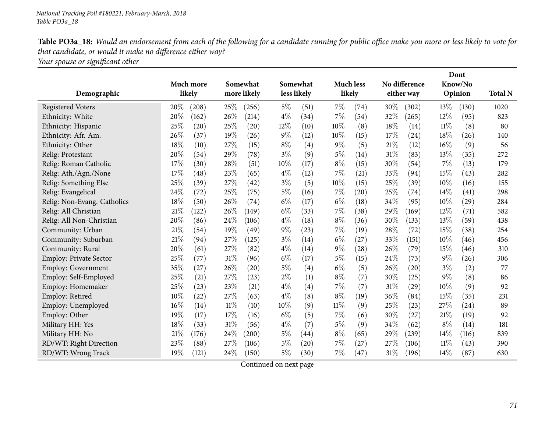Table PO3a\_18: Would an endorsement from each of the following for a candidate running for public office make you more or less likely to vote for *that candidate, or would it make no difference either way? Your spouse or signiܧcant other*

|                               |                           |                            |               |                          |                              | Dont           |                |
|-------------------------------|---------------------------|----------------------------|---------------|--------------------------|------------------------------|----------------|----------------|
|                               | <b>Much more</b>          | Somewhat                   | Somewhat      | <b>Much less</b>         | No difference                | Know/No        |                |
| Demographic                   | likely                    | more likely                | less likely   | likely                   | either way                   | Opinion        | <b>Total N</b> |
| <b>Registered Voters</b>      | 20%<br>(208)              | 25\%<br>(256)              | 5%<br>(51)    | $7\%$<br>(74)            | 30%<br>(302)                 | 13\%<br>(130)  | 1020           |
| Ethnicity: White              | 20%<br>(162)              | 26%<br>(214)               | $4\%$<br>(34) | $7\%$<br>(54)            | 32%<br>(265)                 | 12%<br>(95)    | 823            |
| Ethnicity: Hispanic           | 25%<br>$\left( 20\right)$ | 25%<br>(20)                | 12%<br>(10)   | 10%<br>(8)               | 18%<br>(14)                  | 11%<br>(8)     | 80             |
| Ethnicity: Afr. Am.           | 26\%<br>(37)              | 19%<br>(26)                | $9\%$<br>(12) | 10%<br>(15)              | 17%<br>(24)                  | 18%<br>(26)    | 140            |
| Ethnicity: Other              | 18%<br>(10)               | 27%<br>(15)                | $8\%$<br>(4)  | $9\%$<br>(5)             | 21%<br>(12)                  | 16%<br>(9)     | 56             |
| Relig: Protestant             | 20%<br>(54)               | 29%<br>(78)                | $3\%$<br>(9)  | $5\%$<br>(14)            | 31%<br>(83)                  | 13%<br>(35)    | 272            |
| Relig: Roman Catholic         | 17%<br>(30)               | 28%<br>(51)                | 10%<br>(17)   | $8\%$<br>(15)            | 30%<br>(54)                  | 7%<br>(13)     | 179            |
| Relig: Ath./Agn./None         | 17%<br>(48)               | 23%<br>(65)                | $4\%$<br>(12) | 7%<br>(21)               | 33%<br>(94)                  | 15%<br>(43)    | 282            |
| Relig: Something Else         | 25%<br>(39)               | 27\%<br>$\left( 42\right)$ | $3\%$<br>(5)  | 10%<br>(15)              | 25%<br>(39)                  | 10%<br>(16)    | 155            |
| Relig: Evangelical            | 24%<br>(72)               | 25%<br>(75)                | 5%<br>(16)    | 7%<br>$\left( 20\right)$ | 25%<br>(74)                  | 14%<br>(41)    | 298            |
| Relig: Non-Evang. Catholics   | 18%<br>(50)               | 26%<br>(74)                | $6\%$<br>(17) | $6\%$<br>(18)            | 34%<br>(95)                  | 10%<br>(29)    | 284            |
| Relig: All Christian          | 21%<br>(122)              | 26%<br>(149)               | $6\%$<br>(33) | 7%<br>(38)               | 29%<br>(169)                 | 12%<br>(71)    | 582            |
| Relig: All Non-Christian      | 20%<br>(86)               | 24%<br>(106)               | $4\%$<br>(18) | $8\%$<br>(36)            | 30%<br>(133)                 | 13%<br>(59)    | 438            |
| Community: Urban              | 21%<br>(54)               | 19%<br>(49)                | $9\%$<br>(23) | 7%<br>(19)               | 28%<br>(72)                  | 15%<br>(38)    | 254            |
| Community: Suburban           | 21%<br>(94)               | 27%<br>(125)               | $3\%$<br>(14) | $6\%$<br>(27)            | 33%<br>(151)                 | 10%<br>(46)    | 456            |
| Community: Rural              | 20%<br>(61)               | 27%<br>(82)                | $4\%$<br>(14) | $9\%$<br>(28)            | 26%<br>(79)                  | 15%<br>(46)    | 310            |
| <b>Employ: Private Sector</b> | 25%<br>(77)               | 31%<br>(96)                | $6\%$<br>(17) | $5\%$<br>(15)            | 24%<br>(73)                  | $9\%$<br>(26)  | 306            |
| <b>Employ: Government</b>     | 35%<br>(27)               | 26%<br>(20)                | $5\%$<br>(4)  | $6\%$<br>(5)             | 26%<br>(20)                  | $3\%$<br>(2)   | 77             |
| Employ: Self-Employed         | 25%<br>(21)               | 27%<br>(23)                | $2\%$<br>(1)  | $8\%$<br>(7)             | 30%<br>(25)                  | $9\%$<br>(8)   | 86             |
| Employ: Homemaker             | 25%<br>(23)               | 23%<br>(21)                | $4\%$<br>(4)  | 7%<br>(7)                | $31\%$<br>$\left( 29\right)$ | 10\%<br>(9)    | 92             |
| Employ: Retired               | 10%<br>(22)               | 27%<br>(63)                | $4\%$<br>(8)  | $8\%$<br>(19)            | 36%<br>(84)                  | 15%<br>(35)    | 231            |
| Employ: Unemployed            | 16%<br>(14)               | 11%<br>(10)                | 10%<br>(9)    | $11\%$<br>(9)            | 25%<br>(23)                  | 27%<br>(24)    | 89             |
| Employ: Other                 | 19%<br>(17)               | 17%<br>(16)                | $6\%$<br>(5)  | 7%<br>(6)                | 30%<br>(27)                  | 21%<br>(19)    | 92             |
| Military HH: Yes              | 18%<br>(33)               | 31%<br>(56)                | $4\%$<br>(7)  | $5\%$<br>(9)             | 34%<br>(62)                  | $8\%$<br>(14)  | 181            |
| Military HH: No               | 21%<br>(176)              | 24%<br>(200)               | $5\%$<br>(44) | $8\%$<br>(65)            | 29%<br>(239)                 | 14%<br>(116)   | 839            |
| RD/WT: Right Direction        | 23%<br>(88)               | 27%<br>(106)               | $5\%$<br>(20) | 7%<br>(27)               | 27%<br>(106)                 | $11\%$<br>(43) | 390            |
| RD/WT: Wrong Track            | 19%<br>(121)              | 24%<br>(150)               | $5\%$<br>(30) | $7\%$<br>(47)            | 31%<br>(196)                 | 14%<br>(87)    | 630            |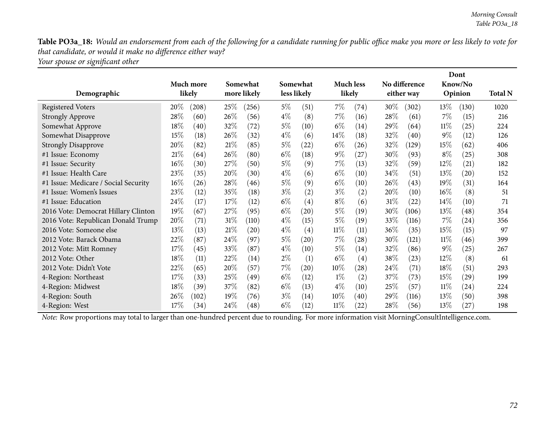Table PO3a\_18: Would an endorsement from each of the following for a candidate running for public office make you more or less likely to vote for *that candidate, or would it make no difference either way?*

*Your spouse or signiܧcant other*

|                                      |           |               |             |             |                    |        |                    |        |               | Dont   |                    |                |
|--------------------------------------|-----------|---------------|-------------|-------------|--------------------|--------|--------------------|--------|---------------|--------|--------------------|----------------|
|                                      | Much more |               | Somewhat    | Somewhat    |                    |        | <b>Much less</b>   |        | No difference |        | Know/No            |                |
| Demographic                          | likely    |               | more likely | less likely |                    |        | likely             |        | either way    |        | Opinion            | <b>Total N</b> |
| <b>Registered Voters</b>             | $20\%$    | 25\%<br>(208) | (256)       | $5\%$       | (51)               | $7\%$  | (74)               | 30\%   | (302)         | 13\%   | (130)              | 1020           |
| <b>Strongly Approve</b>              | 28\%      | 26\%<br>(60)  | (56)        | $4\%$       | (8)                | $7\%$  | (16)               | 28\%   | (61)          | $7\%$  | (15)               | 216            |
| Somewhat Approve                     | 18%       | 32%<br>(40)   | (72)        | $5\%$       | (10)               | $6\%$  | (14)               | 29\%   | (64)          | $11\%$ | (25)               | 224            |
| Somewhat Disapprove                  | 15%       | 26\%<br>(18)  | (32)        | $4\%$       | (6)                | $14\%$ | (18)               | 32%    | (40)          | $9\%$  | (12)               | 126            |
| <b>Strongly Disapprove</b>           | $20\%$    | 21\%<br>(82)  | (85)        | $5\%$       | (22)               | $6\%$  | (26)               | 32\%   | (129)         | 15%    | (62)               | 406            |
| #1 Issue: Economy                    | 21%       | 26%<br>(64)   | (80)        | $6\%$       | $\left(18\right)$  | $9\%$  | (27)               | 30\%   | (93)          | $8\%$  | (25)               | 308            |
| #1 Issue: Security                   | $16\%$    | 27\%<br>(30)  | (50)        | $5\%$       | (9)                | $7\%$  | (13)               | 32%    | (59)          | 12\%   | (21)               | 182            |
| #1 Issue: Health Care                | 23%       | 20%<br>(35)   | (30)        | $4\%$       | (6)                | $6\%$  | (10)               | $34\%$ | (51)          | 13\%   | $\left( 20\right)$ | 152            |
| #1 Issue: Medicare / Social Security | $16\%$    | 28%<br>(26)   | (46)        | $5\%$       | (9)                | $6\%$  | (10)               | $26\%$ | (43)          | $19\%$ | (31)               | 164            |
| #1 Issue: Women's Issues             | 23%       | 35%<br>(12)   | (18)        | $3\%$       | (2)                | $3\%$  | (2)                | $20\%$ | (10)          | $16\%$ | (8)                | 51             |
| #1 Issue: Education                  | 24\%      | (17)<br>17%   | (12)        | $6\%$       | (4)                | $8\%$  | (6)                | 31%    | (22)          | $14\%$ | (10)               | 71             |
| 2016 Vote: Democrat Hillary Clinton  | 19%       | 27\%<br>(67)  | (95)        | $6\%$       | $\left( 20\right)$ | $5\%$  | (19)               | 30%    | (106)         | 13\%   | $\left( 48\right)$ | 354            |
| 2016 Vote: Republican Donald Trump   | 20%       | (71)<br>31%   | (110)       | $4\%$       | (15)               | $5\%$  | (19)               | 33\%   | (116)         | $7\%$  | (24)               | 356            |
| 2016 Vote: Someone else              | 13\%      | 21\%<br>(13)  | (20)        | $4\%$       | (4)                | $11\%$ | (11)               | 36\%   | (35)          | 15\%   | (15)               | 97             |
| 2012 Vote: Barack Obama              | 22%       | 24\%<br>(87)  | (97)        | $5\%$       | (20)               | $7\%$  | (28)               | 30\%   | (121)         | $11\%$ | (46)               | 399            |
| 2012 Vote: Mitt Romney               | 17\%      | 33%<br>(45)   | (87)        | $4\%$       | (10)               | $5\%$  | (14)               | 32\%   | (86)          | $9\%$  | (25)               | 267            |
| 2012 Vote: Other                     | 18%       | 22%<br>(11)   | (14)        | $2\%$       | (1)                | $6\%$  | (4)                | 38%    | (23)          | $12\%$ | (8)                | 61             |
| 2012 Vote: Didn't Vote               | 22%       | 20%<br>(65)   | (57)        | $7\%$       | (20)               | $10\%$ | $\left( 28\right)$ | 24\%   | (71)          | $18\%$ | (51)               | 293            |
| 4-Region: Northeast                  | 17%       | 25\%<br>(33)  | (49)        | $6\%$       | (12)               | $1\%$  | (2)                | 37\%   | (73)          | 15\%   | (29)               | 199            |
| 4-Region: Midwest                    | $18\%$    | 37%<br>(39)   | (82)        | $6\%$       | (13)               | $4\%$  | (10)               | 25\%   | (57)          | $11\%$ | $\left( 24\right)$ | 224            |
| 4-Region: South                      | $26\%$    | 19%<br>(102)  | (76)        | $3\%$       | (14)               | $10\%$ | (40)               | 29\%   | (116)         | 13\%   | (50)               | 398            |
| 4-Region: West                       | 17%       | 24\%<br>(34)  | (48)        | $6\%$       | (12)               | $11\%$ | (22)               | 28\%   | (56)          | 13%    | (27)               | 198            |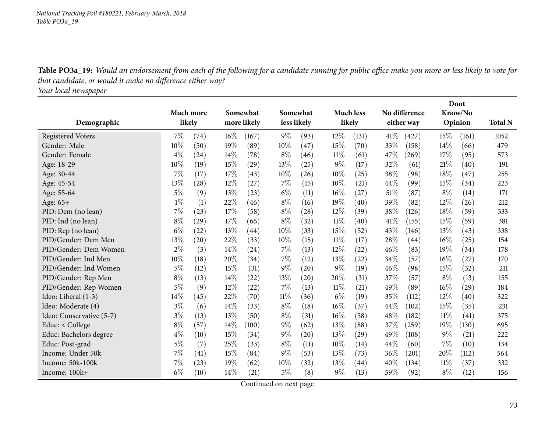Table PO3a\_19: Would an endorsement from each of the following for a candidate running for public office make you more or less likely to vote for *that candidate, or would it make no difference either way?*

*Your local newspaper*

|                          |           |      |        |             |       |                    |        |                    |        |               |        | Dont    |                |
|--------------------------|-----------|------|--------|-------------|-------|--------------------|--------|--------------------|--------|---------------|--------|---------|----------------|
|                          | Much more |      |        | Somewhat    |       | Somewhat           |        | <b>Much less</b>   |        | No difference |        | Know/No |                |
| Demographic              | likely    |      |        | more likely |       | less likely        |        | likely             |        | either way    |        | Opinion | <b>Total N</b> |
| <b>Registered Voters</b> | 7%        | (74) | $16\%$ | (167)       | $9\%$ | (93)               | 12%    | (131)              | 41%    | (427)         | 15\%   | (161)   | 1052           |
| Gender: Male             | 10%       | (50) | 19%    | (89)        | 10%   | (47)               | 15%    | (70)               | 33%    | (158)         | 14%    | (66)    | 479            |
| Gender: Female           | $4\%$     | (24) | 14%    | (78)        | $8\%$ | (46)               | 11%    | (61)               | 47\%   | (269)         | 17%    | (95)    | 573            |
| Age: 18-29               | 10%       | (19) | 15%    | (29)        | 13%   | (25)               | $9\%$  | (17)               | 32%    | (61)          | 21\%   | (40)    | 191            |
| Age: 30-44               | 7%        | (17) | 17%    | (43)        | 10%   | (26)               | 10%    | (25)               | 38\%   | (98)          | 18%    | (47)    | 255            |
| Age: 45-54               | 13%       | (28) | 12%    | (27)        | 7%    | (15)               | 10%    | (21)               | 44%    | (99)          | 15%    | (34)    | 223            |
| Age: 55-64               | $5\%$     | (9)  | 13%    | (23)        | $6\%$ | (11)               | 16%    | (27)               | 51\%   | (87)          | $8\%$  | (14)    | 171            |
| Age: 65+                 | $1\%$     | (1)  | 22%    | (46)        | $8\%$ | (16)               | 19%    | (40)               | 39%    | (82)          | 12%    | (26)    | 212            |
| PID: Dem (no lean)       | 7%        | (23) | 17%    | (58)        | $8\%$ | (28)               | 12%    | (39)               | 38%    | (126)         | 18%    | (59)    | 333            |
| PID: Ind (no lean)       | $8\%$     | (29) | 17%    | (66)        | $8\%$ | (32)               | $11\%$ | (40)               | 41\%   | (155)         | 15%    | (59)    | 381            |
| PID: Rep (no lean)       | $6\%$     | (22) | 13%    | (44)        | 10%   | (33)               | 15%    | (52)               | 43%    | (146)         | 13%    | (43)    | 338            |
| PID/Gender: Dem Men      | 13%       | (20) | 22%    | (33)        | 10%   | (15)               | 11%    | (17)               | 28%    | (44)          | $16\%$ | (25)    | 154            |
| PID/Gender: Dem Women    | $2\%$     | (3)  | $14\%$ | (24)        | 7%    | (13)               | 12%    | (22)               | 46%    | (83)          | 19%    | (34)    | 178            |
| PID/Gender: Ind Men      | 10%       | (18) | 20%    | (34)        | 7%    | (12)               | 13%    | $\left( 22\right)$ | 34%    | (57)          | 16%    | (27)    | 170            |
| PID/Gender: Ind Women    | 5%        | (12) | 15%    | (31)        | $9\%$ | (20)               | $9\%$  | (19)               | 46%    | (98)          | 15%    | (32)    | 211            |
| PID/Gender: Rep Men      | $8\%$     | (13) | 14\%   | (22)        | 13\%  | $\left( 20\right)$ | 20%    | (31)               | 37%    | (57)          | $8\%$  | (13)    | 155            |
| PID/Gender: Rep Women    | 5%        | (9)  | 12%    | (22)        | 7%    | (13)               | $11\%$ | (21)               | 49%    | (89)          | $16\%$ | (29)    | 184            |
| Ideo: Liberal (1-3)      | 14\%      | (45) | 22%    | (70)        | 11%   | (36)               | $6\%$  | (19)               | 35%    | (112)         | 12%    | (40)    | 322            |
| Ideo: Moderate (4)       | $3\%$     | (6)  | 14%    | (33)        | $8\%$ | (18)               | 16%    | (37)               | 44%    | (102)         | 15%    | (35)    | 231            |
| Ideo: Conservative (5-7) | $3\%$     | (13) | 13%    | (50)        | $8\%$ | (31)               | 16%    | (58)               | 48%    | (182)         | 11%    | (41)    | 375            |
| Educ: < College          | $8\%$     | (57) | 14%    | (100)       | $9\%$ | (62)               | $13\%$ | (88)               | 37%    | (259)         | 19%    | (130)   | 695            |
| Educ: Bachelors degree   | $4\%$     | (10) | 15%    | (34)        | $9\%$ | (20)               | 13%    | (29)               | 49%    | (108)         | $9\%$  | (21)    | 222            |
| Educ: Post-grad          | $5\%$     | (7)  | 25%    | (33)        | $8\%$ | (11)               | 10%    | (14)               | 44%    | (60)          | $7\%$  | (10)    | 134            |
| Income: Under 50k        | 7%        | (41) | 15%    | (84)        | $9\%$ | (53)               | 13%    | (73)               | 36%    | (201)         | 20%    | (112)   | 564            |
| Income: 50k-100k         | 7%        | (23) | 19%    | (62)        | 10%   | (32)               | 13%    | (44)               | $40\%$ | (134)         | 11%    | (37)    | 332            |
| Income: 100k+            | $6\%$     | (10) | 14%    | (21)        | $5\%$ | (8)                | $9\%$  | (13)               | 59%    | (92)          | $8\%$  | (12)    | 156            |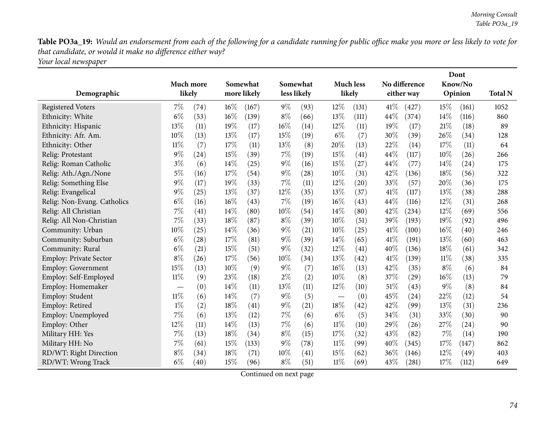Table PO3a\_19: Would an endorsement from each of the following for a candidate running for public office make you more or less likely to vote for *that candidate, or would it make no difference either way? Your local newspaper*

| Demographic                   |        | Much more<br>likely |        | Somewhat<br>more likely |       | Somewhat<br>less likely |                                 | <b>Much less</b><br>likely |      | No difference<br>either way |       | Dont<br>Know/No<br>Opinion | <b>Total N</b> |
|-------------------------------|--------|---------------------|--------|-------------------------|-------|-------------------------|---------------------------------|----------------------------|------|-----------------------------|-------|----------------------------|----------------|
| <b>Registered Voters</b>      | 7%     | $\left( 74\right)$  | $16\%$ | (167)                   | $9\%$ | (93)                    | $12\%$                          | (131)                      | 41\% | (427)                       | 15%   | (161)                      | 1052           |
| Ethnicity: White              | $6\%$  | (53)                | 16%    | (139)                   | $8\%$ | (66)                    | 13%                             | (111)                      | 44%  | (374)                       | 14%   | (116)                      | 860            |
| Ethnicity: Hispanic           | 13%    | (11)                | 19%    | (17)                    | 16%   | (14)                    | $12\%$                          | (11)                       | 19%  | (17)                        | 21%   | (18)                       | 89             |
| Ethnicity: Afr. Am.           | 10%    | (13)                | 13%    | (17)                    | 15%   | (19)                    | $6\%$                           | (7)                        | 30%  | (39)                        | 26%   | (34)                       | 128            |
| Ethnicity: Other              | $11\%$ | (7)                 | 17%    | (11)                    | 13%   | (8)                     | 20%                             | (13)                       | 22%  | (14)                        | 17%   | (11)                       | 64             |
| Relig: Protestant             | $9\%$  | (24)                | 15%    | (39)                    | $7\%$ | (19)                    | 15%                             | (41)                       | 44\% | (117)                       | 10%   | (26)                       | 266            |
| Relig: Roman Catholic         | $3\%$  | (6)                 | 14%    | (25)                    | $9\%$ | (16)                    | 15%                             | (27)                       | 44%  | (77)                        | 14\%  | (24)                       | 175            |
| Relig: Ath./Agn./None         | 5%     | (16)                | 17%    | (54)                    | $9\%$ | (28)                    | $10\%$                          | (31)                       | 42%  | (136)                       | 18%   | (56)                       | 322            |
| Relig: Something Else         | 9%     | (17)                | 19%    | (33)                    | 7%    | (11)                    | $12\%$                          | (20)                       | 33%  | (57)                        | 20%   | (36)                       | 175            |
| Relig: Evangelical            | $9\%$  | (25)                | 13%    | (37)                    | 12%   | (35)                    | 13%                             | (37)                       | 41%  | (117)                       | 13%   | (38)                       | 288            |
| Relig: Non-Evang. Catholics   | $6\%$  | (16)                | 16%    | (43)                    | 7%    | (19)                    | $16\%$                          | (43)                       | 44%  | (116)                       | 12%   | (31)                       | 268            |
| Relig: All Christian          | 7%     | (41)                | 14%    | (80)                    | 10%   | (54)                    | $14\%$                          | (80)                       | 42%  | (234)                       | 12%   | (69)                       | 556            |
| Relig: All Non-Christian      | 7%     | (33)                | 18%    | (87)                    | $8\%$ | (39)                    | $10\%$                          | (51)                       | 39%  | (193)                       | 19%   | (92)                       | 496            |
| Community: Urban              | 10%    | (25)                | 14%    | (36)                    | $9\%$ | (21)                    | $10\%$                          | (25)                       | 41\% | (100)                       | 16%   | (40)                       | 246            |
| Community: Suburban           | $6\%$  | (28)                | 17%    | (81)                    | $9\%$ | (39)                    | 14%                             | (65)                       | 41\% | (191)                       | 13%   | (60)                       | 463            |
| Community: Rural              | $6\%$  | (21)                | 15%    | (51)                    | $9\%$ | (32)                    | $12\%$                          | (41)                       | 40%  | (136)                       | 18%   | (61)                       | 342            |
| <b>Employ: Private Sector</b> | $8\%$  | (26)                | 17%    | (56)                    | 10%   | (34)                    | 13\%                            | (42)                       | 41\% | (139)                       | 11%   | (38)                       | 335            |
| <b>Employ: Government</b>     | 15%    | (13)                | 10%    | (9)                     | $9\%$ | (7)                     | $16\%$                          | (13)                       | 42%  | (35)                        | $8\%$ | (6)                        | 84             |
| Employ: Self-Employed         | $11\%$ | (9)                 | 23%    | (18)                    | $2\%$ | (2)                     | $10\%$                          | (8)                        | 37%  | (29)                        | 16%   | (13)                       | 79             |
| Employ: Homemaker             |        | (0)                 | 14%    | (11)                    | 13%   | (11)                    | $12\%$                          | (10)                       | 51%  | (43)                        | $9\%$ | (8)                        | 84             |
| Employ: Student               | $11\%$ | (6)                 | 14%    | (7)                     | $9\%$ | (5)                     | $\hspace{0.1mm}-\hspace{0.1mm}$ | (0)                        | 45%  | (24)                        | 22%   | (12)                       | 54             |
| Employ: Retired               | $1\%$  | (2)                 | 18%    | (41)                    | $9\%$ | (21)                    | 18%                             | (42)                       | 42%  | (99)                        | 13%   | (31)                       | 236            |
| Employ: Unemployed            | 7%     | (6)                 | 13%    | (12)                    | 7%    | (6)                     | $6\%$                           | (5)                        | 34%  | (31)                        | 33%   | (30)                       | 90             |
| Employ: Other                 | 12%    | (11)                | 14%    | (13)                    | $7\%$ | (6)                     | $11\%$                          | (10)                       | 29%  | (26)                        | 27%   | (24)                       | 90             |
| Military HH: Yes              | 7%     | (13)                | 18%    | (34)                    | $8\%$ | (15)                    | 17%                             | (32)                       | 43%  | (82)                        | 7%    | (14)                       | 190            |
| Military HH: No               | 7%     | (61)                | 15%    | (133)                   | $9\%$ | (78)                    | 11%                             | (99)                       | 40%  | (345)                       | 17%   | (147)                      | 862            |
| RD/WT: Right Direction        | $8\%$  | (34)                | 18%    | (71)                    | 10%   | (41)                    | 15%                             | (62)                       | 36%  | (146)                       | 12%   | (49)                       | 403            |
| RD/WT: Wrong Track            | $6\%$  | (40)                | 15%    | (96)                    | $8\%$ | (51)                    | $11\%$                          | (69)                       | 43%  | (281)                       | 17%   | (112)                      | 649            |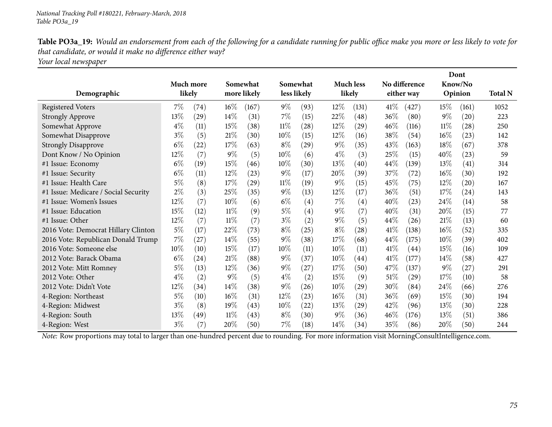Table PO3a\_19: Would an endorsement from each of the following for a candidate running for public office make you more or less likely to vote for *that candidate, or would it make no difference either way?*

*Your local newspaper*

|                                      |        |           |        |             |        |                    |        |                    |        |               |        | Dont    |                |
|--------------------------------------|--------|-----------|--------|-------------|--------|--------------------|--------|--------------------|--------|---------------|--------|---------|----------------|
|                                      |        | Much more |        | Somewhat    |        | Somewhat           |        | <b>Much less</b>   |        | No difference |        | Know/No |                |
| Demographic                          |        | likely    |        | more likely |        | less likely        |        | likely             |        | either way    |        | Opinion | <b>Total N</b> |
| <b>Registered Voters</b>             | 7%     | (74)      | $16\%$ | (167)       | $9\%$  | (93)               | 12%    | (131)              | 41%    | (427)         | 15%    | (161)   | 1052           |
| <b>Strongly Approve</b>              | 13%    | (29)      | 14\%   | (31)        | $7\%$  | (15)               | 22%    | (48)               | 36\%   | (80)          | $9\%$  | (20)    | 223            |
| Somewhat Approve                     | $4\%$  | (11)      | 15%    | (38)        | $11\%$ | (28)               | $12\%$ | (29)               | 46%    | (116)         | 11%    | (28)    | 250            |
| Somewhat Disapprove                  | $3\%$  | (5)       | 21\%   | (30)        | 10%    | (15)               | $12\%$ | (16)               | 38%    | (54)          | 16%    | (23)    | 142            |
| <b>Strongly Disapprove</b>           | $6\%$  | (22)      | 17\%   | (63)        | $8\%$  | $\left( 29\right)$ | $9\%$  | (35)               | 43\%   | (163)         | 18%    | (67)    | 378            |
| Dont Know / No Opinion               | 12%    | (7)       | $9\%$  | (5)         | 10%    | (6)                | $4\%$  | (3)                | 25%    | (15)          | 40%    | (23)    | 59             |
| #1 Issue: Economy                    | $6\%$  | (19)      | 15%    | (46)        | 10%    | (30)               | 13%    | (40)               | 44\%   | (139)         | 13%    | (41)    | 314            |
| #1 Issue: Security                   | $6\%$  | (11)      | $12\%$ | (23)        | $9\%$  | (17)               | 20%    | (39)               | 37%    | (72)          | $16\%$ | (30)    | 192            |
| #1 Issue: Health Care                | $5\%$  | (8)       | 17\%   | (29)        | $11\%$ | (19)               | $9\%$  | (15)               | 45\%   | (75)          | 12%    | (20)    | 167            |
| #1 Issue: Medicare / Social Security | $2\%$  | (3)       | 25\%   | (35)        | $9\%$  | (13)               | 12%    | (17)               | 36\%   | (51)          | 17%    | (24)    | 143            |
| #1 Issue: Women's Issues             | 12%    | (7)       | 10%    | (6)         | $6\%$  | $\left( 4\right)$  | 7%     | $\left( 4\right)$  | 40%    | (23)          | 24\%   | (14)    | 58             |
| #1 Issue: Education                  | 15%    | (12)      | $11\%$ | (9)         | $5\%$  | $\left( 4\right)$  | $9\%$  | (7)                | $40\%$ | (31)          | 20%    | (15)    | 77             |
| #1 Issue: Other                      | 12%    | (7)       | $11\%$ | (7)         | $3\%$  | (2)                | $9\%$  | (5)                | 44\%   | (26)          | 21%    | (13)    | 60             |
| 2016 Vote: Democrat Hillary Clinton  | $5\%$  | (17)      | 22%    | (73)        | $8\%$  | (25)               | $8\%$  | $\left( 28\right)$ | 41%    | (138)         | $16\%$ | (52)    | 335            |
| 2016 Vote: Republican Donald Trump   | 7%     | (27)      | 14%    | (55)        | $9\%$  | (38)               | 17%    | (68)               | 44\%   | (175)         | 10%    | (39)    | 402            |
| 2016 Vote: Someone else              | $10\%$ | (10)      | 15%    | (17)        | $10\%$ | (11)               | 10%    | (11)               | 41\%   | (44)          | 15%    | (16)    | 109            |
| 2012 Vote: Barack Obama              | $6\%$  | (24)      | $21\%$ | (88)        | $9\%$  | (37)               | 10%    | (44)               | 41%    | (177)         | 14\%   | (58)    | 427            |
| 2012 Vote: Mitt Romney               | $5\%$  | (13)      | 12%    | (36)        | $9\%$  | (27)               | 17%    | (50)               | 47\%   | (137)         | 9%     | (27)    | 291            |
| 2012 Vote: Other                     | $4\%$  | (2)       | $9\%$  | (5)         | $4\%$  | (2)                | 15%    | (9)                | $51\%$ | (29)          | 17%    | (10)    | 58             |
| 2012 Vote: Didn't Vote               | 12%    | (34)      | 14%    | (38)        | $9\%$  | (26)               | $10\%$ | (29)               | 30\%   | (84)          | 24\%   | (66)    | 276            |
| 4-Region: Northeast                  | 5%     | (10)      | 16%    | (31)        | $12\%$ | (23)               | $16\%$ | (31)               | 36%    | (69)          | 15%    | (30)    | 194            |
| 4-Region: Midwest                    | $3\%$  | (8)       | 19%    | (43)        | $10\%$ | $\left( 22\right)$ | 13%    | $\left( 29\right)$ | 42\%   | (96)          | 13%    | (30)    | 228            |
| 4-Region: South                      | 13%    | (49)      | $11\%$ | (43)        | $8\%$  | (30)               | $9\%$  | (36)               | $46\%$ | (176)         | 13%    | (51)    | 386            |
| 4-Region: West                       | $3\%$  | (7)       | 20%    | (50)        | $7\%$  | (18)               | 14\%   | (34)               | 35\%   | (86)          | 20%    | (50)    | 244            |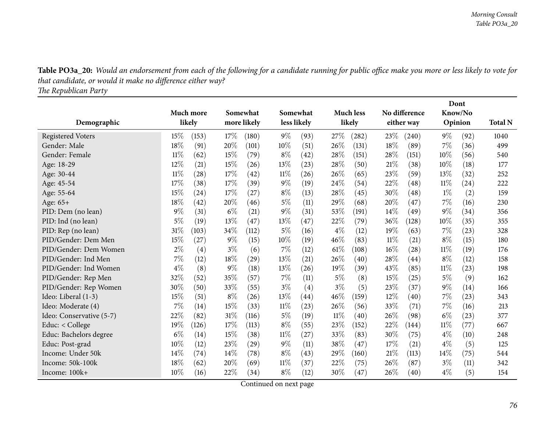Table PO3a\_20: Would an endorsement from each of the following for a candidate running for public office make you more or less likely to vote for *that candidate, or would it make no difference either way?*

*The Republican Party*

|                          |           |       |       |             |        |             |       |                  |        |               |        | Dont    |                |
|--------------------------|-----------|-------|-------|-------------|--------|-------------|-------|------------------|--------|---------------|--------|---------|----------------|
|                          | Much more |       |       | Somewhat    |        | Somewhat    |       | <b>Much less</b> |        | No difference |        | Know/No |                |
| Demographic              | likely    |       |       | more likely |        | less likely |       | likely           |        | either way    |        | Opinion | <b>Total N</b> |
| <b>Registered Voters</b> | 15%       | (153) | 17%   | (180)       | $9\%$  | (93)        | 27%   | (282)            | 23\%   | (240)         | $9\%$  | (92)    | 1040           |
| Gender: Male             | 18%       | (91)  | 20%   | (101)       | 10%    | (51)        | 26%   | (131)            | 18%    | (89)          | 7%     | (36)    | 499            |
| Gender: Female           | 11%       | (62)  | 15%   | (79)        | $8\%$  | (42)        | 28%   | (151)            | 28%    | (151)         | 10%    | (56)    | 540            |
| Age: 18-29               | 12%       | (21)  | 15%   | (26)        | $13\%$ | (23)        | 28%   | (50)             | 21\%   | (38)          | 10%    | (18)    | 177            |
| Age: 30-44               | 11%       | (28)  | 17%   | (42)        | $11\%$ | (26)        | 26%   | (65)             | 23\%   | (59)          | 13%    | (32)    | 252            |
| Age: 45-54               | 17%       | (38)  | 17%   | (39)        | $9\%$  | (19)        | 24%   | (54)             | 22%    | (48)          | $11\%$ | (24)    | 222            |
| Age: 55-64               | 15%       | (24)  | 17%   | (27)        | $8\%$  | (13)        | 28%   | (45)             | 30%    | (48)          | $1\%$  | (2)     | 159            |
| Age: 65+                 | 18%       | (42)  | 20%   | (46)        | $5\%$  | (11)        | 29%   | (68)             | 20%    | (47)          | 7%     | (16)    | 230            |
| PID: Dem (no lean)       | 9%        | (31)  | $6\%$ | (21)        | $9\%$  | (31)        | 53%   | (191)            | 14\%   | (49)          | 9%     | (34)    | 356            |
| PID: Ind (no lean)       | $5\%$     | (19)  | 13%   | (47)        | 13%    | (47)        | 22%   | (79)             | 36%    | (128)         | 10%    | (35)    | 355            |
| PID: Rep (no lean)       | 31%       | (103) | 34%   | (112)       | 5%     | (16)        | $4\%$ | (12)             | 19%    | (63)          | 7%     | (23)    | 328            |
| PID/Gender: Dem Men      | 15%       | (27)  | $9\%$ | (15)        | 10%    | (19)        | 46\%  | (83)             | $11\%$ | (21)          | $8\%$  | (15)    | 180            |
| PID/Gender: Dem Women    | 2%        | (4)   | $3\%$ | (6)         | $7\%$  | (12)        | 61%   | (108)            | 16%    | (28)          | $11\%$ | (19)    | 176            |
| PID/Gender: Ind Men      | 7%        | (12)  | 18%   | (29)        | 13%    | (21)        | 26%   | (40)             | 28\%   | (44)          | $8\%$  | (12)    | 158            |
| PID/Gender: Ind Women    | $4\%$     | (8)   | 9%    | (18)        | $13\%$ | (26)        | 19%   | (39)             | 43%    | (85)          | 11%    | (23)    | 198            |
| PID/Gender: Rep Men      | 32%       | (52)  | 35%   | (57)        | 7%     | (11)        | 5%    | (8)              | 15%    | (25)          | 5%     | (9)     | 162            |
| PID/Gender: Rep Women    | 30%       | (50)  | 33%   | (55)        | $3\%$  | (4)         | $3\%$ | (5)              | 23\%   | (37)          | $9\%$  | (14)    | 166            |
| Ideo: Liberal (1-3)      | 15%       | (51)  | $8\%$ | (26)        | 13%    | (44)        | 46\%  | (159)            | $12\%$ | (40)          | 7%     | (23)    | 343            |
| Ideo: Moderate (4)       | 7%        | (14)  | 15%   | (33)        | $11\%$ | (23)        | 26%   | (56)             | 33\%   | (71)          | 7%     | (16)    | 213            |
| Ideo: Conservative (5-7) | $22\%$    | (82)  | 31%   | (116)       | $5\%$  | (19)        | 11%   | (40)             | 26\%   | (98)          | $6\%$  | (23)    | 377            |
| Educ: < College          | 19%       | (126) | 17%   | (113)       | $8\%$  | (55)        | 23%   | (152)            | 22%    | (144)         | $11\%$ | (77)    | 667            |
| Educ: Bachelors degree   | $6\%$     | (14)  | 15%   | (38)        | $11\%$ | (27)        | 33%   | (83)             | 30%    | (75)          | $4\%$  | (10)    | 248            |
| Educ: Post-grad          | 10%       | (12)  | 23\%  | (29)        | $9\%$  | (11)        | 38%   | (47)             | 17%    | (21)          | $4\%$  | (5)     | 125            |
| Income: Under 50k        | 14%       | (74)  | 14%   | (78)        | $8\%$  | (43)        | 29%   | (160)            | 21\%   | (113)         | 14%    | (75)    | 544            |
| Income: 50k-100k         | 18%       | (62)  | 20%   | (69)        | $11\%$ | (37)        | 22%   | (75)             | 26\%   | (87)          | $3\%$  | (11)    | 342            |
| Income: 100k+            | 10%       | (16)  | 22%   | (34)        | $8\%$  | (12)        | 30%   | (47)             | 26%    | (40)          | $4\%$  | (5)     | 154            |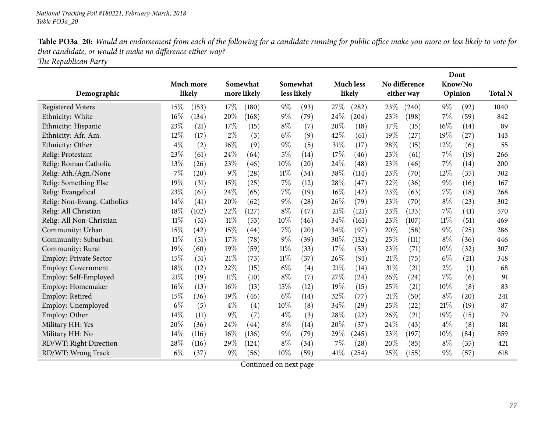Table PO3a\_20: Would an endorsement from each of the following for a candidate running for public office make you more or less likely to vote for *that candidate, or would it make no difference either way?*

*The Republican Party*

|                               |        |           |        |                   |        |                   |        |                    |        |                    |        | Dont               |                |
|-------------------------------|--------|-----------|--------|-------------------|--------|-------------------|--------|--------------------|--------|--------------------|--------|--------------------|----------------|
|                               |        | Much more |        | Somewhat          |        | Somewhat          |        | <b>Much less</b>   |        | No difference      |        | Know/No            |                |
| Demographic                   |        | likely    |        | more likely       |        | less likely       |        | likely             |        | either way         |        | Opinion            | <b>Total N</b> |
| <b>Registered Voters</b>      | 15%    | (153)     | 17%    | (180)             | $9\%$  | (93)              | 27%    | (282)              | 23\%   | (240)              | $9\%$  | (92)               | 1040           |
| Ethnicity: White              | 16%    | (134)     | 20%    | (168)             | $9\%$  | (79)              | 24%    | (204)              | 23%    | (198)              | 7%     | (59)               | 842            |
| Ethnicity: Hispanic           | 23%    | (21)      | 17%    | (15)              | $8\%$  | (7)               | 20%    | (18)               | 17%    | (15)               | 16%    | (14)               | 89             |
| Ethnicity: Afr. Am.           | 12%    | (17)      | $2\%$  | (3)               | $6\%$  | (9)               | 42%    | (61)               | 19%    | (27)               | 19%    | (27)               | 143            |
| Ethnicity: Other              | $4\%$  | (2)       | 16%    | (9)               | $9\%$  | (5)               | 31%    | (17)               | 28%    | (15)               | 12%    | (6)                | 55             |
| Relig: Protestant             | 23%    | (61)      | 24%    | (64)              | $5\%$  | (14)              | 17%    | (46)               | 23%    | (61)               | 7%     | (19)               | 266            |
| Relig: Roman Catholic         | 13%    | (26)      | 23%    | (46)              | 10%    | (20)              | 24%    | (48)               | 23%    | (46)               | 7%     | (14)               | 200            |
| Relig: Ath./Agn./None         | 7%     | (20)      | $9\%$  | (28)              | $11\%$ | (34)              | 38\%   | (114)              | 23%    | (70)               | 12%    | (35)               | 302            |
| Relig: Something Else         | 19%    | (31)      | 15%    | (25)              | $7\%$  | (12)              | 28%    | (47)               | 22%    | (36)               | $9\%$  | (16)               | 167            |
| Relig: Evangelical            | 23%    | (61)      | 24%    | (65)              | $7\%$  | (19)              | 16%    | (42)               | 23%    | (63)               | 7%     | (18)               | 268            |
| Relig: Non-Evang. Catholics   | 14%    | (41)      | 20%    | (62)              | $9\%$  | (28)              | 26%    | (79)               | 23%    | (70)               | $8\%$  | (23)               | 302            |
| Relig: All Christian          | 18%    | (102)     | 22%    | (127)             | $8\%$  | (47)              | 21%    | (121)              | 23%    | (133)              | 7%     | (41)               | 570            |
| Relig: All Non-Christian      | $11\%$ | (51)      | $11\%$ | (53)              | 10%    | (46)              | 34%    | (161)              | 23%    | (107)              | $11\%$ | (51)               | 469            |
| Community: Urban              | 15%    | (42)      | 15%    | (44)              | $7\%$  | (20)              | 34%    | (97)               | 20%    | (58)               | $9\%$  | (25)               | 286            |
| Community: Suburban           | $11\%$ | (51)      | 17%    | (78)              | $9\%$  | (39)              | 30%    | (132)              | 25%    | (111)              | $8\%$  | (36)               | 446            |
| Community: Rural              | 19%    | (60)      | 19%    | (59)              | $11\%$ | (33)              | 17%    | (53)               | 23%    | (71)               | 10%    | (32)               | 307            |
| <b>Employ: Private Sector</b> | 15%    | (51)      | 21\%   | (73)              | $11\%$ | (37)              | 26%    | (91)               | $21\%$ | (75)               | $6\%$  | (21)               | 348            |
| Employ: Government            | 18%    | (12)      | 22%    | (15)              | $6\%$  | $\left( 4\right)$ | 21%    | (14)               | $31\%$ | (21)               | $2\%$  | (1)                | 68             |
| Employ: Self-Employed         | 21%    | (19)      | 11%    | (10)              | $8\%$  | (7)               | 27%    | (24)               | 26\%   | $\left( 24\right)$ | 7%     | (6)                | 91             |
| Employ: Homemaker             | 16%    | (13)      | 16%    | (13)              | 15%    | (12)              | 19%    | (15)               | 25%    | (21)               | 10%    | (8)                | 83             |
| Employ: Retired               | 15%    | (36)      | 19%    | (46)              | $6\%$  | (14)              | 32%    | (77)               | 21%    | (50)               | $8\%$  | $\left( 20\right)$ | 241            |
| Employ: Unemployed            | $6\%$  | (5)       | $4\%$  | $\left( 4\right)$ | 10%    | (8)               | 34%    | (29)               | 25%    | (22)               | 21%    | (19)               | 87             |
| Employ: Other                 | 14%    | (11)      | $9\%$  | (7)               | $4\%$  | (3)               | 28%    | $\left( 22\right)$ | 26\%   | (21)               | 19%    | (15)               | 79             |
| Military HH: Yes              | 20%    | (36)      | 24%    | (44)              | $8\%$  | (14)              | 20%    | (37)               | 24\%   | (43)               | $4\%$  | (8)                | 181            |
| Military HH: No               | 14%    | (116)     | 16%    | (136)             | $9\%$  | (79)              | 29%    | (245)              | 23\%   | (197)              | $10\%$ | (84)               | 859            |
| RD/WT: Right Direction        | 28%    | (116)     | 29%    | (124)             | $8\%$  | (34)              | 7%     | (28)               | 20%    | (85)               | $8\%$  | (35)               | 421            |
| RD/WT: Wrong Track            | $6\%$  | (37)      | $9\%$  | (56)              | 10%    | (59)              | $41\%$ | (254)              | 25\%   | (155)              | $9\%$  | (57)               | 618            |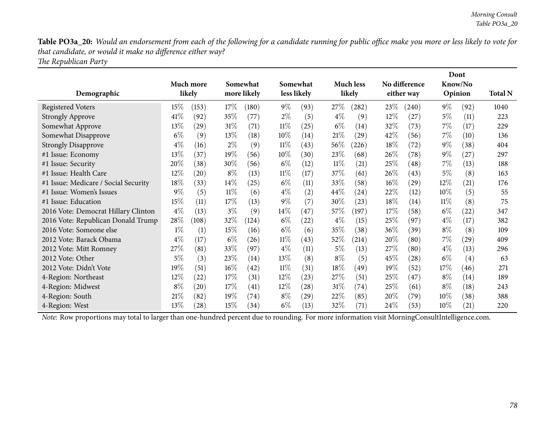Table PO3a\_20: Would an endorsement from each of the following for a candidate running for public office make you more or less likely to vote for *that candidate, or would it make no difference either way?*

*The Republican Party*

|                                      |        |                    |        |                    |        |                    |        |                  |        |                    |        | Dont    |                |
|--------------------------------------|--------|--------------------|--------|--------------------|--------|--------------------|--------|------------------|--------|--------------------|--------|---------|----------------|
|                                      |        | <b>Much more</b>   |        | Somewhat           |        | Somewhat           |        | <b>Much less</b> |        | No difference      |        | Know/No |                |
| Demographic                          |        | likely             |        | more likely        |        | less likely        |        | likely           |        | either way         |        | Opinion | <b>Total N</b> |
| <b>Registered Voters</b>             | $15\%$ | (153)              | $17\%$ | (180)              | $9\%$  | (93)               | 27%    | (282)            | 23\%   | (240)              | $9\%$  | (92)    | 1040           |
| <b>Strongly Approve</b>              | 41\%   | (92)               | 35%    | (77)               | $2\%$  | (5)                | $4\%$  | (9)              | $12\%$ | (27)               | $5\%$  | (11)    | 223            |
| Somewhat Approve                     | 13%    | (29)               | 31%    | (71)               | $11\%$ | (25)               | $6\%$  | (14)             | 32\%   | (73)               | $7\%$  | (17)    | 229            |
| Somewhat Disapprove                  | $6\%$  | (9)                | 13\%   | (18)               | $10\%$ | (14)               | 21%    | (29)             | 42\%   | (56)               | $7\%$  | (10)    | 136            |
| <b>Strongly Disapprove</b>           | $4\%$  | (16)               | $2\%$  | (9)                | $11\%$ | (43)               | 56\%   | (226)            | 18%    | (72)               | $9\%$  | (38)    | 404            |
| #1 Issue: Economy                    | 13%    | (37)               | 19%    | (56)               | $10\%$ | (30)               | 23\%   | (68)             | 26\%   | $\left( 78\right)$ | $9\%$  | (27)    | 297            |
| #1 Issue: Security                   | 20%    | (38)               | 30%    | (56)               | $6\%$  | (12)               | $11\%$ | (21)             | 25\%   | $\left( 48\right)$ | $7\%$  | (13)    | 188            |
| #1 Issue: Health Care                | 12%    | (20)               | $8\%$  | (13)               | $11\%$ | (17)               | 37\%   | (61)             | 26\%   | (43)               | $5\%$  | (8)     | 163            |
| #1 Issue: Medicare / Social Security | 18%    | (33)               | 14\%   | (25)               | $6\%$  | (11)               | $33\%$ | (58)             | $16\%$ | (29)               | $12\%$ | (21)    | 176            |
| #1 Issue: Women's Issues             | $9\%$  | (5)                | 11%    | (6)                | $4\%$  | $\left( 2\right)$  | $44\%$ | (24)             | 22%    | (12)               | $10\%$ | (5)     | 55             |
| #1 Issue: Education                  | 15%    | (11)               | 17\%   | (13)               | $9\%$  | (7)                | 30\%   | (23)             | 18%    | (14)               | $11\%$ | (8)     | 75             |
| 2016 Vote: Democrat Hillary Clinton  | $4\%$  | (13)               | $3\%$  | (9)                | $14\%$ | (47)               | $57\%$ | (197)            | 17%    | (58)               | $6\%$  | (22)    | 347            |
| 2016 Vote: Republican Donald Trump   | 28%    | (108)              | 32%    | (124)              | $6\%$  | (22)               | $4\%$  | (15)             | 25\%   | (97)               | $4\%$  | (17)    | 382            |
| 2016 Vote: Someone else              | $1\%$  | (1)                | 15%    | (16)               | $6\%$  | (6)                | $35\%$ | (38)             | $36\%$ | (39)               | $8\%$  | (8)     | 109            |
| 2012 Vote: Barack Obama              | $4\%$  | (17)               | $6\%$  | (26)               | $11\%$ | (43)               | $52\%$ | (214)            | 20%    | (80)               | $7\%$  | (29)    | 409            |
| 2012 Vote: Mitt Romney               | 27\%   | (81)               | 33%    | (97)               | $4\%$  | (11)               | $5\%$  | (13)             | 27\%   | (80)               | $4\%$  | (13)    | 296            |
| 2012 Vote: Other                     | 5%     | (3)                | 23%    | (14)               | 13\%   | (8)                | $8\%$  | (5)              | 45%    | (28)               | $6\%$  | (4)     | 63             |
| 2012 Vote: Didn't Vote               | 19%    | (51)               | 16%    | $\left( 42\right)$ | $11\%$ | (31)               | 18%    | (49)             | $19\%$ | (52)               | 17%    | (46)    | 271            |
| 4-Region: Northeast                  | 12%    | (22)               | 17%    | (31)               | 12%    | (23)               | 27\%   | (51)             | 25%    | (47)               | $8\%$  | (14)    | 189            |
| 4-Region: Midwest                    | $8\%$  | $\left( 20\right)$ | 17\%   | (41)               | $12\%$ | $\left( 28\right)$ | 31%    | (74)             | 25\%   | (61)               | $8\%$  | (18)    | 243            |
| 4-Region: South                      | 21%    | (82)               | 19%    | (74)               | $8\%$  | (29)               | 22\%   | (85)             | $20\%$ | (79)               | $10\%$ | (38)    | 388            |
| 4-Region: West                       | 13%    | (28)               | 15%    | (34)               | $6\%$  | (13)               | 32\%   | (71)             | 24\%   | (53)               | $10\%$ | (21)    | 220            |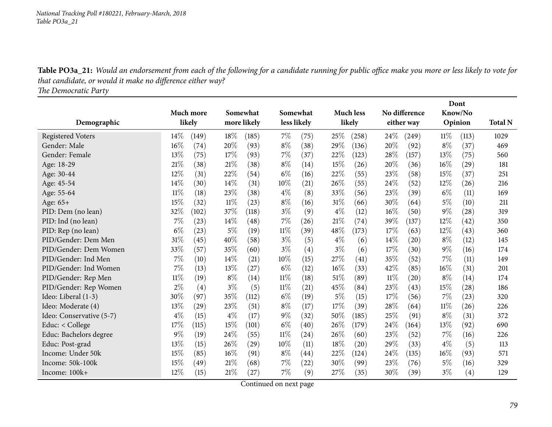Table PO3a\_21: Would an endorsement from each of the following for a candidate running for public office make you more or less likely to vote for *that candidate, or would it make no difference either way?*

*The Democratic Party*

|                          |        |           |       |             |        |             |        |                    |        |               |        | Dont    |                |
|--------------------------|--------|-----------|-------|-------------|--------|-------------|--------|--------------------|--------|---------------|--------|---------|----------------|
|                          |        | Much more |       | Somewhat    |        | Somewhat    |        | <b>Much less</b>   |        | No difference |        | Know/No |                |
| Demographic              |        | likely    |       | more likely |        | less likely |        | likely             |        | either way    |        | Opinion | <b>Total N</b> |
| <b>Registered Voters</b> | $14\%$ | (149)     | 18%   | (185)       | $7\%$  | (75)        | 25%    | (258)              | 24\%   | (249)         | $11\%$ | (113)   | 1029           |
| Gender: Male             | 16%    | (74)      | 20%   | (93)        | $8\%$  | (38)        | 29%    | (136)              | 20%    | (92)          | $8\%$  | (37)    | 469            |
| Gender: Female           | 13%    | (75)      | 17%   | (93)        | 7%     | (37)        | 22%    | (123)              | 28%    | (157)         | 13\%   | (75)    | 560            |
| Age: 18-29               | 21%    | (38)      | 21%   | (38)        | $8\%$  | (14)        | 15%    | (26)               | 20%    | (36)          | 16%    | (29)    | 181            |
| Age: 30-44               | 12%    | (31)      | 22%   | (54)        | $6\%$  | (16)        | 22%    | (55)               | 23%    | (58)          | 15%    | (37)    | 251            |
| Age: 45-54               | 14%    | (30)      | 14%   | (31)        | 10%    | (21)        | 26%    | (55)               | 24%    | (52)          | 12%    | (26)    | 216            |
| Age: 55-64               | $11\%$ | (18)      | 23%   | (38)        | $4\%$  | (8)         | 33%    | (56)               | 23%    | (39)          | $6\%$  | (11)    | 169            |
| Age: 65+                 | 15%    | (32)      | 11%   | (23)        | $8\%$  | (16)        | 31%    | (66)               | 30%    | (64)          | $5\%$  | (10)    | 211            |
| PID: Dem (no lean)       | 32%    | (102)     | 37%   | (118)       | $3\%$  | (9)         | $4\%$  | (12)               | $16\%$ | (50)          | 9%     | (28)    | 319            |
| PID: Ind (no lean)       | 7%     | (23)      | 14%   | (48)        | $7\%$  | (26)        | 21%    | (74)               | 39%    | (137)         | 12%    | (42)    | 350            |
| PID: Rep (no lean)       | $6\%$  | (23)      | $5\%$ | (19)        | $11\%$ | (39)        | 48%    | (173)              | 17%    | (63)          | 12%    | (43)    | 360            |
| PID/Gender: Dem Men      | 31%    | (45)      | 40%   | (58)        | $3\%$  | (5)         | $4\%$  | (6)                | $14\%$ | (20)          | $8\%$  | (12)    | 145            |
| PID/Gender: Dem Women    | 33%    | (57)      | 35%   | (60)        | $3\%$  | (4)         | $3\%$  | (6)                | 17%    | (30)          | $9\%$  | (16)    | 174            |
| PID/Gender: Ind Men      | 7%     | (10)      | 14\%  | (21)        | 10%    | (15)        | 27\%   | $\left( 41\right)$ | 35\%   | (52)          | 7%     | (11)    | 149            |
| PID/Gender: Ind Women    | 7%     | (13)      | 13%   | (27)        | $6\%$  | (12)        | $16\%$ | (33)               | 42%    | (85)          | 16%    | (31)    | 201            |
| PID/Gender: Rep Men      | $11\%$ | (19)      | $8\%$ | (14)        | 11%    | (18)        | 51%    | (89)               | $11\%$ | (20)          | $8\%$  | (14)    | 174            |
| PID/Gender: Rep Women    | 2%     | (4)       | $3\%$ | (5)         | $11\%$ | (21)        | 45%    | (84)               | 23%    | (43)          | 15%    | (28)    | 186            |
| Ideo: Liberal (1-3)      | 30%    | (97)      | 35%   | (112)       | $6\%$  | (19)        | $5\%$  | (15)               | 17%    | (56)          | 7%     | (23)    | 320            |
| Ideo: Moderate (4)       | 13%    | (29)      | 23%   | (51)        | $8\%$  | (17)        | 17%    | (39)               | 28%    | (64)          | $11\%$ | (26)    | 226            |
| Ideo: Conservative (5-7) | $4\%$  | (15)      | $4\%$ | (17)        | $9\%$  | (32)        | $50\%$ | (185)              | 25%    | (91)          | $8\%$  | (31)    | 372            |
| Educ: < College          | 17%    | (115)     | 15%   | (101)       | $6\%$  | (40)        | 26%    | (179)              | 24\%   | (164)         | 13%    | (92)    | 690            |
| Educ: Bachelors degree   | $9\%$  | (19)      | 24%   | (55)        | $11\%$ | (24)        | 26%    | (60)               | 23%    | (52)          | 7%     | (16)    | 226            |
| Educ: Post-grad          | 13%    | (15)      | 26%   | (29)        | 10%    | (11)        | 18%    | (20)               | 29%    | (33)          | $4\%$  | (5)     | 113            |
| Income: Under 50k        | 15%    | (85)      | 16%   | (91)        | $8\%$  | (44)        | 22%    | (124)              | 24%    | (135)         | 16%    | (93)    | 571            |
| Income: 50k-100k         | 15%    | (49)      | 21%   | (68)        | 7%     | $^{(22)}$   | 30%    | (99)               | 23\%   | (76)          | 5%     | (16)    | 329            |
| Income: 100k+            | 12%    | (15)      | 21%   | (27)        | 7%     | (9)         | 27%    | (35)               | 30%    | (39)          | $3\%$  | (4)     | 129            |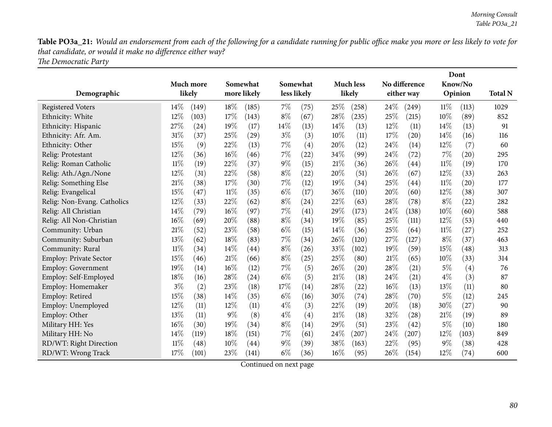Table PO3a\_21: Would an endorsement from each of the following for a candidate running for public office make you more or less likely to vote for *that candidate, or would it make no difference either way?*

*The Democratic Party*

|                               |           |       |        |             |        |             |        |                  |      |               |        | Dont               |                |
|-------------------------------|-----------|-------|--------|-------------|--------|-------------|--------|------------------|------|---------------|--------|--------------------|----------------|
|                               | Much more |       |        | Somewhat    |        | Somewhat    |        | <b>Much less</b> |      | No difference |        | Know/No            |                |
| Demographic                   | likely    |       |        | more likely |        | less likely |        | likely           |      | either way    |        | Opinion            | <b>Total N</b> |
| <b>Registered Voters</b>      | $14\%$    | (149) | 18\%   | (185)       | $7\%$  | (75)        | 25\%   | (258)            | 24%  | (249)         | $11\%$ | (113)              | 1029           |
| Ethnicity: White              | 12%       | (103) | 17%    | (143)       | $8\%$  | (67)        | 28%    | (235)            | 25%  | (215)         | 10%    | (89)               | 852            |
| Ethnicity: Hispanic           | 27%       | (24)  | 19%    | (17)        | $14\%$ | (13)        | 14\%   | (13)             | 12\% | (11)          | 14%    | (13)               | 91             |
| Ethnicity: Afr. Am.           | 31%       | (37)  | 25%    | (29)        | $3\%$  | (3)         | 10%    | (11)             | 17%  | (20)          | 14\%   | (16)               | 116            |
| Ethnicity: Other              | 15%       | (9)   | 22%    | (13)        | $7\%$  | (4)         | 20%    | (12)             | 24\% | (14)          | 12%    | (7)                | 60             |
| Relig: Protestant             | 12%       | (36)  | 16%    | (46)        | $7\%$  | (22)        | 34%    | (99)             | 24%  | (72)          | 7%     | $\left( 20\right)$ | 295            |
| Relig: Roman Catholic         | $11\%$    | (19)  | 22%    | (37)        | $9\%$  | (15)        | 21\%   | (36)             | 26\% | (44)          | $11\%$ | (19)               | 170            |
| Relig: Ath./Agn./None         | 12%       | (31)  | 22%    | (58)        | $8\%$  | (22)        | 20%    | (51)             | 26%  | (67)          | 12%    | (33)               | 263            |
| Relig: Something Else         | 21%       | (38)  | 17%    | (30)        | 7%     | (12)        | 19%    | (34)             | 25%  | (44)          | 11%    | $\left( 20\right)$ | 177            |
| Relig: Evangelical            | 15%       | (47)  | $11\%$ | (35)        | $6\%$  | (17)        | 36%    | (110)            | 20%  | (60)          | 12%    | (38)               | 307            |
| Relig: Non-Evang. Catholics   | 12%       | (33)  | 22%    | (62)        | $8\%$  | (24)        | 22%    | (63)             | 28%  | (78)          | $8\%$  | (22)               | 282            |
| Relig: All Christian          | 14%       | (79)  | 16%    | (97)        | $7\%$  | (41)        | 29%    | (173)            | 24\% | (138)         | 10%    | (60)               | 588            |
| Relig: All Non-Christian      | 16%       | (69)  | 20%    | (88)        | $8\%$  | (34)        | 19%    | (85)             | 25%  | (111)         | 12%    | (53)               | 440            |
| Community: Urban              | 21%       | (52)  | 23%    | (58)        | $6\%$  | (15)        | 14\%   | (36)             | 25%  | (64)          | $11\%$ | (27)               | 252            |
| Community: Suburban           | 13%       | (62)  | 18%    | (83)        | $7\%$  | (34)        | 26%    | (120)            | 27%  | (127)         | $8\%$  | (37)               | 463            |
| Community: Rural              | $11\%$    | (34)  | 14%    | (44)        | $8\%$  | (26)        | 33%    | (102)            | 19%  | (59)          | 15%    | (48)               | 313            |
| <b>Employ: Private Sector</b> | 15%       | (46)  | 21%    | (66)        | $8\%$  | (25)        | 25%    | (80)             | 21%  | (65)          | 10%    | (33)               | 314            |
| Employ: Government            | 19%       | (14)  | 16%    | (12)        | $7\%$  | (5)         | 26%    | (20)             | 28%  | (21)          | $5\%$  | (4)                | 76             |
| Employ: Self-Employed         | 18%       | (16)  | 28%    | (24)        | $6\%$  | (5)         | 21%    | (18)             | 24%  | (21)          | $4\%$  | (3)                | 87             |
| Employ: Homemaker             | $3\%$     | (2)   | 23%    | (18)        | 17%    | (14)        | 28\%   | (22)             | 16%  | (13)          | 13%    | (11)               | 80             |
| Employ: Retired               | 15%       | (38)  | 14%    | (35)        | $6\%$  | (16)        | 30%    | (74)             | 28%  | (70)          | $5\%$  | (12)               | 245            |
| Employ: Unemployed            | 12%       | (11)  | 12%    | (11)        | $4\%$  | (3)         | 22%    | (19)             | 20%  | (18)          | 30%    | (27)               | 90             |
| Employ: Other                 | 13%       | (11)  | $9\%$  | (8)         | $4\%$  | (4)         | 21%    | (18)             | 32%  | (28)          | 21%    | (19)               | 89             |
| Military HH: Yes              | 16%       | (30)  | 19%    | (34)        | $8\%$  | (14)        | 29%    | (51)             | 23%  | (42)          | $5\%$  | (10)               | 180            |
| Military HH: No               | 14%       | (119) | 18%    | (151)       | $7\%$  | (61)        | $24\%$ | (207)            | 24\% | (207)         | 12%    | (103)              | 849            |
| RD/WT: Right Direction        | $11\%$    | (48)  | 10%    | (44)        | $9\%$  | (39)        | 38%    | (163)            | 22%  | (95)          | $9\%$  | (38)               | 428            |
| RD/WT: Wrong Track            | 17%       | (101) | 23%    | (141)       | $6\%$  | (36)        | 16%    | (95)             | 26%  | (154)         | 12%    | (74)               | 600            |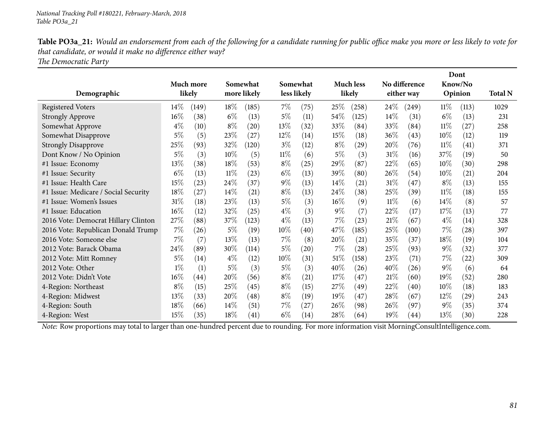Table PO3a\_21: Would an endorsement from each of the following for a candidate running for public office make you more or less likely to vote for *that candidate, or would it make no difference either way?*

*The Democratic Party*

|                                      |        |                    |        |                    |        |                    |        |                  |        |               |        | Dont               |                |
|--------------------------------------|--------|--------------------|--------|--------------------|--------|--------------------|--------|------------------|--------|---------------|--------|--------------------|----------------|
|                                      |        | Much more          |        | Somewhat           |        | Somewhat           |        | <b>Much less</b> |        | No difference |        | Know/No            |                |
| Demographic                          |        | likely             |        | more likely        |        | less likely        |        | likely           |        | either way    |        | Opinion            | <b>Total N</b> |
| <b>Registered Voters</b>             | $14\%$ | (149)              | 18\%   | (185)              | $7\%$  | (75)               | 25%    | (258)            | $24\%$ | (249)         | $11\%$ | (113)              | 1029           |
| <b>Strongly Approve</b>              | 16%    | (38)               | $6\%$  | (13)               | $5\%$  | (11)               | $54\%$ | (125)            | $14\%$ | (31)          | $6\%$  | (13)               | 231            |
| Somewhat Approve                     | $4\%$  | (10)               | $8\%$  | $\left( 20\right)$ | 13\%   | (32)               | 33\%   | (84)             | 33\%   | (84)          | $11\%$ | (27)               | 258            |
| Somewhat Disapprove                  | 5%     | (5)                | 23\%   | (27)               | $12\%$ | (14)               | 15%    | (18)             | $36\%$ | (43)          | $10\%$ | (12)               | 119            |
| <b>Strongly Disapprove</b>           | 25%    | (93)               | 32%    | (120)              | $3\%$  | (12)               | $8\%$  | (29)             | $20\%$ | (76)          | $11\%$ | (41)               | 371            |
| Dont Know / No Opinion               | $5\%$  | (3)                | 10%    | (5)                | $11\%$ | (6)                | $5\%$  | (3)              | $31\%$ | (16)          | 37%    | (19)               | 50             |
| #1 Issue: Economy                    | $13\%$ | (38)               | 18%    | (53)               | $8\%$  | (25)               | 29\%   | (87)             | 22\%   | (65)          | $10\%$ | (30)               | 298            |
| #1 Issue: Security                   | $6\%$  | (13)               | 11%    | (23)               | $6\%$  | (13)               | 39\%   | (80)             | $26\%$ | (54)          | $10\%$ | (21)               | 204            |
| #1 Issue: Health Care                | 15%    | (23)               | 24\%   | (37)               | $9\%$  | (13)               | $14\%$ | (21)             | 31%    | (47)          | $8\%$  | (13)               | 155            |
| #1 Issue: Medicare / Social Security | 18%    | (27)               | $14\%$ | (21)               | $8\%$  | (13)               | $24\%$ | (38)             | 25%    | (39)          | 11%    | (18)               | 155            |
| #1 Issue: Women's Issues             | 31%    | (18)               | 23\%   | (13)               | $5\%$  | (3)                | $16\%$ | (9)              | $11\%$ | (6)           | 14%    | (8)                | 57             |
| #1 Issue: Education                  | 16%    | (12)               | 32\%   | (25)               | $4\%$  | (3)                | $9\%$  | (7)              | 22\%   | (17)          | 17\%   | (13)               | 77             |
| 2016 Vote: Democrat Hillary Clinton  | 27%    | (88)               | 37\%   | (123)              | $4\%$  | (13)               | 7%     | (23)             | 21%    | (67)          | $4\%$  | (14)               | 328            |
| 2016 Vote: Republican Donald Trump   | $7\%$  | (26)               | $5\%$  | (19)               | $10\%$ | (40)               | 47\%   | (185)            | 25\%   | (100)         | 7%     | $\left( 28\right)$ | 397            |
| 2016 Vote: Someone else              | $7\%$  | (7)                | 13\%   | (13)               | $7\%$  | (8)                | 20%    | (21)             | 35\%   | (37)          | 18%    | (19)               | 104            |
| 2012 Vote: Barack Obama              | 24\%   | (89)               | 30%    | (114)              | $5\%$  | $\left( 20\right)$ | 7%     | (28)             | 25\%   | (93)          | $9\%$  | (32)               | 377            |
| 2012 Vote: Mitt Romney               | 5%     | (14)               | $4\%$  | (12)               | $10\%$ | (31)               | 51%    | (158)            | 23\%   | (71)          | $7\%$  | (22)               | 309            |
| 2012 Vote: Other                     | $1\%$  | (1)                | 5%     | (3)                | $5\%$  | (3)                | 40\%   | (26)             | 40\%   | (26)          | $9\%$  | (6)                | 64             |
| 2012 Vote: Didn't Vote               | $16\%$ | $\left( 44\right)$ | 20%    | (56)               | $8\%$  | (21)               | 17%    | (47)             | 21%    | (60)          | 19%    | (52)               | 280            |
| 4-Region: Northeast                  | $8\%$  | (15)               | 25\%   | (45)               | $8\%$  | (15)               | 27%    | (49)             | 22%    | (40)          | $10\%$ | (18)               | 183            |
| 4-Region: Midwest                    | 13%    | (33)               | 20%    | (48)               | $8\%$  | (19)               | 19%    | (47)             | $28\%$ | (67)          | $12\%$ | (29)               | 243            |
| 4-Region: South                      | 18%    | (66)               | $14\%$ | (51)               | $7\%$  | (27)               | $26\%$ | (98)             | $26\%$ | (97)          | $9\%$  | (35)               | 374            |
| 4-Region: West                       | 15%    | (35)               | 18%    | (41)               | $6\%$  | (14)               | 28%    | (64)             | 19%    | (44)          | 13%    | (30)               | 228            |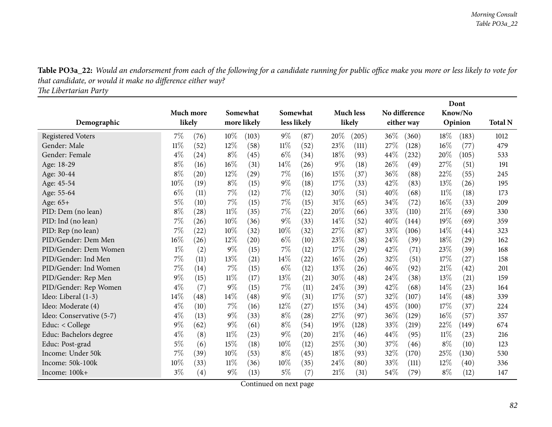Table PO3a\_22: Would an endorsement from each of the following for a candidate running for public office make you more or less likely to vote for *that candidate, or would it make no difference either way?*

*The Libertarian Party*

|                          |           |      |        |             |        |                    |       |                  |      |               |       | Dont    |                |
|--------------------------|-----------|------|--------|-------------|--------|--------------------|-------|------------------|------|---------------|-------|---------|----------------|
|                          | Much more |      |        | Somewhat    |        | Somewhat           |       | <b>Much less</b> |      | No difference |       | Know/No |                |
| Demographic              | likely    |      |        | more likely |        | less likely        |       | likely           |      | either way    |       | Opinion | <b>Total N</b> |
| <b>Registered Voters</b> | $7\%$     | (76) | $10\%$ | (103)       | $9\%$  | (87)               | 20%   | (205)            | 36\% | (360)         | 18%   | (183)   | 1012           |
| Gender: Male             | 11%       | (52) | 12%    | (58)        | $11\%$ | (52)               | 23%   | (111)            | 27\% | (128)         | 16%   | (77)    | 479            |
| Gender: Female           | $4\%$     | (24) | $8\%$  | (45)        | $6\%$  | (34)               | 18%   | (93)             | 44\% | (232)         | 20%   | (105)   | 533            |
| Age: 18-29               | $8\%$     | (16) | 16%    | (31)        | $14\%$ | (26)               | $9\%$ | (18)             | 26\% | (49)          | 27%   | (51)    | 191            |
| Age: 30-44               | $8\%$     | (20) | 12%    | (29)        | 7%     | (16)               | 15%   | (37)             | 36%  | (88)          | 22%   | (55)    | 245            |
| Age: 45-54               | 10%       | (19) | $8\%$  | (15)        | $9\%$  | (18)               | 17%   | (33)             | 42%  | (83)          | 13%   | (26)    | 195            |
| Age: 55-64               | $6\%$     | (11) | 7%     | (12)        | $7\%$  | (12)               | 30%   | (51)             | 40%  | (68)          | 11%   | (18)    | 173            |
| Age: 65+                 | $5\%$     | (10) | $7\%$  | (15)        | $7\%$  | (15)               | 31%   | (65)             | 34\% | (72)          | 16%   | (33)    | 209            |
| PID: Dem (no lean)       | $8\%$     | (28) | $11\%$ | (35)        | $7\%$  | (22)               | 20%   | (66)             | 33%  | (110)         | 21%   | (69)    | 330            |
| PID: Ind (no lean)       | 7%        | (26) | 10%    | (36)        | $9\%$  | (33)               | 14%   | (52)             | 40%  | (144)         | 19%   | (69)    | 359            |
| PID: Rep (no lean)       | 7%        | (22) | 10%    | (32)        | 10%    | (32)               | 27%   | (87)             | 33%  | (106)         | 14%   | (44)    | 323            |
| PID/Gender: Dem Men      | 16%       | (26) | 12%    | (20)        | $6\%$  | (10)               | 23%   | (38)             | 24\% | (39)          | 18%   | (29)    | 162            |
| PID/Gender: Dem Women    | $1\%$     | (2)  | $9\%$  | (15)        | 7%     | (12)               | 17%   | (29)             | 42%  | (71)          | 23%   | (39)    | 168            |
| PID/Gender: Ind Men      | 7%        | (11) | $13\%$ | (21)        | $14\%$ | $^{(22)}$          | 16%   | (26)             | 32\% | (51)          | 17%   | (27)    | 158            |
| PID/Gender: Ind Women    | 7%        | (14) | $7\%$  | (15)        | $6\%$  | (12)               | 13%   | (26)             | 46\% | (92)          | 21%   | (42)    | 201            |
| PID/Gender: Rep Men      | $9\%$     | (15) | 11%    | (17)        | 13%    | (21)               | 30\%  | (48)             | 24\% | (38)          | 13%   | (21)    | 159            |
| PID/Gender: Rep Women    | $4\%$     | (7)  | 9%     | (15)        | $7\%$  | (11)               | 24%   | (39)             | 42%  | (68)          | 14\%  | (23)    | 164            |
| Ideo: Liberal (1-3)      | 14%       | (48) | 14%    | (48)        | $9\%$  | (31)               | 17%   | (57)             | 32%  | (107)         | 14%   | (48)    | 339            |
| Ideo: Moderate (4)       | $4\%$     | (10) | $7\%$  | (16)        | $12\%$ | (27)               | 15%   | (34)             | 45%  | (100)         | 17%   | (37)    | 224            |
| Ideo: Conservative (5-7) | $4\%$     | (13) | 9%     | (33)        | $8\%$  | $\left( 28\right)$ | 27%   | (97)             | 36%  | (129)         | 16%   | (57)    | 357            |
| Educ: $<$ College        | $9\%$     | (62) | $9\%$  | (61)        | $8\%$  | (54)               | 19%   | (128)            | 33%  | (219)         | 22%   | (149)   | 674            |
| Educ: Bachelors degree   | $4\%$     | (8)  | $11\%$ | (23)        | $9\%$  | (20)               | 21%   | (46)             | 44\% | (95)          | 11%   | (23)    | 216            |
| Educ: Post-grad          | $5\%$     | (6)  | 15%    | (18)        | 10%    | (12)               | 25%   | (30)             | 37%  | (46)          | $8\%$ | (10)    | 123            |
| Income: Under 50k        | 7%        | (39) | $10\%$ | (53)        | $8\%$  | (45)               | 18%   | (93)             | 32%  | (170)         | 25%   | (130)   | 530            |
| Income: 50k-100k         | 10%       | (33) | 11%    | (36)        | 10%    | (35)               | 24%   | (80)             | 33%  | (111)         | 12%   | (40)    | 336            |
| Income: 100k+            | $3\%$     | (4)  | 9%     | (13)        | $5\%$  | (7)                | 21%   | (31)             | 54\% | (79)          | $8\%$ | (12)    | 147            |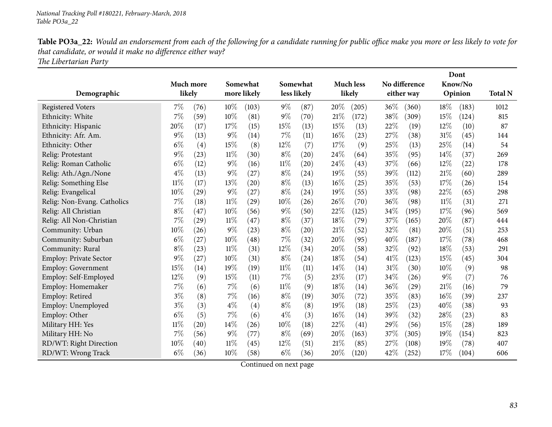Table PO3a\_22: Would an endorsement from each of the following for a candidate running for public office make you more or less likely to vote for *that candidate, or would it make no difference either way?*

*The Libertarian Party*

|                               |           |                    |        |             |        |             |     |                  |        |                    |        | Dont    |                |
|-------------------------------|-----------|--------------------|--------|-------------|--------|-------------|-----|------------------|--------|--------------------|--------|---------|----------------|
|                               | Much more |                    |        | Somewhat    |        | Somewhat    |     | <b>Much less</b> |        | No difference      |        | Know/No |                |
| Demographic                   | likely    |                    |        | more likely |        | less likely |     | likely           |        | either way         |        | Opinion | <b>Total N</b> |
| <b>Registered Voters</b>      | 7%        | (76)               | 10%    | (103)       | $9\%$  | (87)        | 20% | (205)            | 36\%   | (360)              | 18%    | (183)   | 1012           |
| Ethnicity: White              | 7%        | (59)               | 10%    | (81)        | $9\%$  | (70)        | 21% | (172)            | 38%    | (309)              | 15%    | (124)   | 815            |
| Ethnicity: Hispanic           | 20%       | (17)               | 17%    | (15)        | 15%    | (13)        | 15% | (13)             | 22%    | (19)               | 12%    | (10)    | 87             |
| Ethnicity: Afr. Am.           | 9%        | (13)               | $9\%$  | (14)        | 7%     | (11)        | 16% | (23)             | 27%    | (38)               | 31%    | (45)    | 144            |
| Ethnicity: Other              | $6\%$     | (4)                | 15%    | (8)         | $12\%$ | (7)         | 17% | (9)              | 25%    | (13)               | 25%    | (14)    | 54             |
| Relig: Protestant             | 9%        | (23)               | $11\%$ | (30)        | $8\%$  | (20)        | 24% | (64)             | 35%    | (95)               | 14%    | (37)    | 269            |
| Relig: Roman Catholic         | $6\%$     | (12)               | $9\%$  | (16)        | $11\%$ | (20)        | 24% | (43)             | 37%    | (66)               | 12%    | (22)    | 178            |
| Relig: Ath./Agn./None         | $4\%$     | (13)               | $9\%$  | (27)        | $8\%$  | (24)        | 19% | (55)             | 39%    | (112)              | 21%    | (60)    | 289            |
| Relig: Something Else         | $11\%$    | (17)               | 13%    | (20)        | $8\%$  | (13)        | 16% | (25)             | 35%    | (53)               | 17%    | (26)    | 154            |
| Relig: Evangelical            | 10%       | (29)               | $9\%$  | (27)        | $8\%$  | (24)        | 19% | (55)             | 33%    | (98)               | 22%    | (65)    | 298            |
| Relig: Non-Evang. Catholics   | 7%        | (18)               | $11\%$ | (29)        | 10%    | (26)        | 26% | (70)             | 36%    | (98)               | $11\%$ | (31)    | 271            |
| Relig: All Christian          | $8\%$     | (47)               | 10%    | (56)        | 9%     | (50)        | 22% | (125)            | 34%    | (195)              | 17%    | (96)    | 569            |
| Relig: All Non-Christian      | 7%        | (29)               | $11\%$ | (47)        | $8\%$  | (37)        | 18% | (79)             | 37%    | (165)              | 20%    | (87)    | 444            |
| Community: Urban              | 10%       | (26)               | $9\%$  | (23)        | $8\%$  | (20)        | 21% | (52)             | 32%    | (81)               | 20%    | (51)    | 253            |
| Community: Suburban           | $6\%$     | (27)               | 10%    | (48)        | 7%     | (32)        | 20% | (95)             | 40%    | (187)              | 17%    | (78)    | 468            |
| Community: Rural              | $8\%$     | (23)               | $11\%$ | (31)        | 12%    | (34)        | 20% | (58)             | 32%    | (92)               | 18%    | (53)    | 291            |
| <b>Employ: Private Sector</b> | 9%        | (27)               | 10%    | (31)        | $8\%$  | (24)        | 18% | (54)             | 41\%   | (123)              | 15%    | (45)    | 304            |
| Employ: Government            | 15%       | (14)               | 19%    | (19)        | $11\%$ | (11)        | 14% | (14)             | $31\%$ | (30)               | 10%    | (9)     | 98             |
| Employ: Self-Employed         | 12%       | (9)                | 15%    | (11)        | 7%     | (5)         | 23% | (17)             | 34%    | (26)               | $9\%$  | (7)     | 76             |
| Employ: Homemaker             | 7%        | (6)                | 7%     | (6)         | $11\%$ | (9)         | 18% | (14)             | 36\%   | $\left( 29\right)$ | $21\%$ | (16)    | 79             |
| Employ: Retired               | $3\%$     | (8)                | 7%     | (16)        | $8\%$  | (19)        | 30% | (72)             | 35%    | (83)               | 16%    | (39)    | 237            |
| Employ: Unemployed            | $3\%$     | (3)                | $4\%$  | (4)         | $8\%$  | (8)         | 19% | (18)             | 25%    | (23)               | $40\%$ | (38)    | 93             |
| Employ: Other                 | $6\%$     | (5)                | 7%     | (6)         | $4\%$  | (3)         | 16% | (14)             | 39%    | (32)               | 28%    | (23)    | 83             |
| Military HH: Yes              | $11\%$    | $\left( 20\right)$ | 14%    | (26)        | 10%    | (18)        | 22% | (41)             | 29%    | (56)               | 15%    | (28)    | 189            |
| Military HH: No               | 7%        | (56)               | $9\%$  | (77)        | $8\%$  | (69)        | 20% | (163)            | 37\%   | (305)              | 19%    | (154)   | 823            |
| RD/WT: Right Direction        | 10%       | (40)               | 11%    | (45)        | 12%    | (51)        | 21% | (85)             | 27%    | (108)              | 19%    | (78)    | 407            |
| RD/WT: Wrong Track            | $6\%$     | (36)               | 10%    | (58)        | $6\%$  | (36)        | 20% | (120)            | 42\%   | (252)              | 17%    | (104)   | 606            |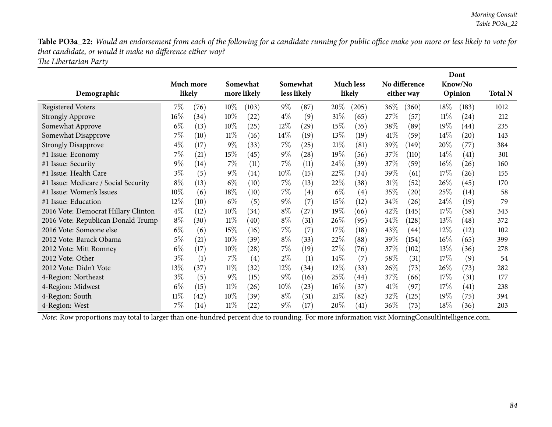Table PO3a\_22: Would an endorsement from each of the following for a candidate running for public office make you more or less likely to vote for *that candidate, or would it make no difference either way?*

*The Libertarian Party*

|                                      |        |           |        |                    |        |                    |        |                  |        |               |        | Dont               |                |
|--------------------------------------|--------|-----------|--------|--------------------|--------|--------------------|--------|------------------|--------|---------------|--------|--------------------|----------------|
|                                      |        | Much more |        | Somewhat           |        | Somewhat           |        | <b>Much less</b> |        | No difference |        | Know/No            |                |
| Demographic                          |        | likely    |        | more likely        |        | less likely        |        | likely           |        | either way    |        | Opinion            | <b>Total N</b> |
| <b>Registered Voters</b>             | $7\%$  | (76)      | $10\%$ | (103)              | $9\%$  | (87)               | $20\%$ | (205)            | $36\%$ | (360)         | $18\%$ | (183)              | 1012           |
| <b>Strongly Approve</b>              | 16%    | (34)      | $10\%$ | (22)               | $4\%$  | (9)                | 31%    | (65)             | 27\%   | (57)          | $11\%$ | (24)               | 212            |
| Somewhat Approve                     | $6\%$  | (13)      | $10\%$ | (25)               | $12\%$ | $\left( 29\right)$ | 15%    | (35)             | 38\%   | (89)          | 19%    | (44)               | 235            |
| Somewhat Disapprove                  | 7%     | (10)      | $11\%$ | (16)               | $14\%$ | (19)               | $13\%$ | (19)             | 41%    | (59)          | $14\%$ | $\left( 20\right)$ | 143            |
| <b>Strongly Disapprove</b>           | $4\%$  | (17)      | $9\%$  | (33)               | $7\%$  | (25)               | 21%    | (81)             | 39%    | (149)         | 20%    | (77)               | 384            |
| #1 Issue: Economy                    | 7%     | (21)      | $15\%$ | (45)               | $9\%$  | (28)               | $19\%$ | (56)             | 37\%   | (110)         | $14\%$ | (41)               | 301            |
| #1 Issue: Security                   | $9\%$  | (14)      | $7\%$  | (11)               | $7\%$  | (11)               | 24\%   | (39)             | 37\%   | (59)          | $16\%$ | (26)               | 160            |
| #1 Issue: Health Care                | $3\%$  | (5)       | $9\%$  | (14)               | $10\%$ | (15)               | 22%    | (34)             | 39%    | (61)          | 17%    | (26)               | 155            |
| #1 Issue: Medicare / Social Security | $8\%$  | (13)      | $6\%$  | (10)               | $7\%$  | (13)               | 22\%   | (38)             | 31%    | (52)          | 26%    | (45)               | 170            |
| #1 Issue: Women's Issues             | $10\%$ | (6)       | 18%    | (10)               | $7\%$  | $\left( 4\right)$  | $6\%$  | (4)              | 35%    | (20)          | 25\%   | (14)               | 58             |
| #1 Issue: Education                  | 12%    | (10)      | $6\%$  | (5)                | $9\%$  | (7)                | 15%    | (12)             | 34\%   | (26)          | 24\%   | (19)               | 79             |
| 2016 Vote: Democrat Hillary Clinton  | $4\%$  | (12)      | $10\%$ | (34)               | $8\%$  | (27)               | 19%    | (66)             | 42\%   | (145)         | 17%    | (58)               | 343            |
| 2016 Vote: Republican Donald Trump   | $8\%$  | (30)      | $11\%$ | (40)               | $8\%$  | (31)               | 26\%   | (95)             | 34\%   | (128)         | 13\%   | (48)               | 372            |
| 2016 Vote: Someone else              | $6\%$  | (6)       | 15%    | (16)               | $7\%$  | (7)                | 17%    | (18)             | 43\%   | (44)          | $12\%$ | (12)               | 102            |
| 2012 Vote: Barack Obama              | 5%     | (21)      | $10\%$ | (39)               | $8\%$  | (33)               | $22\%$ | (88)             | 39%    | (154)         | $16\%$ | (65)               | 399            |
| 2012 Vote: Mitt Romney               | $6\%$  | (17)      | $10\%$ | $\left( 28\right)$ | $7\%$  | (19)               | $27\%$ | (76)             | 37\%   | (102)         | 13\%   | (36)               | 278            |
| 2012 Vote: Other                     | $3\%$  | (1)       | $7\%$  | (4)                | $2\%$  | (1)                | $14\%$ | (7)              | 58\%   | (31)          | 17\%   | (9)                | 54             |
| 2012 Vote: Didn't Vote               | 13\%   | (37)      | $11\%$ | (32)               | $12\%$ | (34)               | $12\%$ | (33)             | 26\%   | (73)          | 26%    | (73)               | 282            |
| 4-Region: Northeast                  | $3\%$  | (5)       | $9\%$  | (15)               | $9\%$  | (16)               | 25\%   | (44)             | 37\%   | (66)          | 17\%   | (31)               | 177            |
| 4-Region: Midwest                    | $6\%$  | (15)      | $11\%$ | (26)               | $10\%$ | (23)               | $16\%$ | (37)             | 41%    | (97)          | 17%    | (41)               | 238            |
| 4-Region: South                      | $11\%$ | (42)      | $10\%$ | (39)               | $8\%$  | (31)               | 21%    | (82)             | 32%    | (125)         | $19\%$ | (75)               | 394            |
| 4-Region: West                       | 7%     | (14)      | $11\%$ | (22)               | $9\%$  | (17)               | 20%    | (41)             | 36\%   | (73)          | 18%    | (36)               | 203            |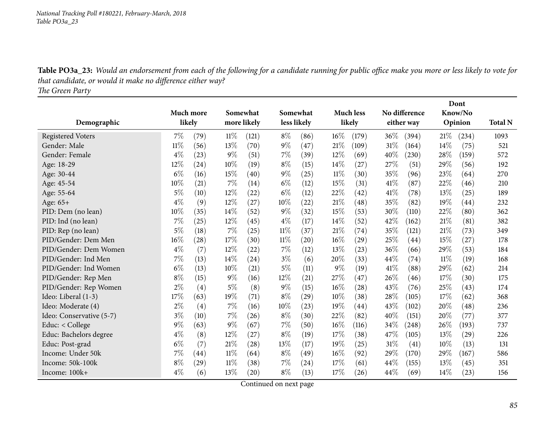Table PO3a\_23: Would an endorsement from each of the following for a candidate running for public office make you more or less likely to vote for *that candidate, or would it make no difference either way?*

*The Green Party*

|                          |        |           |        |             |        |                    |       |                    |        |                    |        | Dont    |                |
|--------------------------|--------|-----------|--------|-------------|--------|--------------------|-------|--------------------|--------|--------------------|--------|---------|----------------|
|                          |        | Much more |        | Somewhat    |        | Somewhat           |       | <b>Much less</b>   |        | No difference      |        | Know/No |                |
| Demographic              | likely |           |        | more likely |        | less likely        |       | likely             |        | either way         |        | Opinion | <b>Total N</b> |
| <b>Registered Voters</b> | 7%     | (79)      | $11\%$ | (121)       | $8\%$  | (86)               | 16%   | (179)              | $36\%$ | (394)              | 21%    | (234)   | 1093           |
| Gender: Male             | $11\%$ | (56)      | 13%    | (70)        | $9\%$  | (47)               | 21%   | (109)              | 31%    | (164)              | $14\%$ | (75)    | 521            |
| Gender: Female           | $4\%$  | (23)      | $9\%$  | (51)        | 7%     | (39)               | 12%   | (69)               | 40\%   | (230)              | 28%    | (159)   | 572            |
| Age: 18-29               | 12%    | (24)      | 10%    | (19)        | $8\%$  | (15)               | 14\%  | (27)               | 27%    | $\left( 51\right)$ | 29%    | (56)    | 192            |
| Age: 30-44               | $6\%$  | (16)      | 15%    | (40)        | $9\%$  | (25)               | 11%   | (30)               | 35%    | (96)               | 23%    | (64)    | 270            |
| Age: 45-54               | 10%    | (21)      | 7%     | (14)        | $6\%$  | (12)               | 15%   | (31)               | 41\%   | (87)               | 22%    | (46)    | 210            |
| Age: 55-64               | $5\%$  | (10)      | 12%    | $^{(22)}$   | $6\%$  | (12)               | 22%   | (42)               | 41\%   | (78)               | 13%    | (25)    | 189            |
| Age: $65+$               | $4\%$  | (9)       | 12%    | (27)        | 10%    | (22)               | 21%   | (48)               | 35\%   | (82)               | 19%    | (44)    | 232            |
| PID: Dem (no lean)       | 10%    | (35)      | 14%    | (52)        | $9\%$  | (32)               | 15%   | (53)               | 30%    | (110)              | 22%    | (80)    | 362            |
| PID: Ind (no lean)       | 7%     | (25)      | $12\%$ | (45)        | $4\%$  | (17)               | 14\%  | (52)               | 42%    | (162)              | 21%    | (81)    | 382            |
| PID: Rep (no lean)       | 5%     | (18)      | 7%     | (25)        | $11\%$ | (37)               | 21%   | (74)               | 35%    | (121)              | 21%    | (73)    | 349            |
| PID/Gender: Dem Men      | 16%    | (28)      | $17\%$ | (30)        | $11\%$ | $\left( 20\right)$ | 16%   | $\left( 29\right)$ | 25\%   | $\left( 44\right)$ | 15%    | (27)    | 178            |
| PID/Gender: Dem Women    | $4\%$  | (7)       | 12%    | (22)        | 7%     | (12)               | 13%   | (23)               | 36%    | (66)               | 29%    | (53)    | 184            |
| PID/Gender: Ind Men      | 7%     | (13)      | 14%    | (24)        | $3\%$  | (6)                | 20%   | (33)               | 44%    | (74)               | 11%    | (19)    | 168            |
| PID/Gender: Ind Women    | $6\%$  | (13)      | 10%    | (21)        | $5\%$  | (11)               | $9\%$ | (19)               | 41\%   | (88)               | 29%    | (62)    | 214            |
| PID/Gender: Rep Men      | $8\%$  | (15)      | $9\%$  | (16)        | $12\%$ | (21)               | 27%   | (47)               | 26%    | (46)               | 17%    | (30)    | 175            |
| PID/Gender: Rep Women    | $2\%$  | (4)       | $5\%$  | (8)         | $9\%$  | (15)               | 16%   | (28)               | 43%    | (76)               | 25%    | (43)    | 174            |
| Ideo: Liberal (1-3)      | 17%    | (63)      | 19%    | (71)        | $8\%$  | (29)               | 10%   | (38)               | 28%    | (105)              | 17%    | (62)    | 368            |
| Ideo: Moderate (4)       | $2\%$  | (4)       | $7\%$  | (16)        | $10\%$ | (23)               | 19%   | (44)               | 43%    | (102)              | 20%    | (48)    | 236            |
| Ideo: Conservative (5-7) | $3\%$  | (10)      | 7%     | (26)        | $8\%$  | (30)               | 22%   | (82)               | 40%    | (151)              | 20%    | (77)    | 377            |
| Educ: < College          | $9\%$  | (63)      | $9\%$  | (67)        | $7\%$  | (50)               | 16%   | (116)              | 34%    | (248)              | 26%    | (193)   | 737            |
| Educ: Bachelors degree   | $4\%$  | (8)       | 12%    | (27)        | $8\%$  | (19)               | 17%   | (38)               | 47%    | (105)              | 13%    | (29)    | 226            |
| Educ: Post-grad          | $6\%$  | (7)       | 21%    | (28)        | $13\%$ | (17)               | 19%   | (25)               | 31%    | (41)               | 10%    | (13)    | 131            |
| Income: Under 50k        | 7%     | (44)      | $11\%$ | (64)        | $8\%$  | (49)               | 16%   | (92)               | 29%    | (170)              | 29%    | (167)   | 586            |
| Income: 50k-100k         | $8\%$  | (29)      | 11%    | (38)        | 7%     | $\left( 24\right)$ | 17%   | (61)               | 44%    | (155)              | 13%    | (45)    | 351            |
| Income: 100k+            | $4\%$  | (6)       | 13%    | (20)        | $8\%$  | (13)               | 17%   | (26)               | 44\%   | (69)               | 14%    | (23)    | 156            |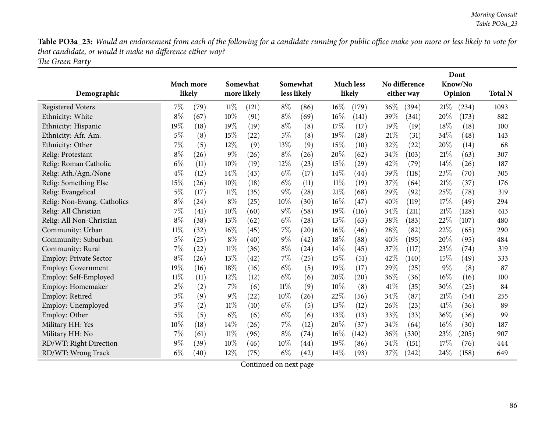Table PO3a\_23: Would an endorsement from each of the following for a candidate running for public office make you more or less likely to vote for *that candidate, or would it make no difference either way? The Green Party*

|                             |        |           |        |             |        |             |        |                    |      |               |        | Dont    |                |
|-----------------------------|--------|-----------|--------|-------------|--------|-------------|--------|--------------------|------|---------------|--------|---------|----------------|
|                             |        | Much more |        | Somewhat    |        | Somewhat    |        | Much less          |      | No difference |        | Know/No |                |
| Demographic                 |        | likely    |        | more likely |        | less likely |        | likely             |      | either way    |        | Opinion | <b>Total N</b> |
| <b>Registered Voters</b>    | $7\%$  | (79)      | $11\%$ | (121)       | $8\%$  | (86)        | $16\%$ | (179)              | 36\% | (394)         | 21%    | (234)   | 1093           |
| Ethnicity: White            | $8\%$  | (67)      | 10%    | (91)        | $8\%$  | (69)        | $16\%$ | (141)              | 39%  | (341)         | 20%    | (173)   | 882            |
| Ethnicity: Hispanic         | 19%    | (18)      | 19%    | (19)        | $8\%$  | (8)         | 17%    | (17)               | 19%  | (19)          | 18%    | (18)    | 100            |
| Ethnicity: Afr. Am.         | $5\%$  | (8)       | 15%    | (22)        | $5\%$  | (8)         | 19%    | (28)               | 21%  | (31)          | 34%    | (48)    | 143            |
| Ethnicity: Other            | 7%     | (5)       | 12%    | (9)         | 13%    | (9)         | 15%    | (10)               | 32%  | (22)          | 20%    | (14)    | 68             |
| Relig: Protestant           | $8\%$  | (26)      | $9\%$  | (26)        | $8\%$  | (26)        | 20%    | (62)               | 34%  | (103)         | 21\%   | (63)    | 307            |
| Relig: Roman Catholic       | $6\%$  | (11)      | 10%    | (19)        | 12%    | (23)        | 15%    | $\left( 29\right)$ | 42%  | (79)          | 14%    | (26)    | 187            |
| Relig: Ath./Agn./None       | $4\%$  | (12)      | 14%    | (43)        | $6\%$  | (17)        | 14\%   | (44)               | 39%  | (118)         | 23%    | (70)    | 305            |
| Relig: Something Else       | 15%    | (26)      | 10%    | (18)        | $6\%$  | (11)        | $11\%$ | (19)               | 37%  | (64)          | 21\%   | (37)    | 176            |
| Relig: Evangelical          | $5\%$  | (17)      | $11\%$ | (35)        | $9\%$  | (28)        | 21\%   | (68)               | 29%  | (92)          | 25%    | (78)    | 319            |
| Relig: Non-Evang. Catholics | $8\%$  | (24)      | $8\%$  | (25)        | 10%    | (30)        | 16%    | (47)               | 40%  | (119)         | 17%    | (49)    | 294            |
| Relig: All Christian        | 7%     | (41)      | 10%    | (60)        | 9%     | (58)        | 19%    | (116)              | 34%  | (211)         | 21%    | (128)   | 613            |
| Relig: All Non-Christian    | $8\%$  | (38)      | 13%    | (62)        | $6\%$  | (28)        | 13%    | (63)               | 38%  | (183)         | 22%    | (107)   | 480            |
| Community: Urban            | 11%    | (32)      | 16%    | (45)        | 7%     | (20)        | $16\%$ | (46)               | 28%  | (82)          | 22%    | (65)    | 290            |
| Community: Suburban         | $5\%$  | (25)      | $8\%$  | (40)        | $9\%$  | (42)        | 18%    | (88)               | 40%  | (195)         | 20%    | (95)    | 484            |
| Community: Rural            | 7%     | (22)      | $11\%$ | (36)        | $8\%$  | (24)        | $14\%$ | (45)               | 37%  | (117)         | 23%    | (74)    | 319            |
| Employ: Private Sector      | $8\%$  | (26)      | 13%    | (42)        | 7%     | (25)        | 15%    | (51)               | 42%  | (140)         | 15%    | (49)    | 333            |
| Employ: Government          | 19%    | (16)      | 18%    | (16)        | $6\%$  | (5)         | 19%    | (17)               | 29%  | (25)          | $9\%$  | (8)     | 87             |
| Employ: Self-Employed       | $11\%$ | (11)      | 12%    | (12)        | $6\%$  | (6)         | 20%    | $\left( 20\right)$ | 36%  | (36)          | $16\%$ | (16)    | 100            |
| Employ: Homemaker           | $2\%$  | (2)       | $7\%$  | (6)         | $11\%$ | (9)         | 10%    | (8)                | 41%  | (35)          | 30%    | (25)    | 84             |
| Employ: Retired             | $3\%$  | (9)       | $9\%$  | (22)        | 10%    | (26)        | 22%    | (56)               | 34%  | (87)          | 21%    | (54)    | 255            |
| Employ: Unemployed          | $3\%$  | (2)       | $11\%$ | (10)        | $6\%$  | (5)         | 13%    | (12)               | 26%  | (23)          | 41\%   | (36)    | 89             |
| Employ: Other               | 5%     | (5)       | $6\%$  | (6)         | $6\%$  | (6)         | 13%    | (13)               | 33%  | (33)          | 36%    | (36)    | 99             |
| Military HH: Yes            | 10%    | (18)      | 14%    | (26)        | 7%     | (12)        | 20%    | (37)               | 34%  | (64)          | 16%    | (30)    | 187            |
| Military HH: No             | 7%     | (61)      | $11\%$ | (96)        | $8\%$  | (74)        | 16%    | (142)              | 36%  | (330)         | 23%    | (205)   | 907            |
| RD/WT: Right Direction      | 9%     | (39)      | 10%    | (46)        | 10%    | (44)        | 19%    | (86)               | 34%  | (151)         | 17%    | (76)    | 444            |
| RD/WT: Wrong Track          | $6\%$  | (40)      | 12%    | (75)        | $6\%$  | (42)        | 14%    | (93)               | 37%  | (242)         | 24%    | (158)   | 649            |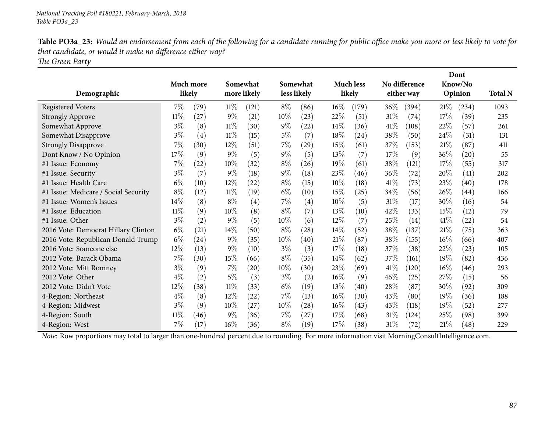Table PO3a\_23: Would an endorsement from each of the following for a candidate running for public office make you more or less likely to vote for *that candidate, or would it make no difference either way? The Green Party*

| Demographic                          |        | <b>Much more</b><br>likely |        | Somewhat<br>more likely |        | Somewhat<br>less likely |        | <b>Much less</b><br>likely |        | No difference<br>either way |        | Dont<br>Know/No<br>Opinion | <b>Total N</b> |
|--------------------------------------|--------|----------------------------|--------|-------------------------|--------|-------------------------|--------|----------------------------|--------|-----------------------------|--------|----------------------------|----------------|
| <b>Registered Voters</b>             | 7%     | (79)                       | $11\%$ | (121)                   | $8\%$  | (86)                    | 16%    | (179)                      | $36\%$ | (394)                       | 21%    | (234)                      | 1093           |
| <b>Strongly Approve</b>              | 11%    | (27)                       | $9\%$  | (21)                    | 10%    | (23)                    | 22%    | (51)                       | 31\%   | (74)                        | 17\%   | (39)                       | 235            |
| Somewhat Approve                     | $3\%$  | (8)                        | $11\%$ | (30)                    | $9\%$  | (22)                    | 14%    | (36)                       | 41\%   | (108)                       | 22%    | (57)                       | 261            |
| Somewhat Disapprove                  | $3\%$  | (4)                        | 11%    | (15)                    | $5\%$  | (7)                     | 18%    | (24)                       | 38%    | (50)                        | 24\%   | (31)                       | 131            |
| <b>Strongly Disapprove</b>           | 7%     | (30)                       | $12\%$ | (51)                    | $7\%$  | (29)                    | 15%    | (61)                       | 37%    | (153)                       | 21%    | (87)                       | 411            |
| Dont Know / No Opinion               | 17%    | (9)                        | $9\%$  | (5)                     | $9\%$  | (5)                     | 13\%   | (7)                        | 17%    | (9)                         | 36\%   | (20)                       | 55             |
| #1 Issue: Economy                    | 7%     | (22)                       | $10\%$ | (32)                    | $8\%$  | (26)                    | 19%    | (61)                       | 38\%   | (121)                       | 17%    | (55)                       | 317            |
| #1 Issue: Security                   | $3\%$  | (7)                        | $9\%$  | (18)                    | $9\%$  | (18)                    | 23\%   | (46)                       | 36%    | (72)                        | 20%    | (41)                       | 202            |
| #1 Issue: Health Care                | $6\%$  | (10)                       | $12\%$ | (22)                    | $8\%$  | (15)                    | $10\%$ | (18)                       | 41%    | (73)                        | 23\%   | (40)                       | 178            |
| #1 Issue: Medicare / Social Security | $8\%$  | (12)                       | $11\%$ | (19)                    | $6\%$  | (10)                    | 15%    | (25)                       | 34\%   | (56)                        | 26\%   | (44)                       | 166            |
| #1 Issue: Women's Issues             | 14\%   | (8)                        | $8\%$  | $\left( 4\right)$       | $7\%$  | $\left( 4\right)$       | 10%    | (5)                        | 31\%   | (17)                        | 30%    | (16)                       | 54             |
| #1 Issue: Education                  | $11\%$ | (9)                        | 10%    | (8)                     | $8\%$  | (7)                     | 13%    | (10)                       | 42%    | (33)                        | 15%    | (12)                       | 79             |
| #1 Issue: Other                      | $3\%$  | (2)                        | $9\%$  | (5)                     | 10%    | (6)                     | $12\%$ | (7)                        | 25\%   | (14)                        | 41%    | (22)                       | 54             |
| 2016 Vote: Democrat Hillary Clinton  | $6\%$  | (21)                       | $14\%$ | (50)                    | $8\%$  | (28)                    | 14\%   | (52)                       | 38\%   | (137)                       | 21%    | (75)                       | 363            |
| 2016 Vote: Republican Donald Trump   | $6\%$  | (24)                       | $9\%$  | (35)                    | $10\%$ | (40)                    | 21%    | (87)                       | 38%    | (155)                       | $16\%$ | (66)                       | 407            |
| 2016 Vote: Someone else              | 12%    | (13)                       | $9\%$  | (10)                    | $3\%$  | (3)                     | 17%    | (18)                       | 37\%   | (38)                        | $22\%$ | (23)                       | 105            |
| 2012 Vote: Barack Obama              | 7%     | (30)                       | $15\%$ | (66)                    | $8\%$  | (35)                    | $14\%$ | (62)                       | 37%    | (161)                       | 19%    | (82)                       | 436            |
| 2012 Vote: Mitt Romney               | $3\%$  | (9)                        | $7\%$  | $\left( 20\right)$      | 10%    | (30)                    | 23%    | (69)                       | 41\%   | (120)                       | $16\%$ | (46)                       | 293            |
| 2012 Vote: Other                     | $4\%$  | (2)                        | $5\%$  | (3)                     | $3\%$  | (2)                     | $16\%$ | (9)                        | $46\%$ | (25)                        | 27\%   | (15)                       | 56             |
| 2012 Vote: Didn't Vote               | $12\%$ | (38)                       | $11\%$ | (33)                    | $6\%$  | (19)                    | 13\%   | (40)                       | 28\%   | (87)                        | $30\%$ | (92)                       | 309            |
| 4-Region: Northeast                  | $4\%$  | (8)                        | $12\%$ | (22)                    | $7\%$  | (13)                    | $16\%$ | (30)                       | 43\%   | (80)                        | 19%    | (36)                       | 188            |
| 4-Region: Midwest                    | $3\%$  | (9)                        | $10\%$ | (27)                    | $10\%$ | (28)                    | 16%    | (43)                       | 43\%   | (118)                       | 19%    | (52)                       | 277            |
| 4-Region: South                      | $11\%$ | (46)                       | $9\%$  | (36)                    | $7\%$  | (27)                    | 17%    | (68)                       | 31%    | (124)                       | $25\%$ | (98)                       | 399            |
| 4-Region: West                       | 7%     | (17)                       | $16\%$ | (36)                    | $8\%$  | (19)                    | 17%    | (38)                       | 31\%   | (72)                        | 21%    | (48)                       | 229            |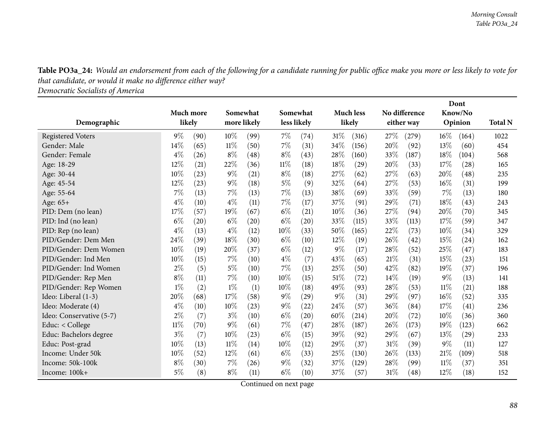Table PO3a\_24: Would an endorsement from each of the following for a candidate running for public office make you more or less likely to vote for *that candidate, or would it make no difference either way?*

*Democratic Socialists of America*

|                          |           |      |             |          |        |                    |        |                  |      |               |        | Dont    |                |
|--------------------------|-----------|------|-------------|----------|--------|--------------------|--------|------------------|------|---------------|--------|---------|----------------|
|                          | Much more |      |             | Somewhat |        | Somewhat           |        | <b>Much less</b> |      | No difference |        | Know/No |                |
| Demographic              | likely    |      | more likely |          |        | less likely        |        | likely           |      | either way    |        | Opinion | <b>Total N</b> |
| <b>Registered Voters</b> | $9\%$     | (90) | 10%         | (99)     | $7\%$  | $\left( 74\right)$ | 31%    | (316)            | 27\% | (279)         | $16\%$ | (164)   | 1022           |
| Gender: Male             | 14%       | (65) | $11\%$      | (50)     | 7%     | (31)               | 34%    | (156)            | 20%  | (92)          | 13%    | (60)    | 454            |
| Gender: Female           | $4\%$     | (26) | $8\%$       | (48)     | $8\%$  | (43)               | 28%    | (160)            | 33\% | (187)         | 18%    | (104)   | 568            |
| Age: 18-29               | 12%       | (21) | 22%         | (36)     | $11\%$ | (18)               | 18%    | (29)             | 20%  | (33)          | 17%    | (28)    | 165            |
| Age: 30-44               | 10%       | (23) | $9\%$       | (21)     | $8\%$  | (18)               | 27\%   | (62)             | 27\% | (63)          | 20%    | (48)    | 235            |
| Age: 45-54               | 12%       | (23) | $9\%$       | (18)     | $5\%$  | (9)                | 32%    | (64)             | 27%  | (53)          | 16%    | (31)    | 199            |
| Age: 55-64               | 7%        | (13) | 7%          | (13)     | 7%     | (13)               | 38%    | (69)             | 33%  | (59)          | 7%     | (13)    | 180            |
| Age: 65+                 | $4\%$     | (10) | $4\%$       | (11)     | 7%     | (17)               | 37%    | (91)             | 29%  | (71)          | 18%    | (43)    | 243            |
| PID: Dem (no lean)       | 17%       | (57) | 19%         | (67)     | $6\%$  | (21)               | 10%    | (36)             | 27%  | (94)          | 20%    | (70)    | 345            |
| PID: Ind (no lean)       | $6\%$     | (20) | $6\%$       | (20)     | $6\%$  | $\left( 20\right)$ | 33%    | (115)            | 33\% | (113)         | 17%    | (59)    | 347            |
| PID: Rep (no lean)       | $4\%$     | (13) | $4\%$       | (12)     | 10%    | (33)               | 50%    | (165)            | 22%  | (73)          | 10%    | (34)    | 329            |
| PID/Gender: Dem Men      | 24%       | (39) | 18%         | (30)     | $6\%$  | (10)               | $12\%$ | (19)             | 26%  | (42)          | 15%    | (24)    | 162            |
| PID/Gender: Dem Women    | 10%       | (19) | $20\%$      | (37)     | $6\%$  | (12)               | $9\%$  | (17)             | 28%  | (52)          | 25%    | (47)    | 183            |
| PID/Gender: Ind Men      | 10%       | (15) | 7%          | (10)     | $4\%$  | (7)                | 43%    | (65)             | 21%  | (31)          | 15%    | (23)    | 151            |
| PID/Gender: Ind Women    | 2%        | (5)  | 5%          | (10)     | 7%     | (13)               | 25%    | (50)             | 42%  | (82)          | 19%    | (37)    | 196            |
| PID/Gender: Rep Men      | $8\%$     | (11) | 7%          | (10)     | 10%    | (15)               | 51%    | (72)             | 14%  | (19)          | 9%     | (13)    | 141            |
| PID/Gender: Rep Women    | $1\%$     | (2)  | $1\%$       | (1)      | 10%    | (18)               | 49\%   | (93)             | 28\% | (53)          | 11%    | (21)    | 188            |
| Ideo: Liberal (1-3)      | 20%       | (68) | 17%         | (58)     | $9\%$  | (29)               | $9\%$  | (31)             | 29%  | (97)          | 16%    | (52)    | 335            |
| Ideo: Moderate (4)       | $4\%$     | (10) | 10%         | (23)     | $9\%$  | (22)               | 24\%   | (57)             | 36%  | (84)          | 17%    | (41)    | 236            |
| Ideo: Conservative (5-7) | $2\%$     | (7)  | $3\%$       | (10)     | $6\%$  | $\left( 20\right)$ | 60%    | (214)            | 20%  | (72)          | 10%    | (36)    | 360            |
| Educ: < College          | $11\%$    | (70) | $9\%$       | (61)     | $7\%$  | (47)               | 28%    | (187)            | 26%  | (173)         | 19%    | (123)   | 662            |
| Educ: Bachelors degree   | $3\%$     | (7)  | 10%         | (23)     | $6\%$  | (15)               | 39%    | (92)             | 29%  | (67)          | 13%    | (29)    | 233            |
| Educ: Post-grad          | 10%       | (13) | $11\%$      | (14)     | 10%    | (12)               | 29%    | (37)             | 31%  | (39)          | $9\%$  | (11)    | 127            |
| Income: Under 50k        | 10%       | (52) | 12%         | (61)     | $6\%$  | (33)               | 25%    | (130)            | 26%  | (133)         | 21\%   | (109)   | 518            |
| Income: 50k-100k         | $8\%$     | (30) | 7%          | (26)     | $9\%$  | (32)               | 37%    | (129)            | 28\% | (99)          | 11%    | (37)    | 351            |
| Income: 100k+            | $5\%$     | (8)  | $8\%$       | (11)     | $6\%$  | (10)               | 37%    | (57)             | 31%  | (48)          | 12%    | (18)    | 152            |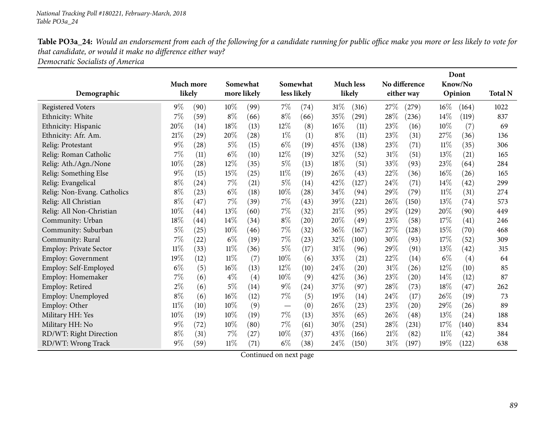Table PO3a\_24: Would an endorsement from each of the following for a candidate running for public office make you more or less likely to vote for *that candidate, or would it make no difference either way?*

*Democratic Socialists of America*

|                             |           |                    |        |             |                          |             |       |                  |        |                    |        | Dont    |                |
|-----------------------------|-----------|--------------------|--------|-------------|--------------------------|-------------|-------|------------------|--------|--------------------|--------|---------|----------------|
|                             | Much more |                    |        | Somewhat    |                          | Somewhat    |       | <b>Much less</b> |        | No difference      |        | Know/No |                |
| Demographic                 |           | likely             |        | more likely |                          | less likely |       | likely           |        | either way         |        | Opinion | <b>Total N</b> |
| <b>Registered Voters</b>    | $9\%$     | (90)               | 10%    | (99)        | $7\%$                    | (74)        | 31%   | (316)            | 27\%   | (279)              | $16\%$ | (164)   | 1022           |
| Ethnicity: White            | 7%        | (59)               | $8\%$  | (66)        | $8\%$                    | (66)        | 35%   | (291)            | 28%    | (236)              | 14%    | (119)   | 837            |
| Ethnicity: Hispanic         | 20%       | (14)               | 18%    | (13)        | $12\%$                   | (8)         | 16%   | (11)             | 23%    | (16)               | 10%    | (7)     | 69             |
| Ethnicity: Afr. Am.         | 21%       | (29)               | 20%    | (28)        | $1\%$                    | (1)         | $8\%$ | (11)             | 23%    | (31)               | 27%    | (36)    | 136            |
| Relig: Protestant           | 9%        | (28)               | $5\%$  | (15)        | $6\%$                    | (19)        | 45%   | (138)            | 23%    | (71)               | 11%    | (35)    | 306            |
| Relig: Roman Catholic       | 7%        | (11)               | $6\%$  | (10)        | 12%                      | (19)        | 32%   | (52)             | 31%    | (51)               | 13%    | (21)    | 165            |
| Relig: Ath./Agn./None       | 10%       | (28)               | 12%    | (35)        | $5\%$                    | (13)        | 18%   | (51)             | 33%    | (93)               | 23%    | (64)    | 284            |
| Relig: Something Else       | 9%        | (15)               | $15\%$ | (25)        | $11\%$                   | (19)        | 26%   | (43)             | 22%    | (36)               | 16%    | (26)    | 165            |
| Relig: Evangelical          | $8\%$     | (24)               | 7%     | (21)        | $5\%$                    | (14)        | 42%   | (127)            | 24\%   | (71)               | 14%    | (42)    | 299            |
| Relig: Non-Evang. Catholics | $8\%$     | (23)               | $6\%$  | (18)        | 10%                      | (28)        | 34%   | (94)             | 29%    | (79)               | $11\%$ | (31)    | 274            |
| Relig: All Christian        | $8\%$     | (47)               | 7%     | (39)        | $7\%$                    | (43)        | 39%   | (221)            | 26\%   | (150)              | 13%    | (74)    | 573            |
| Relig: All Non-Christian    | 10%       | $\left( 44\right)$ | 13%    | (60)        | $7\%$                    | (32)        | 21%   | (95)             | 29%    | (129)              | 20%    | (90)    | 449            |
| Community: Urban            | 18%       | $\left( 44\right)$ | $14\%$ | (34)        | $8\%$                    | (20)        | 20%   | (49)             | 23%    | (58)               | 17%    | (41)    | 246            |
| Community: Suburban         | 5%        | (25)               | 10%    | (46)        | $7\%$                    | (32)        | 36%   | (167)            | 27%    | (128)              | 15%    | (70)    | 468            |
| Community: Rural            | 7%        | (22)               | $6\%$  | (19)        | $7\%$                    | (23)        | 32%   | (100)            | 30%    | (93)               | 17%    | (52)    | 309            |
| Employ: Private Sector      | $11\%$    | (33)               | $11\%$ | (36)        | $5\%$                    | (17)        | 31%   | (96)             | 29%    | (91)               | 13%    | (42)    | 315            |
| Employ: Government          | 19%       | (12)               | $11\%$ | (7)         | 10%                      | (6)         | 33%   | (21)             | 22%    | (14)               | $6\%$  | (4)     | 64             |
| Employ: Self-Employed       | $6\%$     | (5)                | 16%    | (13)        | 12%                      | (10)        | 24%   | (20)             | 31%    | (26)               | 12%    | (10)    | 85             |
| Employ: Homemaker           | 7%        | (6)                | $4\%$  | (4)         | 10%                      | (9)         | 42%   | (36)             | 23%    | $\left( 20\right)$ | 14\%   | (12)    | 87             |
| Employ: Retired             | $2\%$     | (6)                | $5\%$  | (14)        | $9\%$                    | (24)        | 37%   | (97)             | 28%    | (73)               | 18%    | (47)    | 262            |
| Employ: Unemployed          | $8\%$     | (6)                | $16\%$ | (12)        | 7%                       | (5)         | 19%   | (14)             | 24\%   | (17)               | 26%    | (19)    | 73             |
| Employ: Other               | $11\%$    | (10)               | 10%    | (9)         | $\overline{\phantom{m}}$ | (0)         | 26%   | (23)             | 23%    | (20)               | 29\%   | (26)    | 89             |
| Military HH: Yes            | 10%       | (19)               | 10%    | (19)        | $7\%$                    | (13)        | 35%   | (65)             | 26\%   | (48)               | 13%    | (24)    | 188            |
| Military HH: No             | 9%        | (72)               | $10\%$ | (80)        | $7\%$                    | (61)        | 30%   | (251)            | 28%    | (231)              | 17%    | (140)   | 834            |
| RD/WT: Right Direction      | $8\%$     | (31)               | 7%     | (27)        | 10%                      | (37)        | 43%   | (166)            | 21%    | (82)               | $11\%$ | (42)    | 384            |
| RD/WT: Wrong Track          | 9%        | (59)               | $11\%$ | (71)        | $6\%$                    | (38)        | 24\%  | (150)            | $31\%$ | (197)              | 19%    | (122)   | 638            |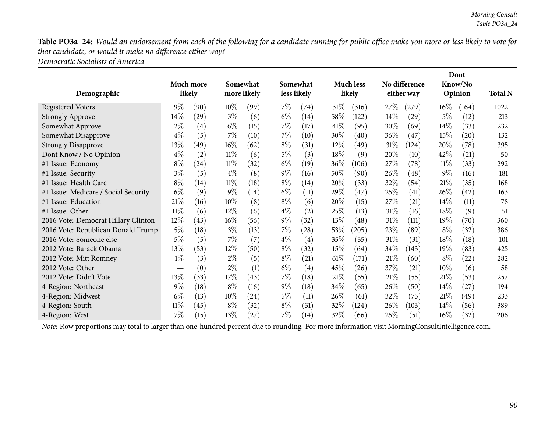Table PO3a\_24: Would an endorsement from each of the following for a candidate running for public office make you more or less likely to vote for *that candidate, or would it make no difference either way? Democratic Socialists of America*

|                                      |                               |                     |        |                         |       |                         |        |                            |        |                             |        | Dont               |                |
|--------------------------------------|-------------------------------|---------------------|--------|-------------------------|-------|-------------------------|--------|----------------------------|--------|-----------------------------|--------|--------------------|----------------|
| Demographic                          |                               | Much more<br>likely |        | Somewhat<br>more likely |       | Somewhat<br>less likely |        | <b>Much less</b><br>likely |        | No difference<br>either way |        | Know/No<br>Opinion | <b>Total N</b> |
|                                      |                               |                     |        |                         |       |                         |        |                            |        |                             |        |                    |                |
| <b>Registered Voters</b>             | $9\%$                         | (90)                | $10\%$ | (99)                    | $7\%$ | (74)                    | 31%    | (316)                      | $27\%$ | (279)                       | $16\%$ | (164)              | 1022           |
| <b>Strongly Approve</b>              | $14\%$                        | (29)                | $3\%$  | (6)                     | $6\%$ | (14)                    | $58\%$ | (122)                      | $14\%$ | $\left( 29\right)$          | $5\%$  | (12)               | 213            |
| Somewhat Approve                     | $2\%$                         | $\left( 4\right)$   | $6\%$  | (15)                    | $7\%$ | (17)                    | $41\%$ | (95)                       | 30\%   | (69)                        | $14\%$ | (33)               | 232            |
| Somewhat Disapprove                  | $4\%$                         | (5)                 | $7\%$  | (10)                    | $7\%$ | (10)                    | 30\%   | (40)                       | $36\%$ | (47)                        | 15\%   | $\left( 20\right)$ | 132            |
| <b>Strongly Disapprove</b>           | 13\%                          | (49)                | $16\%$ | (62)                    | $8\%$ | (31)                    | $12\%$ | (49)                       | $31\%$ | (124)                       | 20%    | (78)               | 395            |
| Dont Know / No Opinion               | $4\%$                         | (2)                 | $11\%$ | (6)                     | $5\%$ | (3)                     | $18\%$ | (9)                        | $20\%$ | (10)                        | 42\%   | (21)               | 50             |
| #1 Issue: Economy                    | $8\%$                         | (24)                | $11\%$ | (32)                    | $6\%$ | (19)                    | $36\%$ | (106)                      | 27\%   | (78)                        | $11\%$ | (33)               | 292            |
| #1 Issue: Security                   | $3\%$                         | (5)                 | $4\%$  | (8)                     | $9\%$ | (16)                    | 50%    | (90)                       | 26\%   | (48)                        | $9\%$  | (16)               | 181            |
| #1 Issue: Health Care                | $8\%$                         | (14)                | $11\%$ | (18)                    | $8\%$ | (14)                    | 20%    | (33)                       | 32\%   | (54)                        | 21%    | (35)               | 168            |
| #1 Issue: Medicare / Social Security | $6\%$                         | (9)                 | $9\%$  | (14)                    | $6\%$ | (11)                    | 29\%   | (47)                       | 25%    | (41)                        | 26\%   | (42)               | 163            |
| #1 Issue: Education                  | 21%                           | (16)                | $10\%$ | (8)                     | $8\%$ | (6)                     | 20%    | (15)                       | 27\%   | (21)                        | $14\%$ | (11)               | 78             |
| #1 Issue: Other                      | $11\%$                        | (6)                 | $12\%$ | (6)                     | $4\%$ | (2)                     | 25\%   | (13)                       | $31\%$ | (16)                        | 18\%   | (9)                | 51             |
| 2016 Vote: Democrat Hillary Clinton  | $12\%$                        | (43)                | $16\%$ | (56)                    | $9\%$ | (32)                    | $13\%$ | $\left( 48\right)$         | $31\%$ | (111)                       | $19\%$ | (70)               | 360            |
| 2016 Vote: Republican Donald Trump   | $5\%$                         | (18)                | $3\%$  | (13)                    | $7\%$ | (28)                    | 53\%   | (205)                      | 23\%   | (89)                        | $8\%$  | (32)               | 386            |
| 2016 Vote: Someone else              | $5\%$                         | (5)                 | $7\%$  | (7)                     | $4\%$ | (4)                     | 35\%   | (35)                       | $31\%$ | (31)                        | 18%    | (18)               | 101            |
| 2012 Vote: Barack Obama              | 13\%                          | (53)                | $12\%$ | (50)                    | $8\%$ | (32)                    | $15\%$ | (64)                       | $34\%$ | (143)                       | $19\%$ | (83)               | 425            |
| 2012 Vote: Mitt Romney               | $1\%$                         | (3)                 | $2\%$  | (5)                     | $8\%$ | $\left( 21\right)$      | $61\%$ | (171)                      | 21%    | (60)                        | $8\%$  | (22)               | 282            |
| 2012 Vote: Other                     | $\overbrace{\phantom{aaaaa}}$ | (0)                 | $2\%$  | (1)                     | $6\%$ | (4)                     | 45\%   | (26)                       | 37%    | (21)                        | 10%    | (6)                | 58             |
| 2012 Vote: Didn't Vote               | 13%                           | (33)                | 17%    | (43)                    | 7%    | (18)                    | 21%    | (55)                       | 21%    | (55)                        | 21%    | (53)               | 257            |
| 4-Region: Northeast                  | $9\%$                         | (18)                | $8\%$  | (16)                    | $9\%$ | (18)                    | 34\%   | (65)                       | 26\%   | (50)                        | $14\%$ | (27)               | 194            |
| 4-Region: Midwest                    | $6\%$                         | (13)                | $10\%$ | (24)                    | $5\%$ | (11)                    | $26\%$ | (61)                       | 32\%   | (75)                        | 21%    | (49)               | 233            |
| 4-Region: South                      | $11\%$                        | (45)                | $8\%$  | (32)                    | $8\%$ | (31)                    | $32\%$ | (124)                      | $26\%$ | (103)                       | $14\%$ | (56)               | 389            |
| 4-Region: West                       | 7%                            | (15)                | 13\%   | (27)                    | $7\%$ | (14)                    | $32\%$ | (66)                       | 25%    | (51)                        | $16\%$ | (32)               | 206            |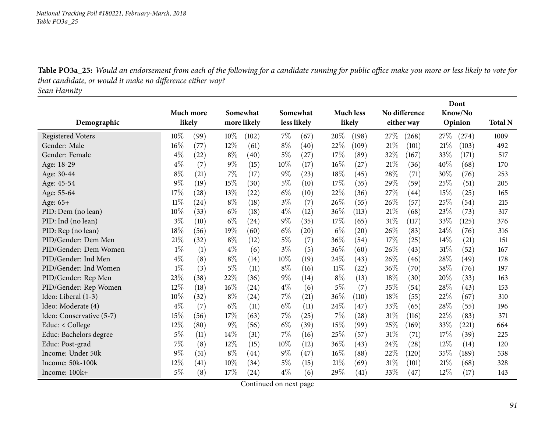Table PO3a\_25: Would an endorsement from each of the following for a candidate running for public office make you more or less likely to vote for *that candidate, or would it make no difference either way?*

*Sean Hannity*

|                          |           |      |        |             |       |             |        |                  |        |                    |      | Dont    |                |
|--------------------------|-----------|------|--------|-------------|-------|-------------|--------|------------------|--------|--------------------|------|---------|----------------|
|                          | Much more |      |        | Somewhat    |       | Somewhat    |        | <b>Much less</b> |        | No difference      |      | Know/No |                |
| Demographic              | likely    |      |        | more likely |       | less likely |        | likely           |        | either way         |      | Opinion | <b>Total N</b> |
| <b>Registered Voters</b> | $10\%$    | (99) | $10\%$ | (102)       | $7\%$ | (67)        | 20%    | (198)            | 27%    | (268)              | 27\% | (274)   | 1009           |
| Gender: Male             | 16%       | (77) | 12%    | (61)        | $8\%$ | (40)        | 22%    | (109)            | 21%    | (101)              | 21%  | (103)   | 492            |
| Gender: Female           | $4\%$     | (22) | $8\%$  | (40)        | 5%    | (27)        | 17%    | (89)             | $32\%$ | (167)              | 33%  | (171)   | 517            |
| Age: 18-29               | $4\%$     | (7)  | $9\%$  | (15)        | 10%   | (17)        | 16%    | (27)             | 21\%   | (36)               | 40%  | (68)    | 170            |
| Age: 30-44               | $8\%$     | (21) | 7%     | (17)        | $9\%$ | (23)        | 18%    | (45)             | 28%    | (71)               | 30%  | (76)    | 253            |
| Age: 45-54               | $9\%$     | (19) | 15%    | (30)        | $5\%$ | (10)        | 17%    | (35)             | 29%    | (59)               | 25%  | (51)    | 205            |
| Age: 55-64               | 17%       | (28) | 13%    | (22)        | $6\%$ | (10)        | 22%    | (36)             | 27\%   | $\left( 44\right)$ | 15%  | (25)    | 165            |
| Age: 65+                 | $11\%$    | (24) | $8\%$  | (18)        | $3\%$ | (7)         | 26%    | (55)             | 26\%   | (57)               | 25%  | (54)    | 215            |
| PID: Dem (no lean)       | 10%       | (33) | $6\%$  | (18)        | $4\%$ | (12)        | 36%    | (113)            | 21%    | (68)               | 23%  | (73)    | 317            |
| PID: Ind (no lean)       | $3\%$     | (10) | $6\%$  | (24)        | $9\%$ | (35)        | 17%    | (65)             | 31%    | (117)              | 33%  | (125)   | 376            |
| PID: Rep (no lean)       | 18%       | (56) | 19%    | (60)        | $6\%$ | (20)        | $6\%$  | (20)             | 26\%   | (83)               | 24%  | (76)    | 316            |
| PID/Gender: Dem Men      | 21\%      | (32) | $8\%$  | (12)        | $5\%$ | (7)         | 36%    | (54)             | 17\%   | (25)               | 14\% | (21)    | 151            |
| PID/Gender: Dem Women    | $1\%$     | (1)  | $4\%$  | (6)         | $3\%$ | (5)         | 36%    | (60)             | 26%    | (43)               | 31%  | (52)    | 167            |
| PID/Gender: Ind Men      | $4\%$     | (8)  | $8\%$  | (14)        | 10%   | (19)        | 24%    | (43)             | 26\%   | (46)               | 28%  | (49)    | 178            |
| PID/Gender: Ind Women    | $1\%$     | (3)  | 5%     | (11)        | $8\%$ | (16)        | 11%    | (22)             | 36%    | (70)               | 38%  | (76)    | 197            |
| PID/Gender: Rep Men      | 23%       | (38) | 22%    | (36)        | $9\%$ | (14)        | $8\%$  | (13)             | 18%    | (30)               | 20%  | (33)    | 163            |
| PID/Gender: Rep Women    | 12%       | (18) | 16%    | (24)        | $4\%$ | (6)         | 5%     | (7)              | 35%    | (54)               | 28%  | (43)    | 153            |
| Ideo: Liberal (1-3)      | 10%       | (32) | $8\%$  | (24)        | 7%    | (21)        | 36%    | (110)            | 18%    | (55)               | 22%  | (67)    | 310            |
| Ideo: Moderate (4)       | $4\%$     | (7)  | $6\%$  | (11)        | $6\%$ | (11)        | 24%    | (47)             | 33\%   | (65)               | 28%  | (55)    | 196            |
| Ideo: Conservative (5-7) | 15%       | (56) | 17%    | (63)        | $7\%$ | (25)        | 7%     | (28)             | 31%    | (116)              | 22%  | (83)    | 371            |
| Educ: < College          | 12%       | (80) | $9\%$  | (56)        | $6\%$ | (39)        | 15%    | (99)             | 25%    | (169)              | 33%  | (221)   | 664            |
| Educ: Bachelors degree   | 5%        | (11) | 14%    | (31)        | 7%    | (16)        | 25%    | (57)             | 31%    | (71)               | 17%  | (39)    | 225            |
| Educ: Post-grad          | $7\%$     | (8)  | $12\%$ | (15)        | 10%   | (12)        | 36%    | (43)             | 24\%   | (28)               | 12%  | (14)    | 120            |
| Income: Under 50k        | 9%        | (51) | $8\%$  | (44)        | $9\%$ | (47)        | $16\%$ | (88)             | 22%    | (120)              | 35%  | (189)   | 538            |
| Income: 50k-100k         | 12%       | (41) | 10%    | (34)        | $5\%$ | (15)        | 21%    | (69)             | 31%    | (101)              | 21%  | (68)    | 328            |
| Income: 100k+            | $5\%$     | (8)  | 17%    | (24)        | $4\%$ | (6)         | 29%    | (41)             | 33%    | (47)               | 12%  | (17)    | 143            |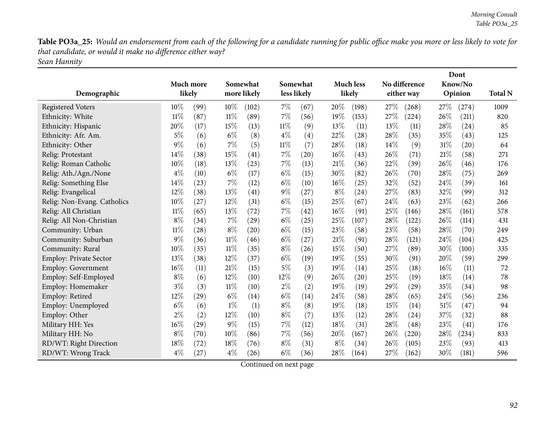Table PO3a\_25: Would an endorsement from each of the following for a candidate running for public office make you more or less likely to vote for *that candidate, or would it make no difference either way? Sean Hannity*

|                               |        |           |        |             |        |             |        |                    |      |                    |      | Dont               |                |
|-------------------------------|--------|-----------|--------|-------------|--------|-------------|--------|--------------------|------|--------------------|------|--------------------|----------------|
|                               |        | Much more |        | Somewhat    |        | Somewhat    |        | <b>Much less</b>   |      | No difference      |      | Know/No            |                |
| Demographic                   |        | likely    |        | more likely |        | less likely |        | likely             |      | either way         |      | Opinion            | <b>Total N</b> |
| <b>Registered Voters</b>      | $10\%$ | (99)      | $10\%$ | (102)       | 7%     | (67)        | 20%    | (198)              | 27%  | (268)              | 27\% | (274)              | 1009           |
| Ethnicity: White              | $11\%$ | (87)      | $11\%$ | (89)        | $7\%$  | (56)        | 19%    | (153)              | 27%  | (224)              | 26%  | (211)              | 820            |
| Ethnicity: Hispanic           | 20%    | (17)      | 15%    | (13)        | $11\%$ | (9)         | 13%    | (11)               | 13%  | (11)               | 28%  | (24)               | 85             |
| Ethnicity: Afr. Am.           | $5\%$  | (6)       | $6\%$  | (8)         | $4\%$  | (4)         | 22%    | (28)               | 28%  | (35)               | 35%  | (43)               | 125            |
| Ethnicity: Other              | 9%     | (6)       | 7%     | (5)         | $11\%$ | (7)         | 28%    | (18)               | 14\% | (9)                | 31\% | $\left( 20\right)$ | 64             |
| Relig: Protestant             | 14%    | (38)      | 15%    | (41)        | 7%     | (20)        | 16%    | (43)               | 26%  | (71)               | 21\% | (58)               | 271            |
| Relig: Roman Catholic         | 10%    | (18)      | 13%    | (23)        | 7%     | (13)        | 21%    | (36)               | 22%  | (39)               | 26%  | (46)               | 176            |
| Relig: Ath./Agn./None         | $4\%$  | (10)      | $6\%$  | (17)        | $6\%$  | (15)        | 30%    | (82)               | 26%  | (70)               | 28%  | (75)               | 269            |
| Relig: Something Else         | 14%    | (23)      | 7%     | (12)        | $6\%$  | (10)        | $16\%$ | (25)               | 32%  | (52)               | 24\% | (39)               | 161            |
| Relig: Evangelical            | 12%    | (38)      | 13%    | (41)        | $9\%$  | (27)        | $8\%$  | (24)               | 27%  | (83)               | 32%  | (99)               | 312            |
| Relig: Non-Evang. Catholics   | 10%    | (27)      | 12%    | (31)        | $6\%$  | (15)        | 25%    | (67)               | 24%  | (63)               | 23%  | (62)               | 266            |
| Relig: All Christian          | 11%    | (65)      | 13%    | (72)        | 7%     | (42)        | $16\%$ | (91)               | 25%  | (146)              | 28%  | (161)              | 578            |
| Relig: All Non-Christian      | $8\%$  | (34)      | 7%     | (29)        | $6\%$  | (25)        | 25%    | (107)              | 28%  | (122)              | 26%  | (114)              | 431            |
| Community: Urban              | $11\%$ | (28)      | $8\%$  | (20)        | $6\%$  | (15)        | 23%    | (58)               | 23%  | (58)               | 28%  | (70)               | 249            |
| Community: Suburban           | 9%     | (36)      | $11\%$ | (46)        | $6\%$  | (27)        | 21%    | (91)               | 28%  | (121)              | 24%  | (104)              | 425            |
| Community: Rural              | 10%    | (35)      | $11\%$ | (35)        | $8\%$  | (26)        | 15%    | (50)               | 27%  | (89)               | 30%  | (100)              | 335            |
| <b>Employ: Private Sector</b> | 13%    | (38)      | 12%    | (37)        | $6\%$  | (19)        | 19%    | (55)               | 30%  | (91)               | 20%  | (59)               | 299            |
| <b>Employ: Government</b>     | 16%    | (11)      | 21%    | (15)        | $5\%$  | (3)         | 19%    | (14)               | 25%  | (18)               | 16%  | (11)               | 72             |
| Employ: Self-Employed         | $8\%$  | (6)       | 12%    | (10)        | 12%    | (9)         | 26%    | $\left( 20\right)$ | 25%  | (19)               | 18%  | (14)               | 78             |
| Employ: Homemaker             | $3\%$  | (3)       | 11%    | (10)        | $2\%$  | (2)         | 19%    | (19)               | 29\% | $\left( 29\right)$ | 35%  | (34)               | 98             |
| Employ: Retired               | 12%    | (29)      | $6\%$  | (14)        | $6\%$  | (14)        | 24\%   | (58)               | 28%  | (65)               | 24\% | (56)               | 236            |
| Employ: Unemployed            | $6\%$  | (6)       | $1\%$  | (1)         | $8\%$  | (8)         | 19%    | (18)               | 15%  | (14)               | 51%  | (47)               | 94             |
| Employ: Other                 | $2\%$  | (2)       | 12%    | (10)        | $8\%$  | (7)         | 13%    | (12)               | 28%  | (24)               | 37%  | (32)               | 88             |
| Military HH: Yes              | 16%    | (29)      | $9\%$  | (15)        | 7%     | (12)        | 18%    | (31)               | 28%  | (48)               | 23%  | (41)               | 176            |
| Military HH: No               | $8\%$  | (70)      | 10%    | (86)        | 7%     | (56)        | 20%    | (167)              | 26%  | (220)              | 28%  | (234)              | 833            |
| RD/WT: Right Direction        | 18%    | (72)      | 18%    | (76)        | $8\%$  | (31)        | $8\%$  | (34)               | 26%  | (105)              | 23%  | (93)               | 413            |
| RD/WT: Wrong Track            | $4\%$  | (27)      | $4\%$  | (26)        | $6\%$  | (36)        | 28%    | (164)              | 27%  | (162)              | 30%  | (181)              | 596            |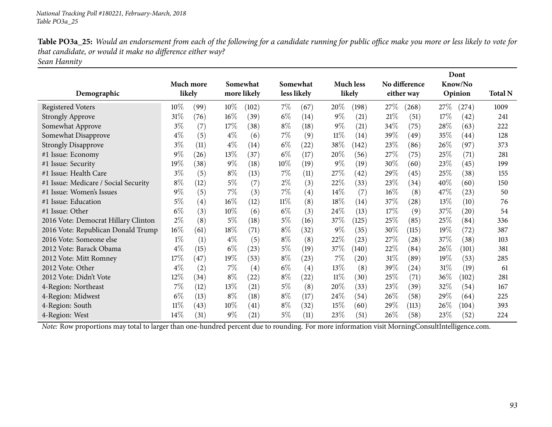| Table PO3a_25: Would an endorsement from each of the following for a candidate running for public office make you more or less likely to vote for |
|---------------------------------------------------------------------------------------------------------------------------------------------------|
| that candidate, or would it make no difference either way?                                                                                        |
| Sean Hannity                                                                                                                                      |

|                                      |                  |        |        |                         |        |                         |        |                            | No difference |                    |        | Dont               |                |
|--------------------------------------|------------------|--------|--------|-------------------------|--------|-------------------------|--------|----------------------------|---------------|--------------------|--------|--------------------|----------------|
| Demographic                          | <b>Much more</b> | likely |        | Somewhat<br>more likely |        | Somewhat<br>less likely |        | <b>Much less</b><br>likely |               | either way         |        | Know/No<br>Opinion | <b>Total N</b> |
|                                      |                  |        |        |                         |        |                         |        |                            |               |                    |        |                    |                |
| Registered Voters                    | $10\%$           | (99)   | $10\%$ | (102)                   | $7\%$  | (67)                    | $20\%$ | (198)                      | 27\%          | (268)              | 27\%   | (274)              | 1009           |
| <b>Strongly Approve</b>              | 31\%             | (76)   | $16\%$ | (39)                    | $6\%$  | (14)                    | $9\%$  | (21)                       | 21%           | (51)               | 17%    | (42)               | 241            |
| Somewhat Approve                     | $3\%$            | (7)    | 17%    | (38)                    | $8\%$  | (18)                    | $9\%$  | (21)                       | 34\%          | (75)               | 28%    | (63)               | 222            |
| Somewhat Disapprove                  | $4\%$            | (5)    | $4\%$  | (6)                     | $7\%$  | (9)                     | 11%    | (14)                       | 39\%          | (49)               | 35%    | (44)               | 128            |
| <b>Strongly Disapprove</b>           | $3\%$            | (11)   | $4\%$  | (14)                    | $6\%$  | $^{(22)}$               | 38\%   | (142)                      | 23\%          | (86)               | 26%    | (97)               | 373            |
| #1 Issue: Economy                    | $9\%$            | (26)   | 13\%   | (37)                    | $6\%$  | (17)                    | 20%    | (56)                       | 27\%          | (75)               | 25\%   | (71)               | 281            |
| #1 Issue: Security                   | 19%              | (38)   | $9\%$  | (18)                    | $10\%$ | (19)                    | $9\%$  | (19)                       | 30\%          | (60)               | 23\%   | (45)               | 199            |
| #1 Issue: Health Care                | $3\%$            | (5)    | $8\%$  | (13)                    | $7\%$  | (11)                    | 27\%   | $\left( 42\right)$         | 29%           | (45)               | 25%    | (38)               | 155            |
| #1 Issue: Medicare / Social Security | $8\%$            | (12)   | $5\%$  | (7)                     | $2\%$  | (3)                     | 22%    | (33)                       | $23\%$        | (34)               | 40%    | (60)               | 150            |
| #1 Issue: Women's Issues             | $9\%$            | (5)    | 7%     | (3)                     | $7\%$  | $\left( 4\right)$       | $14\%$ | (7)                        | $16\%$        | (8)                | 47\%   | (23)               | 50             |
| #1 Issue: Education                  | $5\%$            | (4)    | $16\%$ | (12)                    | $11\%$ | (8)                     | 18%    | (14)                       | 37\%          | (28)               | 13\%   | (10)               | 76             |
| #1 Issue: Other                      | $6\%$            | (3)    | $10\%$ | (6)                     | $6\%$  | (3)                     | 24\%   | (13)                       | 17%           | (9)                | 37%    | (20)               | 54             |
| 2016 Vote: Democrat Hillary Clinton  | $2\%$            | (8)    | $5\%$  | (18)                    | $5\%$  | (16)                    | 37%    | (125)                      | $25\%$        | (85)               | 25%    | (84)               | 336            |
| 2016 Vote: Republican Donald Trump   | $16\%$           | (61)   | 18%    | (71)                    | $8\%$  | (32)                    | $9\%$  | (35)                       | 30\%          | (115)              | 19%    | (72)               | 387            |
| 2016 Vote: Someone else              | $1\%$            | (1)    | $4\%$  | (5)                     | $8\%$  | (8)                     | 22%    | (23)                       | 27%           | $\left( 28\right)$ | 37%    | (38)               | 103            |
| 2012 Vote: Barack Obama              | $4\%$            | (15)   | $6\%$  | (23)                    | $5\%$  | (19)                    | 37\%   | (140)                      | $22\%$        | (84)               | 26\%   | (101)              | 381            |
| 2012 Vote: Mitt Romney               | 17%              | (47)   | 19%    | (53)                    | $8\%$  | (23)                    | $7\%$  | (20)                       | $31\%$        | (89)               | 19%    | (53)               | 285            |
| 2012 Vote: Other                     | $4\%$            | (2)    | $7\%$  | (4)                     | $6\%$  | (4)                     | 13%    | (8)                        | 39\%          | (24)               | $31\%$ | (19)               | 61             |
| 2012 Vote: Didn't Vote               | 12\%             | (34)   | $8\%$  | (22)                    | $8\%$  | $^{(22)}$               | $11\%$ | (30)                       | $25\%$        | (71)               | 36\%   | (102)              | 281            |
| 4-Region: Northeast                  | 7%               | (12)   | 13%    | (21)                    | $5\%$  | (8)                     | 20%    | (33)                       | 23\%          | (39)               | 32\%   | (54)               | 167            |
| 4-Region: Midwest                    | $6\%$            | (13)   | $8\%$  | (18)                    | $8\%$  | (17)                    | $24\%$ | (54)                       | $26\%$        | (58)               | 29\%   | (64)               | 225            |
| 4-Region: South                      | $11\%$           | (43)   | $10\%$ | (41)                    | $8\%$  | (32)                    | 15%    | (60)                       | 29%           | (113)              | 26\%   | (104)              | 393            |
| 4-Region: West                       | 14%              | (31)   | $9\%$  | (21)                    | $5\%$  | (11)                    | 23\%   | $\left( 51\right)$         | 26\%          | (58)               | 23%    | (52)               | 224            |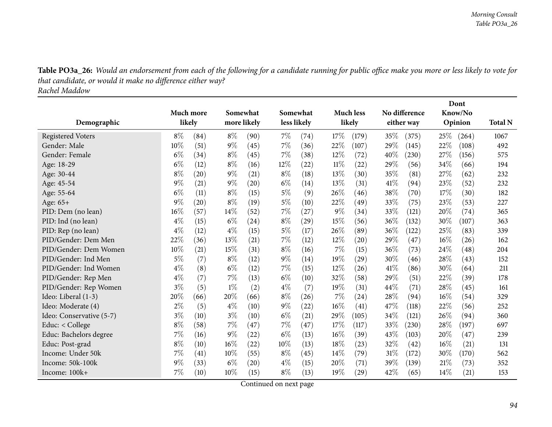Table PO3a\_26: Would an endorsement from each of the following for a candidate running for public office make you more or less likely to vote for *that candidate, or would it make no difference either way? Rachel Maddow*

|                          |           |      |       |             |             |      |        |                    |      |               |      | Dont    |                |
|--------------------------|-----------|------|-------|-------------|-------------|------|--------|--------------------|------|---------------|------|---------|----------------|
|                          | Much more |      |       | Somewhat    | Somewhat    |      |        | <b>Much less</b>   |      | No difference |      | Know/No |                |
| Demographic              | likely    |      |       | more likely | less likely |      |        | likely             |      | either way    |      | Opinion | <b>Total N</b> |
| <b>Registered Voters</b> | $8\%$     | (84) | $8\%$ | (90)        | 7%          | (74) | 17%    | (179)              | 35%  | (375)         | 25%  | (264)   | 1067           |
| Gender: Male             | 10%       | (51) | $9\%$ | (45)        | $7\%$       | (36) | 22%    | (107)              | 29%  | (145)         | 22%  | (108)   | 492            |
| Gender: Female           | $6\%$     | (34) | $8\%$ | (45)        | 7%          | (38) | 12%    | (72)               | 40%  | (230)         | 27%  | (156)   | 575            |
| Age: 18-29               | $6\%$     | (12) | $8\%$ | (16)        | $12\%$      | (22) | 11%    | $\left( 22\right)$ | 29\% | (56)          | 34%  | (66)    | 194            |
| Age: 30-44               | $8\%$     | (20) | $9\%$ | (21)        | $8\%$       | (18) | 13%    | (30)               | 35%  | (81)          | 27%  | (62)    | 232            |
| Age: 45-54               | $9\%$     | (21) | $9\%$ | (20)        | $6\%$       | (14) | 13\%   | (31)               | 41\% | (94)          | 23%  | (52)    | 232            |
| Age: 55-64               | $6\%$     | (11) | $8\%$ | (15)        | $5\%$       | (9)  | 26%    | (46)               | 38%  | (70)          | 17%  | (30)    | 182            |
| Age: 65+                 | 9%        | (20) | $8\%$ | (19)        | $5\%$       | (10) | 22%    | (49)               | 33%  | (75)          | 23%  | (53)    | 227            |
| PID: Dem (no lean)       | 16%       | (57) | 14%   | (52)        | $7\%$       | (27) | $9\%$  | (34)               | 33%  | (121)         | 20%  | (74)    | 365            |
| PID: Ind (no lean)       | $4\%$     | (15) | $6\%$ | (24)        | $8\%$       | (29) | 15%    | (56)               | 36\% | (132)         | 30%  | (107)   | 363            |
| PID: Rep (no lean)       | $4\%$     | (12) | $4\%$ | (15)        | $5\%$       | (17) | 26%    | (89)               | 36%  | (122)         | 25%  | (83)    | 339            |
| PID/Gender: Dem Men      | 22%       | (36) | 13%   | (21)        | $7\%$       | (12) | 12%    | (20)               | 29%  | (47)          | 16%  | (26)    | 162            |
| PID/Gender: Dem Women    | 10%       | (21) | 15%   | (31)        | $8\%$       | (16) | 7%     | (15)               | 36\% | (73)          | 24\% | (48)    | 204            |
| PID/Gender: Ind Men      | $5\%$     | (7)  | $8\%$ | (12)        | $9\%$       | (14) | 19%    | (29)               | 30%  | (46)          | 28%  | (43)    | 152            |
| PID/Gender: Ind Women    | $4\%$     | (8)  | $6\%$ | (12)        | $7\%$       | (15) | 12%    | (26)               | 41\% | (86)          | 30%  | (64)    | 211            |
| PID/Gender: Rep Men      | $4\%$     | (7)  | 7%    | (13)        | $6\%$       | (10) | 32%    | (58)               | 29%  | (51)          | 22%  | (39)    | 178            |
| PID/Gender: Rep Women    | $3\%$     | (5)  | $1\%$ | (2)         | $4\%$       | (7)  | 19%    | (31)               | 44\% | (71)          | 28%  | (45)    | 161            |
| Ideo: Liberal (1-3)      | 20%       | (66) | 20%   | (66)        | $8\%$       | (26) | 7%     | (24)               | 28%  | (94)          | 16%  | (54)    | 329            |
| Ideo: Moderate (4)       | $2\%$     | (5)  | $4\%$ | (10)        | $9\%$       | (22) | $16\%$ | $\left( 41\right)$ | 47%  | (118)         | 22%  | (56)    | 252            |
| Ideo: Conservative (5-7) | $3\%$     | (10) | $3\%$ | (10)        | $6\%$       | (21) | 29%    | (105)              | 34%  | (121)         | 26%  | (94)    | 360            |
| Educ: < College          | $8\%$     | (58) | 7%    | (47)        | $7\%$       | (47) | 17%    | (117)              | 33\% | (230)         | 28%  | (197)   | 697            |
| Educ: Bachelors degree   | 7%        | (16) | $9\%$ | (22)        | $6\%$       | (13) | $16\%$ | (39)               | 43%  | (103)         | 20%  | (47)    | 239            |
| Educ: Post-grad          | $8\%$     | (10) | 16%   | (22)        | 10%         | (13) | 18%    | (23)               | 32%  | (42)          | 16%  | (21)    | 131            |
| Income: Under 50k        | 7%        | (41) | 10%   | (55)        | $8\%$       | (45) | 14%    | (79)               | 31%  | (172)         | 30\% | (170)   | 562            |
| Income: 50k-100k         | $9\%$     | (33) | $6\%$ | (20)        | $4\%$       | (15) | 20%    | (71)               | 39%  | (139)         | 21%  | (73)    | 352            |
| Income: 100k+            | 7%        | (10) | 10%   | (15)        | $8\%$       | (13) | 19%    | (29)               | 42\% | (65)          | 14%  | (21)    | 153            |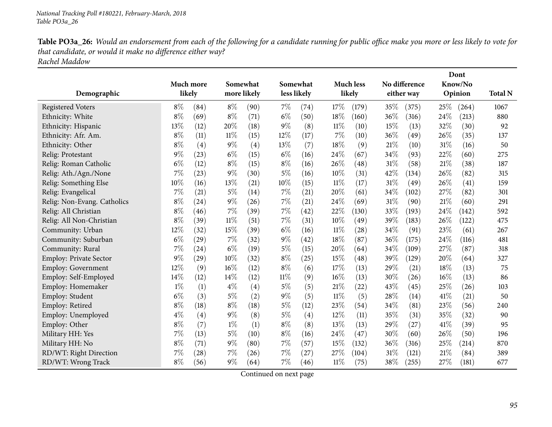Table PO3a\_26: Would an endorsement from each of the following for a candidate running for public office make you more or less likely to vote for *that candidate, or would it make no difference either way? Rachel Maddow*

| Demographic                 |       | Much more<br>likely |        | Somewhat<br>more likely |        | Somewhat<br>less likely |        | <b>Much less</b><br>likely |        | No difference<br>either way |        | Dont<br>Know/No<br>Opinion | <b>Total N</b> |
|-----------------------------|-------|---------------------|--------|-------------------------|--------|-------------------------|--------|----------------------------|--------|-----------------------------|--------|----------------------------|----------------|
| <b>Registered Voters</b>    | $8\%$ | (84)                | $8\%$  | (90)                    | 7%     | (74)                    | 17%    | (179)                      | 35%    | (375)                       | 25\%   | (264)                      | 1067           |
| Ethnicity: White            | 8%    | (69)                | $8\%$  | (71)                    | $6\%$  | (50)                    | 18%    | (160)                      | 36%    | (316)                       | 24%    | (213)                      | 880            |
| Ethnicity: Hispanic         | 13%   | (12)                | 20%    | (18)                    | $9\%$  | (8)                     | $11\%$ | (10)                       | 15%    | (13)                        | 32%    | (30)                       | 92             |
| Ethnicity: Afr. Am.         | $8\%$ | (11)                | $11\%$ | (15)                    | 12%    | (17)                    | 7%     | (10)                       | 36%    | (49)                        | 26\%   | (35)                       | 137            |
| Ethnicity: Other            | $8\%$ | (4)                 | $9\%$  | (4)                     | 13%    | (7)                     | 18%    | (9)                        | 21%    | (10)                        | 31%    | (16)                       | 50             |
| Relig: Protestant           | 9%    | (23)                | $6\%$  | (15)                    | $6\%$  | (16)                    | 24%    | (67)                       | 34%    | (93)                        | 22%    | (60)                       | 275            |
| Relig: Roman Catholic       | $6\%$ | (12)                | $8\%$  | (15)                    | $8\%$  | (16)                    | 26%    | $\left( 48\right)$         | 31%    | (58)                        | $21\%$ | (38)                       | 187            |
| Relig: Ath./Agn./None       | 7%    | (23)                | $9\%$  | (30)                    | $5\%$  | (16)                    | 10%    | (31)                       | 42%    | (134)                       | 26%    | (82)                       | 315            |
| Relig: Something Else       | 10%   | (16)                | 13%    | (21)                    | 10%    | (15)                    | $11\%$ | (17)                       | $31\%$ | (49)                        | 26%    | (41)                       | 159            |
| Relig: Evangelical          | 7%    | (21)                | $5\%$  | (14)                    | 7%     | (21)                    | 20%    | (61)                       | 34%    | (102)                       | 27%    | (82)                       | 301            |
| Relig: Non-Evang. Catholics | $8\%$ | (24)                | $9\%$  | (26)                    | $7\%$  | (21)                    | 24%    | (69)                       | 31%    | (90)                        | $21\%$ | (60)                       | 291            |
| Relig: All Christian        | $8\%$ | (46)                | 7%     | (39)                    | $7\%$  | (42)                    | 22%    | (130)                      | 33%    | (193)                       | 24%    | (142)                      | 592            |
| Relig: All Non-Christian    | $8\%$ | (39)                | $11\%$ | (51)                    | $7\%$  | (31)                    | 10%    | (49)                       | 39%    | (183)                       | 26%    | (122)                      | 475            |
| Community: Urban            | 12%   | (32)                | 15%    | (39)                    | $6\%$  | (16)                    | $11\%$ | (28)                       | 34%    | (91)                        | 23%    | (61)                       | 267            |
| Community: Suburban         | $6\%$ | (29)                | 7%     | (32)                    | $9\%$  | (42)                    | 18%    | (87)                       | 36%    | (175)                       | 24\%   | (116)                      | 481            |
| Community: Rural            | 7%    | (24)                | $6\%$  | (19)                    | $5\%$  | (15)                    | 20%    | (64)                       | 34%    | (109)                       | 27%    | (87)                       | 318            |
| Employ: Private Sector      | 9%    | (29)                | 10%    | (32)                    | $8\%$  | (25)                    | 15%    | $\left( 48\right)$         | 39%    | (129)                       | 20%    | (64)                       | 327            |
| Employ: Government          | 12%   | (9)                 | 16%    | (12)                    | $8\%$  | (6)                     | 17%    | (13)                       | 29%    | (21)                        | 18%    | (13)                       | 75             |
| Employ: Self-Employed       | 14%   | (12)                | 14%    | (12)                    | $11\%$ | (9)                     | 16%    | (13)                       | 30%    | (26)                        | $16\%$ | (13)                       | 86             |
| Employ: Homemaker           | $1\%$ | (1)                 | $4\%$  | (4)                     | $5\%$  | (5)                     | 21%    | (22)                       | 43%    | (45)                        | 25%    | (26)                       | 103            |
| Employ: Student             | $6\%$ | (3)                 | $5\%$  | (2)                     | $9\%$  | (5)                     | $11\%$ | (5)                        | 28%    | (14)                        | 41\%   | (21)                       | 50             |
| Employ: Retired             | 8%    | (18)                | $8\%$  | (18)                    | $5\%$  | (12)                    | 23%    | (54)                       | 34%    | (81)                        | 23%    | (56)                       | 240            |
| Employ: Unemployed          | $4\%$ | (4)                 | $9\%$  | (8)                     | $5\%$  | (4)                     | 12%    | (11)                       | 35%    | (31)                        | 35%    | (32)                       | 90             |
| Employ: Other               | $8\%$ | (7)                 | $1\%$  | (1)                     | $8\%$  | (8)                     | 13%    | (13)                       | 29%    | (27)                        | 41%    | (39)                       | 95             |
| Military HH: Yes            | 7%    | (13)                | $5\%$  | (10)                    | $8\%$  | (16)                    | 24\%   | (47)                       | 30%    | (60)                        | 26\%   | (50)                       | 196            |
| Military HH: No             | 8%    | (71)                | $9\%$  | (80)                    | 7%     | (57)                    | 15%    | (132)                      | 36%    | (316)                       | 25%    | (214)                      | 870            |
| RD/WT: Right Direction      | 7%    | (28)                | 7%     | (26)                    | $7\%$  | (27)                    | 27\%   | (104)                      | 31%    | (121)                       | 21%    | (84)                       | 389            |
| RD/WT: Wrong Track          | $8\%$ | (56)                | $9\%$  | (64)                    | 7%     | (46)                    | $11\%$ | (75)                       | 38%    | (255)                       | 27%    | (181)                      | 677            |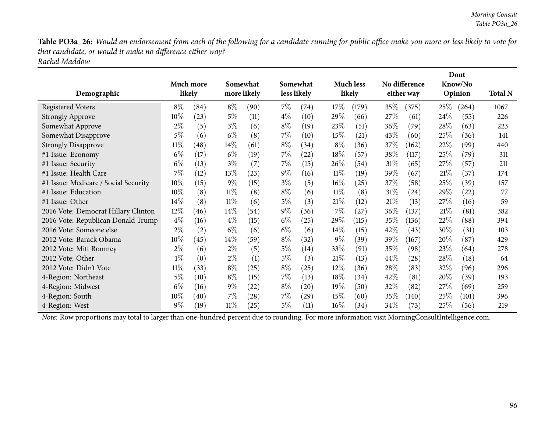Table PO3a\_26: Would an endorsement from each of the following for a candidate running for public office make you more or less likely to vote for *that candidate, or would it make no difference either way? Rachel Maddow*

| Demographic                          |        | Much more<br>likely |        | Somewhat<br>more likely | less likely | Somewhat           |        | <b>Much less</b><br>likely |        | No difference<br>either way |      | Dont<br>Know/No<br>Opinion | <b>Total N</b> |
|--------------------------------------|--------|---------------------|--------|-------------------------|-------------|--------------------|--------|----------------------------|--------|-----------------------------|------|----------------------------|----------------|
| <b>Registered Voters</b>             | $8\%$  | (84)                | $8\%$  | (90)                    | $7\%$       | (74)               | 17%    | (179)                      | 35\%   | (375)                       | 25\% | (264)                      | 1067           |
| <b>Strongly Approve</b>              | 10%    | (23)                | $5\%$  | (11)                    | $4\%$       | (10)               | 29%    | (66)                       | 27\%   | (61)                        | 24\% | (55)                       | 226            |
| Somewhat Approve                     | $2\%$  | (5)                 | $3\%$  | (6)                     | $8\%$       | (19)               | 23\%   | (51)                       | 36%    | (79`                        | 28\% | (63)                       | 223            |
| Somewhat Disapprove                  | $5\%$  | (6)                 | $6\%$  | (8)                     | $7\%$       | (10)               | $15\%$ | (21)                       | 43\%   | (60)                        | 25\% | (36)                       | 141            |
| <b>Strongly Disapprove</b>           | $11\%$ | $^{\prime}48$       | $14\%$ | (61)                    | $8\%$       | (34)               | $8\%$  | (36)                       | 37\%   | (162)                       | 22\% | (99)                       | 440            |
| #1 Issue: Economy                    | $6\%$  | (17)                | $6\%$  | (19)                    | $7\%$       | (22)               | 18%    | (57)                       | 38\%   | (117)                       | 25\% | (79)                       | 311            |
| #1 Issue: Security                   | $6\%$  | (13)                | $3\%$  | (7)                     | $7\%$       | (15)               | 26\%   | (54)                       | $31\%$ | (65)                        | 27\% | (57)                       | 211            |
| #1 Issue: Health Care                | 7%     | (12)                | 13\%   | (23)                    | $9\%$       | (16)               | $11\%$ | (19)                       | 39\%   | (67)                        | 21%  | (37)                       | 174            |
| #1 Issue: Medicare / Social Security | 10%    | (15)                | $9\%$  | (15)                    | $3\%$       | (5)                | $16\%$ | (25)                       | 37%    | (58)                        | 25\% | (39)                       | 157            |
| #1 Issue: Education                  | $10\%$ | (8)                 | $11\%$ | (8)                     | $8\%$       | (6)                | $11\%$ | (8)                        | $31\%$ | (24)                        | 29%  | (22)                       | 77             |
| #1 Issue: Other                      | 14%    | (8)                 | $11\%$ | (6)                     | $5\%$       | (3)                | 21%    | (12)                       | 21%    | (13)                        | 27\% | (16)                       | 59             |
| 2016 Vote: Democrat Hillary Clinton  | 12%    | (46)                | 14%    | (54)                    | $9\%$       | (36)               | $7\%$  | (27)                       | 36%    | (137)                       | 21%  | (81)                       | 382            |
| 2016 Vote: Republican Donald Trump   | $4\%$  | (16)                | $4\%$  | (15)                    | $6\%$       | (25)               | 29\%   | (115)                      | 35%    | (136)                       | 22%  | (88)                       | 394            |
| 2016 Vote: Someone else              | $2\%$  | (2)                 | $6\%$  | (6)                     | $6\%$       | (6)                | $14\%$ | (15)                       | 42%    | (43)                        | 30%  | (31)                       | 103            |
| 2012 Vote: Barack Obama              | 10%    | (45)                | $14\%$ | (59)                    | $8\%$       | (32)               | $9\%$  | (39)                       | 39%    | (167)                       | 20%  | (87)                       | 429            |
| 2012 Vote: Mitt Romney               | $2\%$  | (6)                 | $2\%$  | (5)                     | $5\%$       | (14)               | 33\%   | (91)                       | 35%    | (98)                        | 23\% | (64)                       | 278            |
| 2012 Vote: Other                     | $1\%$  | (0)                 | $2\%$  | (1)                     | $5\%$       | (3)                | 21%    | (13)                       | 44\%   | (28)                        | 28\% | (18)                       | 64             |
| 2012 Vote: Didn't Vote               | $11\%$ | (33)                | $8\%$  | (25)                    | $8\%$       | (25)               | $12\%$ | (36)                       | 28\%   | (83)                        | 32\% | (96)                       | 296            |
| 4-Region: Northeast                  | $5\%$  | (10)                | $8\%$  | (15)                    | $7\%$       | (13)               | 18%    | (34)                       | 42\%   | (81)                        | 20%  | (39)                       | 193            |
| 4-Region: Midwest                    | $6\%$  | (16)                | $9\%$  | (22)                    | $8\%$       | $\left( 20\right)$ | $19\%$ | (50)                       | 32\%   | (82)                        | 27%  | (69)                       | 259            |
| 4-Region: South                      | 10%    | (40)                | $7\%$  | (28)                    | $7\%$       | $\left( 29\right)$ | $15\%$ | (60)                       | 35%    | (140)                       | 25\% | (101)                      | 396            |
| 4-Region: West                       | $9\%$  | (19)                | $11\%$ | (25)                    | 5%          | (11)               | $16\%$ | (34)                       | 34\%   | (73)                        | 25\% | (56)                       | 219            |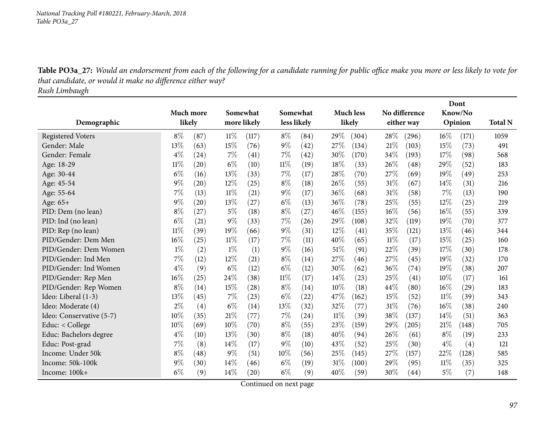Table PO3a\_27: Would an endorsement from each of the following for a candidate running for public office make you more or less likely to vote for *that candidate, or would it make no difference either way?*

*Rush Limbaugh*

|                          |        |           |        |             |        |             |        |                  |        |               |        | Dont    |                |
|--------------------------|--------|-----------|--------|-------------|--------|-------------|--------|------------------|--------|---------------|--------|---------|----------------|
|                          |        | Much more |        | Somewhat    |        | Somewhat    |        | <b>Much less</b> |        | No difference |        | Know/No |                |
| Demographic              |        | likely    |        | more likely |        | less likely |        | likely           |        | either way    |        | Opinion | <b>Total N</b> |
| <b>Registered Voters</b> | $8\%$  | (87)      | $11\%$ | (117)       | $8\%$  | (84)        | 29%    | (304)            | 28\%   | (296)         | $16\%$ | (171)   | 1059           |
| Gender: Male             | 13%    | (63)      | 15%    | (76)        | $9\%$  | (42)        | 27%    | (134)            | 21%    | (103)         | 15%    | (73)    | 491            |
| Gender: Female           | $4\%$  | (24)      | 7%     | (41)        | 7%     | (42)        | 30%    | (170)            | 34\%   | (193)         | 17%    | (98)    | 568            |
| Age: 18-29               | $11\%$ | (20)      | $6\%$  | (10)        | $11\%$ | (19)        | 18%    | (33)             | 26%    | (48)          | 29%    | (52)    | 183            |
| Age: 30-44               | $6\%$  | (16)      | 13%    | (33)        | 7%     | (17)        | 28\%   | (70)             | 27%    | (69)          | 19%    | (49)    | 253            |
| Age: 45-54               | $9\%$  | (20)      | 12%    | (25)        | $8\%$  | (18)        | 26%    | (55)             | 31%    | (67)          | 14%    | (31)    | 216            |
| Age: 55-64               | 7%     | (13)      | $11\%$ | (21)        | $9\%$  | (17)        | 36\%   | (68)             | 31%    | (58)          | 7%     | (13)    | 190            |
| Age: 65+                 | $9\%$  | (20)      | 13%    | (27)        | $6\%$  | (13)        | $36\%$ | (78)             | 25%    | (55)          | 12%    | (25)    | 219            |
| PID: Dem (no lean)       | $8\%$  | (27)      | $5\%$  | (18)        | $8\%$  | (27)        | 46%    | (155)            | 16%    | (56)          | 16%    | (55)    | 339            |
| PID: Ind (no lean)       | $6\%$  | (21)      | $9\%$  | (33)        | $7\%$  | (26)        | $29\%$ | (108)            | 32%    | (119)         | 19%    | (70)    | 377            |
| PID: Rep (no lean)       | $11\%$ | (39)      | 19%    | (66)        | $9\%$  | (31)        | 12%    | (41)             | 35%    | (121)         | 13%    | (46)    | 344            |
| PID/Gender: Dem Men      | 16%    | (25)      | $11\%$ | (17)        | 7%     | (11)        | 40%    | (65)             | $11\%$ | (17)          | 15%    | (25)    | 160            |
| PID/Gender: Dem Women    | $1\%$  | (2)       | $1\%$  | (1)         | $9\%$  | (16)        | 51%    | (91)             | 22%    | (39)          | 17%    | (30)    | 178            |
| PID/Gender: Ind Men      | 7%     | (12)      | 12%    | (21)        | $8\%$  | (14)        | 27\%   | (46)             | 27\%   | (45)          | 19%    | (32)    | 170            |
| PID/Gender: Ind Women    | $4\%$  | (9)       | $6\%$  | (12)        | $6\%$  | (12)        | 30%    | (62)             | 36\%   | (74)          | 19%    | (38)    | 207            |
| PID/Gender: Rep Men      | $16\%$ | (25)      | 24%    | (38)        | $11\%$ | (17)        | 14\%   | (23)             | 25%    | (41)          | 10%    | (17)    | 161            |
| PID/Gender: Rep Women    | $8\%$  | (14)      | 15%    | (28)        | $8\%$  | (14)        | 10%    | (18)             | 44\%   | (80)          | 16%    | (29)    | 183            |
| Ideo: Liberal (1-3)      | 13%    | (45)      | 7%     | (23)        | $6\%$  | (22)        | 47%    | (162)            | 15%    | (52)          | 11%    | (39)    | 343            |
| Ideo: Moderate (4)       | $2\%$  | (4)       | $6\%$  | (14)        | $13\%$ | (32)        | 32%    | (77)             | $31\%$ | (76)          | 16%    | (38)    | 240            |
| Ideo: Conservative (5-7) | 10%    | (35)      | 21%    | (77)        | 7%     | (24)        | $11\%$ | (39)             | 38%    | (137)         | 14%    | (51)    | 363            |
| Educ: < College          | 10%    | (69)      | $10\%$ | (70)        | $8\%$  | (55)        | 23%    | (159)            | 29%    | (205)         | $21\%$ | (148)   | 705            |
| Educ: Bachelors degree   | $4\%$  | (10)      | 13%    | (30)        | $8\%$  | (18)        | 40%    | (94)             | 26%    | (61)          | $8\%$  | (19)    | 233            |
| Educ: Post-grad          | $7\%$  | (8)       | 14\%   | (17)        | $9\%$  | (10)        | 43%    | (52)             | 25%    | (30)          | $4\%$  | (4)     | 121            |
| Income: Under 50k        | $8\%$  | (48)      | $9\%$  | (51)        | 10%    | (56)        | 25%    | (145)            | 27%    | (157)         | 22%    | (128)   | 585            |
| Income: 50k-100k         | 9%     | (30)      | 14\%   | (46)        | $6\%$  | (19)        | 31%    | (100)            | 29%    | (95)          | $11\%$ | (35)    | 325            |
| Income: 100k+            | $6\%$  | (9)       | 14\%   | (20)        | $6\%$  | (9)         | 40%    | (59)             | 30%    | (44)          | $5\%$  | (7)     | 148            |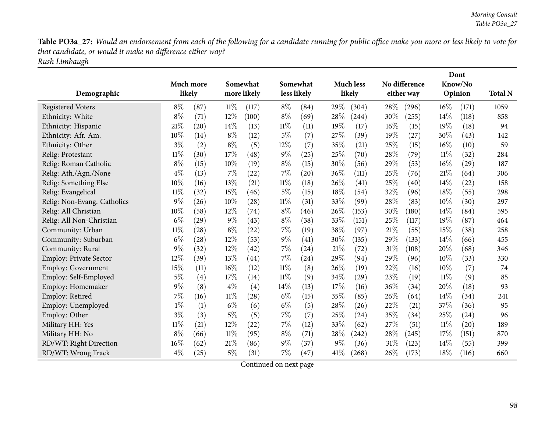Table PO3a\_27: Would an endorsement from each of the following for a candidate running for public office make you more or less likely to vote for *that candidate, or would it make no difference either way? Rush Limbaugh*

|                               | Much more |      |        | Somewhat           |        | Somewhat    |       | <b>Much less</b> |      | No difference |        | Dont<br>Know/No    |                |
|-------------------------------|-----------|------|--------|--------------------|--------|-------------|-------|------------------|------|---------------|--------|--------------------|----------------|
| Demographic                   | likely    |      |        | more likely        |        | less likely |       | likely           |      | either way    |        | Opinion            | <b>Total N</b> |
| <b>Registered Voters</b>      | $8\%$     | (87) | $11\%$ | (117)              | $8\%$  | (84)        | 29%   | (304)            | 28%  | (296)         | 16%    | (171)              | 1059           |
| Ethnicity: White              | 8%        | (71) | 12%    | (100)              | $8\%$  | (69)        | 28\%  | (244)            | 30%  | (255)         | 14%    | (118)              | 858            |
| Ethnicity: Hispanic           | 21%       | (20) | 14%    | (13)               | $11\%$ | (11)        | 19%   | (17)             | 16%  | (15)          | 19%    | (18)               | 94             |
| Ethnicity: Afr. Am.           | 10%       | (14) | $8\%$  | (12)               | $5\%$  | (7)         | 27%   | (39)             | 19%  | (27)          | 30%    | (43)               | 142            |
| Ethnicity: Other              | $3\%$     | (2)  | $8\%$  | (5)                | 12%    | (7)         | 35%   | (21)             | 25%  | (15)          | $16\%$ | (10)               | 59             |
| Relig: Protestant             | $11\%$    | (30) | 17%    | (48)               | $9\%$  | (25)        | 25%   | (70)             | 28%  | (79)          | $11\%$ | (32)               | 284            |
| Relig: Roman Catholic         | $8\%$     | (15) | 10%    | (19)               | $8\%$  | (15)        | 30%   | (56)             | 29%  | (53)          | $16\%$ | $\left( 29\right)$ | 187            |
| Relig: Ath./Agn./None         | $4\%$     | (13) | 7%     | (22)               | 7%     | (20)        | 36%   | (111)            | 25%  | (76)          | 21%    | (64)               | 306            |
| Relig: Something Else         | 10%       | (16) | 13%    | (21)               | $11\%$ | (18)        | 26%   | (41)             | 25%  | (40)          | 14%    | (22)               | 158            |
| Relig: Evangelical            | $11\%$    | (32) | 15%    | (46)               | $5\%$  | (15)        | 18%   | (54)             | 32%  | (96)          | 18%    | (55)               | 298            |
| Relig: Non-Evang. Catholics   | 9%        | (26) | 10%    | (28)               | $11\%$ | (31)        | 33\%  | (99)             | 28\% | (83)          | $10\%$ | (30)               | 297            |
| Relig: All Christian          | 10%       | (58) | 12%    | (74)               | $8\%$  | (46)        | 26%   | (153)            | 30%  | (180)         | 14%    | (84)               | 595            |
| Relig: All Non-Christian      | $6\%$     | (29) | $9\%$  | (43)               | $8\%$  | (38)        | 33\%  | (151)            | 25%  | (117)         | 19%    | (87)               | 464            |
| Community: Urban              | $11\%$    | (28) | $8\%$  | (22)               | 7%     | (19)        | 38%   | (97)             | 21%  | (55)          | 15%    | (38)               | 258            |
| Community: Suburban           | $6\%$     | (28) | 12%    | (53)               | $9\%$  | (41)        | 30%   | (135)            | 29%  | (133)         | 14%    | (66)               | 455            |
| Community: Rural              | $9\%$     | (32) | 12%    | (42)               | $7\%$  | (24)        | 21%   | (72)             | 31%  | (108)         | 20%    | (68)               | 346            |
| <b>Employ: Private Sector</b> | 12%       | (39) | 13%    | $\left( 44\right)$ | $7\%$  | (24)        | 29%   | (94)             | 29%  | (96)          | 10%    | (33)               | 330            |
| Employ: Government            | 15%       | (11) | $16\%$ | (12)               | $11\%$ | (8)         | 26\%  | (19)             | 22%  | (16)          | 10%    | (7)                | 74             |
| Employ: Self-Employed         | 5%        | (4)  | 17%    | (14)               | $11\%$ | (9)         | 34\%  | (29)             | 23%  | (19)          | $11\%$ | (9)                | 85             |
| Employ: Homemaker             | 9%        | (8)  | $4\%$  | (4)                | 14%    | (13)        | 17%   | (16)             | 36%  | (34)          | 20%    | (18)               | 93             |
| Employ: Retired               | 7%        | (16) | $11\%$ | (28)               | $6\%$  | (15)        | 35%   | (85)             | 26%  | (64)          | 14%    | (34)               | 241            |
| Employ: Unemployed            | $1\%$     | (1)  | $6\%$  | (6)                | $6\%$  | (5)         | 28%   | (26)             | 22%  | (21)          | 37%    | (36)               | 95             |
| Employ: Other                 | $3\%$     | (3)  | $5\%$  | (5)                | 7%     | (7)         | 25%   | (24)             | 35%  | (34)          | 25%    | $\left( 24\right)$ | 96             |
| Military HH: Yes              | $11\%$    | (21) | 12%    | (22)               | 7%     | (12)        | 33%   | (62)             | 27%  | (51)          | 11%    | $\left( 20\right)$ | 189            |
| Military HH: No               | $8\%$     | (66) | $11\%$ | (95)               | $8\%$  | (71)        | 28\%  | (242)            | 28%  | (245)         | 17%    | (151)              | 870            |
| RD/WT: Right Direction        | 16%       | (62) | 21%    | (86)               | $9\%$  | (37)        | $9\%$ | (36)             | 31%  | (123)         | 14\%   | (55)               | 399            |
| RD/WT: Wrong Track            | 4%        | (25) | $5\%$  | (31)               | 7%     | (47)        | 41\%  | (268)            | 26%  | (173)         | 18%    | (116)              | 660            |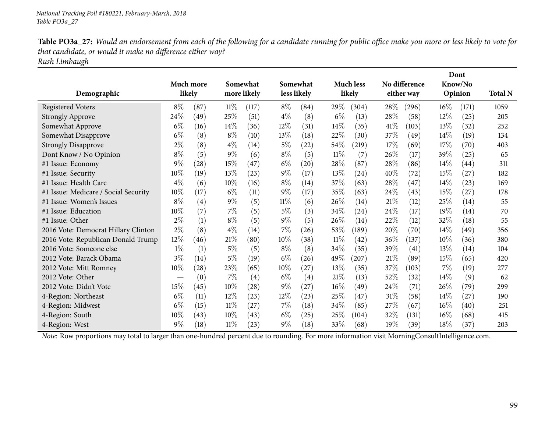Table PO3a\_27: Would an endorsement from each of the following for a candidate running for public office make you more or less likely to vote for *that candidate, or would it make no difference either way? Rush Limbaugh*

| Demographic                          |        | Much more<br>likely |        | Somewhat<br>more likely |        | Somewhat<br>less likely |        | <b>Much less</b><br>likely |        | No difference<br>either way |        | Dont<br>Know/No<br>Opinion | <b>Total N</b> |
|--------------------------------------|--------|---------------------|--------|-------------------------|--------|-------------------------|--------|----------------------------|--------|-----------------------------|--------|----------------------------|----------------|
| <b>Registered Voters</b>             | $8\%$  | (87)                | $11\%$ | (117)                   | $8\%$  | (84)                    | 29\%   | (304)                      | 28\%   | $^{(296)}$                  | $16\%$ | (171)                      | 1059           |
| <b>Strongly Approve</b>              | 24\%   | (49)                | 25\%   | (51)                    | $4\%$  | (8)                     | $6\%$  | (13)                       | 28\%   | (58)                        | 12%    | (25)                       | 205            |
| Somewhat Approve                     | $6\%$  | (16)                | $14\%$ | (36)                    | 12%    | (31)                    | $14\%$ | (35)                       | 41\%   | (103)                       | 13%    | (32)                       | 252            |
| Somewhat Disapprove                  | $6\%$  | (8)                 | $8\%$  | (10)                    | 13\%   | (18)                    | 22%    | (30)                       | 37%    | (49)                        | $14\%$ | (19)                       | 134            |
| <b>Strongly Disapprove</b>           | $2\%$  | (8)                 | $4\%$  | (14)                    | $5\%$  | (22)                    | 54%    | (219)                      | 17%    | (69)                        | 17%    | (70)                       | 403            |
| Dont Know / No Opinion               | $8\%$  | (5)                 | $9\%$  | (6)                     | $8\%$  | (5)                     | 11%    | (7)                        | 26%    | (17)                        | 39\%   | (25)                       | 65             |
| #1 Issue: Economy                    | $9\%$  | (28)                | 15%    | (47)                    | $6\%$  | $\left( 20\right)$      | 28\%   | (87)                       | 28%    | (86)                        | $14\%$ | (44)                       | 311            |
| #1 Issue: Security                   | $10\%$ | (19)                | 13%    | (23)                    | $9\%$  | (17)                    | 13%    | (24)                       | 40%    | (72)                        | 15%    | (27)                       | 182            |
| #1 Issue: Health Care                | $4\%$  | (6)                 | $10\%$ | (16)                    | $8\%$  | (14)                    | 37%    | (63)                       | 28\%   | (47)                        | 14\%   | (23)                       | 169            |
| #1 Issue: Medicare / Social Security | 10%    | (17)                | $6\%$  | (11)                    | $9\%$  | (17)                    | 35%    | (63)                       | $24\%$ | (43)                        | 15\%   | (27)                       | 178            |
| #1 Issue: Women's Issues             | $8\%$  | (4)                 | $9\%$  | (5)                     | $11\%$ | (6)                     | 26\%   | (14)                       | 21%    | (12)                        | 25%    | (14)                       | 55             |
| #1 Issue: Education                  | 10%    | (7)                 | $7\%$  | (5)                     | $5\%$  | (3)                     | 34\%   | (24)                       | 24\%   | (17)                        | 19%    | (14)                       | 70             |
| #1 Issue: Other                      | $2\%$  | (1)                 | $8\%$  | (5)                     | $9\%$  | (5)                     | 26%    | (14)                       | 22%    | (12)                        | 32%    | (18)                       | 55             |
| 2016 Vote: Democrat Hillary Clinton  | $2\%$  | (8)                 | $4\%$  | (14)                    | $7\%$  | (26)                    | 53\%   | (189)                      | 20%    | (70)                        | 14\%   | (49)                       | 356            |
| 2016 Vote: Republican Donald Trump   | 12%    | (46)                | 21%    | (80)                    | $10\%$ | (38)                    | $11\%$ | (42)                       | 36%    | (137)                       | 10%    | (36)                       | 380            |
| 2016 Vote: Someone else              | $1\%$  | (1)                 | $5\%$  | (5)                     | $8\%$  | (8)                     | 34%    | (35)                       | 39%    | (41)                        | 13\%   | (14)                       | 104            |
| 2012 Vote: Barack Obama              | $3\%$  | (14)                | $5\%$  | (19)                    | $6\%$  | (26)                    | 49%    | (207)                      | 21%    | (89)                        | 15\%   | (65)                       | 420            |
| 2012 Vote: Mitt Romney               | $10\%$ | (28)                | 23%    | (65)                    | 10%    | (27)                    | 13%    | (35)                       | 37\%   | (103)                       | $7\%$  | (19)                       | 277            |
| 2012 Vote: Other                     |        | (0)                 | 7%     | (4)                     | $6\%$  | (4)                     | 21%    | (13)                       | 52\%   | (32)                        | $14\%$ | (9)                        | 62             |
| 2012 Vote: Didn't Vote               | 15%    | (45)                | 10%    | (28)                    | $9\%$  | (27)                    | $16\%$ | (49)                       | $24\%$ | (71)                        | 26\%   | (79)                       | 299            |
| 4-Region: Northeast                  | $6\%$  | (11)                | $12\%$ | (23)                    | $12\%$ | (23)                    | 25%    | (47)                       | 31\%   | (58)                        | $14\%$ | (27)                       | 190            |
| 4-Region: Midwest                    | $6\%$  | (15)                | $11\%$ | (27)                    | $7\%$  | (18)                    | 34\%   | (85)                       | 27\%   | (67)                        | $16\%$ | (40)                       | 251            |
| 4-Region: South                      | 10%    | (43)                | $10\%$ | (43)                    | $6\%$  | (25)                    | 25%    | (104)                      | 32%    | (131)                       | $16\%$ | (68)                       | 415            |
| 4-Region: West                       | 9%     | (18)                | $11\%$ | (23)                    | $9\%$  | (18)                    | 33%    | (68)                       | 19%    | (39)                        | 18%    | (37)                       | 203            |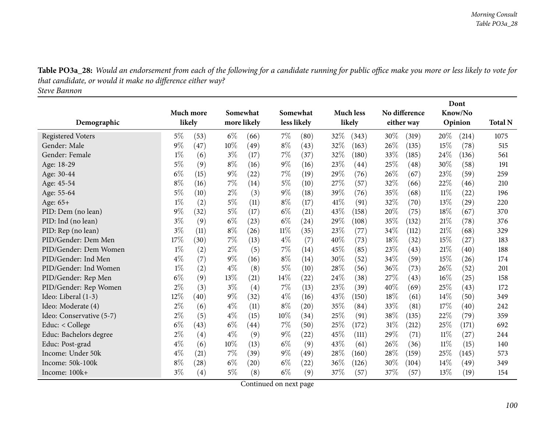Table PO3a\_28: Would an endorsement from each of the following for a candidate running for public office make you more or less likely to vote for *that candidate, or would it make no difference either way? Steve Bannon*

**DemographicMuch more likelySomewhatmore likely Somewhatless likely Much less likelyNo difference either way DontKnow/No Opinion Total <sup>N</sup>**Registered Voters 20 1075 (53) 6% (66) 7% (80) 32% (343) 30% (319) 20% (214) 1075 Gender: Male <sup>9</sup>% (47) 0% (49) <sup>8</sup>% (43) <sup>32</sup>% (63) <sup>26</sup>% (35) 5% (78) 55 Gender: Female  $1\%$  (6)  $3\%$  (17)  $7\%$  (37)  $32\%$  (180)  $33\%$  (185)  $24\%$  (136) 561 Age: 18-29 5% (9) 8% (16) 9% (16) 23% (44) 25% (48) 30% (58) 191 Age: 30-44 6% (15) 9% (22) 7% (19) 29% (76) 26% (67) 23% (59) 259 210 Age: 45-54 8% (16) 7% (14) 5% (10) 27% (57) 32% (66) 22% (46) 210 196 Age: 55-64 5% (10)  $2\%$  (3)  $9\%$  (18)  $39\%$  (76)  $35\%$  (68)  $11\%$  (22) 196 220 Age: 65+<br>PID: Dem (no lean)  $+\qquad \qquad \qquad \qquad \qquad \qquad 1\% \qquad (2) \qquad \qquad 5\% \qquad (11) \qquad \qquad 8\% \qquad (17) \qquad \qquad 41\% \qquad (91) \qquad \qquad 32\% \qquad (70) \qquad \qquad 13\% \qquad (29) \qquad \qquad 220$ PID: Dem (no lean)  $9\%$   $(32)$   $5\%$   $(17)$   $6\%$   $(21)$   $43\%$   $(158)$   $20\%$   $(75)$   $18\%$   $(67)$   $370$ 376 PID: Ind (no lean) 3% (9) 6% (23) 6% (24) 29% (108) 35% (132) 21% (78) 376 329 PID: Rep (no lean)  $3\%$  (11)  $8\%$  (26)  $11\%$  (35)  $23\%$  (77)  $34\%$  (112)  $21\%$  (68) 329 183 PID/Gender: Dem Men $\text{n}$  17% (30) 7% (13)  $4\%$  (7)  $40\%$  (73)  $18\%$  (32)  $15\%$  (27) 183 PID/Gender: Dem Women $\mathbf{n}$  1% (2)  $2\%$  (5) 7% (14)  $45\%$  (85)  $23\%$  (43)  $21\%$  (40) 188 PID/Gender: Ind Men $\mathbf{n}$  and  $\mathbf{4\%}$  (7)  $\mathbf{9\%}$  (16)  $\mathbf{8\%}$  (14)  $\mathbf{30\%}$  (52)  $\mathbf{34\%}$  (59)  $\mathbf{15\%}$  (26)  $\mathbf{174}$ PID/Gender: Ind Women $\mathsf{n}$  1% (2)  $4\%$  (8)  $5\%$  (10)  $28\%$  (56)  $36\%$  (73)  $26\%$  (52) 201 PID/Gender: Rep Menn 6% (9)  $13\%$  (21)  $14\%$  (22)  $24\%$  (38)  $27\%$  (43)  $16\%$  (25)  $158$ PID/Gender: Rep Women<br>Ideo: Liberal (1-3)  $\mathsf{n}$  2% (3) 3% (4) 7% (13) 23% (39) 40% (69) 25% (43) 172 Ideo: Liberal (1-3) 29 2 2 2 2 349 (32) 4% (16) 43% (150)  $18\%$  (61)  $14\%$  (50) 349 242 Ideo: Moderate (4) 29 (6) 4% (11) 8% (20) 35% (84) 33% (81) 17% (40) 242 Ideo: Conservative (5-7) 2% (5) 4% (15) 10% (34) 25% (91) 38% (135) 22% (79) 359 692 Educ: < College  $6\%$   $(43)$   $6\%$   $(44)$   $7\%$   $(50)$   $25\%$   $(172)$   $31\%$   $(212)$   $25\%$   $(171)$   $692$ Educ: Bachelors degree 2% (4) 4% (9) 9% (22) 45% (111) 29% (71) 11% (27) 244<br>Educ: Post-grad 4% (6) 10% (13) 6% (9) 43% (61) 26% (36) 11% (15) 140 140 Educ: Post-gradd  $4\%$  (6)  $10\%$  (13)  $6\%$  (9)  $43\%$  (61)  $26\%$  (36)  $11\%$  (15)  $140$ Income: Under 50kk  $\text{A}\%$  (21)  $7\%$  (39)  $9\%$  (49)  $28\%$  (160)  $28\%$  (159)  $25\%$  (145) 573 Income: 50k-100kk  $8\%$  (28) 6% (20) 6% (22) 36% (126) 30% (104) 14% (49) 349 Income: 100k+ $\begin{array}{ccccccccc} + & 3\% & (4) & 5\% & (8) & 6\% & (9) & 37\% & (57) & 37\% & (57) & 13\% & (19) & 154 \end{array}$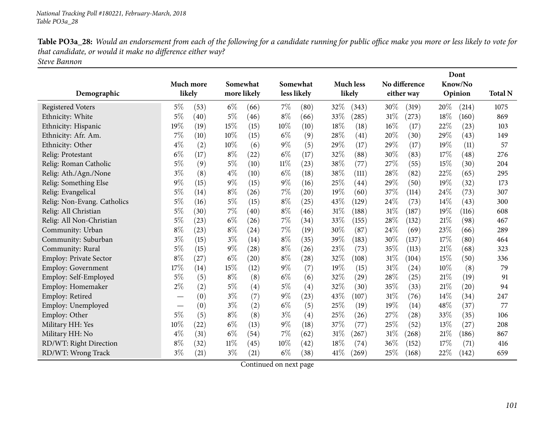| Table PO3a_28: Would an endorsement from each of the following for a candidate running for public office make you more or less likely to vote for |
|---------------------------------------------------------------------------------------------------------------------------------------------------|
| that candidate, or would it make no difference either way?                                                                                        |
| Steve Bannon                                                                                                                                      |

|                               |        |           |       |             |        |                    |      |                    |      |               |      | Dont    |                |
|-------------------------------|--------|-----------|-------|-------------|--------|--------------------|------|--------------------|------|---------------|------|---------|----------------|
|                               |        | Much more |       | Somewhat    |        | Somewhat           |      | <b>Much less</b>   |      | No difference |      | Know/No |                |
| Demographic                   | likely |           |       | more likely |        | less likely        |      | likely             |      | either way    |      | Opinion | <b>Total N</b> |
| <b>Registered Voters</b>      | $5\%$  | (53)      | $6\%$ | (66)        | $7\%$  | (80)               | 32%  | (343)              | 30%  | (319)         | 20%  | (214)   | 1075           |
| Ethnicity: White              | $5\%$  | (40)      | $5\%$ | (46)        | $8\%$  | (66)               | 33%  | (285)              | 31%  | (273)         | 18%  | (160)   | 869            |
| Ethnicity: Hispanic           | 19%    | (19)      | 15%   | (15)        | $10\%$ | (10)               | 18%  | (18)               | 16%  | (17)          | 22%  | (23)    | 103            |
| Ethnicity: Afr. Am.           | 7%     | (10)      | 10%   | (15)        | $6\%$  | (9)                | 28%  | $\left( 41\right)$ | 20%  | (30)          | 29%  | (43)    | 149            |
| Ethnicity: Other              | $4\%$  | (2)       | 10%   | (6)         | $9\%$  | (5)                | 29%  | (17)               | 29%  | (17)          | 19%  | (11)    | 57             |
| Relig: Protestant             | $6\%$  | (17)      | $8\%$ | (22)        | $6\%$  | (17)               | 32%  | (88)               | 30%  | (83)          | 17%  | (48)    | 276            |
| Relig: Roman Catholic         | $5\%$  | (9)       | $5\%$ | (10)        | $11\%$ | (23)               | 38%  | (77)               | 27\% | (55)          | 15%  | (30)    | 204            |
| Relig: Ath./Agn./None         | $3\%$  | (8)       | $4\%$ | (10)        | $6\%$  | (18)               | 38%  | (111)              | 28%  | (82)          | 22%  | (65)    | 295            |
| Relig: Something Else         | $9\%$  | (15)      | $9\%$ | (15)        | $9\%$  | (16)               | 25%  | (44)               | 29%  | (50)          | 19%  | (32)    | 173            |
| Relig: Evangelical            | $5\%$  | (14)      | $8\%$ | (26)        | 7%     | $\left( 20\right)$ | 19%  | (60)               | 37%  | (114)         | 24%  | (73)    | 307            |
| Relig: Non-Evang. Catholics   | $5\%$  | (16)      | $5\%$ | (15)        | $8\%$  | (25)               | 43%  | (129)              | 24%  | (73)          | 14%  | (43)    | 300            |
| Relig: All Christian          | $5\%$  | (30)      | 7%    | (40)        | $8\%$  | (46)               | 31%  | (188)              | 31%  | (187)         | 19%  | (116)   | 608            |
| Relig: All Non-Christian      | $5\%$  | (23)      | $6\%$ | (26)        | 7%     | (34)               | 33%  | (155)              | 28%  | (132)         | 21%  | (98)    | 467            |
| Community: Urban              | $8\%$  | (23)      | $8\%$ | (24)        | 7%     | (19)               | 30%  | (87)               | 24%  | (69)          | 23%  | (66)    | 289            |
| Community: Suburban           | $3\%$  | (15)      | $3\%$ | (14)        | $8\%$  | (35)               | 39%  | (183)              | 30%  | (137)         | 17%  | (80)    | 464            |
| Community: Rural              | $5\%$  | (15)      | $9\%$ | (28)        | $8\%$  | (26)               | 23%  | (73)               | 35%  | (113)         | 21%  | (68)    | 323            |
| <b>Employ: Private Sector</b> | $8\%$  | (27)      | $6\%$ | (20)        | $8\%$  | (28)               | 32%  | (108)              | 31%  | (104)         | 15%  | (50)    | 336            |
| <b>Employ: Government</b>     | 17%    | (14)      | 15%   | (12)        | $9\%$  | (7)                | 19%  | (15)               | 31%  | (24)          | 10%  | (8)     | 79             |
| Employ: Self-Employed         | $5\%$  | (5)       | $8\%$ | (8)         | $6\%$  | (6)                | 32%  | (29)               | 28%  | (25)          | 21%  | (19)    | 91             |
| Employ: Homemaker             | $2\%$  | (2)       | $5\%$ | (4)         | $5\%$  | (4)                | 32%  | (30)               | 35%  | (33)          | 21%  | (20)    | 94             |
| Employ: Retired               |        | (0)       | $3\%$ | (7)         | $9\%$  | (23)               | 43%  | (107)              | 31%  | (76)          | 14%  | (34)    | 247            |
| Employ: Unemployed            |        | (0)       | $3\%$ | (2)         | $6\%$  | (5)                | 25%  | (19)               | 19%  | (14)          | 48%  | (37)    | 77             |
| Employ: Other                 | $5\%$  | (5)       | $8\%$ | (8)         | $3\%$  | (4)                | 25%  | (26)               | 27\% | (28)          | 33%  | (35)    | 106            |
| Military HH: Yes              | 10%    | (22)      | $6\%$ | (13)        | $9\%$  | (18)               | 37%  | (77)               | 25%  | (52)          | 13%  | (27)    | 208            |
| Military HH: No               | $4\%$  | (31)      | $6\%$ | (54)        | $7\%$  | (62)               | 31%  | (267)              | 31%  | (268)         | 21%  | (186)   | 867            |
| RD/WT: Right Direction        | $8\%$  | (32)      | 11%   | (45)        | $10\%$ | (42)               | 18%  | (74)               | 36%  | (152)         | 17%  | (71)    | 416            |
| RD/WT: Wrong Track            | $3\%$  | (21)      | $3\%$ | (21)        | $6\%$  | (38)               | 41\% | (269)              | 25%  | (168)         | 22\% | (142)   | 659            |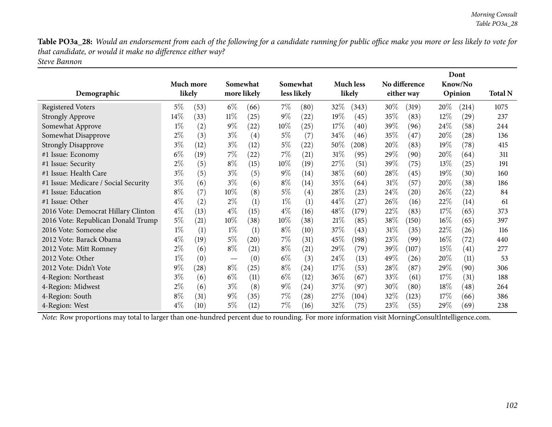**DontKnow/No**

**Opinion Total <sup>N</sup>**

Table PO3a\_28: Would an endorsement from each of the following for a candidate running for public office make you more or less likely to vote for *that candidate, or would it make no difference either way? Steve Bannon*

|                                      |           |                   |        |                   |        |                   |         |                  |        |               |        | Dont                 |       |
|--------------------------------------|-----------|-------------------|--------|-------------------|--------|-------------------|---------|------------------|--------|---------------|--------|----------------------|-------|
|                                      | Much more |                   |        | Somewhat          |        | Somewhat          |         | <b>Much less</b> |        | No difference |        | Know/No              |       |
| Demographic                          | likely    |                   |        | more likely       |        | less likely       |         | likely           |        | either way    |        | Opinion              | Total |
| Registered Voters                    | 5%        | (53)              | $6\%$  | (66)              | $7\%$  | (80)              | 32\%    | (343)            | $30\%$ | (319)         | $20\%$ | (214)                | 1075  |
| <b>Strongly Approve</b>              | $14\%$    | (33)              | $11\%$ | (25)              | $9\%$  | (22)              | 19 $\%$ | (45)             | 35\%   | (83)          | 12%    | $^{'}29$             | 237   |
| Somewhat Approve                     | $1\%$     | (2)               | $9\%$  | (22)              | $10\%$ | (25)              | 17%     | (40)             | 39\%   | (96)          | 24\%   | (58)                 | 244   |
| Somewhat Disapprove                  | $2\%$     | (3)               | $3\%$  | $\left( 4\right)$ | $5\%$  | 7                 | 34\%    | $46^\circ$       | 35%    | (47)          | $20\%$ | (28)                 | 136   |
| <b>Strongly Disapprove</b>           | $3\%$     | (12)              | $3\%$  | (12)              | $5\%$  | (22)              | $50\%$  | (208)            | 20%    | (83)          | $19\%$ | (78)                 | 415   |
| #1 Issue: Economy                    | $6\%$     | $\left(19\right)$ | $7\%$  | (22)              | $7\%$  | (21)              | 31%     | (95)             | 29%    | (90)          | 20%    | (64)                 | 311   |
| #1 Issue: Security                   | $2\%$     | (5)               | $8\%$  | (15)              | $10\%$ | (19)              | 27\%    | (51)             | 39%    | (75)          | 13%    | (25)                 | 191   |
| #1 Issue: Health Care                | $3\%$     | (5)               | $3\%$  | (5)               | $9\%$  | (14)              | $38\%$  | (60)             | 28\%   | (45)          | $19\%$ | (30)                 | 160   |
| #1 Issue: Medicare / Social Security | $3\%$     | (6)               | $3\%$  | (6)               | $8\%$  | (14)              | 35%     | (64)             | $31\%$ | (57)          | $20\%$ | (38)                 | 186   |
| #1 Issue: Education                  | $8\%$     | (7)               | 10%    | (8)               | $5\%$  | $\left( 4\right)$ | 28%     | (23)             | 24\%   | (20)          | $26\%$ | $\langle 22 \rangle$ | 84    |

| Somewhat Approve                     | $1\%$ | $\left( 2\right)$ | $9\%$  | $\left( 22\right)$ | $10\%$ | $^{'}25)$          | $17\%$ | (40)  | 39 $\%$ | (96)               | $24\%$  | (58)              | 244 |
|--------------------------------------|-------|-------------------|--------|--------------------|--------|--------------------|--------|-------|---------|--------------------|---------|-------------------|-----|
| Somewhat Disapprove                  | $2\%$ | (3)               | $3\%$  | $\left( 4\right)$  | 5%     | (7)                | $34\%$ | (46)  | $35\%$  | $\left(47\right)$  | 20%     | (28)              | 136 |
| <b>Strongly Disapprove</b>           | $3\%$ | (12)              | $3\%$  | (12)               | $5\%$  | (22)               | $50\%$ | (208) | $20\%$  | (83)               | 19 $\%$ | (78)              | 415 |
| #1 Issue: Economy                    | $6\%$ | (19)              | $7\%$  | 22)                | 7%     | $\left( 21\right)$ | $31\%$ | (95)  | $29\%$  | (90)               | 20%     | (64)              | 311 |
| #1 Issue: Security                   | $2\%$ | (5)               | $8\%$  | (15)               | $10\%$ | (19)               | 27%    | (51)  | 39\%    | (75)               | $13\%$  | (25)              | 191 |
| #1 Issue: Health Care                | $3\%$ | $\left( 5\right)$ | $3\%$  | (5)                | $9\%$  | (14)               | 38\%   | (60)  | $28\%$  | (45)               | $19\%$  | (30)              | 160 |
| #1 Issue: Medicare / Social Security | $3\%$ | (6)               | $3\%$  | (6)                | $8\%$  | (14)               | $35\%$ | (64)  | 31%     | (57)               | 20\%    | (38)              | 186 |
| #1 Issue: Education                  | $8\%$ | (7)               | $10\%$ | (8)                | 5%     | (4)                | 28\%   | (23)  | 24\%    | $\left( 20\right)$ | 26\%    | (22)              | 84  |
| #1 Issue: Other                      | $4\%$ | $\left( 2\right)$ | $2\%$  | (1)                | $1\%$  | (1)                | $44\%$ | (27)  | $26\%$  | (16)               | 22%     | (14)              | 61  |
| 2016 Vote: Democrat Hillary Clinton  | $4\%$ | (13)              | $4\%$  | (15)               | $4\%$  | (16)               | 48\%   | (179) | 22%     | (83)               | $17\%$  | (65)              | 373 |
| 2016 Vote: Republican Donald Trump   | $5\%$ | (21)              | $10\%$ | 38)                | $10\%$ | (38)               | 21%    | (85)  | 38\%    | (150)              | $16\%$  | (65)              | 397 |
| 2016 Vote: Someone else              | $1\%$ | $\left(1\right)$  | $1\%$  | $\left( 1\right)$  | $8\%$  | (10)               | 37%    | (43)  | 31%     | (35)               | 22\%    | (26)              | 116 |
| 2012 Vote: Barack Obama              | $4\%$ | (19)              | $5\%$  | (20)               | $7\%$  | (31)               | 45%    | (198) | $23\%$  | (99)               | $16\%$  | (72)              | 440 |
| 2012 Vote: Mitt Romney               | $2\%$ | (6)               | $8\%$  | (21)               | $8\%$  | $\left( 21\right)$ | 29\%   | (79)  | 39\%    | (107)              | $15\%$  | $\left(41\right)$ | 277 |
| 2012 Vote: Other                     | $1\%$ | (0)               |        | (0)                | $6\%$  | (3)                | 24%    | (13)  | 49\%    | (26)               | $20\%$  | (11)              | 53  |
| 2012 Vote: Didn't Vote               | $9\%$ | (28)              | $8\%$  | (25)               | $8\%$  | (24)               | 17%    | (53)  | 28\%    | (87)               | 29%     | (90)              | 306 |
| 4-Region: Northeast                  | $3\%$ | (6)               | $6\%$  | (11)               | $6\%$  | (12)               | $36\%$ | (67)  | 33%     | (61)               | $17\%$  | (31)              | 188 |
| 4-Region: Midwest                    | $2\%$ | (6)               | $3\%$  | (8)                | $9\%$  | (24)               | 37%    | (97)  | $30\%$  | (80)               | $18\%$  | (48)              | 264 |
| 4-Region: South                      | $8\%$ | (31)              | $9\%$  | (35)               | $7\%$  | $\left( 28\right)$ | 27%    | (104) | $32\%$  | (123)              | 17%     | (66)              | 386 |
| 4-Region: West                       | $4\%$ | (10)              | $5\%$  | (12)               | $7\%$  | (16)               | $32\%$ | (75)  | $23\%$  | (55)               | 29\%    | (69)              | 238 |
|                                      |       |                   |        |                    |        |                    |        |       |         |                    |         |                   |     |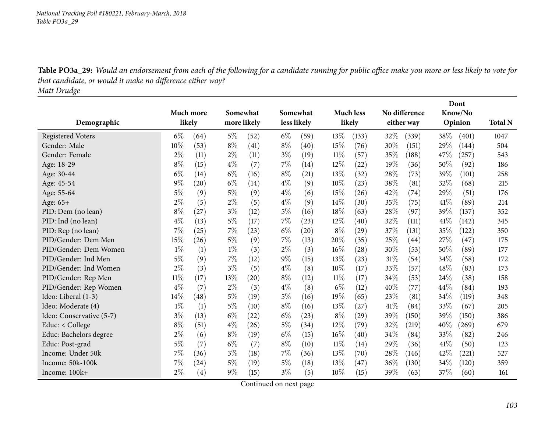Table PO3a\_29: Would an endorsement from each of the following for a candidate running for public office make you more or less likely to vote for *that candidate, or would it make no difference either way? Matt Drudge*

|                          |           |                   |       |             |       |             |        |                    |      |               |      | Dont    |                |
|--------------------------|-----------|-------------------|-------|-------------|-------|-------------|--------|--------------------|------|---------------|------|---------|----------------|
|                          | Much more |                   |       | Somewhat    |       | Somewhat    |        | <b>Much less</b>   |      | No difference |      | Know/No |                |
| Demographic              | likely    |                   |       | more likely |       | less likely |        | likely             |      | either way    |      | Opinion | <b>Total N</b> |
| <b>Registered Voters</b> | $6\%$     | (64)              | $5\%$ | (52)        | $6\%$ | (59)        | 13%    | (133)              | 32%  | (339)         | 38\% | (401)   | 1047           |
| Gender: Male             | 10%       | (53)              | $8\%$ | (41)        | $8\%$ | (40)        | 15%    | (76)               | 30%  | (151)         | 29%  | (144)   | 504            |
| Gender: Female           | $2\%$     | (11)              | $2\%$ | (11)        | $3\%$ | (19)        | $11\%$ | (57)               | 35%  | (188)         | 47%  | (257)   | 543            |
| Age: 18-29               | $8\%$     | (15)              | $4\%$ | (7)         | 7%    | (14)        | 12%    | $\left( 22\right)$ | 19%  | (36)          | 50%  | (92)    | 186            |
| Age: 30-44               | $6\%$     | (14)              | $6\%$ | (16)        | $8\%$ | (21)        | 13%    | (32)               | 28%  | (73)          | 39%  | (101)   | 258            |
| Age: 45-54               | 9%        | (20)              | $6\%$ | (14)        | $4\%$ | (9)         | 10%    | (23)               | 38%  | (81)          | 32%  | (68)    | 215            |
| Age: 55-64               | $5\%$     | (9)               | $5\%$ | (9)         | $4\%$ | (6)         | 15%    | (26)               | 42%  | (74)          | 29%  | (51)    | 176            |
| Age: 65+                 | 2%        | (5)               | $2\%$ | (5)         | $4\%$ | (9)         | 14%    | (30)               | 35%  | (75)          | 41\% | (89)    | 214            |
| PID: Dem (no lean)       | $8\%$     | (27)              | $3\%$ | (12)        | $5\%$ | (16)        | 18%    | (63)               | 28%  | (97)          | 39%  | (137)   | 352            |
| PID: Ind (no lean)       | $4\%$     | (13)              | 5%    | (17)        | $7\%$ | (23)        | 12%    | (40)               | 32%  | (111)         | 41\% | (142)   | 345            |
| PID: Rep (no lean)       | 7%        | (25)              | 7%    | (23)        | $6\%$ | (20)        | $8\%$  | (29)               | 37%  | (131)         | 35%  | (122)   | 350            |
| PID/Gender: Dem Men      | 15%       | (26)              | $5\%$ | (9)         | 7%    | (13)        | 20%    | (35)               | 25%  | (44)          | 27%  | (47)    | 175            |
| PID/Gender: Dem Women    | $1\%$     | (1)               | $1\%$ | (3)         | $2\%$ | (3)         | 16%    | (28)               | 30%  | (53)          | 50%  | (89)    | 177            |
| PID/Gender: Ind Men      | $5\%$     | (9)               | 7%    | (12)        | $9\%$ | (15)        | 13%    | (23)               | 31%  | (54)          | 34%  | (58)    | 172            |
| PID/Gender: Ind Women    | $2\%$     | (3)               | $3\%$ | (5)         | $4\%$ | (8)         | 10%    | (17)               | 33\% | (57)          | 48%  | (83)    | 173            |
| PID/Gender: Rep Men      | $11\%$    | (17)              | 13%   | (20)        | $8\%$ | (12)        | $11\%$ | (17)               | 34%  | (53)          | 24%  | (38)    | 158            |
| PID/Gender: Rep Women    | $4\%$     | (7)               | $2\%$ | (3)         | $4\%$ | (8)         | $6\%$  | (12)               | 40%  | (77)          | 44\% | (84)    | 193            |
| Ideo: Liberal (1-3)      | 14%       | (48)              | $5\%$ | (19)        | $5\%$ | (16)        | 19%    | (65)               | 23%  | (81)          | 34%  | (119)   | 348            |
| Ideo: Moderate (4)       | $1\%$     | (1)               | $5\%$ | (10)        | $8\%$ | (16)        | 13%    | (27)               | 41\% | (84)          | 33%  | (67)    | 205            |
| Ideo: Conservative (5-7) | 3%        | (13)              | $6\%$ | (22)        | $6\%$ | (23)        | $8\%$  | $\left( 29\right)$ | 39%  | (150)         | 39%  | (150)   | 386            |
| Educ: < College          | $8\%$     | (51)              | $4\%$ | (26)        | $5\%$ | (34)        | 12%    | (79)               | 32%  | (219)         | 40%  | (269)   | 679            |
| Educ: Bachelors degree   | $2\%$     | (6)               | $8\%$ | (19)        | $6\%$ | (15)        | $16\%$ | (40)               | 34%  | (84)          | 33%  | (82)    | 246            |
| Educ: Post-grad          | $5\%$     | (7)               | $6\%$ | (7)         | $8\%$ | (10)        | 11%    | (14)               | 29%  | (36)          | 41\% | (50)    | 123            |
| Income: Under 50k        | 7%        | (36)              | $3\%$ | (18)        | $7\%$ | (36)        | 13%    | (70)               | 28%  | (146)         | 42%  | (221)   | 527            |
| Income: 50k-100k         | 7%        | (24)              | $5\%$ | (19)        | $5\%$ | (18)        | 13%    | (47)               | 36%  | (130)         | 34%  | (120)   | 359            |
| Income: 100k+            | 2%        | $\left( 4\right)$ | $9\%$ | (15)        | $3\%$ | (5)         | 10%    | (15)               | 39%  | (63)          | 37%  | (60)    | 161            |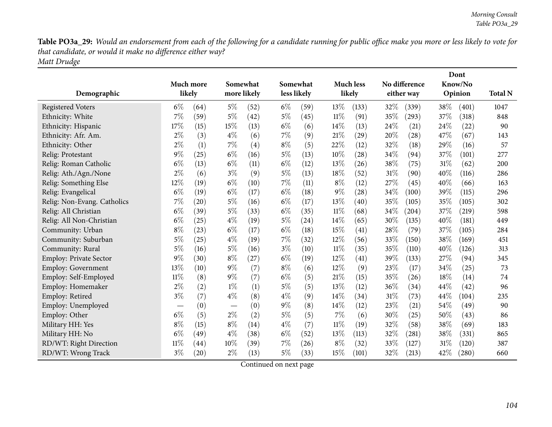Table PO3a\_29: Would an endorsement from each of the following for a candidate running for public office make you more or less likely to vote for *that candidate, or would it make no difference either way? Matt Drudge*

|                               |                               |           |       |             |       |             |        |                    |     |               |      | Dont    |                |
|-------------------------------|-------------------------------|-----------|-------|-------------|-------|-------------|--------|--------------------|-----|---------------|------|---------|----------------|
|                               |                               | Much more |       | Somewhat    |       | Somewhat    |        | <b>Much less</b>   |     | No difference |      | Know/No |                |
| Demographic                   |                               | likely    |       | more likely |       | less likely |        | likely             |     | either way    |      | Opinion | <b>Total N</b> |
| <b>Registered Voters</b>      | $6\%$                         | (64)      | 5%    | (52)        | $6\%$ | (59)        | 13%    | (133)              | 32% | (339)         | 38%  | (401)   | 1047           |
| Ethnicity: White              | 7%                            | (59)      | $5\%$ | (42)        | $5\%$ | (45)        | $11\%$ | (91)               | 35% | (293)         | 37%  | (318)   | 848            |
| Ethnicity: Hispanic           | 17%                           | (15)      | 15%   | (13)        | $6\%$ | (6)         | 14%    | (13)               | 24% | (21)          | 24\% | (22)    | 90             |
| Ethnicity: Afr. Am.           | $2\%$                         | (3)       | $4\%$ | (6)         | $7\%$ | (9)         | 21%    | $\left( 29\right)$ | 20% | (28)          | 47%  | (67)    | 143            |
| Ethnicity: Other              | $2\%$                         | (1)       | 7%    | (4)         | $8\%$ | (5)         | 22%    | (12)               | 32% | (18)          | 29%  | (16)    | 57             |
| Relig: Protestant             | $9\%$                         | (25)      | $6\%$ | (16)        | $5\%$ | (13)        | 10%    | (28)               | 34% | (94)          | 37%  | (101)   | 277            |
| Relig: Roman Catholic         | $6\%$                         | (13)      | $6\%$ | (11)        | $6\%$ | (12)        | 13%    | (26)               | 38% | (75)          | 31%  | (62)    | 200            |
| Relig: Ath./Agn./None         | $2\%$                         | (6)       | $3\%$ | (9)         | $5\%$ | (13)        | 18%    | (52)               | 31% | (90)          | 40%  | (116)   | 286            |
| Relig: Something Else         | 12%                           | (19)      | $6\%$ | (10)        | $7\%$ | (11)        | $8\%$  | (12)               | 27% | (45)          | 40%  | (66)    | 163            |
| Relig: Evangelical            | $6\%$                         | (19)      | $6\%$ | (17)        | $6\%$ | (18)        | $9\%$  | (28)               | 34% | (100)         | 39%  | (115)   | 296            |
| Relig: Non-Evang. Catholics   | 7%                            | (20)      | $5\%$ | (16)        | $6\%$ | (17)        | 13%    | (40)               | 35% | (105)         | 35%  | (105)   | 302            |
| Relig: All Christian          | $6\%$                         | (39)      | $5\%$ | (33)        | $6\%$ | (35)        | $11\%$ | (68)               | 34% | (204)         | 37%  | (219)   | 598            |
| Relig: All Non-Christian      | $6\%$                         | (25)      | $4\%$ | (19)        | $5\%$ | (24)        | 14%    | (65)               | 30% | (135)         | 40%  | (181)   | 449            |
| Community: Urban              | $8\%$                         | (23)      | $6\%$ | (17)        | $6\%$ | (18)        | 15%    | (41)               | 28% | (79)          | 37%  | (105)   | 284            |
| Community: Suburban           | $5\%$                         | (25)      | $4\%$ | (19)        | 7%    | (32)        | 12%    | (56)               | 33% | (150)         | 38%  | (169)   | 451            |
| Community: Rural              | $5\%$                         | (16)      | $5\%$ | (16)        | $3\%$ | (10)        | $11\%$ | (35)               | 35% | (110)         | 40%  | (126)   | 313            |
| <b>Employ: Private Sector</b> | $9\%$                         | (30)      | $8\%$ | (27)        | $6\%$ | (19)        | 12%    | (41)               | 39% | (133)         | 27%  | (94)    | 345            |
| <b>Employ: Government</b>     | 13%                           | (10)      | $9\%$ | (7)         | $8\%$ | (6)         | 12%    | (9)                | 23% | (17)          | 34%  | (25)    | 73             |
| Employ: Self-Employed         | $11\%$                        | (8)       | $9\%$ | (7)         | $6\%$ | (5)         | 21%    | (15)               | 35% | (26)          | 18%  | (14)    | 74             |
| Employ: Homemaker             | $2\%$                         | (2)       | $1\%$ | (1)         | $5\%$ | (5)         | 13%    | (12)               | 36% | (34)          | 44%  | (42)    | 96             |
| Employ: Retired               | $3\%$                         | (7)       | $4\%$ | (8)         | $4\%$ | (9)         | 14\%   | (34)               | 31% | (73)          | 44%  | (104)   | 235            |
| Employ: Unemployed            | $\overbrace{\phantom{aaaaa}}$ | (0)       |       | (0)         | $9\%$ | (8)         | 14\%   | (12)               | 23% | (21)          | 54%  | (49)    | 90             |
| Employ: Other                 | $6\%$                         | (5)       | $2\%$ | (2)         | $5\%$ | (5)         | 7%     | (6)                | 30% | (25)          | 50%  | (43)    | 86             |
| Military HH: Yes              | $8\%$                         | (15)      | $8\%$ | (14)        | $4\%$ | (7)         | $11\%$ | (19)               | 32% | (58)          | 38%  | (69)    | 183            |
| Military HH: No               | $6\%$                         | (49)      | $4\%$ | (38)        | $6\%$ | (52)        | 13%    | (113)              | 32% | (281)         | 38%  | (331)   | 865            |
| RD/WT: Right Direction        | $11\%$                        | (44)      | 10%   | (39)        | 7%    | (26)        | $8\%$  | (32)               | 33% | (127)         | 31%  | (120)   | 387            |
| RD/WT: Wrong Track            | $3\%$                         | (20)      | $2\%$ | (13)        | $5\%$ | (33)        | 15%    | (101)              | 32% | (213)         | 42%  | (280)   | 660            |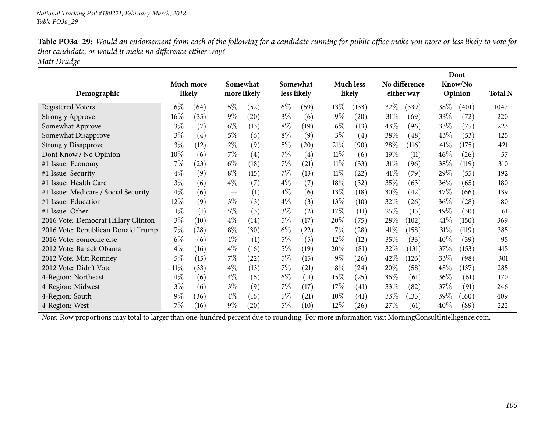Table PO3a\_29: Would an endorsement from each of the following for a candidate running for public office make you more or less likely to vote for *that candidate, or would it make no difference either way? Matt Drudge*

| Demographic                          | Much more | likely |                               | Somewhat<br>more likely |       | Somewhat<br>less likely |        | <b>Much less</b><br>likely |        | No difference<br>either way |        | Dont<br>Know/No<br>Opinion | <b>Total N</b> |
|--------------------------------------|-----------|--------|-------------------------------|-------------------------|-------|-------------------------|--------|----------------------------|--------|-----------------------------|--------|----------------------------|----------------|
| <b>Registered Voters</b>             | $6\%$     | (64)   | $5\%$                         | (52)                    | $6\%$ | (59)                    | 13\%   | (133)                      | 32\%   | (339)                       | $38\%$ | (401)                      | 1047           |
| <b>Strongly Approve</b>              | $16\%$    | (35)   | $9\%$                         | (20)                    | $3\%$ | (6)                     | $9\%$  | $\left( 20\right)$         | 31\%   | (69)                        | 33\%   | (72)                       | 220            |
| Somewhat Approve                     | $3\%$     | (7)    | $6\%$                         | (13)                    | $8\%$ | (19)                    | $6\%$  | (13)                       | 43\%   | (96)                        | 33\%   | (75)                       | 223            |
| Somewhat Disapprove                  | $3\%$     | (4)    | $5\%$                         | (6)                     | $8\%$ | (9)                     | $3\%$  | (4)                        | 38\%   | (48)                        | 43\%   | (53)                       | 125            |
| <b>Strongly Disapprove</b>           | $3\%$     | (12)   | $2\%$                         | (9)                     | $5\%$ | (20)                    | 21%    | (90)                       | 28\%   | (116)                       | 41\%   | (175)                      | 421            |
| Dont Know / No Opinion               | $10\%$    | (6)    | $7\%$                         | (4)                     | $7\%$ | (4)                     | $11\%$ | (6)                        | $19\%$ | (11)                        | 46%    | (26)                       | 57             |
| #1 Issue: Economy                    | 7%        | (23)   | $6\%$                         | (18)                    | $7\%$ | (21)                    | $11\%$ | (33)                       | $31\%$ | (96)                        | 38\%   | (119)                      | 310            |
| #1 Issue: Security                   | $4\%$     | (9)    | $8\%$                         | (15)                    | $7\%$ | (13)                    | $11\%$ | (22)                       | 41%    | (79)                        | 29%    | (55)                       | 192            |
| #1 Issue: Health Care                | $3\%$     | (6)    | $4\%$                         | (7)                     | $4\%$ | (7)                     | 18\%   | (32)                       | 35%    | (63)                        | 36\%   | (65)                       | 180            |
| #1 Issue: Medicare / Social Security | $4\%$     | (6)    | $\overbrace{\phantom{13333}}$ | (1)                     | $4\%$ | (6)                     | $13\%$ | (18)                       | 30\%   | (42)                        | 47\%   | (66)                       | 139            |
| #1 Issue: Education                  | $12\%$    | (9)    | $3\%$                         | (3)                     | $4\%$ | (3)                     | $13\%$ | (10)                       | 32%    | (26)                        | 36%    | (28)                       | 80             |
| #1 Issue: Other                      | $1\%$     | (1)    | $5\%$                         | (3)                     | $3\%$ | (2)                     | 17%    | (11)                       | 25\%   | (15)                        | 49%    | (30)                       | 61             |
| 2016 Vote: Democrat Hillary Clinton  | $3\%$     | (10)   | $4\%$                         | (14)                    | 5%    | (17)                    | $20\%$ | (75)                       | 28\%   | (102)                       | 41\%   | (150)                      | 369            |
| 2016 Vote: Republican Donald Trump   | $7\%$     | (28)   | $8\%$                         | (30)                    | $6\%$ | (22)                    | $7\%$  | (28)                       | 41\%   | (158)                       | $31\%$ | (119)                      | 385            |
| 2016 Vote: Someone else              | $6\%$     | (6)    | $1\%$                         | (1)                     | $5\%$ | (5)                     | $12\%$ | (12)                       | 35%    | (33)                        | 40%    | (39)                       | 95             |
| 2012 Vote: Barack Obama              | $4\%$     | (16)   | $4\%$                         | (16)                    | $5\%$ | (19)                    | 20%    | (81)                       | 32\%   | (131)                       | 37\%   | (153)                      | 415            |
| 2012 Vote: Mitt Romney               | $5\%$     | (15)   | $7\%$                         | (22)                    | $5\%$ | (15)                    | $9\%$  | (26)                       | 42\%   | (126)                       | 33\%   | (98)                       | 301            |
| 2012 Vote: Didn't Vote               | $11\%$    | (33)   | $4\%$                         | (13)                    | $7\%$ | (21)                    | $8\%$  | (24)                       | 20%    | (58)                        | 48\%   | (137)                      | 285            |
| 4-Region: Northeast                  | $4\%$     | (6)    | $4\%$                         | (6)                     | $6\%$ | (11)                    | 15\%   | (25)                       | 36\%   | (61)                        | 36\%   | (61)                       | 170            |
| 4-Region: Midwest                    | $3\%$     | (6)    | $3\%$                         | (9)                     | $7\%$ | (17)                    | 17%    | (41)                       | 33\%   | (82)                        | 37%    | (91)                       | 246            |
| 4-Region: South                      | $9\%$     | (36)   | $4\%$                         | (16)                    | $5\%$ | (21)                    | $10\%$ | (41)                       | 33\%   | (135)                       | 39\%   | (160)                      | 409            |
| 4-Region: West                       | 7%        | (16)   | $9\%$                         | $\left( 20\right)$      | 5%    | (10)                    | $12\%$ | (26)                       | 27\%   | (61)                        | 40%    | (89)                       | 222            |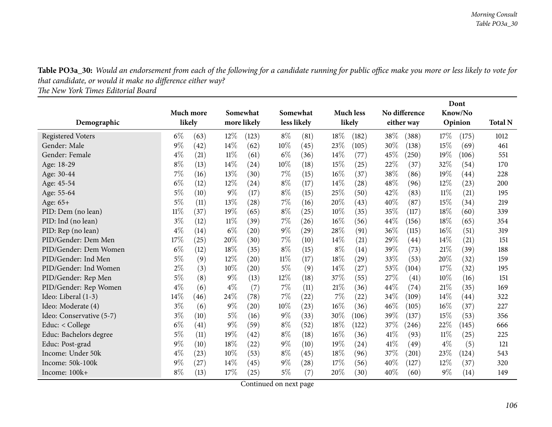Table PO3a\_30: Would an endorsement from each of the following for a candidate running for public office make you more or less likely to vote for *that candidate, or would it make no difference either way?*

*The New York Times Editorial Board*

|                          |        |           |        |             |        |                    |       |                    |      |               |       | Dont    |                |
|--------------------------|--------|-----------|--------|-------------|--------|--------------------|-------|--------------------|------|---------------|-------|---------|----------------|
|                          |        | Much more |        | Somewhat    |        | Somewhat           |       | <b>Much less</b>   |      | No difference |       | Know/No |                |
| Demographic              |        | likely    |        | more likely |        | less likely        |       | likely             |      | either way    |       | Opinion | <b>Total N</b> |
| <b>Registered Voters</b> | $6\%$  | (63)      | $12\%$ | (123)       | $8\%$  | (81)               | 18%   | (182)              | 38\% | (388)         | 17%   | (175)   | 1012           |
| Gender: Male             | $9\%$  | (42)      | 14%    | (62)        | 10%    | (45)               | 23%   | (105)              | 30%  | (138)         | 15%   | (69)    | 461            |
| Gender: Female           | $4\%$  | (21)      | 11%    | (61)        | $6\%$  | (36)               | 14\%  | (77)               | 45\% | (250)         | 19%   | (106)   | 551            |
| Age: 18-29               | $8\%$  | (13)      | 14%    | (24)        | 10%    | (18)               | 15%   | (25)               | 22%  | (37)          | 32%   | (54)    | 170            |
| Age: 30-44               | 7%     | (16)      | 13%    | (30)        | 7%     | (15)               | 16%   | (37)               | 38%  | (86)          | 19%   | (44)    | 228            |
| Age: 45-54               | $6\%$  | (12)      | 12%    | (24)        | $8\%$  | (17)               | 14\%  | $\left( 28\right)$ | 48\% | (96)          | 12%   | (23)    | 200            |
| Age: 55-64               | $5\%$  | (10)      | $9\%$  | (17)        | $8\%$  | (15)               | 25%   | (50)               | 42%  | (83)          | 11%   | (21)    | 195            |
| Age: $65+$               | $5\%$  | (11)      | 13%    | (28)        | $7\%$  | (16)               | 20%   | (43)               | 40%  | (87)          | 15%   | (34)    | 219            |
| PID: Dem (no lean)       | $11\%$ | (37)      | 19%    | (65)        | $8\%$  | (25)               | 10%   | (35)               | 35%  | (117)         | 18%   | (60)    | 339            |
| PID: Ind (no lean)       | $3\%$  | (12)      | $11\%$ | (39)        | $7\%$  | (26)               | 16%   | (56)               | 44\% | (156)         | 18%   | (65)    | 354            |
| PID: Rep (no lean)       | $4\%$  | (14)      | $6\%$  | (20)        | $9\%$  | (29)               | 28%   | (91)               | 36%  | (115)         | 16%   | (51)    | 319            |
| PID/Gender: Dem Men      | 17%    | (25)      | 20%    | (30)        | $7\%$  | (10)               | 14\%  | (21)               | 29%  | (44)          | 14\%  | (21)    | 151            |
| PID/Gender: Dem Women    | $6\%$  | (12)      | 18%    | (35)        | $8\%$  | (15)               | $8\%$ | (14)               | 39%  | (73)          | 21%   | (39)    | 188            |
| PID/Gender: Ind Men      | $5\%$  | (9)       | 12%    | (20)        | 11%    | (17)               | 18%   | $\left( 29\right)$ | 33\% | (53)          | 20%   | (32)    | 159            |
| PID/Gender: Ind Women    | $2\%$  | (3)       | 10%    | (20)        | $5\%$  | (9)                | 14\%  | (27)               | 53%  | (104)         | 17%   | (32)    | 195            |
| PID/Gender: Rep Men      | $5\%$  | (8)       | $9\%$  | (13)        | $12\%$ | (18)               | 37%   | (55)               | 27%  | (41)          | 10%   | (16)    | 151            |
| PID/Gender: Rep Women    | $4\%$  | (6)       | $4\%$  | (7)         | $7\%$  | (11)               | 21%   | (36)               | 44%  | (74)          | 21%   | (35)    | 169            |
| Ideo: Liberal (1-3)      | 14%    | (46)      | 24%    | (78)        | 7%     | (22)               | 7%    | (22)               | 34\% | (109)         | 14\%  | (44)    | 322            |
| Ideo: Moderate (4)       | $3\%$  | (6)       | $9\%$  | (20)        | 10%    | (23)               | 16%   | (36)               | 46\% | (105)         | 16%   | (37)    | 227            |
| Ideo: Conservative (5-7) | $3\%$  | (10)      | $5\%$  | (16)        | $9\%$  | (33)               | 30%   | (106)              | 39%  | (137)         | 15%   | (53)    | 356            |
| Educ: < College          | $6\%$  | (41)      | $9\%$  | (59)        | $8\%$  | (52)               | 18%   | (122)              | 37\% | (246)         | 22%   | (145)   | 666            |
| Educ: Bachelors degree   | $5\%$  | (11)      | 19%    | (42)        | $8\%$  | (18)               | 16%   | (36)               | 41\% | (93)          | 11%   | (25)    | 225            |
| Educ: Post-grad          | $9\%$  | (10)      | 18%    | (22)        | $9\%$  | (10)               | 19%   | (24)               | 41\% | (49)          | $4\%$ | (5)     | 121            |
| Income: Under 50k        | $4\%$  | (23)      | 10%    | (53)        | $8\%$  | (45)               | 18%   | (96)               | 37%  | (201)         | 23%   | (124)   | 543            |
| Income: 50k-100k         | 9%     | (27)      | 14%    | (45)        | $9\%$  | $\left( 28\right)$ | 17%   | (56)               | 40%  | (127)         | 12%   | (37)    | 320            |
| Income: 100k+            | $8\%$  | (13)      | 17%    | (25)        | $5\%$  | (7)                | 20%   | (30)               | 40%  | (60)          | $9\%$ | (14)    | 149            |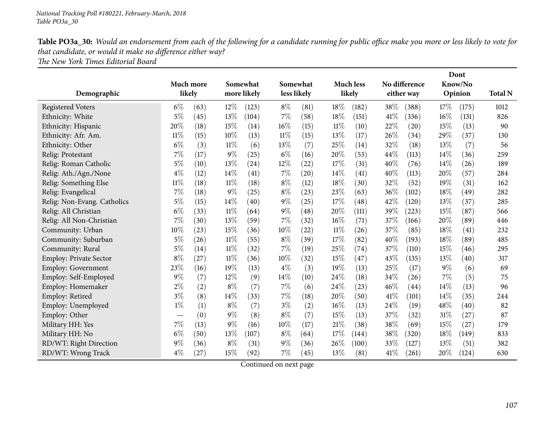Table PO3a\_30: Would an endorsement from each of the following for a candidate running for public office make you more or less likely to vote for *that candidate, or would it make no difference either way? The New York Times Editorial Board*

|                               |           |      |             |          |        | Dont        |                  |        |               |            |      |         |                |
|-------------------------------|-----------|------|-------------|----------|--------|-------------|------------------|--------|---------------|------------|------|---------|----------------|
|                               | Much more |      |             | Somewhat |        | Somewhat    | <b>Much less</b> |        | No difference |            |      | Know/No |                |
| Demographic                   | likely    |      | more likely |          |        | less likely |                  | likely |               | either way |      | Opinion | <b>Total N</b> |
| <b>Registered Voters</b>      | $6\%$     | (63) | $12\%$      | (123)    | $8\%$  | (81)        | 18%              | (182)  | 38%           | (388)      | 17%  | (175)   | 1012           |
| Ethnicity: White              | $5\%$     | (45) | 13%         | (104)    | 7%     | (58)        | 18%              | (151)  | 41\%          | (336)      | 16%  | (131)   | 826            |
| Ethnicity: Hispanic           | 20%       | (18) | 15%         | (14)     | 16%    | (15)        | $11\%$           | (10)   | 22%           | (20)       | 15%  | (13)    | 90             |
| Ethnicity: Afr. Am.           | $11\%$    | (15) | 10%         | (13)     | $11\%$ | (15)        | 13%              | (17)   | 26%           | (34)       | 29%  | (37)    | 130            |
| Ethnicity: Other              | $6\%$     | (3)  | 11%         | (6)      | 13%    | (7)         | 25%              | (14)   | 32%           | (18)       | 13%  | (7)     | 56             |
| Relig: Protestant             | 7%        | (17) | 9%          | (25)     | $6\%$  | (16)        | 20%              | (53)   | 44%           | (113)      | 14%  | (36)    | 259            |
| Relig: Roman Catholic         | $5\%$     | (10) | 13%         | (24)     | 12%    | (22)        | 17%              | (31)   | 40%           | (76)       | 14%  | (26)    | 189            |
| Relig: Ath./Agn./None         | $4\%$     | (12) | 14%         | (41)     | 7%     | (20)        | 14%              | (41)   | 40%           | (113)      | 20%  | (57)    | 284            |
| Relig: Something Else         | $11\%$    | (18) | $11\%$      | (18)     | $8\%$  | (12)        | 18%              | (30)   | 32%           | (52)       | 19%  | (31)    | 162            |
| Relig: Evangelical            | 7%        | (18) | 9%          | (25)     | $8\%$  | (23)        | 23%              | (63)   | 36%           | (102)      | 18%  | (49)    | 282            |
| Relig: Non-Evang. Catholics   | $5\%$     | (15) | 14%         | (40)     | $9\%$  | (25)        | 17%              | (48)   | 42%           | (120)      | 13%  | (37)    | 285            |
| Relig: All Christian          | $6\%$     | (33) | $11\%$      | (64)     | $9\%$  | (48)        | 20%              | (111)  | 39%           | (223)      | 15%  | (87)    | 566            |
| Relig: All Non-Christian      | 7%        | (30) | 13%         | (59)     | 7%     | (32)        | 16%              | (71)   | 37%           | (166)      | 20%  | (89)    | 446            |
| Community: Urban              | 10%       | (23) | 15%         | (36)     | 10%    | (22)        | 11%              | (26)   | 37%           | (85)       | 18%  | (41)    | 232            |
| Community: Suburban           | $5\%$     | (26) | $11\%$      | (55)     | $8\%$  | (39)        | 17%              | (82)   | 40%           | (193)      | 18%  | (89)    | 485            |
| Community: Rural              | $5\%$     | (14) | $11\%$      | (32)     | $7\%$  | (19)        | 25%              | (74)   | 37\%          | (110)      | 15%  | (46)    | 295            |
| <b>Employ: Private Sector</b> | $8\%$     | (27) | $11\%$      | (36)     | 10%    | (32)        | 15%              | (47)   | 43%           | (135)      | 13%  | (40)    | 317            |
| Employ: Government            | 23%       | (16) | 19%         | (13)     | $4\%$  | (3)         | 19%              | (13)   | 25%           | (17)       | 9%   | (6)     | 69             |
| Employ: Self-Employed         | 9%        | (7)  | 12%         | (9)      | 14%    | (10)        | 24%              | (18)   | 34%           | (26)       | 7%   | (5)     | 75             |
| Employ: Homemaker             | 2%        | (2)  | $8\%$       | (7)      | 7%     | (6)         | 24%              | (23)   | 46%           | (44)       | 14%  | (13)    | 96             |
| Employ: Retired               | $3\%$     | (8)  | 14%         | (33)     | 7%     | (18)        | 20%              | (50)   | 41\%          | (101)      | 14\% | (35)    | 244            |
| Employ: Unemployed            | $1\%$     | (1)  | $8\%$       | (7)      | $3\%$  | (2)         | 16%              | (13)   | 24%           | (19)       | 48\% | (40)    | 82             |
| Employ: Other                 |           | (0)  | $9\%$       | (8)      | $8\%$  | (7)         | 15%              | (13)   | 37%           | (32)       | 31%  | (27)    | 87             |
| Military HH: Yes              | 7%        | (13) | 9%          | (16)     | 10%    | (17)        | 21%              | (38)   | 38%           | (69)       | 15%  | (27)    | 179            |
| Military HH: No               | $6\%$     | (50) | 13%         | (107)    | $8\%$  | (64)        | 17%              | (144)  | 38%           | (320)      | 18%  | (149)   | 833            |
| RD/WT: Right Direction        | 9%        | (36) | $8\%$       | (31)     | $9\%$  | (36)        | 26%              | (100)  | 33%           | (127)      | 13%  | (51)    | 382            |
| RD/WT: Wrong Track            | $4\%$     | (27) | 15%         | (92)     | 7%     | (45)        | 13%              | (81)   | 41\%          | (261)      | 20%  | (124)   | 630            |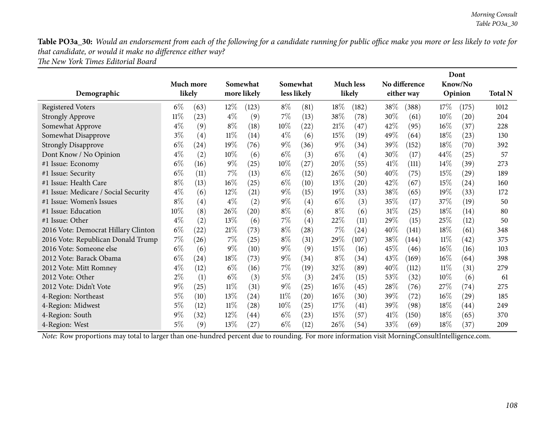Table PO3a\_30: Would an endorsement from each of the following for a candidate running for public office make you more or less likely to vote for *that candidate, or would it make no difference either way? The New York Times Editorial Board*

|                                      |        | Much more |             | Somewhat |        | Somewhat    |        | <b>Much less</b> |      | Dont<br>No difference<br>Know/No |        |                    |                |
|--------------------------------------|--------|-----------|-------------|----------|--------|-------------|--------|------------------|------|----------------------------------|--------|--------------------|----------------|
| Demographic                          | likely |           | more likely |          |        | less likely |        | likely           |      | either way                       |        | Opinion            | <b>Total N</b> |
| <b>Registered Voters</b>             | $6\%$  | (63)      | $12\%$      | (123)    | $8\%$  | (81)        | $18\%$ | (182)            | 38\% | (388)                            | 17\%   | (175)              | 1012           |
| <b>Strongly Approve</b>              | $11\%$ | (23)      | $4\%$       | (9)      | $7\%$  | (13)        | 38\%   | (78)             | 30%  | (61)                             | 10%    | $\left( 20\right)$ | 204            |
| Somewhat Approve                     | $4\%$  | (9)       | $8\%$       | (18)     | 10\%   | (22)        | $21\%$ | (47)             | 42%  | (95)                             | $16\%$ | (37)               | 228            |
| Somewhat Disapprove                  | $3\%$  | (4)       | $11\%$      | (14)     | $4\%$  | (6)         | 15%    | (19)             | 49%  | (64)                             | 18%    | (23)               | 130            |
| <b>Strongly Disapprove</b>           | $6\%$  | (24)      | 19%         | (76)     | $9\%$  | (36)        | $9\%$  | (34)             | 39%  | (152)                            | 18%    | (70)               | 392            |
| Dont Know / No Opinion               | $4\%$  | (2)       | $10\%$      | (6)      | $6\%$  | (3)         | $6\%$  | (4)              | 30%  | (17)                             | 44\%   | (25)               | 57             |
| #1 Issue: Economy                    | $6\%$  | (16)      | $9\%$       | (25)     | $10\%$ | (27)        | 20%    | (55)             | 41%  | (111)                            | 14%    | (39)               | 273            |
| #1 Issue: Security                   | $6\%$  | (11)      | $7\%$       | (13)     | $6\%$  | (12)        | 26\%   | (50)             | 40%  | (75)                             | 15\%   | (29)               | 189            |
| #1 Issue: Health Care                | $8\%$  | (13)      | $16\%$      | (25)     | $6\%$  | (10)        | $13\%$ | (20)             | 42%  | (67)                             | 15\%   | (24)               | 160            |
| #1 Issue: Medicare / Social Security | $4\%$  | (6)       | $12\%$      | (21)     | $9\%$  | (15)        | $19\%$ | (33)             | 38\% | (65)                             | $19\%$ | (33)               | 172            |
| #1 Issue: Women's Issues             | $8\%$  | (4)       | $4\%$       | (2)      | $9\%$  | (4)         | $6\%$  | (3)              | 35\% | (17)                             | 37\%   | (19)               | 50             |
| #1 Issue: Education                  | $10\%$ | (8)       | 26%         | (20)     | $8\%$  | (6)         | $8\%$  | (6)              | 31%  | (25)                             | 18%    | (14)               | 80             |
| #1 Issue: Other                      | $4\%$  | (2)       | 13\%        | (6)      | $7\%$  | (4)         | 22\%   | (11)             | 29%  | (15)                             | 25%    | (12)               | 50             |
| 2016 Vote: Democrat Hillary Clinton  | $6\%$  | (22)      | $21\%$      | (73)     | $8\%$  | (28)        | 7%     | (24)             | 40%  | (141)                            | 18%    | (61)               | 348            |
| 2016 Vote: Republican Donald Trump   | 7%     | (26)      | $7\%$       | (25)     | $8\%$  | (31)        | 29%    | (107)            | 38\% | (144)                            | 11%    | (42)               | 375            |
| 2016 Vote: Someone else              | $6\%$  | (6)       | $9\%$       | (10)     | $9\%$  | (9)         | $15\%$ | (16)             | 45%  | (46)                             | $16\%$ | (16)               | 103            |
| 2012 Vote: Barack Obama              | $6\%$  | (24)      | 18\%        | (73)     | $9\%$  | (34)        | $8\%$  | (34)             | 43%  | (169)                            | 16%    | (64)               | 398            |
| 2012 Vote: Mitt Romney               | $4\%$  | (12)      | $6\%$       | (16)     | $7\%$  | (19)        | 32\%   | (89)             | 40%  | (112)                            | 11%    | (31)               | 279            |
| 2012 Vote: Other                     | $2\%$  | (1)       | $6\%$       | (3)      | $5\%$  | (3)         | 24\%   | (15)             | 53%  | (32)                             | 10%    | (6)                | 61             |
| 2012 Vote: Didn't Vote               | $9\%$  | (25)      | $11\%$      | (31)     | $9\%$  | (25)        | $16\%$ | (45)             | 28%  | (76)                             | 27\%   | (74)               | 275            |
| 4-Region: Northeast                  | $5\%$  | (10)      | 13%         | (24)     | $11\%$ | (20)        | $16\%$ | (30)             | 39%  | (72)                             | $16\%$ | (29)               | 185            |
| 4-Region: Midwest                    | $5\%$  | (12)      | $11\%$      | (28)     | 10%    | (25)        | 17%    | (41)             | 39%  | (98)                             | 18%    | (44)               | 249            |
| 4-Region: South                      | $9\%$  | (32)      | $12\%$      | (44)     | $6\%$  | (23)        | 15%    | (57)             | 41%  | (150)                            | 18%    | (65)               | 370            |
| 4-Region: West                       | 5%     | (9)       | 13\%        | (27)     | $6\%$  | (12)        | $26\%$ | (54)             | 33%  | (69)                             | 18%    | (37)               | 209            |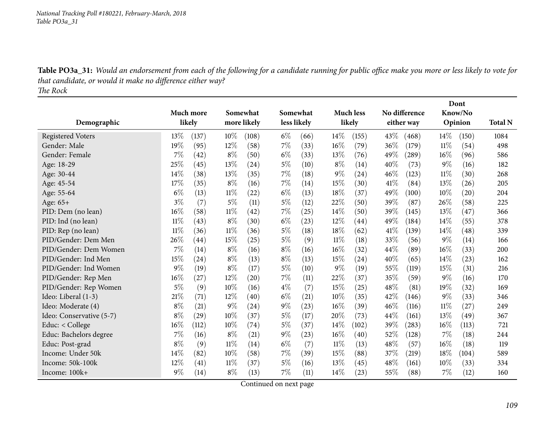Table PO3a\_31: Would an endorsement from each of the following for a candidate running for public office make you more or less likely to vote for *that candidate, or would it make no difference either way? The Rock*

|                          |        |           |        |             |             |      |        |                  |        |               | Dont   |         |                |
|--------------------------|--------|-----------|--------|-------------|-------------|------|--------|------------------|--------|---------------|--------|---------|----------------|
|                          |        | Much more |        | Somewhat    | Somewhat    |      |        | <b>Much less</b> |        | No difference |        | Know/No |                |
| Demographic              |        | likely    |        | more likely | less likely |      |        | likely           |        | either way    |        | Opinion | <b>Total N</b> |
| <b>Registered Voters</b> | 13%    | (137)     | 10%    | (108)       | $6\%$       | (66) | 14%    | (155)            | 43%    | (468)         | $14\%$ | (150)   | 1084           |
| Gender: Male             | 19%    | (95)      | 12%    | (58)        | 7%          | (33) | 16%    | (79)             | 36\%   | (179)         | $11\%$ | (54)    | 498            |
| Gender: Female           | 7%     | (42)      | $8\%$  | (50)        | $6\%$       | (33) | 13%    | (76)             | 49%    | (289)         | 16%    | (96)    | 586            |
| Age: 18-29               | 25%    | (45)      | 13%    | (24)        | $5\%$       | (10) | $8\%$  | (14)             | $40\%$ | (73)          | 9%     | (16)    | 182            |
| Age: 30-44               | 14%    | (38)      | 13%    | (35)        | 7%          | (18) | $9\%$  | (24)             | 46%    | (123)         | 11%    | (30)    | 268            |
| Age: 45-54               | 17%    | (35)      | $8\%$  | (16)        | 7%          | (14) | 15%    | (30)             | 41\%   | (84)          | 13%    | (26)    | 205            |
| Age: 55-64               | $6\%$  | (13)      | $11\%$ | (22)        | $6\%$       | (13) | 18%    | (37)             | 49%    | (100)         | 10%    | (20)    | 204            |
| Age: 65+                 | $3\%$  | (7)       | $5\%$  | (11)        | $5\%$       | (12) | 22%    | (50)             | 39%    | (87)          | 26%    | (58)    | 225            |
| PID: Dem (no lean)       | 16%    | (58)      | $11\%$ | (42)        | 7%          | (25) | 14\%   | (50)             | 39%    | (145)         | 13%    | (47)    | 366            |
| PID: Ind (no lean)       | $11\%$ | (43)      | $8\%$  | (30)        | $6\%$       | (23) | 12%    | (44)             | 49%    | (184)         | 14%    | (55)    | 378            |
| PID: Rep (no lean)       | $11\%$ | (36)      | $11\%$ | (36)        | $5\%$       | (18) | 18%    | (62)             | 41\%   | (139)         | 14%    | (48)    | 339            |
| PID/Gender: Dem Men      | 26%    | (44)      | 15%    | (25)        | $5\%$       | (9)  | 11%    | (18)             | 33%    | (56)          | 9%     | (14)    | 166            |
| PID/Gender: Dem Women    | 7%     | (14)      | $8\%$  | (16)        | $8\%$       | (16) | $16\%$ | (32)             | 44\%   | (89)          | 16%    | (33)    | 200            |
| PID/Gender: Ind Men      | 15%    | (24)      | $8\%$  | (13)        | $8\%$       | (13) | 15%    | (24)             | 40%    | (65)          | 14%    | (23)    | 162            |
| PID/Gender: Ind Women    | $9\%$  | (19)      | $8\%$  | (17)        | $5\%$       | (10) | $9\%$  | (19)             | 55%    | (119)         | 15%    | (31)    | 216            |
| PID/Gender: Rep Men      | 16%    | (27)      | 12%    | (20)        | 7%          | (11) | 22%    | (37)             | 35%    | (59)          | 9%     | (16)    | 170            |
| PID/Gender: Rep Women    | $5\%$  | (9)       | 10%    | (16)        | $4\%$       | (7)  | 15%    | (25)             | 48%    | (81)          | 19%    | (32)    | 169            |
| Ideo: Liberal (1-3)      | 21%    | (71)      | 12%    | (40)        | $6\%$       | (21) | 10%    | (35)             | 42%    | (146)         | 9%     | (33)    | 346            |
| Ideo: Moderate (4)       | $8\%$  | (21)      | $9\%$  | (24)        | $9\%$       | (23) | 16%    | (39)             | 46%    | (116)         | $11\%$ | (27)    | 249            |
| Ideo: Conservative (5-7) | $8\%$  | (29)      | 10%    | (37)        | $5\%$       | (17) | 20%    | (73)             | 44%    | (161)         | 13%    | (49)    | 367            |
| Educ: $<$ College        | 16%    | (112)     | 10%    | (74)        | $5\%$       | (37) | 14%    | (102)            | 39%    | (283)         | 16%    | (113)   | 721            |
| Educ: Bachelors degree   | 7%     | (16)      | $8\%$  | (21)        | $9\%$       | (23) | $16\%$ | (40)             | 52%    | (128)         | 7%     | (18)    | 244            |
| Educ: Post-grad          | $8\%$  | (9)       | 11%    | (14)        | $6\%$       | (7)  | 11%    | (13)             | 48%    | (57)          | 16%    | (18)    | 119            |
| Income: Under 50k        | 14%    | (82)      | 10%    | (58)        | 7%          | (39) | 15%    | (88)             | 37%    | (219)         | 18%    | (104)   | 589            |
| Income: 50k-100k         | 12%    | (41)      | 11%    | (37)        | $5\%$       | (16) | 13%    | (45)             | 48\%   | (161)         | 10%    | (33)    | 334            |
| Income: 100k+            | 9%     | (14)      | $8\%$  | (13)        | 7%          | (11) | 14%    | (23)             | 55%    | (88)          | 7%     | (12)    | 160            |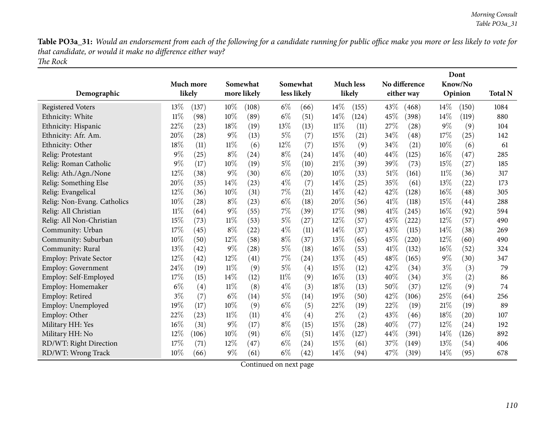Table PO3a\_31: Would an endorsement from each of the following for a candidate running for public office make you more or less likely to vote for *that candidate, or would it make no difference either way? The Rock*

|                               |        | Much more | Somewhat<br>more likely |       |        | Somewhat<br>less likely |        | <b>Much less</b><br>likely |      | No difference<br>either way |        | Dont<br>Know/No    | <b>Total N</b> |
|-------------------------------|--------|-----------|-------------------------|-------|--------|-------------------------|--------|----------------------------|------|-----------------------------|--------|--------------------|----------------|
| Demographic                   |        | likely    |                         |       |        |                         |        |                            |      |                             |        | Opinion            |                |
| <b>Registered Voters</b>      | 13%    | (137)     | 10%                     | (108) | $6\%$  | (66)                    | 14\%   | (155)                      | 43%  | (468)                       | 14\%   | (150)              | 1084           |
| Ethnicity: White              | $11\%$ | (98)      | 10%                     | (89)  | $6\%$  | (51)                    | 14%    | (124)                      | 45%  | (398)                       | 14%    | (119)              | 880            |
| Ethnicity: Hispanic           | 22%    | (23)      | 18%                     | (19)  | 13%    | (13)                    | $11\%$ | (11)                       | 27%  | (28)                        | 9%     | (9)                | 104            |
| Ethnicity: Afr. Am.           | 20%    | (28)      | $9\%$                   | (13)  | $5\%$  | (7)                     | 15%    | (21)                       | 34%  | (48)                        | 17%    | (25)               | 142            |
| Ethnicity: Other              | 18%    | (11)      | 11%                     | (6)   | 12%    | (7)                     | 15%    | (9)                        | 34%  | (21)                        | $10\%$ | (6)                | 61             |
| Relig: Protestant             | 9%     | (25)      | $8\%$                   | (24)  | $8\%$  | (24)                    | 14\%   | (40)                       | 44\% | (125)                       | $16\%$ | (47)               | 285            |
| Relig: Roman Catholic         | 9%     | (17)      | 10%                     | (19)  | $5\%$  | (10)                    | 21%    | (39)                       | 39%  | (73)                        | 15%    | (27)               | 185            |
| Relig: Ath./Agn./None         | 12%    | (38)      | 9%                      | (30)  | $6\%$  | (20)                    | 10%    | (33)                       | 51%  | (161)                       | $11\%$ | (36)               | 317            |
| Relig: Something Else         | 20%    | (35)      | 14%                     | (23)  | $4\%$  | (7)                     | $14\%$ | (25)                       | 35%  | (61)                        | 13%    | (22)               | 173            |
| Relig: Evangelical            | 12%    | (36)      | 10%                     | (31)  | 7%     | (21)                    | 14%    | (42)                       | 42%  | (128)                       | 16%    | (48)               | 305            |
| Relig: Non-Evang. Catholics   | 10%    | (28)      | $8\%$                   | (23)  | $6\%$  | (18)                    | 20%    | (56)                       | 41\% | (118)                       | 15%    | (44)               | 288            |
| Relig: All Christian          | $11\%$ | (64)      | $9\%$                   | (55)  | 7%     | (39)                    | 17%    | (98)                       | 41\% | (245)                       | $16\%$ | (92)               | 594            |
| Relig: All Non-Christian      | 15%    | (73)      | $11\%$                  | (53)  | $5\%$  | (27)                    | 12%    | (57)                       | 45%  | (222)                       | 12%    | (57)               | 490            |
| Community: Urban              | 17%    | (45)      | $8\%$                   | (22)  | $4\%$  | (11)                    | 14\%   | (37)                       | 43%  | (115)                       | 14%    | (38)               | 269            |
| Community: Suburban           | 10%    | (50)      | 12%                     | (58)  | $8\%$  | (37)                    | 13%    | (65)                       | 45%  | (220)                       | 12%    | (60)               | 490            |
| Community: Rural              | 13%    | (42)      | $9\%$                   | (28)  | $5\%$  | (18)                    | 16%    | (53)                       | 41\% | (132)                       | $16\%$ | (52)               | 324            |
| <b>Employ: Private Sector</b> | 12%    | (42)      | 12%                     | (41)  | 7%     | (24)                    | 13%    | (45)                       | 48%  | (165)                       | $9\%$  | (30)               | 347            |
| Employ: Government            | 24%    | (19)      | 11%                     | (9)   | $5\%$  | (4)                     | 15%    | (12)                       | 42%  | (34)                        | $3\%$  | (3)                | 79             |
| Employ: Self-Employed         | 17%    | (15)      | 14%                     | (12)  | $11\%$ | (9)                     | $16\%$ | (13)                       | 40%  | (34)                        | $3\%$  | (2)                | 86             |
| Employ: Homemaker             | $6\%$  | (4)       | $11\%$                  | (8)   | $4\%$  | (3)                     | 18%    | (13)                       | 50%  | (37)                        | 12%    | (9)                | 74             |
| Employ: Retired               | $3\%$  | (7)       | $6\%$                   | (14)  | $5\%$  | (14)                    | 19%    | (50)                       | 42%  | (106)                       | 25%    | (64)               | 256            |
| Employ: Unemployed            | 19%    | (17)      | 10%                     | (9)   | $6\%$  | (5)                     | 22%    | (19)                       | 22%  | (19)                        | 21%    | (19)               | 89             |
| Employ: Other                 | 22%    | (23)      | 11%                     | (11)  | $4\%$  | (4)                     | $2\%$  | (2)                        | 43%  | (46)                        | 18%    | $\left( 20\right)$ | 107            |
| Military HH: Yes              | 16%    | (31)      | $9\%$                   | (17)  | $8\%$  | (15)                    | 15%    | (28)                       | 40%  | (77)                        | 12%    | (24)               | 192            |
| Military HH: No               | 12%    | (106)     | 10%                     | (91)  | $6\%$  | (51)                    | 14%    | (127)                      | 44%  | (391)                       | 14%    | (126)              | 892            |
| RD/WT: Right Direction        | 17%    | (71)      | 12%                     | (47)  | $6\%$  | (24)                    | 15%    | (61)                       | 37%  | (149)                       | 13%    | (54)               | 406            |
| RD/WT: Wrong Track            | 10%    | (66)      | $9\%$                   | (61)  | $6\%$  | (42)                    | 14%    | (94)                       | 47%  | (319)                       | 14%    | (95)               | 678            |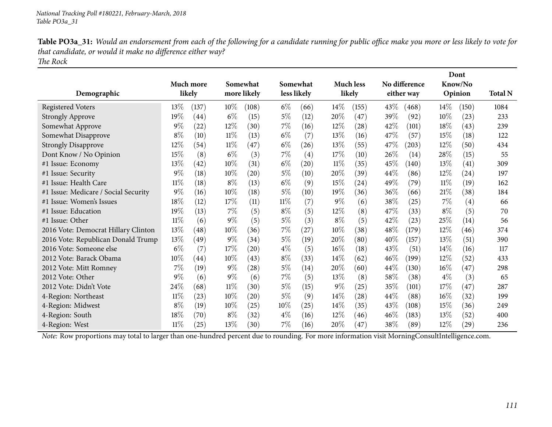| Table PO3a_31: Would an endorsement from each of the following for a candidate running for public office make you more or less likely to vote for |
|---------------------------------------------------------------------------------------------------------------------------------------------------|
| that candidate, or would it make no difference either way?                                                                                        |
| The Rock                                                                                                                                          |

|                                      |        |                    |        |                    |        |                    |        |                    |        |               |        | Dont    |                |
|--------------------------------------|--------|--------------------|--------|--------------------|--------|--------------------|--------|--------------------|--------|---------------|--------|---------|----------------|
|                                      |        | Much more          |        | Somewhat           |        | Somewhat           |        | <b>Much less</b>   |        | No difference |        | Know/No |                |
| Demographic                          |        | likely             |        | more likely        |        | less likely        |        | likely             |        | either way    |        | Opinion | <b>Total N</b> |
| <b>Registered Voters</b>             | 13\%   | (137)              | $10\%$ | (108)              | $6\%$  | (66)               | $14\%$ | (155)              | 43\%   | (468)         | $14\%$ | (150)   | 1084           |
| <b>Strongly Approve</b>              | 19%    | (44)               | $6\%$  | (15)               | $5\%$  | (12)               | 20%    | (47)               | 39%    | (92)          | $10\%$ | (23)    | 233            |
| Somewhat Approve                     | 9%     | (22)               | 12%    | (30)               | $7\%$  | (16)               | 12%    | $\left( 28\right)$ | 42%    | (101)         | 18%    | (43)    | 239            |
| Somewhat Disapprove                  | $8\%$  | (10)               | $11\%$ | (13)               | $6\%$  | (7)                | 13%    | (16)               | 47%    | (57)          | 15\%   | (18)    | 122            |
| <b>Strongly Disapprove</b>           | 12%    | (54)               | $11\%$ | (47)               | $6\%$  | (26)               | 13%    | (55)               | 47\%   | (203)         | 12%    | (50)    | 434            |
| Dont Know / No Opinion               | 15%    | (8)                | $6\%$  | (3)                | $7\%$  | (4)                | 17%    | (10)               | $26\%$ | (14)          | 28%    | (15)    | 55             |
| #1 Issue: Economy                    | 13%    | (42)               | 10%    | (31)               | $6\%$  | $\left( 20\right)$ | $11\%$ | (35)               | 45%    | (140)         | 13%    | (41)    | 309            |
| #1 Issue: Security                   | $9\%$  | (18)               | $10\%$ | (20)               | $5\%$  | (10)               | 20%    | (39)               | 44%    | (86)          | 12\%   | (24)    | 197            |
| #1 Issue: Health Care                | $11\%$ | (18)               | $8\%$  | (13)               | $6\%$  | (9)                | 15%    | (24)               | 49\%   | (79)          | $11\%$ | (19)    | 162            |
| #1 Issue: Medicare / Social Security | $9\%$  | (16)               | 10%    | (18)               | $5\%$  | (10)               | 19%    | (36)               | 36%    | (66)          | 21%    | (38)    | 184            |
| #1 Issue: Women's Issues             | 18%    | (12)               | 17%    | (11)               | $11\%$ | (7)                | $9\%$  | (6)                | 38%    | (25)          | $7\%$  | (4)     | 66             |
| #1 Issue: Education                  | 19%    | (13)               | $7\%$  | (5)                | $8\%$  | (5)                | $12\%$ | (8)                | 47\%   | (33)          | $8\%$  | (5)     | 70             |
| #1 Issue: Other                      | $11\%$ | (6)                | $9\%$  | (5)                | $5\%$  | (3)                | $8\%$  | (5)                | 42%    | (23)          | 25%    | (14)    | 56             |
| 2016 Vote: Democrat Hillary Clinton  | 13%    | (48)               | 10%    | (36)               | $7\%$  | (27)               | 10%    | (38)               | 48%    | (179)         | 12\%   | (46)    | 374            |
| 2016 Vote: Republican Donald Trump   | 13\%   | (49`               | $9\%$  | (34)               | $5\%$  | (19)               | 20%    | (80)               | 40%    | (157)         | 13\%   | (51)    | 390            |
| 2016 Vote: Someone else              | $6\%$  | (7)                | 17%    | (20)               | $4\%$  | (5)                | $16\%$ | (18)               | 43\%   | (51)          | $14\%$ | (16)    | 117            |
| 2012 Vote: Barack Obama              | $10\%$ | $\left( 44\right)$ | $10\%$ | (43)               | $8\%$  | (33)               | $14\%$ | (62)               | $46\%$ | (199)         | 12%    | (52)    | 433            |
| 2012 Vote: Mitt Romney               | 7%     | (19)               | $9\%$  | (28)               | $5\%$  | (14)               | 20%    | (60)               | 44\%   | (130)         | $16\%$ | (47)    | 298            |
| 2012 Vote: Other                     | $9\%$  | (6)                | $9\%$  | (6)                | $7\%$  | (5)                | 13%    | (8)                | 58\%   | (38)          | $4\%$  | (3)     | 65             |
| 2012 Vote: Didn't Vote               | 24\%   | (68)               | $11\%$ | (30)               | $5\%$  | (15)               | $9\%$  | (25)               | 35\%   | (101)         | 17\%   | (47)    | 287            |
| 4-Region: Northeast                  | $11\%$ | (23)               | 10%    | $\left( 20\right)$ | $5\%$  | (9)                | $14\%$ | (28)               | 44%    | (88)          | $16\%$ | (32)    | 199            |
| 4-Region: Midwest                    | $8\%$  | (19)               | $10\%$ | (25)               | $10\%$ | (25)               | $14\%$ | (35)               | 43%    | (108)         | 15\%   | (36)    | 249            |
| 4-Region: South                      | 18%    | (70)               | $8\%$  | (32)               | $4\%$  | (16)               | $12\%$ | (46)               | $46\%$ | (183)         | 13\%   | (52)    | 400            |
| 4-Region: West                       | $11\%$ | (25)               | 13%    | (30)               | 7%     | (16)               | 20%    | (47)               | 38%    | (89)          | 12%    | (29)    | 236            |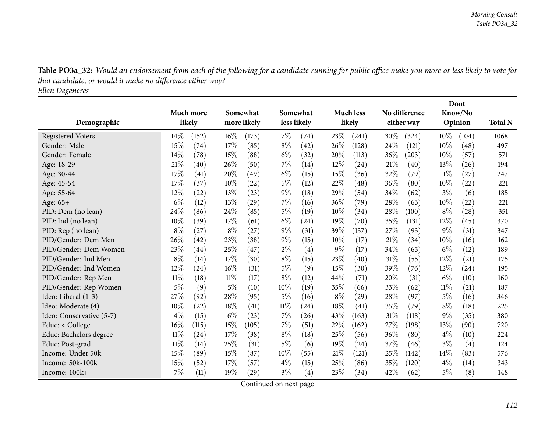Table PO3a\_32: Would an endorsement from each of the following for a candidate running for public office make you more or less likely to vote for *that candidate, or would it make no difference either way? Ellen Degeneres*

|                          |        |                    |        |             |             |      |       |                  |        | Dont          |        |         |                |
|--------------------------|--------|--------------------|--------|-------------|-------------|------|-------|------------------|--------|---------------|--------|---------|----------------|
|                          |        | Much more          |        | Somewhat    | Somewhat    |      |       | <b>Much less</b> |        | No difference |        | Know/No |                |
| Demographic              |        | likely             |        | more likely | less likely |      |       | likely           |        | either way    |        | Opinion | <b>Total N</b> |
| <b>Registered Voters</b> | 14%    | (152)              | $16\%$ | (173)       | 7%          | (74) | 23%   | (241)            | 30\%   | (324)         | $10\%$ | (104)   | 1068           |
| Gender: Male             | 15%    | (74)               | 17%    | (85)        | $8\%$       | (42) | 26%   | (128)            | 24\%   | (121)         | 10%    | (48)    | 497            |
| Gender: Female           | 14%    | (78)               | 15%    | (88)        | $6\%$       | (32) | 20%   | (113)            | $36\%$ | (203)         | 10%    | (57)    | 571            |
| Age: 18-29               | $21\%$ | (40)               | 26%    | (50)        | 7%          | (14) | 12%   | (24)             | 21%    | (40)          | 13%    | (26)    | 194            |
| Age: 30-44               | 17%    | (41)               | 20%    | (49)        | $6\%$       | (15) | 15%   | (36)             | 32%    | (79)          | 11%    | (27)    | 247            |
| Age: 45-54               | 17%    | (37)               | 10%    | (22)        | $5\%$       | (12) | 22%   | (48)             | 36%    | (80)          | 10%    | (22)    | 221            |
| Age: 55-64               | 12%    | (22)               | 13%    | (23)        | $9\%$       | (18) | 29%   | (54)             | 34%    | (62)          | $3\%$  | (6)     | 185            |
| Age: 65+                 | $6\%$  | (12)               | 13%    | (29)        | 7%          | (16) | 36%   | (79)             | 28\%   | (63)          | 10%    | (22)    | 221            |
| PID: Dem (no lean)       | 24%    | (86)               | 24%    | (85)        | 5%          | (19) | 10%   | (34)             | 28\%   | (100)         | $8\%$  | (28)    | 351            |
| PID: Ind (no lean)       | 10%    | (39)               | 17%    | (61)        | $6\%$       | (24) | 19%   | (70)             | 35%    | (131)         | 12%    | (45)    | 370            |
| PID: Rep (no lean)       | $8\%$  | (27)               | $8\%$  | (27)        | $9\%$       | (31) | 39%   | (137)            | 27%    | (93)          | $9\%$  | (31)    | 347            |
| PID/Gender: Dem Men      | 26%    | (42)               | 23%    | (38)        | $9\%$       | (15) | 10%   | (17)             | 21%    | (34)          | 10%    | (16)    | 162            |
| PID/Gender: Dem Women    | 23%    | $\left( 44\right)$ | 25%    | (47)        | $2\%$       | (4)  | $9\%$ | (17)             | 34%    | (65)          | $6\%$  | (12)    | 189            |
| PID/Gender: Ind Men      | $8\%$  | (14)               | 17%    | (30)        | $8\%$       | (15) | 23%   | (40)             | 31%    | (55)          | 12%    | (21)    | 175            |
| PID/Gender: Ind Women    | 12%    | (24)               | 16%    | (31)        | 5%          | (9)  | 15%   | (30)             | 39%    | (76)          | 12%    | (24)    | 195            |
| PID/Gender: Rep Men      | $11\%$ | (18)               | $11\%$ | (17)        | $8\%$       | (12) | 44\%  | (71)             | 20%    | (31)          | $6\%$  | (10)    | 160            |
| PID/Gender: Rep Women    | 5%     | (9)                | $5\%$  | (10)        | 10%         | (19) | 35%   | (66)             | 33\%   | (62)          | $11\%$ | (21)    | 187            |
| Ideo: Liberal (1-3)      | 27%    | (92)               | 28%    | (95)        | $5\%$       | (16) | $8\%$ | (29)             | 28%    | (97)          | $5\%$  | (16)    | 346            |
| Ideo: Moderate (4)       | 10%    | (22)               | 18%    | (41)        | $11\%$      | (24) | 18%   | (41)             | 35%    | (79)          | $8\%$  | (18)    | 225            |
| Ideo: Conservative (5-7) | $4\%$  | (15)               | $6\%$  | (23)        | $7\%$       | (26) | 43%   | (163)            | 31%    | (118)         | 9%     | (35)    | 380            |
| Educ: < College          | 16%    | (115)              | $15\%$ | (105)       | 7%          | (51) | 22%   | (162)            | 27\%   | (198)         | 13%    | (90)    | 720            |
| Educ: Bachelors degree   | $11\%$ | (24)               | 17%    | (38)        | $8\%$       | (18) | 25%   | (56)             | 36%    | (80)          | $4\%$  | (10)    | 224            |
| Educ: Post-grad          | $11\%$ | (14)               | 25%    | (31)        | $5\%$       | (6)  | 19%   | (24)             | 37\%   | (46)          | $3\%$  | (4)     | 124            |
| Income: Under 50k        | 15%    | (89)               | 15%    | (87)        | 10%         | (55) | 21%   | (121)            | 25%    | (142)         | 14%    | (83)    | 576            |
| Income: 50k-100k         | 15%    | (52)               | 17%    | (57)        | $4\%$       | (15) | 25%   | (86)             | 35%    | (120)         | $4\%$  | (14)    | 343            |
| Income: 100k+            | 7%     | (11)               | 19%    | (29)        | $3\%$       | (4)  | 23%   | (34)             | 42%    | (62)          | 5%     | (8)     | 148            |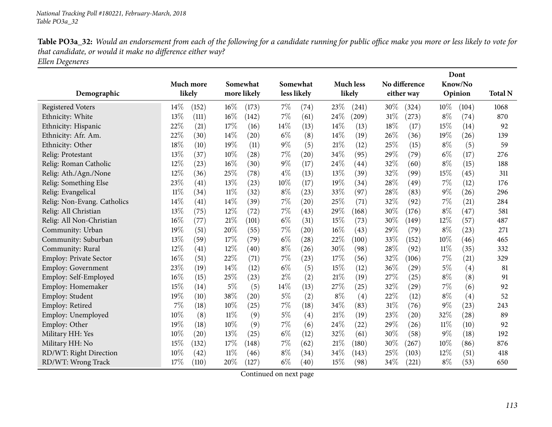Table PO3a\_32: Would an endorsement from each of the following for a candidate running for public office make you more or less likely to vote for *that candidate, or would it make no difference either way? Ellen Degeneres*

| Demographic                   |        | Much more<br>likely | Somewhat<br>more likely |                    |       | Somewhat<br>less likely |        | <b>Much less</b><br>likely |     | No difference<br>either way |        | Dont<br>Know/No<br>Opinion | <b>Total N</b> |
|-------------------------------|--------|---------------------|-------------------------|--------------------|-------|-------------------------|--------|----------------------------|-----|-----------------------------|--------|----------------------------|----------------|
| <b>Registered Voters</b>      | 14%    | (152)               | $16\%$                  | (173)              | 7%    | (74)                    | 23%    | (241)                      | 30% | (324)                       | $10\%$ | (104)                      | 1068           |
| Ethnicity: White              | 13%    | (111)               | 16%                     | (142)              | 7%    | (61)                    | 24%    | (209)                      | 31% | (273)                       | $8\%$  | (74)                       | 870            |
| Ethnicity: Hispanic           | 22%    | (21)                | 17%                     | (16)               | 14%   | (13)                    | 14%    | (13)                       | 18% | (17)                        | 15%    | (14)                       | 92             |
| Ethnicity: Afr. Am.           | 22%    | (30)                | 14%                     | (20)               | $6\%$ | (8)                     | 14%    | (19)                       | 26% | (36)                        | 19%    | (26)                       | 139            |
| Ethnicity: Other              | 18%    | (10)                | 19%                     | (11)               | $9\%$ | (5)                     | 21%    | (12)                       | 25% | (15)                        | $8\%$  | (5)                        | 59             |
| Relig: Protestant             | 13%    | (37)                | 10%                     | $\left( 28\right)$ | $7\%$ | (20)                    | 34%    | (95)                       | 29% | (79)                        | $6\%$  | (17)                       | 276            |
| Relig: Roman Catholic         | 12%    | (23)                | 16%                     | (30)               | $9\%$ | (17)                    | 24%    | (44)                       | 32% | (60)                        | $8\%$  | (15)                       | 188            |
| Relig: Ath./Agn./None         | 12%    | (36)                | 25%                     | (78)               | $4\%$ | (13)                    | 13%    | (39)                       | 32% | (99)                        | 15%    | (45)                       | 311            |
| Relig: Something Else         | 23%    | (41)                | 13%                     | (23)               | 10%   | (17)                    | 19%    | (34)                       | 28% | (49)                        | $7\%$  | (12)                       | 176            |
| Relig: Evangelical            | $11\%$ | (34)                | $11\%$                  | (32)               | $8\%$ | (23)                    | 33%    | (97)                       | 28% | (83)                        | $9\%$  | (26)                       | 296            |
| Relig: Non-Evang. Catholics   | 14%    | (41)                | 14%                     | (39)               | 7%    | (20)                    | 25%    | (71)                       | 32% | (92)                        | 7%     | (21)                       | 284            |
| Relig: All Christian          | 13%    | (75)                | 12%                     | (72)               | 7%    | (43)                    | 29%    | (168)                      | 30% | (176)                       | $8\%$  | (47)                       | 581            |
| Relig: All Non-Christian      | 16%    | (77)                | 21%                     | (101)              | $6\%$ | (31)                    | 15%    | (73)                       | 30% | (149)                       | 12%    | (57)                       | 487            |
| Community: Urban              | 19%    | (51)                | 20%                     | (55)               | 7%    | (20)                    | $16\%$ | (43)                       | 29% | (79)                        | $8\%$  | (23)                       | 271            |
| Community: Suburban           | 13%    | (59)                | 17%                     | (79)               | $6\%$ | (28)                    | 22%    | (100)                      | 33% | (152)                       | $10\%$ | (46)                       | 465            |
| Community: Rural              | 12%    | (41)                | 12%                     | (40)               | $8\%$ | (26)                    | 30%    | (98)                       | 28% | (92)                        | $11\%$ | (35)                       | 332            |
| <b>Employ: Private Sector</b> | 16%    | (51)                | 22%                     | (71)               | 7%    | (23)                    | 17%    | (56)                       | 32% | (106)                       | $7\%$  | (21)                       | 329            |
| <b>Employ: Government</b>     | 23%    | (19)                | 14%                     | (12)               | $6\%$ | (5)                     | 15%    | (12)                       | 36% | (29)                        | $5\%$  | (4)                        | 81             |
| Employ: Self-Employed         | 16%    | (15)                | 25%                     | (23)               | $2\%$ | (2)                     | 21%    | (19)                       | 27% | (25)                        | $8\%$  | (8)                        | 91             |
| Employ: Homemaker             | 15%    | (14)                | $5\%$                   | (5)                | 14%   | (13)                    | 27\%   | (25)                       | 32% | (29)                        | $7\%$  | (6)                        | 92             |
| Employ: Student               | 19%    | (10)                | 38%                     | (20)               | $5\%$ | (2)                     | $8\%$  | (4)                        | 22% | (12)                        | $8\%$  | (4)                        | 52             |
| Employ: Retired               | 7%     | (18)                | 10%                     | (25)               | 7%    | (18)                    | 34%    | (83)                       | 31% | (76)                        | $9\%$  | (23)                       | 243            |
| Employ: Unemployed            | 10%    | (8)                 | 11%                     | (9)                | $5\%$ | (4)                     | 21%    | (19)                       | 23% | (20)                        | 32%    | (28)                       | 89             |
| Employ: Other                 | 19%    | (18)                | 10%                     | (9)                | $7\%$ | (6)                     | 24%    | (22)                       | 29% | (26)                        | $11\%$ | (10)                       | 92             |
| Military HH: Yes              | 10%    | (20)                | 13%                     | (25)               | $6\%$ | (12)                    | 32%    | (61)                       | 30% | (58)                        | $9\%$  | (18)                       | 192            |
| Military HH: No               | 15%    | (132)               | 17%                     | (148)              | 7%    | (62)                    | 21%    | (180)                      | 30% | (267)                       | 10%    | (86)                       | 876            |
| RD/WT: Right Direction        | 10%    | (42)                | $11\%$                  | (46)               | $8\%$ | (34)                    | 34\%   | (143)                      | 25% | (103)                       | 12%    | (51)                       | 418            |
| RD/WT: Wrong Track            | 17%    | (110)               | 20%                     | (127)              | $6\%$ | (40)                    | 15%    | (98)                       | 34% | (221)                       | $8\%$  | (53)                       | 650            |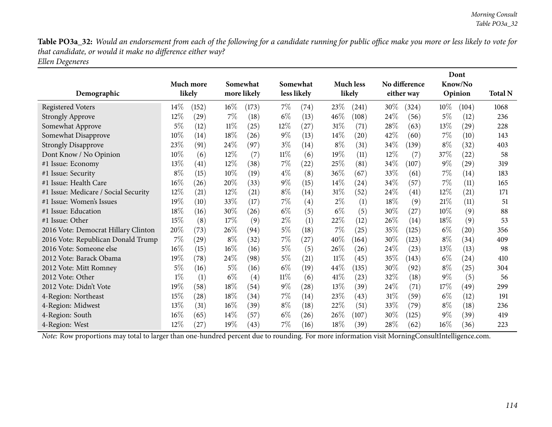Table PO3a\_32: Would an endorsement from each of the following for a candidate running for public office make you more or less likely to vote for *that candidate, or would it make no difference either way?*

*Ellen Degeneres*

|                                      |        |           |        |             |        |                   |        |                  |        |               |        | Dont    |                |
|--------------------------------------|--------|-----------|--------|-------------|--------|-------------------|--------|------------------|--------|---------------|--------|---------|----------------|
|                                      |        | Much more |        | Somewhat    |        | Somewhat          |        | <b>Much less</b> |        | No difference |        | Know/No |                |
| Demographic                          |        | likely    |        | more likely |        | less likely       |        | likely           |        | either way    |        | Opinion | <b>Total N</b> |
| <b>Registered Voters</b>             | $14\%$ | (152)     | $16\%$ | (173)       | $7\%$  | (74)              | 23%    | (241)            | $30\%$ | (324)         | $10\%$ | (104)   | 1068           |
| <b>Strongly Approve</b>              | 12%    | (29)      | $7\%$  | (18)        | $6\%$  | (13)              | 46\%   | (108)            | 24\%   | (56)          | $5\%$  | (12)    | 236            |
| Somewhat Approve                     | 5%     | (12)      | 11%    | (25)        | $12\%$ | (27)              | 31%    | (71)             | 28\%   | (63)          | 13%    | (29)    | 228            |
| Somewhat Disapprove                  | $10\%$ | (14)      | 18%    | (26)        | $9\%$  | (13)              | $14\%$ | (20)             | 42%    | (60)          | 7%     | (10)    | 143            |
| <b>Strongly Disapprove</b>           | 23%    | (91)      | 24\%   | (97)        | $3\%$  | (14)              | $8\%$  | (31)             | 34\%   | (139)         | $8\%$  | (32)    | 403            |
| Dont Know / No Opinion               | 10%    | (6)       | $12\%$ | (7)         | $11\%$ | (6)               | 19%    | (11)             | 12\%   | (7)           | 37%    | (22)    | 58             |
| #1 Issue: Economy                    | 13%    | (41)      | 12%    | (38)        | $7\%$  | $^{(22)}$         | 25%    | (81)             | 34\%   | (107)         | $9\%$  | (29)    | 319            |
| #1 Issue: Security                   | $8\%$  | (15)      | 10%    | (19)        | $4\%$  | (8)               | 36%    | (67)             | 33%    | (61)          | 7%     | (14)    | 183            |
| #1 Issue: Health Care                | 16%    | (26)      | 20%    | (33)        | $9\%$  | (15)              | $14\%$ | (24)             | 34\%   | (57)          | $7\%$  | (11)    | 165            |
| #1 Issue: Medicare / Social Security | 12%    | (21)      | 12%    | (21)        | $8\%$  | (14)              | 31%    | (52)             | 24\%   | (41)          | 12%    | (21)    | 171            |
| #1 Issue: Women's Issues             | 19%    | (10)      | 33%    | (17)        | $7\%$  | $\left( 4\right)$ | $2\%$  | (1)              | 18%    | (9)           | 21%    | (11)    | 51             |
| #1 Issue: Education                  | 18%    | (16)      | 30%    | (26)        | $6\%$  | (5)               | $6\%$  | (5)              | 30\%   | (27)          | 10%    | (9)     | 88             |
| #1 Issue: Other                      | 15%    | (8)       | 17\%   | (9)         | $2\%$  | (1)               | 22%    | (12)             | $26\%$ | (14)          | 18\%   | (9)     | 53             |
| 2016 Vote: Democrat Hillary Clinton  | 20%    | (73)      | 26%    | (94)        | $5\%$  | (18)              | 7%     | (25)             | 35\%   | (125)         | $6\%$  | (20)    | 356            |
| 2016 Vote: Republican Donald Trump   | $7\%$  | (29)      | $8\%$  | (32)        | $7\%$  | (27)              | 40%    | (164)            | 30\%   | (123)         | $8\%$  | (34)    | 409            |
| 2016 Vote: Someone else              | 16%    | (15)      | $16\%$ | (16)        | $5\%$  | (5)               | 26%    | (26)             | 24\%   | (23)          | 13%    | (13)    | 98             |
| 2012 Vote: Barack Obama              | 19%    | (78)      | 24\%   | (98)        | $5\%$  | (21)              | $11\%$ | (45)             | 35\%   | (143)         | $6\%$  | (24)    | 410            |
| 2012 Vote: Mitt Romney               | $5\%$  | (16)      | 5%     | (16)        | $6\%$  | (19)              | 44\%   | (135)            | $30\%$ | (92)          | $8\%$  | (25)    | 304            |
| 2012 Vote: Other                     | $1\%$  | (1)       | $6\%$  | (4)         | $11\%$ | (6)               | 41\%   | (23)             | 32%    | (18)          | $9\%$  | (5)     | 56             |
| 2012 Vote: Didn't Vote               | 19%    | (58)      | 18%    | (54)        | $9\%$  | (28)              | 13%    | (39)             | 24\%   | (71)          | 17\%   | (49)    | 299            |
| 4-Region: Northeast                  | 15%    | (28)      | 18%    | (34)        | $7\%$  | (14)              | 23%    | (43)             | 31%    | (59)          | $6\%$  | (12)    | 191            |
| 4-Region: Midwest                    | 13%    | (31)      | $16\%$ | (39)        | $8\%$  | (18)              | 22%    | (51)             | 33\%   | (79)          | $8\%$  | (18)    | 236            |
| 4-Region: South                      | 16%    | (65)      | $14\%$ | (57)        | $6\%$  | (26)              | 26\%   | (107)            | 30\%   | (125)         | $9\%$  | (39)    | 419            |
| 4-Region: West                       | 12%    | (27)      | 19%    | (43)        | $7\%$  | (16)              | 18%    | (39)             | 28\%   | (62)          | $16\%$ | (36)    | 223            |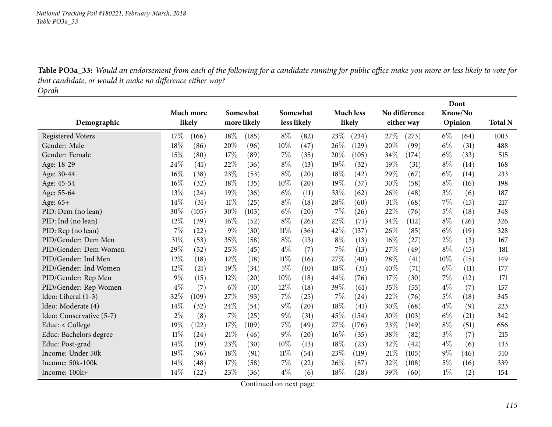Table PO3a\_33: Would an endorsement from each of the following for a candidate running for public office make you more or less likely to vote for *that candidate, or would it make no difference either way? Oprah*

|                          |        |                    |       |             |        |                    |       |                    |        |               |       | Dont    |                |
|--------------------------|--------|--------------------|-------|-------------|--------|--------------------|-------|--------------------|--------|---------------|-------|---------|----------------|
|                          |        | Much more          |       | Somewhat    |        | Somewhat           |       | <b>Much less</b>   |        | No difference |       | Know/No |                |
| Demographic              |        | likely             |       | more likely |        | less likely        |       | likely             |        | either way    |       | Opinion | <b>Total N</b> |
| <b>Registered Voters</b> | 17%    | (166)              | 18%   | (185)       | $8\%$  | (82)               | 23%   | (234)              | 27%    | (273)         | $6\%$ | (64)    | 1003           |
| Gender: Male             | 18%    | (86)               | 20%   | (96)        | 10%    | (47)               | 26%   | (129)              | 20%    | (99)          | $6\%$ | (31)    | 488            |
| Gender: Female           | 15%    | (80)               | 17%   | (89)        | 7%     | (35)               | 20%   | (105)              | 34\%   | (174)         | $6\%$ | (33)    | 515            |
| Age: 18-29               | 24%    | (41)               | 22%   | (36)        | $8\%$  | (13)               | 19%   | (32)               | 19%    | (31)          | $8\%$ | (14)    | 168            |
| Age: 30-44               | 16%    | (38)               | 23%   | (53)        | $8\%$  | (20)               | 18%   | (42)               | 29%    | (67)          | $6\%$ | (14)    | 233            |
| Age: 45-54               | 16%    | (32)               | 18%   | (35)        | 10%    | $\left( 20\right)$ | 19%   | (37)               | 30%    | (58)          | $8\%$ | (16)    | 198            |
| Age: 55-64               | 13%    | (24)               | 19%   | (36)        | $6\%$  | (11)               | 33%   | (62)               | 26%    | (48)          | $3\%$ | (6)     | 187            |
| Age: 65+                 | 14%    | (31)               | 11%   | (25)        | $8\%$  | (18)               | 28%   | (60)               | 31%    | (68)          | 7%    | (15)    | 217            |
| PID: Dem (no lean)       | 30%    | (105)              | 30%   | (103)       | $6\%$  | $\left( 20\right)$ | 7%    | (26)               | 22%    | (76)          | $5\%$ | (18)    | 348            |
| PID: Ind (no lean)       | 12%    | (39)               | 16%   | (52)        | $8\%$  | (26)               | 22%   | (71)               | 34%    | (112)         | $8\%$ | (26)    | 326            |
| PID: Rep (no lean)       | 7%     | (22)               | $9\%$ | (30)        | $11\%$ | (36)               | 42%   | (137)              | 26%    | (85)          | $6\%$ | (19)    | 328            |
| PID/Gender: Dem Men      | 31%    | (53)               | 35%   | (58)        | $8\%$  | (13)               | $8\%$ | (13)               | $16\%$ | (27)          | $2\%$ | (3)     | 167            |
| PID/Gender: Dem Women    | 29%    | (52)               | 25%   | (45)        | $4\%$  | (7)                | 7%    | (13)               | 27\%   | (49)          | $8\%$ | (15)    | 181            |
| PID/Gender: Ind Men      | 12%    | (18)               | 12%   | (18)        | $11\%$ | (16)               | 27%   | (40)               | 28%    | (41)          | 10%   | (15)    | 149            |
| PID/Gender: Ind Women    | 12%    | (21)               | 19%   | (34)        | $5\%$  | (10)               | 18%   | (31)               | 40%    | (71)          | $6\%$ | (11)    | 177            |
| PID/Gender: Rep Men      | $9\%$  | (15)               | 12%   | (20)        | 10%    | (18)               | 44%   | (76)               | 17%    | (30)          | 7%    | (12)    | 171            |
| PID/Gender: Rep Women    | $4\%$  | (7)                | $6\%$ | (10)        | $12\%$ | (18)               | 39%   | (61)               | 35%    | (55)          | $4\%$ | (7)     | 157            |
| Ideo: Liberal (1-3)      | 32%    | (109)              | 27%   | (93)        | 7%     | (25)               | 7%    | (24)               | 22%    | (76)          | 5%    | (18)    | 345            |
| Ideo: Moderate (4)       | 14%    | (32)               | 24%   | (54)        | $9\%$  | (20)               | 18%   | $\left( 41\right)$ | 30%    | (68)          | $4\%$ | (9)     | 223            |
| Ideo: Conservative (5-7) | 2%     | (8)                | $7\%$ | (25)        | $9\%$  | (31)               | 45%   | (154)              | 30%    | (103)         | $6\%$ | (21)    | 342            |
| Educ: $<$ College        | 19%    | (122)              | 17%   | (109)       | $7\%$  | (49)               | 27%   | (176)              | 23%    | (149)         | $8\%$ | (51)    | 656            |
| Educ: Bachelors degree   | $11\%$ | $\left( 24\right)$ | 21%   | (46)        | $9\%$  | (20)               | 16%   | (35)               | 38%    | (82)          | $3\%$ | (7)     | 215            |
| Educ: Post-grad          | 14%    | (19)               | 23%   | (30)        | 10%    | (13)               | 18%   | (23)               | 32%    | (42)          | $4\%$ | (6)     | 133            |
| Income: Under 50k        | 19%    | (96)               | 18%   | (91)        | $11\%$ | (54)               | 23%   | (119)              | 21%    | (105)         | $9\%$ | (46)    | 510            |
| Income: 50k-100k         | 14%    | (48)               | 17%   | (58)        | 7%     | $^{(22)}$          | 26%   | (87)               | 32\%   | (108)         | 5%    | (16)    | 339            |
| Income: 100k+            | 14%    | (22)               | 23%   | (36)        | $4\%$  | (6)                | 18%   | $\left( 28\right)$ | 39%    | (60)          | $1\%$ | (2)     | 154            |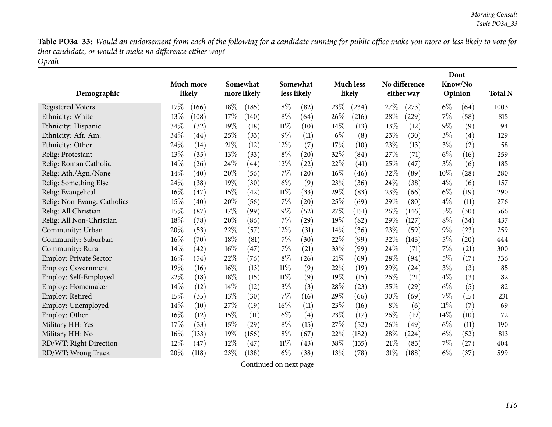Table PO3a\_33: Would an endorsement from each of the following for a candidate running for public office make you more or less likely to vote for *that candidate, or would it make no difference either way? Oprah*

|                               | Much more    | Somewhat |                    |        | Somewhat    |       | <b>Much less</b> |       | No difference | Dont<br>Know/No |         |                |
|-------------------------------|--------------|----------|--------------------|--------|-------------|-------|------------------|-------|---------------|-----------------|---------|----------------|
| Demographic                   | likely       |          | more likely        |        | less likely |       | likely           |       | either way    |                 | Opinion | <b>Total N</b> |
| <b>Registered Voters</b>      | 17%<br>(166) | 18%      | (185)              | $8\%$  | (82)        | 23%   | (234)            | 27%   | (273)         | $6\%$           | (64)    | 1003           |
| Ethnicity: White              | 13%<br>(108) | 17%      | (140)              | $8\%$  | (64)        | 26%   | (216)            | 28%   | (229)         | $7\%$           | (58)    | 815            |
| Ethnicity: Hispanic           | 34%<br>(32)  | 19%      | (18)               | $11\%$ | (10)        | 14%   | (13)             | 13%   | (12)          | $9\%$           | (9)     | 94             |
| Ethnicity: Afr. Am.           | 34%<br>(44)  | 25%      | (33)               | $9\%$  | (11)        | $6\%$ | (8)              | 23%   | (30)          | $3\%$           | (4)     | 129            |
| Ethnicity: Other              | 24%<br>(14)  | 21%      | (12)               | 12%    | (7)         | 17%   | (10)             | 23%   | (13)          | $3\%$           | (2)     | 58             |
| Relig: Protestant             | 13%<br>(35)  | 13%      | (33)               | $8\%$  | (20)        | 32%   | (84)             | 27%   | (71)          | $6\%$           | (16)    | 259            |
| Relig: Roman Catholic         | 14%<br>(26)  | 24%      | $\left( 44\right)$ | 12%    | (22)        | 22%   | (41)             | 25%   | (47)          | $3\%$           | (6)     | 185            |
| Relig: Ath./Agn./None         | 14%<br>(40)  | 20%      | (56)               | 7%     | (20)        | 16%   | (46)             | 32%   | (89)          | 10%             | (28)    | 280            |
| Relig: Something Else         | 24%<br>(38)  | 19%      | (30)               | $6\%$  | (9)         | 23%   | (36)             | 24%   | (38)          | $4\%$           | (6)     | 157            |
| Relig: Evangelical            | 16%<br>(47)  | 15%      | (42)               | $11\%$ | (33)        | 29%   | (83)             | 23%   | (66)          | $6\%$           | (19)    | 290            |
| Relig: Non-Evang. Catholics   | 15%<br>(40)  | 20%      | (56)               | 7%     | (20)        | 25%   | (69)             | 29\%  | (80)          | $4\%$           | (11)    | 276            |
| Relig: All Christian          | 15%<br>(87)  | 17%      | (99)               | $9\%$  | (52)        | 27%   | (151)            | 26%   | (146)         | $5\%$           | (30)    | 566            |
| Relig: All Non-Christian      | 18%<br>(78)  | 20%      | (86)               | 7%     | (29)        | 19%   | (82)             | 29%   | (127)         | $8\%$           | (34)    | 437            |
| Community: Urban              | 20%<br>(53)  | 22%      | (57)               | 12%    | (31)        | 14%   | (36)             | 23%   | (59)          | $9\%$           | (23)    | 259            |
| Community: Suburban           | 16%<br>(70)  | 18%      | (81)               | 7%     | (30)        | 22%   | (99)             | 32%   | (143)         | $5\%$           | (20)    | 444            |
| Community: Rural              | 14%<br>(42)  | 16%      | (47)               | $7\%$  | (21)        | 33\%  | (99)             | 24\%  | (71)          | $7\%$           | (21)    | 300            |
| <b>Employ: Private Sector</b> | 16%<br>(54)  | 22%      | (76)               | $8\%$  | (26)        | 21%   | (69)             | 28%   | (94)          | 5%              | (17)    | 336            |
| <b>Employ: Government</b>     | 19%<br>(16)  | 16%      | (13)               | $11\%$ | (9)         | 22%   | (19)             | 29\%  | (24)          | $3\%$           | (3)     | 85             |
| Employ: Self-Employed         | 22%<br>(18)  | 18%      | (15)               | $11\%$ | (9)         | 19%   | (15)             | 26%   | (21)          | $4\%$           | (3)     | 82             |
| Employ: Homemaker             | 14%<br>(12)  | 14%      | (12)               | $3\%$  | (3)         | 28%   | (23)             | 35%   | (29)          | $6\%$           | (5)     | 82             |
| Employ: Retired               | 15%<br>(35)  | 13%      | (30)               | 7%     | (16)        | 29%   | (66)             | 30%   | (69)          | $7\%$           | (15)    | 231            |
| Employ: Unemployed            | 14%<br>(10)  | 27%      | (19)               | $16\%$ | (11)        | 23%   | (16)             | $8\%$ | (6)           | $11\%$          | (7)     | 69             |
| Employ: Other                 | 16%<br>(12)  | 15%      | (11)               | $6\%$  | (4)         | 23%   | (17)             | 26%   | (19)          | $14\%$          | (10)    | 72             |
| Military HH: Yes              | 17%<br>(33)  | 15%      | (29)               | $8\%$  | (15)        | 27%   | (52)             | 26%   | (49)          | $6\%$           | (11)    | 190            |
| Military HH: No               | 16%<br>(133) | 19%      | (156)              | $8\%$  | (67)        | 22%   | (182)            | 28%   | (224)         | $6\%$           | (52)    | 813            |
| RD/WT: Right Direction        | 12%<br>(47)  | 12%      | (47)               | $11\%$ | (43)        | 38%   | (155)            | 21%   | (85)          | 7%              | (27)    | 404            |
| RD/WT: Wrong Track            | 20%<br>(118) | 23%      | (138)              | $6\%$  | (38)        | 13\%  | (78)             | 31%   | (188)         | $6\%$           | (37)    | 599            |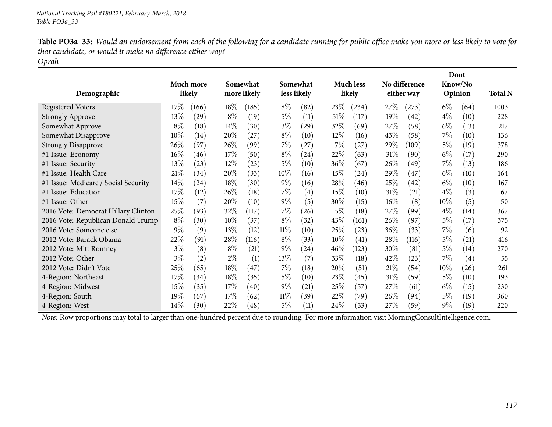| Table PO3a_33: Would an endorsement from each of the following for a candidate running for public office make you more or less likely to vote for |
|---------------------------------------------------------------------------------------------------------------------------------------------------|
| that candidate, or would it make no difference either way?                                                                                        |
| Oprah                                                                                                                                             |

| Demographic                          |        | Much more<br>likely | Somewhat<br>more likely |       |        | Somewhat<br>less likely |        | <b>Much less</b><br>likely |        | No difference<br>either way |        | Dont<br>Know/No<br>Opinion | <b>Total N</b> |
|--------------------------------------|--------|---------------------|-------------------------|-------|--------|-------------------------|--------|----------------------------|--------|-----------------------------|--------|----------------------------|----------------|
| <b>Registered Voters</b>             | 17%    | (166)               | $18\%$                  | (185) | $8\%$  | (82)                    | 23\%   | (234)                      | 27%    | (273)                       | $6\%$  | (64)                       | 1003           |
| <b>Strongly Approve</b>              | 13%    | (29)                | $8\%$                   | (19)  | 5%     | (11)                    | 51%    | (117)                      | 19%    | (42)                        | $4\%$  | (10)                       | 228            |
| Somewhat Approve                     | $8\%$  | (18)                | $14\%$                  | (30)  | 13\%   | (29)                    | 32\%   | (69)                       | 27\%   | (58)                        | $6\%$  | (13)                       | 217            |
| Somewhat Disapprove                  | $10\%$ | (14)                | 20%                     | (27)  | $8\%$  | (10)                    | $12\%$ | (16)                       | 43\%   | (58)                        | $7\%$  | (10)                       | 136            |
| <b>Strongly Disapprove</b>           | 26\%   | (97)                | 26\%                    | (99)  | $7\%$  | (27)                    | $7\%$  | (27)                       | 29\%   | (109)                       | $5\%$  | (19)                       | 378            |
| #1 Issue: Economy                    | 16%    | (46)                | 17%                     | (50)  | $8\%$  | (24)                    | 22%    | (63)                       | 31\%   | (90)                        | $6\%$  | (17)                       | 290            |
| #1 Issue: Security                   | 13%    | (23)                | $12\%$                  | (23)  | $5\%$  | (10)                    | $36\%$ | (67)                       | 26\%   | (49)                        | $7\%$  | (13)                       | 186            |
| #1 Issue: Health Care                | 21%    | (34)                | 20%                     | (33)  | $10\%$ | (16)                    | 15%    | $\left( 24\right)$         | 29%    | (47)                        | $6\%$  | (10)                       | 164            |
| #1 Issue: Medicare / Social Security | 14%    | (24)                | 18%                     | (30)  | $9\%$  | (16)                    | 28\%   | (46)                       | $25\%$ | (42)                        | $6\%$  | (10)                       | 167            |
| #1 Issue: Education                  | 17%    | (12)                | 26\%                    | (18)  | $7\%$  | $\left( 4\right)$       | $15\%$ | (10)                       | $31\%$ | (21)                        | $4\%$  | (3)                        | 67             |
| #1 Issue: Other                      | 15%    | (7)                 | 20%                     | (10)  | $9\%$  | (5)                     | $30\%$ | (15)                       | 16%    | (8)                         | $10\%$ | (5)                        | 50             |
| 2016 Vote: Democrat Hillary Clinton  | 25%    | (93)                | 32\%                    | (117) | $7\%$  | (26)                    | $5\%$  | (18)                       | 27%    | (99                         | $4\%$  | (14)                       | 367            |
| 2016 Vote: Republican Donald Trump   | $8\%$  | (30)                | $10\%$                  | (37)  | $8\%$  | (32)                    | 43\%   | (161)                      | 26\%   | (97)                        | $5\%$  | (17)                       | 375            |
| 2016 Vote: Someone else              | $9\%$  | (9)                 | 13%                     | (12)  | $11\%$ | (10)                    | 25\%   | (23)                       | 36%    | (33)                        | $7\%$  | (6)                        | 92             |
| 2012 Vote: Barack Obama              | 22%    | (91)                | 28\%                    | (116) | $8\%$  | (33)                    | $10\%$ | (41)                       | 28%    | (116)                       | $5\%$  | (21)                       | 416            |
| 2012 Vote: Mitt Romney               | $3\%$  | (8)                 | $8\%$                   | (21)  | $9\%$  | (24)                    | $46\%$ | (123)                      | $30\%$ | (81)                        | $5\%$  | (14)                       | 270            |
| 2012 Vote: Other                     | 3%     | (2)                 | $2\%$                   | (1)   | 13\%   | (7)                     | 33\%   | (18)                       | 42\%   | (23)                        | $7\%$  | (4)                        | 55             |
| 2012 Vote: Didn't Vote               | 25%    | (65)                | 18%                     | (47)  | $7\%$  | (18)                    | 20%    | (51)                       | 21%    | (54)                        | $10\%$ | (26)                       | 261            |
| 4-Region: Northeast                  | 17%    | (34)                | 18%                     | (35)  | $5\%$  | (10)                    | 23\%   | (45)                       | 31\%   | (59)                        | $5\%$  | (10)                       | 193            |
| 4-Region: Midwest                    | 15%    | (35)                | 17%                     | (40)  | $9\%$  | (21)                    | 25\%   | (57)                       | 27%    | (61)                        | $6\%$  | (15)                       | 230            |
| 4-Region: South                      | 19%    | (67)                | 17%                     | (62)  | $11\%$ | (39)                    | 22%    | (79`                       | 26%    | (94)                        | $5\%$  | (19)                       | 360            |
| 4-Region: West                       | 14%    | (30)                | 22\%                    | (48)  | 5%     | (11)                    | $24\%$ | (53)                       | $27\%$ | (59)                        | $9\%$  | (19)                       | 220            |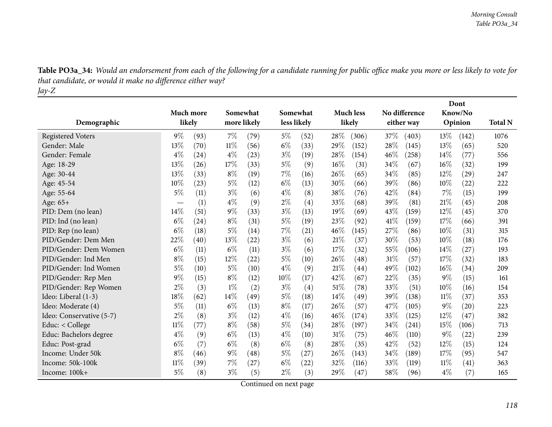| Demographic              | <b>Much more</b><br>likely |      | Somewhat<br>more likely |      |       | Somewhat<br>less likely |        | <b>Much less</b><br>likely |        | No difference<br>either way |       | Dont<br>Know/No<br>Opinion |      |
|--------------------------|----------------------------|------|-------------------------|------|-------|-------------------------|--------|----------------------------|--------|-----------------------------|-------|----------------------------|------|
| <b>Registered Voters</b> | $9\%$                      | (93) | 7%                      | (79) | $5\%$ | (52)                    | 28\%   | (306)                      | 37%    | (403)                       | 13%   | (142)                      | 1076 |
| Gender: Male             | 13%                        | (70) | $11\%$                  | (56) | $6\%$ | (33)                    | 29%    | (152)                      | 28%    | (145)                       | 13%   | (65)                       | 520  |
| Gender: Female           | $4\%$                      | (24) | $4\%$                   | (23) | $3\%$ | (19)                    | 28\%   | (154)                      | 46%    | (258)                       | 14%   | (77)                       | 556  |
| Age: 18-29               | 13%                        | (26) | 17%                     | (33) | $5\%$ | (9)                     | $16\%$ | (31)                       | 34\%   | (67)                        | 16%   | (32)                       | 199  |
| Age: 30-44               | 13%                        | (33) | $8\%$                   | (19) | 7%    | (16)                    | 26%    | (65)                       | 34%    | (85)                        | 12%   | (29)                       | 247  |
| Age: 45-54               | 10%                        | (23) | $5\%$                   | (12) | $6\%$ | (13)                    | 30%    | (66)                       | 39%    | (86)                        | 10%   | (22)                       | 222  |
| Age: 55-64               | $5\%$                      | (11) | $3\%$                   | (6)  | $4\%$ | (8)                     | 38%    | (76)                       | 42%    | (84)                        | 7%    | (15)                       | 199  |
| Age: 65+                 |                            | (1)  | $4\%$                   | (9)  | $2\%$ | (4)                     | 33\%   | (68)                       | 39%    | (81)                        | 21%   | (45)                       | 208  |
| PID: Dem (no lean)       | $14\%$                     | (51) | 9%                      | (33) | $3\%$ | (13)                    | 19%    | (69)                       | 43%    | (159)                       | 12%   | (45)                       | 370  |
| PID: Ind (no lean)       | $6\%$                      | (24) | $8\%$                   | (31) | $5\%$ | (19)                    | 23\%   | (92)                       | $41\%$ | (159)                       | 17%   | (66)                       | 391  |
| PID: Rep (no lean)       | $6\%$                      | (18) | 5%                      | (14) | 7%    | (21)                    | $46\%$ | (145)                      | 27%    | (86)                        | 10%   | (31)                       | 315  |
| PID/Gender: Dem Men      | 22%                        | (40) | 13%                     | (22) | $3\%$ | (6)                     | 21%    | (37)                       | 30%    | (53)                        | 10%   | (18)                       | 176  |
| PID/Gender: Dem Women    | $6\%$                      | (11) | $6\%$                   | (11) | $3\%$ | (6)                     | 17%    | (32)                       | 55%    | (106)                       | 14\%  | (27)                       | 193  |
| PID/Gender: Ind Men      | $8\%$                      | (15) | 12%                     | (22) | $5\%$ | (10)                    | 26\%   | (48)                       | 31%    | (57)                        | 17%   | (32)                       | 183  |
| PID/Gender: Ind Women    | $5\%$                      | (10) | $5\%$                   | (10) | $4\%$ | (9)                     | 21%    | (44)                       | 49%    | (102)                       | 16%   | (34)                       | 209  |
| PID/Gender: Rep Men      | $9\%$                      | (15) | $8\%$                   | (12) | 10%   | (17)                    | 42%    | (67)                       | 22%    | (35)                        | $9\%$ | (15)                       | 161  |
| PID/Gender: Rep Women    | $2\%$                      | (3)  | $1\%$                   | (2)  | $3\%$ | (4)                     | 51%    | (78)                       | 33%    | (51)                        | 10%   | (16)                       | 154  |
| Ideo: Liberal (1-3)      | 18%                        | (62) | 14%                     | (49) | $5\%$ | (18)                    | 14%    | (49)                       | 39%    | (138)                       | 11%   | (37)                       | 353  |
| Ideo: Moderate (4)       | $5\%$                      | (11) | $6\%$                   | (13) | $8\%$ | (17)                    | 26\%   | (57)                       | 47%    | (105)                       | $9\%$ | (20)                       | 223  |
| Ideo: Conservative (5-7) | $2\%$                      | (8)  | $3\%$                   | (12) | $4\%$ | (16)                    | 46%    | (174)                      | 33%    | (125)                       | 12%   | (47)                       | 382  |
| Educ: $<$ College        | $11\%$                     | (77) | $8\%$                   | (58) | $5\%$ | (34)                    | 28\%   | (197)                      | 34%    | (241)                       | 15%   | (106)                      | 713  |
| Educ: Bachelors degree   | $4\%$                      | (9)  | $6\%$                   | (13) | $4\%$ | (10)                    | 31%    | (75)                       | 46%    | (110)                       | $9\%$ | (22)                       | 239  |
| Educ: Post-grad          | $6\%$                      | (7)  | $6\%$                   | (8)  | $6\%$ | (8)                     | 28\%   | (35)                       | 42%    | (52)                        | 12%   | (15)                       | 124  |
| Income: Under 50k        | $8\%$                      | (46) | $9\%$                   | (48) | $5\%$ | (27)                    | 26%    | (143)                      | 34%    | (189)                       | 17%   | (95)                       | 547  |
| Income: 50k-100k         | 11%                        | (39) | 7%                      | (27) | $6\%$ | (22)                    | 32%    | (116)                      | 33\%   | (119)                       | 11%   | (41)                       | 363  |
| Income: 100k+            | 5%                         | (8)  | $3\%$                   | (5)  | $2\%$ | (3)                     | 29%    | (47)                       | 58%    | (96)                        | $4\%$ | (7)                        | 165  |

Table PO3a\_34: Would an endorsement from each of the following for a candidate running for public office make you more or less likely to vote for *that candidate, or would it make no difference either way? Jay-Z*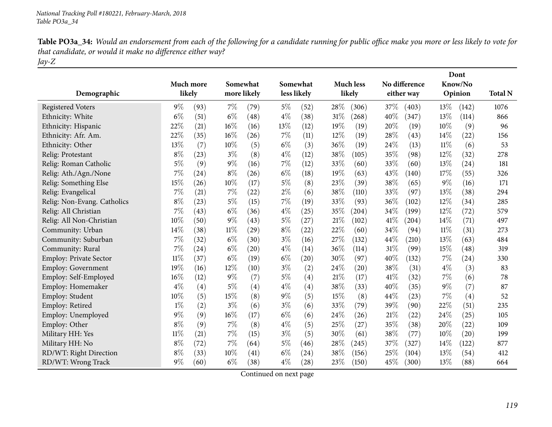| Table PO3a_34: Would an endorsement from each of the following for a candidate running for public office make you more or less likely to vote for |
|---------------------------------------------------------------------------------------------------------------------------------------------------|
| that candidate, or would it make no difference either way?                                                                                        |
| Jay-Z                                                                                                                                             |

| Demographic                 | Much more<br>likely |      | Somewhat<br>more likely |      |       | Somewhat<br>less likely |      | <b>Much less</b><br>likely |      | No difference<br>either way |       | Dont<br>Know/No<br>Opinion | <b>Total N</b> |
|-----------------------------|---------------------|------|-------------------------|------|-------|-------------------------|------|----------------------------|------|-----------------------------|-------|----------------------------|----------------|
|                             |                     |      |                         |      |       |                         |      |                            |      |                             |       |                            |                |
| <b>Registered Voters</b>    | $9\%$               | (93) | $7\%$                   | (79) | $5\%$ | (52)                    | 28%  | (306)                      | 37%  | (403)                       | 13%   | (142)                      | 1076           |
| Ethnicity: White            | $6\%$               | (51) | $6\%$                   | (48) | $4\%$ | (38)                    | 31%  | (268)                      | 40%  | (347)                       | 13%   | (114)                      | 866            |
| Ethnicity: Hispanic         | 22%                 | (21) | 16%                     | (16) | 13%   | (12)                    | 19%  | (19)                       | 20%  | (19)                        | 10%   | (9)                        | 96             |
| Ethnicity: Afr. Am.         | 22%                 | (35) | 16%                     | (26) | $7\%$ | (11)                    | 12%  | (19)                       | 28%  | (43)                        | 14\%  | (22)                       | 156            |
| Ethnicity: Other            | 13%                 | (7)  | 10%                     | (5)  | $6\%$ | (3)                     | 36%  | (19)                       | 24%  | (13)                        | 11%   | (6)                        | 53             |
| Relig: Protestant           | $8\%$               | (23) | $3\%$                   | (8)  | $4\%$ | (12)                    | 38%  | (105)                      | 35%  | (98)                        | 12%   | (32)                       | 278            |
| Relig: Roman Catholic       | 5%                  | (9)  | $9\%$                   | (16) | $7\%$ | (12)                    | 33%  | (60)                       | 33%  | (60)                        | 13%   | (24)                       | 181            |
| Relig: Ath./Agn./None       | 7%                  | (24) | $8\%$                   | (26) | $6\%$ | (18)                    | 19%  | (63)                       | 43%  | (140)                       | 17%   | (55)                       | 326            |
| Relig: Something Else       | 15%                 | (26) | 10%                     | (17) | $5\%$ | (8)                     | 23%  | (39)                       | 38%  | (65)                        | $9\%$ | (16)                       | 171            |
| Relig: Evangelical          | 7%                  | (21) | 7%                      | (22) | $2\%$ | (6)                     | 38%  | (110)                      | 33%  | (97)                        | 13%   | (38)                       | 294            |
| Relig: Non-Evang. Catholics | $8\%$               | (23) | $5\%$                   | (15) | 7%    | (19)                    | 33%  | (93)                       | 36%  | (102)                       | 12%   | (34)                       | 285            |
| Relig: All Christian        | $7\%$               | (43) | $6\%$                   | (36) | $4\%$ | (25)                    | 35%  | (204)                      | 34%  | (199)                       | 12%   | (72)                       | 579            |
| Relig: All Non-Christian    | 10%                 | (50) | $9\%$                   | (43) | $5\%$ | (27)                    | 21%  | (102)                      | 41\% | (204)                       | 14%   | (71)                       | 497            |
| Community: Urban            | $14\%$              | (38) | $11\%$                  | (29) | $8\%$ | (22)                    | 22%  | (60)                       | 34%  | (94)                        | 11%   | (31)                       | 273            |
| Community: Suburban         | 7%                  | (32) | $6\%$                   | (30) | $3\%$ | (16)                    | 27%  | (132)                      | 44%  | (210)                       | 13%   | (63)                       | 484            |
| Community: Rural            | 7%                  | (24) | $6\%$                   | (20) | $4\%$ | (14)                    | 36%  | (114)                      | 31%  | (99)                        | 15%   | (48)                       | 319            |
| Employ: Private Sector      | $11\%$              | (37) | $6\%$                   | (19) | $6\%$ | (20)                    | 30\% | (97)                       | 40%  | (132)                       | 7%    | (24)                       | 330            |
| Employ: Government          | 19%                 | (16) | 12%                     | (10) | $3\%$ | (2)                     | 24%  | (20)                       | 38%  | (31)                        | $4\%$ | (3)                        | 83             |
| Employ: Self-Employed       | 16%                 | (12) | $9\%$                   | (7)  | $5\%$ | (4)                     | 21%  | (17)                       | 41\% | (32)                        | 7%    | (6)                        | 78             |
| Employ: Homemaker           | $4\%$               | (4)  | $5\%$                   | (4)  | $4\%$ | $\left( 4\right)$       | 38\% | (33)                       | 40%  | (35)                        | $9\%$ | (7)                        | 87             |
| Employ: Student             | 10%                 | (5)  | 15%                     | (8)  | $9\%$ | (5)                     | 15%  | (8)                        | 44%  | (23)                        | 7%    | (4)                        | 52             |
| Employ: Retired             | $1\%$               | (2)  | $3\%$                   | (6)  | $3\%$ | (6)                     | 33%  | (79)                       | 39%  | (90)                        | 22%   | (51)                       | 235            |
| Employ: Unemployed          | $9\%$               | (9)  | 16%                     | (17) | $6\%$ | (6)                     | 24%  | (26)                       | 21%  | (22)                        | 24%   | (25)                       | 105            |
| Employ: Other               | $8\%$               | (9)  | 7%                      | (8)  | $4\%$ | (5)                     | 25%  | (27)                       | 35%  | (38)                        | 20%   | (22)                       | 109            |
| Military HH: Yes            | $11\%$              | (21) | 7%                      | (15) | $3\%$ | (5)                     | 30%  | (61)                       | 38%  | (77)                        | 10%   | (20)                       | 199            |
| Military HH: No             | $8\%$               | (72) | 7%                      | (64) | $5\%$ | (46)                    | 28%  | (245)                      | 37%  | (327)                       | 14\%  | (122)                      | 877            |
| RD/WT: Right Direction      | $8\%$               | (33) | 10%                     | (41) | $6\%$ | (24)                    | 38%  | (156)                      | 25%  | (104)                       | 13%   | (54)                       | 412            |
| RD/WT: Wrong Track          | $9\%$               | (60) | $6\%$                   | (38) | $4\%$ | (28)                    | 23%  | (150)                      | 45%  | (300)                       | 13%   | (88)                       | 664            |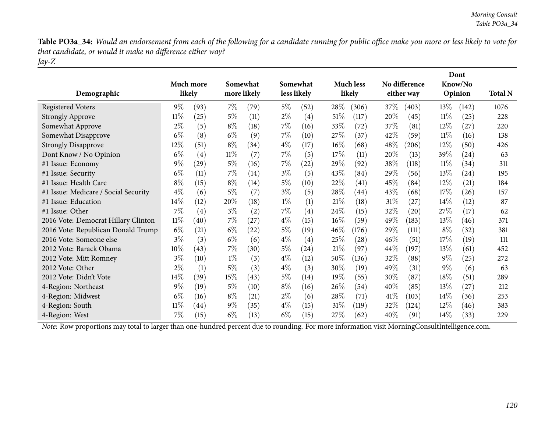Table PO3a\_34: Would an endorsement from each of the following for a candidate running for public office make you more or less likely to vote for *that candidate, or would it make no difference either way? Jay-Z*

| Demographic                          |        | Much more<br>likely |        | Somewhat<br>more likely |       | Somewhat<br>less likely |        | <b>Much less</b><br>likely |        | No difference<br>either way |        | Dont<br>Know/No<br>Opinion | <b>Total N</b> |
|--------------------------------------|--------|---------------------|--------|-------------------------|-------|-------------------------|--------|----------------------------|--------|-----------------------------|--------|----------------------------|----------------|
| <b>Registered Voters</b>             | $9\%$  | (93)                | $7\%$  | (79)                    | $5\%$ | (52)                    | 28\%   | (306)                      | 37\%   | (403)                       | 13\%   | (142)                      | 1076           |
| <b>Strongly Approve</b>              | $11\%$ | (25)                | $5\%$  | (11)                    | $2\%$ | $\left( 4\right)$       | $51\%$ | (117)                      | 20%    | (45)                        | $11\%$ | (25)                       | 228            |
| Somewhat Approve                     | $2\%$  | (5)                 | $8\%$  | (18)                    | $7\%$ | (16)                    | 33\%   | (72)                       | 37%    | (81)                        | $12\%$ | (27)                       | 220            |
| Somewhat Disapprove                  | $6\%$  | (8)                 | $6\%$  | (9)                     | $7\%$ | (10)                    | $27\%$ | (37)                       | 42%    | (59)                        | $11\%$ | (16)                       | 138            |
| <b>Strongly Disapprove</b>           | 12\%   | (51)                | $8\%$  | (34)                    | $4\%$ | (17)                    | 16%    | (68)                       | $48\%$ | (206)                       | $12\%$ | (50)                       | 426            |
| Dont Know / No Opinion               | $6\%$  | (4)                 | $11\%$ | (7)                     | $7\%$ | (5)                     | 17%    | (11)                       | 20%    | (13)                        | 39%    | $\left( 24\right)$         | 63             |
| #1 Issue: Economy                    | $9\%$  | (29)                | $5\%$  | (16)                    | $7\%$ | (22)                    | 29\%   | (92)                       | 38\%   | (118)                       | $11\%$ | (34)                       | 311            |
| #1 Issue: Security                   | $6\%$  | (11)                | 7%     | (14)                    | $3\%$ | (5)                     | 43%    | (84)                       | 29%    | (56)                        | 13%    | $\left( 24\right)$         | 195            |
| #1 Issue: Health Care                | $8\%$  | (15)                | $8\%$  | (14)                    | $5\%$ | (10)                    | 22%    | (41)                       | 45%    | (84)                        | 12%    | (21)                       | 184            |
| #1 Issue: Medicare / Social Security | $4\%$  | (6)                 | 5%     | (7)                     | $3\%$ | (5)                     | 28%    | (44)                       | 43%    | (68)                        | 17\%   | (26)                       | 157            |
| #1 Issue: Education                  | 14%    | (12)                | 20%    | (18)                    | $1\%$ | (1)                     | 21%    | (18)                       | $31\%$ | (27)                        | 14%    | (12)                       | 87             |
| #1 Issue: Other                      | $7\%$  | (4)                 | $3\%$  | (2)                     | $7\%$ | $\left( 4\right)$       | 24\%   | (15)                       | 32%    | (20)                        | 27\%   | (17)                       | 62             |
| 2016 Vote: Democrat Hillary Clinton  | $11\%$ | (40)                | $7\%$  | (27)                    | $4\%$ | (15)                    | 16%    | (59)                       | 49\%   | (183)                       | 13%    | (46)                       | 371            |
| 2016 Vote: Republican Donald Trump   | $6\%$  | (21)                | $6\%$  | (22)                    | $5\%$ | (19)                    | 46%    | (176)                      | 29%    | (111)                       | $8\%$  | (32)                       | 381            |
| 2016 Vote: Someone else              | $3\%$  | (3)                 | $6\%$  | (6)                     | $4\%$ | $\left( 4\right)$       | 25\%   | (28)                       | 46%    | (51)                        | 17\%   | (19)                       | 111            |
| 2012 Vote: Barack Obama              | $10\%$ | (43)                | 7%     | (30)                    | $5\%$ | (24)                    | 21%    | (97)                       | 44\%   | (197)                       | 13%    | (61)                       | 452            |
| 2012 Vote: Mitt Romney               | $3\%$  | (10)                | $1\%$  | (3)                     | $4\%$ | (12)                    | 50%    | (136)                      | 32%    | (88)                        | $9\%$  | (25)                       | 272            |
| 2012 Vote: Other                     | $2\%$  | (1)                 | $5\%$  | (3)                     | $4\%$ | (3)                     | 30%    | (19)                       | 49\%   | (31)                        | $9\%$  | (6)                        | 63             |
| 2012 Vote: Didn't Vote               | $14\%$ | (39)                | 15%    | (43)                    | $5\%$ | (14)                    | 19%    | (55)                       | 30%    | (87)                        | 18%    | (51)                       | 289            |
| 4-Region: Northeast                  | $9\%$  | (19)                | 5%     | (10)                    | $8\%$ | (16)                    | 26\%   | (54)                       | $40\%$ | (85)                        | 13%    | (27)                       | 212            |
| 4-Region: Midwest                    | $6\%$  | (16)                | $8\%$  | (21)                    | $2\%$ | (6)                     | 28\%   | (71)                       | 41\%   | (103)                       | 14%    | (36)                       | 253            |
| 4-Region: South                      | $11\%$ | $\left( 44\right)$  | $9\%$  | (35)                    | $4\%$ | (15)                    | $31\%$ | (119)                      | 32\%   | (124)                       | $12\%$ | (46)                       | 383            |
| 4-Region: West                       | 7%     | (15)                | $6\%$  | (13)                    | $6\%$ | (15)                    | $27\%$ | (62)                       | 40%    | (91)                        | 14\%   | (33)                       | 229            |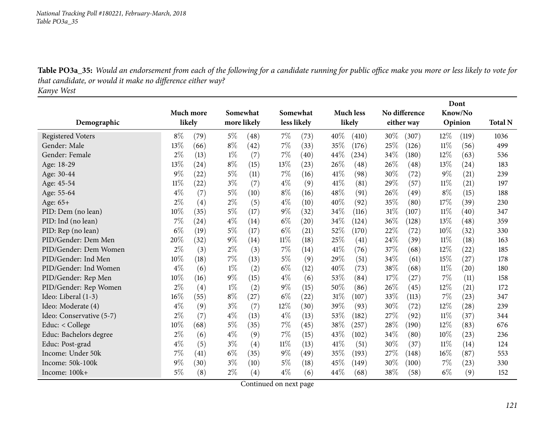Table PO3a\_35: Would an endorsement from each of the following for a candidate running for public office make you more or less likely to vote for *that candidate, or would it make no difference either way? Kanye West*

|                          |           |      |             |                   |             |                    |      |                    |      |               |         | Dont    |                |
|--------------------------|-----------|------|-------------|-------------------|-------------|--------------------|------|--------------------|------|---------------|---------|---------|----------------|
|                          | Much more |      | Somewhat    |                   | Somewhat    |                    |      | <b>Much less</b>   |      | No difference | Know/No |         |                |
| Demographic              | likely    |      | more likely |                   | less likely |                    |      | likely             |      | either way    |         | Opinion | <b>Total N</b> |
| <b>Registered Voters</b> | $8\%$     | (79) | $5\%$       | (48)              | 7%          | (73)               | 40%  | (410)              | 30%  | (307)         | 12%     | (119)   | 1036           |
| Gender: Male             | 13%       | (66) | $8\%$       | (42)              | 7%          | (33)               | 35%  | (176)              | 25%  | (126)         | $11\%$  | (56)    | 499            |
| Gender: Female           | $2\%$     | (13) | $1\%$       | (7)               | 7%          | (40)               | 44%  | (234)              | 34%  | (180)         | 12%     | (63)    | 536            |
| Age: 18-29               | 13%       | (24) | $8\%$       | (15)              | 13%         | (23)               | 26%  | (48)               | 26%  | (48)          | 13%     | (24)    | 183            |
| Age: 30-44               | 9%        | (22) | $5\%$       | (11)              | 7%          | (16)               | 41\% | (98)               | 30%  | (72)          | 9%      | (21)    | 239            |
| Age: 45-54               | $11\%$    | (22) | $3\%$       | (7)               | $4\%$       | (9)                | 41\% | (81)               | 29%  | (57)          | 11%     | (21)    | 197            |
| Age: 55-64               | $4\%$     | (7)  | $5\%$       | (10)              | $8\%$       | (16)               | 48\% | (91)               | 26%  | (49)          | $8\%$   | (15)    | 188            |
| Age: 65+                 | $2\%$     | (4)  | $2\%$       | (5)               | $4\%$       | (10)               | 40%  | (92)               | 35%  | (80)          | 17%     | (39)    | 230            |
| PID: Dem (no lean)       | 10%       | (35) | $5\%$       | (17)              | $9\%$       | (32)               | 34%  | (116)              | 31%  | (107)         | 11%     | (40)    | 347            |
| PID: Ind (no lean)       | 7%        | (24) | $4\%$       | (14)              | $6\%$       | $\left( 20\right)$ | 34%  | (124)              | 36%  | (128)         | 13%     | (48)    | 359            |
| PID: Rep (no lean)       | $6\%$     | (19) | $5\%$       | (17)              | $6\%$       | (21)               | 52%  | (170)              | 22%  | (72)          | 10%     | (32)    | 330            |
| PID/Gender: Dem Men      | 20%       | (32) | $9\%$       | (14)              | $11\%$      | (18)               | 25%  | $\left( 41\right)$ | 24%  | (39)          | $11\%$  | (18)    | 163            |
| PID/Gender: Dem Women    | $2\%$     | (3)  | $2\%$       | (3)               | 7%          | (14)               | 41\% | (76)               | 37\% | (68)          | 12%     | (22)    | 185            |
| PID/Gender: Ind Men      | 10%       | (18) | 7%          | (13)              | $5\%$       | (9)                | 29%  | (51)               | 34%  | (61)          | 15%     | (27)    | 178            |
| PID/Gender: Ind Women    | $4\%$     | (6)  | $1\%$       | (2)               | $6\%$       | (12)               | 40%  | (73)               | 38%  | (68)          | 11%     | (20)    | 180            |
| PID/Gender: Rep Men      | 10%       | (16) | $9\%$       | (15)              | $4\%$       | (6)                | 53%  | (84)               | 17%  | (27)          | 7%      | (11)    | 158            |
| PID/Gender: Rep Women    | $2\%$     | (4)  | $1\%$       | (2)               | $9\%$       | (15)               | 50%  | (86)               | 26\% | (45)          | 12%     | (21)    | 172            |
| Ideo: Liberal (1-3)      | 16%       | (55) | $8\%$       | (27)              | $6\%$       | (22)               | 31%  | (107)              | 33%  | (113)         | 7%      | (23)    | 347            |
| Ideo: Moderate (4)       | $4\%$     | (9)  | $3\%$       | (7)               | 12%         | (30)               | 39%  | (93)               | 30%  | (72)          | 12%     | (28)    | 239            |
| Ideo: Conservative (5-7) | $2\%$     | (7)  | $4\%$       | (13)              | $4\%$       | (13)               | 53%  | (182)              | 27%  | (92)          | $11\%$  | (37)    | 344            |
| Educ: $<$ College        | 10%       | (68) | $5\%$       | (35)              | $7\%$       | (45)               | 38%  | (257)              | 28%  | (190)         | 12%     | (83)    | 676            |
| Educ: Bachelors degree   | $2\%$     | (6)  | $4\%$       | (9)               | 7%          | (15)               | 43%  | (102)              | 34%  | (80)          | 10%     | (23)    | 236            |
| Educ: Post-grad          | $4\%$     | (5)  | $3\%$       | (4)               | $11\%$      | (13)               | 41\% | (51)               | 30%  | (37)          | 11%     | (14)    | 124            |
| Income: Under 50k        | 7%        | (41) | $6\%$       | (35)              | $9\%$       | (49)               | 35%  | (193)              | 27%  | (148)         | 16%     | (87)    | 553            |
| Income: 50k-100k         | $9\%$     | (30) | $3\%$       | (10)              | $5\%$       | (18)               | 45%  | (149)              | 30%  | (100)         | 7%      | (23)    | 330            |
| Income: 100k+            | $5\%$     | (8)  | $2\%$       | $\left( 4\right)$ | $4\%$       | (6)                | 44%  | (68)               | 38\% | (58)          | $6\%$   | (9)     | 152            |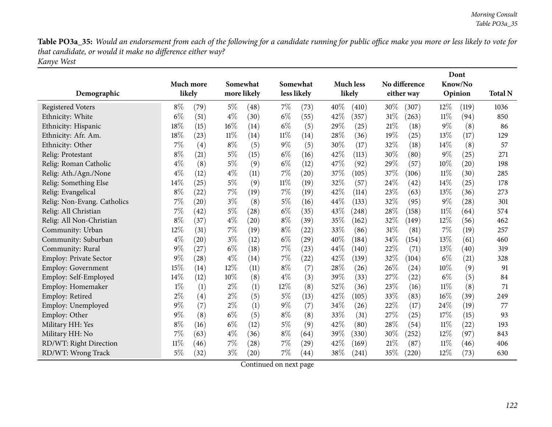Table PO3a\_35: Would an endorsement from each of the following for a candidate running for public office make you more or less likely to vote for *that candidate, or would it make no difference either way? Kanye West*

|                               |           |        | Somewhat |             |        |                         |      | No difference<br><b>Much less</b> |      |                    | Dont   |                    |                |
|-------------------------------|-----------|--------|----------|-------------|--------|-------------------------|------|-----------------------------------|------|--------------------|--------|--------------------|----------------|
| Demographic                   | Much more | likely |          | more likely |        | Somewhat<br>less likely |      | likely                            |      | either way         |        | Know/No<br>Opinion | <b>Total N</b> |
| <b>Registered Voters</b>      | $8\%$     | (79)   | $5\%$    | (48)        | 7%     | (73)                    | 40%  | (410)                             | 30%  | (307)              | $12\%$ | (119)              | 1036           |
| Ethnicity: White              | $6\%$     | (51)   | $4\%$    | (30)        | $6\%$  | (55)                    | 42%  | (357)                             | 31%  | (263)              | $11\%$ | (94)               | 850            |
| Ethnicity: Hispanic           | 18%       | (15)   | 16%      | (14)        | $6\%$  | (5)                     | 29%  | (25)                              | 21%  | (18)               | $9\%$  | (8)                | 86             |
| Ethnicity: Afr. Am.           | 18%       | (23)   | 11%      | (14)        | $11\%$ | (14)                    | 28%  | (36)                              | 19%  | (25)               | 13%    | (17)               | 129            |
| Ethnicity: Other              | 7%        | (4)    | $8\%$    | (5)         | $9\%$  | (5)                     | 30%  | (17)                              | 32%  | (18)               | 14%    | (8)                | 57             |
| Relig: Protestant             | $8\%$     | (21)   | $5\%$    | (15)        | $6\%$  | (16)                    | 42%  | (113)                             | 30%  | (80)               | $9\%$  | (25)               | 271            |
| Relig: Roman Catholic         | $4\%$     | (8)    | $5\%$    | (9)         | $6\%$  | (12)                    | 47%  | (92)                              | 29%  | (57)               | 10%    | $\left( 20\right)$ | 198            |
| Relig: Ath./Agn./None         | $4\%$     | (12)   | $4\%$    | (11)        | 7%     | (20)                    | 37%  | (105)                             | 37%  | (106)              | 11%    | (30)               | 285            |
| Relig: Something Else         | 14%       | (25)   | $5\%$    | (9)         | 11%    | (19)                    | 32%  | (57)                              | 24%  | $\left( 42\right)$ | 14\%   | (25)               | 178            |
| Relig: Evangelical            | $8\%$     | (22)   | 7%       | (19)        | 7%     | (19)                    | 42%  | (114)                             | 23%  | (63)               | 13%    | (36)               | 273            |
| Relig: Non-Evang. Catholics   | 7%        | (20)   | $3\%$    | (8)         | $5\%$  | (16)                    | 44\% | (133)                             | 32%  | (95)               | $9\%$  | (28)               | 301            |
| Relig: All Christian          | 7%        | (42)   | $5\%$    | (28)        | $6\%$  | (35)                    | 43%  | (248)                             | 28%  | (158)              | $11\%$ | (64)               | 574            |
| Relig: All Non-Christian      | $8\%$     | (37)   | $4\%$    | (20)        | $8\%$  | (39)                    | 35%  | (162)                             | 32%  | (149)              | 12%    | (56)               | 462            |
| Community: Urban              | 12%       | (31)   | 7%       | (19)        | $8\%$  | (22)                    | 33%  | (86)                              | 31%  | (81)               | 7%     | (19)               | 257            |
| Community: Suburban           | 4%        | (20)   | $3\%$    | (12)        | $6\%$  | (29)                    | 40%  | (184)                             | 34%  | (154)              | 13%    | (61)               | 460            |
| Community: Rural              | 9%        | (27)   | $6\%$    | (18)        | 7%     | (23)                    | 44%  | (140)                             | 22%  | (71)               | 13%    | (40)               | 319            |
| <b>Employ: Private Sector</b> | 9%        | (28)   | $4\%$    | (14)        | 7%     | (22)                    | 42\% | (139)                             | 32%  | (104)              | $6\%$  | (21)               | 328            |
| <b>Employ: Government</b>     | 15%       | (14)   | 12%      | (11)        | $8\%$  | (7)                     | 28%  | (26)                              | 26\% | (24)               | 10%    | (9)                | 91             |
| Employ: Self-Employed         | 14%       | (12)   | 10%      | (8)         | $4\%$  | (3)                     | 39%  | (33)                              | 27%  | (22)               | $6\%$  | (5)                | 84             |
| Employ: Homemaker             | $1\%$     | (1)    | $2\%$    | (1)         | 12%    | (8)                     | 52%  | (36)                              | 23%  | (16)               | $11\%$ | (8)                | 71             |
| Employ: Retired               | $2\%$     | (4)    | $2\%$    | (5)         | $5\%$  | (13)                    | 42%  | (105)                             | 33%  | (83)               | $16\%$ | (39)               | 249            |
| Employ: Unemployed            | 9%        | (7)    | $2\%$    | (1)         | $9\%$  | (7)                     | 34%  | (26)                              | 22%  | (17)               | 24\%   | (19)               | 77             |
| Employ: Other                 | 9%        | (8)    | $6\%$    | (5)         | $8\%$  | (8)                     | 33%  | (31)                              | 27%  | (25)               | 17%    | (15)               | 93             |
| Military HH: Yes              | $8\%$     | (16)   | $6\%$    | (12)        | $5\%$  | (9)                     | 42%  | (80)                              | 28%  | (54)               | 11%    | (22)               | 193            |
| Military HH: No               | 7%        | (63)   | $4\%$    | (36)        | $8\%$  | (64)                    | 39%  | (330)                             | 30%  | (252)              | $12\%$ | (97)               | 843            |
| RD/WT: Right Direction        | 11%       | (46)   | 7%       | (28)        | 7%     | (29)                    | 42%  | (169)                             | 21%  | (87)               | 11%    | (46)               | 406            |
| RD/WT: Wrong Track            | 5%        | (32)   | $3\%$    | (20)        | 7%     | (44)                    | 38\% | (241)                             | 35%  | (220)              | 12%    | (73)               | 630            |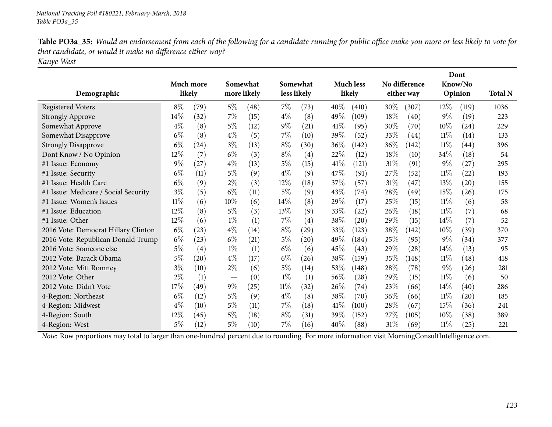| Table PO3a_35: Would an endorsement from each of the following for a candidate running for public office make you more or less likely to vote for |
|---------------------------------------------------------------------------------------------------------------------------------------------------|
| that candidate, or would it make no difference either way?                                                                                        |
| Kanye West                                                                                                                                        |

|                                      |           |      |        |             |        |                    |      |                  |        | Dont          |         |                    |                |
|--------------------------------------|-----------|------|--------|-------------|--------|--------------------|------|------------------|--------|---------------|---------|--------------------|----------------|
|                                      | Much more |      |        | Somewhat    |        | Somewhat           |      | <b>Much less</b> |        | No difference | Know/No |                    |                |
| Demographic                          | likely    |      |        | more likely |        | less likely        |      | likely           |        | either way    |         | Opinion            | <b>Total N</b> |
| <b>Registered Voters</b>             | $8\%$     | (79) | 5%     | (48)        | $7\%$  | (73)               | 40%  | (410)            | $30\%$ | (307)         | $12\%$  | (119)              | 1036           |
| <b>Strongly Approve</b>              | 14\%      | (32) | $7\%$  | (15)        | $4\%$  | (8)                | 49%  | (109)            | 18%    | (40)          | $9\%$   | (19)               | 223            |
| Somewhat Approve                     | $4\%$     | (8)  | $5\%$  | (12)        | $9\%$  | (21)               | 41\% | (95)             | 30%    | (70)          | $10\%$  | (24)               | 229            |
| Somewhat Disapprove                  | $6\%$     | (8)  | $4\%$  | (5)         | $7\%$  | (10)               | 39%  | (52)             | 33%    | (44)          | $11\%$  | (14)               | 133            |
| <b>Strongly Disapprove</b>           | $6\%$     | (24) | $3\%$  | (13)        | $8\%$  | (30)               | 36%  | (142)            | 36\%   | (142)         | 11%     | $\left( 44\right)$ | 396            |
| Dont Know / No Opinion               | $12\%$    | (7)  | $6\%$  | (3)         | $8\%$  | $\left( 4\right)$  | 22%  | (12)             | $18\%$ | (10)          | 34\%    | (18)               | 54             |
| #1 Issue: Economy                    | $9\%$     | (27) | $4\%$  | (13)        | $5\%$  | (15)               | 41%  | (121)            | 31%    | (91)          | $9\%$   | (27)               | 295            |
| #1 Issue: Security                   | $6\%$     | (11) | $5\%$  | (9)         | $4\%$  | (9)                | 47%  | (91)             | 27%    | (52)          | $11\%$  | (22)               | 193            |
| #1 Issue: Health Care                | $6\%$     | (9)  | $2\%$  | (3)         | $12\%$ | (18)               | 37%  | (57)             | 31\%   | (47)          | 13%     | $\left( 20\right)$ | 155            |
| #1 Issue: Medicare / Social Security | $3\%$     | (5)  | $6\%$  | (11)        | $5\%$  | (9)                | 43\% | (74)             | 28\%   | (49)          | 15%     | (26)               | 175            |
| #1 Issue: Women's Issues             | $11\%$    | (6)  | $10\%$ | (6)         | $14\%$ | (8)                | 29%  | (17)             | 25%    | (15)          | 11%     | (6)                | 58             |
| #1 Issue: Education                  | 12%       | (8)  | $5\%$  | (3)         | 13%    | (9)                | 33%  | (22)             | 26%    | (18)          | 11%     | (7)                | 68             |
| #1 Issue: Other                      | $12\%$    | (6)  | $1\%$  | (1)         | $7\%$  | $\left( 4\right)$  | 38%  | (20)             | 29\%   | (15)          | 14%     | (7)                | 52             |
| 2016 Vote: Democrat Hillary Clinton  | $6\%$     | (23) | $4\%$  | (14)        | $8\%$  | (29)               | 33%  | (123)            | 38%    | (142)         | 10%     | (39)               | 370            |
| 2016 Vote: Republican Donald Trump   | $6\%$     | (23) | $6\%$  | (21)        | $5\%$  | $\left( 20\right)$ | 49%  | (184)            | 25%    | (95)          | $9\%$   | (34)               | 377            |
| 2016 Vote: Someone else              | $5\%$     | (4)  | $1\%$  | (1)         | $6\%$  | (6)                | 45%  | (43)             | 29%    | (28)          | 14\%    | (13)               | 95             |
| 2012 Vote: Barack Obama              | 5%        | (20) | $4\%$  | (17)        | $6\%$  | (26)               | 38\% | (159)            | 35%    | (148)         | $11\%$  | (48)               | 418            |
| 2012 Vote: Mitt Romney               | $3\%$     | (10) | $2\%$  | (6)         | $5\%$  | (14)               | 53%  | (148)            | 28%    | (78)          | $9\%$   | (26)               | 281            |
| 2012 Vote: Other                     | $2\%$     | (1)  |        | (0)         | $1\%$  | (1)                | 56%  | (28)             | 29\%   | (15)          | 11%     | (6)                | 50             |
| 2012 Vote: Didn't Vote               | 17\%      | (49) | $9\%$  | (25)        | $11\%$ | (32)               | 26%  | (74)             | 23\%   | (66)          | 14\%    | (40)               | 286            |
| 4-Region: Northeast                  | $6\%$     | (12) | $5\%$  | (9)         | $4\%$  | (8)                | 38%  | (70)             | 36%    | (66)          | $11\%$  | $\left( 20\right)$ | 185            |
| 4-Region: Midwest                    | $4\%$     | (10) | $5\%$  | (11)        | $7\%$  | (18)               | 41%  | (100)            | 28\%   | (67)          | 15%     | (36)               | 241            |
| 4-Region: South                      | 12%       | (45) | $5\%$  | (18)        | $8\%$  | (31)               | 39%  | (152)            | 27\%   | (105)         | 10%     | (38)               | 389            |
| 4-Region: West                       | 5%        | (12) | 5%     | (10)        | $7\%$  | (16)               | 40%  | (88)             | 31%    | (69)          | $11\%$  | (25)               | 221            |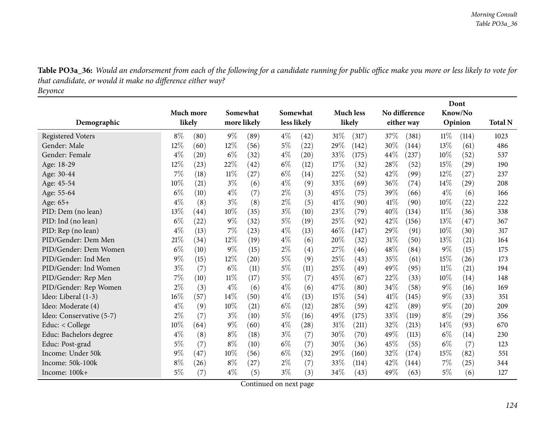| Table PO3a_36: Would an endorsement from each of the following for a candidate running for public office make you more or less likely to vote for |
|---------------------------------------------------------------------------------------------------------------------------------------------------|
| that candidate, or would it make no difference either way?                                                                                        |
| Beyonce                                                                                                                                           |

|                          |        |                  |        |             |       |                    |        |                  |        | Dont          |        |                    |                |
|--------------------------|--------|------------------|--------|-------------|-------|--------------------|--------|------------------|--------|---------------|--------|--------------------|----------------|
|                          |        | <b>Much more</b> |        | Somewhat    |       | Somewhat           |        | <b>Much less</b> |        | No difference |        | Know/No            |                |
| Demographic              | likely |                  |        | more likely |       | less likely        |        | likely           |        | either way    |        | Opinion            | <b>Total N</b> |
| <b>Registered Voters</b> | $8\%$  | (80)             | $9\%$  | (89)        | $4\%$ | $\left( 42\right)$ | $31\%$ | (317)            | 37\%   | (381)         | $11\%$ | (114)              | 1023           |
| Gender: Male             | 12%    | (60)             | 12%    | (56)        | $5\%$ | (22)               | 29%    | (142)            | 30%    | (144)         | 13%    | (61)               | 486            |
| Gender: Female           | $4\%$  | (20)             | $6\%$  | (32)        | $4\%$ | $\left( 20\right)$ | 33%    | (175)            | 44\%   | (237)         | 10%    | (52)               | 537            |
| Age: 18-29               | 12%    | (23)             | 22%    | (42)        | $6\%$ | (12)               | 17%    | (32)             | 28%    | (52)          | 15%    | $\left( 29\right)$ | 190            |
| Age: 30-44               | 7%     | (18)             | $11\%$ | (27)        | $6\%$ | (14)               | 22%    | (52)             | 42%    | (99)          | 12%    | (27)               | 237            |
| Age: 45-54               | 10%    | (21)             | $3\%$  | (6)         | $4\%$ | (9)                | 33%    | (69)             | 36%    | (74)          | 14%    | (29)               | 208            |
| Age: 55-64               | $6\%$  | (10)             | $4\%$  | (7)         | $2\%$ | (3)                | 45%    | (75)             | 39%    | (66)          | $4\%$  | (6)                | 166            |
| Age: 65+                 | $4\%$  | (8)              | $3\%$  | (8)         | $2\%$ | (5)                | 41\%   | (90)             | 41\%   | (90)          | 10%    | $^{(22)}$          | 222            |
| PID: Dem (no lean)       | 13%    | (44)             | 10%    | (35)        | $3\%$ | (10)               | 23%    | (79)             | 40%    | (134)         | $11\%$ | (36)               | 338            |
| PID: Ind (no lean)       | $6\%$  | (22)             | $9\%$  | (32)        | 5%    | (19)               | 25%    | (92)             | 42%    | (156)         | 13%    | (47)               | 367            |
| PID: Rep (no lean)       | $4\%$  | (13)             | 7%     | (23)        | $4\%$ | (13)               | 46\%   | (147)            | 29%    | (91)          | 10%    | (30)               | 317            |
| PID/Gender: Dem Men      | 21%    | (34)             | 12%    | (19)        | $4\%$ | (6)                | 20%    | (32)             | 31%    | (50)          | 13%    | (21)               | 164            |
| PID/Gender: Dem Women    | $6\%$  | (10)             | $9\%$  | (15)        | $2\%$ | (4)                | 27%    | (46)             | 48%    | (84)          | 9%     | (15)               | 175            |
| PID/Gender: Ind Men      | $9\%$  | (15)             | 12%    | (20)        | $5\%$ | (9)                | 25%    | (43)             | 35%    | (61)          | 15%    | (26)               | 173            |
| PID/Gender: Ind Women    | $3\%$  | (7)              | $6\%$  | (11)        | $5\%$ | (11)               | 25%    | (49)             | 49%    | (95)          | $11\%$ | (21)               | 194            |
| PID/Gender: Rep Men      | 7%     | (10)             | 11%    | (17)        | $5\%$ | (7)                | 45\%   | (67)             | 22%    | (33)          | 10%    | (14)               | 148            |
| PID/Gender: Rep Women    | $2\%$  | (3)              | $4\%$  | (6)         | $4\%$ | (6)                | 47\%   | (80)             | 34%    | (58)          | $9\%$  | (16)               | 169            |
| Ideo: Liberal (1-3)      | 16%    | (57)             | 14%    | (50)        | $4\%$ | (13)               | 15%    | (54)             | 41\%   | (145)         | 9%     | (33)               | 351            |
| Ideo: Moderate (4)       | $4\%$  | (9)              | 10%    | (21)        | $6\%$ | (12)               | 28%    | (59)             | 42%    | (89)          | $9\%$  | (20)               | 209            |
| Ideo: Conservative (5-7) | $2\%$  | (7)              | $3\%$  | (10)        | $5\%$ | (16)               | 49%    | (175)            | 33%    | (119)         | $8\%$  | $\left( 29\right)$ | 356            |
| Educ: $<$ College        | 10%    | (64)             | $9\%$  | (60)        | $4\%$ | (28)               | 31%    | (211)            | 32%    | (213)         | 14%    | (93)               | 670            |
| Educ: Bachelors degree   | $4\%$  | (8)              | $8\%$  | (18)        | $3\%$ | (7)                | 30%    | (70)             | 49%    | (113)         | $6\%$  | (14)               | 230            |
| Educ: Post-grad          | $5\%$  | (7)              | $8\%$  | (10)        | $6\%$ | (7)                | 30%    | (36)             | 45%    | (55)          | $6\%$  | (7)                | 123            |
| Income: Under 50k        | 9%     | (47)             | 10%    | (56)        | $6\%$ | (32)               | 29%    | (160)            | 32%    | (174)         | 15%    | (82)               | 551            |
| Income: 50k-100k         | $8\%$  | (26)             | $8\%$  | (27)        | $2\%$ | (7)                | 33%    | (114)            | 42%    | (144)         | 7%     | (25)               | 344            |
| Income: 100k+            | 5%     | (7)              | $4\%$  | (5)         | $3\%$ | (3)                | 34%    | (43)             | $49\%$ | (63)          | $5\%$  | (6)                | 127            |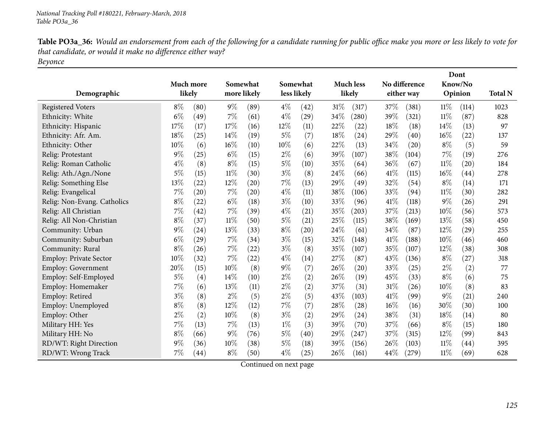| Table PO3a_36: Would an endorsement from each of the following for a candidate running for public office make you more or less likely to vote for |
|---------------------------------------------------------------------------------------------------------------------------------------------------|
| that candidate, or would it make no difference either way?                                                                                        |
| Beyonce                                                                                                                                           |

|                               |           |      |        |             |        |             |      |                  |      |               | Dont    |         |                |
|-------------------------------|-----------|------|--------|-------------|--------|-------------|------|------------------|------|---------------|---------|---------|----------------|
|                               | Much more |      |        | Somewhat    |        | Somewhat    |      | <b>Much less</b> |      | No difference | Know/No |         |                |
| Demographic                   | likely    |      |        | more likely |        | less likely |      | likely           |      | either way    |         | Opinion | <b>Total N</b> |
| <b>Registered Voters</b>      | $8\%$     | (80) | $9\%$  | (89)        | $4\%$  | (42)        | 31%  | (317)            | 37\% | (381)         | $11\%$  | (114)   | 1023           |
| Ethnicity: White              | $6\%$     | (49) | 7%     | (61)        | $4\%$  | (29)        | 34%  | (280)            | 39%  | (321)         | $11\%$  | (87)    | 828            |
| Ethnicity: Hispanic           | 17%       | (17) | 17%    | (16)        | $12\%$ | (11)        | 22%  | (22)             | 18%  | (18)          | 14%     | (13)    | 97             |
| Ethnicity: Afr. Am.           | 18%       | (25) | 14%    | (19)        | 5%     | (7)         | 18%  | (24)             | 29%  | (40)          | 16%     | (22)    | 137            |
| Ethnicity: Other              | 10%       | (6)  | 16%    | (10)        | 10%    | (6)         | 22%  | (13)             | 34%  | (20)          | $8\%$   | (5)     | 59             |
| Relig: Protestant             | 9%        | (25) | $6\%$  | (15)        | $2\%$  | (6)         | 39%  | (107)            | 38%  | (104)         | $7\%$   | (19)    | 276            |
| Relig: Roman Catholic         | $4\%$     | (8)  | $8\%$  | (15)        | $5\%$  | (10)        | 35%  | (64)             | 36\% | (67)          | $11\%$  | (20)    | 184            |
| Relig: Ath./Agn./None         | 5%        | (15) | 11%    | (30)        | $3\%$  | (8)         | 24%  | (66)             | 41\% | (115)         | 16%     | (44)    | 278            |
| Relig: Something Else         | 13%       | (22) | 12%    | (20)        | $7\%$  | (13)        | 29%  | (49)             | 32%  | (54)          | $8\%$   | (14)    | 171            |
| Relig: Evangelical            | 7%        | (20) | 7%     | (20)        | $4\%$  | (11)        | 38%  | (106)            | 33%  | (94)          | 11%     | (30)    | 282            |
| Relig: Non-Evang. Catholics   | $8\%$     | (22) | $6\%$  | (18)        | $3\%$  | (10)        | 33%  | (96)             | 41\% | (118)         | 9%      | (26)    | 291            |
| Relig: All Christian          | 7%        | (42) | 7%     | (39)        | $4\%$  | (21)        | 35%  | (203)            | 37%  | (213)         | 10%     | (56)    | 573            |
| Relig: All Non-Christian      | $8\%$     | (37) | $11\%$ | (50)        | $5\%$  | (21)        | 25%  | (115)            | 38%  | (169)         | 13%     | (58)    | 450            |
| Community: Urban              | 9%        | (24) | 13%    | (33)        | $8\%$  | (20)        | 24%  | (61)             | 34%  | (87)          | 12%     | (29)    | 255            |
| Community: Suburban           | $6\%$     | (29) | 7%     | (34)        | $3\%$  | (15)        | 32%  | (148)            | 41%  | (188)         | 10%     | (46)    | 460            |
| Community: Rural              | $8\%$     | (26) | 7%     | (22)        | $3\%$  | (8)         | 35%  | (107)            | 35%  | (107)         | 12%     | (38)    | 308            |
| <b>Employ: Private Sector</b> | 10%       | (32) | 7%     | (22)        | $4\%$  | (14)        | 27%  | (87)             | 43%  | (136)         | $8\%$   | (27)    | 318            |
| <b>Employ: Government</b>     | 20%       | (15) | 10%    | (8)         | $9\%$  | (7)         | 26%  | (20)             | 33%  | (25)          | $2\%$   | (2)     | 77             |
| Employ: Self-Employed         | $5\%$     | (4)  | 14%    | (10)        | $2\%$  | (2)         | 26%  | (19)             | 45%  | (33)          | $8\%$   | (6)     | 75             |
| Employ: Homemaker             | 7%        | (6)  | 13%    | (11)        | $2\%$  | (2)         | 37%  | (31)             | 31\% | (26)          | 10%     | (8)     | 83             |
| Employ: Retired               | $3\%$     | (8)  | $2\%$  | (5)         | $2\%$  | (5)         | 43%  | (103)            | 41\% | (99)          | $9\%$   | (21)    | 240            |
| Employ: Unemployed            | $8\%$     | (8)  | 12%    | (12)        | $7\%$  | (7)         | 28\% | (28)             | 16%  | (16)          | 30\%    | (30)    | 100            |
| Employ: Other                 | $2\%$     | (2)  | 10%    | (8)         | $3\%$  | (2)         | 29%  | (24)             | 38%  | (31)          | 18%     | (14)    | 80             |
| Military HH: Yes              | 7%        | (13) | 7%     | (13)        | $1\%$  | (3)         | 39%  | (70)             | 37%  | (66)          | $8\%$   | (15)    | 180            |
| Military HH: No               | $8\%$     | (66) | $9\%$  | (76)        | $5\%$  | (40)        | 29%  | (247)            | 37%  | (315)         | 12%     | (99)    | 843            |
| RD/WT: Right Direction        | $9\%$     | (36) | 10%    | (38)        | 5%     | (18)        | 39%  | (156)            | 26\% | (103)         | 11%     | (44)    | 395            |
| RD/WT: Wrong Track            | 7%        | (44) | $8\%$  | (50)        | $4\%$  | (25)        | 26%  | (161)            | 44\% | (279)         | $11\%$  | (69)    | 628            |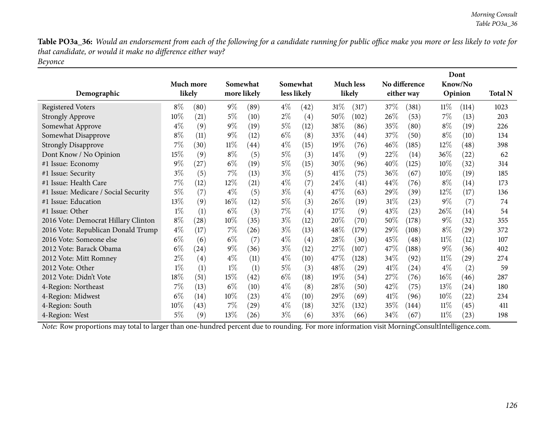Table PO3a\_36: Would an endorsement from each of the following for a candidate running for public office make you more or less likely to vote for *that candidate, or would it make no difference either way?*

*Beyonce*

|                                      |           |                    |        |                    |             |                   |        |                    |        | Dont          |        |                    |                |  |
|--------------------------------------|-----------|--------------------|--------|--------------------|-------------|-------------------|--------|--------------------|--------|---------------|--------|--------------------|----------------|--|
|                                      | Much more |                    |        | Somewhat           |             | Somewhat          |        | <b>Much less</b>   |        | No difference |        | Know/No            |                |  |
| Demographic                          | likely    |                    |        | more likely        | less likely |                   |        | likely             |        | either way    |        | Opinion            | <b>Total N</b> |  |
| <b>Registered Voters</b>             | $8\%$     | (80)               | $9\%$  | (89)               | $4\%$       | (42)              | $31\%$ | (317)              | 37\%   | (381)         | $11\%$ | (114)              | 1023           |  |
| <b>Strongly Approve</b>              | $10\%$    | (21)               | $5\%$  | (10)               | $2\%$       | $\left( 4\right)$ | $50\%$ | (102)              | $26\%$ | (53)          | 7%     | (13)               | 203            |  |
| Somewhat Approve                     | $4\%$     | (9)                | $9\%$  | (19)               | $5\%$       | (12)              | 38%    | (86)               | 35%    | (80)          | $8\%$  | (19)               | 226            |  |
| Somewhat Disapprove                  | $8\%$     | (11)               | $9\%$  | (12)               | $6\%$       | (8)               | 33\%   | (44)               | 37\%   | (50)          | $8\%$  | (10)               | 134            |  |
| <b>Strongly Disapprove</b>           | $7\%$     | (30)               | $11\%$ | (44)               | $4\%$       | (15)              | $19\%$ | (76)               | $46\%$ | (185)         | $12\%$ | (48)               | 398            |  |
| Dont Know / No Opinion               | $15\%$    | (9)                | $8\%$  | (5)                | $5\%$       | (3)               | $14\%$ | (9)                | 22\%   | (14)          | $36\%$ | (22)               | 62             |  |
| #1 Issue: Economy                    | $9\%$     | (27)               | $6\%$  | (19)               | $5\%$       | (15)              | 30%    | (96)               | 40%    | (125)         | 10%    | (32)               | 314            |  |
| #1 Issue: Security                   | $3\%$     | (5)                | $7\%$  | (13)               | $3\%$       | (5)               | 41%    | (75)               | $36\%$ | (67)          | $10\%$ | (19)               | 185            |  |
| #1 Issue: Health Care                | 7%        | (12)               | $12\%$ | (21)               | $4\%$       | (7)               | 24\%   | $\left( 41\right)$ | $44\%$ | (76)          | $8\%$  | (14)               | 173            |  |
| #1 Issue: Medicare / Social Security | $5\%$     | (7)                | $4\%$  | (5)                | $3\%$       | (4)               | 47\%   | (63)               | 29\%   | (39)          | 12%    | (17)               | 136            |  |
| #1 Issue: Education                  | 13\%      | (9)                | $16\%$ | (12)               | $5\%$       | (3)               | $26\%$ | (19)               | $31\%$ | (23)          | $9\%$  | (7)                | 74             |  |
| #1 Issue: Other                      | $1\%$     | (1)                | $6\%$  | (3)                | $7\%$       | (4)               | 17%    | (9)                | 43\%   | (23)          | $26\%$ | (14)               | 54             |  |
| 2016 Vote: Democrat Hillary Clinton  | $8\%$     | (28)               | $10\%$ | (35)               | $3\%$       | (12)              | 20%    | (70)               | 50%    | (178)         | $9\%$  | (32)               | 355            |  |
| 2016 Vote: Republican Donald Trump   | $4\%$     | (17)               | $7\%$  | (26)               | $3\%$       | (13)              | 48\%   | (179)              | 29\%   | (108)         | $8\%$  | (29)               | 372            |  |
| 2016 Vote: Someone else              | $6\%$     | (6)                | $6\%$  | (7)                | $4\%$       | (4)               | 28\%   | (30)               | 45\%   | (48)          | $11\%$ | (12)               | 107            |  |
| 2012 Vote: Barack Obama              | $6\%$     | $\left( 24\right)$ | $9\%$  | (36)               | $3\%$       | (12)              | 27\%   | (107)              | 47\%   | (188)         | $9\%$  | (36)               | 402            |  |
| 2012 Vote: Mitt Romney               | $2\%$     | (4)                | $4\%$  | (11)               | $4\%$       | (10)              | 47\%   | (128)              | $34\%$ | (92)          | $11\%$ | $\left( 29\right)$ | 274            |  |
| 2012 Vote: Other                     | $1\%$     | (1)                | $1\%$  | (1)                | $5\%$       | (3)               | 48%    | (29)               | 41%    | (24)          | $4\%$  | (2)                | 59             |  |
| 2012 Vote: Didn't Vote               | $18\%$    | (51)               | 15%    | (42)               | $6\%$       | (18)              | 19%    | (54)               | 27\%   | (76)          | $16\%$ | (46)               | 287            |  |
| 4-Region: Northeast                  | $7\%$     | (13)               | $6\%$  | (10)               | $4\%$       | (8)               | 28\%   | (50)               | 42\%   | (75)          | 13%    | (24)               | 180            |  |
| 4-Region: Midwest                    | $6\%$     | (14)               | $10\%$ | (23)               | $4\%$       | (10)              | $29\%$ | (69)               | 41%    | (96)          | $10\%$ | (22)               | 234            |  |
| 4-Region: South                      | $10\%$    | (43)               | $7\%$  | $\left( 29\right)$ | $4\%$       | (18)              | 32%    | (132)              | 35\%   | (144)         | $11\%$ | (45)               | 411            |  |
| 4-Region: West                       | $5\%$     | (9)                | 13\%   | (26)               | $3\%$       | (6)               | 33%    | (66)               | 34\%   | (67)          | $11\%$ | (23)               | 198            |  |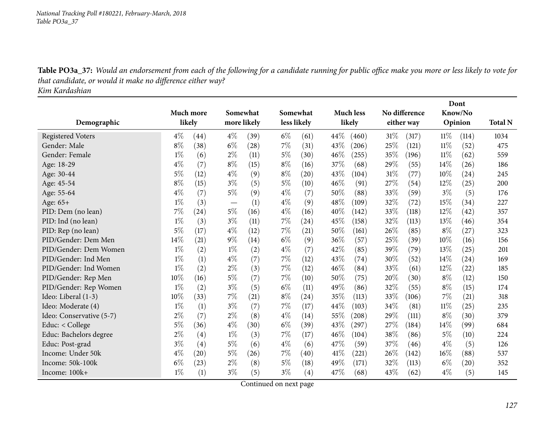Table PO3a\_37: Would an endorsement from each of the following for a candidate running for public office make you more or less likely to vote for *that candidate, or would it make no difference either way?*

*Kim Kardashian*

|                          |       |           |       |             |       |                    |        | Dont             |        |               |         |                    |                |
|--------------------------|-------|-----------|-------|-------------|-------|--------------------|--------|------------------|--------|---------------|---------|--------------------|----------------|
|                          |       | Much more |       | Somewhat    |       | Somewhat           |        | <b>Much less</b> |        | No difference |         | Know/No            |                |
| Demographic              |       | likely    |       | more likely |       | less likely        |        | likely           |        | either way    | Opinion |                    | <b>Total N</b> |
| <b>Registered Voters</b> | $4\%$ | (44)      | $4\%$ | (39)        | $6\%$ | (61)               | 44\%   | (460)            | $31\%$ | (317)         | $11\%$  | (114)              | 1034           |
| Gender: Male             | $8\%$ | (38)      | $6\%$ | (28)        | 7%    | (31)               | 43%    | (206)            | 25%    | (121)         | $11\%$  | (52)               | 475            |
| Gender: Female           | $1\%$ | (6)       | $2\%$ | (11)        | 5%    | (30)               | 46\%   | (255)            | 35%    | (196)         | 11%     | (62)               | 559            |
| Age: 18-29               | $4\%$ | (7)       | $8\%$ | (15)        | $8\%$ | (16)               | 37%    | (68)             | 29%    | (55)          | 14%     | (26)               | 186            |
| Age: 30-44               | $5\%$ | (12)      | $4\%$ | (9)         | $8\%$ | $\left( 20\right)$ | 43%    | (104)            | $31\%$ | (77)          | 10%     | (24)               | 245            |
| Age: 45-54               | $8\%$ | (15)      | $3\%$ | (5)         | $5\%$ | (10)               | 46\%   | (91)             | 27%    | (54)          | 12%     | (25)               | 200            |
| Age: 55-64               | $4\%$ | (7)       | $5\%$ | (9)         | $4\%$ | (7)                | 50%    | (88)             | 33%    | (59)          | $3\%$   | (5)                | 176            |
| Age: 65+                 | $1\%$ | (3)       |       | (1)         | $4\%$ | (9)                | 48%    | (109)            | 32%    | (72)          | 15%     | (34)               | 227            |
| PID: Dem (no lean)       | 7%    | (24)      | $5\%$ | (16)        | $4\%$ | (16)               | 40%    | (142)            | 33%    | (118)         | 12%     | (42)               | 357            |
| PID: Ind (no lean)       | $1\%$ | (3)       | $3\%$ | (11)        | $7\%$ | (24)               | 45%    | (158)            | 32\%   | (113)         | 13%     | (46)               | 354            |
| PID: Rep (no lean)       | $5\%$ | (17)      | $4\%$ | (12)        | 7%    | (21)               | 50%    | (161)            | 26%    | (85)          | $8\%$   | (27)               | 323            |
| PID/Gender: Dem Men      | 14%   | (21)      | $9\%$ | (14)        | $6\%$ | (9)                | 36%    | (57)             | 25%    | (39)          | 10%     | (16)               | 156            |
| PID/Gender: Dem Women    | $1\%$ | (2)       | $1\%$ | (2)         | $4\%$ | (7)                | 42%    | (85)             | 39%    | (79)          | 13%     | (25)               | 201            |
| PID/Gender: Ind Men      | $1\%$ | (1)       | $4\%$ | (7)         | 7%    | (12)               | 43\%   | (74)             | 30%    | (52)          | 14%     | (24)               | 169            |
| PID/Gender: Ind Women    | $1\%$ | (2)       | $2\%$ | (3)         | 7%    | (12)               | 46\%   | (84)             | 33%    | (61)          | 12%     | (22)               | 185            |
| PID/Gender: Rep Men      | 10%   | (16)      | $5\%$ | (7)         | 7%    | (10)               | 50\%   | (75)             | 20%    | (30)          | $8\%$   | (12)               | 150            |
| PID/Gender: Rep Women    | $1\%$ | (2)       | $3\%$ | (5)         | $6\%$ | (11)               | 49%    | (86)             | 32%    | (55)          | $8\%$   | (15)               | 174            |
| Ideo: Liberal (1-3)      | 10%   | (33)      | $7\%$ | (21)        | $8\%$ | (24)               | 35%    | (113)            | 33\%   | (106)         | 7%      | (21)               | 318            |
| Ideo: Moderate (4)       | $1\%$ | (1)       | $3\%$ | (7)         | $7\%$ | (17)               | 44%    | (103)            | 34\%   | (81)          | $11\%$  | (25)               | 235            |
| Ideo: Conservative (5-7) | $2\%$ | (7)       | $2\%$ | (8)         | $4\%$ | (14)               | 55%    | (208)            | 29%    | (111)         | $8\%$   | (30)               | 379            |
| Educ: < College          | 5%    | (36)      | $4\%$ | (30)        | $6\%$ | (39)               | 43%    | (297)            | 27\%   | (184)         | 14%     | (99)               | 684            |
| Educ: Bachelors degree   | $2\%$ | (4)       | $1\%$ | (3)         | 7%    | (17)               | 46%    | (104)            | 38%    | (86)          | 5%      | (10)               | 224            |
| Educ: Post-grad          | $3\%$ | (4)       | $5\%$ | (6)         | $4\%$ | (6)                | 47\%   | (59)             | 37\%   | (46)          | $4\%$   | (5)                | 126            |
| Income: Under 50k        | $4\%$ | (20)      | $5\%$ | (26)        | 7%    | (40)               | 41\%   | (221)            | 26%    | (142)         | 16%     | (88)               | 537            |
| Income: 50k-100k         | $6\%$ | (23)      | $2\%$ | (8)         | 5%    | (18)               | 49%    | (171)            | 32\%   | (113)         | $6\%$   | $\left( 20\right)$ | 352            |
| Income: 100k+            | $1\%$ | (1)       | $3\%$ | (5)         | $3\%$ | (4)                | $47\%$ | (68)             | 43%    | (62)          | $4\%$   | (5)                | 145            |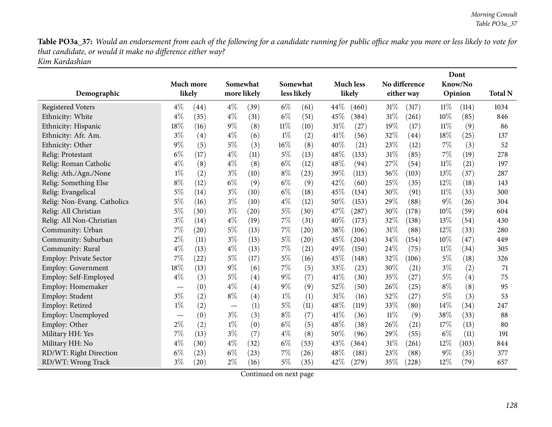Table PO3a\_37: Would an endorsement from each of the following for a candidate running for public office make you more or less likely to vote for *that candidate, or would it make no difference either way? Kim Kardashian*

| Demographic                 |       | Much more<br>likely | Somewhat<br>more likely |      | Somewhat<br>less likely |      | <b>Much less</b><br>likely |       | No difference<br>either way |            | Dont<br>Know/No<br>Opinion |       | <b>Total N</b> |
|-----------------------------|-------|---------------------|-------------------------|------|-------------------------|------|----------------------------|-------|-----------------------------|------------|----------------------------|-------|----------------|
| <b>Registered Voters</b>    | $4\%$ | (44)                | $4\%$                   | (39) | $6\%$                   | (61) | 44\%                       | (460) | 31%                         | (317)      | 11%                        | (114) | 1034           |
| Ethnicity: White            | $4\%$ | (35)                | $4\%$                   | (31) | $6\%$                   | (51) | 45%                        | (384) | 31%                         | (261)      | 10%                        | (85)  | 846            |
| Ethnicity: Hispanic         | 18%   | (16)                | $9\%$                   | (8)  | $11\%$                  | (10) | $31\%$                     | (27)  | 19%                         | (17)       | $11\%$                     | (9)   | 86             |
| Ethnicity: Afr. Am.         | $3\%$ | (4)                 | $4\%$                   | (6)  | $1\%$                   | (2)  | 41\%                       | (56)  | 32%                         | (44)       | 18%                        | (25)  | 137            |
| Ethnicity: Other            | $9\%$ | (5)                 | $5\%$                   | (3)  | 16%                     | (8)  | 40%                        | (21)  | 23%                         | (12)       | 7%                         | (3)   | 52             |
| Relig: Protestant           | $6\%$ | (17)                | $4\%$                   | (11) | $5\%$                   | (13) | 48\%                       | (133) | $31\%$                      | (85)       | $7\%$                      | (19)  | 278            |
| Relig: Roman Catholic       | $4\%$ | (8)                 | $4\%$                   | (8)  | $6\%$                   | (12) | 48%                        | (94)  | 27%                         | (54)       | $11\%$                     | (21)  | 197            |
| Relig: Ath./Agn./None       | $1\%$ | (2)                 | $3\%$                   | (10) | $8\%$                   | (23) | 39%                        | (113) | 36%                         | (103)      | 13%                        | (37)  | 287            |
| Relig: Something Else       | $8\%$ | (12)                | $6\%$                   | (9)  | $6\%$                   | (9)  | 42%                        | (60)  | 25%                         | (35)       | 12%                        | (18)  | 143            |
| Relig: Evangelical          | 5%    | (14)                | $3\%$                   | (10) | $6\%$                   | (18) | 45%                        | (134) | 30%                         | (91)       | $11\%$                     | (33)  | 300            |
| Relig: Non-Evang. Catholics | 5%    | (16)                | $3\%$                   | (10) | $4\%$                   | (12) | 50%                        | (153) | 29%                         | (88)       | $9\%$                      | (26)  | 304            |
| Relig: All Christian        | 5%    | (30)                | $3\%$                   | (20) | 5%                      | (30) | 47\%                       | (287) | 30%                         | (178)      | $10\%$                     | (59)  | 604            |
| Relig: All Non-Christian    | $3\%$ | (14)                | $4\%$                   | (19) | 7%                      | (31) | 40%                        | (173) | 32%                         | (138)      | 13%                        | (54)  | 430            |
| Community: Urban            | $7\%$ | (20)                | $5\%$                   | (13) | 7%                      | (20) | 38%                        | (106) | 31%                         | (88)       | 12%                        | (33)  | 280            |
| Community: Suburban         | $2\%$ | (11)                | $3\%$                   | (13) | $5\%$                   | (20) | 45%                        | (204) | 34%                         | (154)      | 10%                        | (47)  | 449            |
| Community: Rural            | $4\%$ | (13)                | $4\%$                   | (13) | 7%                      | (21) | 49%                        | (150) | 24%                         | (75)       | $11\%$                     | (34)  | 305            |
| Employ: Private Sector      | 7%    | (22)                | $5\%$                   | (17) | 5%                      | (16) | 45%                        | (148) | 32%                         | (106)      | $5\%$                      | (18)  | 326            |
| <b>Employ: Government</b>   | 18%   | (13)                | $9\%$                   | (6)  | $7\%$                   | (5)  | 33%                        | (23)  | 30%                         | (21)       | $3\%$                      | (2)   | 71             |
| Employ: Self-Employed       | $4\%$ | (3)                 | $5\%$                   | (4)  | $9\%$                   | (7)  | 41\%                       | (30)  | 35%                         | (27)       | $5\%$                      | (4)   | 75             |
| Employ: Homemaker           |       | (0)                 | $4\%$                   | (4)  | $9\%$                   | (9)  | $52\%$                     | (50)  | 26\%                        | (25)       | $8\%$                      | (8)   | 95             |
| Employ: Student             | $3\%$ | (2)                 | $8\%$                   | (4)  | $1\%$                   | (1)  | $31\%$                     | (16)  | 52%                         | (27)       | $5\%$                      | (3)   | 53             |
| Employ: Retired             | $1\%$ | (2)                 |                         | (1)  | $5\%$                   | (11) | 48%                        | (119) | 33%                         | (80)       | 14%                        | (34)  | 247            |
| Employ: Unemployed          |       | (0)                 | $3\%$                   | (3)  | $8\%$                   | (7)  | 41\%                       | (36)  | $11\%$                      | (9)        | 38%                        | (33)  | 88             |
| Employ: Other               | $2\%$ | (2)                 | $1\%$                   | (0)  | $6\%$                   | (5)  | 48\%                       | (38)  | 26\%                        | (21)       | 17%                        | (13)  | 80             |
| Military HH: Yes            | 7%    | (13)                | $3\%$                   | (7)  | $4\%$                   | (8)  | 50%                        | (96)  | 29%                         | (55)       | $6\%$                      | (11)  | 191            |
| Military HH: No             | $4\%$ | (30)                | $4\%$                   | (32) | $6\%$                   | (53) | 43%                        | (364) | 31%                         | (261)      | 12%                        | (103) | 844            |
| RD/WT: Right Direction      | $6\%$ | (23)                | $6\%$                   | (23) | 7%                      | (26) | 48%                        | (181) | 23%                         | (88)       | $9\%$                      | (35)  | 377            |
| RD/WT: Wrong Track          | $3\%$ | $\left( 20\right)$  | $2\%$                   | (16) | $5\%$                   | (35) | 42%                        | (279) | 35%                         | $^{'}228)$ | 12%                        | (79)  | 657            |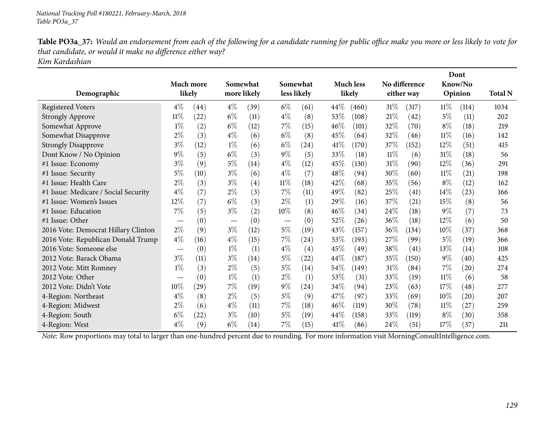Table PO3a\_37: Would an endorsement from each of the following for a candidate running for public office make you more or less likely to vote for *that candidate, or would it make no difference either way? Kim Kardashian*

| Demographic                          | Much more                     | likely | Somewhat<br>more likely         |      |                                 | Somewhat<br>less likely |      | <b>Much less</b><br>likely |        | No difference<br>either way |        | Dont<br>Know/No<br>Opinion | <b>Total N</b> |
|--------------------------------------|-------------------------------|--------|---------------------------------|------|---------------------------------|-------------------------|------|----------------------------|--------|-----------------------------|--------|----------------------------|----------------|
| <b>Registered Voters</b>             | $4\%$                         | (44)   | $4\%$                           | (39) | $6\%$                           | (61)                    | 44\% | (460)                      | $31\%$ | (317)                       | $11\%$ | (114)                      | 1034           |
| <b>Strongly Approve</b>              | 11%                           | (22)   | $6\%$                           | (11) | $4\%$                           | (8)                     | 53\% | (108)                      | 21%    | (42)                        | 5%     | (11)                       | 202            |
| Somewhat Approve                     | $1\%$                         | (2)    | $6\%$                           | (12) | $7\%$                           | (15)                    | 46%  | (101)                      | 32%    | (70)                        | $8\%$  | (18)                       | 219            |
| Somewhat Disapprove                  | $2\%$                         | (3)    | $4\%$                           | (6)  | $6\%$                           | (8)                     | 45%  | (64)                       | 32%    | (46)                        | $11\%$ | (16)                       | 142            |
| <b>Strongly Disapprove</b>           | $3\%$                         | (12)   | $1\%$                           | (6)  | $6\%$                           | (24)                    | 41\% | (170)                      | 37%    | (152)                       | 12%    | (51)                       | 415            |
| Dont Know / No Opinion               | 9%                            | (5)    | $6\%$                           | (3)  | $9\%$                           | (5)                     | 33%  | (18)                       | $11\%$ | (6)                         | 31%    | (18)                       | 56             |
| #1 Issue: Economy                    | $3\%$                         | (9)    | $5\%$                           | (14) | $4\%$                           | (12)                    | 45\% | (130)                      | $31\%$ | (90)                        | $12\%$ | (36)                       | 291            |
| #1 Issue: Security                   | 5%                            | (10)   | $3\%$                           | (6)  | $4\%$                           | (7)                     | 48%  | (94)                       | 30%    | (60)                        | $11\%$ | (21)                       | 198            |
| #1 Issue: Health Care                | $2\%$                         | (3)    | $3\%$                           | (4)  | $11\%$                          | (18)                    | 42\% | (68)                       | 35\%   | (56)                        | $8\%$  | (12)                       | 162            |
| #1 Issue: Medicare / Social Security | $4\%$                         | (7)    | $2\%$                           | (3)  | $7\%$                           | (11)                    | 49%  | (82)                       | 25%    | (41)                        | 14%    | (23)                       | 166            |
| #1 Issue: Women's Issues             | 12%                           | (7)    | $6\%$                           | (3)  | $2\%$                           | (1)                     | 29%  | (16)                       | 37\%   | (21)                        | 15%    | (8)                        | 56             |
| #1 Issue: Education                  | 7%                            | (5)    | $3\%$                           | (2)  | $10\%$                          | (8)                     | 46\% | (34)                       | 24\%   | (18)                        | $9\%$  | (7)                        | 73             |
| #1 Issue: Other                      | $\overbrace{\phantom{13333}}$ | (0)    | $\hspace{0.1mm}-\hspace{0.1mm}$ | (0)  | $\hspace{0.1mm}-\hspace{0.1mm}$ | (0)                     | 52%  | (26)                       | 36\%   | (18)                        | 12%    | (6)                        | 50             |
| 2016 Vote: Democrat Hillary Clinton  | $2\%$                         | (9)    | $3\%$                           | (12) | $5\%$                           | (19)                    | 43%  | (157)                      | 36%    | (134)                       | 10%    | (37)                       | 368            |
| 2016 Vote: Republican Donald Trump   | $4\%$                         | (16)   | $4\%$                           | (15) | $7\%$                           | (24)                    | 53%  | (193)                      | 27\%   | (99)                        | $5\%$  | (19)                       | 366            |
| 2016 Vote: Someone else              |                               | (0)    | $1\%$                           | (1)  | $4\%$                           | $\left( 4\right)$       | 45%  | (49)                       | 38%    | (41)                        | 13\%   | (14)                       | 108            |
| 2012 Vote: Barack Obama              | $3\%$                         | (11)   | $3\%$                           | (14) | $5\%$                           | (22)                    | 44\% | (187)                      | 35%    | (150)                       | $9\%$  | (40)                       | 425            |
| 2012 Vote: Mitt Romney               | $1\%$                         | (3)    | $2\%$                           | (5)  | $5\%$                           | (14)                    | 54\% | (149)                      | 31%    | (84)                        | $7\%$  | (20)                       | 274            |
| 2012 Vote: Other                     |                               | (0)    | $1\%$                           | (1)  | $2\%$                           | (1)                     | 53%  | (31)                       | 33\%   | (19)                        | $11\%$ | (6)                        | 58             |
| 2012 Vote: Didn't Vote               | 10%                           | (29)   | 7%                              | (19) | $9\%$                           | (24)                    | 34\% | (94)                       | 23\%   | (63)                        | 17\%   | $\left( 48\right)$         | 277            |
| 4-Region: Northeast                  | $4\%$                         | (8)    | $2\%$                           | (5)  | $5\%$                           | (9)                     | 47\% | (97)                       | 33\%   | (69)                        | $10\%$ | (20)                       | 207            |
| 4-Region: Midwest                    | $2\%$                         | (6)    | $4\%$                           | (11) | $7\%$                           | (18)                    | 46%  | (119)                      | 30\%   | (78)                        | $11\%$ | (27)                       | 259            |
| 4-Region: South                      | $6\%$                         | (22)   | $3\%$                           | (10) | $5\%$                           | (19)                    | 44%  | (158)                      | 33%    | (119)                       | $8\%$  | (30)                       | 358            |
| 4-Region: West                       | $4\%$                         | (9)    | $6\%$                           | (14) | 7%                              | (15)                    | 41\% | (86)                       | 24\%   | (51)                        | 17\%   | (37)                       | 211            |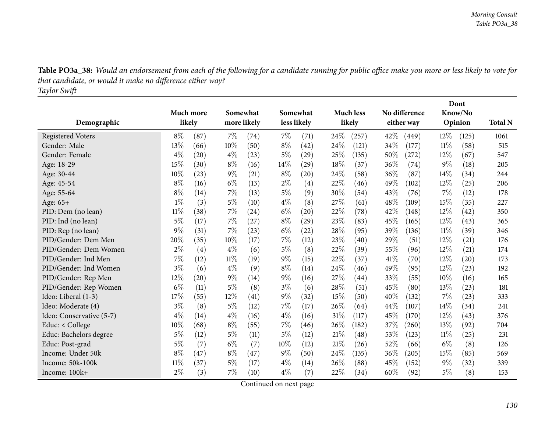| Table PO3a_38: Would an endorsement from each of the following for a candidate running for public office make you more or less likely to vote for |
|---------------------------------------------------------------------------------------------------------------------------------------------------|
| that candidate, or would it make no difference either way?                                                                                        |
| Taylor Swift                                                                                                                                      |

|                          |           |      |       |             |        |                    |      |                  | Dont       |               |         |         |                |
|--------------------------|-----------|------|-------|-------------|--------|--------------------|------|------------------|------------|---------------|---------|---------|----------------|
|                          | Much more |      |       | Somewhat    |        | Somewhat           |      | <b>Much less</b> |            | No difference |         | Know/No |                |
| Demographic              | likely    |      |       | more likely |        | less likely        |      | likely           | either way |               | Opinion |         | <b>Total N</b> |
| <b>Registered Voters</b> | $8\%$     | (87) | 7%    | (74)        | $7\%$  | (71)               | 24%  | (257)            | 42\%       | (449)         | 12%     | (125)   | 1061           |
| Gender: Male             | 13%       | (66) | 10%   | (50)        | $8\%$  | (42)               | 24\% | (121)            | 34%        | (177)         | $11\%$  | (58)    | 515            |
| Gender: Female           | $4\%$     | (20) | $4\%$ | (23)        | $5\%$  | (29)               | 25%  | (135)            | 50%        | (272)         | 12%     | (67)    | 547            |
| Age: 18-29               | 15%       | (30) | $8\%$ | (16)        | $14\%$ | $\left( 29\right)$ | 18%  | (37)             | 36\%       | (74)          | $9\%$   | (18)    | 205            |
| Age: 30-44               | 10%       | (23) | $9\%$ | (21)        | $8\%$  | $\left( 20\right)$ | 24%  | (58)             | 36%        | (87)          | 14\%    | (34)    | 244            |
| Age: 45-54               | $8\%$     | (16) | $6\%$ | (13)        | $2\%$  | $\left( 4\right)$  | 22%  | (46)             | 49%        | (102)         | $12\%$  | (25)    | 206            |
| Age: 55-64               | $8\%$     | (14) | 7%    | (13)        | $5\%$  | (9)                | 30%  | (54)             | 43%        | (76)          | 7%      | (12)    | 178            |
| Age: 65+                 | $1\%$     | (3)  | $5\%$ | (10)        | $4\%$  | (8)                | 27\% | (61)             | 48%        | (109)         | 15%     | (35)    | 227            |
| PID: Dem (no lean)       | $11\%$    | (38) | $7\%$ | (24)        | $6\%$  | (20)               | 22%  | (78)             | 42\%       | (148)         | 12%     | (42)    | 350            |
| PID: Ind (no lean)       | $5\%$     | (17) | 7%    | (27)        | $8\%$  | (29)               | 23%  | (83)             | 45%        | (165)         | 12%     | (43)    | 365            |
| PID: Rep (no lean)       | 9%        | (31) | 7%    | (23)        | $6\%$  | (22)               | 28%  | (95)             | 39%        | (136)         | 11%     | (39)    | 346            |
| PID/Gender: Dem Men      | 20%       | (35) | 10%   | (17)        | 7%     | (12)               | 23%  | (40)             | 29%        | (51)          | 12%     | (21)    | 176            |
| PID/Gender: Dem Women    | $2\%$     | (4)  | $4\%$ | (6)         | $5\%$  | (8)                | 22%  | (39)             | 55%        | (96)          | 12%     | (21)    | 174            |
| PID/Gender: Ind Men      | 7%        | (12) | 11%   | (19)        | $9\%$  | (15)               | 22%  | (37)             | 41\%       | (70)          | 12%     | (20)    | 173            |
| PID/Gender: Ind Women    | $3\%$     | (6)  | $4\%$ | (9)         | $8\%$  | (14)               | 24%  | (46)             | 49%        | (95)          | 12%     | (23)    | 192            |
| PID/Gender: Rep Men      | 12%       | (20) | $9\%$ | (14)        | $9\%$  | (16)               | 27%  | (44)             | 33%        | (55)          | 10%     | (16)    | 165            |
| PID/Gender: Rep Women    | $6\%$     | (11) | $5\%$ | (8)         | $3\%$  | (6)                | 28%  | (51)             | 45\%       | (80)          | 13%     | (23)    | 181            |
| Ideo: Liberal (1-3)      | 17%       | (55) | 12%   | (41)        | $9\%$  | (32)               | 15%  | (50)             | 40%        | (132)         | 7%      | (23)    | 333            |
| Ideo: Moderate (4)       | $3\%$     | (8)  | $5\%$ | (12)        | $7\%$  | (17)               | 26%  | (64)             | 44%        | (107)         | 14\%    | (34)    | 241            |
| Ideo: Conservative (5-7) | $4\%$     | (14) | $4\%$ | (16)        | $4\%$  | (16)               | 31%  | (117)            | 45%        | (170)         | 12%     | (43)    | 376            |
| Educ: < College          | 10%       | (68) | $8\%$ | (55)        | $7\%$  | (46)               | 26%  | (182)            | 37%        | (260)         | 13%     | (92)    | 704            |
| Educ: Bachelors degree   | $5\%$     | (12) | $5\%$ | (11)        | 5%     | (12)               | 21%  | (48)             | 53%        | (123)         | 11%     | (25)    | 231            |
| Educ: Post-grad          | $5\%$     | (7)  | $6\%$ | (7)         | 10%    | (12)               | 21%  | (26)             | 52%        | (66)          | $6\%$   | (8)     | 126            |
| Income: Under 50k        | $8\%$     | (47) | $8\%$ | (47)        | $9\%$  | (50)               | 24%  | (135)            | 36%        | (205)         | 15%     | (85)    | 569            |
| Income: 50k-100k         | 11%       | (37) | 5%    | (17)        | $4\%$  | (14)               | 26%  | (88)             | 45\%       | (152)         | $9\%$   | (32)    | 339            |
| Income: 100k+            | 2%        | (3)  | 7%    | (10)        | $4\%$  | (7)                | 22%  | (34)             | 60%        | (92)          | $5\%$   | (8)     | 153            |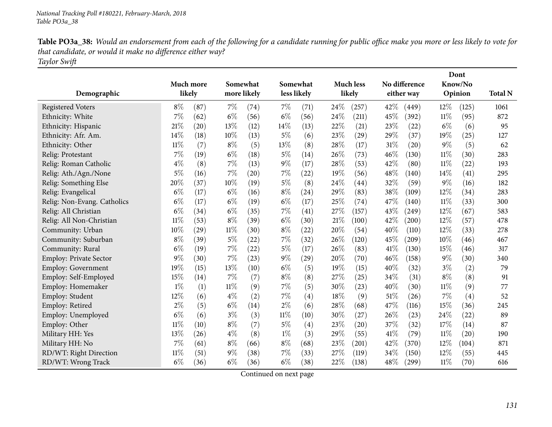| Table PO3a_38: Would an endorsement from each of the following for a candidate running for public office make you more or less likely to vote for |
|---------------------------------------------------------------------------------------------------------------------------------------------------|
| that candidate, or would it make no difference either way?                                                                                        |
| Taylor Swift                                                                                                                                      |

| Demographic                   | Much more<br>likely |      |        | Somewhat<br>more likely |        | Somewhat<br>less likely |        | <b>Much less</b><br>likely |      | No difference<br>either way |        | Dont<br>Know/No<br>Opinion | <b>Total N</b> |
|-------------------------------|---------------------|------|--------|-------------------------|--------|-------------------------|--------|----------------------------|------|-----------------------------|--------|----------------------------|----------------|
| <b>Registered Voters</b>      | $8\%$               | (87) | $7\%$  | (74)                    | $7\%$  | (71)                    | 24%    | (257)                      | 42%  | (449)                       | 12\%   | (125)                      | 1061           |
| Ethnicity: White              | 7%                  | (62) | $6\%$  | (56)                    | $6\%$  | (56)                    | 24%    | (211)                      | 45%  | (392)                       | $11\%$ | (95)                       | 872            |
| Ethnicity: Hispanic           | 21%                 | (20) | 13%    | (12)                    | $14\%$ | (13)                    | 22%    | (21)                       | 23%  | (22)                        | $6\%$  | (6)                        | 95             |
| Ethnicity: Afr. Am.           | 14%                 | (18) | 10%    | (13)                    | $5\%$  | (6)                     | 23\%   | (29)                       | 29%  | (37)                        | 19%    | (25)                       | 127            |
| Ethnicity: Other              | $11\%$              | (7)  | $8\%$  | (5)                     | 13%    | (8)                     | $28\%$ | (17)                       | 31%  | (20)                        | $9\%$  | (5)                        | 62             |
| Relig: Protestant             | 7%                  | (19) | $6\%$  | (18)                    | $5\%$  | (14)                    | 26%    | (73)                       | 46%  | (130)                       | $11\%$ | (30)                       | 283            |
| Relig: Roman Catholic         | $4\%$               | (8)  | 7%     | (13)                    | $9\%$  | (17)                    | 28\%   | (53)                       | 42%  | (80)                        | 11%    | (22)                       | 193            |
| Relig: Ath./Agn./None         | 5%                  | (16) | 7%     | (20)                    | 7%     | (22)                    | 19%    | (56)                       | 48%  | (140)                       | 14%    | (41)                       | 295            |
| Relig: Something Else         | $20\%$              | (37) | 10%    | (19)                    | $5\%$  | (8)                     | 24%    | (44)                       | 32%  | (59)                        | $9\%$  | (16)                       | 182            |
| Relig: Evangelical            | $6\%$               | (17) | $6\%$  | (16)                    | $8\%$  | (24)                    | 29%    | (83)                       | 38%  | (109)                       | 12%    | (34)                       | 283            |
| Relig: Non-Evang. Catholics   | $6\%$               | (17) | $6\%$  | (19)                    | $6\%$  | (17)                    | 25%    | (74)                       | 47%  | (140)                       | $11\%$ | (33)                       | 300            |
| Relig: All Christian          | $6\%$               | (34) | $6\%$  | (35)                    | $7\%$  | (41)                    | 27%    | (157)                      | 43%  | (249)                       | 12%    | (67)                       | 583            |
| Relig: All Non-Christian      | $11\%$              | (53) | $8\%$  | (39)                    | $6\%$  | (30)                    | 21%    | (100)                      | 42%  | (200)                       | 12%    | (57)                       | 478            |
| Community: Urban              | 10%                 | (29) | $11\%$ | (30)                    | $8\%$  | (22)                    | 20%    | (54)                       | 40%  | (110)                       | 12%    | (33)                       | 278            |
| Community: Suburban           | 8%                  | (39) | $5\%$  | (22)                    | 7%     | (32)                    | 26%    | (120)                      | 45%  | (209)                       | 10%    | (46)                       | 467            |
| Community: Rural              | $6\%$               | (19) | 7%     | (22)                    | $5\%$  | (17)                    | 26%    | (83)                       | 41%  | (130)                       | 15%    | (46)                       | 317            |
| <b>Employ: Private Sector</b> | 9%                  | (30) | 7%     | (23)                    | $9\%$  | (29)                    | 20%    | (70)                       | 46%  | (158)                       | $9\%$  | (30)                       | 340            |
| Employ: Government            | 19%                 | (15) | 13%    | (10)                    | $6\%$  | (5)                     | 19%    | (15)                       | 40%  | (32)                        | $3\%$  | (2)                        | 79             |
| Employ: Self-Employed         | 15%                 | (14) | 7%     | (7)                     | $8\%$  | (8)                     | 27%    | (25)                       | 34%  | (31)                        | $8\%$  | (8)                        | 91             |
| Employ: Homemaker             | $1\%$               | (1)  | $11\%$ | (9)                     | $7\%$  | (5)                     | 30%    | (23)                       | 40%  | (30)                        | $11\%$ | (9)                        | 77             |
| Employ: Student               | 12%                 | (6)  | $4\%$  | (2)                     | $7\%$  | (4)                     | 18%    | (9)                        | 51\% | (26)                        | 7%     | (4)                        | 52             |
| Employ: Retired               | $2\%$               | (5)  | $6\%$  | (14)                    | $2\%$  | (6)                     | 28%    | (68)                       | 47%  | (116)                       | 15%    | (36)                       | 245            |
| Employ: Unemployed            | $6\%$               | (6)  | $3\%$  | (3)                     | $11\%$ | (10)                    | 30%    | (27)                       | 26\% | (23)                        | 24%    | (22)                       | 89             |
| Employ: Other                 | $11\%$              | (10) | $8\%$  | (7)                     | $5\%$  | (4)                     | 23%    | (20)                       | 37%  | (32)                        | 17%    | (14)                       | 87             |
| Military HH: Yes              | 13%                 | (26) | $4\%$  | (8)                     | $1\%$  | (3)                     | 29%    | (55)                       | 41\% | (79)                        | 11%    | (20)                       | 190            |
| Military HH: No               | 7%                  | (61) | $8\%$  | (66)                    | $8\%$  | (68)                    | 23%    | (201)                      | 42%  | (370)                       | 12%    | (104)                      | 871            |
| RD/WT: Right Direction        | $11\%$              | (51) | $9\%$  | (38)                    | 7%     | (33)                    | 27%    | (119)                      | 34%  | (150)                       | 12%    | (55)                       | 445            |
| RD/WT: Wrong Track            | $6\%$               | (36) | $6\%$  | (36)                    | $6\%$  | (38)                    | 22\%   | (138)                      | 48%  | (299)                       | $11\%$ | (70)                       | 616            |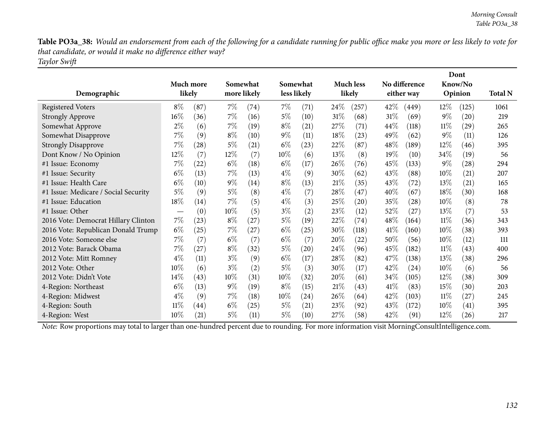Table PO3a\_38: Would an endorsement from each of the following for a candidate running for public office make you more or less likely to vote for *that candidate, or would it make no difference either way? Taylor Swift*

| Demographic                          |        | Much more<br>likely |        | Somewhat<br>more likely |        | Somewhat<br>less likely |        | <b>Much less</b><br>likely |        | No difference<br>either way |        | Dont<br>Know/No<br>Opinion | <b>Total N</b> |
|--------------------------------------|--------|---------------------|--------|-------------------------|--------|-------------------------|--------|----------------------------|--------|-----------------------------|--------|----------------------------|----------------|
| <b>Registered Voters</b>             | $8\%$  | (87)                | $7\%$  | (74)                    | $7\%$  | (71)                    | 24\%   | (257)                      | $42\%$ | (449)                       | $12\%$ | (125)                      | 1061           |
| <b>Strongly Approve</b>              | $16\%$ | (36)                | $7\%$  | (16)                    | $5\%$  | (10)                    | $31\%$ | (68)                       | $31\%$ | (69)                        | $9\%$  | (20)                       | 219            |
| Somewhat Approve                     | $2\%$  | (6)                 | $7\%$  | (19)                    | $8\%$  | (21)                    | $27\%$ | (71)                       | 44\%   | (118)                       | $11\%$ | $\left( 29\right)$         | 265            |
| Somewhat Disapprove                  | 7%     | (9)                 | $8\%$  | (10)                    | $9\%$  | (11)                    | 18\%   | (23)                       | 49%    | (62)                        | $9\%$  | (11)                       | 126            |
| <b>Strongly Disapprove</b>           | 7%     | (28)                | 5%     | (21)                    | $6\%$  | (23)                    | 22%    | (87)                       | 48\%   | (189)                       | $12\%$ | (46)                       | 395            |
| Dont Know / No Opinion               | 12\%   | (7)                 | 12\%   | (7)                     | 10%    | (6)                     | $13\%$ | (8)                        | $19\%$ | (10)                        | 34\%   | (19)                       | 56             |
| #1 Issue: Economy                    | 7%     | (22)                | $6\%$  | (18)                    | $6\%$  | (17)                    | $26\%$ | (76)                       | 45\%   | (133)                       | $9\%$  | (28)                       | 294            |
| #1 Issue: Security                   | $6\%$  | (13)                | $7\%$  | (13)                    | $4\%$  | (9)                     | 30\%   | (62)                       | 43\%   | (88)                        | $10\%$ | (21)                       | 207            |
| #1 Issue: Health Care                | $6\%$  | (10)                | $9\%$  | (14)                    | $8\%$  | (13)                    | 21%    | (35)                       | 43%    | $\left( 72\right)$          | 13\%   | (21)                       | 165            |
| #1 Issue: Medicare / Social Security | $5\%$  | (9)                 | $5\%$  | (8)                     | $4\%$  | (7)                     | 28\%   | (47)                       | 40%    | (67)                        | $18\%$ | (30)                       | 168            |
| #1 Issue: Education                  | 18%    | (14)                | 7%     | (5)                     | $4\%$  | (3)                     | 25\%   | (20)                       | 35%    | $\left( 28\right)$          | $10\%$ | (8)                        | 78             |
| #1 Issue: Other                      |        | (0)                 | $10\%$ | (5)                     | $3\%$  | (2)                     | 23\%   | (12)                       | 52\%   | (27)                        | 13\%   | (7)                        | 53             |
| 2016 Vote: Democrat Hillary Clinton  | $7\%$  | (23)                | $8\%$  | (27)                    | $5\%$  | (19)                    | 22\%   | (74)                       | 48%    | (164)                       | $11\%$ | (36)                       | 343            |
| 2016 Vote: Republican Donald Trump   | $6\%$  | (25)                | $7\%$  | (27)                    | $6\%$  | (25)                    | 30\%   | (118)                      | 41\%   | (160)                       | 10%    | (38)                       | 393            |
| 2016 Vote: Someone else              | 7%     | (7)                 | $6\%$  | (7)                     | $6\%$  | (7)                     | 20%    | (22)                       | 50%    | (56)                        | $10\%$ | (12)                       | 111            |
| 2012 Vote: Barack Obama              | $7\%$  | (27)                | $8\%$  | (32)                    | $5\%$  | (20)                    | 24%    | (96)                       | 45\%   | (182)                       | $11\%$ | (43)                       | 400            |
| 2012 Vote: Mitt Romney               | $4\%$  | (11)                | $3\%$  | (9)                     | $6\%$  | (17)                    | 28\%   | (82)                       | 47%    | (138)                       | 13\%   | (38)                       | 296            |
| 2012 Vote: Other                     | 10%    | (6)                 | $3\%$  | (2)                     | $5\%$  | (3)                     | 30%    | (17)                       | 42\%   | (24)                        | $10\%$ | (6)                        | 56             |
| 2012 Vote: Didn't Vote               | 14\%   | (43)                | $10\%$ | (31)                    | $10\%$ | (32)                    | 20%    | (61)                       | 34\%   | (105)                       | 12%    | (38)                       | 309            |
| 4-Region: Northeast                  | $6\%$  | (13)                | $9\%$  | (19)                    | $8\%$  | (15)                    | 21%    | (43)                       | 41%    | (83)                        | 15\%   | (30)                       | 203            |
| 4-Region: Midwest                    | $4\%$  | (9)                 | $7\%$  | (18)                    | $10\%$ | (24)                    | 26\%   | (64)                       | 42\%   | (103)                       | $11\%$ | (27)                       | 245            |
| 4-Region: South                      | $11\%$ | $\left( 44\right)$  | $6\%$  | (25)                    | $5\%$  | (21)                    | $23\%$ | (92)                       | 43\%   | (172)                       | $10\%$ | (41)                       | 395            |
| 4-Region: West                       | 10%    | (21)                | $5\%$  | (11)                    | 5%     | (10)                    | 27\%   | (58)                       | 42\%   | (91)                        | $12\%$ | (26)                       | 217            |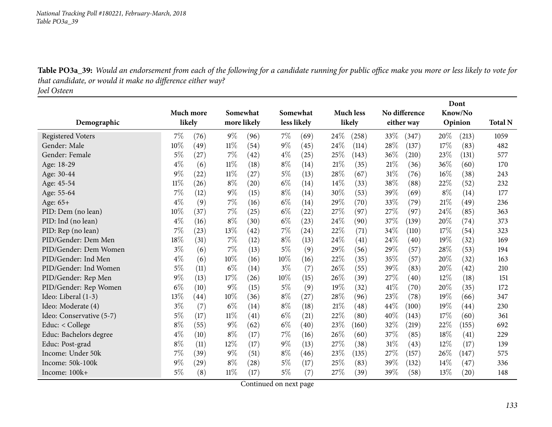Table PO3a\_39: Would an endorsement from each of the following for a candidate running for public office make you more or less likely to vote for *that candidate, or would it make no difference either way?*

*Joel Osteen*

|                          |           |      |        |             |             |          |      | Dont               |        |               |         |         |                |
|--------------------------|-----------|------|--------|-------------|-------------|----------|------|--------------------|--------|---------------|---------|---------|----------------|
|                          | Much more |      |        | Somewhat    |             | Somewhat |      | <b>Much less</b>   |        | No difference |         | Know/No |                |
| Demographic              | likely    |      |        | more likely | less likely |          |      | likely             |        | either way    | Opinion |         | <b>Total N</b> |
| <b>Registered Voters</b> | $7\%$     | (76) | $9\%$  | (96)        | $7\%$       | (69)     | 24%  | (258)              | 33\%   | (347)         | 20%     | (213)   | 1059           |
| Gender: Male             | 10%       | (49) | $11\%$ | (54)        | $9\%$       | (45)     | 24%  | (114)              | 28%    | (137)         | 17%     | (83)    | 482            |
| Gender: Female           | $5\%$     | (27) | 7%     | (42)        | $4\%$       | (25)     | 25%  | (143)              | 36%    | (210)         | 23\%    | (131)   | 577            |
| Age: 18-29               | $4\%$     | (6)  | $11\%$ | (18)        | $8\%$       | (14)     | 21%  | (35)               | 21\%   | (36)          | 36%     | (60)    | 170            |
| Age: 30-44               | $9\%$     | (22) | $11\%$ | (27)        | $5\%$       | (13)     | 28%  | (67)               | 31%    | (76)          | 16%     | (38)    | 243            |
| Age: 45-54               | $11\%$    | (26) | $8\%$  | (20)        | $6\%$       | (14)     | 14%  | (33)               | 38%    | (88)          | 22%     | (52)    | 232            |
| Age: 55-64               | 7%        | (12) | $9\%$  | (15)        | $8\%$       | (14)     | 30%  | (53)               | 39%    | (69)          | $8\%$   | (14)    | 177            |
| Age: 65+                 | $4\%$     | (9)  | $7\%$  | (16)        | $6\%$       | (14)     | 29%  | (70)               | 33%    | (79)          | 21%     | (49)    | 236            |
| PID: Dem (no lean)       | 10%       | (37) | 7%     | (25)        | $6\%$       | (22)     | 27\% | (97)               | 27%    | (97)          | 24%     | (85)    | 363            |
| PID: Ind (no lean)       | $4\%$     | (16) | $8\%$  | (30)        | $6\%$       | (23)     | 24%  | (90)               | 37%    | (139)         | 20%     | (74)    | 373            |
| PID: Rep (no lean)       | 7%        | (23) | 13%    | (42)        | $7\%$       | (24)     | 22%  | (71)               | 34%    | (110)         | 17%     | (54)    | 323            |
| PID/Gender: Dem Men      | 18%       | (31) | $7\%$  | (12)        | $8\%$       | (13)     | 24\% | $\left( 41\right)$ | 24\%   | (40)          | 19%     | (32)    | 169            |
| PID/Gender: Dem Women    | $3\%$     | (6)  | 7%     | (13)        | 5%          | (9)      | 29%  | (56)               | 29%    | (57)          | 28%     | (53)    | 194            |
| PID/Gender: Ind Men      | $4\%$     | (6)  | 10%    | (16)        | 10%         | (16)     | 22%  | (35)               | 35%    | (57)          | 20%     | (32)    | 163            |
| PID/Gender: Ind Women    | $5\%$     | (11) | $6\%$  | (14)        | $3\%$       | (7)      | 26%  | (55)               | 39%    | (83)          | 20%     | (42)    | 210            |
| PID/Gender: Rep Men      | $9\%$     | (13) | 17%    | (26)        | 10%         | (15)     | 26\% | (39)               | 27%    | (40)          | 12%     | (18)    | 151            |
| PID/Gender: Rep Women    | $6\%$     | (10) | $9\%$  | (15)        | $5\%$       | (9)      | 19%  | (32)               | 41\%   | (70)          | 20%     | (35)    | 172            |
| Ideo: Liberal (1-3)      | 13%       | (44) | 10%    | (36)        | $8\%$       | (27)     | 28%  | (96)               | 23%    | (78)          | 19%     | (66)    | 347            |
| Ideo: Moderate (4)       | $3\%$     | (7)  | $6\%$  | (14)        | $8\%$       | (18)     | 21%  | (48)               | 44\%   | (100)         | 19%     | (44)    | 230            |
| Ideo: Conservative (5-7) | 5%        | (17) | $11\%$ | (41)        | $6\%$       | (21)     | 22%  | (80)               | 40%    | (143)         | 17%     | (60)    | 361            |
| Educ: < College          | $8\%$     | (55) | $9\%$  | (62)        | $6\%$       | (40)     | 23%  | (160)              | 32\%   | (219)         | 22%     | (155)   | 692            |
| Educ: Bachelors degree   | $4\%$     | (10) | $8\%$  | (17)        | $7\%$       | (16)     | 26%  | (60)               | 37%    | (85)          | 18%     | (41)    | 229            |
| Educ: Post-grad          | $8\%$     | (11) | 12%    | (17)        | $9\%$       | (13)     | 27%  | (38)               | $31\%$ | (43)          | 12%     | (17)    | 139            |
| Income: Under 50k        | 7%        | (39) | $9\%$  | (51)        | $8\%$       | (46)     | 23%  | (135)              | 27%    | (157)         | 26%     | (147)   | 575            |
| Income: 50k-100k         | 9%        | (29) | $8\%$  | (28)        | $5\%$       | (17)     | 25%  | (83)               | 39\%   | (132)         | 14\%    | (47)    | 336            |
| Income: 100k+            | $5\%$     | (8)  | $11\%$ | (17)        | $5\%$       | (7)      | 27\% | (39)               | 39%    | (58)          | 13%     | (20)    | 148            |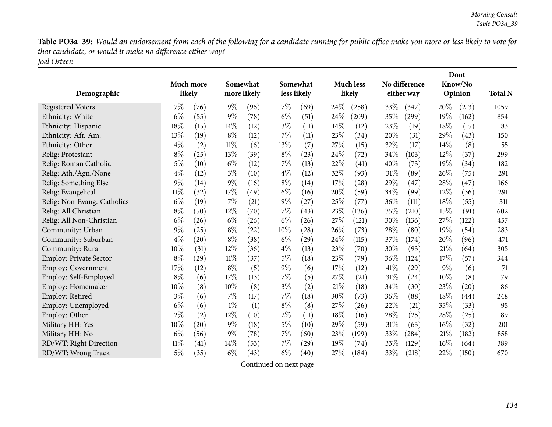Table PO3a\_39: Would an endorsement from each of the following for a candidate running for public office make you more or less likely to vote for *that candidate, or would it make no difference either way? Joel Osteen*

|                             |        |                     |        |                         |       | Somewhat           |      |                            |      |                             |        | Dont               |                |
|-----------------------------|--------|---------------------|--------|-------------------------|-------|--------------------|------|----------------------------|------|-----------------------------|--------|--------------------|----------------|
| Demographic                 |        | Much more<br>likely |        | Somewhat<br>more likely |       | less likely        |      | <b>Much less</b><br>likely |      | No difference<br>either way |        | Know/No<br>Opinion | <b>Total N</b> |
|                             |        |                     |        |                         |       |                    |      |                            |      |                             |        |                    |                |
| <b>Registered Voters</b>    | $7\%$  | (76)                | $9\%$  | (96)                    | $7\%$ | (69)               | 24\% | (258)                      | 33%  | (347)                       | 20%    | (213)              | 1059           |
| Ethnicity: White            | $6\%$  | (55)                | $9\%$  | (78)                    | $6\%$ | (51)               | 24%  | (209)                      | 35%  | (299)                       | 19%    | (162)              | 854            |
| Ethnicity: Hispanic         | 18%    | (15)                | 14%    | (12)                    | 13%   | (11)               | 14%  | (12)                       | 23%  | (19)                        | 18%    | (15)               | 83             |
| Ethnicity: Afr. Am.         | 13%    | (19)                | $8\%$  | (12)                    | $7\%$ | (11)               | 23%  | (34)                       | 20%  | (31)                        | 29%    | (43)               | 150            |
| Ethnicity: Other            | $4\%$  | (2)                 | $11\%$ | (6)                     | 13%   | (7)                | 27%  | (15)                       | 32%  | (17)                        | 14%    | (8)                | 55             |
| Relig: Protestant           | $8\%$  | (25)                | 13%    | (39)                    | $8\%$ | (23)               | 24%  | (72)                       | 34%  | (103)                       | 12%    | (37)               | 299            |
| Relig: Roman Catholic       | $5\%$  | (10)                | $6\%$  | (12)                    | 7%    | (13)               | 22%  | (41)                       | 40%  | (73)                        | 19%    | (34)               | 182            |
| Relig: Ath./Agn./None       | $4\%$  | (12)                | $3\%$  | (10)                    | $4\%$ | (12)               | 32%  | (93)                       | 31%  | (89)                        | 26\%   | (75)               | 291            |
| Relig: Something Else       | 9%     | (14)                | $9\%$  | (16)                    | $8\%$ | (14)               | 17%  | (28)                       | 29%  | (47)                        | 28%    | (47)               | 166            |
| Relig: Evangelical          | $11\%$ | (32)                | 17%    | (49)                    | $6\%$ | (16)               | 20%  | (59)                       | 34%  | (99)                        | 12%    | (36)               | 291            |
| Relig: Non-Evang. Catholics | $6\%$  | (19)                | 7%     | (21)                    | $9\%$ | (27)               | 25%  | (77)                       | 36%  | (111)                       | 18%    | (55)               | 311            |
| Relig: All Christian        | $8\%$  | (50)                | 12%    | (70)                    | 7%    | (43)               | 23%  | (136)                      | 35%  | (210)                       | 15%    | (91)               | 602            |
| Relig: All Non-Christian    | $6\%$  | (26)                | $6\%$  | (26)                    | $6\%$ | (26)               | 27%  | (121)                      | 30%  | (136)                       | 27%    | (122)              | 457            |
| Community: Urban            | $9\%$  | (25)                | $8\%$  | (22)                    | 10%   | $\left( 28\right)$ | 26%  | (73)                       | 28%  | (80)                        | 19%    | (54)               | 283            |
| Community: Suburban         | $4\%$  | (20)                | $8\%$  | (38)                    | $6\%$ | (29)               | 24\% | (115)                      | 37%  | (174)                       | 20%    | (96)               | 471            |
| Community: Rural            | $10\%$ | (31)                | 12%    | (36)                    | $4\%$ | (13)               | 23\% | (70)                       | 30%  | (93)                        | 21%    | (64)               | 305            |
| Employ: Private Sector      | $8\%$  | (29)                | $11\%$ | (37)                    | $5\%$ | (18)               | 23%  | (79)                       | 36%  | (124)                       | 17%    | (57)               | 344            |
| <b>Employ: Government</b>   | 17%    | (12)                | $8\%$  | (5)                     | $9\%$ | (6)                | 17%  | (12)                       | 41\% | (29)                        | $9\%$  | (6)                | 71             |
| Employ: Self-Employed       | $8\%$  | (6)                 | 17%    | (13)                    | $7\%$ | (5)                | 27%  | (21)                       | 31%  | (24)                        | 10%    | (8)                | 79             |
| Employ: Homemaker           | 10%    | (8)                 | 10%    | (8)                     | $3\%$ | (2)                | 21%  | (18)                       | 34%  | (30)                        | 23%    | (20)               | 86             |
| Employ: Retired             | $3\%$  | (6)                 | 7%     | (17)                    | $7\%$ | (18)               | 30%  | (73)                       | 36%  | (88)                        | 18%    | $\left( 44\right)$ | 248            |
| Employ: Unemployed          | $6\%$  | (6)                 | $1\%$  | (1)                     | $8\%$ | (8)                | 27%  | (26)                       | 22%  | (21)                        | 35%    | (33)               | 95             |
| Employ: Other               | $2\%$  | (2)                 | 12%    | (10)                    | 12%   | (11)               | 18%  | (16)                       | 28%  | (25)                        | 28%    | (25)               | 89             |
| Military HH: Yes            | 10%    | (20)                | $9\%$  | (18)                    | $5\%$ | (10)               | 29%  | (59)                       | 31%  | (63)                        | $16\%$ | (32)               | 201            |
| Military HH: No             | $6\%$  | (56)                | $9\%$  | (78)                    | $7\%$ | (60)               | 23%  | (199)                      | 33%  | (284)                       | $21\%$ | (182)              | 858            |
| RD/WT: Right Direction      | $11\%$ | (41)                | 14%    | (53)                    | 7%    | (29)               | 19%  | (74)                       | 33%  | (129)                       | 16%    | (64)               | 389            |
| RD/WT: Wrong Track          | $5\%$  | (35)                | $6\%$  | (43)                    | $6\%$ | (40)               | 27\% | (184)                      | 33%  | (218)                       | 22%    | (150)              | 670            |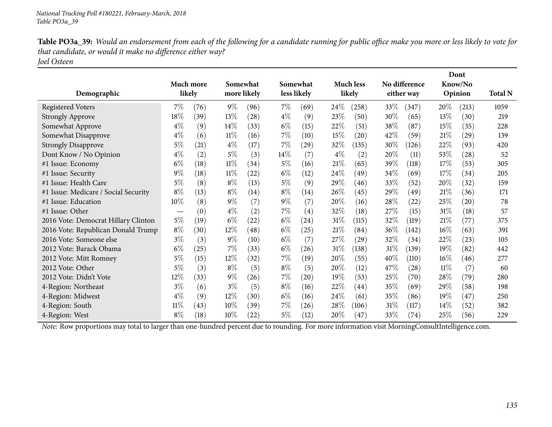| Table PO3a_39: Would an endorsement from each of the following for a candidate running for public office make you more or less likely to vote for |
|---------------------------------------------------------------------------------------------------------------------------------------------------|
| that candidate, or would it make no difference either way?                                                                                        |
| Joel Osteen                                                                                                                                       |

|                                      | Much more<br>likely |      |        | Somewhat<br>more likely |        | Somewhat<br>less likely |        | <b>Much less</b><br>likely |        | No difference<br>either way |        | Dont<br>Know/No | <b>Total N</b> |
|--------------------------------------|---------------------|------|--------|-------------------------|--------|-------------------------|--------|----------------------------|--------|-----------------------------|--------|-----------------|----------------|
| Demographic                          |                     |      |        |                         |        |                         |        |                            |        |                             |        | Opinion         |                |
| <b>Registered Voters</b>             | $7\%$               | (76) | $9\%$  | (96)                    | $7\%$  | (69)                    | $24\%$ | (258)                      | 33\%   | (347)                       | 20\%   | (213)           | 1059           |
| <b>Strongly Approve</b>              | $18\%$              | (39) | 13\%   | (28)                    | $4\%$  | (9)                     | 23%    | (50)                       | $30\%$ | (65)                        | 13\%   | (30)            | 219            |
| Somewhat Approve                     | $4\%$               | (9)  | 14\%   | (33)                    | $6\%$  | (15)                    | 22%    | (51)                       | 38\%   | (87)                        | 15\%   | (35)            | 228            |
| Somewhat Disapprove                  | $4\%$               | (6)  | $11\%$ | (16)                    | $7\%$  | (10)                    | 15%    | $\left( 20\right)$         | 42\%   | (59)                        | 21%    | (29)            | 139            |
| <b>Strongly Disapprove</b>           | $5\%$               | (21) | $4\%$  | (17)                    | $7\%$  | (29)                    | 32%    | (135)                      | 30\%   | (126)                       | 22%    | (93)            | 420            |
| Dont Know / No Opinion               | $4\%$               | (2)  | $5\%$  | (3)                     | $14\%$ | (7)                     | $4\%$  | (2)                        | 20\%   | (11)                        | 53\%   | (28)            | 52             |
| #1 Issue: Economy                    | $6\%$               | (18) | $11\%$ | (34)                    | $5\%$  | (16)                    | 21%    | (65)                       | 39\%   | (118)                       | 17\%   | (53)            | 305            |
| #1 Issue: Security                   | $9\%$               | (18) | $11\%$ | (22)                    | $6\%$  | (12)                    | 24\%   | (49)                       | 34\%   | (69)                        | 17%    | (34)            | 205            |
| #1 Issue: Health Care                | $5\%$               | (8)  | $8\%$  | (13)                    | $5\%$  | (9)                     | 29%    | (46)                       | 33\%   | (52)                        | 20%    | (32)            | 159            |
| #1 Issue: Medicare / Social Security | $8\%$               | (13) | $8\%$  | (14)                    | $8\%$  | (14)                    | 26\%   | (45)                       | 29%    | (49)                        | 21%    | (36)            | 171            |
| #1 Issue: Education                  | $10\%$              | (8)  | $9\%$  | (7)                     | $9\%$  | (7)                     | 20%    | (16)                       | 28\%   | (22)                        | 25\%   | (20)            | 78             |
| #1 Issue: Other                      |                     | (0)  | $4\%$  | (2)                     | $7\%$  | (4)                     | 32%    | (18)                       | 27\%   | (15)                        | $31\%$ | (18)            | 57             |
| 2016 Vote: Democrat Hillary Clinton  | $5\%$               | (19) | $6\%$  | (22)                    | $6\%$  | $\left( 24\right)$      | $31\%$ | (115)                      | $32\%$ | (119)                       | 21%    | (77)            | 375            |
| 2016 Vote: Republican Donald Trump   | $8\%$               | (30) | 12%    | (48)                    | $6\%$  | (25)                    | 21%    | (84)                       | $36\%$ | (142)                       | $16\%$ | (63)            | 391            |
| 2016 Vote: Someone else              | $3\%$               | (3)  | $9\%$  | (10)                    | $6\%$  | (7)                     | 27\%   | (29)                       | 32\%   | (34)                        | 22%    | (23)            | 105            |
| 2012 Vote: Barack Obama              | $6\%$               | (25) | $7\%$  | (33)                    | $6\%$  | (26)                    | 31%    | (138)                      | 31%    | (139)                       | 19%    | (82)            | 442            |
| 2012 Vote: Mitt Romney               | $5\%$               | (15) | $12\%$ | (32)                    | $7\%$  | (19)                    | 20%    | (55)                       | 40\%   | (110)                       | $16\%$ | (46)            | 277            |
| 2012 Vote: Other                     | $5\%$               | (3)  | $8\%$  | (5)                     | $8\%$  | (5)                     | 20%    | (12)                       | 47\%   | (28)                        | $11\%$ | (7)             | 60             |
| 2012 Vote: Didn't Vote               | 12%                 | (33) | $9\%$  | (26)                    | $7\%$  | $\left( 20\right)$      | 19%    | (53)                       | $25\%$ | (70)                        | 28%    | (79)            | 280            |
| 4-Region: Northeast                  | $3\%$               | (6)  | $3\%$  | (5)                     | $8\%$  | (16)                    | 22%    | (44)                       | 35\%   | (69)                        | 29%    | (58)            | 198            |
| 4-Region: Midwest                    | $4\%$               | (9)  | $12\%$ | (30)                    | $6\%$  | (16)                    | 24%    | (61)                       | $35\%$ | (86)                        | 19%    | (47)            | 250            |
| 4-Region: South                      | $11\%$              | (43) | $10\%$ | (39)                    | $7\%$  | (26)                    | 28\%   | (106)                      | 31%    | (117)                       | $14\%$ | (52)            | 382            |
| 4-Region: West                       | $8\%$               | (18) | $10\%$ | (22)                    | $5\%$  | (12)                    | 20%    | (47)                       | 33\%   | (74)                        | 25%    | (56)            | 229            |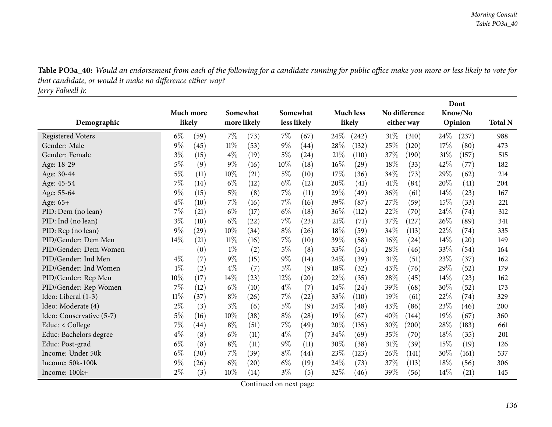Table PO3a\_40: Would an endorsement from each of the following for a candidate running for public office make you more or less likely to vote for *that candidate, or would it make no difference either way?*

*Jerry Falwell Jr.*

|                          |                                  |                    |        |             |       |                    |      | Dont               |        |               |         |         |                |
|--------------------------|----------------------------------|--------------------|--------|-------------|-------|--------------------|------|--------------------|--------|---------------|---------|---------|----------------|
|                          |                                  | Much more          |        | Somewhat    |       | Somewhat           |      | <b>Much less</b>   |        | No difference |         | Know/No |                |
| Demographic              |                                  | likely             |        | more likely |       | less likely        |      | likely             |        | either way    | Opinion |         | <b>Total N</b> |
| <b>Registered Voters</b> | $6\%$                            | (59)               | $7\%$  | (73)        | $7\%$ | (67)               | 24%  | (242)              | $31\%$ | (310)         | 24\%    | (237)   | 988            |
| Gender: Male             | $9\%$                            | (45)               | $11\%$ | (53)        | $9\%$ | (44)               | 28%  | (132)              | 25%    | (120)         | 17%     | (80)    | 473            |
| Gender: Female           | $3\%$                            | (15)               | $4\%$  | (19)        | $5\%$ | (24)               | 21%  | (110)              | 37%    | (190)         | 31%     | (157)   | 515            |
| Age: 18-29               | $5\%$                            | (9)                | $9\%$  | (16)        | 10%   | (18)               | 16%  | (29)               | 18%    | (33)          | 42%     | (77)    | 182            |
| Age: 30-44               | $5\%$                            | (11)               | 10%    | (21)        | 5%    | (10)               | 17%  | (36)               | 34\%   | (73)          | 29%     | (62)    | 214            |
| Age: 45-54               | 7%                               | (14)               | $6\%$  | (12)        | $6\%$ | (12)               | 20%  | $\left( 41\right)$ | 41\%   | (84)          | 20%     | (41)    | 204            |
| Age: 55-64               | 9%                               | (15)               | $5\%$  | (8)         | $7\%$ | (11)               | 29%  | (49)               | 36%    | (61)          | 14%     | (23)    | 167            |
| Age: 65+                 | $4\%$                            | (10)               | 7%     | (16)        | $7\%$ | (16)               | 39%  | (87)               | 27\%   | (59)          | 15%     | (33)    | 221            |
| PID: Dem (no lean)       | 7%                               | (21)               | $6\%$  | (17)        | $6\%$ | (18)               | 36%  | (112)              | 22%    | (70)          | 24%     | (74)    | 312            |
| PID: Ind (no lean)       | $3\%$                            | (10)               | $6\%$  | (22)        | $7\%$ | (23)               | 21%  | (71)               | 37\%   | (127)         | 26%     | (89)    | 341            |
| PID: Rep (no lean)       | 9%                               | (29)               | 10%    | (34)        | $8\%$ | (26)               | 18%  | (59)               | 34\%   | (113)         | 22%     | (74)    | 335            |
| PID/Gender: Dem Men      | 14%                              | (21)               | $11\%$ | (16)        | $7\%$ | (10)               | 39%  | (58)               | 16%    | (24)          | 14%     | (20)    | 149            |
| PID/Gender: Dem Women    | $\overbrace{\phantom{12322111}}$ | (0)                | $1\%$  | (2)         | $5\%$ | (8)                | 33%  | (54)               | 28\%   | (46)          | 33%     | (54)    | 164            |
| PID/Gender: Ind Men      | $4\%$                            | (7)                | $9\%$  | (15)        | $9\%$ | (14)               | 24%  | (39)               | 31%    | (51)          | 23%     | (37)    | 162            |
| PID/Gender: Ind Women    | $1\%$                            | (2)                | $4\%$  | (7)         | $5\%$ | (9)                | 18%  | (32)               | 43%    | (76)          | 29%     | (52)    | 179            |
| PID/Gender: Rep Men      | 10%                              | (17)               | 14%    | (23)        | 12%   | $\left( 20\right)$ | 22%  | (35)               | 28\%   | (45)          | 14%     | (23)    | 162            |
| PID/Gender: Rep Women    | 7%                               | (12)               | $6\%$  | (10)        | $4\%$ | (7)                | 14%  | (24)               | 39%    | (68)          | 30%     | (52)    | 173            |
| Ideo: Liberal (1-3)      | 11%                              | (37)               | $8\%$  | (26)        | $7\%$ | (22)               | 33%  | (110)              | 19%    | (61)          | 22%     | (74)    | 329            |
| Ideo: Moderate (4)       | $2\%$                            | (3)                | $3\%$  | (6)         | $5\%$ | (9)                | 24%  | (48)               | 43%    | (86)          | 23%     | (46)    | 200            |
| Ideo: Conservative (5-7) | $5\%$                            | (16)               | 10%    | (38)        | $8\%$ | (28)               | 19%  | (67)               | 40%    | (144)         | 19%     | (67)    | 360            |
| Educ: < College          | 7%                               | $\left( 44\right)$ | $8\%$  | (51)        | $7\%$ | (49)               | 20%  | (135)              | 30%    | (200)         | 28%     | (183)   | 661            |
| Educ: Bachelors degree   | $4\%$                            | (8)                | $6\%$  | (11)        | $4\%$ | (7)                | 34%  | (69)               | 35%    | (70)          | 18%     | (35)    | 201            |
| Educ: Post-grad          | $6\%$                            | (8)                | $8\%$  | (11)        | $9\%$ | (11)               | 30\% | (38)               | $31\%$ | (39)          | 15%     | (19)    | 126            |
| Income: Under 50k        | $6\%$                            | (30)               | 7%     | (39)        | $8\%$ | (44)               | 23%  | (123)              | 26%    | (141)         | 30%     | (161)   | 537            |
| Income: 50k-100k         | $9\%$                            | (26)               | $6\%$  | (20)        | $6\%$ | (19)               | 24%  | (73)               | 37\%   | (113)         | 18%     | (56)    | 306            |
| Income: 100k+            | $2\%$                            | (3)                | 10%    | (14)        | $3\%$ | (5)                | 32%  | (46)               | 39%    | (56)          | 14%     | (21)    | 145            |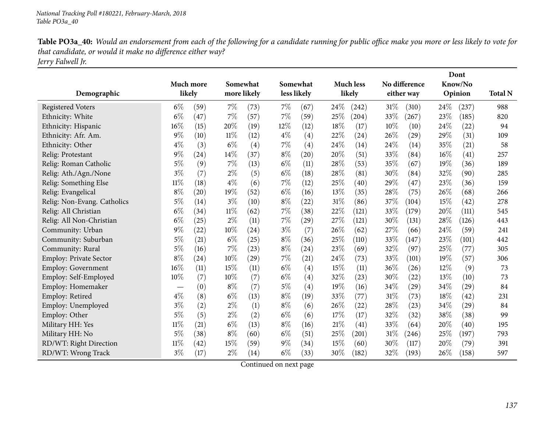Table PO3a\_40: Would an endorsement from each of the following for a candidate running for public office make you more or less likely to vote for *that candidate, or would it make no difference either way? Jerry Falwell Jr.*

|                             |                                  | Much more |        | Somewhat           |             | Somewhat          |      | <b>Much less</b> |      | No difference      | Dont<br>Know/No |         |                |
|-----------------------------|----------------------------------|-----------|--------|--------------------|-------------|-------------------|------|------------------|------|--------------------|-----------------|---------|----------------|
| Demographic                 |                                  | likely    |        | more likely        | less likely |                   |      | likely           |      | either way         |                 | Opinion | <b>Total N</b> |
| <b>Registered Voters</b>    | $6\%$                            | (59)      | 7%     | (73)               | $7\%$       | (67)              | 24%  | (242)            | 31%  | (310)              | 24%             | (237)   | 988            |
| Ethnicity: White            | $6\%$                            | (47)      | 7%     | (57)               | $7\%$       | (59)              | 25%  | (204)            | 33%  | (267)              | 23%             | (185)   | 820            |
| Ethnicity: Hispanic         | 16%                              | (15)      | 20%    | (19)               | 12%         | (12)              | 18%  | (17)             | 10%  | (10)               | 24%             | (22)    | 94             |
| Ethnicity: Afr. Am.         | $9\%$                            | (10)      | 11%    | (12)               | $4\%$       | $\left( 4\right)$ | 22%  | (24)             | 26\% | $\left( 29\right)$ | 29\%            | (31)    | 109            |
| Ethnicity: Other            | $4\%$                            | (3)       | $6\%$  | (4)                | 7%          | $\left( 4\right)$ | 24\% | (14)             | 24%  | (14)               | 35%             | (21)    | 58             |
| Relig: Protestant           | 9%                               | (24)      | 14%    | (37)               | $8\%$       | (20)              | 20%  | (51)             | 33%  | (84)               | $16\%$          | (41)    | 257            |
| Relig: Roman Catholic       | $5\%$                            | (9)       | 7%     | (13)               | $6\%$       | (11)              | 28%  | (53)             | 35%  | (67)               | 19%             | (36)    | 189            |
| Relig: Ath./Agn./None       | $3\%$                            | (7)       | $2\%$  | (5)                | $6\%$       | (18)              | 28%  | (81)             | 30%  | (84)               | 32%             | (90)    | 285            |
| Relig: Something Else       | $11\%$                           | (18)      | $4\%$  | (6)                | $7\%$       | (12)              | 25%  | (40)             | 29%  | (47)               | 23%             | (36)    | 159            |
| Relig: Evangelical          | $8\%$                            | (20)      | 19%    | (52)               | $6\%$       | (16)              | 13%  | (35)             | 28%  | (75)               | 26%             | (68)    | 266            |
| Relig: Non-Evang. Catholics | $5\%$                            | (14)      | $3\%$  | (10)               | $8\%$       | (22)              | 31%  | (86)             | 37%  | (104)              | 15%             | (42)    | 278            |
| Relig: All Christian        | $6\%$                            | (34)      | $11\%$ | (62)               | $7\%$       | (38)              | 22%  | (121)            | 33%  | (179)              | 20%             | (111)   | 545            |
| Relig: All Non-Christian    | $6\%$                            | (25)      | $2\%$  | (11)               | $7\%$       | (29)              | 27%  | (121)            | 30%  | (131)              | 28%             | (126)   | 443            |
| Community: Urban            | $9\%$                            | (22)      | 10%    | $\left( 24\right)$ | $3\%$       | (7)               | 26%  | (62)             | 27%  | (66)               | 24\%            | (59)    | 241            |
| Community: Suburban         | $5\%$                            | (21)      | $6\%$  | (25)               | $8\%$       | (36)              | 25%  | (110)            | 33%  | (147)              | 23%             | (101)   | 442            |
| Community: Rural            | $5\%$                            | (16)      | 7%     | (23)               | $8\%$       | (24)              | 23%  | (69)             | 32%  | (97)               | 25%             | (77)    | 305            |
| Employ: Private Sector      | $8\%$                            | (24)      | 10%    | (29)               | 7%          | (21)              | 24%  | (73)             | 33%  | (101)              | 19%             | (57)    | 306            |
| Employ: Government          | 16%                              | (11)      | 15%    | (11)               | $6\%$       | $\left( 4\right)$ | 15%  | (11)             | 36%  | (26)               | 12%             | (9)     | 73             |
| Employ: Self-Employed       | 10%                              | (7)       | 10%    | (7)                | $6\%$       | $\left( 4\right)$ | 32%  | (23)             | 30%  | (22)               | 13%             | (10)    | 73             |
| Employ: Homemaker           | $\overbrace{\phantom{12322111}}$ | (0)       | $8\%$  | (7)                | $5\%$       | (4)               | 19%  | (16)             | 34%  | $\left( 29\right)$ | 34%             | (29)    | 84             |
| Employ: Retired             | $4\%$                            | (8)       | $6\%$  | (13)               | $8\%$       | (19)              | 33%  | (77)             | 31%  | (73)               | 18%             | (42)    | 231            |
| Employ: Unemployed          | $3\%$                            | (2)       | $2\%$  | (1)                | $8\%$       | (6)               | 26%  | (22)             | 28%  | (23)               | 34%             | (29)    | 84             |
| Employ: Other               | $5\%$                            | (5)       | $2\%$  | (2)                | $6\%$       | (6)               | 17%  | (17)             | 32%  | (32)               | 38%             | (38)    | 99             |
| Military HH: Yes            | $11\%$                           | (21)      | $6\%$  | (13)               | $8\%$       | (16)              | 21%  | (41)             | 33%  | (64)               | 20%             | (40)    | 195            |
| Military HH: No             | $5\%$                            | (38)      | $8\%$  | (60)               | $6\%$       | (51)              | 25%  | (201)            | 31%  | (246)              | 25%             | (197)   | 793            |
| RD/WT: Right Direction      | $11\%$                           | (42)      | 15%    | (59)               | $9\%$       | (34)              | 15%  | (60)             | 30%  | (117)              | 20%             | (79)    | 391            |
| RD/WT: Wrong Track          | $3\%$                            | (17)      | $2\%$  | (14)               | $6\%$       | (33)              | 30%  | (182)            | 32%  | (193)              | 26%             | (158)   | 597            |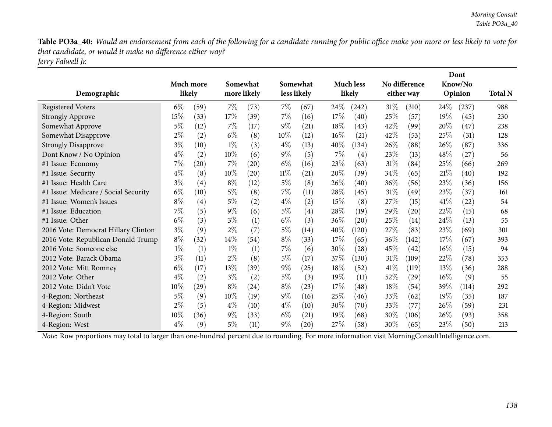Table PO3a\_40: Would an endorsement from each of the following for a candidate running for public office make you more or less likely to vote for *that candidate, or would it make no difference either way? Jerry Falwell Jr.*

| Demographic                          |        | Much more<br>likely |        | Somewhat<br>more likely |        | Somewhat<br>less likely |        | <b>Much less</b><br>likely |        | No difference<br>either way |        | Dont<br>Know/No<br>Opinion | <b>Total N</b> |
|--------------------------------------|--------|---------------------|--------|-------------------------|--------|-------------------------|--------|----------------------------|--------|-----------------------------|--------|----------------------------|----------------|
| <b>Registered Voters</b>             | $6\%$  | (59)                | 7%     | (73)                    | $7\%$  | (67)                    | 24\%   | (242)                      | 31%    | (310)                       | 24\%   | (237)                      | 988            |
| <b>Strongly Approve</b>              | 15%    | (33)                | 17\%   | (39)                    | $7\%$  | (16)                    | 17%    | (40)                       | 25%    | (57)                        | 19%    | (45)                       | 230            |
| Somewhat Approve                     | $5\%$  | (12)                | $7\%$  | (17)                    | $9\%$  | (21)                    | 18%    | (43)                       | 42\%   | (99)                        | 20%    | (47)                       | 238            |
| Somewhat Disapprove                  | $2\%$  | (2)                 | $6\%$  | (8)                     | $10\%$ | (12)                    | $16\%$ | (21)                       | 42%    | (53)                        | 25%    | (31)                       | 128            |
| <b>Strongly Disapprove</b>           | $3\%$  | (10)                | $1\%$  | (3)                     | $4\%$  | (13)                    | 40\%   | (134)                      | 26%    | (88)                        | 26\%   | (87)                       | 336            |
| Dont Know / No Opinion               | $4\%$  | (2)                 | $10\%$ | (6)                     | $9\%$  | (5)                     | $7\%$  | (4)                        | 23%    | (13)                        | 48\%   | (27)                       | 56             |
| #1 Issue: Economy                    | 7%     | (20)                | 7%     | (20)                    | $6\%$  | (16)                    | 23\%   | (63)                       | $31\%$ | (84)                        | 25\%   | (66)                       | 269            |
| #1 Issue: Security                   | $4\%$  | (8)                 | $10\%$ | (20)                    | $11\%$ | (21)                    | 20%    | (39)                       | $34\%$ | (65)                        | 21%    | (40)                       | 192            |
| #1 Issue: Health Care                | $3\%$  | (4)                 | $8\%$  | (12)                    | $5\%$  | (8)                     | 26%    | (40)                       | 36%    | (56)                        | 23\%   | (36)                       | 156            |
| #1 Issue: Medicare / Social Security | $6\%$  | (10)                | $5\%$  | (8)                     | $7\%$  | (11)                    | 28\%   | (45)                       | $31\%$ | (49)                        | 23%    | (37)                       | 161            |
| #1 Issue: Women's Issues             | $8\%$  | (4)                 | $5\%$  | (2)                     | $4\%$  | (2)                     | 15%    | (8)                        | 27\%   | (15)                        | 41\%   | (22)                       | 54             |
| #1 Issue: Education                  | 7%     | (5)                 | $9\%$  | (6)                     | $5\%$  | (4)                     | 28%    | (19)                       | 29%    | (20)                        | 22\%   | (15)                       | 68             |
| #1 Issue: Other                      | $6\%$  | (3)                 | $3\%$  | (1)                     | $6\%$  | (3)                     | 36%    | (20)                       | 25%    | (14)                        | 24\%   | (13)                       | 55             |
| 2016 Vote: Democrat Hillary Clinton  | $3\%$  | (9)                 | $2\%$  | (7)                     | $5\%$  | (14)                    | 40\%   | (120)                      | 27\%   | (83)                        | 23\%   | (69)                       | 301            |
| 2016 Vote: Republican Donald Trump   | $8\%$  | (32)                | 14%    | (54)                    | $8\%$  | (33)                    | 17%    | (65)                       | 36\%   | (142)                       | 17%    | (67)                       | 393            |
| 2016 Vote: Someone else              | $1\%$  | (1)                 | $1\%$  | (1)                     | $7\%$  | (6)                     | 30\%   | (28)                       | 45\%   | (42)                        | $16\%$ | (15)                       | 94             |
| 2012 Vote: Barack Obama              | $3\%$  | (11)                | $2\%$  | (8)                     | $5\%$  | (17)                    | $37\%$ | (130)                      | $31\%$ | (109)                       | 22\%   | (78)                       | 353            |
| 2012 Vote: Mitt Romney               | $6\%$  | (17)                | 13%    | (39)                    | $9\%$  | (25)                    | 18%    | (52)                       | 41\%   | (119)                       | 13%    | (36)                       | 288            |
| 2012 Vote: Other                     | $4\%$  | (2)                 | $3\%$  | (2)                     | $5\%$  | (3)                     | 19%    | (11)                       | 52%    | $\left( 29\right)$          | $16\%$ | (9)                        | 55             |
| 2012 Vote: Didn't Vote               | 10%    | (29)                | $8\%$  | (24)                    | $8\%$  | (23)                    | 17%    | (48)                       | 18\%   | (54)                        | 39\%   | (114)                      | 292            |
| 4-Region: Northeast                  | 5%     | (9)                 | $10\%$ | (19)                    | $9\%$  | (16)                    | 25%    | (46)                       | 33%    | (62)                        | 19%    | (35)                       | 187            |
| 4-Region: Midwest                    | $2\%$  | (5)                 | $4\%$  | (10)                    | $4\%$  | (10)                    | 30\%   | (70)                       | 33\%   | (77)                        | 26%    | (59)                       | 231            |
| 4-Region: South                      | $10\%$ | (36)                | $9\%$  | (33)                    | $6\%$  | (21)                    | 19%    | (68)                       | $30\%$ | (106)                       | 26%    | (93)                       | 358            |
| 4-Region: West                       | $4\%$  | (9)                 | 5%     | (11)                    | $9\%$  | (20)                    | 27\%   | (58)                       | 30%    | (65)                        | 23%    | (50)                       | 213            |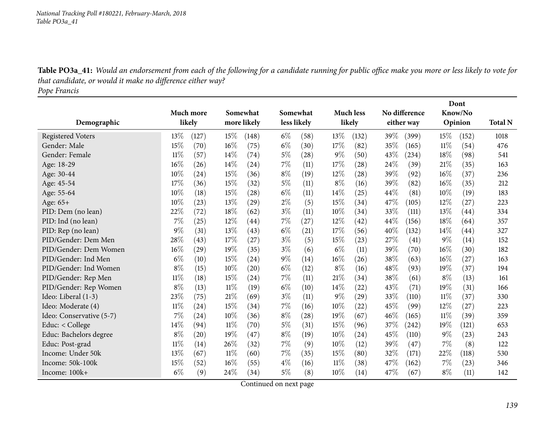Table PO3a\_41: Would an endorsement from each of the following for a candidate running for public office make you more or less likely to vote for *that candidate, or would it make no difference either way?*

*Pope Francis*

|                          |        |           |        |             |             |          |       | Dont               |        |               |       |         |                |
|--------------------------|--------|-----------|--------|-------------|-------------|----------|-------|--------------------|--------|---------------|-------|---------|----------------|
|                          |        | Much more |        | Somewhat    |             | Somewhat |       | <b>Much less</b>   |        | No difference |       | Know/No |                |
| Demographic              |        | likely    |        | more likely | less likely |          |       | likely             |        | either way    |       | Opinion | <b>Total N</b> |
| <b>Registered Voters</b> | 13%    | (127)     | 15%    | (148)       | $6\%$       | (58)     | 13%   | (132)              | 39%    | (399)         | 15\%  | (152)   | 1018           |
| Gender: Male             | 15%    | (70)      | 16%    | (75)        | $6\%$       | (30)     | 17%   | (82)               | 35%    | (165)         | 11%   | (54)    | 476            |
| Gender: Female           | 11%    | (57)      | 14\%   | (74)        | 5%          | (28)     | $9\%$ | (50)               | 43%    | (234)         | 18%   | (98)    | 541            |
| Age: 18-29               | 16%    | (26)      | 14%    | (24)        | 7%          | (11)     | 17%   | (28)               | 24%    | (39)          | 21%   | (35)    | 163            |
| Age: 30-44               | 10%    | (24)      | 15%    | (36)        | $8\%$       | (19)     | 12%   | (28)               | 39%    | (92)          | 16%   | (37)    | 236            |
| Age: 45-54               | 17%    | (36)      | 15%    | (32)        | $5\%$       | (11)     | $8\%$ | (16)               | 39%    | (82)          | 16%   | (35)    | 212            |
| Age: 55-64               | 10%    | (18)      | 15%    | (28)        | $6\%$       | (11)     | 14\%  | (25)               | 44\%   | (81)          | 10%   | (19)    | 183            |
| Age: 65+                 | 10%    | (23)      | 13%    | (29)        | $2\%$       | (5)      | 15%   | (34)               | 47\%   | (105)         | 12%   | (27)    | 223            |
| PID: Dem (no lean)       | $22\%$ | (72)      | 18%    | (62)        | $3\%$       | (11)     | 10%   | (34)               | 33%    | (111)         | 13%   | (44)    | 334            |
| PID: Ind (no lean)       | 7%     | (25)      | 12%    | (44)        | $7\%$       | (27)     | 12%   | $\left( 42\right)$ | 44%    | (156)         | 18%   | (64)    | 357            |
| PID: Rep (no lean)       | $9\%$  | (31)      | 13%    | (43)        | $6\%$       | (21)     | 17%   | (56)               | 40%    | (132)         | 14%   | (44)    | 327            |
| PID/Gender: Dem Men      | 28%    | (43)      | 17%    | (27)        | $3\%$       | (5)      | 15%   | (23)               | 27\%   | (41)          | 9%    | (14)    | 152            |
| PID/Gender: Dem Women    | 16%    | (29)      | 19%    | (35)        | $3\%$       | (6)      | $6\%$ | (11)               | 39%    | (70)          | 16%   | (30)    | 182            |
| PID/Gender: Ind Men      | $6\%$  | (10)      | 15%    | (24)        | $9\%$       | (14)     | 16%   | (26)               | 38%    | (63)          | 16%   | (27)    | 163            |
| PID/Gender: Ind Women    | $8\%$  | (15)      | 10%    | (20)        | $6\%$       | (12)     | $8\%$ | (16)               | 48%    | (93)          | 19%   | (37)    | 194            |
| PID/Gender: Rep Men      | 11%    | (18)      | 15%    | (24)        | 7%          | (11)     | 21%   | (34)               | $38\%$ | (61)          | $8\%$ | (13)    | 161            |
| PID/Gender: Rep Women    | $8\%$  | (13)      | $11\%$ | (19)        | $6\%$       | (10)     | 14\%  | (22)               | 43%    | (71)          | 19%   | (31)    | 166            |
| Ideo: Liberal (1-3)      | 23%    | (75)      | 21%    | (69)        | $3\%$       | (11)     | $9\%$ | (29)               | 33%    | (110)         | 11%   | (37)    | 330            |
| Ideo: Moderate (4)       | $11\%$ | (24)      | 15%    | (34)        | 7%          | (16)     | 10%   | (22)               | 45%    | (99)          | 12%   | (27)    | 223            |
| Ideo: Conservative (5-7) | 7%     | (24)      | 10%    | (36)        | $8\%$       | (28)     | 19%   | (67)               | 46%    | (165)         | 11%   | (39)    | 359            |
| Educ: < College          | 14%    | (94)      | $11\%$ | (70)        | $5\%$       | (31)     | 15%   | (96)               | 37\%   | (242)         | 19%   | (121)   | 653            |
| Educ: Bachelors degree   | $8\%$  | (20)      | 19%    | (47)        | $8\%$       | (19)     | 10%   | (24)               | 45%    | (110)         | $9\%$ | (23)    | 243            |
| Educ: Post-grad          | $11\%$ | (14)      | 26%    | (32)        | 7%          | (9)      | 10%   | (12)               | 39%    | (47)          | $7\%$ | (8)     | 122            |
| Income: Under 50k        | 13%    | (67)      | $11\%$ | (60)        | 7%          | (35)     | 15%   | (80)               | 32%    | (171)         | 22%   | (118)   | 530            |
| Income: 50k-100k         | 15%    | (52)      | 16%    | (55)        | $4\%$       | (16)     | 11%   | (38)               | 47\%   | (162)         | 7%    | (23)    | 346            |
| Income: 100k+            | $6\%$  | (9)       | 24%    | (34)        | 5%          | (8)      | 10%   | (14)               | 47%    | (67)          | $8\%$ | (11)    | 142            |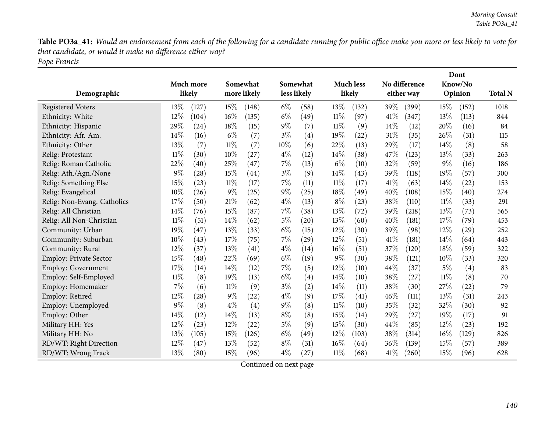Table PO3a\_41: Would an endorsement from each of the following for a candidate running for public office make you more or less likely to vote for *that candidate, or would it make no difference either way? Pope Francis*

|                               |        | Much more          |        | Somewhat<br>more likely |       | Somewhat<br>less likely |        | <b>Much less</b><br>likely |        | No difference<br>either way |        | Dont<br>Know/No    |                |
|-------------------------------|--------|--------------------|--------|-------------------------|-------|-------------------------|--------|----------------------------|--------|-----------------------------|--------|--------------------|----------------|
| Demographic                   |        | likely             |        |                         |       |                         |        |                            |        |                             |        | Opinion            | <b>Total N</b> |
| <b>Registered Voters</b>      | 13%    | (127)              | 15%    | (148)                   | $6\%$ | (58)                    | 13%    | (132)                      | 39%    | (399)                       | 15%    | (152)              | 1018           |
| Ethnicity: White              | 12%    | (104)              | 16%    | (135)                   | $6\%$ | (49)                    | $11\%$ | (97)                       | 41\%   | (347)                       | 13%    | (113)              | 844            |
| Ethnicity: Hispanic           | 29%    | (24)               | 18%    | (15)                    | $9\%$ | (7)                     | $11\%$ | (9)                        | 14%    | (12)                        | 20%    | (16)               | 84             |
| Ethnicity: Afr. Am.           | 14%    | (16)               | $6\%$  | (7)                     | $3\%$ | (4)                     | 19%    | (22)                       | 31%    | (35)                        | 26%    | (31)               | 115            |
| Ethnicity: Other              | 13%    | (7)                | $11\%$ | (7)                     | 10%   | (6)                     | 22%    | (13)                       | 29%    | (17)                        | 14%    | (8)                | 58             |
| Relig: Protestant             | $11\%$ | (30)               | 10%    | (27)                    | $4\%$ | (12)                    | 14%    | (38)                       | 47%    | (123)                       | 13%    | (33)               | 263            |
| Relig: Roman Catholic         | 22%    | (40)               | 25%    | (47)                    | 7%    | (13)                    | $6\%$  | (10)                       | 32%    | (59)                        | $9\%$  | (16)               | 186            |
| Relig: Ath./Agn./None         | 9%     | (28)               | 15%    | $\left( 44\right)$      | $3\%$ | (9)                     | 14\%   | (43)                       | 39%    | (118)                       | 19%    | (57)               | 300            |
| Relig: Something Else         | 15%    | (23)               | 11%    | (17)                    | 7%    | (11)                    | $11\%$ | (17)                       | 41\%   | (63)                        | 14%    | (22)               | 153            |
| Relig: Evangelical            | 10%    | (26)               | 9%     | (25)                    | $9\%$ | (25)                    | 18%    | (49)                       | 40%    | (108)                       | 15%    | (40)               | 274            |
| Relig: Non-Evang. Catholics   | 17%    | (50)               | 21%    | (62)                    | $4\%$ | (13)                    | $8\%$  | (23)                       | 38%    | (110)                       | $11\%$ | (33)               | 291            |
| Relig: All Christian          | 14%    | (76)               | 15%    | (87)                    | 7%    | (38)                    | 13%    | (72)                       | 39%    | (218)                       | 13%    | (73)               | 565            |
| Relig: All Non-Christian      | $11\%$ | (51)               | 14%    | (62)                    | $5\%$ | (20)                    | 13%    | (60)                       | 40%    | (181)                       | 17%    | (79)               | 453            |
| Community: Urban              | 19%    | (47)               | 13%    | (33)                    | $6\%$ | (15)                    | 12%    | (30)                       | 39%    | (98)                        | $12\%$ | $\left( 29\right)$ | 252            |
| Community: Suburban           | 10%    | (43)               | 17%    | (75)                    | 7%    | (29)                    | 12%    | (51)                       | 41%    | (181)                       | 14\%   | (64)               | 443            |
| Community: Rural              | 12%    | (37)               | 13%    | (41)                    | $4\%$ | (14)                    | $16\%$ | (51)                       | 37%    | (120)                       | 18%    | (59)               | 322            |
| <b>Employ: Private Sector</b> | 15%    | (48)               | 22%    | (69)                    | $6\%$ | (19)                    | $9\%$  | (30)                       | 38%    | (121)                       | 10%    | (33)               | 320            |
| Employ: Government            | 17%    | (14)               | 14%    | (12)                    | 7%    | (5)                     | $12\%$ | (10)                       | 44%    | (37)                        | $5\%$  | (4)                | 83             |
| Employ: Self-Employed         | $11\%$ | (8)                | 19%    | (13)                    | $6\%$ | (4)                     | 14%    | (10)                       | 38%    | (27)                        | $11\%$ | (8)                | 70             |
| Employ: Homemaker             | 7%     | (6)                | $11\%$ | (9)                     | $3\%$ | (2)                     | 14%    | (11)                       | 38%    | (30)                        | 27%    | (22)               | 79             |
| Employ: Retired               | 12%    | $\left( 28\right)$ | $9\%$  | (22)                    | $4\%$ | (9)                     | 17%    | (41)                       | $46\%$ | $\left( 111\right)$         | 13%    | (31)               | 243            |
| Employ: Unemployed            | $9\%$  | (8)                | $4\%$  | (4)                     | $9\%$ | (8)                     | $11\%$ | (10)                       | 35%    | (32)                        | 32%    | (30)               | 92             |
| Employ: Other                 | 14%    | (12)               | 14%    | (13)                    | $8\%$ | (8)                     | 15%    | (14)                       | 29%    | (27)                        | 19%    | (17)               | 91             |
| Military HH: Yes              | 12%    | (23)               | 12%    | (22)                    | $5\%$ | (9)                     | 15%    | (30)                       | 44%    | (85)                        | 12%    | (23)               | 192            |
| Military HH: No               | 13%    | (105)              | 15%    | (126)                   | $6\%$ | (49)                    | 12%    | (103)                      | 38%    | (314)                       | $16\%$ | (129)              | 826            |
| RD/WT: Right Direction        | 12%    | (47)               | 13%    | (52)                    | $8\%$ | (31)                    | 16%    | (64)                       | 36\%   | (139)                       | 15%    | (57)               | 389            |
| RD/WT: Wrong Track            | 13%    | (80)               | 15%    | (96)                    | $4\%$ | (27)                    | $11\%$ | (68)                       | 41%    | (260)                       | 15%    | (96)               | 628            |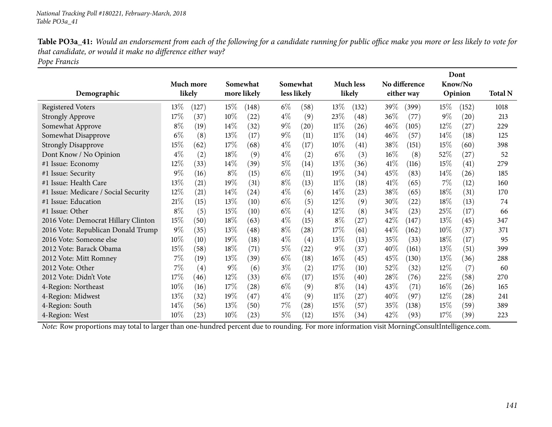| Table PO3a_41: Would an endorsement from each of the following for a candidate running for public office make you more or less likely to vote for |
|---------------------------------------------------------------------------------------------------------------------------------------------------|
| that candidate, or would it make no difference either way?                                                                                        |
| Pope Francis                                                                                                                                      |

|                                      |        |           |        |             |       |                   |        |                    |        |               |        | Dont               |                |
|--------------------------------------|--------|-----------|--------|-------------|-------|-------------------|--------|--------------------|--------|---------------|--------|--------------------|----------------|
|                                      |        | Much more |        | Somewhat    |       | Somewhat          |        | <b>Much less</b>   |        | No difference |        | Know/No            |                |
| Demographic                          |        | likely    |        | more likely |       | less likely       |        | likely             |        | either way    |        | Opinion            | <b>Total N</b> |
| <b>Registered Voters</b>             | $13\%$ | (127)     | $15\%$ | (148)       | $6\%$ | (58)              | 13\%   | (132)              | 39\%   | (399)         | $15\%$ | (152)              | 1018           |
| <b>Strongly Approve</b>              | 17%    | (37)      | $10\%$ | (22)        | $4\%$ | (9)               | 23\%   | (48)               | 36\%   | (77)          | $9\%$  | (20)               | 213            |
| Somewhat Approve                     | $8\%$  | (19)      | 14%    | (32)        | $9\%$ | (20)              | $11\%$ | (26)               | $46\%$ | (105)         | $12\%$ | (27)               | 229            |
| Somewhat Disapprove                  | $6\%$  | (8)       | 13%    | (17)        | $9\%$ | (11)              | $11\%$ | (14)               | $46\%$ | (57)          | 14%    | (18)               | 125            |
| <b>Strongly Disapprove</b>           | 15%    | (62)      | 17\%   | (68)        | $4\%$ | (17)              | $10\%$ | $\left( 41\right)$ | 38\%   | (151)         | 15\%   | (60)               | 398            |
| Dont Know / No Opinion               | $4\%$  | (2)       | 18%    | (9)         | $4\%$ | (2)               | $6\%$  | (3)                | $16\%$ | (8)           | 52\%   | (27)               | 52             |
| #1 Issue: Economy                    | $12\%$ | (33)      | $14\%$ | (39)        | $5\%$ | (14)              | 13%    | (36)               | 41\%   | (116)         | 15\%   | (41)               | 279            |
| #1 Issue: Security                   | $9\%$  | (16)      | $8\%$  | (15)        | $6\%$ | (11)              | 19%    | (34)               | 45\%   | (83)          | 14%    | (26)               | 185            |
| #1 Issue: Health Care                | 13\%   | (21)      | 19%    | (31)        | $8\%$ | (13)              | $11\%$ | (18)               | 41%    | (65)          | 7%     | (12)               | 160            |
| #1 Issue: Medicare / Social Security | 12%    | (21)      | $14\%$ | (24)        | $4\%$ | (6)               | $14\%$ | (23)               | 38\%   | (65)          | 18\%   | (31)               | 170            |
| #1 Issue: Education                  | 21%    | (15)      | 13\%   | (10)        | $6\%$ | (5)               | $12\%$ | (9)                | 30\%   | (22)          | 18\%   | (13)               | 74             |
| #1 Issue: Other                      | $8\%$  | (5)       | 15%    | (10)        | $6\%$ | $\left( 4\right)$ | $12\%$ | (8)                | 34\%   | (23)          | $25\%$ | (17)               | 66             |
| 2016 Vote: Democrat Hillary Clinton  | 15%    | (50)      | 18%    | (63)        | $4\%$ | (15)              | $8\%$  | (27)               | 42%    | (147)         | 13\%   | (45)               | 347            |
| 2016 Vote: Republican Donald Trump   | $9\%$  | (35)      | 13\%   | (48)        | $8\%$ | (28)              | 17%    | (61)               | 44\%   | (162)         | 10%    | (37)               | 371            |
| 2016 Vote: Someone else              | $10\%$ | (10)      | 19%    | (18)        | $4\%$ | (4)               | 13%    | (13)               | 35\%   | (33)          | 18%    | (17)               | 95             |
| 2012 Vote: Barack Obama              | 15%    | (58)      | 18%    | (71)        | $5\%$ | (22)              | $9\%$  | (37)               | 40\%   | (161)         | 13\%   | (51)               | 399            |
| 2012 Vote: Mitt Romney               | 7%     | (19)      | 13\%   | (39)        | $6\%$ | (18)              | $16\%$ | (45)               | 45\%   | (130)         | $13\%$ | (36)               | 288            |
| 2012 Vote: Other                     | $7\%$  | (4)       | $9\%$  | (6)         | $3\%$ | (2)               | 17%    | (10)               | 52\%   | (32)          | 12\%   | (7)                | 60             |
| 2012 Vote: Didn't Vote               | 17%    | (46)      | $12\%$ | (33)        | $6\%$ | (17)              | 15%    | (40)               | 28\%   | (76)          | 22\%   | (58)               | 270            |
| 4-Region: Northeast                  | 10%    | (16)      | 17\%   | (28)        | $6\%$ | (9)               | $8\%$  | (14)               | 43\%   | (71)          | $16\%$ | (26)               | 165            |
| 4-Region: Midwest                    | 13\%   | (32)      | 19%    | (47)        | $4\%$ | (9)               | $11\%$ | $\left( 27\right)$ | $40\%$ | (97)          | 12%    | $\left( 28\right)$ | 241            |
| 4-Region: South                      | 14\%   | (56)      | 13\%   | (50)        | $7\%$ | (28)              | 15\%   | (57)               | 35\%   | (138)         | 15\%   | (59)               | 389            |
| 4-Region: West                       | 10%    | (23)      | 10%    | (23)        | 5%    | (12)              | 15%    | (34)               | 42\%   | (93)          | 17%    | (39)               | 223            |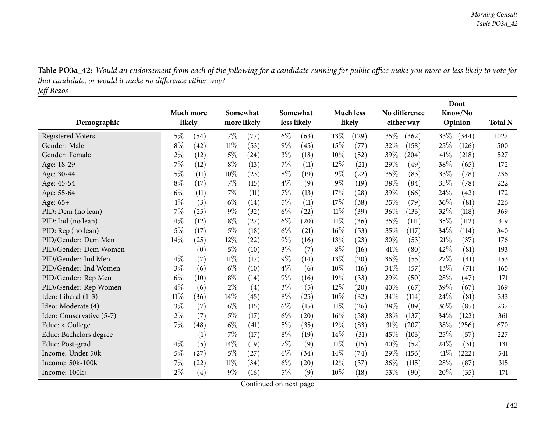| Table PO3a_42: Would an endorsement from each of the following for a candidate running for public office make you more or less likely to vote for |
|---------------------------------------------------------------------------------------------------------------------------------------------------|
| that candidate, or would it make no difference either way?                                                                                        |
| Jeff Bezos                                                                                                                                        |

|                          |                               |                   |        |             |             |                    |        | Dont      |        |               |      |         |                |
|--------------------------|-------------------------------|-------------------|--------|-------------|-------------|--------------------|--------|-----------|--------|---------------|------|---------|----------------|
|                          |                               | Much more         |        | Somewhat    |             | Somewhat           |        | Much less |        | No difference |      | Know/No |                |
| Demographic              |                               | likely            |        | more likely | less likely |                    |        | likely    |        | either way    |      | Opinion | <b>Total N</b> |
| <b>Registered Voters</b> | $5\%$                         | (54)              | $7\%$  | (77)        | $6\%$       | (63)               | 13\%   | (129)     | 35\%   | (362)         | 33\% | (344)   | 1027           |
| Gender: Male             | $8\%$                         | (42)              | $11\%$ | (53)        | $9\%$       | (45)               | 15%    | (77)      | 32%    | (158)         | 25%  | (126)   | 500            |
| Gender: Female           | $2\%$                         | (12)              | $5\%$  | (24)        | $3\%$       | (18)               | 10%    | (52)      | 39%    | (204)         | 41\% | (218)   | 527            |
| Age: 18-29               | 7%                            | (12)              | $8\%$  | (13)        | 7%          | (11)               | 12%    | (21)      | 29%    | (49)          | 38%  | (65)    | 172            |
| Age: 30-44               | 5%                            | (11)              | 10%    | (23)        | $8\%$       | (19)               | $9\%$  | (22)      | 35%    | (83)          | 33%  | (78)    | 236            |
| Age: 45-54               | $8\%$                         | (17)              | $7\%$  | (15)        | $4\%$       | (9)                | $9\%$  | (19)      | 38\%   | (84)          | 35%  | (78)    | 222            |
| Age: 55-64               | $6\%$                         | (11)              | 7%     | (11)        | 7%          | (13)               | 17%    | (28)      | 39%    | (66)          | 24%  | (42)    | 172            |
| Age: $65+$               | $1\%$                         | (3)               | $6\%$  | (14)        | 5%          | (11)               | 17%    | (38)      | 35\%   | (79)          | 36%  | (81)    | 226            |
| PID: Dem (no lean)       | 7%                            | (25)              | $9\%$  | (32)        | $6\%$       | (22)               | 11%    | (39)      | 36%    | (133)         | 32%  | (118)   | 369            |
| PID: Ind (no lean)       | $4\%$                         | (12)              | $8\%$  | (27)        | $6\%$       | $\left( 20\right)$ | $11\%$ | (36)      | 35%    | (111)         | 35%  | (112)   | 319            |
| PID: Rep (no lean)       | $5\%$                         | (17)              | 5%     | (18)        | $6\%$       | (21)               | $16\%$ | (53)      | 35%    | (117)         | 34%  | (114)   | 340            |
| PID/Gender: Dem Men      | 14%                           | (25)              | 12%    | (22)        | $9\%$       | (16)               | 13%    | (23)      | 30%    | (53)          | 21%  | (37)    | 176            |
| PID/Gender: Dem Women    |                               | (0)               | $5\%$  | (10)        | $3\%$       | (7)                | $8\%$  | (16)      | 41\%   | (80)          | 42%  | (81)    | 193            |
| PID/Gender: Ind Men      | $4\%$                         | (7)               | $11\%$ | (17)        | $9\%$       | (14)               | 13%    | (20)      | 36%    | (55)          | 27%  | (41)    | 153            |
| PID/Gender: Ind Women    | $3\%$                         | (6)               | $6\%$  | (10)        | $4\%$       | (6)                | 10%    | (16)      | 34%    | (57)          | 43%  | (71)    | 165            |
| PID/Gender: Rep Men      | $6\%$                         | (10)              | $8\%$  | (14)        | $9\%$       | (16)               | 19%    | (33)      | 29%    | (50)          | 28%  | (47)    | 171            |
| PID/Gender: Rep Women    | $4\%$                         | (6)               | $2\%$  | (4)         | $3\%$       | (5)                | 12%    | (20)      | 40%    | (67)          | 39%  | (67)    | 169            |
| Ideo: Liberal (1-3)      | $11\%$                        | (36)              | 14%    | (45)        | $8\%$       | $^{(25)}$          | 10%    | (32)      | 34\%   | (114)         | 24%  | (81)    | 333            |
| Ideo: Moderate (4)       | $3\%$                         | (7)               | $6\%$  | (15)        | $6\%$       | (15)               | $11\%$ | (26)      | 38%    | (89)          | 36%  | (85)    | 237            |
| Ideo: Conservative (5-7) | $2\%$                         | (7)               | $5\%$  | (17)        | $6\%$       | $\left( 20\right)$ | $16\%$ | (58)      | 38%    | (137)         | 34%  | (122)   | 361            |
| Educ: < College          | $7\%$                         | (48)              | $6\%$  | (41)        | 5%          | (35)               | 12%    | (83)      | $31\%$ | (207)         | 38%  | (256)   | 670            |
| Educ: Bachelors degree   | $\overbrace{\phantom{aaaaa}}$ | (1)               | 7%     | (17)        | $8\%$       | (19)               | 14%    | (31)      | 45%    | (103)         | 25%  | (57)    | 227            |
| Educ: Post-grad          | $4\%$                         | (5)               | 14%    | (19)        | 7%          | (9)                | 11%    | (15)      | 40%    | (52)          | 24\% | (31)    | 131            |
| Income: Under 50k        | $5\%$                         | (27)              | $5\%$  | (27)        | $6\%$       | (34)               | 14%    | (74)      | 29%    | (156)         | 41\% | (222)   | 541            |
| Income: 50k-100k         | 7%                            | (22)              | $11\%$ | (34)        | $6\%$       | $\left( 20\right)$ | $12\%$ | (37)      | $36\%$ | (115)         | 28%  | (87)    | 315            |
| Income: 100k+            | $2\%$                         | $\left( 4\right)$ | $9\%$  | (16)        | $5\%$       | (9)                | 10%    | (18)      | 53%    | (90)          | 20%  | (35)    | 171            |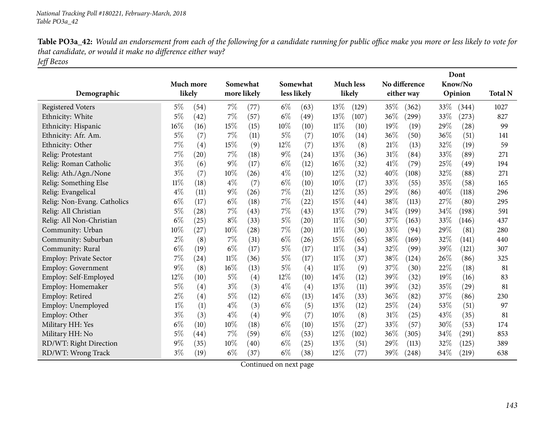| Table PO3a_42: Would an endorsement from each of the following for a candidate running for public office make you more or less likely to vote for |
|---------------------------------------------------------------------------------------------------------------------------------------------------|
| that candidate, or would it make no difference either way?                                                                                        |
| Jeff Bezos                                                                                                                                        |

|                               |        |                    |        |             |        |                    |        |                  |        | Dont          |      |         |                |
|-------------------------------|--------|--------------------|--------|-------------|--------|--------------------|--------|------------------|--------|---------------|------|---------|----------------|
|                               |        | Much more          |        | Somewhat    |        | Somewhat           |        | <b>Much less</b> |        | No difference |      | Know/No |                |
| Demographic                   |        | likely             |        | more likely |        | less likely        |        | likely           |        | either way    |      | Opinion | <b>Total N</b> |
| <b>Registered Voters</b>      | $5\%$  | (54)               | 7%     | (77)        | $6\%$  | (63)               | 13%    | (129)            | 35\%   | (362)         | 33\% | (344)   | 1027           |
| Ethnicity: White              | $5\%$  | (42)               | 7%     | (57)        | $6\%$  | (49)               | 13%    | (107)            | 36%    | (299)         | 33%  | (273)   | 827            |
| Ethnicity: Hispanic           | $16\%$ | (16)               | 15%    | (15)        | 10%    | (10)               | 11%    | (10)             | 19%    | (19)          | 29%  | (28)    | 99             |
| Ethnicity: Afr. Am.           | $5\%$  | (7)                | $7\%$  | (11)        | $5\%$  | (7)                | 10%    | (14)             | 36%    | (50)          | 36%  | (51)    | 141            |
| Ethnicity: Other              | $7\%$  | (4)                | 15%    | (9)         | $12\%$ | (7)                | 13%    | (8)              | 21%    | (13)          | 32%  | (19)    | 59             |
| Relig: Protestant             | $7\%$  | $\left( 20\right)$ | $7\%$  | (18)        | $9\%$  | (24)               | 13%    | (36)             | 31%    | (84)          | 33%  | (89)    | 271            |
| Relig: Roman Catholic         | $3\%$  | (6)                | $9\%$  | (17)        | $6\%$  | (12)               | 16%    | (32)             | 41\%   | (79)          | 25%  | (49)    | 194            |
| Relig: Ath./Agn./None         | $3\%$  | (7)                | 10%    | (26)        | $4\%$  | (10)               | 12%    | (32)             | 40%    | (108)         | 32%  | (88)    | 271            |
| Relig: Something Else         | $11\%$ | (18)               | $4\%$  | (7)         | $6\%$  | (10)               | 10%    | (17)             | 33%    | (55)          | 35%  | (58)    | 165            |
| Relig: Evangelical            | $4\%$  | (11)               | $9\%$  | (26)        | $7\%$  | (21)               | 12%    | (35)             | 29%    | (86)          | 40%  | (118)   | 296            |
| Relig: Non-Evang. Catholics   | $6\%$  | (17)               | $6\%$  | (18)        | $7\%$  | (22)               | 15%    | (44)             | 38%    | (113)         | 27%  | (80)    | 295            |
| Relig: All Christian          | $5\%$  | (28)               | 7%     | (43)        | $7\%$  | (43)               | 13%    | (79)             | 34\%   | (199)         | 34%  | (198)   | 591            |
| Relig: All Non-Christian      | $6\%$  | (25)               | $8\%$  | (33)        | $5\%$  | $\left( 20\right)$ | 11%    | (50)             | 37%    | (163)         | 33%  | (146)   | 437            |
| Community: Urban              | 10%    | (27)               | 10%    | (28)        | $7\%$  | $\left( 20\right)$ | 11%    | (30)             | 33\%   | (94)          | 29%  | (81)    | 280            |
| Community: Suburban           | $2\%$  | (8)                | 7%     | (31)        | $6\%$  | (26)               | 15%    | (65)             | 38%    | (169)         | 32%  | (141)   | 440            |
| Community: Rural              | $6\%$  | (19)               | $6\%$  | (17)        | $5\%$  | (17)               | $11\%$ | (34)             | 32%    | (99)          | 39%  | (121)   | 307            |
| <b>Employ: Private Sector</b> | $7\%$  | (24)               | $11\%$ | (36)        | $5\%$  | (17)               | 11%    | (37)             | 38%    | (124)         | 26%  | (86)    | 325            |
| <b>Employ: Government</b>     | $9\%$  | (8)                | 16%    | (13)        | $5\%$  | (4)                | $11\%$ | (9)              | 37%    | (30)          | 22%  | (18)    | 81             |
| Employ: Self-Employed         | 12%    | (10)               | 5%     | (4)         | 12\%   | (10)               | 14\%   | (12)             | 39%    | (32)          | 19%  | (16)    | 83             |
| Employ: Homemaker             | $5\%$  | (4)                | $3\%$  | (3)         | $4\%$  | (4)                | 13%    | (11)             | 39%    | (32)          | 35%  | (29)    | 81             |
| Employ: Retired               | $2\%$  | (4)                | $5\%$  | (12)        | $6\%$  | (13)               | 14\%   | (33)             | $36\%$ | (82)          | 37%  | (86)    | 230            |
| Employ: Unemployed            | $1\%$  | (1)                | $4\%$  | (3)         | $6\%$  | (5)                | 13%    | (12)             | 25%    | (24)          | 53%  | (51)    | 97             |
| Employ: Other                 | $3\%$  | (3)                | $4\%$  | (4)         | $9\%$  | (7)                | 10%    | (8)              | 31%    | (25)          | 43%  | (35)    | 81             |
| Military HH: Yes              | $6\%$  | (10)               | 10%    | (18)        | $6\%$  | (10)               | 15%    | (27)             | 33%    | (57)          | 30%  | (53)    | 174            |
| Military HH: No               | $5\%$  | (44)               | 7%     | (59)        | $6\%$  | (53)               | 12%    | (102)            | 36%    | (305)         | 34%  | (291)   | 853            |
| RD/WT: Right Direction        | $9\%$  | (35)               | 10%    | (40)        | $6\%$  | (25)               | 13\%   | (51)             | 29%    | (113)         | 32%  | (125)   | 389            |
| RD/WT: Wrong Track            | $3\%$  | (19)               | $6\%$  | (37)        | $6\%$  | (38)               | 12%    | (77)             | 39\%   | (248)         | 34%  | (219)   | 638            |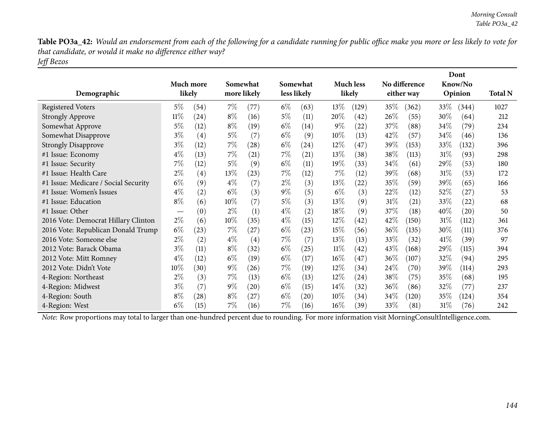Table PO3a\_42: Would an endorsement from each of the following for a candidate running for public office make you more or less likely to vote for *that candidate, or would it make no difference either way? Jeff Bezos*

| Demographic                          |                               | Much more<br>likely |       | Somewhat<br>more likely |       | Somewhat<br>less likely |        | <b>Much less</b><br>likely |        | No difference<br>either way |        | Dont<br>Know/No<br>Opinion | <b>Total N</b> |
|--------------------------------------|-------------------------------|---------------------|-------|-------------------------|-------|-------------------------|--------|----------------------------|--------|-----------------------------|--------|----------------------------|----------------|
| <b>Registered Voters</b>             | $5\%$                         | (54)                | $7\%$ | (77)                    | $6\%$ | (63)                    | 13\%   | (129)                      | 35\%   | (362)                       | 33\%   | (344)                      | 1027           |
| <b>Strongly Approve</b>              | $11\%$                        | (24)                | $8\%$ | (16)                    | $5\%$ | (11)                    | 20%    | (42)                       | 26\%   | (55)                        | 30%    | (64)                       | 212            |
| Somewhat Approve                     | $5\%$                         | (12)                | $8\%$ | (19)                    | $6\%$ | (14)                    | $9\%$  | (22)                       | 37\%   | (88)                        | 34\%   | (79)                       | 234            |
| Somewhat Disapprove                  | $3\%$                         | (4)                 | $5\%$ | (7)                     | $6\%$ | (9)                     | $10\%$ | (13)                       | 42\%   | (57)                        | 34\%   | (46)                       | 136            |
| <b>Strongly Disapprove</b>           | $3\%$                         | (12)                | $7\%$ | (28)                    | $6\%$ | $\left( 24\right)$      | $12\%$ | (47)                       | 39\%   | (153)                       | 33%    | (132)                      | 396            |
| #1 Issue: Economy                    | $4\%$                         | (13)                | $7\%$ | (21)                    | $7\%$ | (21)                    | $13\%$ | (38)                       | 38\%   | (113)                       | $31\%$ | (93)                       | 298            |
| #1 Issue: Security                   | 7%                            | (12)                | $5\%$ | (9)                     | $6\%$ | (11)                    | $19\%$ | (33)                       | 34\%   | (61)                        | 29%    | (53)                       | 180            |
| #1 Issue: Health Care                | $2\%$                         | $\left( 4\right)$   | 13%   | (23)                    | $7\%$ | (12)                    | $7\%$  | (12)                       | 39\%   | (68)                        | $31\%$ | (53)                       | 172            |
| #1 Issue: Medicare / Social Security | $6\%$                         | (9)                 | $4\%$ | (7)                     | $2\%$ | (3)                     | $13\%$ | (22)                       | 35%    | (59)                        | 39\%   | (65)                       | 166            |
| #1 Issue: Women's Issues             | $4\%$                         | (2)                 | $6\%$ | (3)                     | $9\%$ | (5)                     | $6\%$  | (3)                        | 22\%   | (12)                        | 52%    | (27)                       | 53             |
| #1 Issue: Education                  | $8\%$                         | (6)                 | 10\%  | (7)                     | $5\%$ | (3)                     | $13\%$ | (9)                        | $31\%$ | (21)                        | 33\%   | (22)                       | 68             |
| #1 Issue: Other                      | $\overbrace{\phantom{aaaaa}}$ | (0)                 | $2\%$ | (1)                     | $4\%$ | (2)                     | 18\%   | (9)                        | 37\%   | (18)                        | 40\%   | (20)                       | 50             |
| 2016 Vote: Democrat Hillary Clinton  | $2\%$                         | (6)                 | 10%   | (35)                    | $4\%$ | (15)                    | $12\%$ | (42)                       | 42%    | (150)                       | $31\%$ | (112)                      | 361            |
| 2016 Vote: Republican Donald Trump   | $6\%$                         | (23)                | $7\%$ | (27)                    | $6\%$ | (23)                    | $15\%$ | (56)                       | $36\%$ | (135)                       | $30\%$ | (111)                      | 376            |
| 2016 Vote: Someone else              | $2\%$                         | (2)                 | $4\%$ | (4)                     | 7%    | (7)                     | 13\%   | (13)                       | 33\%   | (32)                        | 41%    | (39)                       | 97             |
| 2012 Vote: Barack Obama              | $3\%$                         | (11)                | $8\%$ | (32)                    | $6\%$ | (25)                    | $11\%$ | (42)                       | 43\%   | (168)                       | 29%    | (115)                      | 394            |
| 2012 Vote: Mitt Romney               | $4\%$                         | (12)                | $6\%$ | (19)                    | $6\%$ | (17)                    | $16\%$ | (47)                       | $36\%$ | (107)                       | 32\%   | (94)                       | 295            |
| 2012 Vote: Didn't Vote               | 10%                           | (30)                | $9\%$ | (26)                    | $7\%$ | (19)                    | $12\%$ | (34)                       | 24\%   | (70)                        | 39\%   | (114)                      | 293            |
| 4-Region: Northeast                  | $2\%$                         | (3)                 | $7\%$ | (13)                    | $6\%$ | (13)                    | $12\%$ | (24)                       | 38\%   | (75)                        | 35%    | (68)                       | 195            |
| 4-Region: Midwest                    | $3\%$                         | (7)                 | $9\%$ | (20)                    | $6\%$ | (15)                    | $14\%$ | (32)                       | $36\%$ | (86)                        | 32%    | (77)                       | 237            |
| 4-Region: South                      | $8\%$                         | (28)                | $8\%$ | (27)                    | $6\%$ | $\left( 20\right)$      | $10\%$ | (34)                       | $34\%$ | (120)                       | 35%    | (124)                      | 354            |
| 4-Region: West                       | $6\%$                         | (15)                | $7\%$ | (16)                    | 7%    | (16)                    | $16\%$ | (39)                       | 33\%   | (81)                        | 31\%   | (76)                       | 242            |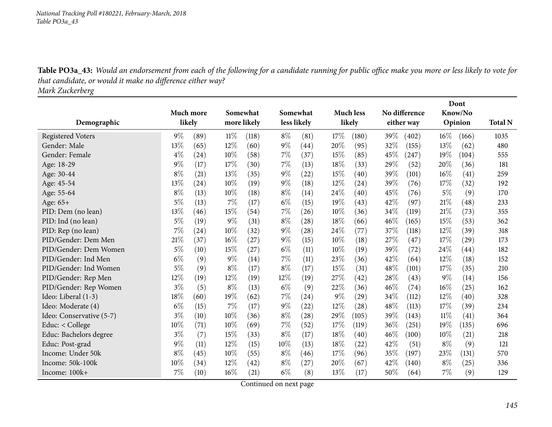Table PO3a\_43: Would an endorsement from each of the following for a candidate running for public office make you more or less likely to vote for *that candidate, or would it make no difference either way?*

*Mark Zuckerberg*

|                          |                  |        |        |             |       |             |       |                    |        |               |        | Dont    |                |
|--------------------------|------------------|--------|--------|-------------|-------|-------------|-------|--------------------|--------|---------------|--------|---------|----------------|
|                          | <b>Much more</b> |        |        | Somewhat    |       | Somewhat    |       | <b>Much less</b>   |        | No difference |        | Know/No |                |
| Demographic              |                  | likely |        | more likely |       | less likely |       | likely             |        | either way    |        | Opinion | <b>Total N</b> |
| <b>Registered Voters</b> | $9\%$            | (89)   | $11\%$ | (118)       | $8\%$ | (81)        | 17%   | (180)              | $39\%$ | (402)         | $16\%$ | (166)   | 1035           |
| Gender: Male             | 13%              | (65)   | 12%    | (60)        | $9\%$ | (44)        | 20%   | (95)               | 32%    | (155)         | 13%    | (62)    | 480            |
| Gender: Female           | $4\%$            | (24)   | 10%    | (58)        | $7\%$ | (37)        | 15%   | (85)               | 45\%   | (247)         | 19%    | (104)   | 555            |
| Age: 18-29               | 9%               | (17)   | 17%    | (30)        | $7\%$ | (13)        | 18%   | (33)               | 29%    | (52)          | 20%    | (36)    | 181            |
| Age: 30-44               | $8\%$            | (21)   | 13%    | (35)        | $9\%$ | (22)        | 15%   | (40)               | 39%    | (101)         | 16%    | (41)    | 259            |
| Age: 45-54               | 13%              | (24)   | 10%    | (19)        | $9\%$ | (18)        | 12%   | (24)               | 39%    | (76)          | 17%    | (32)    | 192            |
| Age: 55-64               | $8\%$            | (13)   | 10%    | (18)        | $8\%$ | (14)        | 24%   | (40)               | 45%    | (76)          | $5\%$  | (9)     | 170            |
| Age: 65+                 | 5%               | (13)   | 7%     | (17)        | $6\%$ | (15)        | 19%   | (43)               | 42%    | (97)          | 21\%   | (48)    | 233            |
| PID: Dem (no lean)       | 13%              | (46)   | 15%    | (54)        | 7%    | (26)        | 10%   | (36)               | 34%    | (119)         | 21%    | (73)    | 355            |
| PID: Ind (no lean)       | 5%               | (19)   | $9\%$  | (31)        | $8\%$ | (28)        | 18%   | (66)               | 46%    | (165)         | 15%    | (53)    | 362            |
| PID: Rep (no lean)       | 7%               | (24)   | 10%    | (32)        | $9\%$ | (28)        | 24%   | (77)               | 37%    | (118)         | 12%    | (39)    | 318            |
| PID/Gender: Dem Men      | 21%              | (37)   | 16%    | (27)        | $9\%$ | (15)        | 10%   | (18)               | 27\%   | (47)          | 17%    | (29)    | 173            |
| PID/Gender: Dem Women    | 5%               | (10)   | 15%    | (27)        | $6\%$ | (11)        | 10%   | (19)               | 39%    | (72)          | 24%    | (44)    | 182            |
| PID/Gender: Ind Men      | $6\%$            | (9)    | $9\%$  | (14)        | $7\%$ | (11)        | 23%   | (36)               | 42%    | (64)          | 12%    | (18)    | 152            |
| PID/Gender: Ind Women    | 5%               | (9)    | $8\%$  | (17)        | $8\%$ | (17)        | 15%   | (31)               | 48%    | (101)         | 17%    | (35)    | 210            |
| PID/Gender: Rep Men      | 12%              | (19)   | 12%    | (19)        | 12%   | (19)        | 27%   | (42)               | 28\%   | (43)          | $9\%$  | (14)    | 156            |
| PID/Gender: Rep Women    | $3\%$            | (5)    | $8\%$  | (13)        | $6\%$ | (9)         | 22%   | (36)               | 46%    | (74)          | 16%    | (25)    | 162            |
| Ideo: Liberal (1-3)      | 18%              | (60)   | 19%    | (62)        | 7%    | (24)        | $9\%$ | (29)               | 34%    | (112)         | 12%    | (40)    | 328            |
| Ideo: Moderate (4)       | $6\%$            | (15)   | $7\%$  | (17)        | $9\%$ | (22)        | 12%   | (28)               | 48%    | (113)         | 17%    | (39)    | 234            |
| Ideo: Conservative (5-7) | $3\%$            | (10)   | 10%    | (36)        | $8\%$ | (28)        | 29%   | (105)              | 39%    | (143)         | 11%    | (41)    | 364            |
| Educ: < College          | 10%              | (71)   | 10%    | (69)        | $7\%$ | (52)        | 17%   | (119)              | 36%    | (251)         | 19%    | (135)   | 696            |
| Educ: Bachelors degree   | $3\%$            | (7)    | 15%    | (33)        | $8\%$ | (17)        | 18%   | (40)               | 46%    | (100)         | 10%    | (21)    | 218            |
| Educ: Post-grad          | $9\%$            | (11)   | $12\%$ | (15)        | 10%   | (13)        | 18%   | $\left( 22\right)$ | 42%    | (51)          | $8\%$  | (9)     | 121            |
| Income: Under 50k        | $8\%$            | (45)   | 10%    | (55)        | $8\%$ | (46)        | 17%   | (96)               | 35%    | (197)         | 23%    | (131)   | 570            |
| Income: 50k-100k         | 10%              | (34)   | 12%    | (42)        | $8\%$ | (27)        | 20%   | (67)               | 42\%   | (140)         | $8\%$  | (25)    | 336            |
| Income: 100k+            | 7%               | (10)   | 16%    | (21)        | $6\%$ | (8)         | 13%   | (17)               | 50%    | (64)          | 7%     | (9)     | 129            |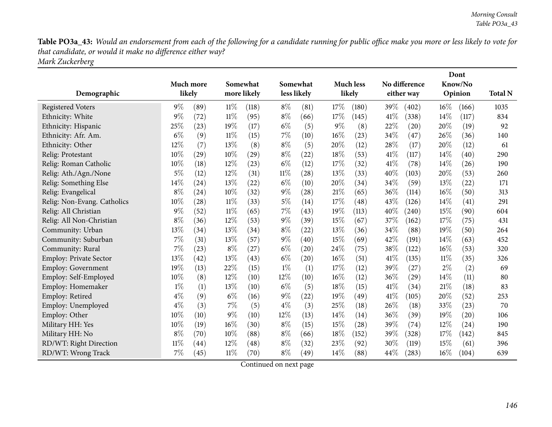Table PO3a\_43: Would an endorsement from each of the following for a candidate running for public office make you more or less likely to vote for *that candidate, or would it make no difference either way? Mark Zuckerberg*

|                               |           |                    |        |             |        |             |        |                    |      |                    |        | Dont               |                |
|-------------------------------|-----------|--------------------|--------|-------------|--------|-------------|--------|--------------------|------|--------------------|--------|--------------------|----------------|
|                               | Much more |                    |        | Somewhat    |        | Somewhat    |        | <b>Much less</b>   |      | No difference      |        | Know/No            |                |
| Demographic                   |           | likely             |        | more likely |        | less likely |        | likely             |      | either way         |        | Opinion            | <b>Total N</b> |
| <b>Registered Voters</b>      | $9\%$     | (89)               | $11\%$ | (118)       | $8\%$  | (81)        | 17%    | (180)              | 39%  | (402)              | $16\%$ | (166)              | 1035           |
| Ethnicity: White              | 9%        | (72)               | $11\%$ | (95)        | $8\%$  | (66)        | 17%    | (145)              | 41\% | (338)              | $14\%$ | (117)              | 834            |
| Ethnicity: Hispanic           | 25%       | (23)               | 19%    | (17)        | $6\%$  | (5)         | $9\%$  | (8)                | 22%  | (20)               | 20%    | (19)               | 92             |
| Ethnicity: Afr. Am.           | $6\%$     | (9)                | $11\%$ | (15)        | $7\%$  | (10)        | $16\%$ | (23)               | 34%  | (47)               | 26\%   | (36)               | 140            |
| Ethnicity: Other              | 12%       | (7)                | 13%    | (8)         | $8\%$  | (5)         | 20%    | (12)               | 28%  | (17)               | 20%    | (12)               | 61             |
| Relig: Protestant             | 10%       | (29)               | 10%    | (29)        | $8\%$  | (22)        | 18%    | (53)               | 41\% | (117)              | 14\%   | (40)               | 290            |
| Relig: Roman Catholic         | 10%       | (18)               | 12%    | (23)        | $6\%$  | (12)        | 17%    | (32)               | 41\% | (78)               | 14%    | (26)               | 190            |
| Relig: Ath./Agn./None         | 5%        | (12)               | 12%    | (31)        | $11\%$ | (28)        | 13%    | (33)               | 40%  | (103)              | 20%    | (53)               | 260            |
| Relig: Something Else         | 14%       | (24)               | 13%    | (22)        | $6\%$  | (10)        | 20%    | (34)               | 34\% | (59)               | 13%    | (22)               | 171            |
| Relig: Evangelical            | $8\%$     | (24)               | 10%    | (32)        | $9\%$  | (28)        | 21%    | (65)               | 36%  | (114)              | $16\%$ | (50)               | 313            |
| Relig: Non-Evang. Catholics   | 10%       | (28)               | $11\%$ | (33)        | $5\%$  | (14)        | 17%    | (48)               | 43%  | (126)              | 14\%   | (41)               | 291            |
| Relig: All Christian          | 9%        | (52)               | $11\%$ | (65)        | 7%     | (43)        | 19%    | (113)              | 40%  | (240)              | 15%    | (90)               | 604            |
| Relig: All Non-Christian      | $8\%$     | (36)               | 12%    | (53)        | $9\%$  | (39)        | 15%    | (67)               | 37%  | (162)              | 17%    | (75)               | 431            |
| Community: Urban              | 13%       | (34)               | 13%    | (34)        | $8\%$  | (22)        | 13%    | (36)               | 34%  | (88)               | 19%    | (50)               | 264            |
| Community: Suburban           | 7%        | (31)               | 13%    | (57)        | $9\%$  | (40)        | 15%    | (69)               | 42%  | (191)              | 14\%   | (63)               | 452            |
| Community: Rural              | 7%        | (23)               | $8\%$  | (27)        | $6\%$  | (20)        | 24\%   | (75)               | 38%  | (122)              | 16%    | (53)               | 320            |
| <b>Employ: Private Sector</b> | 13%       | (42)               | 13%    | (43)        | $6\%$  | (20)        | 16%    | (51)               | 41\% | (135)              | $11\%$ | (35)               | 326            |
| <b>Employ: Government</b>     | 19%       | (13)               | 22%    | (15)        | $1\%$  | (1)         | 17%    | (12)               | 39%  | (27)               | $2\%$  | (2)                | 69             |
| Employ: Self-Employed         | 10%       | (8)                | 12%    | (10)        | 12%    | (10)        | $16\%$ | (12)               | 36\% | $\left( 29\right)$ | 14%    | (11)               | 80             |
| Employ: Homemaker             | $1\%$     | (1)                | 13%    | (10)        | $6\%$  | (5)         | 18%    | (15)               | 41\% | (34)               | 21\%   | (18)               | 83             |
| Employ: Retired               | $4\%$     | (9)                | $6\%$  | (16)        | $9\%$  | (22)        | 19%    | $\left( 49\right)$ | 41\% | (105)              | 20%    | (52)               | 253            |
| Employ: Unemployed            | $4\%$     | (3)                | $7\%$  | (5)         | $4\%$  | (3)         | 25%    | (18)               | 26\% | (18)               | 33%    | (23)               | 70             |
| Employ: Other                 | 10%       | (10)               | $9\%$  | (10)        | 12%    | (13)        | 14%    | (14)               | 36%  | (39)               | 19%    | $\left( 20\right)$ | 106            |
| Military HH: Yes              | 10%       | (19)               | 16%    | (30)        | $8\%$  | (15)        | 15%    | (28)               | 39%  | (74)               | 12%    | $\left( 24\right)$ | 190            |
| Military HH: No               | $8\%$     | (70)               | 10%    | (88)        | $8\%$  | (66)        | 18%    | (152)              | 39%  | (328)              | 17%    | (142)              | 845            |
| RD/WT: Right Direction        | $11\%$    | $\left( 44\right)$ | 12%    | (48)        | $8\%$  | (32)        | 23%    | (92)               | 30%  | (119)              | 15%    | (61)               | 396            |
| RD/WT: Wrong Track            | 7%        | (45)               | $11\%$ | (70)        | $8\%$  | (49)        | 14%    | (88)               | 44%  | (283)              | 16%    | (104)              | 639            |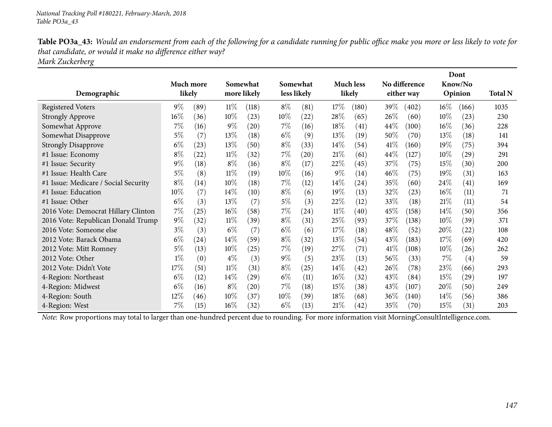Table PO3a\_43: Would an endorsement from each of the following for a candidate running for public office make you more or less likely to vote for *that candidate, or would it make no difference either way?*

*Mark Zuckerberg*

|                                      |        |           | Somewhat |                    |        |                    |        |                    |        |                    |        | Dont    |                |
|--------------------------------------|--------|-----------|----------|--------------------|--------|--------------------|--------|--------------------|--------|--------------------|--------|---------|----------------|
|                                      |        | Much more |          |                    |        | Somewhat           |        | <b>Much less</b>   |        | No difference      |        | Know/No |                |
| Demographic                          | likely |           |          | more likely        |        | less likely        |        | likely             |        | either way         |        | Opinion | <b>Total N</b> |
| <b>Registered Voters</b>             | $9\%$  | (89)      | $11\%$   | (118)              | $8\%$  | (81)               | 17%    | (180)              | 39\%   | (402)              | $16\%$ | (166)   | 1035           |
| <b>Strongly Approve</b>              | $16\%$ | (36)      | 10%      | (23)               | $10\%$ | (22)               | 28%    | (65)               | 26\%   | (60)               | 10%    | (23)    | 230            |
| Somewhat Approve                     | $7\%$  | (16)      | $9\%$    | (20)               | $7\%$  | (16)               | 18\%   | $\left( 41\right)$ | 44\%   | (100)              | $16\%$ | (36)    | 228            |
| Somewhat Disapprove                  | $5\%$  | (7)       | 13\%     | (18)               | $6\%$  | (9)                | $13\%$ | (19)               | $50\%$ | (70)               | 13\%   | (18)    | 141            |
| <b>Strongly Disapprove</b>           | $6\%$  | (23)      | 13\%     | (50)               | $8\%$  | (33)               | $14\%$ | (54)               | 41%    | (160)              | 19%    | (75)    | 394            |
| #1 Issue: Economy                    | $8\%$  | (22)      | $11\%$   | (32)               | $7\%$  | $\left( 20\right)$ | 21%    | (61)               | 44\%   | (127)              | $10\%$ | (29)    | 291            |
| #1 Issue: Security                   | $9\%$  | (18)      | $8\%$    | (16)               | $8\%$  | (17)               | 22%    | (45)               | 37%    | (75)               | 15\%   | (30)    | 200            |
| #1 Issue: Health Care                | $5\%$  | (8)       | $11\%$   | (19)               | $10\%$ | (16)               | $9\%$  | $\left(14\right)$  | $46\%$ | (75)               | 19%    | (31)    | 163            |
| #1 Issue: Medicare / Social Security | $8\%$  | (14)      | $10\%$   | (18)               | $7\%$  | (12)               | $14\%$ | (24)               | 35%    | (60)               | 24\%   | (41)    | 169            |
| #1 Issue: Education                  | $10\%$ | (7)       | $14\%$   | (10)               | $8\%$  | (6)                | 19%    | (13)               | 32\%   | (23)               | $16\%$ | (11)    | 71             |
| #1 Issue: Other                      | $6\%$  | (3)       | 13%      | (7)                | $5\%$  | (3)                | 22\%   | (12)               | $33\%$ | (18)               | 21%    | (11)    | 54             |
| 2016 Vote: Democrat Hillary Clinton  | $7\%$  | (25)      | $16\%$   | (58)               | $7\%$  | $^{(24)}$          | 11%    | (40)               | 45\%   | (158)              | $14\%$ | (50)    | 356            |
| 2016 Vote: Republican Donald Trump   | $9\%$  | (32)      | $11\%$   | (39)               | $8\%$  | (31)               | 25%    | (93)               | 37\%   | (138)              | 10%    | (39)    | 371            |
| 2016 Vote: Someone else              | $3\%$  | (3)       | $6\%$    | (7)                | $6\%$  | (6)                | 17%    | (18)               | 48\%   | (52)               | 20%    | (22)    | 108            |
| 2012 Vote: Barack Obama              | $6\%$  | (24)      | $14\%$   | (59)               | $8\%$  | (32)               | $13\%$ | (54)               | 43\%   | (183)              | 17\%   | (69)    | 420            |
| 2012 Vote: Mitt Romney               | $5\%$  | (13)      | 10%      | (25)               | $7\%$  | (19)               | 27\%   | $\left( 71\right)$ | 41%    | (108)              | $10\%$ | (26)    | 262            |
| 2012 Vote: Other                     | $1\%$  | (0)       | $4\%$    | (3)                | $9\%$  | (5)                | 23\%   | (13)               | 56\%   | (33)               | $7\%$  | (4)     | 59             |
| 2012 Vote: Didn't Vote               | 17\%   | (51)      | $11\%$   | (31)               | $8\%$  | (25)               | $14\%$ | (42)               | 26\%   | (78)               | 23\%   | (66)    | 293            |
| 4-Region: Northeast                  | $6\%$  | (12)      | 14\%     | $\left( 29\right)$ | $6\%$  | (11)               | $16\%$ | (32)               | 43\%   | (84)               | 15%    | (29)    | 197            |
| 4-Region: Midwest                    | $6\%$  | (16)      | $8\%$    | (20)               | $7\%$  | (18)               | 15%    | (38)               | 43\%   | (107)              | 20%    | (50)    | 249            |
| 4-Region: South                      | 12%    | (46)      | $10\%$   | (37)               | $10\%$ | (39)               | 18%    | (68)               | $36\%$ | (140)              | $14\%$ | (56)    | 386            |
| 4-Region: West                       | 7%     | (15)      | $16\%$   | (32)               | $6\%$  | (13)               | 21%    | $\left( 42\right)$ | 35\%   | $\left( 70\right)$ | 15%    | (31)    | 203            |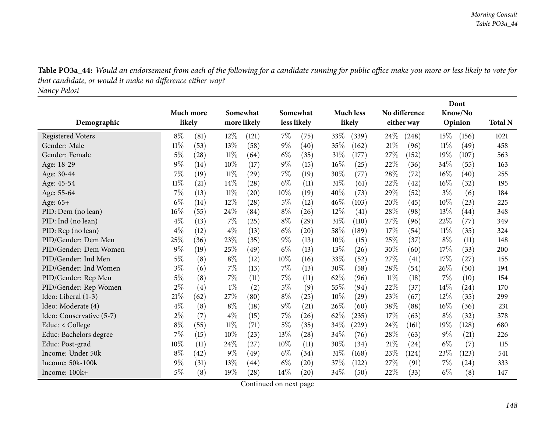Table PO3a\_44: Would an endorsement from each of the following for a candidate running for public office make you more or less likely to vote for *that candidate, or would it make no difference either way? Nancy Pelosi*

|                          |           |      |        |                    |        |                    |      |                    |        |               |        | Dont    |                |
|--------------------------|-----------|------|--------|--------------------|--------|--------------------|------|--------------------|--------|---------------|--------|---------|----------------|
|                          | Much more |      |        | Somewhat           |        | Somewhat           |      | <b>Much less</b>   |        | No difference |        | Know/No |                |
| Demographic              | likely    |      |        | more likely        |        | less likely        |      | likely             |        | either way    |        | Opinion | <b>Total N</b> |
| <b>Registered Voters</b> | $8\%$     | (81) | 12%    | (121)              | $7\%$  | (75)               | 33%  | (339)              | 24\%   | (248)         | $15\%$ | (156)   | 1021           |
| Gender: Male             | $11\%$    | (53) | 13%    | (58)               | $9\%$  | (40)               | 35%  | (162)              | 21%    | (96)          | 11%    | (49)    | 458            |
| Gender: Female           | 5%        | (28) | 11%    | (64)               | $6\%$  | (35)               | 31%  | (177)              | 27%    | (152)         | 19%    | (107)   | 563            |
| Age: 18-29               | $9\%$     | (14) | 10%    | (17)               | $9\%$  | (15)               | 16%  | (25)               | 22%    | (36)          | 34%    | (55)    | 163            |
| Age: 30-44               | 7%        | (19) | $11\%$ | (29)               | $7\%$  | (19)               | 30%  | (77)               | 28%    | (72)          | 16%    | (40)    | 255            |
| Age: 45-54               | $11\%$    | (21) | 14%    | (28)               | $6\%$  | (11)               | 31%  | (61)               | 22%    | (42)          | 16%    | (32)    | 195            |
| Age: 55-64               | 7%        | (13) | 11%    | $\left( 20\right)$ | 10%    | (19)               | 40%  | (73)               | 29%    | (52)          | $3\%$  | (6)     | 184            |
| Age: 65+                 | $6\%$     | (14) | 12%    | (28)               | 5%     | (12)               | 46\% | (103)              | 20%    | (45)          | 10%    | (23)    | 225            |
| PID: Dem (no lean)       | 16%       | (55) | 24%    | (84)               | $8\%$  | (26)               | 12%  | $\left( 41\right)$ | 28%    | (98)          | 13%    | (44)    | 348            |
| PID: Ind (no lean)       | $4\%$     | (13) | 7%     | (25)               | $8\%$  | (29)               | 31%  | (110)              | 27%    | (96)          | 22%    | (77)    | 349            |
| PID: Rep (no lean)       | $4\%$     | (12) | $4\%$  | (13)               | $6\%$  | $\left( 20\right)$ | 58%  | (189)              | 17%    | (54)          | 11%    | (35)    | 324            |
| PID/Gender: Dem Men      | 25%       | (36) | 23%    | (35)               | $9\%$  | (13)               | 10%  | (15)               | 25%    | (37)          | $8\%$  | (11)    | 148            |
| PID/Gender: Dem Women    | $9\%$     | (19) | 25%    | (49)               | $6\%$  | (13)               | 13%  | (26)               | 30%    | (60)          | 17%    | (33)    | 200            |
| PID/Gender: Ind Men      | $5\%$     | (8)  | $8\%$  | (12)               | 10%    | (16)               | 33%  | (52)               | 27%    | (41)          | 17%    | (27)    | 155            |
| PID/Gender: Ind Women    | $3\%$     | (6)  | $7\%$  | (13)               | $7\%$  | (13)               | 30%  | (58)               | 28\%   | (54)          | 26%    | (50)    | 194            |
| PID/Gender: Rep Men      | $5\%$     | (8)  | $7\%$  | (11)               | $7\%$  | (11)               | 62%  | (96)               | $11\%$ | (18)          | 7%     | (10)    | 154            |
| PID/Gender: Rep Women    | $2\%$     | (4)  | $1\%$  | (2)                | $5\%$  | (9)                | 55%  | (94)               | 22%    | (37)          | 14%    | (24)    | 170            |
| Ideo: Liberal (1-3)      | 21%       | (62) | 27%    | (80)               | $8\%$  | (25)               | 10%  | $\left( 29\right)$ | 23%    | (67)          | 12%    | (35)    | 299            |
| Ideo: Moderate (4)       | $4\%$     | (8)  | $8\%$  | (18)               | $9\%$  | (21)               | 26%  | (60)               | 38%    | (88)          | 16%    | (36)    | 231            |
| Ideo: Conservative (5-7) | $2\%$     | (7)  | $4\%$  | (15)               | $7\%$  | (26)               | 62%  | (235)              | 17%    | (63)          | $8\%$  | (32)    | 378            |
| Educ: $<$ College        | $8\%$     | (55) | $11\%$ | (71)               | $5\%$  | (35)               | 34%  | $^{'}229)$         | 24\%   | (161)         | 19%    | (128)   | 680            |
| Educ: Bachelors degree   | 7%        | (15) | 10%    | (23)               | 13%    | (28)               | 34%  | (76)               | 28%    | (63)          | 9%     | (21)    | 226            |
| Educ: Post-grad          | 10%       | (11) | 24%    | (27)               | $10\%$ | (11)               | 30\% | (34)               | 21%    | (24)          | $6\%$  | (7)     | 115            |
| Income: Under 50k        | $8\%$     | (42) | 9%     | (49)               | $6\%$  | (34)               | 31%  | (168)              | 23%    | (124)         | 23%    | (123)   | 541            |
| Income: 50k-100k         | $9\%$     | (31) | 13%    | (44)               | $6\%$  | (20)               | 37%  | (122)              | 27%    | (91)          | 7%     | (24)    | 333            |
| Income: 100k+            | $5\%$     | (8)  | 19%    | (28)               | 14\%   | (20)               | 34%  | (50)               | 22%    | (33)          | $6\%$  | (8)     | 147            |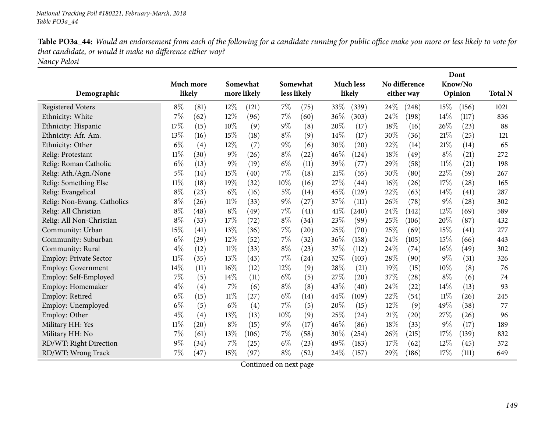Table PO3a\_44: Would an endorsement from each of the following for a candidate running for public office make you more or less likely to vote for *that candidate, or would it make no difference either way? Nancy Pelosi*

|                               |           |        |        |             |        |             |      |                    |      |               |        | Dont    |                |
|-------------------------------|-----------|--------|--------|-------------|--------|-------------|------|--------------------|------|---------------|--------|---------|----------------|
|                               | Much more |        |        | Somewhat    |        | Somewhat    |      | <b>Much less</b>   |      | No difference |        | Know/No |                |
| Demographic                   |           | likely |        | more likely |        | less likely |      | likely             |      | either way    |        | Opinion | <b>Total N</b> |
| <b>Registered Voters</b>      | $8\%$     | (81)   | 12%    | (121)       | $7\%$  | (75)        | 33%  | (339)              | 24%  | (248)         | 15%    | (156)   | 1021           |
| Ethnicity: White              | 7%        | (62)   | 12%    | (96)        | $7\%$  | (60)        | 36%  | (303)              | 24%  | (198)         | 14%    | (117)   | 836            |
| Ethnicity: Hispanic           | 17%       | (15)   | 10%    | (9)         | $9\%$  | (8)         | 20%  | (17)               | 18%  | (16)          | 26%    | (23)    | 88             |
| Ethnicity: Afr. Am.           | 13%       | (16)   | 15%    | (18)        | $8\%$  | (9)         | 14%  | (17)               | 30%  | (36)          | 21%    | (25)    | 121            |
| Ethnicity: Other              | $6\%$     | (4)    | 12%    | (7)         | $9\%$  | (6)         | 30%  | (20)               | 22%  | (14)          | 21%    | (14)    | 65             |
| Relig: Protestant             | $11\%$    | (30)   | 9%     | (26)        | $8\%$  | (22)        | 46\% | (124)              | 18%  | (49)          | $8\%$  | (21)    | 272            |
| Relig: Roman Catholic         | $6\%$     | (13)   | $9\%$  | (19)        | $6\%$  | (11)        | 39%  | (77)               | 29%  | (58)          | 11%    | (21)    | 198            |
| Relig: Ath./Agn./None         | $5\%$     | (14)   | 15%    | (40)        | 7%     | (18)        | 21\% | (55)               | 30%  | (80)          | 22%    | (59)    | 267            |
| Relig: Something Else         | $11\%$    | (18)   | 19%    | (32)        | 10%    | (16)        | 27%  | $\left( 44\right)$ | 16%  | (26)          | 17%    | (28)    | 165            |
| Relig: Evangelical            | $8\%$     | (23)   | $6\%$  | (16)        | $5\%$  | (14)        | 45%  | (129)              | 22%  | (63)          | 14%    | (41)    | 287            |
| Relig: Non-Evang. Catholics   | $8\%$     | (26)   | $11\%$ | (33)        | $9\%$  | (27)        | 37%  | (111)              | 26%  | (78)          | $9\%$  | (28)    | 302            |
| Relig: All Christian          | $8\%$     | (48)   | $8\%$  | (49)        | 7%     | (41)        | 41\% | (240)              | 24%  | (142)         | 12%    | (69)    | 589            |
| Relig: All Non-Christian      | $8\%$     | (33)   | 17%    | (72)        | $8\%$  | (34)        | 23%  | (99)               | 25%  | (106)         | 20%    | (87)    | 432            |
| Community: Urban              | 15%       | (41)   | 13%    | (36)        | $7\%$  | (20)        | 25%  | (70)               | 25%  | (69)          | 15%    | (41)    | 277            |
| Community: Suburban           | $6\%$     | (29)   | 12%    | (52)        | $7\%$  | (32)        | 36\% | (158)              | 24%  | (105)         | 15%    | (66)    | 443            |
| Community: Rural              | $4\%$     | (12)   | $11\%$ | (33)        | $8\%$  | (23)        | 37\% | (112)              | 24\% | (74)          | $16\%$ | (49)    | 302            |
| <b>Employ: Private Sector</b> | $11\%$    | (35)   | 13%    | (43)        | 7%     | (24)        | 32%  | (103)              | 28%  | (90)          | $9\%$  | (31)    | 326            |
| <b>Employ: Government</b>     | 14%       | (11)   | 16%    | (12)        | 12%    | (9)         | 28%  | (21)               | 19%  | (15)          | 10%    | (8)     | 76             |
| Employ: Self-Employed         | 7%        | (5)    | 14%    | (11)        | $6\%$  | (5)         | 27\% | (20)               | 37%  | (28)          | $8\%$  | (6)     | 74             |
| Employ: Homemaker             | $4\%$     | (4)    | $7\%$  | (6)         | $8\%$  | (8)         | 43%  | (40)               | 24%  | (22)          | 14\%   | (13)    | 93             |
| Employ: Retired               | $6\%$     | (15)   | $11\%$ | (27)        | $6\%$  | (14)        | 44%  | (109)              | 22%  | (54)          | 11%    | (26)    | 245            |
| Employ: Unemployed            | $6\%$     | (5)    | $6\%$  | (4)         | $7\%$  | (5)         | 20%  | (15)               | 12%  | (9)           | 49%    | (38)    | 77             |
| Employ: Other                 | $4\%$     | (4)    | 13%    | (13)        | $10\%$ | (9)         | 25%  | (24)               | 21%  | (20)          | 27%    | (26)    | 96             |
| Military HH: Yes              | $11\%$    | (20)   | $8\%$  | (15)        | $9\%$  | (17)        | 46%  | (86)               | 18%  | (33)          | $9\%$  | (17)    | 189            |
| Military HH: No               | 7%        | (61)   | 13%    | (106)       | 7%     | (58)        | 30%  | (254)              | 26%  | (215)         | 17%    | (139)   | 832            |
| RD/WT: Right Direction        | 9%        | (34)   | 7%     | (25)        | $6\%$  | (23)        | 49%  | (183)              | 17%  | (62)          | 12%    | (45)    | 372            |
| RD/WT: Wrong Track            | 7%        | (47)   | 15%    | (97)        | $8\%$  | (52)        | 24\% | (157)              | 29%  | (186)         | 17%    | (111)   | 649            |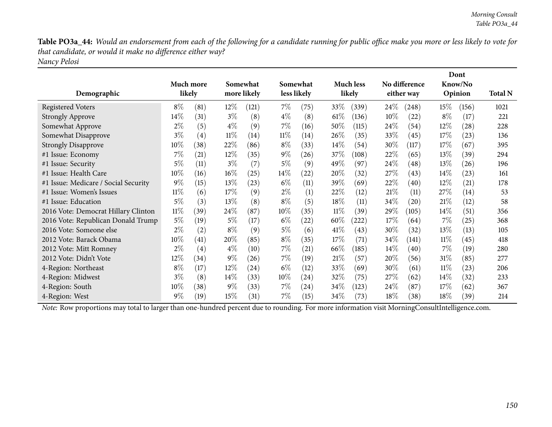Table PO3a\_44: Would an endorsement from each of the following for a candidate running for public office make you more or less likely to vote for *that candidate, or would it make no difference either way? Nancy Pelosi*

| Demographic                          | Much more<br>likely |      |        | Somewhat<br>more likely |        | Somewhat<br>less likely |        | <b>Much less</b><br>likely |        | No difference<br>either way |        | Dont<br>Know/No<br>Opinion | <b>Total N</b> |
|--------------------------------------|---------------------|------|--------|-------------------------|--------|-------------------------|--------|----------------------------|--------|-----------------------------|--------|----------------------------|----------------|
| <b>Registered Voters</b>             | $8\%$               | (81) | $12\%$ | (121)                   | $7\%$  | (75)                    | 33\%   | (339)                      | $24\%$ | (248)                       | $15\%$ | (156)                      | 1021           |
| <b>Strongly Approve</b>              | 14\%                | (31) | $3\%$  | (8)                     | $4\%$  | (8)                     | $61\%$ | (136)                      | $10\%$ | $\left( 22\right)$          | $8\%$  | (17)                       | 221            |
| Somewhat Approve                     | $2\%$               | (5)  | $4\%$  | (9)                     | $7\%$  | (16)                    | 50%    | (115)                      | 24\%   | (54)                        | $12\%$ | (28)                       | 228            |
| Somewhat Disapprove                  | $3\%$               | (4)  | $11\%$ | (14)                    | $11\%$ | (14)                    | 26\%   | (35)                       | 33\%   | (45)                        | 17%    | (23)                       | 136            |
| <b>Strongly Disapprove</b>           | $10\%$              | (38) | 22\%   | (86)                    | $8\%$  | (33)                    | $14\%$ | (54)                       | 30\%   | (117)                       | 17%    | (67)                       | 395            |
| #1 Issue: Economy                    | 7%                  | (21) | $12\%$ | (35)                    | $9\%$  | (26)                    | 37\%   | (108)                      | 22%    | (65)                        | $13\%$ | (39)                       | 294            |
| #1 Issue: Security                   | $5\%$               | (11) | $3\%$  | (7)                     | $5\%$  | (9)                     | 49\%   | (97)                       | 24\%   | (48)                        | $13\%$ | (26)                       | 196            |
| #1 Issue: Health Care                | $10\%$              | (16) | $16\%$ | (25)                    | $14\%$ | $\left( 22\right)$      | 20%    | (32)                       | 27%    | (43)                        | $14\%$ | (23)                       | 161            |
| #1 Issue: Medicare / Social Security | $9\%$               | (15) | 13\%   | (23)                    | $6\%$  | (11)                    | 39\%   | (69)                       | 22\%   | (40)                        | $12\%$ | (21)                       | 178            |
| #1 Issue: Women's Issues             | $11\%$              | (6)  | 17\%   | (9)                     | $2\%$  | (1)                     | 22\%   | (12)                       | 21%    | (11)                        | 27%    | (14)                       | 53             |
| #1 Issue: Education                  | $5\%$               | (3)  | 13\%   | (8)                     | $8\%$  | (5)                     | 18\%   | (11)                       | 34\%   | (20)                        | 21%    | (12)                       | 58             |
| 2016 Vote: Democrat Hillary Clinton  | $11\%$              | (39) | 24\%   | (87)                    | 10%    | (35)                    | $11\%$ | (39`                       | 29\%   | (105)                       | $14\%$ | (51)                       | 356            |
| 2016 Vote: Republican Donald Trump   | $5\%$               | (19) | $5\%$  | (17)                    | $6\%$  | (22)                    | $60\%$ | (222)                      | 17%    | (64)                        | $7\%$  | (25)                       | 368            |
| 2016 Vote: Someone else              | $2\%$               | (2)  | $8\%$  | (9)                     | $5\%$  | (6)                     | $41\%$ | (43)                       | $30\%$ | (32)                        | $13\%$ | (13)                       | 105            |
| 2012 Vote: Barack Obama              | $10\%$              | (41) | 20%    | (85)                    | $8\%$  | (35)                    | 17%    | (71)                       | 34\%   | (141)                       | 11%    | (45)                       | 418            |
| 2012 Vote: Mitt Romney               | $2\%$               | (4)  | $4\%$  | (10)                    | $7\%$  | $\left( 21\right)$      | 66\%   | (185)                      | $14\%$ | (40)                        | $7\%$  | (19)                       | 280            |
| 2012 Vote: Didn't Vote               | $12\%$              | (34) | $9\%$  | (26)                    | $7\%$  | (19)                    | 21%    | (57)                       | 20%    | (56)                        | 31%    | (85)                       | 277            |
| 4-Region: Northeast                  | $8\%$               | (17) | $12\%$ | $\left( 24\right)$      | $6\%$  | (12)                    | 33\%   | (69)                       | 30\%   | (61)                        | $11\%$ | (23)                       | 206            |
| 4-Region: Midwest                    | $3\%$               | (8)  | $14\%$ | (33)                    | 10%    | (24)                    | 32\%   | (75)                       | 27%    | (62)                        | $14\%$ | (32)                       | 233            |
| 4-Region: South                      | $10\%$              | (38) | $9\%$  | (33)                    | $7\%$  | (24)                    | 34%    | (123)                      | 24%    | (87)                        | 17%    | (62)                       | 367            |
| 4-Region: West                       | $9\%$               | (19) | 15%    | (31)                    | $7\%$  | (15)                    | 34\%   | (73)                       | 18%    | (38)                        | $18\%$ | (39)                       | 214            |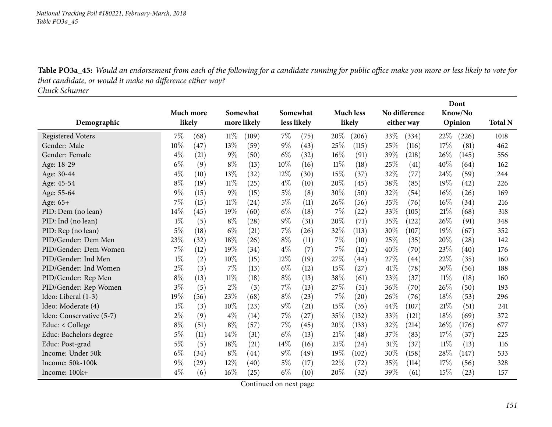Table PO3a\_45: Would an endorsement from each of the following for a candidate running for public office make you more or less likely to vote for *that candidate, or would it make no difference either way?*

*Chuck Schumer*

|                          |       |           |        |             |        |             |       |                  |        |                    |        | Dont    |                |
|--------------------------|-------|-----------|--------|-------------|--------|-------------|-------|------------------|--------|--------------------|--------|---------|----------------|
|                          |       | Much more |        | Somewhat    |        | Somewhat    |       | <b>Much less</b> |        | No difference      |        | Know/No |                |
| Demographic              |       | likely    |        | more likely |        | less likely |       | likely           |        | either way         |        | Opinion | <b>Total N</b> |
| <b>Registered Voters</b> | 7%    | (68)      | $11\%$ | (109)       | $7\%$  | (75)        | 20%   | (206)            | 33\%   | (334)              | 22\%   | (226)   | 1018           |
| Gender: Male             | 10%   | (47)      | 13%    | (59)        | $9\%$  | (43)        | 25%   | (115)            | 25%    | (116)              | 17%    | (81)    | 462            |
| Gender: Female           | $4\%$ | (21)      | $9\%$  | (50)        | $6\%$  | (32)        | 16%   | (91)             | 39%    | (218)              | 26%    | (145)   | 556            |
| Age: 18-29               | $6\%$ | (9)       | $8\%$  | (13)        | 10%    | (16)        | 11%   | (18)             | 25%    | (41)               | 40%    | (64)    | 162            |
| Age: 30-44               | $4\%$ | (10)      | 13%    | (32)        | 12%    | (30)        | 15%   | (37)             | 32%    | (77)               | 24%    | (59)    | 244            |
| Age: 45-54               | $8\%$ | (19)      | $11\%$ | (25)        | $4\%$  | (10)        | 20%   | (45)             | 38\%   | (85)               | 19%    | (42)    | 226            |
| Age: 55-64               | $9\%$ | (15)      | $9\%$  | (15)        | $5\%$  | (8)         | 30%   | (50)             | 32%    | (54)               | 16%    | (26)    | 169            |
| Age: 65+                 | 7%    | (15)      | $11\%$ | (24)        | $5\%$  | (11)        | 26%   | (56)             | 35\%   | (76)               | 16%    | (34)    | 216            |
| PID: Dem (no lean)       | 14%   | (45)      | 19%    | (60)        | $6\%$  | (18)        | 7%    | (22)             | 33%    | (105)              | 21%    | (68)    | 318            |
| PID: Ind (no lean)       | $1\%$ | (5)       | $8\%$  | (28)        | $9\%$  | (31)        | 20%   | (71)             | 35%    | (122)              | 26%    | (91)    | 348            |
| PID: Rep (no lean)       | $5\%$ | (18)      | $6\%$  | (21)        | 7%     | (26)        | 32%   | (113)            | 30%    | (107)              | 19%    | (67)    | 352            |
| PID/Gender: Dem Men      | 23%   | (32)      | 18%    | (26)        | $8\%$  | (11)        | $7\%$ | (10)             | 25%    | (35)               | 20%    | (28)    | 142            |
| PID/Gender: Dem Women    | 7%    | (12)      | 19%    | (34)        | $4\%$  | (7)         | $7\%$ | (12)             | 40%    | (70)               | 23%    | (40)    | 176            |
| PID/Gender: Ind Men      | $1\%$ | (2)       | 10%    | (15)        | 12%    | (19)        | 27\%  | (44)             | 27\%   | $\left( 44\right)$ | 22%    | (35)    | 160            |
| PID/Gender: Ind Women    | $2\%$ | (3)       | 7%     | (13)        | $6\%$  | (12)        | 15%   | (27)             | 41\%   | (78)               | 30%    | (56)    | 188            |
| PID/Gender: Rep Men      | $8\%$ | (13)      | 11%    | (18)        | $8\%$  | (13)        | 38\%  | (61)             | 23%    | (37)               | 11%    | (18)    | 160            |
| PID/Gender: Rep Women    | $3\%$ | (5)       | $2\%$  | (3)         | 7%     | (13)        | 27\%  | (51)             | 36%    | (70)               | 26%    | (50)    | 193            |
| Ideo: Liberal (1-3)      | 19%   | (56)      | 23%    | (68)        | $8\%$  | (23)        | 7%    | (20)             | 26%    | (76)               | 18%    | (53)    | 296            |
| Ideo: Moderate (4)       | $1\%$ | (3)       | 10%    | (23)        | $9\%$  | (21)        | 15%   | (35)             | 44%    | (107)              | 21%    | (51)    | 241            |
| Ideo: Conservative (5-7) | $2\%$ | (9)       | $4\%$  | (14)        | 7%     | (27)        | 35%   | (132)            | 33%    | (121)              | 18%    | (69)    | 372            |
| Educ: < College          | $8\%$ | (51)      | $8\%$  | (57)        | $7\%$  | (45)        | 20%   | (133)            | 32\%   | (214)              | 26%    | (176)   | 677            |
| Educ: Bachelors degree   | $5\%$ | (11)      | 14\%   | (31)        | $6\%$  | (13)        | 21%   | (48)             | 37%    | (83)               | 17%    | (37)    | 225            |
| Educ: Post-grad          | $5\%$ | (5)       | 18%    | (21)        | $14\%$ | (16)        | 21%   | (24)             | $31\%$ | (37)               | $11\%$ | (13)    | 116            |
| Income: Under 50k        | $6\%$ | (34)      | $8\%$  | (44)        | $9\%$  | (49)        | 19%   | (102)            | 30%    | (158)              | 28%    | (147)   | 533            |
| Income: 50k-100k         | 9%    | (29)      | 12%    | (40)        | $5\%$  | (17)        | 22%   | (72)             | 35\%   | (114)              | 17%    | (56)    | 328            |
| Income: 100k+            | $4\%$ | (6)       | 16%    | (25)        | $6\%$  | (10)        | 20%   | (32)             | 39%    | (61)               | 15%    | (23)    | 157            |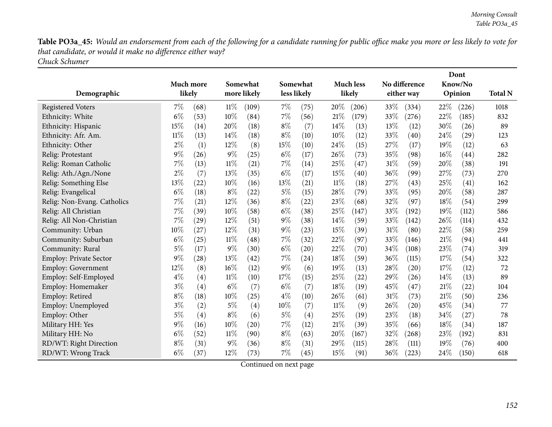Table PO3a\_45: Would an endorsement from each of the following for a candidate running for public office make you more or less likely to vote for *that candidate, or would it make no difference either way? Chuck Schumer*

|                             |        |                    |        |             |        |             |        |           |      |                    |        | Dont               |                |
|-----------------------------|--------|--------------------|--------|-------------|--------|-------------|--------|-----------|------|--------------------|--------|--------------------|----------------|
|                             |        | Much more          |        | Somewhat    |        | Somewhat    |        | Much less |      | No difference      |        | Know/No            |                |
| Demographic                 |        | likely             |        | more likely |        | less likely |        | likely    |      | either way         |        | Opinion            | <b>Total N</b> |
| <b>Registered Voters</b>    | $7\%$  | (68)               | 11%    | (109)       | 7%     | (75)        | 20%    | (206)     | 33%  | (334)              | 22%    | (226)              | 1018           |
| Ethnicity: White            | $6\%$  | (53)               | 10%    | (84)        | 7%     | (56)        | $21\%$ | (179)     | 33%  | (276)              | 22%    | (185)              | 832            |
| Ethnicity: Hispanic         | 15%    | (14)               | 20%    | (18)        | $8\%$  | (7)         | 14%    | (13)      | 13%  | (12)               | 30%    | (26)               | 89             |
| Ethnicity: Afr. Am.         | $11\%$ | (13)               | 14\%   | (18)        | $8\%$  | (10)        | 10%    | (12)      | 33%  | (40)               | 24\%   | $\left( 29\right)$ | 123            |
| Ethnicity: Other            | $2\%$  | (1)                | 12%    | (8)         | 15%    | (10)        | 24\%   | (15)      | 27%  | (17)               | 19%    | (12)               | 63             |
| Relig: Protestant           | 9%     | (26)               | $9\%$  | (25)        | $6\%$  | (17)        | 26%    | (73)      | 35%  | (98)               | $16\%$ | (44)               | 282            |
| Relig: Roman Catholic       | 7%     | (13)               | $11\%$ | (21)        | 7%     | (14)        | 25%    | (47)      | 31%  | (59)               | 20%    | (38)               | 191            |
| Relig: Ath./Agn./None       | $2\%$  | (7)                | 13%    | (35)        | $6\%$  | (17)        | 15%    | (40)      | 36%  | (99)               | 27%    | (73)               | 270            |
| Relig: Something Else       | $13\%$ | (22)               | 10%    | (16)        | $13\%$ | (21)        | $11\%$ | (18)      | 27\% | (43)               | 25%    | (41)               | 162            |
| Relig: Evangelical          | $6\%$  | (18)               | $8\%$  | (22)        | $5\%$  | (15)        | 28%    | (79)      | 33%  | (95)               | 20%    | (58)               | 287            |
| Relig: Non-Evang. Catholics | 7%     | (21)               | 12%    | (36)        | $8\%$  | (22)        | 23%    | (68)      | 32%  | (97)               | 18%    | (54)               | 299            |
| Relig: All Christian        | 7%     | (39)               | 10%    | (58)        | $6\%$  | (38)        | 25%    | (147)     | 33%  | (192)              | 19%    | (112)              | 586            |
| Relig: All Non-Christian    | 7%     | (29)               | 12%    | (51)        | $9\%$  | (38)        | 14%    | (59)      | 33%  | (142)              | 26%    | (114)              | 432            |
| Community: Urban            | 10%    | (27)               | 12%    | (31)        | $9\%$  | (23)        | 15%    | (39)      | 31%  | (80)               | 22%    | (58)               | 259            |
| Community: Suburban         | $6\%$  | (25)               | $11\%$ | (48)        | 7%     | (32)        | 22\%   | (97)      | 33%  | (146)              | 21%    | (94)               | 441            |
| Community: Rural            | $5\%$  | (17)               | $9\%$  | (30)        | $6\%$  | (20)        | 22%    | (70)      | 34%  | (108)              | 23%    | (74)               | 319            |
| Employ: Private Sector      | 9%     | $\left( 28\right)$ | 13%    | (42)        | 7%     | (24)        | 18%    | (59)      | 36%  | (115)              | 17%    | (54)               | 322            |
| Employ: Government          | 12%    | (8)                | 16%    | (12)        | $9\%$  | (6)         | 19%    | (13)      | 28\% | $\left( 20\right)$ | 17%    | (12)               | 72             |
| Employ: Self-Employed       | $4\%$  | (4)                | $11\%$ | (10)        | 17%    | (15)        | 25%    | (22)      | 29%  | (26)               | 14%    | (13)               | 89             |
| Employ: Homemaker           | $3\%$  | (4)                | $6\%$  | (7)         | $6\%$  | (7)         | 18%    | (19)      | 45%  | $\left( 47\right)$ | 21\%   | (22)               | 104            |
| Employ: Retired             | $8\%$  | (18)               | 10%    | (25)        | $4\%$  | (10)        | 26%    | (61)      | 31%  | (73)               | 21%    | (50)               | 236            |
| Employ: Unemployed          | $3\%$  | (2)                | 5%     | (4)         | 10%    | (7)         | $11\%$ | (9)       | 26%  | (20)               | 45%    | (34)               | 77             |
| Employ: Other               | $5\%$  | (4)                | $8\%$  | (6)         | $5\%$  | (4)         | 25%    | (19)      | 23%  | (18)               | 34%    | (27)               | 78             |
| Military HH: Yes            | 9%     | (16)               | 10%    | (20)        | 7%     | (12)        | 21%    | (39)      | 35%  | (66)               | 18%    | (34)               | 187            |
| Military HH: No             | $6\%$  | (52)               | $11\%$ | (90)        | $8\%$  | (63)        | 20%    | (167)     | 32%  | (268)              | 23%    | (192)              | 831            |
| RD/WT: Right Direction      | $8\%$  | (31)               | 9%     | (36)        | $8\%$  | (31)        | 29%    | (115)     | 28%  | (111)              | 19%    | (76)               | 400            |
| RD/WT: Wrong Track          | $6\%$  | (37)               | 12%    | (73)        | 7%     | (45)        | 15%    | (91)      | 36%  | (223)              | 24%    | (150)              | 618            |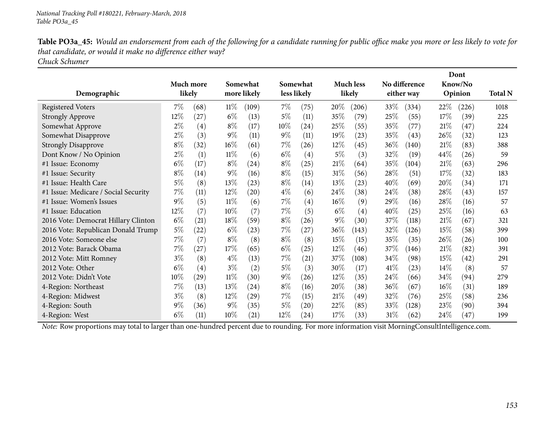Table PO3a\_45: Would an endorsement from each of the following for a candidate running for public office make you more or less likely to vote for *that candidate, or would it make no difference either way? Chuck Schumer*

| Demographic                          |        | Much more<br>likely |        | Somewhat<br>more likely |        | Somewhat<br>less likely |        | <b>Much less</b><br>likely |        | No difference<br>either way |        | Dont<br>Know/No<br>Opinion | <b>Total N</b> |
|--------------------------------------|--------|---------------------|--------|-------------------------|--------|-------------------------|--------|----------------------------|--------|-----------------------------|--------|----------------------------|----------------|
| <b>Registered Voters</b>             | $7\%$  | (68)                | $11\%$ | (109)                   | $7\%$  | (75)                    | 20%    | (206)                      | 33\%   | (334)                       | $22\%$ | (226)                      | 1018           |
| <b>Strongly Approve</b>              | 12%    | (27)                | $6\%$  | (13)                    | $5\%$  | (11)                    | 35%    | (79)                       | 25\%   | (55)                        | 17%    | (39)                       | 225            |
| Somewhat Approve                     | $2\%$  | (4)                 | $8\%$  | (17)                    | 10\%   | (24)                    | 25%    | (55)                       | 35\%   | (77)                        | 21%    | (47)                       | 224            |
| Somewhat Disapprove                  | $2\%$  | (3)                 | $9\%$  | (11)                    | $9\%$  | (11)                    | 19%    | (23)                       | 35\%   | (43)                        | 26%    | (32)                       | 123            |
| <b>Strongly Disapprove</b>           | $8\%$  | (32)                | $16\%$ | (61)                    | $7\%$  | (26)                    | $12\%$ | (45)                       | $36\%$ | (140)                       | 21%    | (83)                       | 388            |
| Dont Know / No Opinion               | $2\%$  | (1)                 | $11\%$ | (6)                     | $6\%$  | $\left( 4\right)$       | $5\%$  | (3)                        | $32\%$ | (19)                        | 44\%   | (26)                       | 59             |
| #1 Issue: Economy                    | $6\%$  | (17)                | $8\%$  | (24)                    | $8\%$  | (25)                    | $21\%$ | (64)                       | 35\%   | (104)                       | 21\%   | (63)                       | 296            |
| #1 Issue: Security                   | $8\%$  | (14)                | $9\%$  | (16)                    | $8\%$  | (15)                    | 31%    | (56)                       | 28\%   | (51)                        | 17%    | (32)                       | 183            |
| #1 Issue: Health Care                | $5\%$  | (8)                 | 13%    | (23)                    | $8\%$  | (14)                    | 13%    | (23)                       | 40%    | (69)                        | 20%    | (34)                       | 171            |
| #1 Issue: Medicare / Social Security | 7%     | (11)                | $12\%$ | $\left( 20\right)$      | $4\%$  | (6)                     | 24\%   | (38)                       | 24\%   | (38)                        | 28\%   | (43)                       | 157            |
| #1 Issue: Women's Issues             | $9\%$  | (5)                 | $11\%$ | (6)                     | $7\%$  | $\left( 4\right)$       | $16\%$ | (9)                        | 29\%   | (16)                        | 28\%   | (16)                       | 57             |
| #1 Issue: Education                  | $12\%$ | (7)                 | $10\%$ | (7)                     | $7\%$  | (5)                     | $6\%$  | (4)                        | $40\%$ | (25)                        | 25%    | (16)                       | 63             |
| 2016 Vote: Democrat Hillary Clinton  | $6\%$  | (21)                | 18%    | (59)                    | $8\%$  | (26)                    | $9\%$  | (30)                       | 37%    | (118)                       | 21%    | (67)                       | 321            |
| 2016 Vote: Republican Donald Trump   | $5\%$  | (22)                | $6\%$  | (23)                    | $7\%$  | (27)                    | 36%    | (143)                      | 32%    | (126)                       | 15%    | (58)                       | 399            |
| 2016 Vote: Someone else              | 7%     | (7)                 | $8\%$  | (8)                     | $8\%$  | (8)                     | 15%    | (15)                       | 35%    | (35)                        | 26%    | (26)                       | 100            |
| 2012 Vote: Barack Obama              | 7%     | (27)                | 17\%   | (65)                    | $6\%$  | (25)                    | $12\%$ | (46)                       | 37%    | (146)                       | 21\%   | (82)                       | 391            |
| 2012 Vote: Mitt Romney               | $3\%$  | (8)                 | $4\%$  | (13)                    | $7\%$  | (21)                    | 37\%   | (108)                      | 34\%   | (98)                        | 15%    | (42)                       | 291            |
| 2012 Vote: Other                     | $6\%$  | (4)                 | $3\%$  | (2)                     | $5\%$  | (3)                     | 30\%   | (17)                       | 41%    | (23)                        | 14%    | (8)                        | 57             |
| 2012 Vote: Didn't Vote               | 10%    | (29)                | $11\%$ | (30)                    | $9\%$  | (26)                    | 12%    | (35)                       | 24\%   | (66)                        | 34\%   | (94)                       | 279            |
| 4-Region: Northeast                  | 7%     | (13)                | 13\%   | (24)                    | $8\%$  | (16)                    | 20%    | (38)                       | 36%    | (67)                        | $16\%$ | (31)                       | 189            |
| 4-Region: Midwest                    | $3\%$  | (8)                 | $12\%$ | (29)                    | $7\%$  | (15)                    | 21%    | (49)                       | $32\%$ | (76)                        | 25%    | (58)                       | 236            |
| 4-Region: South                      | $9\%$  | (36)                | $9\%$  | (35)                    | $5\%$  | $\left( 20\right)$      | $22\%$ | (85)                       | 33\%   | (128)                       | 23\%   | (90)                       | 394            |
| 4-Region: West                       | $6\%$  | (11)                | 10%    | (21)                    | $12\%$ | (24)                    | 17%    | (33)                       | 31%    | (62)                        | 24%    | (47)                       | 199            |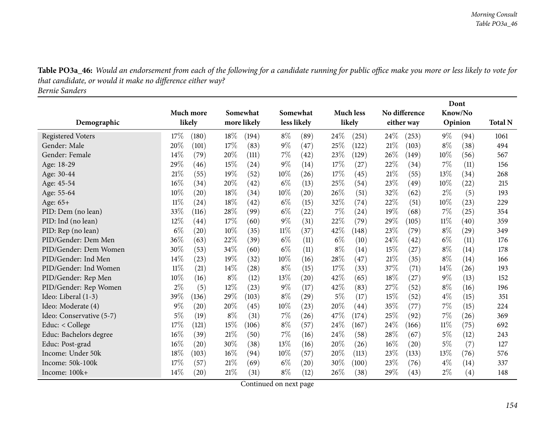Table PO3a\_46: Would an endorsement from each of the following for a candidate running for public office make you more or less likely to vote for *that candidate, or would it make no difference either way? Bernie Sanders*

**DemographicMuch more likelySomewhatmore likely Somewhat less likely Much less likelyNo difference either way DontKnow/No Opinion Total <sup>N</sup>**Registered Voters 2008 217% (180)  $18\%$  (194)  $8\%$  (89)  $24\%$  (251)  $24\%$  (253)  $9\%$  (94) 1061 Gender: Male 20% (101)  $17\%$  (83)  $9\%$  (47)  $25\%$  (122)  $21\%$  (103)  $8\%$  (38)  $494$ 567 Gender: Female 20 14% (79)  $20\%$  (111)  $7\%$  (42)  $23\%$  (129)  $26\%$  (149)  $10\%$  (56) 567 Age: 18-29 29 29% (46)  $15\%$  (24)  $9\%$  (14)  $17\%$  (27)  $22\%$  (34)  $7\%$  (11)  $156$ 268 Age: 30-44 21<sup>%</sup> (55)  $19\%$  (52)  $10\%$  (26)  $17\%$  (45)  $21\%$  (55)  $13\%$  (34) 268 Age: 45-54 16% (34) 20% (42) 6% (13) 25% (54) 23% (49) 10% (22) 215 Age: 55-64 10% (20)  $10\%$  (20)  $18\%$  (34)  $10\%$  (20)  $26\%$  (51)  $32\%$  (62)  $2\%$  (5) 193 Age: 65+<br>PID: Dem (no lean) % (24) 8% (42) <sup>6</sup>% (5) <sup>32</sup>% (74) <sup>22</sup>% (5) 0% (23) <sup>229</sup> PID: Dem (no lean) 33% (116) 28% (99) 6% (22) 7% (24) 19% (68) 7% (25) 354 359 PID: Ind (no lean) 22% (44)  $12\%$  (44)  $17\%$  (60)  $9\%$  (31)  $22\%$  (79)  $29\%$  (105)  $11\%$  (40) 359 349 PID: Rep (no lean) 6% (20)  $10\%$  (35)  $11\%$  (37)  $42\%$  (148)  $23\%$  (79)  $8\%$  (29) 349 176 PID/Gender: Dem Men $\mathsf{n}$  36% (63) 22% (39) 6% (11) 6% (10) 24% (42) 6% (11) 176 PID/Gender: Dem Women $\texttt{n}$  30% (53) 34% (60) 6% (11) 8% (14) 15% (27) 8% (14) 178 PID/Gender: Ind Men 4% (23) 9% (32) 0% (6) <sup>28</sup>% (47) 2% (35) <sup>8</sup>% (4) 66 PID/Gender: Ind Women $\text{n}$  11% (21) 14% (28) 8% (15) 17% (33) 37% (71) 14% (26) 193 PID/Gender: Rep Men $\mathsf{n}$  10% (16)  $\mathsf{8\%}$  (12)  $\mathsf{13\%}$  (20)  $\mathsf{42\%}$  (65)  $\mathsf{18\%}$  (27)  $\mathsf{9\%}$  (13)  $\mathsf{152}$ PID/Gender: Rep Women<br>Ideo: Liberal (1-3)  $\mathsf{n}$  2% (5) 12% (23) 9% (17) 42% (83) 27% (52) 8% (16) 196 Ideo: Liberal (1-3) 39% (36) 29% (103) 8% (29) 5% (17) 15% (52) 4% (15) 351 Ideo: Moderate (4)  $9\%$  (20)  $20\%$  (45)  $10\%$  (23)  $20\%$  (44)  $35\%$  (77)  $7\%$  (15) 224 369 Ideo: Conservative (5-7) 5% (19) 8% (31) 7% (26) 47% (174) 25% (92) 7% (26) 369 692 Educ: < College  $17\%$  (121)  $15\%$  (106)  $8\%$  (57)  $24\%$  (167)  $24\%$  (166)  $11\%$  (75) 692 Educ: Bachelors degree 16% (39) 21% (50) 7% (16) 24% (58) 28% (67) 5% (12) 243<br>Educ: Post-grad 16% (20) 30% (38) 13% (16) 20% (26) 16% (20) 5% (7) 127 Educ: Post-gradd  $16\%$  (20)  $30\%$  (38)  $13\%$  (16)  $20\%$  (26)  $16\%$  (20)  $5\%$  (7) 127 Income: Under 50kk 18% (103)  $16\%$  (94)  $10\%$  (57)  $20\%$  (113)  $23\%$  (133)  $13\%$  (76) 576 Income: 50k-100kk 17% (57)  $21\%$  (69)  $6\%$  (20)  $30\%$  (100)  $23\%$  (76)  $4\%$  (14) 337 Income: 100k+ $+$  14% (20) 21% (31) 8% (12) 26% (38) 29% (43) 2% (4) 148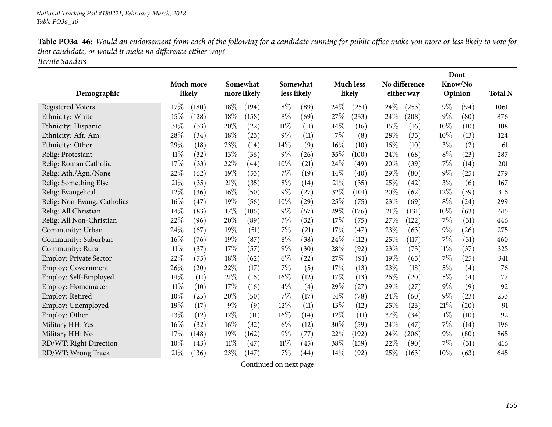Table PO3a\_46: Would an endorsement from each of the following for a candidate running for public office make you more or less likely to vote for *that candidate, or would it make no difference either way? Bernie Sanders*

|                               |                |                |             |                           |                  |                           |         | Dont               |                |
|-------------------------------|----------------|----------------|-------------|---------------------------|------------------|---------------------------|---------|--------------------|----------------|
|                               | Much more      | Somewhat       | Somewhat    |                           | <b>Much less</b> | No difference             | Know/No |                    |                |
| Demographic                   | likely         | more likely    | less likely |                           | likely           | either way                | Opinion |                    | <b>Total N</b> |
| <b>Registered Voters</b>      | 17%<br>(180)   | 18%<br>(194)   | $8\%$       | 24%<br>(89)               | (251)            | 24%<br>(253)              | $9\%$   | (94)               | 1061           |
| Ethnicity: White              | 15%<br>(128)   | 18%<br>(158)   | $8\%$       | 27%<br>(69)               | (233)            | 24%<br>(208)              | $9\%$   | (80)               | 876            |
| Ethnicity: Hispanic           | 31%<br>(33)    | 20%<br>(22)    | $11\%$      | 14%<br>(11)               | (16)             | 15%<br>(16)               | 10%     | (10)               | 108            |
| Ethnicity: Afr. Am.           | 28%<br>(34)    | 18%<br>(23)    | $9\%$       | (11)<br>7%                | (8)              | 28%<br>(35)               | $10\%$  | (13)               | 124            |
| Ethnicity: Other              | 29%<br>(18)    | 23%<br>(14)    | 14%         | (9)<br>16%                | (10)             | 16%<br>(10)               | $3\%$   | (2)                | 61             |
| Relig: Protestant             | $11\%$<br>(32) | 13%<br>(36)    | $9\%$       | (26)<br>35%               | (100)            | 24%<br>(68)               | $8\%$   | (23)               | 287            |
| Relig: Roman Catholic         | 17%<br>(33)    | 22%<br>(44)    | 10%         | 24%<br>(21)               | (49)             | 20%<br>(39)               | 7%      | (14)               | 201            |
| Relig: Ath./Agn./None         | $22\%$<br>(62) | 19%<br>(53)    | 7%          | 14%<br>(19)               | (40)             | 29%<br>(80)               | $9\%$   | (25)               | 279            |
| Relig: Something Else         | 21\%<br>(35)   | 21%<br>(35)    | $8\%$       | 21%<br>(14)               | (35)             | 25%<br>$\left( 42\right)$ | $3\%$   | (6)                | 167            |
| Relig: Evangelical            | 12%<br>(36)    | 16%<br>(50)    | $9\%$       | 32%<br>(27)               | (101)            | 20%<br>(62)               | 12%     | (39)               | 316            |
| Relig: Non-Evang. Catholics   | 16%<br>(47)    | 19%<br>(56)    | 10%         | 25%<br>(29)               | (75)             | 23%<br>(69)               | $8\%$   | (24)               | 299            |
| Relig: All Christian          | 14%<br>(83)    | 17%<br>(106)   | $9\%$       | 29%<br>(57)               | (176)            | 21%<br>(131)              | 10%     | (63)               | 615            |
| Relig: All Non-Christian      | 22%<br>(96)    | 20%<br>(89)    | 7%          | 17%<br>(32)               | (75)             | 27%<br>(122)              | 7%      | (31)               | 446            |
| Community: Urban              | 24%<br>(67)    | 19%<br>(51)    | 7%          | 17\%<br>(21)              | (47)             | 23%<br>(63)               | $9\%$   | (26)               | 275            |
| Community: Suburban           | 16%<br>(76)    | 19%<br>(87)    | $8\%$       | 24%<br>(38)               | (112)            | 25%<br>(117)              | 7%      | (31)               | 460            |
| Community: Rural              | $11\%$<br>(37) | 17%<br>(57)    | $9\%$       | 28%<br>(30)               | (92)             | 23%<br>(73)               | $11\%$  | (37)               | 325            |
| <b>Employ: Private Sector</b> | 22%<br>(75)    | 18%<br>(62)    | $6\%$       | 27%<br>(22)               | (91)             | 19%<br>(65)               | 7%      | (25)               | 341            |
| <b>Employ: Government</b>     | 26%<br>(20)    | 22%<br>(17)    | 7%          | (5)<br>17%                | (13)             | 23%<br>(18)               | $5\%$   | (4)                | 76             |
| Employ: Self-Employed         | 14%<br>(11)    | 21%<br>(16)    | 16%         | 17\%<br>(12)              | (13)             | 26%<br>(20)               | $5\%$   | (4)                | 77             |
| Employ: Homemaker             | $11\%$<br>(10) | 17%<br>(16)    | $4\%$       | (4)<br>29%                | (27)             | 29%<br>(27)               | $9\%$   | (9)                | 92             |
| Employ: Retired               | 10%<br>(25)    | 20%<br>(50)    | 7%          | (17)<br>31%               | (78)             | 24%<br>(60)               | $9\%$   | (23)               | 253            |
| Employ: Unemployed            | 19%<br>(17)    | 9%<br>(9)      | 12%         | 13%<br>(11)               | (12)             | 25%<br>(23)               | 21%     | $\left( 20\right)$ | 91             |
| Employ: Other                 | 13%<br>(12)    | 12%<br>(11)    | 16%         | 12%<br>(14)               | (11)             | 37%<br>(34)               | $11\%$  | (10)               | 92             |
| Military HH: Yes              | 16%<br>(32)    | 16%<br>(32)    | $6\%$       | (12)<br>30%               | (59)             | 24%<br>(47)               | 7%      | (14)               | 196            |
| Military HH: No               | 17%<br>(148)   | 19%<br>(162)   | $9\%$       | 22%<br>(77)               | (192)            | 24%<br>(206)              | $9\%$   | (80)               | 865            |
| RD/WT: Right Direction        | 10%<br>(43)    | $11\%$<br>(47) | $11\%$      | 38%<br>(45)               | (159)            | 22%<br>(90)               | 7%      | (31)               | 416            |
| RD/WT: Wrong Track            | 21%<br>(136)   | 23%<br>(147)   | 7%          | 14%<br>$\left( 44\right)$ | (92)             | 25%<br>(163)              | 10%     | (63)               | 645            |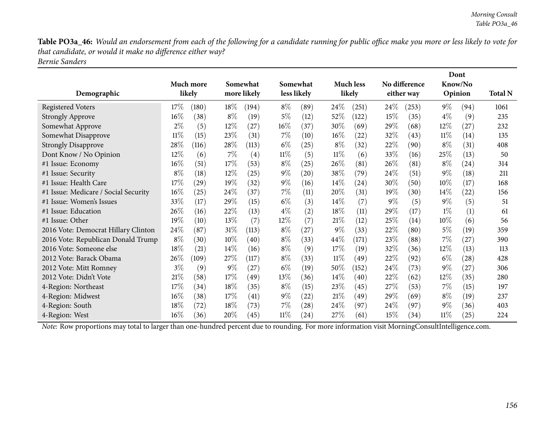Table PO3a\_46: Would an endorsement from each of the following for a candidate running for public office make you more or less likely to vote for *that candidate, or would it make no difference either way? Bernie Sanders*

| Demographic                          |        | Much more<br>likely |        | Somewhat<br>more likely |        | Somewhat<br>less likely |        | <b>Much less</b><br>likely |        | No difference<br>either way |        | Dont<br>Know/No<br>Opinion | <b>Total N</b> |
|--------------------------------------|--------|---------------------|--------|-------------------------|--------|-------------------------|--------|----------------------------|--------|-----------------------------|--------|----------------------------|----------------|
| <b>Registered Voters</b>             | 17\%   | (180)               | $18\%$ | (194)                   | $8\%$  | (89)                    | $24\%$ | (251)                      | $24\%$ | (253)                       | $9\%$  | (94)                       | 1061           |
| <b>Strongly Approve</b>              | $16\%$ | (38)                | $8\%$  | (19)                    | $5\%$  | (12)                    | 52\%   | (122)                      | 15%    | (35)                        | $4\%$  | (9)                        | 235            |
| Somewhat Approve                     | $2\%$  | (5)                 | 12%    | $\left( 27\right)$      | $16\%$ | (37)                    | 30\%   | (69)                       | 29%    | (68)                        | $12\%$ | (27)                       | 232            |
| Somewhat Disapprove                  | $11\%$ | (15)                | 23%    | (31)                    | $7\%$  | (10)                    | $16\%$ | (22)                       | 32\%   | (43)                        | $11\%$ | (14)                       | 135            |
| <b>Strongly Disapprove</b>           | 28\%   | (116)               | 28\%   | (113)                   | $6\%$  | (25)                    | $8\%$  | (32)                       | 22%    | (90)                        | $8\%$  | (31)                       | 408            |
| Dont Know / No Opinion               | $12\%$ | (6)                 | $7\%$  | (4)                     | $11\%$ | (5)                     | 11%    | (6)                        | 33\%   | (16)                        | 25%    | (13)                       | 50             |
| #1 Issue: Economy                    | 16%    | (51)                | 17%    | (53)                    | $8\%$  | (25)                    | 26\%   | (81)                       | $26\%$ | (81)                        | $8\%$  | $\left( 24\right)$         | 314            |
| #1 Issue: Security                   | $8\%$  | (18)                | $12\%$ | (25)                    | $9\%$  | (20)                    | 38\%   | (79)                       | 24%    | (51)                        | $9\%$  | (18)                       | 211            |
| #1 Issue: Health Care                | 17%    | (29)                | 19%    | (32)                    | $9\%$  | (16)                    | $14\%$ | $\left( 24\right)$         | 30\%   | (50)                        | $10\%$ | (17)                       | 168            |
| #1 Issue: Medicare / Social Security | 16%    | (25)                | 24\%   | (37)                    | $7\%$  | (11)                    | 20%    | (31)                       | 19%    | (30)                        | $14\%$ | (22)                       | 156            |
| #1 Issue: Women's Issues             | 33\%   | (17)                | 29%    | (15)                    | $6\%$  | (3)                     | $14\%$ | (7)                        | $9\%$  | (5)                         | $9\%$  | (5)                        | 51             |
| #1 Issue: Education                  | $26\%$ | (16)                | 22\%   | (13)                    | $4\%$  | (2)                     | $18\%$ | (11)                       | $29\%$ | (17)                        | $1\%$  | (1)                        | 61             |
| #1 Issue: Other                      | $19\%$ | (10)                | 13\%   | (7)                     | $12\%$ | (7)                     | 21%    | (12)                       | 25\%   | (14)                        | 10%    | (6)                        | 56             |
| 2016 Vote: Democrat Hillary Clinton  | 24\%   | (87)                | $31\%$ | (113)                   | $8\%$  | (27)                    | $9\%$  | (33)                       | 22\%   | (80)                        | $5\%$  | (19)                       | 359            |
| 2016 Vote: Republican Donald Trump   | $8\%$  | (30)                | 10%    | (40)                    | $8\%$  | (33)                    | 44\%   | (171)                      | 23\%   | (88)                        | $7\%$  | (27)                       | 390            |
| 2016 Vote: Someone else              | 18%    | (21)                | $14\%$ | (16)                    | $8\%$  | (9)                     | 17%    | (19)                       | 32\%   | (36)                        | $12\%$ | (13)                       | 113            |
| 2012 Vote: Barack Obama              | $26\%$ | (109)               | 27\%   | (117)                   | $8\%$  | (33)                    | $11\%$ | (49)                       | 22\%   | (92)                        | $6\%$  | (28)                       | 428            |
| 2012 Vote: Mitt Romney               | $3\%$  | (9)                 | $9\%$  | (27)                    | $6\%$  | (19)                    | 50\%   | (152)                      | 24\%   | (73)                        | $9\%$  | (27)                       | 306            |
| 2012 Vote: Didn't Vote               | 21%    | (58)                | 17\%   | (49)                    | 13\%   | (36)                    | $14\%$ | (40)                       | 22\%   | (62)                        | 12\%   | (35)                       | 280            |
| 4-Region: Northeast                  | 17%    | (34)                | 18%    | (35)                    | $8\%$  | (15)                    | 23\%   | (45)                       | 27%    | (53)                        | $7\%$  | (15)                       | 197            |
| 4-Region: Midwest                    | 16%    | (38)                | 17\%   | (41)                    | $9\%$  | (22)                    | 21%    | (49)                       | 29%    | (69)                        | $8\%$  | (19)                       | 237            |
| 4-Region: South                      | 18%    | (72)                | 18\%   | (73)                    | $7\%$  | (28)                    | $24\%$ | (97)                       | 24%    | (97)                        | $9\%$  | (36)                       | 403            |
| 4-Region: West                       | 16%    | (36)                | 20%    | (45)                    | $11\%$ | (24)                    | 27%    | (61)                       | 15%    | (34)                        | $11\%$ | (25)                       | 224            |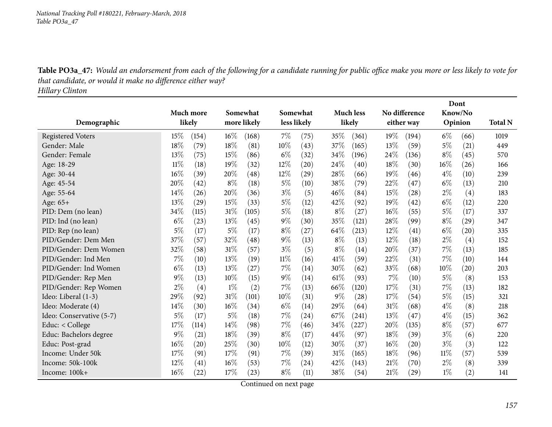Table PO3a\_47: Would an endorsement from each of the following for a candidate running for public office make you more or less likely to vote for *that candidate, or would it make no difference either way?*

*Hillary Clinton*

|                          |           |                           |             |       |                    |       |                  |      |               |        | Dont    |                |
|--------------------------|-----------|---------------------------|-------------|-------|--------------------|-------|------------------|------|---------------|--------|---------|----------------|
|                          | Much more |                           | Somewhat    |       | Somewhat           |       | <b>Much less</b> |      | No difference |        | Know/No |                |
| Demographic              | likely    |                           | more likely |       | less likely        |       | likely           |      | either way    |        | Opinion | <b>Total N</b> |
| <b>Registered Voters</b> | 15%       | $16\%$<br>(154)           | (168)       | $7\%$ | (75)               | 35%   | (361)            | 19%  | (194)         | $6\%$  | (66)    | 1019           |
| Gender: Male             | 18%       | 18%<br>(79)               | (81)        | 10%   | (43)               | 37%   | (165)            | 13%  | (59)          | $5\%$  | (21)    | 449            |
| Gender: Female           | 13%       | 15%<br>(75)               | (86)        | $6\%$ | (32)               | 34%   | (196)            | 24%  | (136)         | $8\%$  | (45)    | 570            |
| Age: 18-29               | 11%       | 19%<br>(18)               | (32)        | 12%   | (20)               | 24%   | (40)             | 18%  | (30)          | 16%    | (26)    | 166            |
| Age: 30-44               | 16%       | 20%<br>(39)               | (48)        | 12%   | (29)               | 28%   | (66)             | 19%  | (46)          | $4\%$  | (10)    | 239            |
| Age: 45-54               | 20%       | $8\%$<br>(42)             | (18)        | $5\%$ | (10)               | 38%   | (79)             | 22%  | (47)          | $6\%$  | (13)    | 210            |
| Age: 55-64               | 14%       | 20%<br>(26)               | (36)        | $3\%$ | (5)                | 46%   | (84)             | 15%  | (28)          | $2\%$  | (4)     | 183            |
| Age: 65+                 | 13\%      | $15\%$<br>(29)            | (33)        | $5\%$ | (12)               | 42%   | (92)             | 19%  | (42)          | $6\%$  | (12)    | 220            |
| PID: Dem (no lean)       | 34%       | 31%<br>(115)              | (105)       | 5%    | (18)               | $8\%$ | (27)             | 16%  | (55)          | $5\%$  | (17)    | 337            |
| PID: Ind (no lean)       | $6\%$     | 13%<br>(23)               | (45)        | $9\%$ | (30)               | 35%   | (121)            | 28\% | (99)          | $8\%$  | (29)    | 347            |
| PID: Rep (no lean)       | $5\%$     | $5\%$<br>(17)             | (17)        | $8\%$ | (27)               | 64\%  | (213)            | 12%  | (41)          | $6\%$  | (20)    | 335            |
| PID/Gender: Dem Men      | 37%       | 32%<br>(57)               | (48)        | $9\%$ | (13)               | $8\%$ | (13)             | 12%  | (18)          | $2\%$  | (4)     | 152            |
| PID/Gender: Dem Women    | 32%       | 31%<br>(58)               | (57)        | $3\%$ | (5)                | $8\%$ | (14)             | 20%  | (37)          | $7\%$  | (13)    | 185            |
| PID/Gender: Ind Men      | 7%        | 13%<br>(10)               | (19)        | 11%   | (16)               | 41\%  | (59)             | 22%  | (31)          | 7%     | (10)    | 144            |
| PID/Gender: Ind Women    | $6\%$     | 13%<br>(13)               | (27)        | 7%    | (14)               | 30%   | (62)             | 33%  | (68)          | 10%    | (20)    | 203            |
| PID/Gender: Rep Men      | $9\%$     | 10%<br>(13)               | (15)        | $9\%$ | (14)               | 61%   | (93)             | 7%   | (10)          | 5%     | (8)     | 153            |
| PID/Gender: Rep Women    | 2%        | $1\%$<br>(4)              | (2)         | 7%    | (13)               | 66\%  | (120)            | 17%  | (31)          | $7\%$  | (13)    | 182            |
| Ideo: Liberal (1-3)      | 29%       | $31\%$<br>(92)            | (101)       | 10%   | (31)               | $9\%$ | (28)             | 17%  | (54)          | $5\%$  | (15)    | 321            |
| Ideo: Moderate (4)       | $14\%$    | 16%<br>(30)               | (34)        | $6\%$ | (14)               | 29%   | (64)             | 31%  | (68)          | $4\%$  | (8)     | 218            |
| Ideo: Conservative (5-7) | $5\%$     | $5\%$<br>(17)             | (18)        | 7%    | (24)               | 67%   | (241)            | 13%  | (47)          | $4\%$  | (15)    | 362            |
| Educ: $<$ College        | 17%       | 14%<br>(114)              | (98)        | $7\%$ | (46)               | 34%   | $^{'}227)$       | 20%  | (135)         | $8\%$  | (57)    | 677            |
| Educ: Bachelors degree   | $9\%$     | 18%<br>(21)               | (39)        | $8\%$ | (17)               | 44\%  | (97)             | 18%  | (39)          | $3\%$  | (6)     | 220            |
| Educ: Post-grad          | 16%       | $25\%$<br>(20)            | (30)        | 10%   | (12)               | 30%   | (37)             | 16%  | (20)          | $3\%$  | (3)     | 122            |
| Income: Under 50k        | 17%       | 17%<br>(91)               | (91)        | 7%    | (39)               | 31%   | (165)            | 18%  | (96)          | $11\%$ | (57)    | 539            |
| Income: 50k-100k         | 12%       | 16%<br>$\left( 41\right)$ | (53)        | 7%    | $\left( 24\right)$ | 42%   | (143)            | 21%  | (70)          | $2\%$  | (8)     | 339            |
| Income: 100k+            | 16%       | 17%<br>(22)               | (23)        | $8\%$ | (11)               | 38%   | (54)             | 21%  | (29)          | $1\%$  | (2)     | 141            |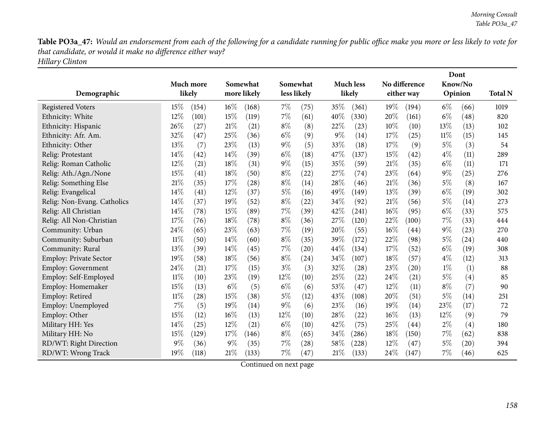Table PO3a\_47: Would an endorsement from each of the following for a candidate running for public office make you more or less likely to vote for *that candidate, or would it make no difference either way? Hillary Clinton*

|                               |                              |              |               |                  |                           | Dont                     |                |
|-------------------------------|------------------------------|--------------|---------------|------------------|---------------------------|--------------------------|----------------|
|                               | Much more                    | Somewhat     | Somewhat      | <b>Much less</b> | No difference             | Know/No                  |                |
| Demographic                   | likely                       | more likely  | less likely   | likely           | either way                | Opinion                  | <b>Total N</b> |
| <b>Registered Voters</b>      | 15%<br>(154)                 | 16%<br>(168) | 7%<br>(75)    | 35%<br>(361)     | 19%<br>(194)              | $6\%$<br>(66)            | 1019           |
| Ethnicity: White              | 12%<br>(101)                 | 15%<br>(119) | $7\%$<br>(61) | 40%<br>(330)     | 20%<br>(161)              | $6\%$<br>(48)            | 820            |
| Ethnicity: Hispanic           | 26%<br>(27)                  | 21%<br>(21)  | $8\%$<br>(8)  | 22%<br>(23)      | 10%<br>(10)               | 13%<br>(13)              | 102            |
| Ethnicity: Afr. Am.           | 32%<br>(47)                  | 25%<br>(36)  | $6\%$<br>(9)  | $9\%$<br>(14)    | 17%<br>(25)               | $11\%$<br>(15)           | 145            |
| Ethnicity: Other              | 13%<br>(7)                   | 23%<br>(13)  | $9\%$<br>(5)  | 33\%<br>(18)     | 17%<br>(9)                | $5\%$<br>(3)             | 54             |
| Relig: Protestant             | 14%<br>(42)                  | 14%<br>(39)  | $6\%$<br>(18) | 47%<br>(137)     | 15%<br>(42)               | $4\%$<br>(11)            | 289            |
| Relig: Roman Catholic         | 12%<br>(21)                  | 18%<br>(31)  | $9\%$<br>(15) | 35%<br>(59)      | 21%<br>(35)               | $6\%$<br>(11)            | 171            |
| Relig: Ath./Agn./None         | 15%<br>(41)                  | 18%<br>(50)  | $8\%$<br>(22) | 27%<br>(74)      | 23%<br>(64)               | $9\%$<br>(25)            | 276            |
| Relig: Something Else         | 21%<br>(35)                  | 17\%<br>(28) | $8\%$<br>(14) | 28\%<br>(46)     | 21%<br>(36)               | $5\%$<br>(8)             | 167            |
| Relig: Evangelical            | 14%<br>(41)                  | 12%<br>(37)  | $5\%$<br>(16) | 49%<br>(149)     | 13%<br>(39)               | $6\%$<br>(19)            | 302            |
| Relig: Non-Evang. Catholics   | 14%<br>(37)                  | 19%<br>(52)  | $8\%$<br>(22) | 34%<br>(92)      | 21%<br>(56)               | $5\%$<br>(14)            | 273            |
| Relig: All Christian          | 14%<br>(78)                  | 15%<br>(89)  | 7%<br>(39)    | 42%<br>(241)     | 16%<br>(95)               | $6\%$<br>(33)            | 575            |
| Relig: All Non-Christian      | 17%<br>(76)                  | 18%<br>(78)  | $8\%$<br>(36) | 27%<br>(120)     | 22%<br>(100)              | $7\%$<br>(33)            | 444            |
| Community: Urban              | 24%<br>(65)                  | 23%<br>(63)  | 7%<br>(19)    | 20%<br>(55)      | 16%<br>(44)               | $9\%$<br>(23)            | 270            |
| Community: Suburban           | $11\%$<br>(50)               | 14%<br>(60)  | $8\%$<br>(35) | 39%<br>(172)     | 22%<br>(98)               | $5\%$<br>(24)            | 440            |
| Community: Rural              | 13%<br>(39)                  | 14%<br>(45)  | 7%<br>(20)    | 44%<br>(134)     | 17%<br>(52)               | $6\%$<br>(19)            | 308            |
| <b>Employ: Private Sector</b> | 19%<br>(58)                  | 18%<br>(56)  | $8\%$<br>(24) | 34%<br>(107)     | 18%<br>(57)               | $4\%$<br>(12)            | 313            |
| <b>Employ: Government</b>     | 24%<br>(21)                  | 17%<br>(15)  | $3\%$<br>(3)  | 32%<br>(28)      | 23%<br>(20)               | $1\%$<br>(1)             | 88             |
| Employ: Self-Employed         | $11\%$<br>(10)               | 23%<br>(19)  | 12%<br>(10)   | 25%<br>(22)      | 24\%<br>(21)              | $5\%$<br>(4)             | 85             |
| Employ: Homemaker             | 15%<br>(13)                  | $6\%$<br>(5) | $6\%$<br>(6)  | 53\%<br>(47)     | 12%<br>(11)               | $8\%$<br>(7)             | 90             |
| Employ: Retired               | $11\%$<br>$\left( 28\right)$ | 15%<br>(38)  | $5\%$<br>(12) | 43%<br>(108)     | 20%<br>(51)               | 5%<br>(14)               | 251            |
| Employ: Unemployed            | 7%<br>(5)                    | 19%<br>(14)  | $9\%$<br>(6)  | 23\%<br>(16)     | 19%<br>(14)               | 23%<br>(17)              | 72             |
| Employ: Other                 | 15%<br>(12)                  | 16%<br>(13)  | 12%<br>(10)   | 28%<br>(22)      | 16%<br>(13)               | 12%<br>(9)               | 79             |
| Military HH: Yes              | 14%<br>(25)                  | 12%<br>(21)  | $6\%$<br>(10) | 42%<br>(75)      | 25%<br>$\left( 44\right)$ | $2\%$<br>(4)             | 180            |
| Military HH: No               | 15%<br>(129)                 | 17%<br>(146) | $8\%$<br>(65) | 34%<br>(286)     | 18%<br>(150)              | $7\%$<br>(62)            | 838            |
| RD/WT: Right Direction        | 9%<br>(36)                   | 9%<br>(35)   | 7%<br>(28)    | 58%<br>(228)     | 12%<br>(47)               | 5%<br>$\left( 20\right)$ | 394            |
| RD/WT: Wrong Track            | 19%<br>(118)                 | 21%<br>(133) | 7%<br>(47)    | $21\%$<br>(133)  | 24\%<br>(147)             | $7\%$<br>(46)            | 625            |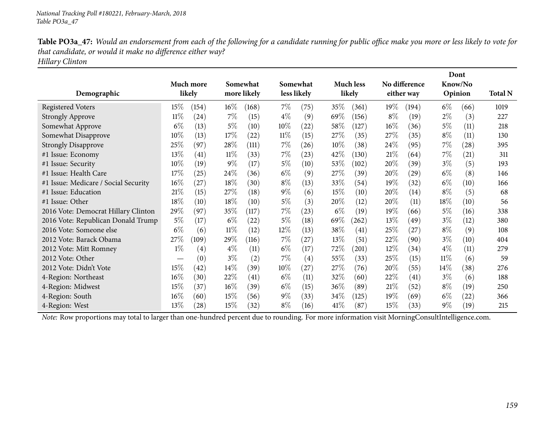Table PO3a\_47: Would an endorsement from each of the following for a candidate running for public office make you more or less likely to vote for *that candidate, or would it make no difference either way? Hillary Clinton*

| Demographic                          |                   | Much more<br>likely |        | Somewhat<br>more likely |        | Somewhat<br>less likely |        | <b>Much less</b><br>likely |        | No difference<br>either way |        | Dont<br>Know/No<br>Opinion | <b>Total N</b> |
|--------------------------------------|-------------------|---------------------|--------|-------------------------|--------|-------------------------|--------|----------------------------|--------|-----------------------------|--------|----------------------------|----------------|
| <b>Registered Voters</b>             | $15\%$            | (154)               | $16\%$ | (168)                   | $7\%$  | (75)                    | 35%    | (361)                      | 19%    | (194)                       | $6\%$  | (66)                       | 1019           |
| <b>Strongly Approve</b>              | 11%               | (24)                | $7\%$  | (15)                    | $4\%$  | (9)                     | 69\%   | (156)                      | $8\%$  | (19)                        | $2\%$  | (3)                        | 227            |
| Somewhat Approve                     | $6\%$             | (13)                | $5\%$  | (10)                    | 10%    | (22)                    | 58\%   | (127)                      | $16\%$ | (36)                        | 5%     | (11)                       | 218            |
| Somewhat Disapprove                  | $10\%$            | (13)                | 17\%   | (22)                    | $11\%$ | (15)                    | 27\%   | (35)                       | 27%    | (35)                        | $8\%$  | (11)                       | 130            |
| <b>Strongly Disapprove</b>           | 25%               | (97)                | 28\%   | (111)                   | $7\%$  | (26)                    | $10\%$ | (38)                       | $24\%$ | (95)                        | $7\%$  | (28)                       | 395            |
| #1 Issue: Economy                    | 13\%              | (41)                | $11\%$ | (33)                    | $7\%$  | (23)                    | 42\%   | (130)                      | 21%    | (64)                        | $7\%$  | (21)                       | 311            |
| #1 Issue: Security                   | $10\%$            | (19)                | $9\%$  | (17)                    | $5\%$  | (10)                    | 53\%   | (102)                      | $20\%$ | (39)                        | $3\%$  | (5)                        | 193            |
| #1 Issue: Health Care                | 17%               | (25)                | 24\%   | (36)                    | $6\%$  | (9)                     | 27\%   | (39)                       | 20%    | $\left( 29\right)$          | $6\%$  | (8)                        | 146            |
| #1 Issue: Medicare / Social Security | 16%               | (27)                | 18%    | (30)                    | $8\%$  | (13)                    | 33\%   | (54)                       | 19%    | (32)                        | $6\%$  | (10)                       | 166            |
| #1 Issue: Education                  | 21%               | (15)                | 27\%   | (18)                    | $9\%$  | (6)                     | $15\%$ | (10)                       | $20\%$ | (14)                        | $8\%$  | (5)                        | 68             |
| #1 Issue: Other                      | 18%               | (10)                | 18%    | (10)                    | $5\%$  | (3)                     | 20%    | (12)                       | $20\%$ | (11)                        | $18\%$ | (10)                       | 56             |
| 2016 Vote: Democrat Hillary Clinton  | $29\%$            | (97)                | 35%    | (117)                   | $7\%$  | (23)                    | $6\%$  | (19)                       | $19\%$ | (66)                        | $5\%$  | (16)                       | 338            |
| 2016 Vote: Republican Donald Trump   | 5%                | (17)                | $6\%$  | (22)                    | $5\%$  | (18)                    | 69\%   | (262)                      | 13%    | (49`                        | $3\%$  | (12)                       | 380            |
| 2016 Vote: Someone else              | $6\%$             | (6)                 | $11\%$ | (12)                    | $12\%$ | (13)                    | 38\%   | (41)                       | 25%    | (27)                        | $8\%$  | (9)                        | 108            |
| 2012 Vote: Barack Obama              | 27\%              | (109)               | 29%    | (116)                   | $7\%$  | (27)                    | $13\%$ | (51)                       | 22\%   | (90)                        | $3\%$  | (10)                       | 404            |
| 2012 Vote: Mitt Romney               | $1\%$             | (4)                 | $4\%$  | (11)                    | $6\%$  | (17)                    | 72\%   | (201)                      | $12\%$ | (34)                        | $4\%$  | (11)                       | 279            |
| 2012 Vote: Other                     | $\hspace{0.05cm}$ | (0)                 | $3\%$  | (2)                     | $7\%$  | (4)                     | $55\%$ | (33)                       | 25%    | (15)                        | $11\%$ | (6)                        | 59             |
| 2012 Vote: Didn't Vote               | 15%               | (42)                | 14%    | (39)                    | 10%    | (27)                    | 27\%   | (76)                       | $20\%$ | (55)                        | $14\%$ | (38)                       | 276            |
| 4-Region: Northeast                  | 16%               | (30)                | 22\%   | (41)                    | $6\%$  | (11)                    | 32\%   | (60)                       | 22\%   | (41)                        | $3\%$  | (6)                        | 188            |
| 4-Region: Midwest                    | 15%               | (37)                | $16\%$ | (39)                    | $6\%$  | (15)                    | $36\%$ | (89)                       | 21%    | (52)                        | $8\%$  | (19)                       | 250            |
| 4-Region: South                      | 16%               | (60)                | 15%    | (56)                    | $9\%$  | (33)                    | 34\%   | (125)                      | 19%    | (69)                        | $6\%$  | (22)                       | 366            |
| 4-Region: West                       | 13%               | $\left( 28\right)$  | 15%    | (32)                    | $8\%$  | (16)                    | 41%    | (87)                       | $15\%$ | (33)                        | $9\%$  | (19)                       | 215            |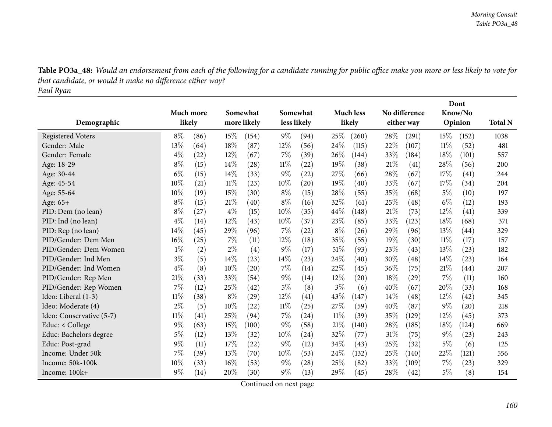Table PO3a\_48: Would an endorsement from each of the following for a candidate running for public office make you more or less likely to vote for *that candidate, or would it make no difference either way? Paul Ryan*

|                          |           |      |        |             |             |                    |        |                  |      |                    |        | Dont               |                |
|--------------------------|-----------|------|--------|-------------|-------------|--------------------|--------|------------------|------|--------------------|--------|--------------------|----------------|
|                          | Much more |      |        | Somewhat    |             | Somewhat           |        | <b>Much less</b> |      | No difference      |        | Know/No            |                |
| Demographic              | likely    |      |        | more likely | less likely |                    |        | likely           |      | either way         |        | Opinion            | <b>Total N</b> |
| <b>Registered Voters</b> | $8\%$     | (86) | 15%    | (154)       | $9\%$       | (94)               | 25%    | (260)            | 28\% | (291)              | 15%    | (152)              | 1038           |
| Gender: Male             | 13%       | (64) | 18%    | (87)        | $12\%$      | (56)               | 24%    | (115)            | 22%  | (107)              | 11%    | (52)               | 481            |
| Gender: Female           | $4\%$     | (22) | 12%    | (67)        | $7\%$       | (39)               | 26%    | (144)            | 33\% | (184)              | 18\%   | (101)              | 557            |
| Age: 18-29               | $8\%$     | (15) | 14%    | (28)        | $11\%$      | $\left( 22\right)$ | 19%    | (38)             | 21%  | (41)               | 28%    | (56)               | 200            |
| Age: 30-44               | $6\%$     | (15) | 14%    | (33)        | $9\%$       | (22)               | 27%    | (66)             | 28%  | (67)               | 17%    | (41)               | 244            |
| Age: 45-54               | 10%       | (21) | $11\%$ | (23)        | 10%         | (20)               | 19%    | (40)             | 33%  | (67)               | 17%    | (34)               | 204            |
| Age: 55-64               | 10%       | (19) | 15%    | (30)        | $8\%$       | (15)               | 28%    | (55)             | 35%  | (68)               | $5\%$  | (10)               | 197            |
| Age: 65+                 | $8\%$     | (15) | 21%    | (40)        | $8\%$       | (16)               | 32%    | (61)             | 25%  | (48)               | $6\%$  | (12)               | 193            |
| PID: Dem (no lean)       | $8\%$     | (27) | $4\%$  | (15)        | 10%         | (35)               | 44\%   | (148)            | 21%  | (73)               | 12%    | (41)               | 339            |
| PID: Ind (no lean)       | $4\%$     | (14) | 12%    | (43)        | $10\%$      | (37)               | 23%    | (85)             | 33%  | (123)              | 18%    | (68)               | 371            |
| PID: Rep (no lean)       | 14%       | (45) | 29%    | (96)        | $7\%$       | (22)               | $8\%$  | (26)             | 29\% | (96)               | 13%    | (44)               | 329            |
| PID/Gender: Dem Men      | 16%       | (25) | 7%     | (11)        | 12%         | (18)               | 35%    | (55)             | 19%  | (30)               | $11\%$ | (17)               | 157            |
| PID/Gender: Dem Women    | $1\%$     | (2)  | $2\%$  | (4)         | $9\%$       | (17)               | 51%    | (93)             | 23\% | (43)               | 13%    | (23)               | 182            |
| PID/Gender: Ind Men      | $3\%$     | (5)  | 14%    | (23)        | $14\%$      | (23)               | 24\%   | (40)             | 30%  | (48)               | 14\%   | (23)               | 164            |
| PID/Gender: Ind Women    | $4\%$     | (8)  | 10%    | (20)        | $7\%$       | (14)               | 22\%   | (45)             | 36\% | (75)               | 21\%   | $\left( 44\right)$ | 207            |
| PID/Gender: Rep Men      | 21%       | (33) | 33%    | (54)        | $9\%$       | (14)               | 12%    | (20)             | 18%  | $\left( 29\right)$ | 7%     | (11)               | 160            |
| PID/Gender: Rep Women    | 7%        | (12) | 25%    | (42)        | $5\%$       | (8)                | $3\%$  | (6)              | 40%  | (67)               | 20%    | (33)               | 168            |
| Ideo: Liberal (1-3)      | $11\%$    | (38) | $8\%$  | (29)        | 12%         | (41)               | 43%    | (147)            | 14\% | $\left( 48\right)$ | 12%    | (42)               | 345            |
| Ideo: Moderate (4)       | $2\%$     | (5)  | 10%    | (22)        | $11\%$      | (25)               | 27%    | (59)             | 40%  | (87)               | $9\%$  | (20)               | 218            |
| Ideo: Conservative (5-7) | $11\%$    | (41) | 25%    | (94)        | $7\%$       | (24)               | $11\%$ | (39)             | 35%  | (129)              | 12%    | (45)               | 373            |
| Educ: < College          | 9%        | (63) | 15%    | (100)       | $9\%$       | (58)               | 21%    | (140)            | 28%  | (185)              | 18%    | (124)              | 669            |
| Educ: Bachelors degree   | $5\%$     | (12) | 13%    | (32)        | 10%         | (24)               | 32%    | (77)             | 31%  | (75)               | $9\%$  | (23)               | 243            |
| Educ: Post-grad          | 9%        | (11) | 17%    | (22)        | $9\%$       | (12)               | 34%    | (43)             | 25%  | (32)               | $5\%$  | (6)                | 125            |
| Income: Under 50k        | 7%        | (39) | 13%    | (70)        | 10%         | (53)               | 24%    | (132)            | 25%  | (140)              | 22%    | (121)              | 556            |
| Income: 50k-100k         | 10%       | (33) | 16%    | (53)        | $9\%$       | $\left( 28\right)$ | 25%    | (82)             | 33\% | (109)              | 7%     | (23)               | 329            |
| Income: 100k+            | $9\%$     | (14) | 20%    | (30)        | 9%          | (13)               | 29%    | (45)             | 28%  | (42)               | $5\%$  | (8)                | 154            |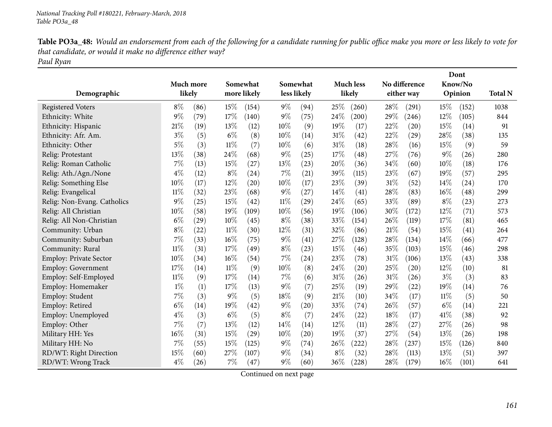| Table PO3a_48: Would an endorsement from each of the following for a candidate running for public office make you more or less likely to vote for |
|---------------------------------------------------------------------------------------------------------------------------------------------------|
| that candidate, or would it make no difference either way?                                                                                        |
| Paul Ryan                                                                                                                                         |

| Demographic                 | Much more<br>likely |      |        | Somewhat<br>more likely |        | Somewhat<br>less likely |       | <b>Much less</b><br>likely |     | No difference<br>either way |        | Dont<br>Know/No<br>Opinion | <b>Total N</b> |
|-----------------------------|---------------------|------|--------|-------------------------|--------|-------------------------|-------|----------------------------|-----|-----------------------------|--------|----------------------------|----------------|
| <b>Registered Voters</b>    | $8\%$               | (86) | 15%    | (154)                   | $9\%$  | (94)                    | 25%   | (260)                      | 28% | (291)                       | 15%    | (152)                      | 1038           |
| Ethnicity: White            | 9%                  | (79) | 17%    | (140)                   | $9\%$  | (75)                    | 24%   | (200)                      | 29% | (246)                       | 12%    | (105)                      | 844            |
| Ethnicity: Hispanic         | $21\%$              | (19) | 13%    | (12)                    | 10%    | (9)                     | 19%   | (17)                       | 22% | (20)                        | 15%    | (14)                       | 91             |
| Ethnicity: Afr. Am.         | $3\%$               | (5)  | $6\%$  | (8)                     | 10%    | (14)                    | 31%   | $\left( 42\right)$         | 22% | (29)                        | 28%    | (38)                       | 135            |
| Ethnicity: Other            | 5%                  | (3)  | 11%    | (7)                     | 10%    | (6)                     | 31%   | (18)                       | 28% | (16)                        | 15%    | (9)                        | 59             |
| Relig: Protestant           | 13%                 | (38) | 24%    | (68)                    | $9\%$  | (25)                    | 17%   | (48)                       | 27% | (76)                        | $9\%$  | (26)                       | 280            |
| Relig: Roman Catholic       | 7%                  | (13) | 15%    | (27)                    | 13%    | (23)                    | 20%   | (36)                       | 34% | (60)                        | 10%    | (18)                       | 176            |
| Relig: Ath./Agn./None       | $4\%$               | (12) | $8\%$  | (24)                    | 7%     | (21)                    | 39%   | (115)                      | 23% | (67)                        | 19%    | (57)                       | 295            |
| Relig: Something Else       | 10%                 | (17) | 12%    | (20)                    | 10%    | (17)                    | 23%   | (39)                       | 31% | (52)                        | 14%    | (24)                       | 170            |
| Relig: Evangelical          | $11\%$              | (32) | 23%    | (68)                    | $9\%$  | (27)                    | 14\%  | (41)                       | 28% | (83)                        | $16\%$ | (48)                       | 299            |
| Relig: Non-Evang. Catholics | 9%                  | (25) | 15%    | (42)                    | $11\%$ | (29)                    | 24\%  | (65)                       | 33% | (89)                        | $8\%$  | (23)                       | 273            |
| Relig: All Christian        | 10%                 | (58) | 19%    | (109)                   | 10%    | (56)                    | 19%   | (106)                      | 30% | (172)                       | 12%    | (71)                       | 573            |
| Relig: All Non-Christian    | $6\%$               | (29) | 10%    | (45)                    | $8\%$  | (38)                    | 33%   | (154)                      | 26% | (119)                       | 17%    | (81)                       | 465            |
| Community: Urban            | 8%                  | (22) | $11\%$ | (30)                    | 12%    | (31)                    | 32%   | (86)                       | 21% | (54)                        | 15%    | (41)                       | 264            |
| Community: Suburban         | 7%                  | (33) | 16%    | (75)                    | $9\%$  | (41)                    | 27%   | (128)                      | 28% | (134)                       | 14%    | (66)                       | 477            |
| Community: Rural            | $11\%$              | (31) | 17%    | (49)                    | $8\%$  | (23)                    | 15%   | (46)                       | 35% | (103)                       | 15%    | (46)                       | 298            |
| Employ: Private Sector      | 10%                 | (34) | 16%    | (54)                    | 7%     | (24)                    | 23%   | (78)                       | 31% | (106)                       | 13%    | (43)                       | 338            |
| <b>Employ: Government</b>   | 17%                 | (14) | 11%    | (9)                     | 10%    | (8)                     | 24\%  | $\left( 20\right)$         | 25% | (20)                        | 12%    | (10)                       | 81             |
| Employ: Self-Employed       | $11\%$              | (9)  | 17%    | (14)                    | 7%     | (6)                     | 31%   | (26)                       | 31% | (26)                        | $3\%$  | (3)                        | 83             |
| Employ: Homemaker           | $1\%$               | (1)  | 17%    | (13)                    | $9\%$  | (7)                     | 25%   | (19)                       | 29% | (22)                        | 19%    | (14)                       | 76             |
| Employ: Student             | 7%                  | (3)  | $9\%$  | (5)                     | 18%    | (9)                     | 21%   | (10)                       | 34% | (17)                        | $11\%$ | (5)                        | 50             |
| Employ: Retired             | $6\%$               | (14) | 19%    | (42)                    | $9\%$  | (20)                    | 33%   | (74)                       | 26% | (57)                        | $6\%$  | (14)                       | 221            |
| Employ: Unemployed          | $4\%$               | (3)  | $6\%$  | (5)                     | $8\%$  | (7)                     | 24\%  | (22)                       | 18% | (17)                        | 41\%   | (38)                       | 92             |
| Employ: Other               | 7%                  | (7)  | 13%    | (12)                    | 14%    | (14)                    | 12%   | (11)                       | 28% | (27)                        | 27\%   | (26)                       | 98             |
| Military HH: Yes            | 16%                 | (31) | 15%    | (29)                    | 10%    | (20)                    | 19%   | (37)                       | 27% | (54)                        | 13%    | (26)                       | 198            |
| Military HH: No             | 7%                  | (55) | 15%    | (125)                   | $9\%$  | (74)                    | 26\%  | (222)                      | 28% | (237)                       | 15%    | (126)                      | 840            |
| RD/WT: Right Direction      | 15%                 | (60) | 27%    | (107)                   | $9\%$  | (34)                    | $8\%$ | (32)                       | 28% | (113)                       | 13%    | (51)                       | 397            |
| RD/WT: Wrong Track          | $4\%$               | (26) | 7%     | (47)                    | 9%     | (60)                    | 36%   | (228)                      | 28% | (179)                       | 16%    | (101)                      | 641            |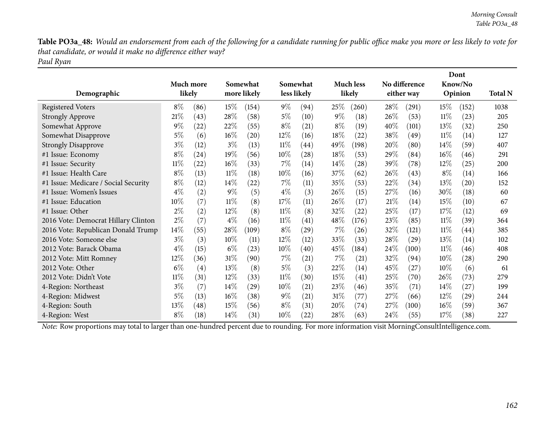Table PO3a\_48: Would an endorsement from each of the following for a candidate running for public office make you more or less likely to vote for *that candidate, or would it make no difference either way? Paul Ryan*

| Demographic                          |        | Much more<br>likely |        | Somewhat<br>more likely |        | Somewhat<br>less likely |        | <b>Much less</b><br>likely |        | No difference<br>either way |        | Dont<br>Know/No<br>Opinion | <b>Total N</b> |
|--------------------------------------|--------|---------------------|--------|-------------------------|--------|-------------------------|--------|----------------------------|--------|-----------------------------|--------|----------------------------|----------------|
| <b>Registered Voters</b>             | $8\%$  | (86)                | $15\%$ | (154)                   | $9\%$  | (94)                    | $25\%$ | (260)                      | $28\%$ | (291)                       | $15\%$ | (152)                      | 1038           |
| <b>Strongly Approve</b>              | 21%    | (43)                | 28%    | (58)                    | $5\%$  | (10)                    | $9\%$  | (18)                       | 26\%   | (53)                        | $11\%$ | (23)                       | 205            |
| Somewhat Approve                     | $9\%$  | (22)                | 22%    | (55)                    | $8\%$  | (21)                    | $8\%$  | (19)                       | 40\%   | (101)                       | 13\%   | (32)                       | 250            |
| Somewhat Disapprove                  | $5\%$  | (6)                 | 16%    | (20)                    | 12%    | (16)                    | 18%    | (22)                       | 38%    | (49)                        | $11\%$ | (14)                       | 127            |
| <b>Strongly Disapprove</b>           | $3\%$  | (12)                | $3\%$  | (13)                    | $11\%$ | (44)                    | 49\%   | (198)                      | 20%    | (80)                        | $14\%$ | (59)                       | 407            |
| #1 Issue: Economy                    | $8\%$  | (24)                | 19%    | (56)                    | $10\%$ | (28)                    | 18%    | (53)                       | 29\%   | (84)                        | $16\%$ | (46)                       | 291            |
| #1 Issue: Security                   | $11\%$ | (22)                | 16%    | (33)                    | $7\%$  | (14)                    | $14\%$ | $\left( 28\right)$         | 39%    | (78)                        | 12\%   | $\left( 25\right)$         | 200            |
| #1 Issue: Health Care                | $8\%$  | (13)                | $11\%$ | (18)                    | $10\%$ | (16)                    | 37\%   | (62)                       | 26\%   | (43)                        | $8\%$  | (14)                       | 166            |
| #1 Issue: Medicare / Social Security | $8\%$  | (12)                | $14\%$ | (22)                    | $7\%$  | (11)                    | 35%    | (53)                       | 22\%   | (34)                        | 13\%   | $\left( 20\right)$         | 152            |
| #1 Issue: Women's Issues             | $4\%$  | (2)                 | $9\%$  | (5)                     | $4\%$  | (3)                     | 26%    | (15)                       | 27%    | (16)                        | $30\%$ | (18)                       | 60             |
| #1 Issue: Education                  | $10\%$ | (7)                 | $11\%$ | (8)                     | 17%    | (11)                    | 26\%   | (17)                       | 21%    | (14)                        | 15\%   | (10)                       | 67             |
| #1 Issue: Other                      | $2\%$  | (2)                 | 12%    | (8)                     | $11\%$ | (8)                     | 32%    | (22)                       | 25%    | (17)                        | 17\%   | (12)                       | 69             |
| 2016 Vote: Democrat Hillary Clinton  | $2\%$  | (7)                 | $4\%$  | (16)                    | $11\%$ | (41)                    | 48\%   | (176)                      | 23%    | (85)                        | $11\%$ | (39)                       | 364            |
| 2016 Vote: Republican Donald Trump   | $14\%$ | (55)                | 28%    | (109)                   | $8\%$  | (29)                    | $7\%$  | (26)                       | 32%    | (121)                       | $11\%$ | (44)                       | 385            |
| 2016 Vote: Someone else              | $3\%$  | (3)                 | 10\%   | (11)                    | 12%    | (12)                    | 33\%   | (33)                       | 28\%   | $\left( 29\right)$          | $13\%$ | (14)                       | 102            |
| 2012 Vote: Barack Obama              | $4\%$  | (15)                | $6\%$  | (23)                    | $10\%$ | (40)                    | 45\%   | (184)                      | 24\%   | (100)                       | $11\%$ | (46)                       | 408            |
| 2012 Vote: Mitt Romney               | 12\%   | (36)                | $31\%$ | (90)                    | $7\%$  | (21)                    | $7\%$  | (21)                       | 32\%   | (94)                        | $10\%$ | (28)                       | 290            |
| 2012 Vote: Other                     | $6\%$  | (4)                 | 13\%   | (8)                     | $5\%$  | (3)                     | 22%    | (14)                       | 45%    | (27)                        | $10\%$ | (6)                        | 61             |
| 2012 Vote: Didn't Vote               | $11\%$ | (31)                | 12%    | (33)                    | $11\%$ | (30)                    | 15%    | $\left( 41\right)$         | 25\%   | (70)                        | 26\%   | (73)                       | 279            |
| 4-Region: Northeast                  | $3\%$  | (7)                 | $14\%$ | (29)                    | $10\%$ | (21)                    | 23\%   | (46)                       | 35%    | (71)                        | $14\%$ | (27)                       | 199            |
| 4-Region: Midwest                    | 5%     | (13)                | 16%    | (38)                    | $9\%$  | (21)                    | $31\%$ | (77)                       | 27\%   | (66)                        | 12\%   | (29)                       | 244            |
| 4-Region: South                      | 13\%   | (48)                | 15%    | (56)                    | $8\%$  | (31)                    | $20\%$ | (74)                       | 27\%   | (100)                       | $16\%$ | (59)                       | 367            |
| 4-Region: West                       | $8\%$  | (18)                | $14\%$ | (31)                    | $10\%$ | (22)                    | 28\%   | (63)                       | 24\%   | (55)                        | 17%    | (38)                       | 227            |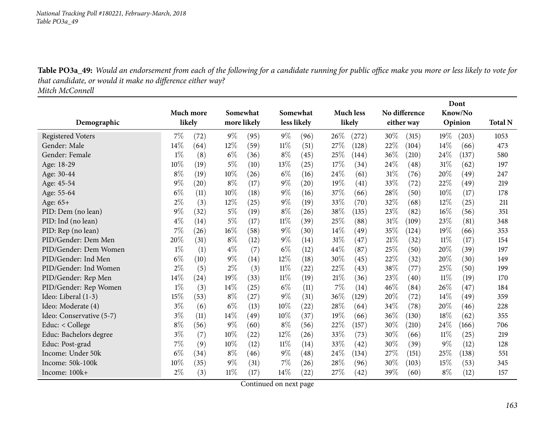Table PO3a\_49: Would an endorsement from each of the following for a candidate running for public office make you more or less likely to vote for *that candidate, or would it make no difference either way?*

*Mitch McConnell*

|                          |                  |      |             |          |        |             |      |                    |        |               |        | Dont    |                |
|--------------------------|------------------|------|-------------|----------|--------|-------------|------|--------------------|--------|---------------|--------|---------|----------------|
|                          | <b>Much more</b> |      |             | Somewhat |        | Somewhat    |      | <b>Much less</b>   |        | No difference |        | Know/No |                |
| Demographic              | likely           |      | more likely |          |        | less likely |      | likely             |        | either way    |        | Opinion | <b>Total N</b> |
| <b>Registered Voters</b> | 7%               | (72) | $9\%$       | (95)     | $9\%$  | (96)        | 26%  | (272)              | 30%    | (315)         | 19%    | (203)   | 1053           |
| Gender: Male             | 14%              | (64) | 12%         | (59)     | $11\%$ | (51)        | 27%  | (128)              | 22%    | (104)         | 14%    | (66)    | 473            |
| Gender: Female           | $1\%$            | (8)  | $6\%$       | (36)     | $8\%$  | (45)        | 25%  | (144)              | 36%    | (210)         | 24\%   | (137)   | 580            |
| Age: 18-29               | 10%              | (19) | $5\%$       | (10)     | $13\%$ | (25)        | 17%  | (34)               | 24%    | (48)          | 31%    | (62)    | 197            |
| Age: 30-44               | $8\%$            | (19) | 10%         | (26)     | $6\%$  | (16)        | 24%  | (61)               | 31%    | (76)          | 20%    | (49)    | 247            |
| Age: 45-54               | 9%               | (20) | $8\%$       | (17)     | $9\%$  | (20)        | 19%  | $\left( 41\right)$ | 33%    | (72)          | 22%    | (49)    | 219            |
| Age: 55-64               | $6\%$            | (11) | 10%         | (18)     | $9\%$  | (16)        | 37%  | (66)               | 28%    | (50)          | 10%    | (17)    | 178            |
| Age: 65+                 | $2\%$            | (3)  | 12%         | (25)     | $9\%$  | (19)        | 33%  | (70)               | 32%    | (68)          | 12%    | (25)    | 211            |
| PID: Dem (no lean)       | 9%               | (32) | $5\%$       | (19)     | $8\%$  | (26)        | 38%  | (135)              | 23%    | (82)          | 16%    | (56)    | 351            |
| PID: Ind (no lean)       | $4\%$            | (14) | $5\%$       | (17)     | $11\%$ | (39)        | 25%  | (88)               | 31%    | (109)         | 23%    | (81)    | 348            |
| PID: Rep (no lean)       | 7%               | (26) | 16%         | (58)     | $9\%$  | (30)        | 14%  | (49)               | 35%    | (124)         | 19%    | (66)    | 353            |
| PID/Gender: Dem Men      | 20%              | (31) | $8\%$       | (12)     | $9\%$  | (14)        | 31%  | (47)               | 21%    | (32)          | $11\%$ | (17)    | 154            |
| PID/Gender: Dem Women    | $1\%$            | (1)  | $4\%$       | (7)      | $6\%$  | (12)        | 44\% | (87)               | 25%    | (50)          | 20%    | (39)    | 197            |
| PID/Gender: Ind Men      | $6\%$            | (10) | 9%          | (14)     | 12%    | (18)        | 30%  | (45)               | 22%    | (32)          | 20%    | (30)    | 149            |
| PID/Gender: Ind Women    | 2%               | (5)  | $2\%$       | (3)      | 11%    | (22)        | 22%  | (43)               | 38%    | (77)          | 25%    | (50)    | 199            |
| PID/Gender: Rep Men      | 14%              | (24) | 19%         | (33)     | 11%    | (19)        | 21%  | (36)               | 23%    | (40)          | 11%    | (19)    | 170            |
| PID/Gender: Rep Women    | $1\%$            | (3)  | 14%         | (25)     | $6\%$  | (11)        | 7%   | (14)               | 46%    | (84)          | 26%    | (47)    | 184            |
| Ideo: Liberal (1-3)      | 15%              | (53) | $8\%$       | (27)     | $9\%$  | (31)        | 36%  | (129)              | 20%    | (72)          | 14%    | (49)    | 359            |
| Ideo: Moderate (4)       | $3\%$            | (6)  | $6\%$       | (13)     | 10%    | (22)        | 28%  | (64)               | $34\%$ | (78)          | 20%    | (46)    | 228            |
| Ideo: Conservative (5-7) | $3\%$            | (11) | 14%         | (49)     | 10%    | (37)        | 19%  | (66)               | 36%    | (130)         | 18%    | (62)    | 355            |
| Educ: < College          | $8\%$            | (56) | $9\%$       | (60)     | $8\%$  | (56)        | 22%  | (157)              | 30%    | (210)         | 24%    | (166)   | 706            |
| Educ: Bachelors degree   | $3\%$            | (7)  | 10%         | (22)     | 12%    | (26)        | 33%  | (73)               | 30%    | (66)          | 11%    | (25)    | 219            |
| Educ: Post-grad          | $7\%$            | (9)  | 10%         | (12)     | $11\%$ | (14)        | 33%  | (42)               | 30%    | (39)          | $9\%$  | (12)    | 128            |
| Income: Under 50k        | $6\%$            | (34) | $8\%$       | (46)     | $9\%$  | (48)        | 24\% | (134)              | 27%    | (151)         | 25%    | (138)   | 551            |
| Income: 50k-100k         | 10%              | (35) | $9\%$       | (31)     | $7\%$  | (26)        | 28%  | (96)               | $30\%$ | (103)         | 15%    | (53)    | 345            |
| Income: 100k+            | $2\%$            | (3)  | $11\%$      | (17)     | 14%    | (22)        | 27%  | (42)               | 39%    | (60)          | $8\%$  | (12)    | 157            |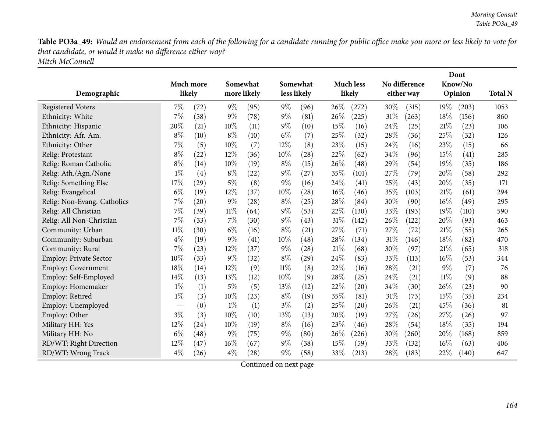Table PO3a\_49: Would an endorsement from each of the following for a candidate running for public office make you more or less likely to vote for *that candidate, or would it make no difference either way? Mitch McConnell*

|                               |                               |           |        |             |             |          |        |                    |      |               |        | Dont    |                |
|-------------------------------|-------------------------------|-----------|--------|-------------|-------------|----------|--------|--------------------|------|---------------|--------|---------|----------------|
|                               |                               | Much more |        | Somewhat    |             | Somewhat |        | <b>Much less</b>   |      | No difference |        | Know/No |                |
| Demographic                   |                               | likely    |        | more likely | less likely |          |        | likely             |      | either way    |        | Opinion | <b>Total N</b> |
| <b>Registered Voters</b>      | 7%                            | (72)      | $9\%$  | (95)        | $9\%$       | (96)     | 26\%   | (272)              | 30%  | (315)         | 19%    | (203)   | 1053           |
| Ethnicity: White              | 7%                            | (58)      | $9\%$  | (78)        | $9\%$       | (81)     | 26%    | (225)              | 31%  | (263)         | 18%    | (156)   | 860            |
| Ethnicity: Hispanic           | 20%                           | (21)      | 10%    | (11)        | $9\%$       | (10)     | 15%    | (16)               | 24%  | (25)          | 21%    | (23)    | 106            |
| Ethnicity: Afr. Am.           | $8\%$                         | (10)      | $8\%$  | (10)        | $6\%$       | (7)      | 25%    | (32)               | 28%  | (36)          | 25%    | (32)    | 126            |
| Ethnicity: Other              | 7%                            | (5)       | 10%    | (7)         | 12%         | (8)      | 23%    | (15)               | 24%  | (16)          | 23%    | (15)    | 66             |
| Relig: Protestant             | $8\%$                         | (22)      | 12%    | (36)        | 10%         | (28)     | 22%    | (62)               | 34%  | (96)          | 15%    | (41)    | 285            |
| Relig: Roman Catholic         | 8%                            | (14)      | 10%    | (19)        | $8\%$       | (15)     | 26%    | (48)               | 29%  | (54)          | 19%    | (35)    | 186            |
| Relig: Ath./Agn./None         | $1\%$                         | (4)       | $8\%$  | (22)        | 9%          | (27)     | 35%    | (101)              | 27%  | (79)          | 20%    | (58)    | 292            |
| Relig: Something Else         | 17%                           | (29)      | $5\%$  | (8)         | $9\%$       | (16)     | 24\%   | (41)               | 25%  | (43)          | 20%    | (35)    | 171            |
| Relig: Evangelical            | $6\%$                         | (19)      | 12%    | (37)        | 10%         | (28)     | $16\%$ | (46)               | 35%  | (103)         | 21\%   | (61)    | 294            |
| Relig: Non-Evang. Catholics   | 7%                            | (20)      | $9\%$  | (28)        | $8\%$       | (25)     | 28%    | (84)               | 30%  | (90)          | $16\%$ | (49)    | 295            |
| Relig: All Christian          | 7%                            | (39)      | $11\%$ | (64)        | $9\%$       | (53)     | 22%    | (130)              | 33%  | (193)         | 19%    | (110)   | 590            |
| Relig: All Non-Christian      | 7%                            | (33)      | $7\%$  | (30)        | $9\%$       | (43)     | $31\%$ | (142)              | 26%  | (122)         | 20%    | (93)    | 463            |
| Community: Urban              | $11\%$                        | (30)      | $6\%$  | (16)        | $8\%$       | (21)     | 27%    | (71)               | 27%  | (72)          | 21%    | (55)    | 265            |
| Community: Suburban           | $4\%$                         | (19)      | $9\%$  | (41)        | 10%         | (48)     | 28%    | (134)              | 31%  | (146)         | 18%    | (82)    | 470            |
| Community: Rural              | 7%                            | (23)      | 12%    | (37)        | 9%          | (28)     | 21\%   | (68)               | 30%  | (97)          | 21\%   | (65)    | 318            |
| <b>Employ: Private Sector</b> | 10%                           | (33)      | 9%     | (32)        | $8\%$       | (29)     | 24%    | (83)               | 33%  | (113)         | 16%    | (53)    | 344            |
| <b>Employ: Government</b>     | 18%                           | (14)      | 12%    | (9)         | $11\%$      | (8)      | 22%    | (16)               | 28%  | (21)          | $9\%$  | (7)     | 76             |
| Employ: Self-Employed         | 14%                           | (13)      | 13%    | (12)        | 10%         | (9)      | 28\%   | (25)               | 24\% | (21)          | $11\%$ | (9)     | 88             |
| Employ: Homemaker             | $1\%$                         | (1)       | $5\%$  | (5)         | 13%         | (12)     | 22%    | (20)               | 34\% | (30)          | 26\%   | (23)    | 90             |
| Employ: Retired               | $1\%$                         | (3)       | 10%    | (23)        | $8\%$       | (19)     | 35%    | (81)               | 31%  | (73)          | 15%    | (35)    | 234            |
| Employ: Unemployed            | $\overbrace{\phantom{aaaaa}}$ | (0)       | $1\%$  | (1)         | $3\%$       | (2)      | 25%    | $\left( 20\right)$ | 26%  | (21)          | 45%    | (36)    | 81             |
| Employ: Other                 | $3\%$                         | (3)       | 10%    | (10)        | 13%         | (13)     | 20%    | (19)               | 27%  | (26)          | 27\%   | (26)    | 97             |
| Military HH: Yes              | 12%                           | (24)      | 10%    | (19)        | $8\%$       | (16)     | 23%    | (46)               | 28%  | (54)          | 18%    | (35)    | 194            |
| Military HH: No               | $6\%$                         | (48)      | $9\%$  | (75)        | 9%          | (80)     | 26%    | (226)              | 30%  | (260)         | 20%    | (168)   | 859            |
| RD/WT: Right Direction        | 12%                           | (47)      | 16%    | (67)        | $9\%$       | (38)     | 15%    | (59)               | 33%  | (132)         | 16%    | (63)    | 406            |
| RD/WT: Wrong Track            | $4\%$                         | (26)      | $4\%$  | (28)        | $9\%$       | (58)     | 33%    | (213)              | 28%  | (183)         | 22%    | (140)   | 647            |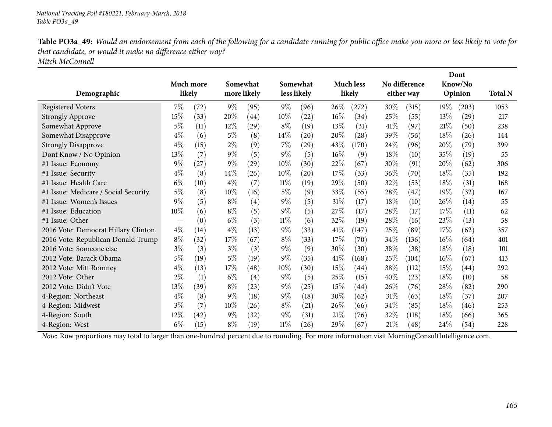Table PO3a\_49: Would an endorsement from each of the following for a candidate running for public office make you more or less likely to vote for *that candidate, or would it make no difference either way? Mitch McConnell*

| Demographic                          | Much more<br>likely |      |        | Somewhat<br>more likely |        | Somewhat<br>less likely |      | <b>Much less</b><br>likely |        | No difference<br>either way |        | Dont<br>Know/No<br>Opinion | <b>Total N</b> |
|--------------------------------------|---------------------|------|--------|-------------------------|--------|-------------------------|------|----------------------------|--------|-----------------------------|--------|----------------------------|----------------|
| <b>Registered Voters</b>             | 7%                  | (72) | $9\%$  | (95)                    | $9\%$  | (96)                    | 26%  | (272)                      | 30%    | (315)                       | $19\%$ | (203)                      | 1053           |
| <b>Strongly Approve</b>              | 15%                 | (33) | 20%    | (44)                    | 10%    | (22)                    | 16%  | (34)                       | 25%    | (55)                        | 13%    | (29)                       | 217            |
| Somewhat Approve                     | $5\%$               | (11) | 12%    | (29)                    | $8\%$  | (19)                    | 13%  | (31)                       | 41\%   | (97)                        | 21%    | (50)                       | 238            |
| Somewhat Disapprove                  | $4\%$               | (6)  | $5\%$  | (8)                     | $14\%$ | (20)                    | 20%  | (28)                       | 39%    | (56)                        | 18%    | (26)                       | 144            |
| <b>Strongly Disapprove</b>           | $4\%$               | (15) | $2\%$  | (9)                     | $7\%$  | $^{(29)}$               | 43%  | (170)                      | 24\%   | (96)                        | 20%    | (79)                       | 399            |
| Dont Know / No Opinion               | $13\%$              | (7)  | $9\%$  | (5)                     | $9\%$  | (5)                     | 16%  | (9)                        | 18%    | (10)                        | 35\%   | (19)                       | 55             |
| #1 Issue: Economy                    | $9\%$               | (27) | $9\%$  | (29)                    | 10%    | (30)                    | 22%  | (67)                       | 30\%   | (91)                        | 20%    | (62)                       | 306            |
| #1 Issue: Security                   | $4\%$               | (8)  | $14\%$ | (26)                    | 10%    | (20)                    | 17%  | (33)                       | 36\%   | (70)                        | 18%    | (35)                       | 192            |
| #1 Issue: Health Care                | $6\%$               | (10) | $4\%$  | (7)                     | $11\%$ | (19)                    | 29%  | (50)                       | 32\%   | (53)                        | 18%    | (31)                       | 168            |
| #1 Issue: Medicare / Social Security | $5\%$               | (8)  | 10%    | (16)                    | $5\%$  | (9)                     | 33%  | (55)                       | 28\%   | (47)                        | 19%    | (32)                       | 167            |
| #1 Issue: Women's Issues             | $9\%$               | (5)  | $8\%$  | (4)                     | $9\%$  | (5)                     | 31%  | (17)                       | 18%    | (10)                        | 26%    | (14)                       | 55             |
| #1 Issue: Education                  | 10%                 | (6)  | $8\%$  | (5)                     | $9\%$  | (5)                     | 27%  | (17)                       | 28%    | (17)                        | 17%    | (11)                       | 62             |
| #1 Issue: Other                      |                     | (0)  | $6\%$  | (3)                     | $11\%$ | (6)                     | 32%  | (19)                       | 28\%   | (16)                        | 23%    | (13)                       | 58             |
| 2016 Vote: Democrat Hillary Clinton  | $4\%$               | (14) | $4\%$  | (13)                    | $9\%$  | (33)                    | 41%  | (147)                      | 25\%   | (89)                        | 17\%   | (62)                       | 357            |
| 2016 Vote: Republican Donald Trump   | $8\%$               | (32) | 17%    | (67)                    | $8\%$  | (33)                    | 17%  | (70)                       | 34\%   | (136)                       | 16%    | (64)                       | 401            |
| 2016 Vote: Someone else              | $3\%$               | (3)  | $3\%$  | (3)                     | $9\%$  | (9)                     | 30\% | (30)                       | 38\%   | (38)                        | 18%    | (18)                       | 101            |
| 2012 Vote: Barack Obama              | $5\%$               | (19) | $5\%$  | (19)                    | $9\%$  | (35)                    | 41\% | (168)                      | 25\%   | (104)                       | $16\%$ | (67)                       | 413            |
| 2012 Vote: Mitt Romney               | $4\%$               | (13) | 17%    | (48)                    | 10%    | (30)                    | 15%  | $\left( 44\right)$         | 38%    | (112)                       | 15\%   | (44)                       | 292            |
| 2012 Vote: Other                     | $2\%$               | (1)  | $6\%$  | (4)                     | $9\%$  | (5)                     | 25%  | (15)                       | 40%    | (23)                        | $18\%$ | (10)                       | 58             |
| 2012 Vote: Didn't Vote               | 13%                 | (39) | $8\%$  | (23)                    | $9\%$  | (25)                    | 15%  | (44)                       | 26\%   | (76)                        | $28\%$ | (82)                       | 290            |
| 4-Region: Northeast                  | $4\%$               | (8)  | $9\%$  | (18)                    | $9\%$  | (18)                    | 30%  | (62)                       | $31\%$ | (63)                        | 18%    | (37)                       | 207            |
| 4-Region: Midwest                    | $3\%$               | (7)  | $10\%$ | (26)                    | $8\%$  | (21)                    | 26%  | (66)                       | 34\%   | (85)                        | 18%    | (46)                       | 253            |
| 4-Region: South                      | 12%                 | (42) | $9\%$  | (32)                    | $9\%$  | (31)                    | 21%  | (76)                       | 32\%   | (118)                       | 18\%   | (66)                       | 365            |
| 4-Region: West                       | $6\%$               | (15) | $8\%$  | (19)                    | $11\%$ | (26)                    | 29%  | (67)                       | 21%    | (48)                        | 24%    | (54)                       | 228            |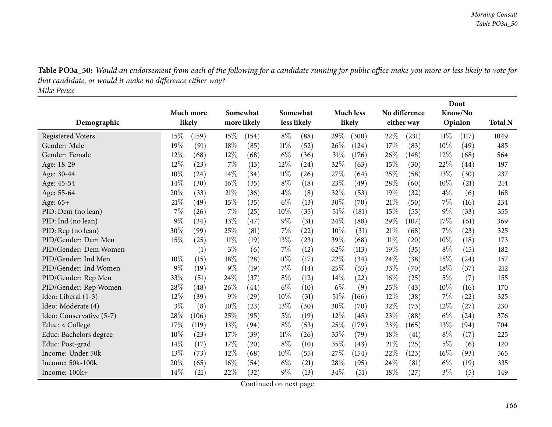Table PO3a\_50: Would an endorsement from each of the following for a candidate running for public office make you more or less likely to vote for *that candidate, or would it make no difference either way? Mike Pence*

|                          |       |           |       |             |        |             |       |                  |        |                    |        | Dont    |                |
|--------------------------|-------|-----------|-------|-------------|--------|-------------|-------|------------------|--------|--------------------|--------|---------|----------------|
|                          |       | Much more |       | Somewhat    |        | Somewhat    |       | <b>Much less</b> |        | No difference      |        | Know/No |                |
| Demographic              |       | likely    |       | more likely |        | less likely |       | likely           |        | either way         |        | Opinion | <b>Total N</b> |
| <b>Registered Voters</b> | 15%   | (159)     | 15%   | (154)       | $8\%$  | (88)        | 29%   | (300)            | 22%    | (231)              | 11%    | (117)   | 1049           |
| Gender: Male             | 19%   | (91)      | 18%   | (85)        | $11\%$ | (52)        | 26\%  | (124)            | 17%    | (83)               | 10%    | (49)    | 485            |
| Gender: Female           | 12%   | (68)      | 12%   | (68)        | $6\%$  | (36)        | 31%   | (176)            | 26%    | (148)              | $12\%$ | (68)    | 564            |
| Age: 18-29               | 12%   | (23)      | 7%    | (13)        | $12\%$ | (24)        | 32%   | (63)             | 15%    | (30)               | 22%    | (44)    | 197            |
| Age: 30-44               | 10%   | (24)      | 14%   | (34)        | $11\%$ | (26)        | 27%   | (64)             | 25%    | (58)               | 13%    | (30)    | 237            |
| Age: 45-54               | 14%   | (30)      | 16%   | (35)        | $8\%$  | (18)        | 23%   | (49)             | 28%    | (60)               | 10%    | (21)    | 214            |
| Age: 55-64               | 20%   | (33)      | 21%   | (36)        | $4\%$  | (8)         | 32%   | (53)             | 19%    | (32)               | $4\%$  | (6)     | 168            |
| Age: 65+                 | 21%   | (49)      | 15%   | (35)        | $6\%$  | (13)        | 30\%  | (70)             | 21%    | (50)               | 7%     | (16)    | 234            |
| PID: Dem (no lean)       | 7%    | (26)      | 7%    | (25)        | 10%    | (35)        | 51%   | (181)            | 15%    | (55)               | $9\%$  | (33)    | 355            |
| PID: Ind (no lean)       | 9%    | (34)      | 13%   | (47)        | $9\%$  | (31)        | 24%   | (88)             | 29%    | (107)              | 17%    | (61)    | 369            |
| PID: Rep (no lean)       | 30%   | (99)      | 25%   | (81)        | $7\%$  | $^{(22)}$   | 10%   | (31)             | 21%    | (68)               | 7%     | (23)    | 325            |
| PID/Gender: Dem Men      | 15%   | (25)      | 11%   | (19)        | 13%    | (23)        | 39%   | (68)             | $11\%$ | $\left( 20\right)$ | 10%    | (18)    | 173            |
| PID/Gender: Dem Women    |       | (1)       | $3\%$ | (6)         | $7\%$  | (12)        | 62%   | (113)            | 19%    | (35)               | $8\%$  | (15)    | 182            |
| PID/Gender: Ind Men      | 10%   | (15)      | 18%   | (28)        | $11\%$ | (17)        | 22%   | (34)             | 24%    | (38)               | 15%    | (24)    | 157            |
| PID/Gender: Ind Women    | 9%    | (19)      | $9\%$ | (19)        | $7\%$  | (14)        | 25%   | (53)             | 33\%   | (70)               | 18%    | (37)    | 212            |
| PID/Gender: Rep Men      | 33%   | (51)      | 24%   | (37)        | $8\%$  | (12)        | 14%   | (22)             | 16%    | (25)               | $5\%$  | (7)     | 155            |
| PID/Gender: Rep Women    | 28%   | (48)      | 26%   | (44)        | $6\%$  | (10)        | $6\%$ | (9)              | 25\%   | (43)               | 10%    | (16)    | 170            |
| Ideo: Liberal (1-3)      | 12%   | (39)      | $9\%$ | (29)        | 10%    | (31)        | 51\%  | (166)            | 12%    | (38)               | 7%     | (22)    | 325            |
| Ideo: Moderate (4)       | $3\%$ | (8)       | 10%   | (23)        | 13%    | (30)        | 30%   | (70)             | 32%    | (73)               | 12%    | (27)    | 230            |
| Ideo: Conservative (5-7) | 28%   | (106)     | 25%   | (95)        | 5%     | (19)        | 12%   | (45)             | 23%    | (88)               | $6\%$  | (24)    | 376            |
| Educ: < College          | 17%   | (119)     | 13%   | (94)        | $8\%$  | (53)        | 25%   | (179)            | 23\%   | (165)              | 13%    | (94)    | 704            |
| Educ: Bachelors degree   | 10%   | (23)      | 17%   | (39)        | $11\%$ | (26)        | 35%   | (79)             | 18%    | (41)               | $8\%$  | (17)    | 225            |
| Educ: Post-grad          | 14%   | (17)      | 17%   | (20)        | $8\%$  | (10)        | 35%   | (43)             | 21%    | (25)               | $5\%$  | (6)     | 120            |
| Income: Under 50k        | 13%   | (73)      | 12%   | (68)        | 10%    | (55)        | 27%   | (154)            | 22%    | (123)              | 16%    | (93)    | 565            |
| Income: 50k-100k         | 20%   | (65)      | 16%   | (54)        | $6\%$  | (21)        | 28%   | (95)             | 24\%   | (81)               | $6\%$  | (19)    | 335            |
| Income: 100k+            | 14\%  | (21)      | 22%   | (32)        | 9%     | (13)        | 34%   | (51)             | 18%    | (27)               | $3\%$  | (5)     | 149            |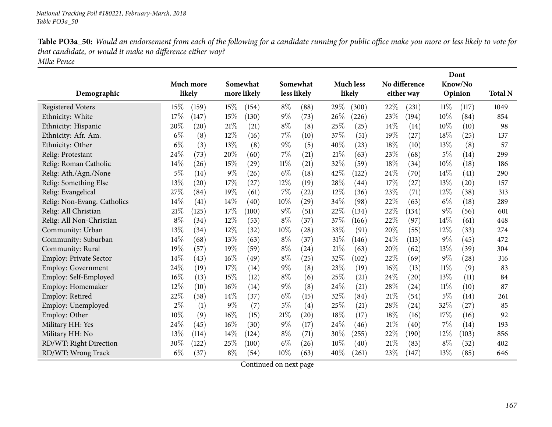| Table PO3a_50: Would an endorsement from each of the following for a candidate running for public office make you more or less likely to vote for |
|---------------------------------------------------------------------------------------------------------------------------------------------------|
| that candidate, or would it make no difference either way?                                                                                        |
| Mike Pence                                                                                                                                        |

|                               | Much more |       |       | Somewhat    |        | Somewhat    |        | <b>Much less</b>   |     | No difference |        | Dont<br>Know/No    |                |
|-------------------------------|-----------|-------|-------|-------------|--------|-------------|--------|--------------------|-----|---------------|--------|--------------------|----------------|
| Demographic                   | likely    |       |       | more likely |        | less likely |        | likely             |     | either way    |        | Opinion            | <b>Total N</b> |
| <b>Registered Voters</b>      | 15%       | (159) | 15%   | (154)       | $8\%$  | (88)        | 29%    | (300)              | 22% | (231)         | $11\%$ | (117)              | 1049           |
| Ethnicity: White              | 17%       | (147) | 15%   | (130)       | $9\%$  | (73)        | 26%    | (226)              | 23% | (194)         | 10%    | (84)               | 854            |
| Ethnicity: Hispanic           | 20%       | (20)  | 21%   | (21)        | $8\%$  | (8)         | 25%    | (25)               | 14% | (14)          | 10%    | (10)               | 98             |
| Ethnicity: Afr. Am.           | $6\%$     | (8)   | 12%   | (16)        | 7%     | (10)        | 37%    | $\left( 51\right)$ | 19% | (27)          | 18\%   | (25)               | 137            |
| Ethnicity: Other              | $6\%$     | (3)   | 13%   | (8)         | $9\%$  | (5)         | 40%    | (23)               | 18% | (10)          | 13%    | (8)                | 57             |
| Relig: Protestant             | 24%       | (73)  | 20%   | (60)        | 7%     | (21)        | 21%    | (63)               | 23% | (68)          | $5\%$  | (14)               | 299            |
| Relig: Roman Catholic         | 14%       | (26)  | 15%   | (29)        | $11\%$ | (21)        | 32%    | (59)               | 18% | (34)          | 10%    | (18)               | 186            |
| Relig: Ath./Agn./None         | $5\%$     | (14)  | $9\%$ | (26)        | $6\%$  | (18)        | 42%    | (122)              | 24% | (70)          | 14%    | (41)               | 290            |
| Relig: Something Else         | 13%       | (20)  | 17%   | (27)        | 12%    | (19)        | 28%    | (44)               | 17% | (27)          | 13%    | $\left( 20\right)$ | 157            |
| Relig: Evangelical            | 27%       | (84)  | 19%   | (61)        | 7%     | (22)        | $12\%$ | (36)               | 23% | (71)          | 12%    | (38)               | 313            |
| Relig: Non-Evang. Catholics   | 14%       | (41)  | 14%   | (40)        | 10%    | (29)        | 34%    | (98)               | 22% | (63)          | $6\%$  | (18)               | 289            |
| Relig: All Christian          | 21\%      | (125) | 17%   | (100)       | $9\%$  | (51)        | 22%    | (134)              | 22% | (134)         | $9\%$  | (56)               | 601            |
| Relig: All Non-Christian      | $8\%$     | (34)  | 12%   | (53)        | $8\%$  | (37)        | 37%    | (166)              | 22% | (97)          | 14%    | (61)               | 448            |
| Community: Urban              | 13%       | (34)  | 12%   | (32)        | 10%    | (28)        | 33%    | (91)               | 20% | (55)          | 12%    | (33)               | 274            |
| Community: Suburban           | 14%       | (68)  | 13%   | (63)        | $8\%$  | (37)        | $31\%$ | (146)              | 24% | (113)         | $9\%$  | (45)               | 472            |
| Community: Rural              | 19%       | (57)  | 19%   | (59)        | $8\%$  | (24)        | 21%    | (63)               | 20% | (62)          | 13%    | (39)               | 304            |
| <b>Employ: Private Sector</b> | $14\%$    | (43)  | 16%   | (49)        | $8\%$  | (25)        | 32%    | (102)              | 22% | (69)          | $9\%$  | (28)               | 316            |
| <b>Employ: Government</b>     | 24%       | (19)  | 17%   | (14)        | $9\%$  | (8)         | 23%    | (19)               | 16% | (13)          | $11\%$ | (9)                | 83             |
| Employ: Self-Employed         | 16%       | (13)  | 15%   | (12)        | $8\%$  | (6)         | 25%    | (21)               | 24% | (20)          | 13%    | (11)               | 84             |
| Employ: Homemaker             | 12%       | (10)  | 16%   | (14)        | $9\%$  | (8)         | 24%    | (21)               | 28% | (24)          | $11\%$ | (10)               | 87             |
| Employ: Retired               | 22%       | (58)  | 14%   | (37)        | $6\%$  | (15)        | 32%    | (84)               | 21% | (54)          | $5\%$  | (14)               | 261            |
| Employ: Unemployed            | $2\%$     | (1)   | $9\%$ | (7)         | $5\%$  | (4)         | 25%    | $\left( 21\right)$ | 28% | (24)          | 32%    | (27)               | 85             |
| Employ: Other                 | 10%       | (9)   | 16%   | (15)        | 21%    | (20)        | 18%    | (17)               | 18% | (16)          | 17%    | (16)               | 92             |
| Military HH: Yes              | 24\%      | (45)  | 16%   | (30)        | $9\%$  | (17)        | 24\%   | (46)               | 21% | (40)          | 7%     | (14)               | 193            |
| Military HH: No               | 13%       | (114) | 14%   | (124)       | $8\%$  | (71)        | 30%    | (255)              | 22% | (190)         | 12%    | (103)              | 856            |
| RD/WT: Right Direction        | 30%       | (122) | 25%   | (100)       | $6\%$  | (26)        | 10%    | (40)               | 21% | (83)          | $8\%$  | (32)               | 402            |
| RD/WT: Wrong Track            | $6\%$     | (37)  | $8\%$ | (54)        | 10%    | (63)        | 40%    | (261)              | 23% | (147)         | 13%    | (85)               | 646            |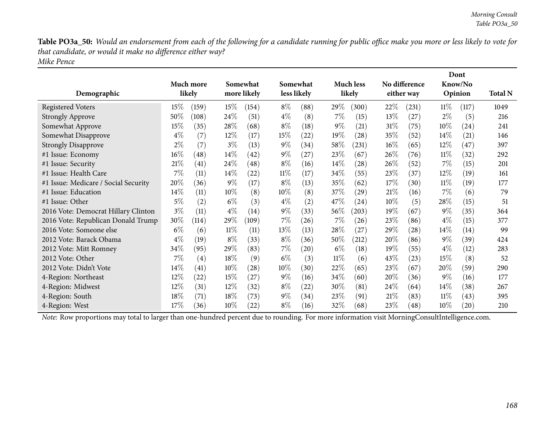Table PO3a\_50: Would an endorsement from each of the following for a candidate running for public office make you more or less likely to vote for *that candidate, or would it make no difference either way? Mike Pence*

| Demographic                          |        | <b>Much more</b><br>likely |        | Somewhat<br>more likely |        | Somewhat<br>less likely |        | <b>Much less</b><br>likely |        | No difference<br>either way |        | Dont<br>Know/No<br>Opinion | <b>Total N</b> |
|--------------------------------------|--------|----------------------------|--------|-------------------------|--------|-------------------------|--------|----------------------------|--------|-----------------------------|--------|----------------------------|----------------|
| <b>Registered Voters</b>             | 15%    | (159)                      | $15\%$ | (154)                   | $8\%$  | (88)                    | 29\%   | (300)                      | 22\%   | (231)                       | 11%    | (117)                      | 1049           |
| <b>Strongly Approve</b>              | 50\%   | (108)                      | 24\%   | (51)                    | $4\%$  | (8)                     | $7\%$  | (15)                       | 13\%   | (27)                        | $2\%$  | (5)                        | 216            |
| Somewhat Approve                     | 15%    | (35)                       | 28\%   | (68)                    | $8\%$  | (18)                    | $9\%$  | (21)                       | 31%    | (75)                        | $10\%$ | (24)                       | 241            |
| Somewhat Disapprove                  | $4\%$  | (7)                        | $12\%$ | (17)                    | 15%    | (22)                    | 19%    | (28)                       | 35%    | (52)                        | 14%    | (21)                       | 146            |
| <b>Strongly Disapprove</b>           | $2\%$  | (7)                        | $3\%$  | (13)                    | $9\%$  | (34)                    | 58\%   | (231)                      | $16\%$ | (65)                        | $12\%$ | (47)                       | 397            |
| #1 Issue: Economy                    | $16\%$ | (48)                       | $14\%$ | (42)                    | $9\%$  | (27)                    | 23\%   | (67)                       | $26\%$ | (76)                        | $11\%$ | (32)                       | 292            |
| #1 Issue: Security                   | 21%    | (41)                       | 24\%   | (48)                    | $8\%$  | (16)                    | $14\%$ | (28)                       | $26\%$ | (52)                        | $7\%$  | (15)                       | 201            |
| #1 Issue: Health Care                | $7\%$  | (11)                       | $14\%$ | (22)                    | $11\%$ | (17)                    | 34\%   | (55)                       | 23\%   | (37)                        | $12\%$ | (19)                       | 161            |
| #1 Issue: Medicare / Social Security | 20%    | (36)                       | $9\%$  | (17)                    | $8\%$  | (13)                    | $35\%$ | (62)                       | 17\%   | (30)                        | $11\%$ | (19)                       | 177            |
| #1 Issue: Education                  | 14%    | (11)                       | $10\%$ | (8)                     | $10\%$ | (8)                     | 37\%   | (29)                       | 21%    | (16)                        | $7\%$  | (6)                        | 79             |
| $#1$ Issue: Other                    | $5\%$  | (2)                        | $6\%$  | (3)                     | $4\%$  | (2)                     | 47\%   | (24)                       | $10\%$ | (5)                         | 28\%   | (15)                       | 51             |
| 2016 Vote: Democrat Hillary Clinton  | $3\%$  | (11)                       | $4\%$  | (14)                    | $9\%$  | (33)                    | $56\%$ | (203)                      | 19%    | (67)                        | $9\%$  | (35)                       | 364            |
| 2016 Vote: Republican Donald Trump   | 30%    | (114)                      | 29%    | (109)                   | $7\%$  | (26)                    | $7\%$  | (26)                       | 23\%   | (86)                        | $4\%$  | (15)                       | 377            |
| 2016 Vote: Someone else              | $6\%$  | (6)                        | $11\%$ | (11)                    | 13\%   | (13)                    | 28\%   | (27)                       | 29%    | $\left( 28\right)$          | $14\%$ | (14)                       | 99             |
| 2012 Vote: Barack Obama              | $4\%$  | (19)                       | $8\%$  | (33)                    | $8\%$  | (36)                    | $50\%$ | (212)                      | 20%    | (86)                        | $9\%$  | (39)                       | 424            |
| 2012 Vote: Mitt Romney               | $34\%$ | (95)                       | 29%    | (83)                    | $7\%$  | (20)                    | $6\%$  | (18)                       | $19\%$ | (55)                        | $4\%$  | (12)                       | 283            |
| 2012 Vote: Other                     | $7\%$  | (4)                        | 18%    | (9)                     | $6\%$  | (3)                     | $11\%$ | (6)                        | 43\%   | (23)                        | 15%    | (8)                        | 52             |
| 2012 Vote: Didn't Vote               | $14\%$ | (41)                       | $10\%$ | (28)                    | 10%    | (30)                    | 22\%   | (65)                       | 23\%   | (67)                        | 20%    | (59)                       | 290            |
| 4-Region: Northeast                  | 12\%   | (22)                       | 15%    | (27)                    | $9\%$  | (16)                    | 34\%   | (60)                       | 20%    | (36)                        | $9\%$  | (16)                       | 177            |
| 4-Region: Midwest                    | 12\%   | (31)                       | $12\%$ | (32)                    | $8\%$  | (22)                    | 30\%   | (81)                       | 24\%   | (64)                        | $14\%$ | (38)                       | 267            |
| 4-Region: South                      | 18%    | (71)                       | 18%    | (73)                    | $9\%$  | (34)                    | 23\%   | (91)                       | 21%    | (83)                        | $11\%$ | (43)                       | 395            |
| 4-Region: West                       | 17%    | (36)                       | $10\%$ | (22)                    | $8\%$  | (16)                    | $32\%$ | (68)                       | 23%    | (48)                        | $10\%$ | $\left( 20\right)$         | 210            |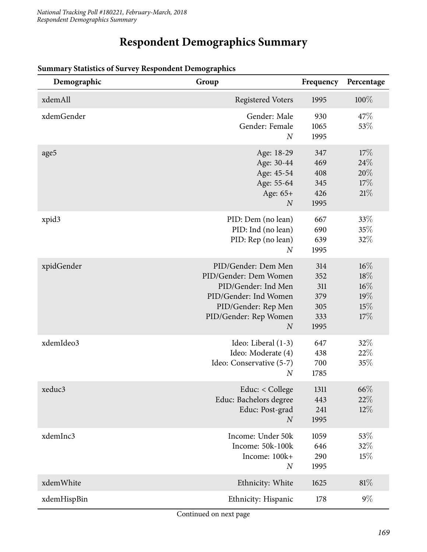## **Respondent Demographics Summary**

| Demographic | Group                                                                                                                                                            | Frequency                                      | Percentage                             |
|-------------|------------------------------------------------------------------------------------------------------------------------------------------------------------------|------------------------------------------------|----------------------------------------|
| xdemAll     | <b>Registered Voters</b>                                                                                                                                         | 1995                                           | $100\%$                                |
| xdemGender  | Gender: Male<br>Gender: Female<br>$\overline{N}$                                                                                                                 | 930<br>1065<br>1995                            | 47\%<br>53%                            |
| age5        | Age: 18-29<br>Age: 30-44<br>Age: 45-54<br>Age: 55-64<br>Age: 65+<br>$\boldsymbol{N}$                                                                             | 347<br>469<br>408<br>345<br>426<br>1995        | 17%<br>24\%<br>20%<br>17%<br>21%       |
| xpid3       | PID: Dem (no lean)<br>PID: Ind (no lean)<br>PID: Rep (no lean)<br>$\boldsymbol{N}$                                                                               | 667<br>690<br>639<br>1995                      | 33%<br>35%<br>32%                      |
| xpidGender  | PID/Gender: Dem Men<br>PID/Gender: Dem Women<br>PID/Gender: Ind Men<br>PID/Gender: Ind Women<br>PID/Gender: Rep Men<br>PID/Gender: Rep Women<br>$\boldsymbol{N}$ | 314<br>352<br>311<br>379<br>305<br>333<br>1995 | 16%<br>18%<br>16%<br>19%<br>15%<br>17% |
| xdemIdeo3   | Ideo: Liberal (1-3)<br>Ideo: Moderate (4)<br>Ideo: Conservative (5-7)<br>$\boldsymbol{N}$                                                                        | 647<br>438<br>700<br>1785                      | 32%<br>22%<br>35%                      |
| xeduc3      | Educ: $<$ College<br>Educ: Bachelors degree<br>Educ: Post-grad<br>$\boldsymbol{N}$                                                                               | 1311<br>443<br>241<br>1995                     | $66\%$<br>22%<br>$12\%$                |
| xdemInc3    | Income: Under 50k<br>Income: 50k-100k<br>Income: 100k+<br>$\boldsymbol{N}$                                                                                       | 1059<br>646<br>290<br>1995                     | 53%<br>32%<br>15%                      |
| xdemWhite   | Ethnicity: White                                                                                                                                                 | 1625                                           | $81\%$                                 |
| xdemHispBin | Ethnicity: Hispanic                                                                                                                                              | 178                                            | $9\%$                                  |

#### **Summary Statistics of Survey Respondent Demographics**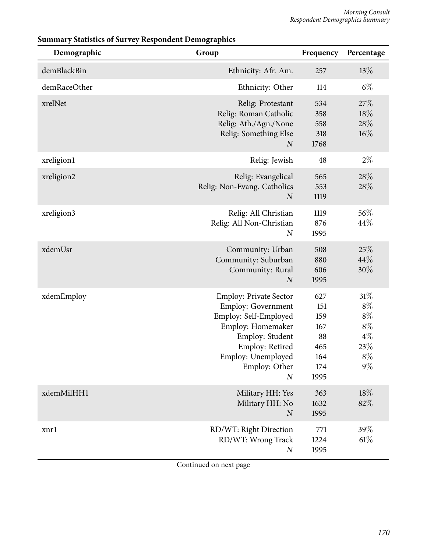| Demographic  | Group                                                                                                                                                                                                     | Frequency                                                   | Percentage                                                          |
|--------------|-----------------------------------------------------------------------------------------------------------------------------------------------------------------------------------------------------------|-------------------------------------------------------------|---------------------------------------------------------------------|
| demBlackBin  | Ethnicity: Afr. Am.                                                                                                                                                                                       | 257                                                         | 13%                                                                 |
| demRaceOther | Ethnicity: Other                                                                                                                                                                                          | 114                                                         | $6\%$                                                               |
| xrelNet      | Relig: Protestant<br>Relig: Roman Catholic<br>Relig: Ath./Agn./None<br>Relig: Something Else<br>$\boldsymbol{N}$                                                                                          | 534<br>358<br>558<br>318<br>1768                            | 27%<br>18%<br>28\%<br>$16\%$                                        |
| xreligion1   | Relig: Jewish                                                                                                                                                                                             | 48                                                          | $2\%$                                                               |
| xreligion2   | Relig: Evangelical<br>Relig: Non-Evang. Catholics<br>$\boldsymbol{N}$                                                                                                                                     | 565<br>553<br>1119                                          | 28%<br>28\%                                                         |
| xreligion3   | Relig: All Christian<br>Relig: All Non-Christian<br>$\boldsymbol{N}$                                                                                                                                      | 1119<br>876<br>1995                                         | 56%<br>44%                                                          |
| xdemUsr      | Community: Urban<br>Community: Suburban<br>Community: Rural<br>$\boldsymbol{N}$                                                                                                                           | 508<br>880<br>606<br>1995                                   | 25%<br>44%<br>30%                                                   |
| xdemEmploy   | <b>Employ: Private Sector</b><br><b>Employ: Government</b><br>Employ: Self-Employed<br>Employ: Homemaker<br>Employ: Student<br>Employ: Retired<br>Employ: Unemployed<br>Employ: Other<br>$\boldsymbol{N}$ | 627<br>151<br>159<br>167<br>88<br>465<br>164<br>174<br>1995 | 31%<br>$8\%$<br>$8\%$<br>$8\%$<br>$4\%$<br>$23\%$<br>$8\%$<br>$9\%$ |
| xdemMilHH1   | Military HH: Yes<br>Military HH: No<br>N                                                                                                                                                                  | 363<br>1632<br>1995                                         | 18%<br>82%                                                          |
| xnrl         | RD/WT: Right Direction<br>RD/WT: Wrong Track<br>$\boldsymbol{N}$                                                                                                                                          | 771<br>1224<br>1995                                         | 39%<br>61%                                                          |

### **Summary Statistics of Survey Respondent Demographics**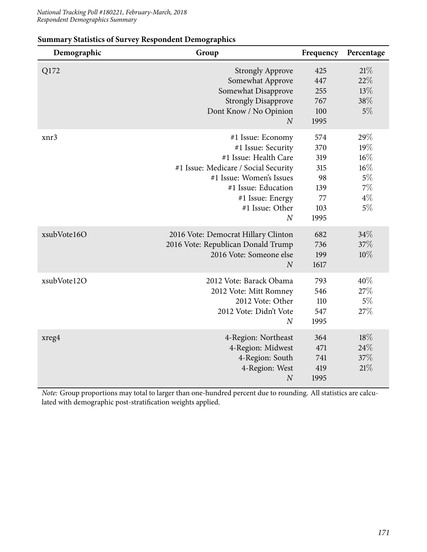| Demographic | Group                                                                                                                                                                                                                  | Frequency                                                  | Percentage                                                      |
|-------------|------------------------------------------------------------------------------------------------------------------------------------------------------------------------------------------------------------------------|------------------------------------------------------------|-----------------------------------------------------------------|
| Q172        | <b>Strongly Approve</b><br>Somewhat Approve<br>Somewhat Disapprove<br><b>Strongly Disapprove</b><br>Dont Know / No Opinion<br>$\overline{N}$                                                                           | 425<br>447<br>255<br>767<br>100<br>1995                    | 21%<br>22%<br>13%<br>38%<br>$5\%$                               |
| xnr3        | #1 Issue: Economy<br>#1 Issue: Security<br>#1 Issue: Health Care<br>#1 Issue: Medicare / Social Security<br>#1 Issue: Women's Issues<br>#1 Issue: Education<br>#1 Issue: Energy<br>#1 Issue: Other<br>$\boldsymbol{N}$ | 574<br>370<br>319<br>315<br>98<br>139<br>77<br>103<br>1995 | 29%<br>19%<br>$16\%$<br>$16\%$<br>$5\%$<br>7%<br>$4\%$<br>$5\%$ |
| xsubVote16O | 2016 Vote: Democrat Hillary Clinton<br>2016 Vote: Republican Donald Trump<br>2016 Vote: Someone else<br>$\boldsymbol{N}$                                                                                               | 682<br>736<br>199<br>1617                                  | 34%<br>37%<br>10%                                               |
| xsubVote12O | 2012 Vote: Barack Obama<br>2012 Vote: Mitt Romney<br>2012 Vote: Other<br>2012 Vote: Didn't Vote<br>$\overline{N}$                                                                                                      | 793<br>546<br>110<br>547<br>1995                           | 40%<br>27%<br>$5\%$<br>27%                                      |
| xreg4       | 4-Region: Northeast<br>4-Region: Midwest<br>4-Region: South<br>4-Region: West<br>$\boldsymbol{N}$                                                                                                                      | 364<br>471<br>741<br>419<br>1995                           | 18%<br>24\%<br>37%<br>21%                                       |

#### **Summary Statistics of Survey Respondent Demographics**

*Note:* Group proportions may total to larger than one-hundred percent due to rounding. All statistics are calculated with demographic post-stratification weights applied.